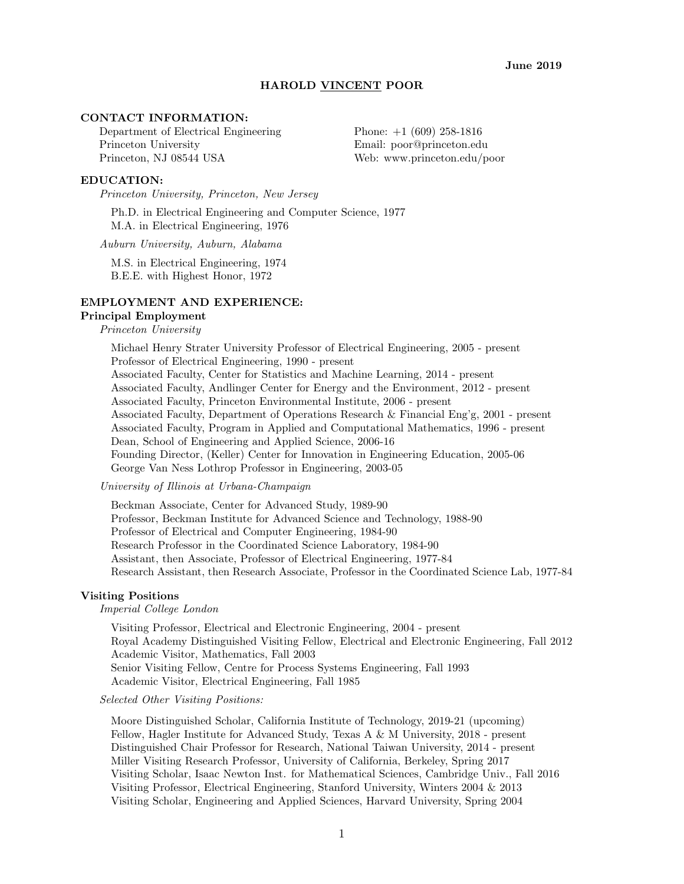#### HAROLD VINCENT POOR

## CONTACT INFORMATION:

Department of Electrical Engineering Phone: +1 (609) 258-1816 Princeton University Email: poor@princeton.edu Princeton, NJ 08544 USA Web: www.princeton.edu/poor

#### EDUCATION:

Princeton University, Princeton, New Jersey

Ph.D. in Electrical Engineering and Computer Science, 1977 M.A. in Electrical Engineering, 1976

Auburn University, Auburn, Alabama

M.S. in Electrical Engineering, 1974 B.E.E. with Highest Honor, 1972

#### EMPLOYMENT AND EXPERIENCE:

# Principal Employment

Princeton University

Michael Henry Strater University Professor of Electrical Engineering, 2005 - present Professor of Electrical Engineering, 1990 - present Associated Faculty, Center for Statistics and Machine Learning, 2014 - present Associated Faculty, Andlinger Center for Energy and the Environment, 2012 - present Associated Faculty, Princeton Environmental Institute, 2006 - present Associated Faculty, Department of Operations Research & Financial Eng'g, 2001 - present Associated Faculty, Program in Applied and Computational Mathematics, 1996 - present Dean, School of Engineering and Applied Science, 2006-16 Founding Director, (Keller) Center for Innovation in Engineering Education, 2005-06 George Van Ness Lothrop Professor in Engineering, 2003-05

University of Illinois at Urbana-Champaign

Beckman Associate, Center for Advanced Study, 1989-90 Professor, Beckman Institute for Advanced Science and Technology, 1988-90 Professor of Electrical and Computer Engineering, 1984-90 Research Professor in the Coordinated Science Laboratory, 1984-90 Assistant, then Associate, Professor of Electrical Engineering, 1977-84 Research Assistant, then Research Associate, Professor in the Coordinated Science Lab, 1977-84

# Visiting Positions

#### Imperial College London

Visiting Professor, Electrical and Electronic Engineering, 2004 - present Royal Academy Distinguished Visiting Fellow, Electrical and Electronic Engineering, Fall 2012 Academic Visitor, Mathematics, Fall 2003 Senior Visiting Fellow, Centre for Process Systems Engineering, Fall 1993 Academic Visitor, Electrical Engineering, Fall 1985

Selected Other Visiting Positions:

Moore Distinguished Scholar, California Institute of Technology, 2019-21 (upcoming) Fellow, Hagler Institute for Advanced Study, Texas A & M University, 2018 - present Distinguished Chair Professor for Research, National Taiwan University, 2014 - present Miller Visiting Research Professor, University of California, Berkeley, Spring 2017 Visiting Scholar, Isaac Newton Inst. for Mathematical Sciences, Cambridge Univ., Fall 2016 Visiting Professor, Electrical Engineering, Stanford University, Winters 2004 & 2013 Visiting Scholar, Engineering and Applied Sciences, Harvard University, Spring 2004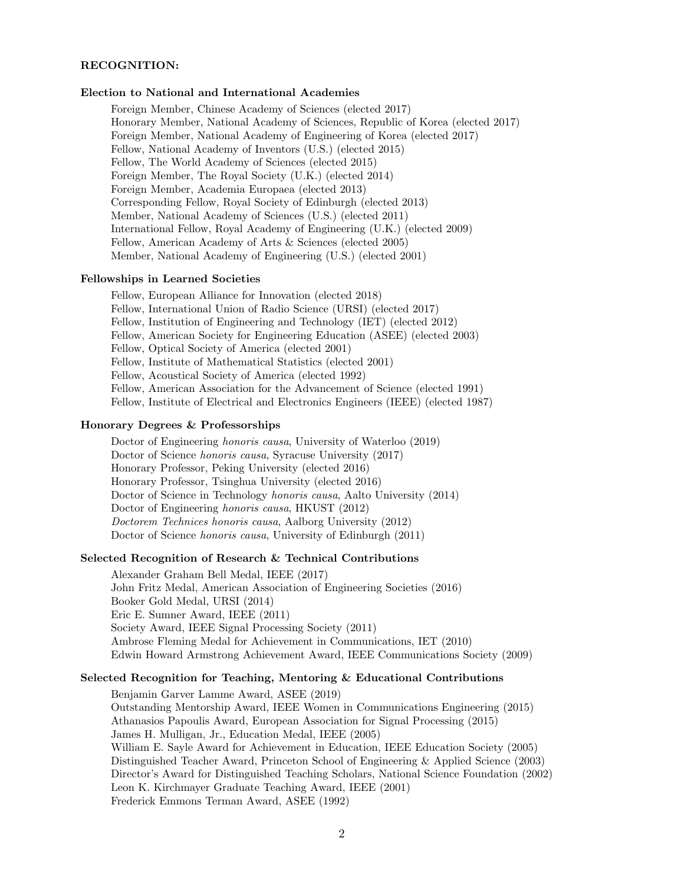# RECOGNITION:

#### Election to National and International Academies

Foreign Member, Chinese Academy of Sciences (elected 2017) Honorary Member, National Academy of Sciences, Republic of Korea (elected 2017) Foreign Member, National Academy of Engineering of Korea (elected 2017) Fellow, National Academy of Inventors (U.S.) (elected 2015) Fellow, The World Academy of Sciences (elected 2015) Foreign Member, The Royal Society (U.K.) (elected 2014) Foreign Member, Academia Europaea (elected 2013) Corresponding Fellow, Royal Society of Edinburgh (elected 2013) Member, National Academy of Sciences (U.S.) (elected 2011) International Fellow, Royal Academy of Engineering (U.K.) (elected 2009) Fellow, American Academy of Arts & Sciences (elected 2005) Member, National Academy of Engineering (U.S.) (elected 2001)

## Fellowships in Learned Societies

Fellow, European Alliance for Innovation (elected 2018) Fellow, International Union of Radio Science (URSI) (elected 2017) Fellow, Institution of Engineering and Technology (IET) (elected 2012) Fellow, American Society for Engineering Education (ASEE) (elected 2003) Fellow, Optical Society of America (elected 2001) Fellow, Institute of Mathematical Statistics (elected 2001) Fellow, Acoustical Society of America (elected 1992) Fellow, American Association for the Advancement of Science (elected 1991) Fellow, Institute of Electrical and Electronics Engineers (IEEE) (elected 1987)

## Honorary Degrees & Professorships

Doctor of Engineering honoris causa, University of Waterloo (2019) Doctor of Science honoris causa, Syracuse University (2017) Honorary Professor, Peking University (elected 2016) Honorary Professor, Tsinghua University (elected 2016) Doctor of Science in Technology honoris causa, Aalto University (2014) Doctor of Engineering honoris causa, HKUST (2012) Doctorem Technices honoris causa, Aalborg University (2012) Doctor of Science honoris causa, University of Edinburgh (2011)

# Selected Recognition of Research & Technical Contributions

Alexander Graham Bell Medal, IEEE (2017) John Fritz Medal, American Association of Engineering Societies (2016) Booker Gold Medal, URSI (2014) Eric E. Sumner Award, IEEE (2011) Society Award, IEEE Signal Processing Society (2011) Ambrose Fleming Medal for Achievement in Communications, IET (2010) Edwin Howard Armstrong Achievement Award, IEEE Communications Society (2009)

## Selected Recognition for Teaching, Mentoring & Educational Contributions

Benjamin Garver Lamme Award, ASEE (2019) Outstanding Mentorship Award, IEEE Women in Communications Engineering (2015) Athanasios Papoulis Award, European Association for Signal Processing (2015) James H. Mulligan, Jr., Education Medal, IEEE (2005) William E. Sayle Award for Achievement in Education, IEEE Education Society (2005) Distinguished Teacher Award, Princeton School of Engineering & Applied Science (2003) Director's Award for Distinguished Teaching Scholars, National Science Foundation (2002) Leon K. Kirchmayer Graduate Teaching Award, IEEE (2001) Frederick Emmons Terman Award, ASEE (1992)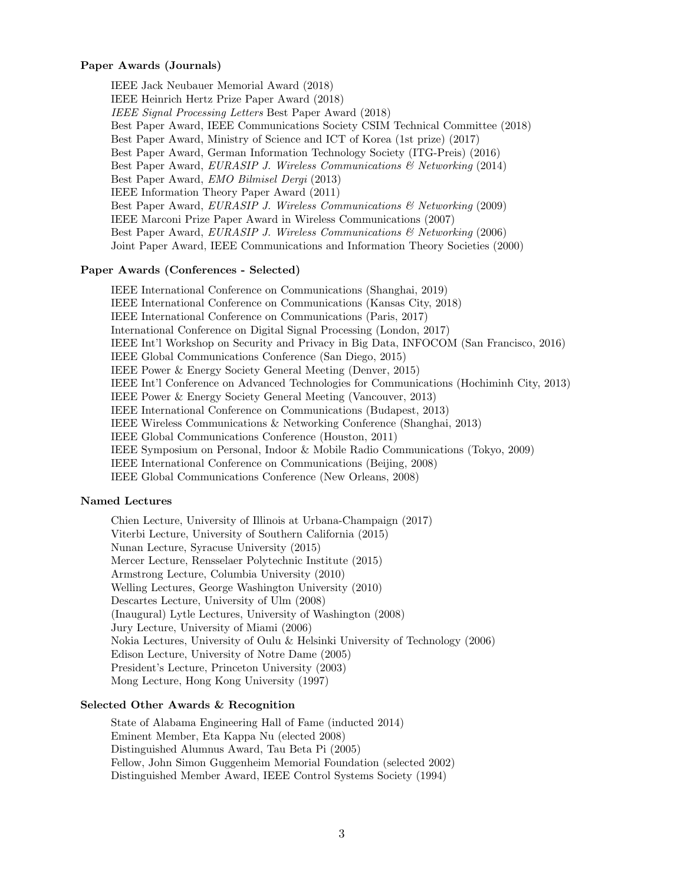## Paper Awards (Journals)

IEEE Jack Neubauer Memorial Award (2018) IEEE Heinrich Hertz Prize Paper Award (2018) IEEE Signal Processing Letters Best Paper Award (2018) Best Paper Award, IEEE Communications Society CSIM Technical Committee (2018) Best Paper Award, Ministry of Science and ICT of Korea (1st prize) (2017) Best Paper Award, German Information Technology Society (ITG-Preis) (2016) Best Paper Award, EURASIP J. Wireless Communications & Networking (2014) Best Paper Award, EMO Bilmisel Dergi (2013) IEEE Information Theory Paper Award (2011) Best Paper Award, EURASIP J. Wireless Communications & Networking (2009) IEEE Marconi Prize Paper Award in Wireless Communications (2007) Best Paper Award, EURASIP J. Wireless Communications & Networking (2006) Joint Paper Award, IEEE Communications and Information Theory Societies (2000)

# Paper Awards (Conferences - Selected)

IEEE International Conference on Communications (Shanghai, 2019) IEEE International Conference on Communications (Kansas City, 2018) IEEE International Conference on Communications (Paris, 2017) International Conference on Digital Signal Processing (London, 2017) IEEE Int'l Workshop on Security and Privacy in Big Data, INFOCOM (San Francisco, 2016) IEEE Global Communications Conference (San Diego, 2015) IEEE Power & Energy Society General Meeting (Denver, 2015) IEEE Int'l Conference on Advanced Technologies for Communications (Hochiminh City, 2013) IEEE Power & Energy Society General Meeting (Vancouver, 2013) IEEE International Conference on Communications (Budapest, 2013) IEEE Wireless Communications & Networking Conference (Shanghai, 2013) IEEE Global Communications Conference (Houston, 2011) IEEE Symposium on Personal, Indoor & Mobile Radio Communications (Tokyo, 2009) IEEE International Conference on Communications (Beijing, 2008) IEEE Global Communications Conference (New Orleans, 2008)

## Named Lectures

Chien Lecture, University of Illinois at Urbana-Champaign (2017) Viterbi Lecture, University of Southern California (2015) Nunan Lecture, Syracuse University (2015) Mercer Lecture, Rensselaer Polytechnic Institute (2015) Armstrong Lecture, Columbia University (2010) Welling Lectures, George Washington University (2010) Descartes Lecture, University of Ulm (2008) (Inaugural) Lytle Lectures, University of Washington (2008) Jury Lecture, University of Miami (2006) Nokia Lectures, University of Oulu & Helsinki University of Technology (2006) Edison Lecture, University of Notre Dame (2005) President's Lecture, Princeton University (2003) Mong Lecture, Hong Kong University (1997)

## Selected Other Awards & Recognition

State of Alabama Engineering Hall of Fame (inducted 2014) Eminent Member, Eta Kappa Nu (elected 2008) Distinguished Alumnus Award, Tau Beta Pi (2005) Fellow, John Simon Guggenheim Memorial Foundation (selected 2002) Distinguished Member Award, IEEE Control Systems Society (1994)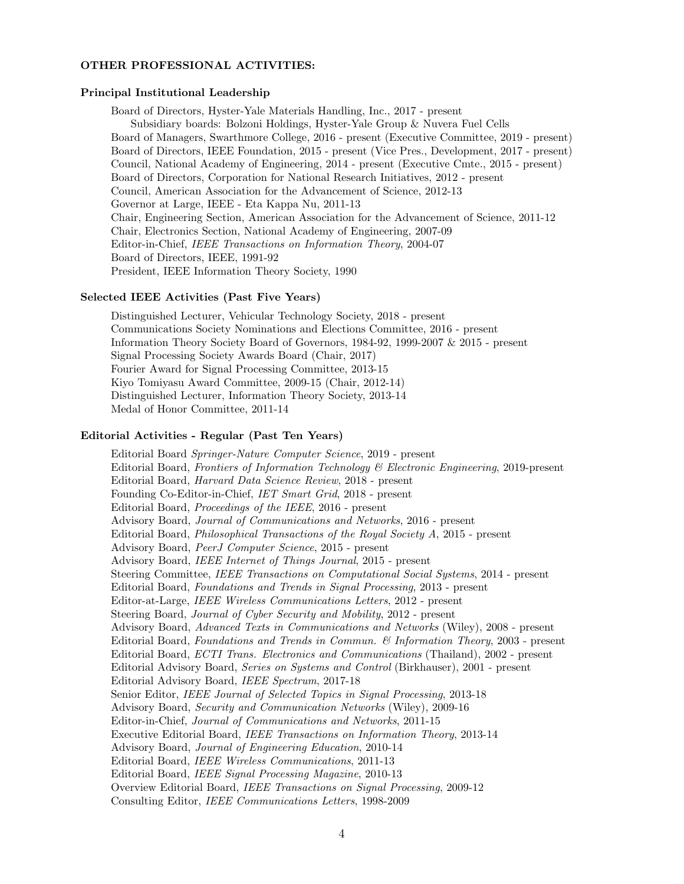#### OTHER PROFESSIONAL ACTIVITIES:

## Principal Institutional Leadership

Board of Directors, Hyster-Yale Materials Handling, Inc., 2017 - present Subsidiary boards: Bolzoni Holdings, Hyster-Yale Group & Nuvera Fuel Cells Board of Managers, Swarthmore College, 2016 - present (Executive Committee, 2019 - present) Board of Directors, IEEE Foundation, 2015 - present (Vice Pres., Development, 2017 - present) Council, National Academy of Engineering, 2014 - present (Executive Cmte., 2015 - present) Board of Directors, Corporation for National Research Initiatives, 2012 - present Council, American Association for the Advancement of Science, 2012-13 Governor at Large, IEEE - Eta Kappa Nu, 2011-13 Chair, Engineering Section, American Association for the Advancement of Science, 2011-12 Chair, Electronics Section, National Academy of Engineering, 2007-09 Editor-in-Chief, IEEE Transactions on Information Theory, 2004-07 Board of Directors, IEEE, 1991-92 President, IEEE Information Theory Society, 1990

# Selected IEEE Activities (Past Five Years)

Distinguished Lecturer, Vehicular Technology Society, 2018 - present Communications Society Nominations and Elections Committee, 2016 - present Information Theory Society Board of Governors, 1984-92, 1999-2007 & 2015 - present Signal Processing Society Awards Board (Chair, 2017) Fourier Award for Signal Processing Committee, 2013-15 Kiyo Tomiyasu Award Committee, 2009-15 (Chair, 2012-14) Distinguished Lecturer, Information Theory Society, 2013-14 Medal of Honor Committee, 2011-14

# Editorial Activities - Regular (Past Ten Years)

Editorial Board Springer-Nature Computer Science, 2019 - present Editorial Board, Frontiers of Information Technology & Electronic Engineering, 2019-present Editorial Board, Harvard Data Science Review, 2018 - present Founding Co-Editor-in-Chief, IET Smart Grid, 2018 - present Editorial Board, Proceedings of the IEEE, 2016 - present Advisory Board, Journal of Communications and Networks, 2016 - present Editorial Board, Philosophical Transactions of the Royal Society A, 2015 - present Advisory Board, PeerJ Computer Science, 2015 - present Advisory Board, IEEE Internet of Things Journal, 2015 - present Steering Committee, IEEE Transactions on Computational Social Systems, 2014 - present Editorial Board, Foundations and Trends in Signal Processing, 2013 - present Editor-at-Large, IEEE Wireless Communications Letters, 2012 - present Steering Board, Journal of Cyber Security and Mobility, 2012 - present Advisory Board, Advanced Texts in Communications and Networks (Wiley), 2008 - present Editorial Board, Foundations and Trends in Commun. & Information Theory, 2003 - present Editorial Board, ECTI Trans. Electronics and Communications (Thailand), 2002 - present Editorial Advisory Board, Series on Systems and Control (Birkhauser), 2001 - present Editorial Advisory Board, IEEE Spectrum, 2017-18 Senior Editor, IEEE Journal of Selected Topics in Signal Processing, 2013-18 Advisory Board, Security and Communication Networks (Wiley), 2009-16 Editor-in-Chief, Journal of Communications and Networks, 2011-15 Executive Editorial Board, IEEE Transactions on Information Theory, 2013-14 Advisory Board, Journal of Engineering Education, 2010-14 Editorial Board, IEEE Wireless Communications, 2011-13 Editorial Board, IEEE Signal Processing Magazine, 2010-13 Overview Editorial Board, IEEE Transactions on Signal Processing, 2009-12 Consulting Editor, IEEE Communications Letters, 1998-2009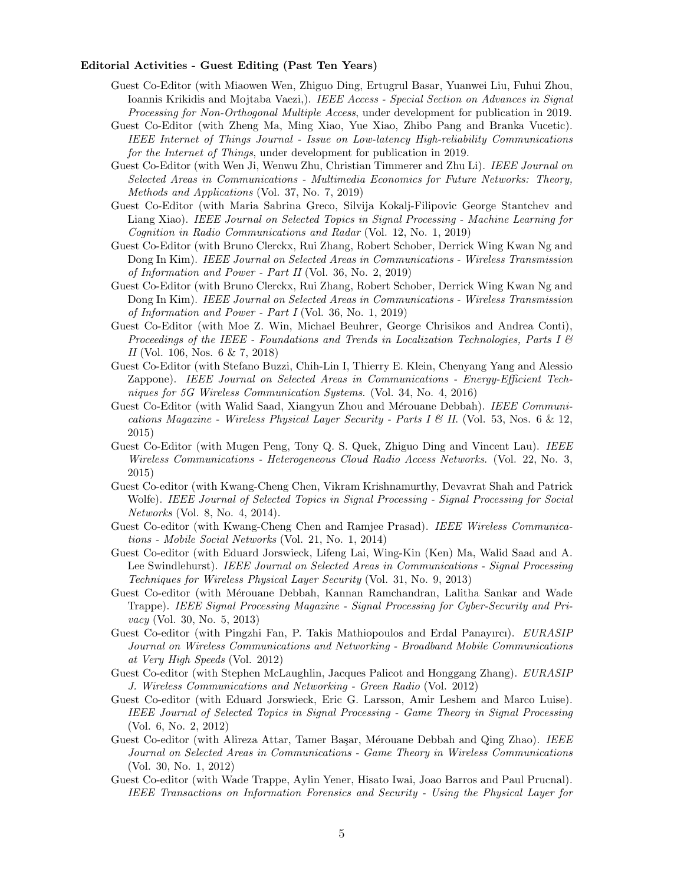#### Editorial Activities - Guest Editing (Past Ten Years)

- Guest Co-Editor (with Miaowen Wen, Zhiguo Ding, Ertugrul Basar, Yuanwei Liu, Fuhui Zhou, Ioannis Krikidis and Mojtaba Vaezi,). IEEE Access - Special Section on Advances in Signal Processing for Non-Orthogonal Multiple Access, under development for publication in 2019.
- Guest Co-Editor (with Zheng Ma, Ming Xiao, Yue Xiao, Zhibo Pang and Branka Vucetic). IEEE Internet of Things Journal - Issue on Low-latency High-reliability Communications for the Internet of Things, under development for publication in 2019.
- Guest Co-Editor (with Wen Ji, Wenwu Zhu, Christian Timmerer and Zhu Li). IEEE Journal on Selected Areas in Communications - Multimedia Economics for Future Networks: Theory, Methods and Applications (Vol. 37, No. 7, 2019)
- Guest Co-Editor (with Maria Sabrina Greco, Silvija Kokalj-Filipovic George Stantchev and Liang Xiao). IEEE Journal on Selected Topics in Signal Processing - Machine Learning for Cognition in Radio Communications and Radar (Vol. 12, No. 1, 2019)
- Guest Co-Editor (with Bruno Clerckx, Rui Zhang, Robert Schober, Derrick Wing Kwan Ng and Dong In Kim). IEEE Journal on Selected Areas in Communications - Wireless Transmission of Information and Power - Part II (Vol. 36, No. 2, 2019)
- Guest Co-Editor (with Bruno Clerckx, Rui Zhang, Robert Schober, Derrick Wing Kwan Ng and Dong In Kim). IEEE Journal on Selected Areas in Communications - Wireless Transmission of Information and Power - Part I (Vol. 36, No. 1, 2019)
- Guest Co-Editor (with Moe Z. Win, Michael Beuhrer, George Chrisikos and Andrea Conti), Proceedings of the IEEE - Foundations and Trends in Localization Technologies, Parts I  $\mathcal B$ II (Vol. 106, Nos. 6 & 7, 2018)
- Guest Co-Editor (with Stefano Buzzi, Chih-Lin I, Thierry E. Klein, Chenyang Yang and Alessio Zappone). IEEE Journal on Selected Areas in Communications - Energy-Efficient Techniques for 5G Wireless Communication Systems. (Vol. 34, No. 4, 2016)
- Guest Co-Editor (with Walid Saad, Xiangyun Zhou and Mérouane Debbah). IEEE Communications Magazine - Wireless Physical Layer Security - Parts I  $\mathcal C$  II. (Vol. 53, Nos. 6  $\&$  12, 2015)
- Guest Co-Editor (with Mugen Peng, Tony Q. S. Quek, Zhiguo Ding and Vincent Lau). IEEE Wireless Communications - Heterogeneous Cloud Radio Access Networks. (Vol. 22, No. 3, 2015)
- Guest Co-editor (with Kwang-Cheng Chen, Vikram Krishnamurthy, Devavrat Shah and Patrick Wolfe). IEEE Journal of Selected Topics in Signal Processing - Signal Processing for Social Networks (Vol. 8, No. 4, 2014).
- Guest Co-editor (with Kwang-Cheng Chen and Ramjee Prasad). IEEE Wireless Communications - Mobile Social Networks (Vol. 21, No. 1, 2014)
- Guest Co-editor (with Eduard Jorswieck, Lifeng Lai, Wing-Kin (Ken) Ma, Walid Saad and A. Lee Swindlehurst). IEEE Journal on Selected Areas in Communications - Signal Processing Techniques for Wireless Physical Layer Security (Vol. 31, No. 9, 2013)
- Guest Co-editor (with Mérouane Debbah, Kannan Ramchandran, Lalitha Sankar and Wade Trappe). IEEE Signal Processing Magazine - Signal Processing for Cyber-Security and Privacy (Vol. 30, No. 5, 2013)
- Guest Co-editor (with Pingzhi Fan, P. Takis Mathiopoulos and Erdal Panayırcı). EURASIP Journal on Wireless Communications and Networking - Broadband Mobile Communications at Very High Speeds (Vol. 2012)
- Guest Co-editor (with Stephen McLaughlin, Jacques Palicot and Honggang Zhang). EURASIP J. Wireless Communications and Networking - Green Radio (Vol. 2012)
- Guest Co-editor (with Eduard Jorswieck, Eric G. Larsson, Amir Leshem and Marco Luise). IEEE Journal of Selected Topics in Signal Processing - Game Theory in Signal Processing (Vol. 6, No. 2, 2012)
- Guest Co-editor (with Alireza Attar, Tamer Başar, Mérouane Debbah and Qing Zhao). IEEE Journal on Selected Areas in Communications - Game Theory in Wireless Communications (Vol. 30, No. 1, 2012)
- Guest Co-editor (with Wade Trappe, Aylin Yener, Hisato Iwai, Joao Barros and Paul Prucnal). IEEE Transactions on Information Forensics and Security - Using the Physical Layer for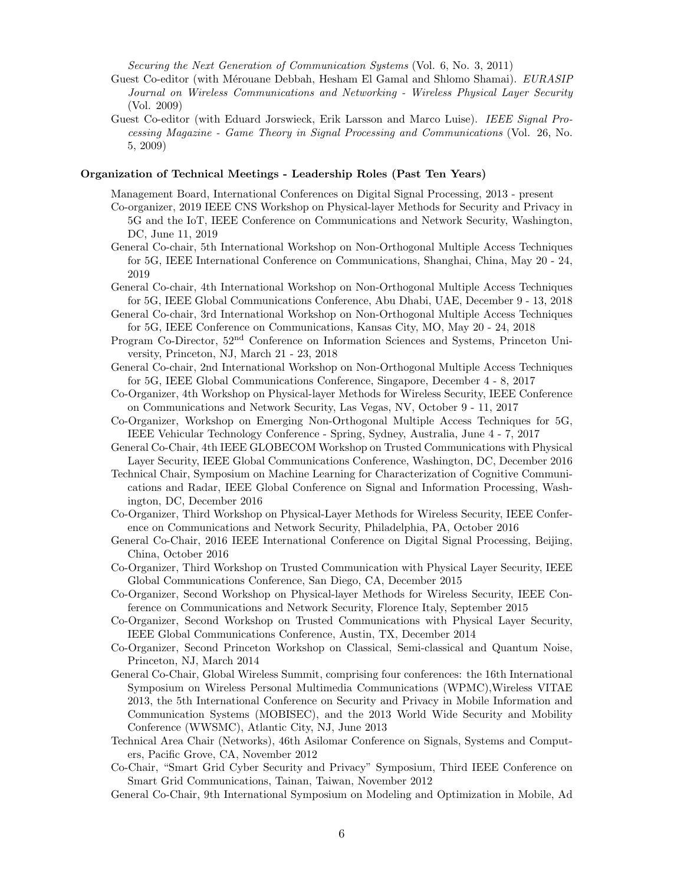Securing the Next Generation of Communication Systems (Vol. 6, No. 3, 2011)

- Guest Co-editor (with Mérouane Debbah, Hesham El Gamal and Shlomo Shamai). EURASIP Journal on Wireless Communications and Networking - Wireless Physical Layer Security (Vol. 2009)
- Guest Co-editor (with Eduard Jorswieck, Erik Larsson and Marco Luise). IEEE Signal Processing Magazine - Game Theory in Signal Processing and Communications (Vol. 26, No. 5, 2009)

## Organization of Technical Meetings - Leadership Roles (Past Ten Years)

Management Board, International Conferences on Digital Signal Processing, 2013 - present

- Co-organizer, 2019 IEEE CNS Workshop on Physical-layer Methods for Security and Privacy in 5G and the IoT, IEEE Conference on Communications and Network Security, Washington, DC, June 11, 2019
- General Co-chair, 5th International Workshop on Non-Orthogonal Multiple Access Techniques for 5G, IEEE International Conference on Communications, Shanghai, China, May 20 - 24, 2019
- General Co-chair, 4th International Workshop on Non-Orthogonal Multiple Access Techniques for 5G, IEEE Global Communications Conference, Abu Dhabi, UAE, December 9 - 13, 2018
- General Co-chair, 3rd International Workshop on Non-Orthogonal Multiple Access Techniques for 5G, IEEE Conference on Communications, Kansas City, MO, May 20 - 24, 2018
- Program Co-Director, 52nd Conference on Information Sciences and Systems, Princeton University, Princeton, NJ, March 21 - 23, 2018
- General Co-chair, 2nd International Workshop on Non-Orthogonal Multiple Access Techniques for 5G, IEEE Global Communications Conference, Singapore, December 4 - 8, 2017
- Co-Organizer, 4th Workshop on Physical-layer Methods for Wireless Security, IEEE Conference on Communications and Network Security, Las Vegas, NV, October 9 - 11, 2017
- Co-Organizer, Workshop on Emerging Non-Orthogonal Multiple Access Techniques for 5G, IEEE Vehicular Technology Conference - Spring, Sydney, Australia, June 4 - 7, 2017
- General Co-Chair, 4th IEEE GLOBECOM Workshop on Trusted Communications with Physical Layer Security, IEEE Global Communications Conference, Washington, DC, December 2016
- Technical Chair, Symposium on Machine Learning for Characterization of Cognitive Communications and Radar, IEEE Global Conference on Signal and Information Processing, Washington, DC, December 2016
- Co-Organizer, Third Workshop on Physical-Layer Methods for Wireless Security, IEEE Conference on Communications and Network Security, Philadelphia, PA, October 2016
- General Co-Chair, 2016 IEEE International Conference on Digital Signal Processing, Beijing, China, October 2016
- Co-Organizer, Third Workshop on Trusted Communication with Physical Layer Security, IEEE Global Communications Conference, San Diego, CA, December 2015
- Co-Organizer, Second Workshop on Physical-layer Methods for Wireless Security, IEEE Conference on Communications and Network Security, Florence Italy, September 2015
- Co-Organizer, Second Workshop on Trusted Communications with Physical Layer Security, IEEE Global Communications Conference, Austin, TX, December 2014
- Co-Organizer, Second Princeton Workshop on Classical, Semi-classical and Quantum Noise, Princeton, NJ, March 2014
- General Co-Chair, Global Wireless Summit, comprising four conferences: the 16th International Symposium on Wireless Personal Multimedia Communications (WPMC),Wireless VITAE 2013, the 5th International Conference on Security and Privacy in Mobile Information and Communication Systems (MOBISEC), and the 2013 World Wide Security and Mobility Conference (WWSMC), Atlantic City, NJ, June 2013
- Technical Area Chair (Networks), 46th Asilomar Conference on Signals, Systems and Computers, Pacific Grove, CA, November 2012
- Co-Chair, "Smart Grid Cyber Security and Privacy" Symposium, Third IEEE Conference on Smart Grid Communications, Tainan, Taiwan, November 2012
- General Co-Chair, 9th International Symposium on Modeling and Optimization in Mobile, Ad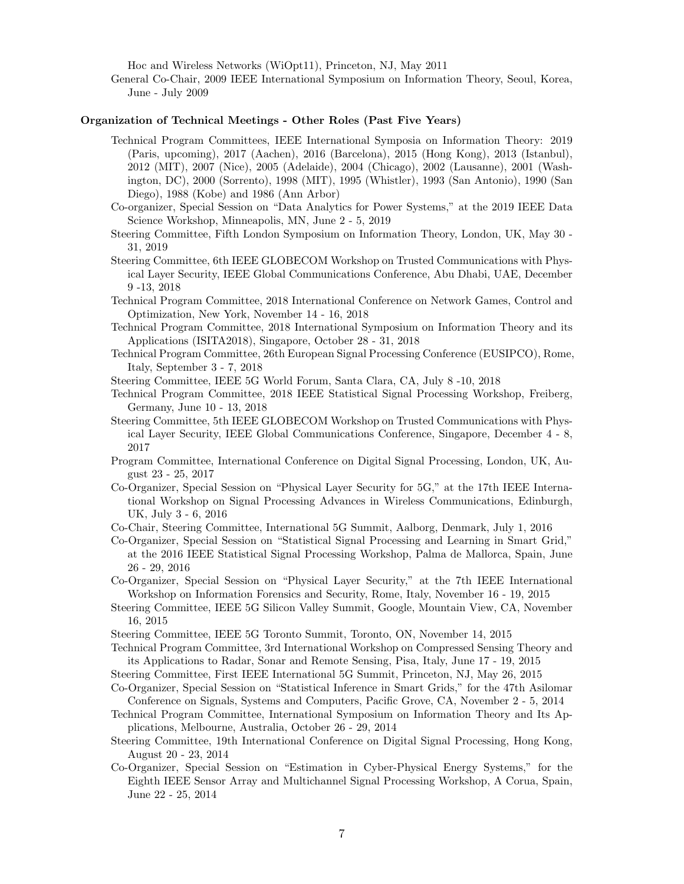Hoc and Wireless Networks (WiOpt11), Princeton, NJ, May 2011

General Co-Chair, 2009 IEEE International Symposium on Information Theory, Seoul, Korea, June - July 2009

#### Organization of Technical Meetings - Other Roles (Past Five Years)

- Technical Program Committees, IEEE International Symposia on Information Theory: 2019 (Paris, upcoming), 2017 (Aachen), 2016 (Barcelona), 2015 (Hong Kong), 2013 (Istanbul), 2012 (MIT), 2007 (Nice), 2005 (Adelaide), 2004 (Chicago), 2002 (Lausanne), 2001 (Washington, DC), 2000 (Sorrento), 1998 (MIT), 1995 (Whistler), 1993 (San Antonio), 1990 (San Diego), 1988 (Kobe) and 1986 (Ann Arbor)
- Co-organizer, Special Session on "Data Analytics for Power Systems," at the 2019 IEEE Data Science Workshop, Minneapolis, MN, June 2 - 5, 2019
- Steering Committee, Fifth London Symposium on Information Theory, London, UK, May 30 31, 2019
- Steering Committee, 6th IEEE GLOBECOM Workshop on Trusted Communications with Physical Layer Security, IEEE Global Communications Conference, Abu Dhabi, UAE, December 9 -13, 2018
- Technical Program Committee, 2018 International Conference on Network Games, Control and Optimization, New York, November 14 - 16, 2018
- Technical Program Committee, 2018 International Symposium on Information Theory and its Applications (ISITA2018), Singapore, October 28 - 31, 2018
- Technical Program Committee, 26th European Signal Processing Conference (EUSIPCO), Rome, Italy, September 3 - 7, 2018

Steering Committee, IEEE 5G World Forum, Santa Clara, CA, July 8 -10, 2018

- Technical Program Committee, 2018 IEEE Statistical Signal Processing Workshop, Freiberg, Germany, June 10 - 13, 2018
- Steering Committee, 5th IEEE GLOBECOM Workshop on Trusted Communications with Physical Layer Security, IEEE Global Communications Conference, Singapore, December 4 - 8, 2017
- Program Committee, International Conference on Digital Signal Processing, London, UK, August 23 - 25, 2017
- Co-Organizer, Special Session on "Physical Layer Security for 5G," at the 17th IEEE International Workshop on Signal Processing Advances in Wireless Communications, Edinburgh, UK, July 3 - 6, 2016
- Co-Chair, Steering Committee, International 5G Summit, Aalborg, Denmark, July 1, 2016
- Co-Organizer, Special Session on "Statistical Signal Processing and Learning in Smart Grid," at the 2016 IEEE Statistical Signal Processing Workshop, Palma de Mallorca, Spain, June 26 - 29, 2016

Co-Organizer, Special Session on "Physical Layer Security," at the 7th IEEE International Workshop on Information Forensics and Security, Rome, Italy, November 16 - 19, 2015

- Steering Committee, IEEE 5G Silicon Valley Summit, Google, Mountain View, CA, November 16, 2015
- Steering Committee, IEEE 5G Toronto Summit, Toronto, ON, November 14, 2015

Technical Program Committee, 3rd International Workshop on Compressed Sensing Theory and its Applications to Radar, Sonar and Remote Sensing, Pisa, Italy, June 17 - 19, 2015

Steering Committee, First IEEE International 5G Summit, Princeton, NJ, May 26, 2015

- Co-Organizer, Special Session on "Statistical Inference in Smart Grids," for the 47th Asilomar Conference on Signals, Systems and Computers, Pacific Grove, CA, November 2 - 5, 2014
- Technical Program Committee, International Symposium on Information Theory and Its Applications, Melbourne, Australia, October 26 - 29, 2014
- Steering Committee, 19th International Conference on Digital Signal Processing, Hong Kong, August 20 - 23, 2014
- Co-Organizer, Special Session on "Estimation in Cyber-Physical Energy Systems," for the Eighth IEEE Sensor Array and Multichannel Signal Processing Workshop, A Corua, Spain, June 22 - 25, 2014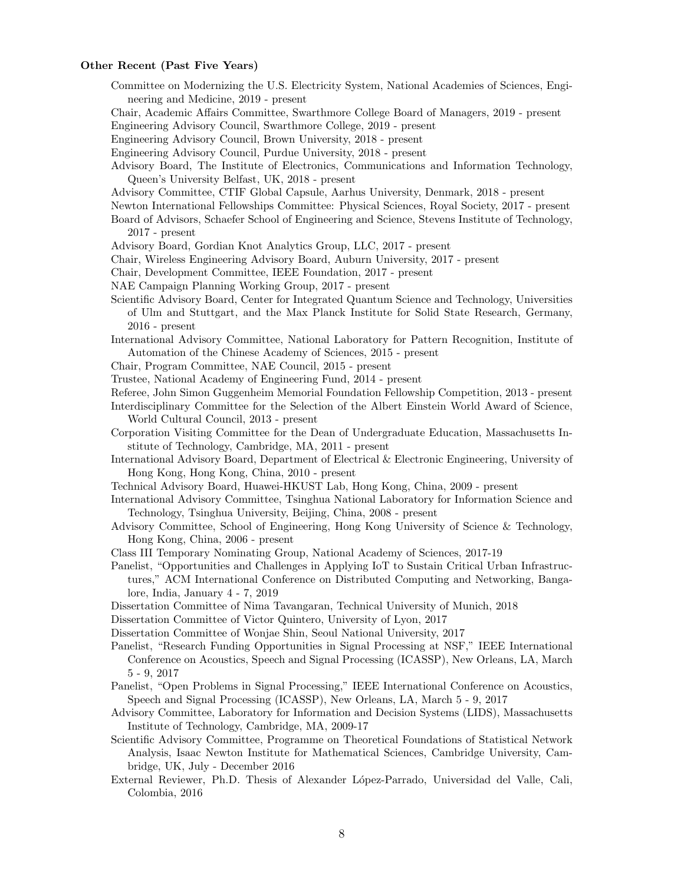## Other Recent (Past Five Years)

- Committee on Modernizing the U.S. Electricity System, National Academies of Sciences, Engineering and Medicine, 2019 - present
- Chair, Academic Affairs Committee, Swarthmore College Board of Managers, 2019 present
- Engineering Advisory Council, Swarthmore College, 2019 present
- Engineering Advisory Council, Brown University, 2018 present
- Engineering Advisory Council, Purdue University, 2018 present
- Advisory Board, The Institute of Electronics, Communications and Information Technology, Queen's University Belfast, UK, 2018 - present
- Advisory Committee, CTIF Global Capsule, Aarhus University, Denmark, 2018 present
- Newton International Fellowships Committee: Physical Sciences, Royal Society, 2017 present
- Board of Advisors, Schaefer School of Engineering and Science, Stevens Institute of Technology, 2017 - present
- Advisory Board, Gordian Knot Analytics Group, LLC, 2017 present
- Chair, Wireless Engineering Advisory Board, Auburn University, 2017 present

Chair, Development Committee, IEEE Foundation, 2017 - present

- NAE Campaign Planning Working Group, 2017 present
- Scientific Advisory Board, Center for Integrated Quantum Science and Technology, Universities of Ulm and Stuttgart, and the Max Planck Institute for Solid State Research, Germany, 2016 - present
- International Advisory Committee, National Laboratory for Pattern Recognition, Institute of Automation of the Chinese Academy of Sciences, 2015 - present
- Chair, Program Committee, NAE Council, 2015 present
- Trustee, National Academy of Engineering Fund, 2014 present
- Referee, John Simon Guggenheim Memorial Foundation Fellowship Competition, 2013 present
- Interdisciplinary Committee for the Selection of the Albert Einstein World Award of Science, World Cultural Council, 2013 - present
- Corporation Visiting Committee for the Dean of Undergraduate Education, Massachusetts Institute of Technology, Cambridge, MA, 2011 - present
- International Advisory Board, Department of Electrical & Electronic Engineering, University of Hong Kong, Hong Kong, China, 2010 - present
- Technical Advisory Board, Huawei-HKUST Lab, Hong Kong, China, 2009 present
- International Advisory Committee, Tsinghua National Laboratory for Information Science and Technology, Tsinghua University, Beijing, China, 2008 - present
- Advisory Committee, School of Engineering, Hong Kong University of Science & Technology, Hong Kong, China, 2006 - present
- Class III Temporary Nominating Group, National Academy of Sciences, 2017-19
- Panelist, "Opportunities and Challenges in Applying IoT to Sustain Critical Urban Infrastructures," ACM International Conference on Distributed Computing and Networking, Bangalore, India, January 4 - 7, 2019
- Dissertation Committee of Nima Tavangaran, Technical University of Munich, 2018
- Dissertation Committee of Victor Quintero, University of Lyon, 2017
- Dissertation Committee of Wonjae Shin, Seoul National University, 2017
- Panelist, "Research Funding Opportunities in Signal Processing at NSF," IEEE International Conference on Acoustics, Speech and Signal Processing (ICASSP), New Orleans, LA, March 5 - 9, 2017
- Panelist, "Open Problems in Signal Processing," IEEE International Conference on Acoustics, Speech and Signal Processing (ICASSP), New Orleans, LA, March 5 - 9, 2017
- Advisory Committee, Laboratory for Information and Decision Systems (LIDS), Massachusetts Institute of Technology, Cambridge, MA, 2009-17
- Scientific Advisory Committee, Programme on Theoretical Foundations of Statistical Network Analysis, Isaac Newton Institute for Mathematical Sciences, Cambridge University, Cambridge, UK, July - December 2016
- External Reviewer, Ph.D. Thesis of Alexander L´opez-Parrado, Universidad del Valle, Cali, Colombia, 2016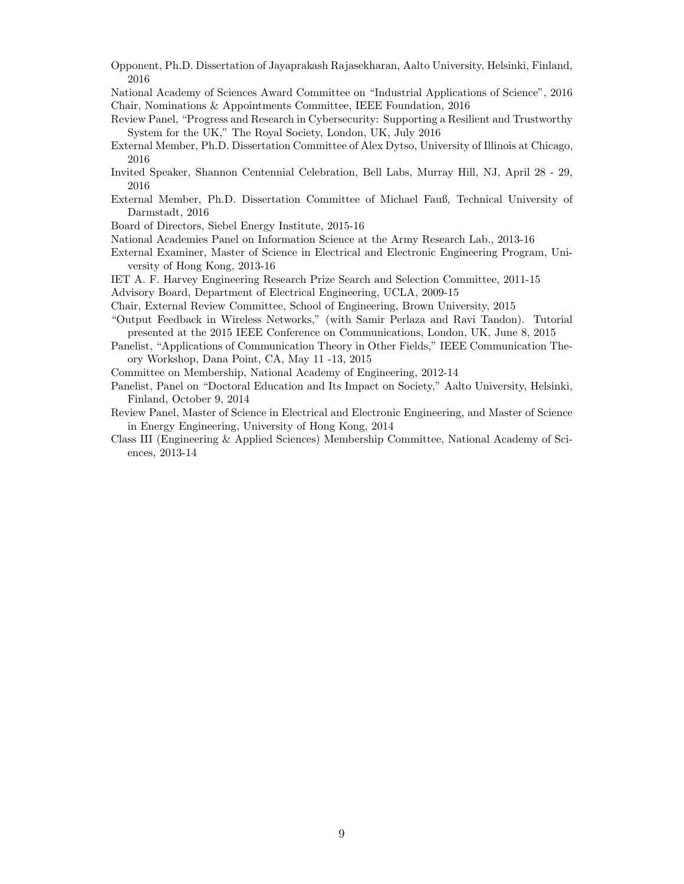Opponent, Ph.D. Dissertation of Jayaprakash Rajasekharan, Aalto University, Helsinki, Finland, 2016

National Academy of Sciences Award Committee on "Industrial Applications of Science", 2016 Chair, Nominations & Appointments Committee, IEEE Foundation, 2016

- Review Panel, "Progress and Research in Cybersecurity: Supporting a Resilient and Trustworthy System for the UK," The Royal Society, London, UK, July 2016
- External Member, Ph.D. Dissertation Committee of Alex Dytso, University of Illinois at Chicago, 2016
- Invited Speaker, Shannon Centennial Celebration, Bell Labs, Murray Hill, NJ, April 28 29, 2016
- External Member, Ph.D. Dissertation Committee of Michael Fauß, Technical University of Darmstadt, 2016

Board of Directors, Siebel Energy Institute, 2015-16

- National Academies Panel on Information Science at the Army Research Lab., 2013-16
- External Examiner, Master of Science in Electrical and Electronic Engineering Program, University of Hong Kong, 2013-16

IET A. F. Harvey Engineering Research Prize Search and Selection Committee, 2011-15

Advisory Board, Department of Electrical Engineering, UCLA, 2009-15

Chair, External Review Committee, School of Engineering, Brown University, 2015

"Output Feedback in Wireless Networks," (with Samir Perlaza and Ravi Tandon). Tutorial presented at the 2015 IEEE Conference on Communications, London, UK, June 8, 2015

Panelist, "Applications of Communication Theory in Other Fields," IEEE Communication Theory Workshop, Dana Point, CA, May 11 -13, 2015

Committee on Membership, National Academy of Engineering, 2012-14

- Panelist, Panel on "Doctoral Education and Its Impact on Society," Aalto University, Helsinki, Finland, October 9, 2014
- Review Panel, Master of Science in Electrical and Electronic Engineering, and Master of Science in Energy Engineering, University of Hong Kong, 2014
- Class III (Engineering & Applied Sciences) Membership Committee, National Academy of Sciences, 2013-14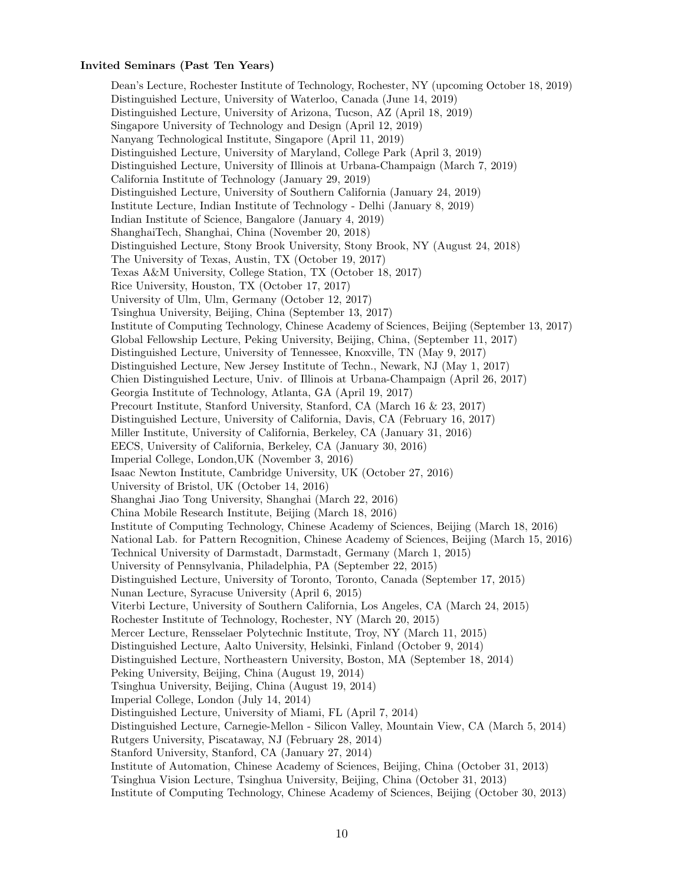# Invited Seminars (Past Ten Years)

Dean's Lecture, Rochester Institute of Technology, Rochester, NY (upcoming October 18, 2019) Distinguished Lecture, University of Waterloo, Canada (June 14, 2019) Distinguished Lecture, University of Arizona, Tucson, AZ (April 18, 2019) Singapore University of Technology and Design (April 12, 2019) Nanyang Technological Institute, Singapore (April 11, 2019) Distinguished Lecture, University of Maryland, College Park (April 3, 2019) Distinguished Lecture, University of Illinois at Urbana-Champaign (March 7, 2019) California Institute of Technology (January 29, 2019) Distinguished Lecture, University of Southern California (January 24, 2019) Institute Lecture, Indian Institute of Technology - Delhi (January 8, 2019) Indian Institute of Science, Bangalore (January 4, 2019) ShanghaiTech, Shanghai, China (November 20, 2018) Distinguished Lecture, Stony Brook University, Stony Brook, NY (August 24, 2018) The University of Texas, Austin, TX (October 19, 2017) Texas A&M University, College Station, TX (October 18, 2017) Rice University, Houston, TX (October 17, 2017) University of Ulm, Ulm, Germany (October 12, 2017) Tsinghua University, Beijing, China (September 13, 2017) Institute of Computing Technology, Chinese Academy of Sciences, Beijing (September 13, 2017) Global Fellowship Lecture, Peking University, Beijing, China, (September 11, 2017) Distinguished Lecture, University of Tennessee, Knoxville, TN (May 9, 2017) Distinguished Lecture, New Jersey Institute of Techn., Newark, NJ (May 1, 2017) Chien Distinguished Lecture, Univ. of Illinois at Urbana-Champaign (April 26, 2017) Georgia Institute of Technology, Atlanta, GA (April 19, 2017) Precourt Institute, Stanford University, Stanford, CA (March 16 & 23, 2017) Distinguished Lecture, University of California, Davis, CA (February 16, 2017) Miller Institute, University of California, Berkeley, CA (January 31, 2016) EECS, University of California, Berkeley, CA (January 30, 2016) Imperial College, London,UK (November 3, 2016) Isaac Newton Institute, Cambridge University, UK (October 27, 2016) University of Bristol, UK (October 14, 2016) Shanghai Jiao Tong University, Shanghai (March 22, 2016) China Mobile Research Institute, Beijing (March 18, 2016) Institute of Computing Technology, Chinese Academy of Sciences, Beijing (March 18, 2016) National Lab. for Pattern Recognition, Chinese Academy of Sciences, Beijing (March 15, 2016) Technical University of Darmstadt, Darmstadt, Germany (March 1, 2015) University of Pennsylvania, Philadelphia, PA (September 22, 2015) Distinguished Lecture, University of Toronto, Toronto, Canada (September 17, 2015) Nunan Lecture, Syracuse University (April 6, 2015) Viterbi Lecture, University of Southern California, Los Angeles, CA (March 24, 2015) Rochester Institute of Technology, Rochester, NY (March 20, 2015) Mercer Lecture, Rensselaer Polytechnic Institute, Troy, NY (March 11, 2015) Distinguished Lecture, Aalto University, Helsinki, Finland (October 9, 2014) Distinguished Lecture, Northeastern University, Boston, MA (September 18, 2014) Peking University, Beijing, China (August 19, 2014) Tsinghua University, Beijing, China (August 19, 2014) Imperial College, London (July 14, 2014) Distinguished Lecture, University of Miami, FL (April 7, 2014) Distinguished Lecture, Carnegie-Mellon - Silicon Valley, Mountain View, CA (March 5, 2014) Rutgers University, Piscataway, NJ (February 28, 2014) Stanford University, Stanford, CA (January 27, 2014) Institute of Automation, Chinese Academy of Sciences, Beijing, China (October 31, 2013) Tsinghua Vision Lecture, Tsinghua University, Beijing, China (October 31, 2013) Institute of Computing Technology, Chinese Academy of Sciences, Beijing (October 30, 2013)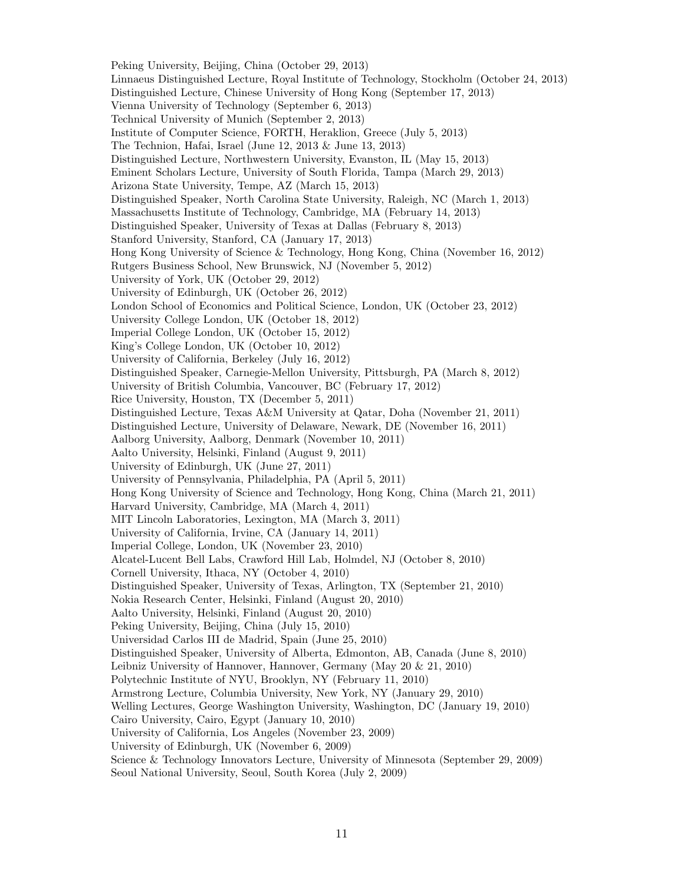Peking University, Beijing, China (October 29, 2013) Linnaeus Distinguished Lecture, Royal Institute of Technology, Stockholm (October 24, 2013) Distinguished Lecture, Chinese University of Hong Kong (September 17, 2013) Vienna University of Technology (September 6, 2013) Technical University of Munich (September 2, 2013) Institute of Computer Science, FORTH, Heraklion, Greece (July 5, 2013) The Technion, Hafai, Israel (June 12, 2013 & June 13, 2013) Distinguished Lecture, Northwestern University, Evanston, IL (May 15, 2013) Eminent Scholars Lecture, University of South Florida, Tampa (March 29, 2013) Arizona State University, Tempe, AZ (March 15, 2013) Distinguished Speaker, North Carolina State University, Raleigh, NC (March 1, 2013) Massachusetts Institute of Technology, Cambridge, MA (February 14, 2013) Distinguished Speaker, University of Texas at Dallas (February 8, 2013) Stanford University, Stanford, CA (January 17, 2013) Hong Kong University of Science & Technology, Hong Kong, China (November 16, 2012) Rutgers Business School, New Brunswick, NJ (November 5, 2012) University of York, UK (October 29, 2012) University of Edinburgh, UK (October 26, 2012) London School of Economics and Political Science, London, UK (October 23, 2012) University College London, UK (October 18, 2012) Imperial College London, UK (October 15, 2012) King's College London, UK (October 10, 2012) University of California, Berkeley (July 16, 2012) Distinguished Speaker, Carnegie-Mellon University, Pittsburgh, PA (March 8, 2012) University of British Columbia, Vancouver, BC (February 17, 2012) Rice University, Houston, TX (December 5, 2011) Distinguished Lecture, Texas A&M University at Qatar, Doha (November 21, 2011) Distinguished Lecture, University of Delaware, Newark, DE (November 16, 2011) Aalborg University, Aalborg, Denmark (November 10, 2011) Aalto University, Helsinki, Finland (August 9, 2011) University of Edinburgh, UK (June 27, 2011) University of Pennsylvania, Philadelphia, PA (April 5, 2011) Hong Kong University of Science and Technology, Hong Kong, China (March 21, 2011) Harvard University, Cambridge, MA (March 4, 2011) MIT Lincoln Laboratories, Lexington, MA (March 3, 2011) University of California, Irvine, CA (January 14, 2011) Imperial College, London, UK (November 23, 2010) Alcatel-Lucent Bell Labs, Crawford Hill Lab, Holmdel, NJ (October 8, 2010) Cornell University, Ithaca, NY (October 4, 2010) Distinguished Speaker, University of Texas, Arlington, TX (September 21, 2010) Nokia Research Center, Helsinki, Finland (August 20, 2010) Aalto University, Helsinki, Finland (August 20, 2010) Peking University, Beijing, China (July 15, 2010) Universidad Carlos III de Madrid, Spain (June 25, 2010) Distinguished Speaker, University of Alberta, Edmonton, AB, Canada (June 8, 2010) Leibniz University of Hannover, Hannover, Germany (May 20 & 21, 2010) Polytechnic Institute of NYU, Brooklyn, NY (February 11, 2010) Armstrong Lecture, Columbia University, New York, NY (January 29, 2010) Welling Lectures, George Washington University, Washington, DC (January 19, 2010) Cairo University, Cairo, Egypt (January 10, 2010) University of California, Los Angeles (November 23, 2009) University of Edinburgh, UK (November 6, 2009) Science & Technology Innovators Lecture, University of Minnesota (September 29, 2009) Seoul National University, Seoul, South Korea (July 2, 2009)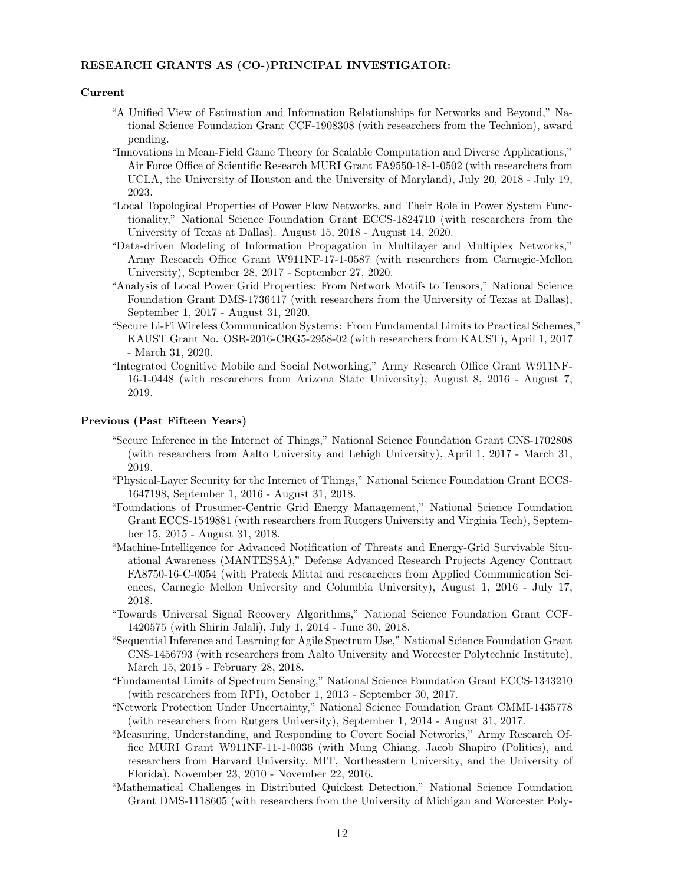# RESEARCH GRANTS AS (CO-)PRINCIPAL INVESTIGATOR:

#### Current

- "A Unified View of Estimation and Information Relationships for Networks and Beyond," National Science Foundation Grant CCF-1908308 (with researchers from the Technion), award pending.
- "Innovations in Mean-Field Game Theory for Scalable Computation and Diverse Applications," Air Force Office of Scientific Research MURI Grant FA9550-18-1-0502 (with researchers from UCLA, the University of Houston and the University of Maryland), July 20, 2018 - July 19, 2023.
- "Local Topological Properties of Power Flow Networks, and Their Role in Power System Functionality," National Science Foundation Grant ECCS-1824710 (with researchers from the University of Texas at Dallas). August 15, 2018 - August 14, 2020.
- "Data-driven Modeling of Information Propagation in Multilayer and Multiplex Networks," Army Research Office Grant W911NF-17-1-0587 (with researchers from Carnegie-Mellon University), September 28, 2017 - September 27, 2020.
- "Analysis of Local Power Grid Properties: From Network Motifs to Tensors," National Science Foundation Grant DMS-1736417 (with researchers from the University of Texas at Dallas), September 1, 2017 - August 31, 2020.
- "Secure Li-Fi Wireless Communication Systems: From Fundamental Limits to Practical Schemes," KAUST Grant No. OSR-2016-CRG5-2958-02 (with researchers from KAUST), April 1, 2017 - March 31, 2020.
- "Integrated Cognitive Mobile and Social Networking," Army Research Office Grant W911NF-16-1-0448 (with researchers from Arizona State University), August 8, 2016 - August 7, 2019.

#### Previous (Past Fifteen Years)

- "Secure Inference in the Internet of Things," National Science Foundation Grant CNS-1702808 (with researchers from Aalto University and Lehigh University), April 1, 2017 - March 31, 2019.
- "Physical-Layer Security for the Internet of Things," National Science Foundation Grant ECCS-1647198, September 1, 2016 - August 31, 2018.
- "Foundations of Prosumer-Centric Grid Energy Management," National Science Foundation Grant ECCS-1549881 (with researchers from Rutgers University and Virginia Tech), September 15, 2015 - August 31, 2018.
- "Machine-Intelligence for Advanced Notification of Threats and Energy-Grid Survivable Situational Awareness (MANTESSA)," Defense Advanced Research Projects Agency Contract FA8750-16-C-0054 (with Prateek Mittal and researchers from Applied Communication Sciences, Carnegie Mellon University and Columbia University), August 1, 2016 - July 17, 2018.
- "Towards Universal Signal Recovery Algorithms," National Science Foundation Grant CCF-1420575 (with Shirin Jalali), July 1, 2014 - June 30, 2018.
- "Sequential Inference and Learning for Agile Spectrum Use," National Science Foundation Grant CNS-1456793 (with researchers from Aalto University and Worcester Polytechnic Institute), March 15, 2015 - February 28, 2018.
- "Fundamental Limits of Spectrum Sensing," National Science Foundation Grant ECCS-1343210 (with researchers from RPI), October 1, 2013 - September 30, 2017.
- "Network Protection Under Uncertainty," National Science Foundation Grant CMMI-1435778 (with researchers from Rutgers University), September 1, 2014 - August 31, 2017.
- "Measuring, Understanding, and Responding to Covert Social Networks," Army Research Office MURI Grant W911NF-11-1-0036 (with Mung Chiang, Jacob Shapiro (Politics), and researchers from Harvard University, MIT, Northeastern University, and the University of Florida), November 23, 2010 - November 22, 2016.
- "Mathematical Challenges in Distributed Quickest Detection," National Science Foundation Grant DMS-1118605 (with researchers from the University of Michigan and Worcester Poly-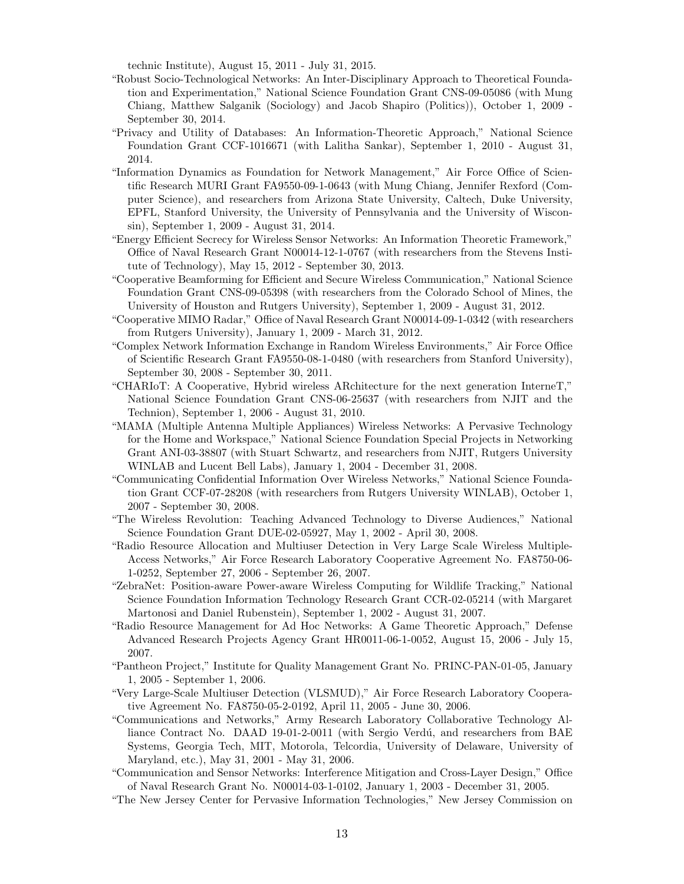technic Institute), August 15, 2011 - July 31, 2015.

- "Robust Socio-Technological Networks: An Inter-Disciplinary Approach to Theoretical Foundation and Experimentation," National Science Foundation Grant CNS-09-05086 (with Mung Chiang, Matthew Salganik (Sociology) and Jacob Shapiro (Politics)), October 1, 2009 - September 30, 2014.
- "Privacy and Utility of Databases: An Information-Theoretic Approach," National Science Foundation Grant CCF-1016671 (with Lalitha Sankar), September 1, 2010 - August 31, 2014.
- "Information Dynamics as Foundation for Network Management," Air Force Office of Scientific Research MURI Grant FA9550-09-1-0643 (with Mung Chiang, Jennifer Rexford (Computer Science), and researchers from Arizona State University, Caltech, Duke University, EPFL, Stanford University, the University of Pennsylvania and the University of Wisconsin), September 1, 2009 - August 31, 2014.
- "Energy Efficient Secrecy for Wireless Sensor Networks: An Information Theoretic Framework," Office of Naval Research Grant N00014-12-1-0767 (with researchers from the Stevens Institute of Technology), May 15, 2012 - September 30, 2013.
- "Cooperative Beamforming for Efficient and Secure Wireless Communication," National Science Foundation Grant CNS-09-05398 (with researchers from the Colorado School of Mines, the University of Houston and Rutgers University), September 1, 2009 - August 31, 2012.
- "Cooperative MIMO Radar," Office of Naval Research Grant N00014-09-1-0342 (with researchers from Rutgers University), January 1, 2009 - March 31, 2012.
- "Complex Network Information Exchange in Random Wireless Environments," Air Force Office of Scientific Research Grant FA9550-08-1-0480 (with researchers from Stanford University), September 30, 2008 - September 30, 2011.
- "CHARIoT: A Cooperative, Hybrid wireless ARchitecture for the next generation InterneT," National Science Foundation Grant CNS-06-25637 (with researchers from NJIT and the Technion), September 1, 2006 - August 31, 2010.
- "MAMA (Multiple Antenna Multiple Appliances) Wireless Networks: A Pervasive Technology for the Home and Workspace," National Science Foundation Special Projects in Networking Grant ANI-03-38807 (with Stuart Schwartz, and researchers from NJIT, Rutgers University WINLAB and Lucent Bell Labs), January 1, 2004 - December 31, 2008.
- "Communicating Confidential Information Over Wireless Networks," National Science Foundation Grant CCF-07-28208 (with researchers from Rutgers University WINLAB), October 1, 2007 - September 30, 2008.
- "The Wireless Revolution: Teaching Advanced Technology to Diverse Audiences," National Science Foundation Grant DUE-02-05927, May 1, 2002 - April 30, 2008.
- "Radio Resource Allocation and Multiuser Detection in Very Large Scale Wireless Multiple-Access Networks," Air Force Research Laboratory Cooperative Agreement No. FA8750-06- 1-0252, September 27, 2006 - September 26, 2007.
- "ZebraNet: Position-aware Power-aware Wireless Computing for Wildlife Tracking," National Science Foundation Information Technology Research Grant CCR-02-05214 (with Margaret Martonosi and Daniel Rubenstein), September 1, 2002 - August 31, 2007.
- "Radio Resource Management for Ad Hoc Networks: A Game Theoretic Approach," Defense Advanced Research Projects Agency Grant HR0011-06-1-0052, August 15, 2006 - July 15, 2007.
- "Pantheon Project," Institute for Quality Management Grant No. PRINC-PAN-01-05, January 1, 2005 - September 1, 2006.
- "Very Large-Scale Multiuser Detection (VLSMUD)," Air Force Research Laboratory Cooperative Agreement No. FA8750-05-2-0192, April 11, 2005 - June 30, 2006.
- "Communications and Networks," Army Research Laboratory Collaborative Technology Alliance Contract No. DAAD 19-01-2-0011 (with Sergio Verdú, and researchers from BAE Systems, Georgia Tech, MIT, Motorola, Telcordia, University of Delaware, University of Maryland, etc.), May 31, 2001 - May 31, 2006.
- "Communication and Sensor Networks: Interference Mitigation and Cross-Layer Design," Office of Naval Research Grant No. N00014-03-1-0102, January 1, 2003 - December 31, 2005.
- "The New Jersey Center for Pervasive Information Technologies," New Jersey Commission on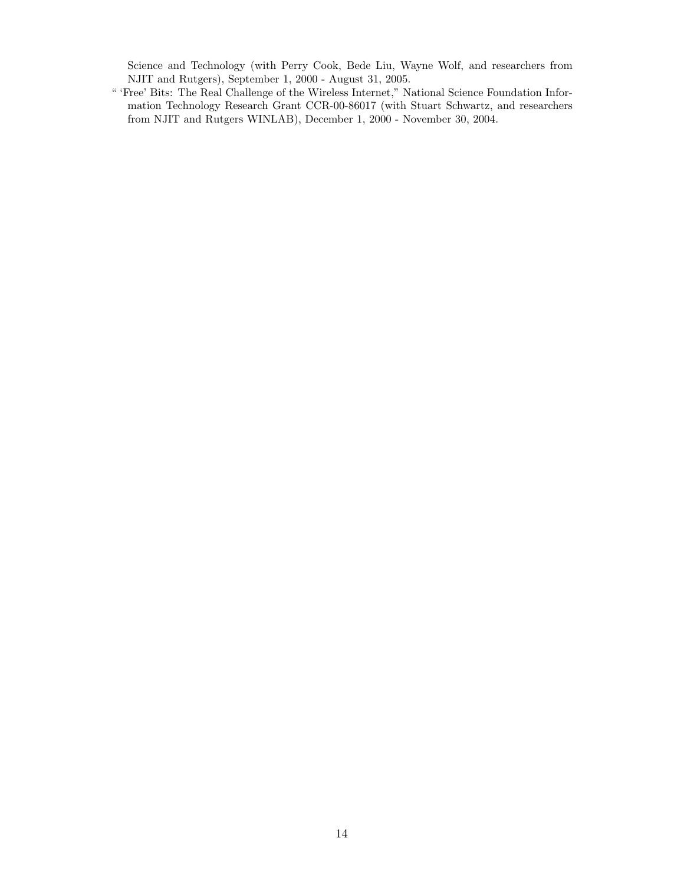Science and Technology (with Perry Cook, Bede Liu, Wayne Wolf, and researchers from NJIT and Rutgers), September 1, 2000 - August 31, 2005.

" 'Free' Bits: The Real Challenge of the Wireless Internet," National Science Foundation Information Technology Research Grant CCR-00-86017 (with Stuart Schwartz, and researchers from NJIT and Rutgers WINLAB), December 1, 2000 - November 30, 2004.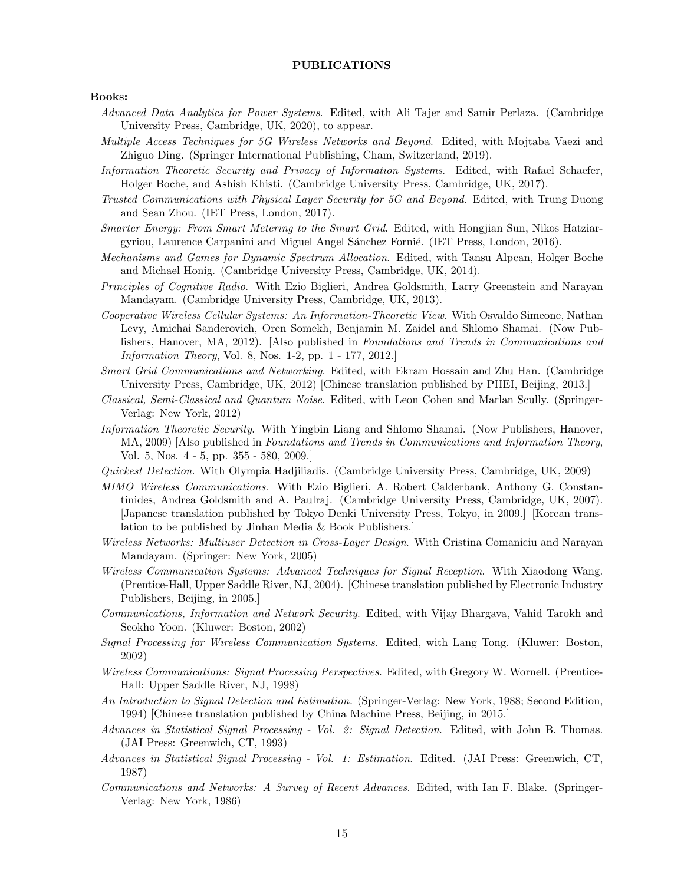## PUBLICATIONS

#### Books:

- Advanced Data Analytics for Power Systems. Edited, with Ali Tajer and Samir Perlaza. (Cambridge University Press, Cambridge, UK, 2020), to appear.
- Multiple Access Techniques for 5G Wireless Networks and Beyond. Edited, with Mojtaba Vaezi and Zhiguo Ding. (Springer International Publishing, Cham, Switzerland, 2019).
- Information Theoretic Security and Privacy of Information Systems. Edited, with Rafael Schaefer, Holger Boche, and Ashish Khisti. (Cambridge University Press, Cambridge, UK, 2017).
- Trusted Communications with Physical Layer Security for 5G and Beyond. Edited, with Trung Duong and Sean Zhou. (IET Press, London, 2017).
- Smarter Energy: From Smart Metering to the Smart Grid. Edited, with Hongjian Sun, Nikos Hatziargyriou, Laurence Carpanini and Miguel Angel Sánchez Fornié. (IET Press, London, 2016).
- Mechanisms and Games for Dynamic Spectrum Allocation. Edited, with Tansu Alpcan, Holger Boche and Michael Honig. (Cambridge University Press, Cambridge, UK, 2014).
- Principles of Cognitive Radio. With Ezio Biglieri, Andrea Goldsmith, Larry Greenstein and Narayan Mandayam. (Cambridge University Press, Cambridge, UK, 2013).
- Cooperative Wireless Cellular Systems: An Information-Theoretic View. With Osvaldo Simeone, Nathan Levy, Amichai Sanderovich, Oren Somekh, Benjamin M. Zaidel and Shlomo Shamai. (Now Publishers, Hanover, MA, 2012). [Also published in Foundations and Trends in Communications and Information Theory, Vol. 8, Nos. 1-2, pp. 1 - 177, 2012.]
- Smart Grid Communications and Networking. Edited, with Ekram Hossain and Zhu Han. (Cambridge University Press, Cambridge, UK, 2012) [Chinese translation published by PHEI, Beijing, 2013.]
- Classical, Semi-Classical and Quantum Noise. Edited, with Leon Cohen and Marlan Scully. (Springer-Verlag: New York, 2012)
- Information Theoretic Security. With Yingbin Liang and Shlomo Shamai. (Now Publishers, Hanover, MA, 2009) [Also published in *Foundations and Trends in Communications and Information Theory*, Vol. 5, Nos. 4 - 5, pp. 355 - 580, 2009.]
- Quickest Detection. With Olympia Hadjiliadis. (Cambridge University Press, Cambridge, UK, 2009)
- MIMO Wireless Communications. With Ezio Biglieri, A. Robert Calderbank, Anthony G. Constantinides, Andrea Goldsmith and A. Paulraj. (Cambridge University Press, Cambridge, UK, 2007). [Japanese translation published by Tokyo Denki University Press, Tokyo, in 2009.] [Korean translation to be published by Jinhan Media & Book Publishers.]
- Wireless Networks: Multiuser Detection in Cross-Layer Design. With Cristina Comaniciu and Narayan Mandayam. (Springer: New York, 2005)
- Wireless Communication Systems: Advanced Techniques for Signal Reception. With Xiaodong Wang. (Prentice-Hall, Upper Saddle River, NJ, 2004). [Chinese translation published by Electronic Industry Publishers, Beijing, in 2005.]
- Communications, Information and Network Security. Edited, with Vijay Bhargava, Vahid Tarokh and Seokho Yoon. (Kluwer: Boston, 2002)
- Signal Processing for Wireless Communication Systems. Edited, with Lang Tong. (Kluwer: Boston, 2002)
- Wireless Communications: Signal Processing Perspectives. Edited, with Gregory W. Wornell. (Prentice-Hall: Upper Saddle River, NJ, 1998)
- An Introduction to Signal Detection and Estimation. (Springer-Verlag: New York, 1988; Second Edition, 1994) [Chinese translation published by China Machine Press, Beijing, in 2015.]
- Advances in Statistical Signal Processing Vol. 2: Signal Detection. Edited, with John B. Thomas. (JAI Press: Greenwich, CT, 1993)
- Advances in Statistical Signal Processing Vol. 1: Estimation. Edited. (JAI Press: Greenwich, CT, 1987)
- Communications and Networks: A Survey of Recent Advances. Edited, with Ian F. Blake. (Springer-Verlag: New York, 1986)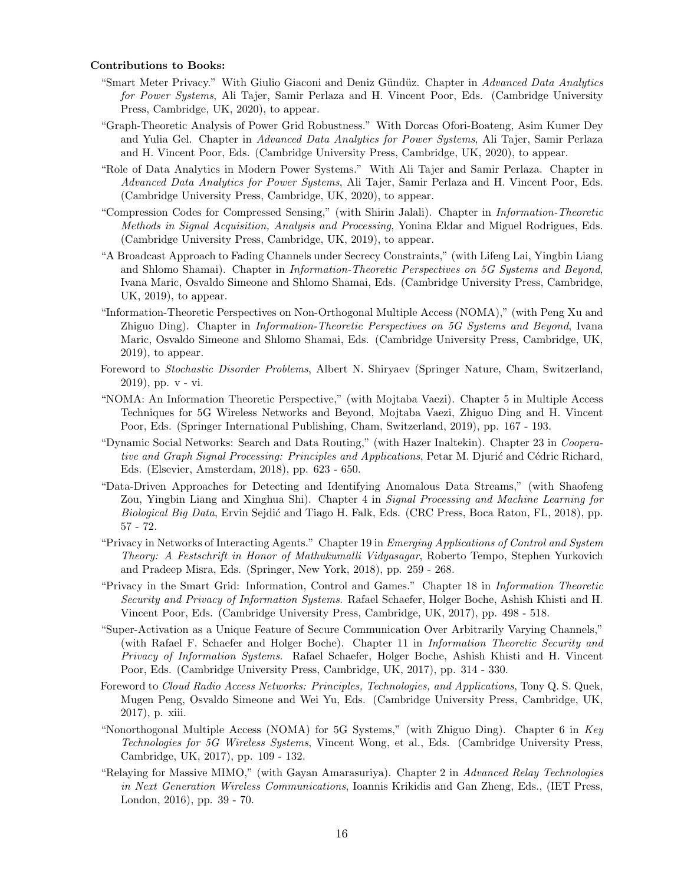#### Contributions to Books:

- "Smart Meter Privacy." With Giulio Giaconi and Deniz Gündüz. Chapter in Advanced Data Analytics for Power Systems, Ali Tajer, Samir Perlaza and H. Vincent Poor, Eds. (Cambridge University Press, Cambridge, UK, 2020), to appear.
- "Graph-Theoretic Analysis of Power Grid Robustness." With Dorcas Ofori-Boateng, Asim Kumer Dey and Yulia Gel. Chapter in Advanced Data Analytics for Power Systems, Ali Tajer, Samir Perlaza and H. Vincent Poor, Eds. (Cambridge University Press, Cambridge, UK, 2020), to appear.
- "Role of Data Analytics in Modern Power Systems." With Ali Tajer and Samir Perlaza. Chapter in Advanced Data Analytics for Power Systems, Ali Tajer, Samir Perlaza and H. Vincent Poor, Eds. (Cambridge University Press, Cambridge, UK, 2020), to appear.
- "Compression Codes for Compressed Sensing," (with Shirin Jalali). Chapter in Information-Theoretic Methods in Signal Acquisition, Analysis and Processing, Yonina Eldar and Miguel Rodrigues, Eds. (Cambridge University Press, Cambridge, UK, 2019), to appear.
- "A Broadcast Approach to Fading Channels under Secrecy Constraints," (with Lifeng Lai, Yingbin Liang and Shlomo Shamai). Chapter in Information-Theoretic Perspectives on 5G Systems and Beyond, Ivana Maric, Osvaldo Simeone and Shlomo Shamai, Eds. (Cambridge University Press, Cambridge, UK, 2019), to appear.
- "Information-Theoretic Perspectives on Non-Orthogonal Multiple Access (NOMA)," (with Peng Xu and Zhiguo Ding). Chapter in Information-Theoretic Perspectives on 5G Systems and Beyond, Ivana Maric, Osvaldo Simeone and Shlomo Shamai, Eds. (Cambridge University Press, Cambridge, UK, 2019), to appear.
- Foreword to Stochastic Disorder Problems, Albert N. Shiryaev (Springer Nature, Cham, Switzerland, 2019), pp. v - vi.
- "NOMA: An Information Theoretic Perspective," (with Mojtaba Vaezi). Chapter 5 in Multiple Access Techniques for 5G Wireless Networks and Beyond, Mojtaba Vaezi, Zhiguo Ding and H. Vincent Poor, Eds. (Springer International Publishing, Cham, Switzerland, 2019), pp. 167 - 193.
- "Dynamic Social Networks: Search and Data Routing," (with Hazer Inaltekin). Chapter 23 in Cooperative and Graph Signal Processing: Principles and Applications, Petar M. Djurić and Cédric Richard, Eds. (Elsevier, Amsterdam, 2018), pp. 623 - 650.
- "Data-Driven Approaches for Detecting and Identifying Anomalous Data Streams," (with Shaofeng Zou, Yingbin Liang and Xinghua Shi). Chapter 4 in Signal Processing and Machine Learning for Biological Big Data, Ervin Sejdić and Tiago H. Falk, Eds. (CRC Press, Boca Raton, FL, 2018), pp. 57 - 72.
- "Privacy in Networks of Interacting Agents." Chapter 19 in Emerging Applications of Control and System Theory: A Festschrift in Honor of Mathukumalli Vidyasagar, Roberto Tempo, Stephen Yurkovich and Pradeep Misra, Eds. (Springer, New York, 2018), pp. 259 - 268.
- "Privacy in the Smart Grid: Information, Control and Games." Chapter 18 in Information Theoretic Security and Privacy of Information Systems. Rafael Schaefer, Holger Boche, Ashish Khisti and H. Vincent Poor, Eds. (Cambridge University Press, Cambridge, UK, 2017), pp. 498 - 518.
- "Super-Activation as a Unique Feature of Secure Communication Over Arbitrarily Varying Channels," (with Rafael F. Schaefer and Holger Boche). Chapter 11 in Information Theoretic Security and Privacy of Information Systems. Rafael Schaefer, Holger Boche, Ashish Khisti and H. Vincent Poor, Eds. (Cambridge University Press, Cambridge, UK, 2017), pp. 314 - 330.
- Foreword to Cloud Radio Access Networks: Principles, Technologies, and Applications, Tony Q. S. Quek, Mugen Peng, Osvaldo Simeone and Wei Yu, Eds. (Cambridge University Press, Cambridge, UK, 2017), p. xiii.
- "Nonorthogonal Multiple Access (NOMA) for 5G Systems," (with Zhiguo Ding). Chapter 6 in Key Technologies for 5G Wireless Systems, Vincent Wong, et al., Eds. (Cambridge University Press, Cambridge, UK, 2017), pp. 109 - 132.
- "Relaying for Massive MIMO," (with Gayan Amarasuriya). Chapter 2 in Advanced Relay Technologies in Next Generation Wireless Communications, Ioannis Krikidis and Gan Zheng, Eds., (IET Press, London, 2016), pp. 39 - 70.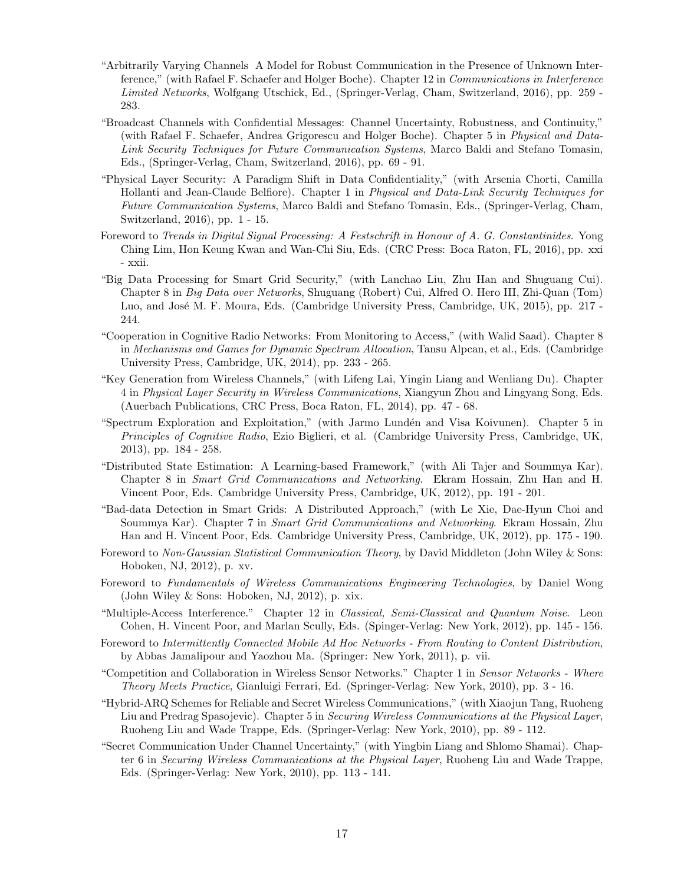- "Arbitrarily Varying Channels A Model for Robust Communication in the Presence of Unknown Interference," (with Rafael F. Schaefer and Holger Boche). Chapter 12 in *Communications in Interference* Limited Networks, Wolfgang Utschick, Ed., (Springer-Verlag, Cham, Switzerland, 2016), pp. 259 - 283.
- "Broadcast Channels with Confidential Messages: Channel Uncertainty, Robustness, and Continuity," (with Rafael F. Schaefer, Andrea Grigorescu and Holger Boche). Chapter 5 in Physical and Data-Link Security Techniques for Future Communication Systems, Marco Baldi and Stefano Tomasin, Eds., (Springer-Verlag, Cham, Switzerland, 2016), pp. 69 - 91.
- "Physical Layer Security: A Paradigm Shift in Data Confidentiality," (with Arsenia Chorti, Camilla Hollanti and Jean-Claude Belfiore). Chapter 1 in Physical and Data-Link Security Techniques for Future Communication Systems, Marco Baldi and Stefano Tomasin, Eds., (Springer-Verlag, Cham, Switzerland, 2016), pp. 1 - 15.
- Foreword to Trends in Digital Signal Processing: A Festschrift in Honour of A. G. Constantinides. Yong Ching Lim, Hon Keung Kwan and Wan-Chi Siu, Eds. (CRC Press: Boca Raton, FL, 2016), pp. xxi - xxii.
- "Big Data Processing for Smart Grid Security," (with Lanchao Liu, Zhu Han and Shuguang Cui). Chapter 8 in Big Data over Networks, Shuguang (Robert) Cui, Alfred O. Hero III, Zhi-Quan (Tom) Luo, and José M. F. Moura, Eds. (Cambridge University Press, Cambridge, UK, 2015), pp. 217 -244.
- "Cooperation in Cognitive Radio Networks: From Monitoring to Access," (with Walid Saad). Chapter 8 in Mechanisms and Games for Dynamic Spectrum Allocation, Tansu Alpcan, et al., Eds. (Cambridge University Press, Cambridge, UK, 2014), pp. 233 - 265.
- "Key Generation from Wireless Channels," (with Lifeng Lai, Yingin Liang and Wenliang Du). Chapter 4 in Physical Layer Security in Wireless Communications, Xiangyun Zhou and Lingyang Song, Eds. (Auerbach Publications, CRC Press, Boca Raton, FL, 2014), pp. 47 - 68.
- "Spectrum Exploration and Exploitation," (with Jarmo Lundén and Visa Koivunen). Chapter 5 in Principles of Cognitive Radio, Ezio Biglieri, et al. (Cambridge University Press, Cambridge, UK, 2013), pp. 184 - 258.
- "Distributed State Estimation: A Learning-based Framework," (with Ali Tajer and Soummya Kar). Chapter 8 in Smart Grid Communications and Networking. Ekram Hossain, Zhu Han and H. Vincent Poor, Eds. Cambridge University Press, Cambridge, UK, 2012), pp. 191 - 201.
- "Bad-data Detection in Smart Grids: A Distributed Approach," (with Le Xie, Dae-Hyun Choi and Soummya Kar). Chapter 7 in Smart Grid Communications and Networking. Ekram Hossain, Zhu Han and H. Vincent Poor, Eds. Cambridge University Press, Cambridge, UK, 2012), pp. 175 - 190.
- Foreword to Non-Gaussian Statistical Communication Theory, by David Middleton (John Wiley & Sons: Hoboken, NJ, 2012), p. xv.
- Foreword to Fundamentals of Wireless Communications Engineering Technologies, by Daniel Wong (John Wiley & Sons: Hoboken, NJ, 2012), p. xix.
- "Multiple-Access Interference." Chapter 12 in Classical, Semi-Classical and Quantum Noise. Leon Cohen, H. Vincent Poor, and Marlan Scully, Eds. (Spinger-Verlag: New York, 2012), pp. 145 - 156.
- Foreword to Intermittently Connected Mobile Ad Hoc Networks From Routing to Content Distribution, by Abbas Jamalipour and Yaozhou Ma. (Springer: New York, 2011), p. vii.
- "Competition and Collaboration in Wireless Sensor Networks." Chapter 1 in Sensor Networks Where Theory Meets Practice, Gianluigi Ferrari, Ed. (Springer-Verlag: New York, 2010), pp. 3 - 16.
- "Hybrid-ARQ Schemes for Reliable and Secret Wireless Communications," (with Xiaojun Tang, Ruoheng Liu and Predrag Spasojevic). Chapter 5 in Securing Wireless Communications at the Physical Layer, Ruoheng Liu and Wade Trappe, Eds. (Springer-Verlag: New York, 2010), pp. 89 - 112.
- "Secret Communication Under Channel Uncertainty," (with Yingbin Liang and Shlomo Shamai). Chapter 6 in Securing Wireless Communications at the Physical Layer, Ruoheng Liu and Wade Trappe, Eds. (Springer-Verlag: New York, 2010), pp. 113 - 141.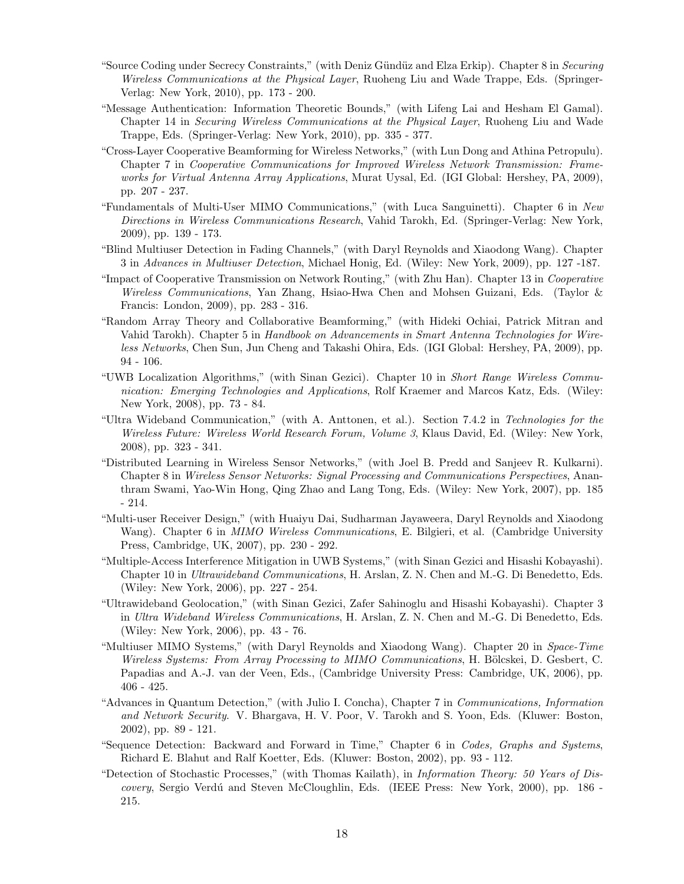- "Source Coding under Secrecy Constraints," (with Deniz Gündüz and Elza Erkip). Chapter 8 in Securing Wireless Communications at the Physical Layer, Ruoheng Liu and Wade Trappe, Eds. (Springer-Verlag: New York, 2010), pp. 173 - 200.
- "Message Authentication: Information Theoretic Bounds," (with Lifeng Lai and Hesham El Gamal). Chapter 14 in Securing Wireless Communications at the Physical Layer, Ruoheng Liu and Wade Trappe, Eds. (Springer-Verlag: New York, 2010), pp. 335 - 377.
- "Cross-Layer Cooperative Beamforming for Wireless Networks," (with Lun Dong and Athina Petropulu). Chapter 7 in Cooperative Communications for Improved Wireless Network Transmission: Frameworks for Virtual Antenna Array Applications, Murat Uysal, Ed. (IGI Global: Hershey, PA, 2009), pp. 207 - 237.
- "Fundamentals of Multi-User MIMO Communications," (with Luca Sanguinetti). Chapter 6 in New Directions in Wireless Communications Research, Vahid Tarokh, Ed. (Springer-Verlag: New York, 2009), pp. 139 - 173.
- "Blind Multiuser Detection in Fading Channels," (with Daryl Reynolds and Xiaodong Wang). Chapter 3 in Advances in Multiuser Detection, Michael Honig, Ed. (Wiley: New York, 2009), pp. 127 -187.
- "Impact of Cooperative Transmission on Network Routing," (with Zhu Han). Chapter 13 in Cooperative Wireless Communications, Yan Zhang, Hsiao-Hwa Chen and Mohsen Guizani, Eds. (Taylor & Francis: London, 2009), pp. 283 - 316.
- "Random Array Theory and Collaborative Beamforming," (with Hideki Ochiai, Patrick Mitran and Vahid Tarokh). Chapter 5 in Handbook on Advancements in Smart Antenna Technologies for Wireless Networks, Chen Sun, Jun Cheng and Takashi Ohira, Eds. (IGI Global: Hershey, PA, 2009), pp. 94 - 106.
- "UWB Localization Algorithms," (with Sinan Gezici). Chapter 10 in Short Range Wireless Communication: Emerging Technologies and Applications, Rolf Kraemer and Marcos Katz, Eds. (Wiley: New York, 2008), pp. 73 - 84.
- "Ultra Wideband Communication," (with A. Anttonen, et al.). Section 7.4.2 in Technologies for the Wireless Future: Wireless World Research Forum, Volume 3, Klaus David, Ed. (Wiley: New York, 2008), pp. 323 - 341.
- "Distributed Learning in Wireless Sensor Networks," (with Joel B. Predd and Sanjeev R. Kulkarni). Chapter 8 in Wireless Sensor Networks: Signal Processing and Communications Perspectives, Ananthram Swami, Yao-Win Hong, Qing Zhao and Lang Tong, Eds. (Wiley: New York, 2007), pp. 185 - 214.
- "Multi-user Receiver Design," (with Huaiyu Dai, Sudharman Jayaweera, Daryl Reynolds and Xiaodong Wang). Chapter 6 in MIMO Wireless Communications, E. Bilgieri, et al. (Cambridge University Press, Cambridge, UK, 2007), pp. 230 - 292.
- "Multiple-Access Interference Mitigation in UWB Systems," (with Sinan Gezici and Hisashi Kobayashi). Chapter 10 in Ultrawideband Communications, H. Arslan, Z. N. Chen and M.-G. Di Benedetto, Eds. (Wiley: New York, 2006), pp. 227 - 254.
- "Ultrawideband Geolocation," (with Sinan Gezici, Zafer Sahinoglu and Hisashi Kobayashi). Chapter 3 in Ultra Wideband Wireless Communications, H. Arslan, Z. N. Chen and M.-G. Di Benedetto, Eds. (Wiley: New York, 2006), pp. 43 - 76.
- "Multiuser MIMO Systems," (with Daryl Reynolds and Xiaodong Wang). Chapter 20 in Space-Time Wireless Systems: From Array Processing to MIMO Communications, H. Bölcskei, D. Gesbert, C. Papadias and A.-J. van der Veen, Eds., (Cambridge University Press: Cambridge, UK, 2006), pp. 406 - 425.
- "Advances in Quantum Detection," (with Julio I. Concha), Chapter 7 in Communications, Information and Network Security. V. Bhargava, H. V. Poor, V. Tarokh and S. Yoon, Eds. (Kluwer: Boston, 2002), pp. 89 - 121.
- "Sequence Detection: Backward and Forward in Time," Chapter 6 in Codes, Graphs and Systems, Richard E. Blahut and Ralf Koetter, Eds. (Kluwer: Boston, 2002), pp. 93 - 112.
- "Detection of Stochastic Processes," (with Thomas Kailath), in Information Theory: 50 Years of Discovery, Sergio Verdú and Steven McCloughlin, Eds. (IEEE Press: New York, 2000), pp. 186 -215.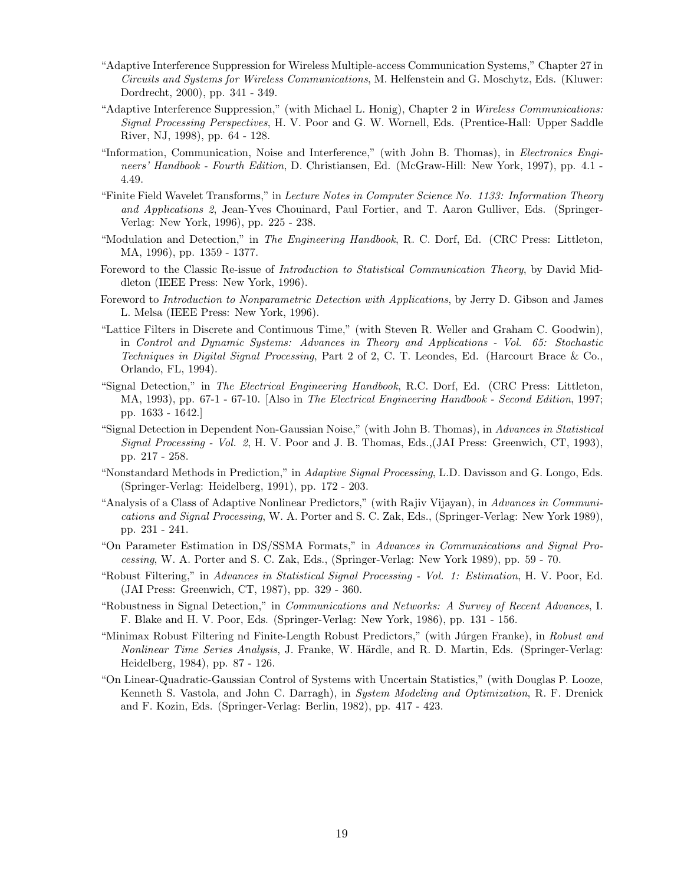- "Adaptive Interference Suppression for Wireless Multiple-access Communication Systems," Chapter 27 in Circuits and Systems for Wireless Communications, M. Helfenstein and G. Moschytz, Eds. (Kluwer: Dordrecht, 2000), pp. 341 - 349.
- "Adaptive Interference Suppression," (with Michael L. Honig), Chapter 2 in Wireless Communications: Signal Processing Perspectives, H. V. Poor and G. W. Wornell, Eds. (Prentice-Hall: Upper Saddle River, NJ, 1998), pp. 64 - 128.
- "Information, Communication, Noise and Interference," (with John B. Thomas), in Electronics Engineers' Handbook - Fourth Edition, D. Christiansen, Ed. (McGraw-Hill: New York, 1997), pp. 4.1 -4.49.
- "Finite Field Wavelet Transforms," in Lecture Notes in Computer Science No. 1133: Information Theory and Applications 2, Jean-Yves Chouinard, Paul Fortier, and T. Aaron Gulliver, Eds. (Springer-Verlag: New York, 1996), pp. 225 - 238.
- "Modulation and Detection," in The Engineering Handbook, R. C. Dorf, Ed. (CRC Press: Littleton, MA, 1996), pp. 1359 - 1377.
- Foreword to the Classic Re-issue of *Introduction to Statistical Communication Theory*, by David Middleton (IEEE Press: New York, 1996).
- Foreword to Introduction to Nonparametric Detection with Applications, by Jerry D. Gibson and James L. Melsa (IEEE Press: New York, 1996).
- "Lattice Filters in Discrete and Continuous Time," (with Steven R. Weller and Graham C. Goodwin), in Control and Dynamic Systems: Advances in Theory and Applications - Vol. 65: Stochastic Techniques in Digital Signal Processing, Part 2 of 2, C. T. Leondes, Ed. (Harcourt Brace & Co., Orlando, FL, 1994).
- "Signal Detection," in The Electrical Engineering Handbook, R.C. Dorf, Ed. (CRC Press: Littleton, MA, 1993), pp. 67-1 - 67-10. [Also in The Electrical Engineering Handbook - Second Edition, 1997; pp. 1633 - 1642.]
- "Signal Detection in Dependent Non-Gaussian Noise," (with John B. Thomas), in Advances in Statistical Signal Processing - Vol. 2, H. V. Poor and J. B. Thomas, Eds.,(JAI Press: Greenwich, CT, 1993), pp. 217 - 258.
- "Nonstandard Methods in Prediction," in Adaptive Signal Processing, L.D. Davisson and G. Longo, Eds. (Springer-Verlag: Heidelberg, 1991), pp. 172 - 203.
- "Analysis of a Class of Adaptive Nonlinear Predictors," (with Rajiv Vijayan), in Advances in Communications and Signal Processing, W. A. Porter and S. C. Zak, Eds., (Springer-Verlag: New York 1989), pp. 231 - 241.
- "On Parameter Estimation in DS/SSMA Formats," in Advances in Communications and Signal Processing, W. A. Porter and S. C. Zak, Eds., (Springer-Verlag: New York 1989), pp. 59 - 70.
- "Robust Filtering," in Advances in Statistical Signal Processing Vol. 1: Estimation, H. V. Poor, Ed. (JAI Press: Greenwich, CT, 1987), pp. 329 - 360.
- "Robustness in Signal Detection," in Communications and Networks: A Survey of Recent Advances, I. F. Blake and H. V. Poor, Eds. (Springer-Verlag: New York, 1986), pp. 131 - 156.
- "Minimax Robust Filtering nd Finite-Length Robust Predictors," (with Júrgen Franke), in Robust and Nonlinear Time Series Analysis, J. Franke, W. Härdle, and R. D. Martin, Eds. (Springer-Verlag: Heidelberg, 1984), pp. 87 - 126.
- "On Linear-Quadratic-Gaussian Control of Systems with Uncertain Statistics," (with Douglas P. Looze, Kenneth S. Vastola, and John C. Darragh), in System Modeling and Optimization, R. F. Drenick and F. Kozin, Eds. (Springer-Verlag: Berlin, 1982), pp. 417 - 423.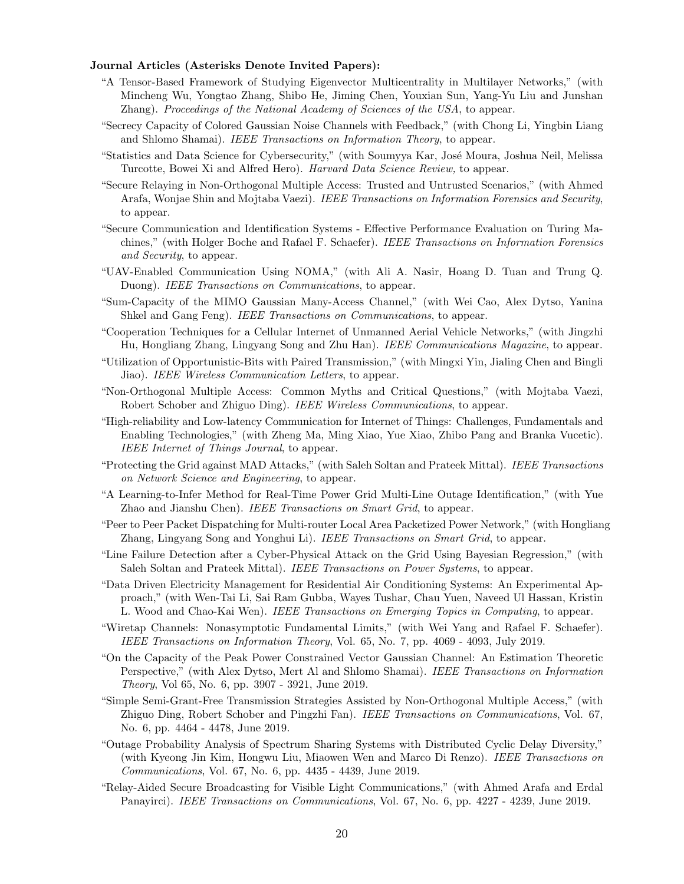## Journal Articles (Asterisks Denote Invited Papers):

- "A Tensor-Based Framework of Studying Eigenvector Multicentrality in Multilayer Networks," (with Mincheng Wu, Yongtao Zhang, Shibo He, Jiming Chen, Youxian Sun, Yang-Yu Liu and Junshan Zhang). Proceedings of the National Academy of Sciences of the USA, to appear.
- "Secrecy Capacity of Colored Gaussian Noise Channels with Feedback," (with Chong Li, Yingbin Liang and Shlomo Shamai). IEEE Transactions on Information Theory, to appear.
- "Statistics and Data Science for Cybersecurity," (with Soumyya Kar, José Moura, Joshua Neil, Melissa Turcotte, Bowei Xi and Alfred Hero). Harvard Data Science Review, to appear.
- "Secure Relaying in Non-Orthogonal Multiple Access: Trusted and Untrusted Scenarios," (with Ahmed Arafa, Wonjae Shin and Mojtaba Vaezi). IEEE Transactions on Information Forensics and Security, to appear.
- "Secure Communication and Identification Systems Effective Performance Evaluation on Turing Machines," (with Holger Boche and Rafael F. Schaefer). IEEE Transactions on Information Forensics and Security, to appear.
- "UAV-Enabled Communication Using NOMA," (with Ali A. Nasir, Hoang D. Tuan and Trung Q. Duong). IEEE Transactions on Communications, to appear.
- "Sum-Capacity of the MIMO Gaussian Many-Access Channel," (with Wei Cao, Alex Dytso, Yanina Shkel and Gang Feng). IEEE Transactions on Communications, to appear.
- "Cooperation Techniques for a Cellular Internet of Unmanned Aerial Vehicle Networks," (with Jingzhi Hu, Hongliang Zhang, Lingyang Song and Zhu Han). IEEE Communications Magazine, to appear.
- "Utilization of Opportunistic-Bits with Paired Transmission," (with Mingxi Yin, Jialing Chen and Bingli Jiao). IEEE Wireless Communication Letters, to appear.
- "Non-Orthogonal Multiple Access: Common Myths and Critical Questions," (with Mojtaba Vaezi, Robert Schober and Zhiguo Ding). IEEE Wireless Communications, to appear.
- "High-reliability and Low-latency Communication for Internet of Things: Challenges, Fundamentals and Enabling Technologies," (with Zheng Ma, Ming Xiao, Yue Xiao, Zhibo Pang and Branka Vucetic). IEEE Internet of Things Journal, to appear.
- "Protecting the Grid against MAD Attacks," (with Saleh Soltan and Prateek Mittal). IEEE Transactions on Network Science and Engineering, to appear.
- "A Learning-to-Infer Method for Real-Time Power Grid Multi-Line Outage Identification," (with Yue Zhao and Jianshu Chen). IEEE Transactions on Smart Grid, to appear.
- "Peer to Peer Packet Dispatching for Multi-router Local Area Packetized Power Network," (with Hongliang Zhang, Lingyang Song and Yonghui Li). IEEE Transactions on Smart Grid, to appear.
- "Line Failure Detection after a Cyber-Physical Attack on the Grid Using Bayesian Regression," (with Saleh Soltan and Prateek Mittal). IEEE Transactions on Power Systems, to appear.
- "Data Driven Electricity Management for Residential Air Conditioning Systems: An Experimental Approach," (with Wen-Tai Li, Sai Ram Gubba, Wayes Tushar, Chau Yuen, Naveed Ul Hassan, Kristin L. Wood and Chao-Kai Wen). IEEE Transactions on Emerging Topics in Computing, to appear.
- "Wiretap Channels: Nonasymptotic Fundamental Limits," (with Wei Yang and Rafael F. Schaefer). IEEE Transactions on Information Theory, Vol. 65, No. 7, pp. 4069 - 4093, July 2019.
- "On the Capacity of the Peak Power Constrained Vector Gaussian Channel: An Estimation Theoretic Perspective," (with Alex Dytso, Mert Al and Shlomo Shamai). IEEE Transactions on Information Theory, Vol 65, No. 6, pp. 3907 - 3921, June 2019.
- "Simple Semi-Grant-Free Transmission Strategies Assisted by Non-Orthogonal Multiple Access," (with Zhiguo Ding, Robert Schober and Pingzhi Fan). IEEE Transactions on Communications, Vol. 67, No. 6, pp. 4464 - 4478, June 2019.
- "Outage Probability Analysis of Spectrum Sharing Systems with Distributed Cyclic Delay Diversity," (with Kyeong Jin Kim, Hongwu Liu, Miaowen Wen and Marco Di Renzo). IEEE Transactions on Communications, Vol. 67, No. 6, pp. 4435 - 4439, June 2019.
- "Relay-Aided Secure Broadcasting for Visible Light Communications," (with Ahmed Arafa and Erdal Panayirci). IEEE Transactions on Communications, Vol. 67, No. 6, pp. 4227 - 4239, June 2019.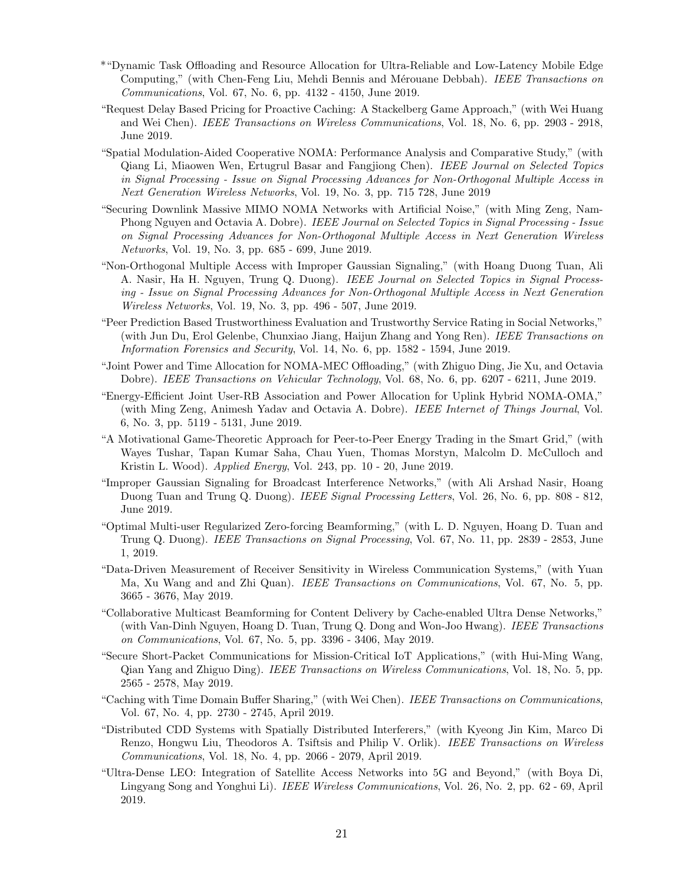- \*"Dynamic Task Offloading and Resource Allocation for Ultra-Reliable and Low-Latency Mobile Edge Computing," (with Chen-Feng Liu, Mehdi Bennis and Mérouane Debbah). IEEE Transactions on Communications, Vol. 67, No. 6, pp. 4132 - 4150, June 2019.
- "Request Delay Based Pricing for Proactive Caching: A Stackelberg Game Approach," (with Wei Huang and Wei Chen). IEEE Transactions on Wireless Communications, Vol. 18, No. 6, pp. 2903 - 2918, June 2019.
- "Spatial Modulation-Aided Cooperative NOMA: Performance Analysis and Comparative Study," (with Qiang Li, Miaowen Wen, Ertugrul Basar and Fangjiong Chen). IEEE Journal on Selected Topics in Signal Processing - Issue on Signal Processing Advances for Non-Orthogonal Multiple Access in Next Generation Wireless Networks, Vol. 19, No. 3, pp. 715 728, June 2019
- "Securing Downlink Massive MIMO NOMA Networks with Artificial Noise," (with Ming Zeng, Nam-Phong Nguyen and Octavia A. Dobre). IEEE Journal on Selected Topics in Signal Processing - Issue on Signal Processing Advances for Non-Orthogonal Multiple Access in Next Generation Wireless Networks, Vol. 19, No. 3, pp. 685 - 699, June 2019.
- "Non-Orthogonal Multiple Access with Improper Gaussian Signaling," (with Hoang Duong Tuan, Ali A. Nasir, Ha H. Nguyen, Trung Q. Duong). IEEE Journal on Selected Topics in Signal Processing - Issue on Signal Processing Advances for Non-Orthogonal Multiple Access in Next Generation Wireless Networks, Vol. 19, No. 3, pp. 496 - 507, June 2019.
- "Peer Prediction Based Trustworthiness Evaluation and Trustworthy Service Rating in Social Networks," (with Jun Du, Erol Gelenbe, Chunxiao Jiang, Haijun Zhang and Yong Ren). IEEE Transactions on Information Forensics and Security, Vol. 14, No. 6, pp. 1582 - 1594, June 2019.
- "Joint Power and Time Allocation for NOMA-MEC Offloading," (with Zhiguo Ding, Jie Xu, and Octavia Dobre). IEEE Transactions on Vehicular Technology, Vol. 68, No. 6, pp. 6207 - 6211, June 2019.
- "Energy-Efficient Joint User-RB Association and Power Allocation for Uplink Hybrid NOMA-OMA," (with Ming Zeng, Animesh Yadav and Octavia A. Dobre). IEEE Internet of Things Journal, Vol. 6, No. 3, pp. 5119 - 5131, June 2019.
- "A Motivational Game-Theoretic Approach for Peer-to-Peer Energy Trading in the Smart Grid," (with Wayes Tushar, Tapan Kumar Saha, Chau Yuen, Thomas Morstyn, Malcolm D. McCulloch and Kristin L. Wood). Applied Energy, Vol. 243, pp. 10 - 20, June 2019.
- "Improper Gaussian Signaling for Broadcast Interference Networks," (with Ali Arshad Nasir, Hoang Duong Tuan and Trung Q. Duong). IEEE Signal Processing Letters, Vol. 26, No. 6, pp. 808 - 812, June 2019.
- "Optimal Multi-user Regularized Zero-forcing Beamforming," (with L. D. Nguyen, Hoang D. Tuan and Trung Q. Duong). IEEE Transactions on Signal Processing, Vol. 67, No. 11, pp. 2839 - 2853, June 1, 2019.
- "Data-Driven Measurement of Receiver Sensitivity in Wireless Communication Systems," (with Yuan Ma, Xu Wang and and Zhi Quan). IEEE Transactions on Communications, Vol. 67, No. 5, pp. 3665 - 3676, May 2019.
- "Collaborative Multicast Beamforming for Content Delivery by Cache-enabled Ultra Dense Networks," (with Van-Dinh Nguyen, Hoang D. Tuan, Trung Q. Dong and Won-Joo Hwang). IEEE Transactions on Communications, Vol. 67, No. 5, pp. 3396 - 3406, May 2019.
- "Secure Short-Packet Communications for Mission-Critical IoT Applications," (with Hui-Ming Wang, Qian Yang and Zhiguo Ding). IEEE Transactions on Wireless Communications, Vol. 18, No. 5, pp. 2565 - 2578, May 2019.
- "Caching with Time Domain Buffer Sharing," (with Wei Chen). IEEE Transactions on Communications, Vol. 67, No. 4, pp. 2730 - 2745, April 2019.
- "Distributed CDD Systems with Spatially Distributed Interferers," (with Kyeong Jin Kim, Marco Di Renzo, Hongwu Liu, Theodoros A. Tsiftsis and Philip V. Orlik). IEEE Transactions on Wireless Communications, Vol. 18, No. 4, pp. 2066 - 2079, April 2019.
- "Ultra-Dense LEO: Integration of Satellite Access Networks into 5G and Beyond," (with Boya Di, Lingyang Song and Yonghui Li). IEEE Wireless Communications, Vol. 26, No. 2, pp. 62 - 69, April 2019.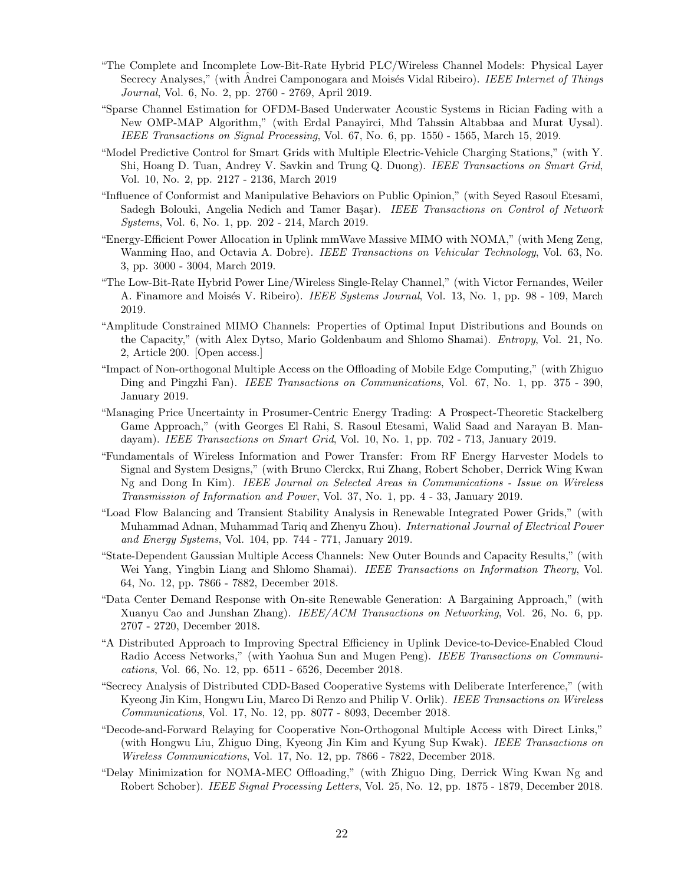- "The Complete and Incomplete Low-Bit-Rate Hybrid PLC/Wireless Channel Models: Physical Layer Secrecy Analyses," (with Andrei Camponogara and Moisés Vidal Ribeiro). *IEEE Internet of Things* Journal, Vol. 6, No. 2, pp. 2760 - 2769, April 2019.
- "Sparse Channel Estimation for OFDM-Based Underwater Acoustic Systems in Rician Fading with a New OMP-MAP Algorithm," (with Erdal Panayirci, Mhd Tahssin Altabbaa and Murat Uysal). IEEE Transactions on Signal Processing, Vol. 67, No. 6, pp. 1550 - 1565, March 15, 2019.
- "Model Predictive Control for Smart Grids with Multiple Electric-Vehicle Charging Stations," (with Y. Shi, Hoang D. Tuan, Andrey V. Savkin and Trung Q. Duong). IEEE Transactions on Smart Grid, Vol. 10, No. 2, pp. 2127 - 2136, March 2019
- "Influence of Conformist and Manipulative Behaviors on Public Opinion," (with Seyed Rasoul Etesami, Sadegh Bolouki, Angelia Nedich and Tamer Başar). IEEE Transactions on Control of Network Systems, Vol. 6, No. 1, pp. 202 - 214, March 2019.
- "Energy-Efficient Power Allocation in Uplink mmWave Massive MIMO with NOMA," (with Meng Zeng, Wanming Hao, and Octavia A. Dobre). IEEE Transactions on Vehicular Technology, Vol. 63, No. 3, pp. 3000 - 3004, March 2019.
- "The Low-Bit-Rate Hybrid Power Line/Wireless Single-Relay Channel," (with Victor Fernandes, Weiler A. Finamore and Moisés V. Ribeiro). *IEEE Systems Journal*, Vol. 13, No. 1, pp. 98 - 109, March 2019.
- "Amplitude Constrained MIMO Channels: Properties of Optimal Input Distributions and Bounds on the Capacity," (with Alex Dytso, Mario Goldenbaum and Shlomo Shamai). Entropy, Vol. 21, No. 2, Article 200. [Open access.]
- "Impact of Non-orthogonal Multiple Access on the Offloading of Mobile Edge Computing," (with Zhiguo Ding and Pingzhi Fan). IEEE Transactions on Communications, Vol. 67, No. 1, pp. 375 - 390, January 2019.
- "Managing Price Uncertainty in Prosumer-Centric Energy Trading: A Prospect-Theoretic Stackelberg Game Approach," (with Georges El Rahi, S. Rasoul Etesami, Walid Saad and Narayan B. Mandayam). IEEE Transactions on Smart Grid, Vol. 10, No. 1, pp. 702 - 713, January 2019.
- "Fundamentals of Wireless Information and Power Transfer: From RF Energy Harvester Models to Signal and System Designs," (with Bruno Clerckx, Rui Zhang, Robert Schober, Derrick Wing Kwan Ng and Dong In Kim). IEEE Journal on Selected Areas in Communications - Issue on Wireless Transmission of Information and Power, Vol. 37, No. 1, pp. 4 - 33, January 2019.
- "Load Flow Balancing and Transient Stability Analysis in Renewable Integrated Power Grids," (with Muhammad Adnan, Muhammad Tariq and Zhenyu Zhou). International Journal of Electrical Power and Energy Systems, Vol. 104, pp. 744 - 771, January 2019.
- "State-Dependent Gaussian Multiple Access Channels: New Outer Bounds and Capacity Results," (with Wei Yang, Yingbin Liang and Shlomo Shamai). IEEE Transactions on Information Theory, Vol. 64, No. 12, pp. 7866 - 7882, December 2018.
- "Data Center Demand Response with On-site Renewable Generation: A Bargaining Approach," (with Xuanyu Cao and Junshan Zhang). *IEEE/ACM Transactions on Networking*, Vol. 26, No. 6, pp. 2707 - 2720, December 2018.
- "A Distributed Approach to Improving Spectral Efficiency in Uplink Device-to-Device-Enabled Cloud Radio Access Networks," (with Yaohua Sun and Mugen Peng). IEEE Transactions on Communications, Vol. 66, No. 12, pp. 6511 - 6526, December 2018.
- "Secrecy Analysis of Distributed CDD-Based Cooperative Systems with Deliberate Interference," (with Kyeong Jin Kim, Hongwu Liu, Marco Di Renzo and Philip V. Orlik). IEEE Transactions on Wireless Communications, Vol. 17, No. 12, pp. 8077 - 8093, December 2018.
- "Decode-and-Forward Relaying for Cooperative Non-Orthogonal Multiple Access with Direct Links," (with Hongwu Liu, Zhiguo Ding, Kyeong Jin Kim and Kyung Sup Kwak). IEEE Transactions on Wireless Communications, Vol. 17, No. 12, pp. 7866 - 7822, December 2018.
- "Delay Minimization for NOMA-MEC Offloading," (with Zhiguo Ding, Derrick Wing Kwan Ng and Robert Schober). IEEE Signal Processing Letters, Vol. 25, No. 12, pp. 1875 - 1879, December 2018.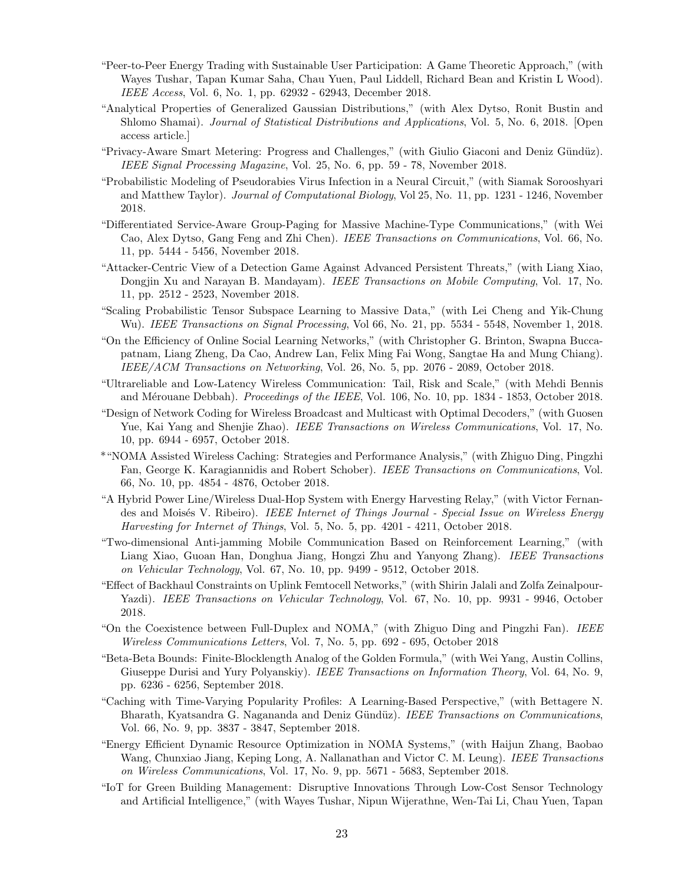- "Peer-to-Peer Energy Trading with Sustainable User Participation: A Game Theoretic Approach," (with Wayes Tushar, Tapan Kumar Saha, Chau Yuen, Paul Liddell, Richard Bean and Kristin L Wood). IEEE Access, Vol. 6, No. 1, pp. 62932 - 62943, December 2018.
- "Analytical Properties of Generalized Gaussian Distributions," (with Alex Dytso, Ronit Bustin and Shlomo Shamai). Journal of Statistical Distributions and Applications, Vol. 5, No. 6, 2018. [Open access article.]
- "Privacy-Aware Smart Metering: Progress and Challenges," (with Giulio Giaconi and Deniz Gündüz). IEEE Signal Processing Magazine, Vol. 25, No. 6, pp. 59 - 78, November 2018.
- "Probabilistic Modeling of Pseudorabies Virus Infection in a Neural Circuit," (with Siamak Sorooshyari and Matthew Taylor). Journal of Computational Biology, Vol 25, No. 11, pp. 1231 - 1246, November 2018.
- "Differentiated Service-Aware Group-Paging for Massive Machine-Type Communications," (with Wei Cao, Alex Dytso, Gang Feng and Zhi Chen). IEEE Transactions on Communications, Vol. 66, No. 11, pp. 5444 - 5456, November 2018.
- "Attacker-Centric View of a Detection Game Against Advanced Persistent Threats," (with Liang Xiao, Dongjin Xu and Narayan B. Mandayam). IEEE Transactions on Mobile Computing, Vol. 17, No. 11, pp. 2512 - 2523, November 2018.
- "Scaling Probabilistic Tensor Subspace Learning to Massive Data," (with Lei Cheng and Yik-Chung Wu). IEEE Transactions on Signal Processing, Vol 66, No. 21, pp. 5534 - 5548, November 1, 2018.
- "On the Efficiency of Online Social Learning Networks," (with Christopher G. Brinton, Swapna Buccapatnam, Liang Zheng, Da Cao, Andrew Lan, Felix Ming Fai Wong, Sangtae Ha and Mung Chiang). IEEE/ACM Transactions on Networking, Vol. 26, No. 5, pp. 2076 - 2089, October 2018.
- "Ultrareliable and Low-Latency Wireless Communication: Tail, Risk and Scale," (with Mehdi Bennis and Mérouane Debbah). Proceedings of the IEEE, Vol. 106, No. 10, pp. 1834 - 1853, October 2018.
- "Design of Network Coding for Wireless Broadcast and Multicast with Optimal Decoders," (with Guosen Yue, Kai Yang and Shenjie Zhao). IEEE Transactions on Wireless Communications, Vol. 17, No. 10, pp. 6944 - 6957, October 2018.
- \*"NOMA Assisted Wireless Caching: Strategies and Performance Analysis," (with Zhiguo Ding, Pingzhi Fan, George K. Karagiannidis and Robert Schober). IEEE Transactions on Communications, Vol. 66, No. 10, pp. 4854 - 4876, October 2018.
- "A Hybrid Power Line/Wireless Dual-Hop System with Energy Harvesting Relay," (with Victor Fernandes and Moisés V. Ribeiro). IEEE Internet of Things Journal - Special Issue on Wireless Energy Harvesting for Internet of Things, Vol. 5, No. 5, pp. 4201 - 4211, October 2018.
- "Two-dimensional Anti-jamming Mobile Communication Based on Reinforcement Learning," (with Liang Xiao, Guoan Han, Donghua Jiang, Hongzi Zhu and Yanyong Zhang). IEEE Transactions on Vehicular Technology, Vol. 67, No. 10, pp. 9499 - 9512, October 2018.
- "Effect of Backhaul Constraints on Uplink Femtocell Networks," (with Shirin Jalali and Zolfa Zeinalpour-Yazdi). IEEE Transactions on Vehicular Technology, Vol. 67, No. 10, pp. 9931 - 9946, October 2018.
- "On the Coexistence between Full-Duplex and NOMA," (with Zhiguo Ding and Pingzhi Fan). IEEE Wireless Communications Letters, Vol. 7, No. 5, pp. 692 - 695, October 2018
- "Beta-Beta Bounds: Finite-Blocklength Analog of the Golden Formula," (with Wei Yang, Austin Collins, Giuseppe Durisi and Yury Polyanskiy). *IEEE Transactions on Information Theory*, Vol. 64, No. 9, pp. 6236 - 6256, September 2018.
- "Caching with Time-Varying Popularity Profiles: A Learning-Based Perspective," (with Bettagere N. Bharath, Kyatsandra G. Nagananda and Deniz Gündüz). IEEE Transactions on Communications. Vol. 66, No. 9, pp. 3837 - 3847, September 2018.
- "Energy Efficient Dynamic Resource Optimization in NOMA Systems," (with Haijun Zhang, Baobao Wang, Chunxiao Jiang, Keping Long, A. Nallanathan and Victor C. M. Leung). IEEE Transactions on Wireless Communications, Vol. 17, No. 9, pp. 5671 - 5683, September 2018.
- "IoT for Green Building Management: Disruptive Innovations Through Low-Cost Sensor Technology and Artificial Intelligence," (with Wayes Tushar, Nipun Wijerathne, Wen-Tai Li, Chau Yuen, Tapan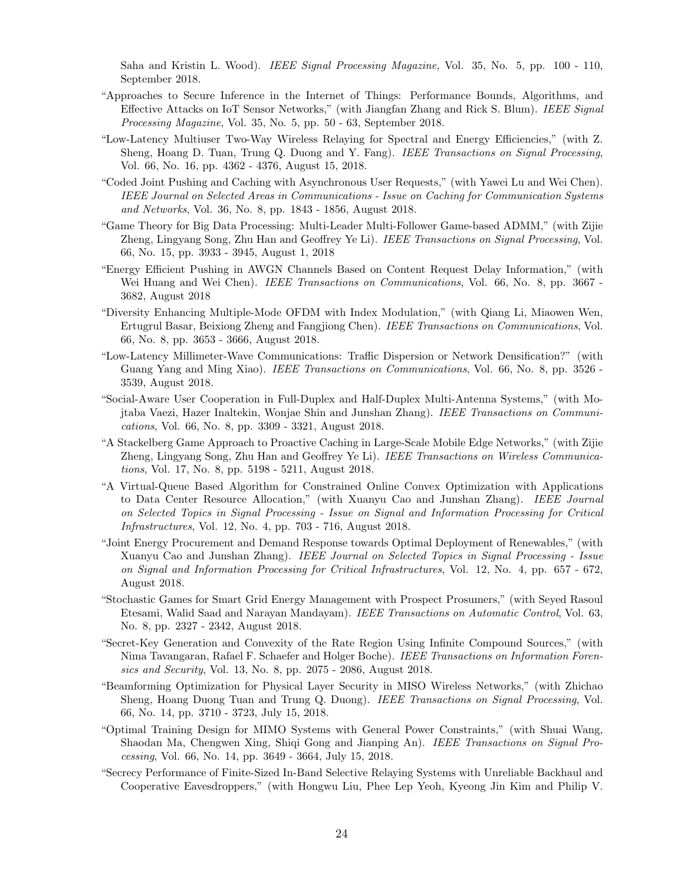Saha and Kristin L. Wood). *IEEE Signal Processing Magazine*, Vol. 35, No. 5, pp. 100 - 110, September 2018.

- "Approaches to Secure Inference in the Internet of Things: Performance Bounds, Algorithms, and Effective Attacks on IoT Sensor Networks," (with Jiangfan Zhang and Rick S. Blum). IEEE Signal Processing Magazine, Vol. 35, No. 5, pp. 50 - 63, September 2018.
- "Low-Latency Multiuser Two-Way Wireless Relaying for Spectral and Energy Efficiencies," (with Z. Sheng, Hoang D. Tuan, Trung Q. Duong and Y. Fang). IEEE Transactions on Signal Processing, Vol. 66, No. 16, pp. 4362 - 4376, August 15, 2018.
- "Coded Joint Pushing and Caching with Asynchronous User Requests," (with Yawei Lu and Wei Chen). IEEE Journal on Selected Areas in Communications - Issue on Caching for Communication Systems and Networks, Vol. 36, No. 8, pp. 1843 - 1856, August 2018.
- "Game Theory for Big Data Processing: Multi-Leader Multi-Follower Game-based ADMM," (with Zijie Zheng, Lingyang Song, Zhu Han and Geoffrey Ye Li). IEEE Transactions on Signal Processing, Vol. 66, No. 15, pp. 3933 - 3945, August 1, 2018
- "Energy Efficient Pushing in AWGN Channels Based on Content Request Delay Information," (with Wei Huang and Wei Chen). IEEE Transactions on Communications, Vol. 66, No. 8, pp. 3667 -3682, August 2018
- "Diversity Enhancing Multiple-Mode OFDM with Index Modulation," (with Qiang Li, Miaowen Wen, Ertugrul Basar, Beixiong Zheng and Fangjiong Chen). IEEE Transactions on Communications, Vol. 66, No. 8, pp. 3653 - 3666, August 2018.
- "Low-Latency Millimeter-Wave Communications: Traffic Dispersion or Network Densification?" (with Guang Yang and Ming Xiao). *IEEE Transactions on Communications*, Vol. 66, No. 8, pp. 3526 -3539, August 2018.
- "Social-Aware User Cooperation in Full-Duplex and Half-Duplex Multi-Antenna Systems," (with Mojtaba Vaezi, Hazer Inaltekin, Wonjae Shin and Junshan Zhang). IEEE Transactions on Communications, Vol. 66, No. 8, pp. 3309 - 3321, August 2018.
- "A Stackelberg Game Approach to Proactive Caching in Large-Scale Mobile Edge Networks," (with Zijie Zheng, Lingyang Song, Zhu Han and Geoffrey Ye Li). IEEE Transactions on Wireless Communications, Vol. 17, No. 8, pp. 5198 - 5211, August 2018.
- "A Virtual-Queue Based Algorithm for Constrained Online Convex Optimization with Applications to Data Center Resource Allocation," (with Xuanyu Cao and Junshan Zhang). IEEE Journal on Selected Topics in Signal Processing - Issue on Signal and Information Processing for Critical Infrastructures, Vol. 12, No. 4, pp. 703 - 716, August 2018.
- "Joint Energy Procurement and Demand Response towards Optimal Deployment of Renewables," (with Xuanyu Cao and Junshan Zhang). IEEE Journal on Selected Topics in Signal Processing - Issue on Signal and Information Processing for Critical Infrastructures, Vol. 12, No. 4, pp. 657 - 672, August 2018.
- "Stochastic Games for Smart Grid Energy Management with Prospect Prosumers," (with Seyed Rasoul Etesami, Walid Saad and Narayan Mandayam). IEEE Transactions on Automatic Control, Vol. 63, No. 8, pp. 2327 - 2342, August 2018.
- "Secret-Key Generation and Convexity of the Rate Region Using Infinite Compound Sources," (with Nima Tavangaran, Rafael F. Schaefer and Holger Boche). IEEE Transactions on Information Forensics and Security, Vol. 13, No. 8, pp. 2075 - 2086, August 2018.
- "Beamforming Optimization for Physical Layer Security in MISO Wireless Networks," (with Zhichao Sheng, Hoang Duong Tuan and Trung Q. Duong). IEEE Transactions on Signal Processing, Vol. 66, No. 14, pp. 3710 - 3723, July 15, 2018.
- "Optimal Training Design for MIMO Systems with General Power Constraints," (with Shuai Wang, Shaodan Ma, Chengwen Xing, Shiqi Gong and Jianping An). IEEE Transactions on Signal Processing, Vol. 66, No. 14, pp. 3649 - 3664, July 15, 2018.
- "Secrecy Performance of Finite-Sized In-Band Selective Relaying Systems with Unreliable Backhaul and Cooperative Eavesdroppers," (with Hongwu Liu, Phee Lep Yeoh, Kyeong Jin Kim and Philip V.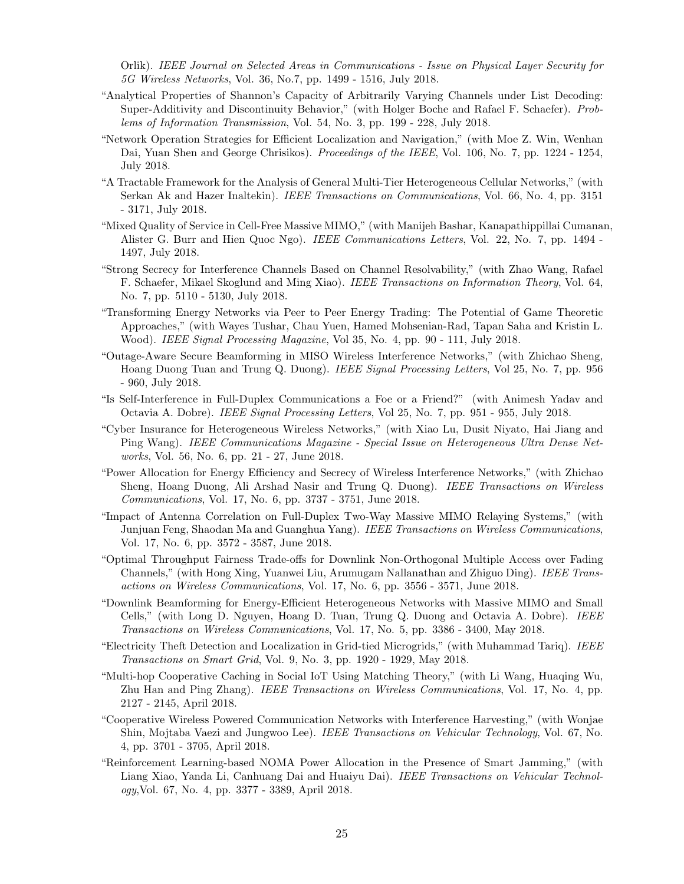Orlik). IEEE Journal on Selected Areas in Communications - Issue on Physical Layer Security for 5G Wireless Networks, Vol. 36, No.7, pp. 1499 - 1516, July 2018.

- "Analytical Properties of Shannon's Capacity of Arbitrarily Varying Channels under List Decoding: Super-Additivity and Discontinuity Behavior," (with Holger Boche and Rafael F. Schaefer). Problems of Information Transmission, Vol. 54, No. 3, pp. 199 - 228, July 2018.
- "Network Operation Strategies for Efficient Localization and Navigation," (with Moe Z. Win, Wenhan Dai, Yuan Shen and George Chrisikos). *Proceedings of the IEEE*, Vol. 106, No. 7, pp. 1224 - 1254, July 2018.
- "A Tractable Framework for the Analysis of General Multi-Tier Heterogeneous Cellular Networks," (with Serkan Ak and Hazer Inaltekin). *IEEE Transactions on Communications*, Vol. 66, No. 4, pp. 3151 - 3171, July 2018.
- "Mixed Quality of Service in Cell-Free Massive MIMO," (with Manijeh Bashar, Kanapathippillai Cumanan, Alister G. Burr and Hien Quoc Ngo). IEEE Communications Letters, Vol. 22, No. 7, pp. 1494 - 1497, July 2018.
- "Strong Secrecy for Interference Channels Based on Channel Resolvability," (with Zhao Wang, Rafael F. Schaefer, Mikael Skoglund and Ming Xiao). IEEE Transactions on Information Theory, Vol. 64, No. 7, pp. 5110 - 5130, July 2018.
- "Transforming Energy Networks via Peer to Peer Energy Trading: The Potential of Game Theoretic Approaches," (with Wayes Tushar, Chau Yuen, Hamed Mohsenian-Rad, Tapan Saha and Kristin L. Wood). IEEE Signal Processing Magazine, Vol 35, No. 4, pp. 90 - 111, July 2018.
- "Outage-Aware Secure Beamforming in MISO Wireless Interference Networks," (with Zhichao Sheng, Hoang Duong Tuan and Trung Q. Duong). IEEE Signal Processing Letters, Vol 25, No. 7, pp. 956 - 960, July 2018.
- "Is Self-Interference in Full-Duplex Communications a Foe or a Friend?" (with Animesh Yadav and Octavia A. Dobre). IEEE Signal Processing Letters, Vol 25, No. 7, pp. 951 - 955, July 2018.
- "Cyber Insurance for Heterogeneous Wireless Networks," (with Xiao Lu, Dusit Niyato, Hai Jiang and Ping Wang). IEEE Communications Magazine - Special Issue on Heterogeneous Ultra Dense Networks, Vol. 56, No. 6, pp. 21 - 27, June 2018.
- "Power Allocation for Energy Efficiency and Secrecy of Wireless Interference Networks," (with Zhichao Sheng, Hoang Duong, Ali Arshad Nasir and Trung Q. Duong). IEEE Transactions on Wireless Communications, Vol. 17, No. 6, pp. 3737 - 3751, June 2018.
- "Impact of Antenna Correlation on Full-Duplex Two-Way Massive MIMO Relaying Systems," (with Junjuan Feng, Shaodan Ma and Guanghua Yang). IEEE Transactions on Wireless Communications, Vol. 17, No. 6, pp. 3572 - 3587, June 2018.
- "Optimal Throughput Fairness Trade-offs for Downlink Non-Orthogonal Multiple Access over Fading Channels," (with Hong Xing, Yuanwei Liu, Arumugam Nallanathan and Zhiguo Ding). IEEE Transactions on Wireless Communications, Vol. 17, No. 6, pp. 3556 - 3571, June 2018.
- "Downlink Beamforming for Energy-Efficient Heterogeneous Networks with Massive MIMO and Small Cells," (with Long D. Nguyen, Hoang D. Tuan, Trung Q. Duong and Octavia A. Dobre). IEEE Transactions on Wireless Communications, Vol. 17, No. 5, pp. 3386 - 3400, May 2018.
- "Electricity Theft Detection and Localization in Grid-tied Microgrids," (with Muhammad Tariq). IEEE Transactions on Smart Grid, Vol. 9, No. 3, pp. 1920 - 1929, May 2018.
- "Multi-hop Cooperative Caching in Social IoT Using Matching Theory," (with Li Wang, Huaqing Wu, Zhu Han and Ping Zhang). IEEE Transactions on Wireless Communications, Vol. 17, No. 4, pp. 2127 - 2145, April 2018.
- "Cooperative Wireless Powered Communication Networks with Interference Harvesting," (with Wonjae Shin, Mojtaba Vaezi and Jungwoo Lee). IEEE Transactions on Vehicular Technology, Vol. 67, No. 4, pp. 3701 - 3705, April 2018.
- "Reinforcement Learning-based NOMA Power Allocation in the Presence of Smart Jamming," (with Liang Xiao, Yanda Li, Canhuang Dai and Huaiyu Dai). IEEE Transactions on Vehicular Technology,Vol. 67, No. 4, pp. 3377 - 3389, April 2018.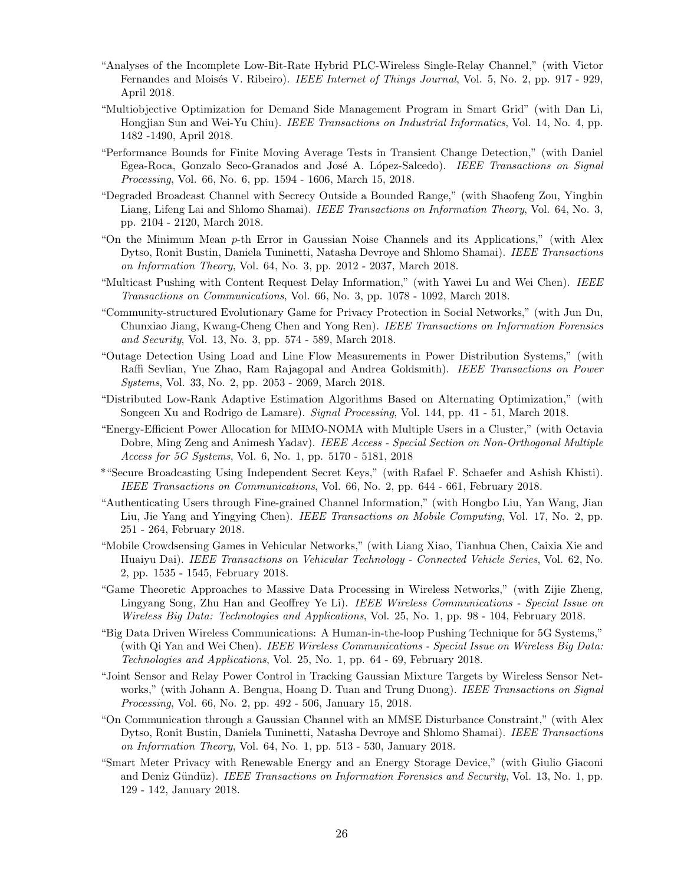- "Analyses of the Incomplete Low-Bit-Rate Hybrid PLC-Wireless Single-Relay Channel," (with Victor Fernandes and Moisés V. Ribeiro). *IEEE Internet of Things Journal*, Vol. 5, No. 2, pp. 917 - 929, April 2018.
- "Multiobjective Optimization for Demand Side Management Program in Smart Grid" (with Dan Li, Hongjian Sun and Wei-Yu Chiu). IEEE Transactions on Industrial Informatics, Vol. 14, No. 4, pp. 1482 -1490, April 2018.
- "Performance Bounds for Finite Moving Average Tests in Transient Change Detection," (with Daniel Egea-Roca, Gonzalo Seco-Granados and José A. López-Salcedo). IEEE Transactions on Signal Processing, Vol. 66, No. 6, pp. 1594 - 1606, March 15, 2018.
- "Degraded Broadcast Channel with Secrecy Outside a Bounded Range," (with Shaofeng Zou, Yingbin Liang, Lifeng Lai and Shlomo Shamai). *IEEE Transactions on Information Theory*, Vol. 64, No. 3, pp. 2104 - 2120, March 2018.
- "On the Minimum Mean  $p$ -th Error in Gaussian Noise Channels and its Applications," (with Alex Dytso, Ronit Bustin, Daniela Tuninetti, Natasha Devroye and Shlomo Shamai). IEEE Transactions on Information Theory, Vol. 64, No. 3, pp. 2012 - 2037, March 2018.
- "Multicast Pushing with Content Request Delay Information," (with Yawei Lu and Wei Chen). IEEE Transactions on Communications, Vol. 66, No. 3, pp. 1078 - 1092, March 2018.
- "Community-structured Evolutionary Game for Privacy Protection in Social Networks," (with Jun Du, Chunxiao Jiang, Kwang-Cheng Chen and Yong Ren). IEEE Transactions on Information Forensics and Security, Vol. 13, No. 3, pp. 574 - 589, March 2018.
- "Outage Detection Using Load and Line Flow Measurements in Power Distribution Systems," (with Raffi Sevlian, Yue Zhao, Ram Rajagopal and Andrea Goldsmith). IEEE Transactions on Power Systems, Vol. 33, No. 2, pp. 2053 - 2069, March 2018.
- "Distributed Low-Rank Adaptive Estimation Algorithms Based on Alternating Optimization," (with Songcen Xu and Rodrigo de Lamare). Signal Processing, Vol. 144, pp. 41 - 51, March 2018.
- "Energy-Efficient Power Allocation for MIMO-NOMA with Multiple Users in a Cluster," (with Octavia Dobre, Ming Zeng and Animesh Yadav). IEEE Access - Special Section on Non-Orthogonal Multiple Access for 5G Systems, Vol. 6, No. 1, pp. 5170 - 5181, 2018
- \*"Secure Broadcasting Using Independent Secret Keys," (with Rafael F. Schaefer and Ashish Khisti). IEEE Transactions on Communications, Vol. 66, No. 2, pp. 644 - 661, February 2018.
- "Authenticating Users through Fine-grained Channel Information," (with Hongbo Liu, Yan Wang, Jian Liu, Jie Yang and Yingying Chen). IEEE Transactions on Mobile Computing, Vol. 17, No. 2, pp. 251 - 264, February 2018.
- "Mobile Crowdsensing Games in Vehicular Networks," (with Liang Xiao, Tianhua Chen, Caixia Xie and Huaiyu Dai). IEEE Transactions on Vehicular Technology - Connected Vehicle Series, Vol. 62, No. 2, pp. 1535 - 1545, February 2018.
- "Game Theoretic Approaches to Massive Data Processing in Wireless Networks," (with Zijie Zheng, Lingyang Song, Zhu Han and Geoffrey Ye Li). IEEE Wireless Communications - Special Issue on Wireless Big Data: Technologies and Applications, Vol. 25, No. 1, pp. 98 - 104, February 2018.
- "Big Data Driven Wireless Communications: A Human-in-the-loop Pushing Technique for 5G Systems," (with Qi Yan and Wei Chen). IEEE Wireless Communications - Special Issue on Wireless Big Data: Technologies and Applications, Vol. 25, No. 1, pp. 64 - 69, February 2018.
- "Joint Sensor and Relay Power Control in Tracking Gaussian Mixture Targets by Wireless Sensor Networks," (with Johann A. Bengua, Hoang D. Tuan and Trung Duong). IEEE Transactions on Signal Processing, Vol. 66, No. 2, pp. 492 - 506, January 15, 2018.
- "On Communication through a Gaussian Channel with an MMSE Disturbance Constraint," (with Alex Dytso, Ronit Bustin, Daniela Tuninetti, Natasha Devroye and Shlomo Shamai). IEEE Transactions on Information Theory, Vol. 64, No. 1, pp. 513 - 530, January 2018.
- "Smart Meter Privacy with Renewable Energy and an Energy Storage Device," (with Giulio Giaconi and Deniz Gündüz). IEEE Transactions on Information Forensics and Security, Vol. 13, No. 1, pp. 129 - 142, January 2018.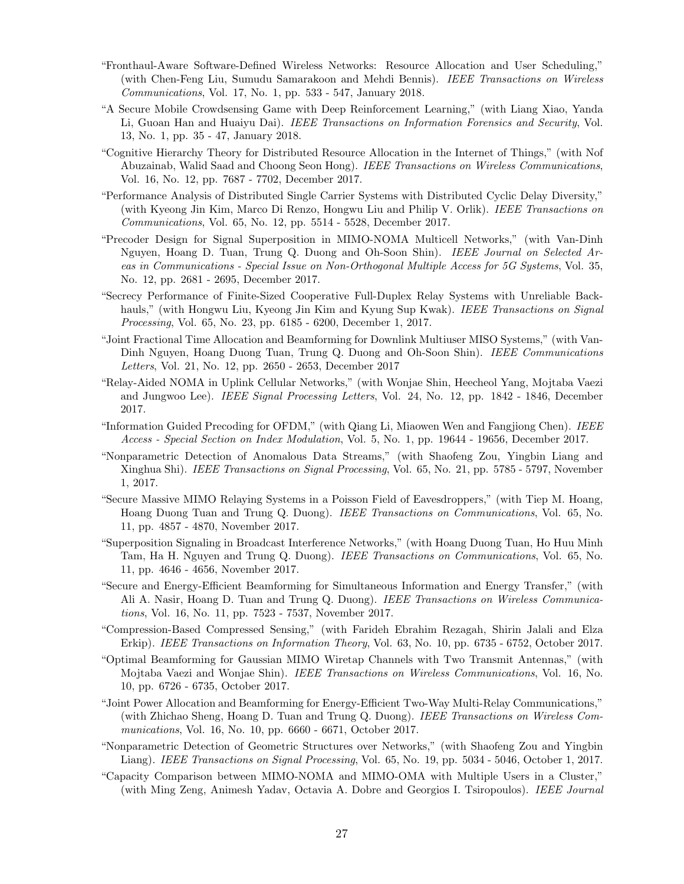- "Fronthaul-Aware Software-Defined Wireless Networks: Resource Allocation and User Scheduling," (with Chen-Feng Liu, Sumudu Samarakoon and Mehdi Bennis). IEEE Transactions on Wireless Communications, Vol. 17, No. 1, pp. 533 - 547, January 2018.
- "A Secure Mobile Crowdsensing Game with Deep Reinforcement Learning," (with Liang Xiao, Yanda Li, Guoan Han and Huaiyu Dai). IEEE Transactions on Information Forensics and Security, Vol. 13, No. 1, pp. 35 - 47, January 2018.
- "Cognitive Hierarchy Theory for Distributed Resource Allocation in the Internet of Things," (with Nof Abuzainab, Walid Saad and Choong Seon Hong). IEEE Transactions on Wireless Communications, Vol. 16, No. 12, pp. 7687 - 7702, December 2017.
- "Performance Analysis of Distributed Single Carrier Systems with Distributed Cyclic Delay Diversity," (with Kyeong Jin Kim, Marco Di Renzo, Hongwu Liu and Philip V. Orlik). IEEE Transactions on Communications, Vol. 65, No. 12, pp. 5514 - 5528, December 2017.
- "Precoder Design for Signal Superposition in MIMO-NOMA Multicell Networks," (with Van-Dinh Nguyen, Hoang D. Tuan, Trung Q. Duong and Oh-Soon Shin). IEEE Journal on Selected Areas in Communications - Special Issue on Non-Orthogonal Multiple Access for 5G Systems, Vol. 35, No. 12, pp. 2681 - 2695, December 2017.
- "Secrecy Performance of Finite-Sized Cooperative Full-Duplex Relay Systems with Unreliable Backhauls," (with Hongwu Liu, Kyeong Jin Kim and Kyung Sup Kwak). IEEE Transactions on Signal Processing, Vol. 65, No. 23, pp. 6185 - 6200, December 1, 2017.
- "Joint Fractional Time Allocation and Beamforming for Downlink Multiuser MISO Systems," (with Van-Dinh Nguyen, Hoang Duong Tuan, Trung Q. Duong and Oh-Soon Shin). IEEE Communications Letters, Vol. 21, No. 12, pp. 2650 - 2653, December 2017
- "Relay-Aided NOMA in Uplink Cellular Networks," (with Wonjae Shin, Heecheol Yang, Mojtaba Vaezi and Jungwoo Lee). *IEEE Signal Processing Letters*, Vol. 24, No. 12, pp. 1842 - 1846, December 2017.
- "Information Guided Precoding for OFDM," (with Qiang Li, Miaowen Wen and Fangjiong Chen). IEEE Access - Special Section on Index Modulation, Vol. 5, No. 1, pp. 19644 - 19656, December 2017.
- "Nonparametric Detection of Anomalous Data Streams," (with Shaofeng Zou, Yingbin Liang and Xinghua Shi). IEEE Transactions on Signal Processing, Vol. 65, No. 21, pp. 5785 - 5797, November 1, 2017.
- "Secure Massive MIMO Relaying Systems in a Poisson Field of Eavesdroppers," (with Tiep M. Hoang, Hoang Duong Tuan and Trung Q. Duong). IEEE Transactions on Communications, Vol. 65, No. 11, pp. 4857 - 4870, November 2017.
- "Superposition Signaling in Broadcast Interference Networks," (with Hoang Duong Tuan, Ho Huu Minh Tam, Ha H. Nguyen and Trung Q. Duong). IEEE Transactions on Communications, Vol. 65, No. 11, pp. 4646 - 4656, November 2017.
- "Secure and Energy-Efficient Beamforming for Simultaneous Information and Energy Transfer," (with Ali A. Nasir, Hoang D. Tuan and Trung Q. Duong). IEEE Transactions on Wireless Communications, Vol. 16, No. 11, pp. 7523 - 7537, November 2017.
- "Compression-Based Compressed Sensing," (with Farideh Ebrahim Rezagah, Shirin Jalali and Elza Erkip). IEEE Transactions on Information Theory, Vol. 63, No. 10, pp. 6735 - 6752, October 2017.
- "Optimal Beamforming for Gaussian MIMO Wiretap Channels with Two Transmit Antennas," (with Mojtaba Vaezi and Wonjae Shin). IEEE Transactions on Wireless Communications, Vol. 16, No. 10, pp. 6726 - 6735, October 2017.
- "Joint Power Allocation and Beamforming for Energy-Efficient Two-Way Multi-Relay Communications," (with Zhichao Sheng, Hoang D. Tuan and Trung Q. Duong). IEEE Transactions on Wireless Communications, Vol. 16, No. 10, pp. 6660 - 6671, October 2017.
- "Nonparametric Detection of Geometric Structures over Networks," (with Shaofeng Zou and Yingbin Liang). IEEE Transactions on Signal Processing, Vol. 65, No. 19, pp. 5034 - 5046, October 1, 2017.
- "Capacity Comparison between MIMO-NOMA and MIMO-OMA with Multiple Users in a Cluster," (with Ming Zeng, Animesh Yadav, Octavia A. Dobre and Georgios I. Tsiropoulos). IEEE Journal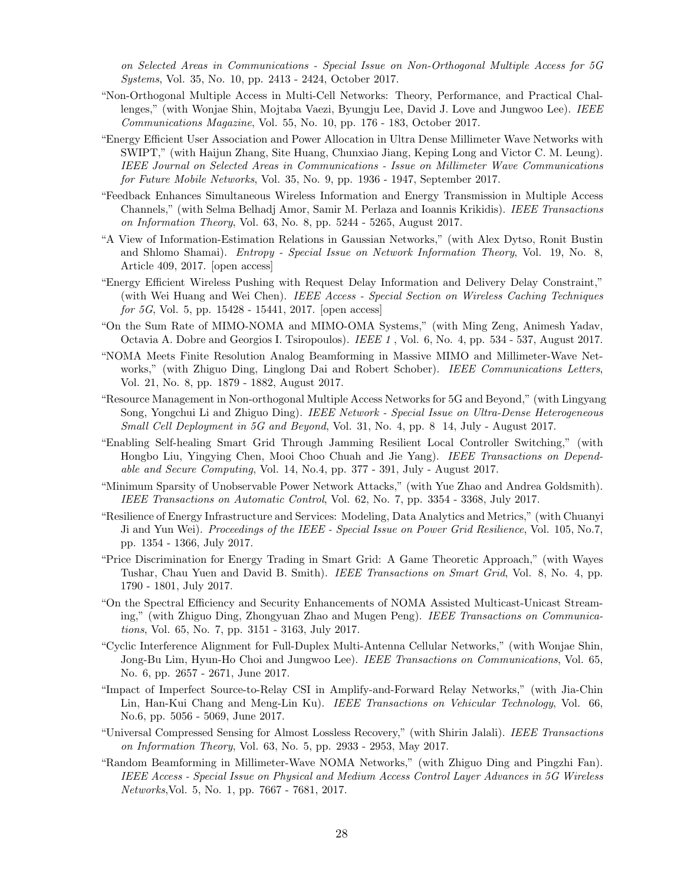on Selected Areas in Communications - Special Issue on Non-Orthogonal Multiple Access for 5G Systems, Vol. 35, No. 10, pp. 2413 - 2424, October 2017.

- "Non-Orthogonal Multiple Access in Multi-Cell Networks: Theory, Performance, and Practical Challenges," (with Wonjae Shin, Mojtaba Vaezi, Byungju Lee, David J. Love and Jungwoo Lee). IEEE Communications Magazine, Vol. 55, No. 10, pp. 176 - 183, October 2017.
- "Energy Efficient User Association and Power Allocation in Ultra Dense Millimeter Wave Networks with SWIPT," (with Haijun Zhang, Site Huang, Chunxiao Jiang, Keping Long and Victor C. M. Leung). IEEE Journal on Selected Areas in Communications - Issue on Millimeter Wave Communications for Future Mobile Networks, Vol. 35, No. 9, pp. 1936 - 1947, September 2017.
- "Feedback Enhances Simultaneous Wireless Information and Energy Transmission in Multiple Access Channels," (with Selma Belhadj Amor, Samir M. Perlaza and Ioannis Krikidis). IEEE Transactions on Information Theory, Vol. 63, No. 8, pp. 5244 - 5265, August 2017.
- "A View of Information-Estimation Relations in Gaussian Networks," (with Alex Dytso, Ronit Bustin and Shlomo Shamai). Entropy - Special Issue on Network Information Theory, Vol. 19, No. 8, Article 409, 2017. [open access]
- "Energy Efficient Wireless Pushing with Request Delay Information and Delivery Delay Constraint," (with Wei Huang and Wei Chen). IEEE Access - Special Section on Wireless Caching Techniques for 5G, Vol. 5, pp. 15428 - 15441, 2017. [open access]
- "On the Sum Rate of MIMO-NOMA and MIMO-OMA Systems," (with Ming Zeng, Animesh Yadav, Octavia A. Dobre and Georgios I. Tsiropoulos). IEEE 1 , Vol. 6, No. 4, pp. 534 - 537, August 2017.
- "NOMA Meets Finite Resolution Analog Beamforming in Massive MIMO and Millimeter-Wave Networks," (with Zhiguo Ding, Linglong Dai and Robert Schober). IEEE Communications Letters, Vol. 21, No. 8, pp. 1879 - 1882, August 2017.
- "Resource Management in Non-orthogonal Multiple Access Networks for 5G and Beyond," (with Lingyang Song, Yongchui Li and Zhiguo Ding). IEEE Network - Special Issue on Ultra-Dense Heterogeneous Small Cell Deployment in 5G and Beyond, Vol. 31, No. 4, pp. 8 14, July - August 2017.
- "Enabling Self-healing Smart Grid Through Jamming Resilient Local Controller Switching," (with Hongbo Liu, Yingying Chen, Mooi Choo Chuah and Jie Yang). IEEE Transactions on Dependable and Secure Computing, Vol. 14, No.4, pp. 377 - 391, July - August 2017.
- "Minimum Sparsity of Unobservable Power Network Attacks," (with Yue Zhao and Andrea Goldsmith). IEEE Transactions on Automatic Control, Vol. 62, No. 7, pp. 3354 - 3368, July 2017.
- "Resilience of Energy Infrastructure and Services: Modeling, Data Analytics and Metrics," (with Chuanyi Ji and Yun Wei). Proceedings of the IEEE - Special Issue on Power Grid Resilience, Vol. 105, No.7, pp. 1354 - 1366, July 2017.
- "Price Discrimination for Energy Trading in Smart Grid: A Game Theoretic Approach," (with Wayes Tushar, Chau Yuen and David B. Smith). IEEE Transactions on Smart Grid, Vol. 8, No. 4, pp. 1790 - 1801, July 2017.
- "On the Spectral Efficiency and Security Enhancements of NOMA Assisted Multicast-Unicast Streaming," (with Zhiguo Ding, Zhongyuan Zhao and Mugen Peng). IEEE Transactions on Communications, Vol. 65, No. 7, pp. 3151 - 3163, July 2017.
- "Cyclic Interference Alignment for Full-Duplex Multi-Antenna Cellular Networks," (with Wonjae Shin, Jong-Bu Lim, Hyun-Ho Choi and Jungwoo Lee). IEEE Transactions on Communications, Vol. 65, No. 6, pp. 2657 - 2671, June 2017.
- "Impact of Imperfect Source-to-Relay CSI in Amplify-and-Forward Relay Networks," (with Jia-Chin Lin, Han-Kui Chang and Meng-Lin Ku). IEEE Transactions on Vehicular Technology, Vol. 66, No.6, pp. 5056 - 5069, June 2017.
- "Universal Compressed Sensing for Almost Lossless Recovery," (with Shirin Jalali). IEEE Transactions on Information Theory, Vol. 63, No. 5, pp. 2933 - 2953, May 2017.
- "Random Beamforming in Millimeter-Wave NOMA Networks," (with Zhiguo Ding and Pingzhi Fan). IEEE Access - Special Issue on Physical and Medium Access Control Layer Advances in 5G Wireless Networks,Vol. 5, No. 1, pp. 7667 - 7681, 2017.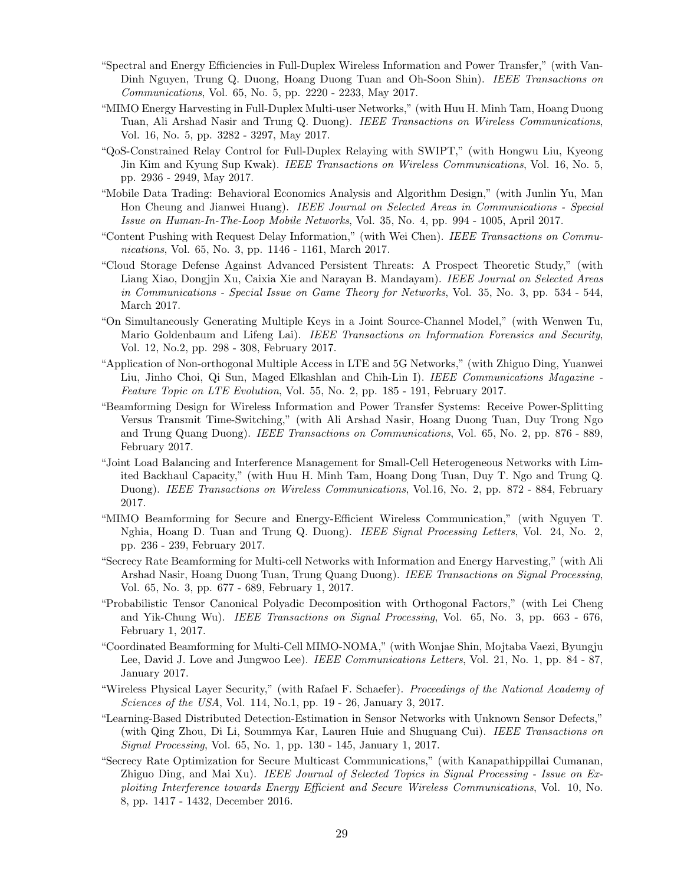- "Spectral and Energy Efficiencies in Full-Duplex Wireless Information and Power Transfer," (with Van-Dinh Nguyen, Trung Q. Duong, Hoang Duong Tuan and Oh-Soon Shin). IEEE Transactions on Communications, Vol. 65, No. 5, pp. 2220 - 2233, May 2017.
- "MIMO Energy Harvesting in Full-Duplex Multi-user Networks," (with Huu H. Minh Tam, Hoang Duong Tuan, Ali Arshad Nasir and Trung Q. Duong). IEEE Transactions on Wireless Communications, Vol. 16, No. 5, pp. 3282 - 3297, May 2017.
- "QoS-Constrained Relay Control for Full-Duplex Relaying with SWIPT," (with Hongwu Liu, Kyeong Jin Kim and Kyung Sup Kwak). IEEE Transactions on Wireless Communications, Vol. 16, No. 5, pp. 2936 - 2949, May 2017.
- "Mobile Data Trading: Behavioral Economics Analysis and Algorithm Design," (with Junlin Yu, Man Hon Cheung and Jianwei Huang). IEEE Journal on Selected Areas in Communications - Special Issue on Human-In-The-Loop Mobile Networks, Vol. 35, No. 4, pp. 994 - 1005, April 2017.
- "Content Pushing with Request Delay Information," (with Wei Chen). IEEE Transactions on Communications, Vol. 65, No. 3, pp. 1146 - 1161, March 2017.
- "Cloud Storage Defense Against Advanced Persistent Threats: A Prospect Theoretic Study," (with Liang Xiao, Dongjin Xu, Caixia Xie and Narayan B. Mandayam). IEEE Journal on Selected Areas in Communications - Special Issue on Game Theory for Networks, Vol. 35, No. 3, pp. 534 - 544, March 2017.
- "On Simultaneously Generating Multiple Keys in a Joint Source-Channel Model," (with Wenwen Tu, Mario Goldenbaum and Lifeng Lai). IEEE Transactions on Information Forensics and Security, Vol. 12, No.2, pp. 298 - 308, February 2017.
- "Application of Non-orthogonal Multiple Access in LTE and 5G Networks," (with Zhiguo Ding, Yuanwei Liu, Jinho Choi, Qi Sun, Maged Elkashlan and Chih-Lin I). IEEE Communications Magazine -Feature Topic on LTE Evolution, Vol. 55, No. 2, pp. 185 - 191, February 2017.
- "Beamforming Design for Wireless Information and Power Transfer Systems: Receive Power-Splitting Versus Transmit Time-Switching," (with Ali Arshad Nasir, Hoang Duong Tuan, Duy Trong Ngo and Trung Quang Duong). IEEE Transactions on Communications, Vol. 65, No. 2, pp. 876 - 889, February 2017.
- "Joint Load Balancing and Interference Management for Small-Cell Heterogeneous Networks with Limited Backhaul Capacity," (with Huu H. Minh Tam, Hoang Dong Tuan, Duy T. Ngo and Trung Q. Duong). IEEE Transactions on Wireless Communications, Vol.16, No. 2, pp. 872 - 884, February 2017.
- "MIMO Beamforming for Secure and Energy-Efficient Wireless Communication," (with Nguyen T. Nghia, Hoang D. Tuan and Trung Q. Duong). *IEEE Signal Processing Letters*, Vol. 24, No. 2, pp. 236 - 239, February 2017.
- "Secrecy Rate Beamforming for Multi-cell Networks with Information and Energy Harvesting," (with Ali Arshad Nasir, Hoang Duong Tuan, Trung Quang Duong). IEEE Transactions on Signal Processing, Vol. 65, No. 3, pp. 677 - 689, February 1, 2017.
- "Probabilistic Tensor Canonical Polyadic Decomposition with Orthogonal Factors," (with Lei Cheng and Yik-Chung Wu). IEEE Transactions on Signal Processing, Vol. 65, No. 3, pp. 663 - 676, February 1, 2017.
- "Coordinated Beamforming for Multi-Cell MIMO-NOMA," (with Wonjae Shin, Mojtaba Vaezi, Byungju Lee, David J. Love and Jungwoo Lee). *IEEE Communications Letters*, Vol. 21, No. 1, pp. 84 - 87, January 2017.
- "Wireless Physical Layer Security," (with Rafael F. Schaefer). Proceedings of the National Academy of Sciences of the USA, Vol. 114, No.1, pp. 19 - 26, January 3, 2017.
- "Learning-Based Distributed Detection-Estimation in Sensor Networks with Unknown Sensor Defects," (with Qing Zhou, Di Li, Soummya Kar, Lauren Huie and Shuguang Cui). IEEE Transactions on Signal Processing, Vol. 65, No. 1, pp. 130 - 145, January 1, 2017.
- "Secrecy Rate Optimization for Secure Multicast Communications," (with Kanapathippillai Cumanan, Zhiguo Ding, and Mai Xu). IEEE Journal of Selected Topics in Signal Processing - Issue on Exploiting Interference towards Energy Efficient and Secure Wireless Communications, Vol. 10, No. 8, pp. 1417 - 1432, December 2016.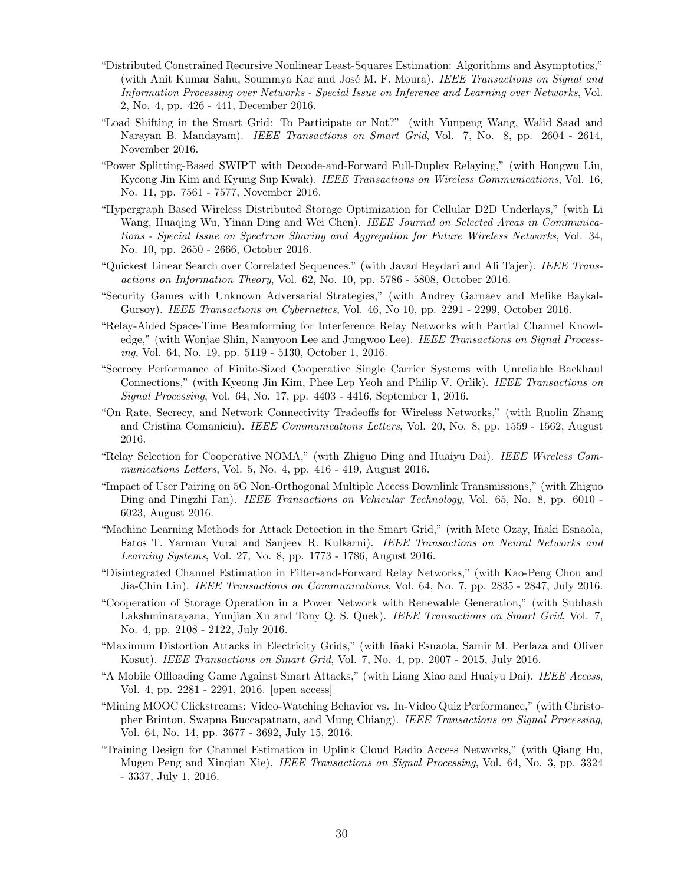- "Distributed Constrained Recursive Nonlinear Least-Squares Estimation: Algorithms and Asymptotics," (with Anit Kumar Sahu, Soummya Kar and José M. F. Moura). IEEE Transactions on Signal and Information Processing over Networks - Special Issue on Inference and Learning over Networks, Vol. 2, No. 4, pp. 426 - 441, December 2016.
- "Load Shifting in the Smart Grid: To Participate or Not?" (with Yunpeng Wang, Walid Saad and Narayan B. Mandayam). IEEE Transactions on Smart Grid, Vol. 7, No. 8, pp. 2604 - 2614, November 2016.
- "Power Splitting-Based SWIPT with Decode-and-Forward Full-Duplex Relaying," (with Hongwu Liu, Kyeong Jin Kim and Kyung Sup Kwak). IEEE Transactions on Wireless Communications, Vol. 16, No. 11, pp. 7561 - 7577, November 2016.
- "Hypergraph Based Wireless Distributed Storage Optimization for Cellular D2D Underlays," (with Li Wang, Huaging Wu, Yinan Ding and Wei Chen). IEEE Journal on Selected Areas in Communications - Special Issue on Spectrum Sharing and Aggregation for Future Wireless Networks, Vol. 34, No. 10, pp. 2650 - 2666, October 2016.
- "Quickest Linear Search over Correlated Sequences," (with Javad Heydari and Ali Tajer). IEEE Transactions on Information Theory, Vol. 62, No. 10, pp. 5786 - 5808, October 2016.
- "Security Games with Unknown Adversarial Strategies," (with Andrey Garnaev and Melike Baykal-Gursoy). IEEE Transactions on Cybernetics, Vol. 46, No 10, pp. 2291 - 2299, October 2016.
- "Relay-Aided Space-Time Beamforming for Interference Relay Networks with Partial Channel Knowledge," (with Wonjae Shin, Namyoon Lee and Jungwoo Lee). IEEE Transactions on Signal Processing, Vol. 64, No. 19, pp. 5119 - 5130, October 1, 2016.
- "Secrecy Performance of Finite-Sized Cooperative Single Carrier Systems with Unreliable Backhaul Connections," (with Kyeong Jin Kim, Phee Lep Yeoh and Philip V. Orlik). IEEE Transactions on Signal Processing, Vol. 64, No. 17, pp. 4403 - 4416, September 1, 2016.
- "On Rate, Secrecy, and Network Connectivity Tradeoffs for Wireless Networks," (with Ruolin Zhang and Cristina Comaniciu). IEEE Communications Letters, Vol. 20, No. 8, pp. 1559 - 1562, August 2016.
- "Relay Selection for Cooperative NOMA," (with Zhiguo Ding and Huaiyu Dai). IEEE Wireless Communications Letters, Vol. 5, No. 4, pp. 416 - 419, August 2016.
- "Impact of User Pairing on 5G Non-Orthogonal Multiple Access Downlink Transmissions," (with Zhiguo Ding and Pingzhi Fan). IEEE Transactions on Vehicular Technology, Vol. 65, No. 8, pp. 6010 - 6023, August 2016.
- "Machine Learning Methods for Attack Detection in the Smart Grid," (with Mete Ozay, I˜naki Esnaola, Fatos T. Yarman Vural and Sanjeev R. Kulkarni). IEEE Transactions on Neural Networks and Learning Systems, Vol. 27, No. 8, pp. 1773 - 1786, August 2016.
- "Disintegrated Channel Estimation in Filter-and-Forward Relay Networks," (with Kao-Peng Chou and Jia-Chin Lin). IEEE Transactions on Communications, Vol. 64, No. 7, pp. 2835 - 2847, July 2016.
- "Cooperation of Storage Operation in a Power Network with Renewable Generation," (with Subhash Lakshminarayana, Yunjian Xu and Tony Q. S. Quek). IEEE Transactions on Smart Grid, Vol. 7, No. 4, pp. 2108 - 2122, July 2016.
- "Maximum Distortion Attacks in Electricity Grids," (with I˜naki Esnaola, Samir M. Perlaza and Oliver Kosut). IEEE Transactions on Smart Grid, Vol. 7, No. 4, pp. 2007 - 2015, July 2016.
- "A Mobile Offloading Game Against Smart Attacks," (with Liang Xiao and Huaiyu Dai). IEEE Access, Vol. 4, pp. 2281 - 2291, 2016. [open access]
- "Mining MOOC Clickstreams: Video-Watching Behavior vs. In-Video Quiz Performance," (with Christopher Brinton, Swapna Buccapatnam, and Mung Chiang). IEEE Transactions on Signal Processing, Vol. 64, No. 14, pp. 3677 - 3692, July 15, 2016.
- "Training Design for Channel Estimation in Uplink Cloud Radio Access Networks," (with Qiang Hu, Mugen Peng and Xinqian Xie). *IEEE Transactions on Signal Processing*, Vol. 64, No. 3, pp. 3324 - 3337, July 1, 2016.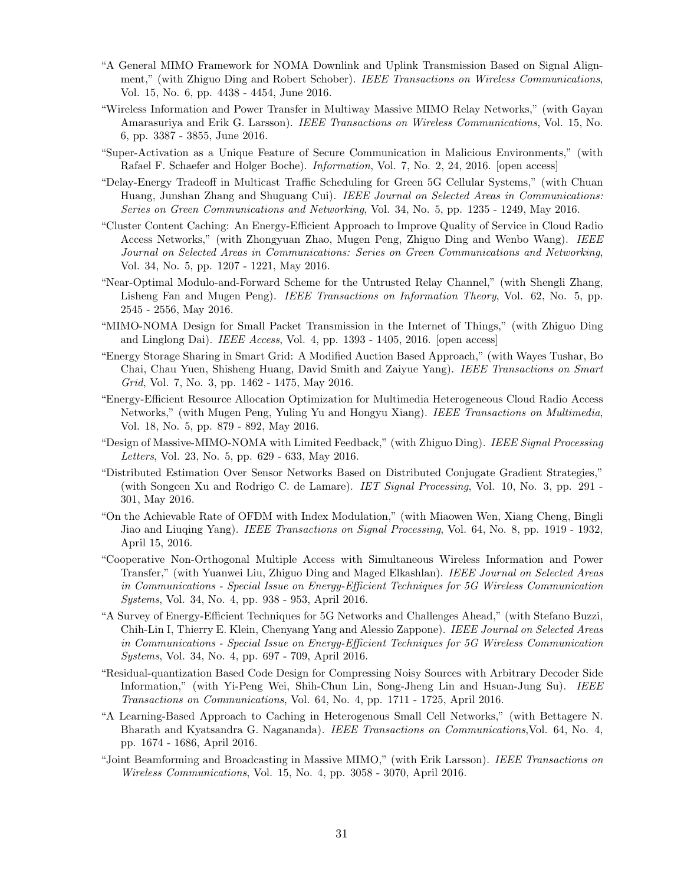- "A General MIMO Framework for NOMA Downlink and Uplink Transmission Based on Signal Alignment," (with Zhiguo Ding and Robert Schober). IEEE Transactions on Wireless Communications, Vol. 15, No. 6, pp. 4438 - 4454, June 2016.
- "Wireless Information and Power Transfer in Multiway Massive MIMO Relay Networks," (with Gayan Amarasuriya and Erik G. Larsson). IEEE Transactions on Wireless Communications, Vol. 15, No. 6, pp. 3387 - 3855, June 2016.
- "Super-Activation as a Unique Feature of Secure Communication in Malicious Environments," (with Rafael F. Schaefer and Holger Boche). Information, Vol. 7, No. 2, 24, 2016. [open access]
- "Delay-Energy Tradeoff in Multicast Traffic Scheduling for Green 5G Cellular Systems," (with Chuan Huang, Junshan Zhang and Shuguang Cui). IEEE Journal on Selected Areas in Communications: Series on Green Communications and Networking, Vol. 34, No. 5, pp. 1235 - 1249, May 2016.
- "Cluster Content Caching: An Energy-Efficient Approach to Improve Quality of Service in Cloud Radio Access Networks," (with Zhongyuan Zhao, Mugen Peng, Zhiguo Ding and Wenbo Wang). IEEE Journal on Selected Areas in Communications: Series on Green Communications and Networking, Vol. 34, No. 5, pp. 1207 - 1221, May 2016.
- "Near-Optimal Modulo-and-Forward Scheme for the Untrusted Relay Channel," (with Shengli Zhang, Lisheng Fan and Mugen Peng). *IEEE Transactions on Information Theory*, Vol. 62, No. 5, pp. 2545 - 2556, May 2016.
- "MIMO-NOMA Design for Small Packet Transmission in the Internet of Things," (with Zhiguo Ding and Linglong Dai). IEEE Access, Vol. 4, pp. 1393 - 1405, 2016. [open access]
- "Energy Storage Sharing in Smart Grid: A Modified Auction Based Approach," (with Wayes Tushar, Bo Chai, Chau Yuen, Shisheng Huang, David Smith and Zaiyue Yang). IEEE Transactions on Smart Grid, Vol. 7, No. 3, pp. 1462 - 1475, May 2016.
- "Energy-Efficient Resource Allocation Optimization for Multimedia Heterogeneous Cloud Radio Access Networks," (with Mugen Peng, Yuling Yu and Hongyu Xiang). IEEE Transactions on Multimedia, Vol. 18, No. 5, pp. 879 - 892, May 2016.
- "Design of Massive-MIMO-NOMA with Limited Feedback," (with Zhiguo Ding). IEEE Signal Processing Letters, Vol. 23, No. 5, pp. 629 - 633, May 2016.
- "Distributed Estimation Over Sensor Networks Based on Distributed Conjugate Gradient Strategies," (with Songcen Xu and Rodrigo C. de Lamare). IET Signal Processing, Vol. 10, No. 3, pp. 291 - 301, May 2016.
- "On the Achievable Rate of OFDM with Index Modulation," (with Miaowen Wen, Xiang Cheng, Bingli Jiao and Liuqing Yang). IEEE Transactions on Signal Processing, Vol. 64, No. 8, pp. 1919 - 1932, April 15, 2016.
- "Cooperative Non-Orthogonal Multiple Access with Simultaneous Wireless Information and Power Transfer," (with Yuanwei Liu, Zhiguo Ding and Maged Elkashlan). IEEE Journal on Selected Areas in Communications - Special Issue on Energy-Efficient Techniques for 5G Wireless Communication Systems, Vol. 34, No. 4, pp. 938 - 953, April 2016.
- "A Survey of Energy-Efficient Techniques for 5G Networks and Challenges Ahead," (with Stefano Buzzi, Chih-Lin I, Thierry E. Klein, Chenyang Yang and Alessio Zappone). IEEE Journal on Selected Areas in Communications - Special Issue on Energy-Efficient Techniques for 5G Wireless Communication Systems, Vol. 34, No. 4, pp. 697 - 709, April 2016.
- "Residual-quantization Based Code Design for Compressing Noisy Sources with Arbitrary Decoder Side Information," (with Yi-Peng Wei, Shih-Chun Lin, Song-Jheng Lin and Hsuan-Jung Su). IEEE Transactions on Communications, Vol. 64, No. 4, pp. 1711 - 1725, April 2016.
- "A Learning-Based Approach to Caching in Heterogenous Small Cell Networks," (with Bettagere N. Bharath and Kyatsandra G. Nagananda). IEEE Transactions on Communications,Vol. 64, No. 4, pp. 1674 - 1686, April 2016.
- "Joint Beamforming and Broadcasting in Massive MIMO," (with Erik Larsson). IEEE Transactions on Wireless Communications, Vol. 15, No. 4, pp. 3058 - 3070, April 2016.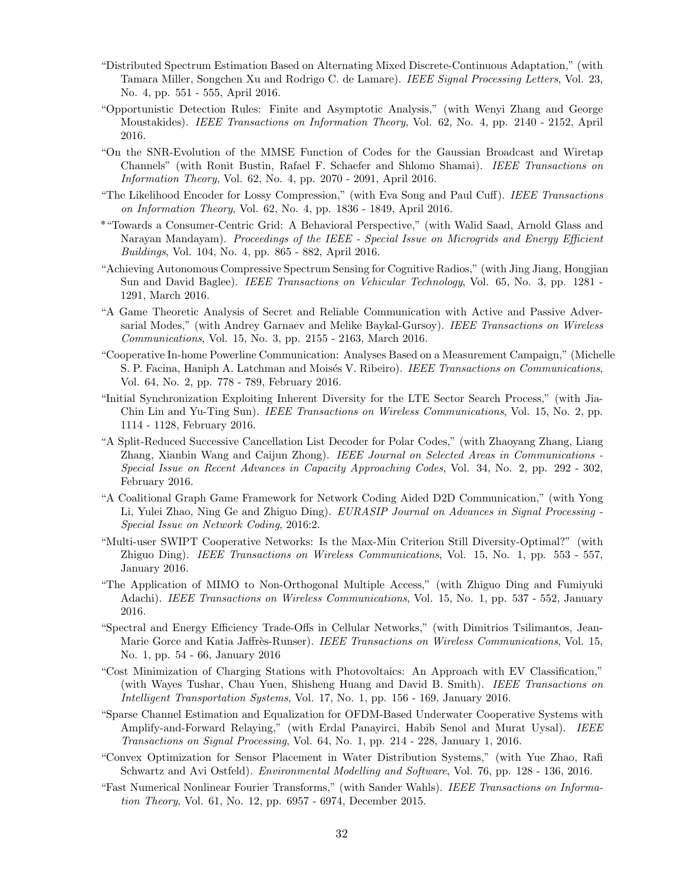- "Distributed Spectrum Estimation Based on Alternating Mixed Discrete-Continuous Adaptation," (with Tamara Miller, Songchen Xu and Rodrigo C. de Lamare). IEEE Signal Processing Letters, Vol. 23, No. 4, pp. 551 - 555, April 2016.
- "Opportunistic Detection Rules: Finite and Asymptotic Analysis," (with Wenyi Zhang and George Moustakides). IEEE Transactions on Information Theory, Vol. 62, No. 4, pp. 2140 - 2152, April 2016.
- "On the SNR-Evolution of the MMSE Function of Codes for the Gaussian Broadcast and Wiretap Channels" (with Ronit Bustin, Rafael F. Schaefer and Shlomo Shamai). IEEE Transactions on Information Theory, Vol. 62, No. 4, pp. 2070 - 2091, April 2016.
- "The Likelihood Encoder for Lossy Compression," (with Eva Song and Paul Cuff). IEEE Transactions on Information Theory, Vol. 62, No. 4, pp. 1836 - 1849, April 2016.
- \*"Towards a Consumer-Centric Grid: A Behavioral Perspective," (with Walid Saad, Arnold Glass and Narayan Mandayam). Proceedings of the IEEE - Special Issue on Microgrids and Energy Efficient Buildings, Vol. 104, No. 4, pp. 865 - 882, April 2016.
- "Achieving Autonomous Compressive Spectrum Sensing for Cognitive Radios," (with Jing Jiang, Hongjian Sun and David Baglee). *IEEE Transactions on Vehicular Technology*, Vol. 65, No. 3, pp. 1281 -1291, March 2016.
- "A Game Theoretic Analysis of Secret and Reliable Communication with Active and Passive Adversarial Modes," (with Andrey Garnaev and Melike Baykal-Gursoy). IEEE Transactions on Wireless Communications, Vol. 15, No. 3, pp. 2155 - 2163, March 2016.
- "Cooperative In-home Powerline Communication: Analyses Based on a Measurement Campaign," (Michelle S. P. Facina, Haniph A. Latchman and Moisés V. Ribeiro). IEEE Transactions on Communications, Vol. 64, No. 2, pp. 778 - 789, February 2016.
- "Initial Synchronization Exploiting Inherent Diversity for the LTE Sector Search Process," (with Jia-Chin Lin and Yu-Ting Sun). IEEE Transactions on Wireless Communications, Vol. 15, No. 2, pp. 1114 - 1128, February 2016.
- "A Split-Reduced Successive Cancellation List Decoder for Polar Codes," (with Zhaoyang Zhang, Liang Zhang, Xianbin Wang and Caijun Zhong). IEEE Journal on Selected Areas in Communications - Special Issue on Recent Advances in Capacity Approaching Codes, Vol. 34, No. 2, pp. 292 - 302, February 2016.
- "A Coalitional Graph Game Framework for Network Coding Aided D2D Communication," (with Yong Li, Yulei Zhao, Ning Ge and Zhiguo Ding). EURASIP Journal on Advances in Signal Processing - Special Issue on Network Coding, 2016:2.
- "Multi-user SWIPT Cooperative Networks: Is the Max-Min Criterion Still Diversity-Optimal?" (with Zhiguo Ding). IEEE Transactions on Wireless Communications, Vol. 15, No. 1, pp. 553 - 557, January 2016.
- "The Application of MIMO to Non-Orthogonal Multiple Access," (with Zhiguo Ding and Fumiyuki Adachi). *IEEE Transactions on Wireless Communications*, Vol. 15, No. 1, pp. 537 - 552, January 2016.
- "Spectral and Energy Efficiency Trade-Offs in Cellular Networks," (with Dimitrios Tsilimantos, Jean-Marie Gorce and Katia Jaffrès-Runser). IEEE Transactions on Wireless Communications, Vol. 15, No. 1, pp. 54 - 66, January 2016
- "Cost Minimization of Charging Stations with Photovoltaics: An Approach with EV Classification," (with Wayes Tushar, Chau Yuen, Shisheng Huang and David B. Smith). IEEE Transactions on Intelligent Transportation Systems, Vol. 17, No. 1, pp. 156 - 169, January 2016.
- "Sparse Channel Estimation and Equalization for OFDM-Based Underwater Cooperative Systems with Amplify-and-Forward Relaying," (with Erdal Panayirci, Habib Senol and Murat Uysal). IEEE Transactions on Signal Processing, Vol. 64, No. 1, pp. 214 - 228, January 1, 2016.
- "Convex Optimization for Sensor Placement in Water Distribution Systems," (with Yue Zhao, Rafi Schwartz and Avi Ostfeld). Environmental Modelling and Software, Vol. 76, pp. 128 - 136, 2016.
- "Fast Numerical Nonlinear Fourier Transforms," (with Sander Wahls). IEEE Transactions on Information Theory, Vol. 61, No. 12, pp. 6957 - 6974, December 2015.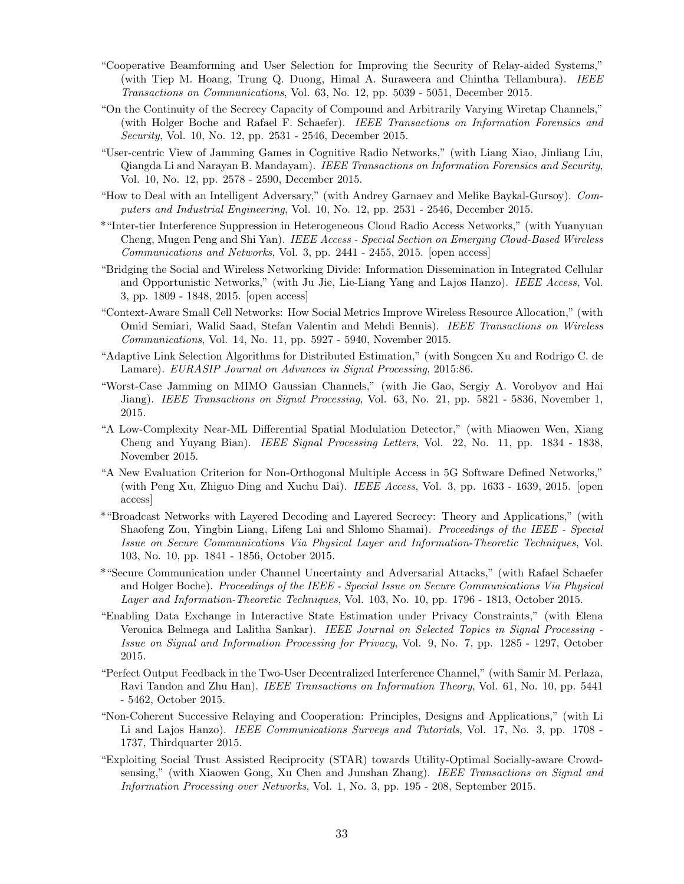- "Cooperative Beamforming and User Selection for Improving the Security of Relay-aided Systems," (with Tiep M. Hoang, Trung Q. Duong, Himal A. Suraweera and Chintha Tellambura). IEEE Transactions on Communications, Vol. 63, No. 12, pp. 5039 - 5051, December 2015.
- "On the Continuity of the Secrecy Capacity of Compound and Arbitrarily Varying Wiretap Channels," (with Holger Boche and Rafael F. Schaefer). IEEE Transactions on Information Forensics and Security, Vol. 10, No. 12, pp. 2531 - 2546, December 2015.
- "User-centric View of Jamming Games in Cognitive Radio Networks," (with Liang Xiao, Jinliang Liu, Qiangda Li and Narayan B. Mandayam). IEEE Transactions on Information Forensics and Security, Vol. 10, No. 12, pp. 2578 - 2590, December 2015.
- "How to Deal with an Intelligent Adversary," (with Andrey Garnaev and Melike Baykal-Gursoy). Computers and Industrial Engineering, Vol. 10, No. 12, pp. 2531 - 2546, December 2015.
- \*"Inter-tier Interference Suppression in Heterogeneous Cloud Radio Access Networks," (with Yuanyuan Cheng, Mugen Peng and Shi Yan). IEEE Access - Special Section on Emerging Cloud-Based Wireless Communications and Networks, Vol. 3, pp. 2441 - 2455, 2015. [open access]
- "Bridging the Social and Wireless Networking Divide: Information Dissemination in Integrated Cellular and Opportunistic Networks," (with Ju Jie, Lie-Liang Yang and Lajos Hanzo). IEEE Access, Vol. 3, pp. 1809 - 1848, 2015. [open access]
- "Context-Aware Small Cell Networks: How Social Metrics Improve Wireless Resource Allocation," (with Omid Semiari, Walid Saad, Stefan Valentin and Mehdi Bennis). IEEE Transactions on Wireless Communications, Vol. 14, No. 11, pp. 5927 - 5940, November 2015.
- "Adaptive Link Selection Algorithms for Distributed Estimation," (with Songcen Xu and Rodrigo C. de Lamare). EURASIP Journal on Advances in Signal Processing, 2015:86.
- "Worst-Case Jamming on MIMO Gaussian Channels," (with Jie Gao, Sergiy A. Vorobyov and Hai Jiang). *IEEE Transactions on Signal Processing*, Vol. 63, No. 21, pp. 5821 - 5836, November 1, 2015.
- "A Low-Complexity Near-ML Differential Spatial Modulation Detector," (with Miaowen Wen, Xiang Cheng and Yuyang Bian). IEEE Signal Processing Letters, Vol. 22, No. 11, pp. 1834 - 1838, November 2015.
- "A New Evaluation Criterion for Non-Orthogonal Multiple Access in 5G Software Defined Networks," (with Peng Xu, Zhiguo Ding and Xuchu Dai). IEEE Access, Vol. 3, pp. 1633 - 1639, 2015. [open access]
- \*"Broadcast Networks with Layered Decoding and Layered Secrecy: Theory and Applications," (with Shaofeng Zou, Yingbin Liang, Lifeng Lai and Shlomo Shamai). Proceedings of the IEEE - Special Issue on Secure Communications Via Physical Layer and Information-Theoretic Techniques, Vol. 103, No. 10, pp. 1841 - 1856, October 2015.
- \*"Secure Communication under Channel Uncertainty and Adversarial Attacks," (with Rafael Schaefer and Holger Boche). Proceedings of the IEEE - Special Issue on Secure Communications Via Physical Layer and Information-Theoretic Techniques, Vol. 103, No. 10, pp. 1796 - 1813, October 2015.
- "Enabling Data Exchange in Interactive State Estimation under Privacy Constraints," (with Elena Veronica Belmega and Lalitha Sankar). IEEE Journal on Selected Topics in Signal Processing - Issue on Signal and Information Processing for Privacy, Vol. 9, No. 7, pp. 1285 - 1297, October 2015.
- "Perfect Output Feedback in the Two-User Decentralized Interference Channel," (with Samir M. Perlaza, Ravi Tandon and Zhu Han). IEEE Transactions on Information Theory, Vol. 61, No. 10, pp. 5441 - 5462, October 2015.
- "Non-Coherent Successive Relaying and Cooperation: Principles, Designs and Applications," (with Li Li and Lajos Hanzo). IEEE Communications Surveys and Tutorials, Vol. 17, No. 3, pp. 1708 -1737, Thirdquarter 2015.
- "Exploiting Social Trust Assisted Reciprocity (STAR) towards Utility-Optimal Socially-aware Crowdsensing," (with Xiaowen Gong, Xu Chen and Junshan Zhang). IEEE Transactions on Signal and Information Processing over Networks, Vol. 1, No. 3, pp. 195 - 208, September 2015.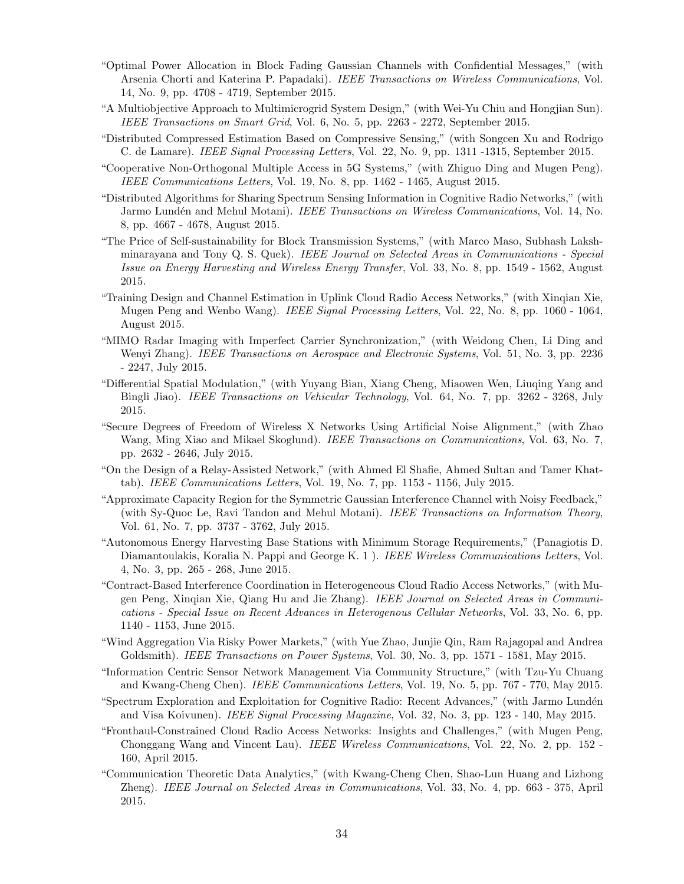- "Optimal Power Allocation in Block Fading Gaussian Channels with Confidential Messages," (with Arsenia Chorti and Katerina P. Papadaki). IEEE Transactions on Wireless Communications, Vol. 14, No. 9, pp. 4708 - 4719, September 2015.
- "A Multiobjective Approach to Multimicrogrid System Design," (with Wei-Yu Chiu and Hongjian Sun). IEEE Transactions on Smart Grid, Vol. 6, No. 5, pp. 2263 - 2272, September 2015.
- "Distributed Compressed Estimation Based on Compressive Sensing," (with Songcen Xu and Rodrigo C. de Lamare). IEEE Signal Processing Letters, Vol. 22, No. 9, pp. 1311 -1315, September 2015.
- "Cooperative Non-Orthogonal Multiple Access in 5G Systems," (with Zhiguo Ding and Mugen Peng). IEEE Communications Letters, Vol. 19, No. 8, pp. 1462 - 1465, August 2015.
- "Distributed Algorithms for Sharing Spectrum Sensing Information in Cognitive Radio Networks," (with Jarmo Lundén and Mehul Motani). *IEEE Transactions on Wireless Communications*, Vol. 14, No. 8, pp. 4667 - 4678, August 2015.
- "The Price of Self-sustainability for Block Transmission Systems," (with Marco Maso, Subhash Lakshminarayana and Tony Q. S. Quek). IEEE Journal on Selected Areas in Communications - Special Issue on Energy Harvesting and Wireless Energy Transfer, Vol. 33, No. 8, pp. 1549 - 1562, August 2015.
- "Training Design and Channel Estimation in Uplink Cloud Radio Access Networks," (with Xinqian Xie, Mugen Peng and Wenbo Wang). IEEE Signal Processing Letters, Vol. 22, No. 8, pp. 1060 - 1064, August 2015.
- "MIMO Radar Imaging with Imperfect Carrier Synchronization," (with Weidong Chen, Li Ding and Wenyi Zhang). *IEEE Transactions on Aerospace and Electronic Systems*, Vol. 51, No. 3, pp. 2236 - 2247, July 2015.
- "Differential Spatial Modulation," (with Yuyang Bian, Xiang Cheng, Miaowen Wen, Liuqing Yang and Bingli Jiao). IEEE Transactions on Vehicular Technology, Vol. 64, No. 7, pp. 3262 - 3268, July 2015.
- "Secure Degrees of Freedom of Wireless X Networks Using Artificial Noise Alignment," (with Zhao Wang, Ming Xiao and Mikael Skoglund). IEEE Transactions on Communications, Vol. 63, No. 7, pp. 2632 - 2646, July 2015.
- "On the Design of a Relay-Assisted Network," (with Ahmed El Shafie, Ahmed Sultan and Tamer Khattab). IEEE Communications Letters, Vol. 19, No. 7, pp. 1153 - 1156, July 2015.
- "Approximate Capacity Region for the Symmetric Gaussian Interference Channel with Noisy Feedback," (with Sy-Quoc Le, Ravi Tandon and Mehul Motani). IEEE Transactions on Information Theory, Vol. 61, No. 7, pp. 3737 - 3762, July 2015.
- "Autonomous Energy Harvesting Base Stations with Minimum Storage Requirements," (Panagiotis D. Diamantoulakis, Koralia N. Pappi and George K. 1). IEEE Wireless Communications Letters, Vol. 4, No. 3, pp. 265 - 268, June 2015.
- "Contract-Based Interference Coordination in Heterogeneous Cloud Radio Access Networks," (with Mugen Peng, Xinqian Xie, Qiang Hu and Jie Zhang). IEEE Journal on Selected Areas in Communications - Special Issue on Recent Advances in Heterogenous Cellular Networks, Vol. 33, No. 6, pp. 1140 - 1153, June 2015.
- "Wind Aggregation Via Risky Power Markets," (with Yue Zhao, Junjie Qin, Ram Rajagopal and Andrea Goldsmith). IEEE Transactions on Power Systems, Vol. 30, No. 3, pp. 1571 - 1581, May 2015.
- "Information Centric Sensor Network Management Via Community Structure," (with Tzu-Yu Chuang and Kwang-Cheng Chen). IEEE Communications Letters, Vol. 19, No. 5, pp. 767 - 770, May 2015.
- "Spectrum Exploration and Exploitation for Cognitive Radio: Recent Advances," (with Jarmo Lund´en and Visa Koivunen). IEEE Signal Processing Magazine, Vol. 32, No. 3, pp. 123 - 140, May 2015.
- "Fronthaul-Constrained Cloud Radio Access Networks: Insights and Challenges," (with Mugen Peng, Chonggang Wang and Vincent Lau). IEEE Wireless Communications, Vol. 22, No. 2, pp. 152 - 160, April 2015.
- "Communication Theoretic Data Analytics," (with Kwang-Cheng Chen, Shao-Lun Huang and Lizhong Zheng). IEEE Journal on Selected Areas in Communications, Vol. 33, No. 4, pp. 663 - 375, April 2015.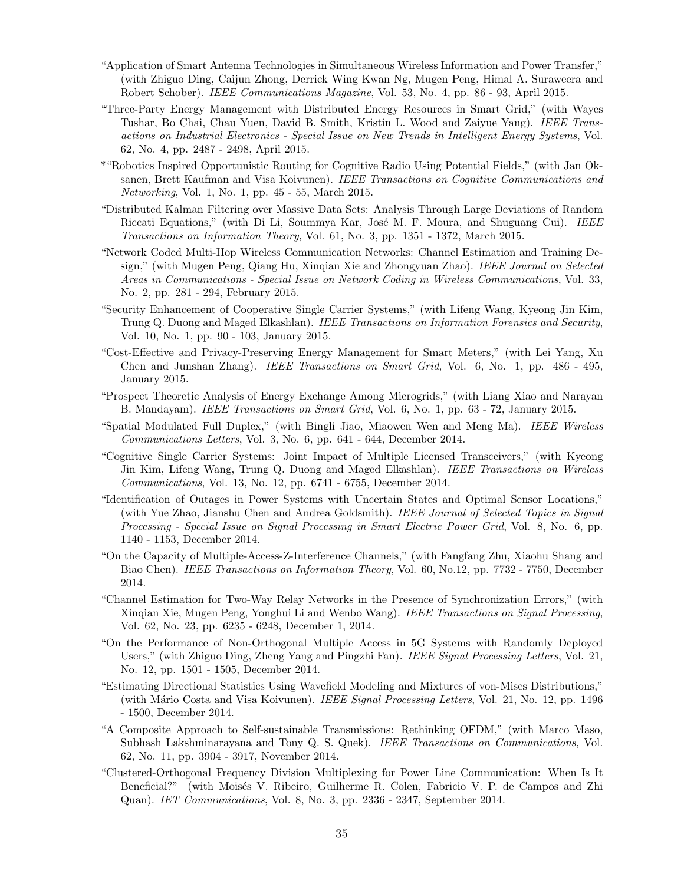- "Application of Smart Antenna Technologies in Simultaneous Wireless Information and Power Transfer," (with Zhiguo Ding, Caijun Zhong, Derrick Wing Kwan Ng, Mugen Peng, Himal A. Suraweera and Robert Schober). IEEE Communications Magazine, Vol. 53, No. 4, pp. 86 - 93, April 2015.
- "Three-Party Energy Management with Distributed Energy Resources in Smart Grid," (with Wayes Tushar, Bo Chai, Chau Yuen, David B. Smith, Kristin L. Wood and Zaiyue Yang). IEEE Transactions on Industrial Electronics - Special Issue on New Trends in Intelligent Energy Systems, Vol. 62, No. 4, pp. 2487 - 2498, April 2015.
- \*"Robotics Inspired Opportunistic Routing for Cognitive Radio Using Potential Fields," (with Jan Oksanen, Brett Kaufman and Visa Koivunen). IEEE Transactions on Cognitive Communications and Networking, Vol. 1, No. 1, pp. 45 - 55, March 2015.
- "Distributed Kalman Filtering over Massive Data Sets: Analysis Through Large Deviations of Random Riccati Equations," (with Di Li, Soummya Kar, José M. F. Moura, and Shuguang Cui). IEEE Transactions on Information Theory, Vol. 61, No. 3, pp. 1351 - 1372, March 2015.
- "Network Coded Multi-Hop Wireless Communication Networks: Channel Estimation and Training Design," (with Mugen Peng, Qiang Hu, Xinqian Xie and Zhongyuan Zhao). IEEE Journal on Selected Areas in Communications - Special Issue on Network Coding in Wireless Communications, Vol. 33, No. 2, pp. 281 - 294, February 2015.
- "Security Enhancement of Cooperative Single Carrier Systems," (with Lifeng Wang, Kyeong Jin Kim, Trung Q. Duong and Maged Elkashlan). IEEE Transactions on Information Forensics and Security, Vol. 10, No. 1, pp. 90 - 103, January 2015.
- "Cost-Effective and Privacy-Preserving Energy Management for Smart Meters," (with Lei Yang, Xu Chen and Junshan Zhang). IEEE Transactions on Smart Grid, Vol. 6, No. 1, pp. 486 - 495, January 2015.
- "Prospect Theoretic Analysis of Energy Exchange Among Microgrids," (with Liang Xiao and Narayan B. Mandayam). *IEEE Transactions on Smart Grid*, Vol. 6, No. 1, pp. 63 - 72, January 2015.
- "Spatial Modulated Full Duplex," (with Bingli Jiao, Miaowen Wen and Meng Ma). IEEE Wireless Communications Letters, Vol. 3, No. 6, pp. 641 - 644, December 2014.
- "Cognitive Single Carrier Systems: Joint Impact of Multiple Licensed Transceivers," (with Kyeong Jin Kim, Lifeng Wang, Trung Q. Duong and Maged Elkashlan). IEEE Transactions on Wireless Communications, Vol. 13, No. 12, pp. 6741 - 6755, December 2014.
- "Identification of Outages in Power Systems with Uncertain States and Optimal Sensor Locations," (with Yue Zhao, Jianshu Chen and Andrea Goldsmith). IEEE Journal of Selected Topics in Signal Processing - Special Issue on Signal Processing in Smart Electric Power Grid, Vol. 8, No. 6, pp. 1140 - 1153, December 2014.
- "On the Capacity of Multiple-Access-Z-Interference Channels," (with Fangfang Zhu, Xiaohu Shang and Biao Chen). IEEE Transactions on Information Theory, Vol. 60, No.12, pp. 7732 - 7750, December 2014.
- "Channel Estimation for Two-Way Relay Networks in the Presence of Synchronization Errors," (with Xinqian Xie, Mugen Peng, Yonghui Li and Wenbo Wang). IEEE Transactions on Signal Processing, Vol. 62, No. 23, pp. 6235 - 6248, December 1, 2014.
- "On the Performance of Non-Orthogonal Multiple Access in 5G Systems with Randomly Deployed Users," (with Zhiguo Ding, Zheng Yang and Pingzhi Fan). IEEE Signal Processing Letters, Vol. 21, No. 12, pp. 1501 - 1505, December 2014.
- "Estimating Directional Statistics Using Wavefield Modeling and Mixtures of von-Mises Distributions," (with Mário Costa and Visa Koivunen). IEEE Signal Processing Letters, Vol. 21, No. 12, pp. 1496 - 1500, December 2014.
- "A Composite Approach to Self-sustainable Transmissions: Rethinking OFDM," (with Marco Maso, Subhash Lakshminarayana and Tony Q. S. Quek). IEEE Transactions on Communications, Vol. 62, No. 11, pp. 3904 - 3917, November 2014.
- "Clustered-Orthogonal Frequency Division Multiplexing for Power Line Communication: When Is It Beneficial?" (with Moisés V. Ribeiro, Guilherme R. Colen, Fabricio V. P. de Campos and Zhi Quan). IET Communications, Vol. 8, No. 3, pp. 2336 - 2347, September 2014.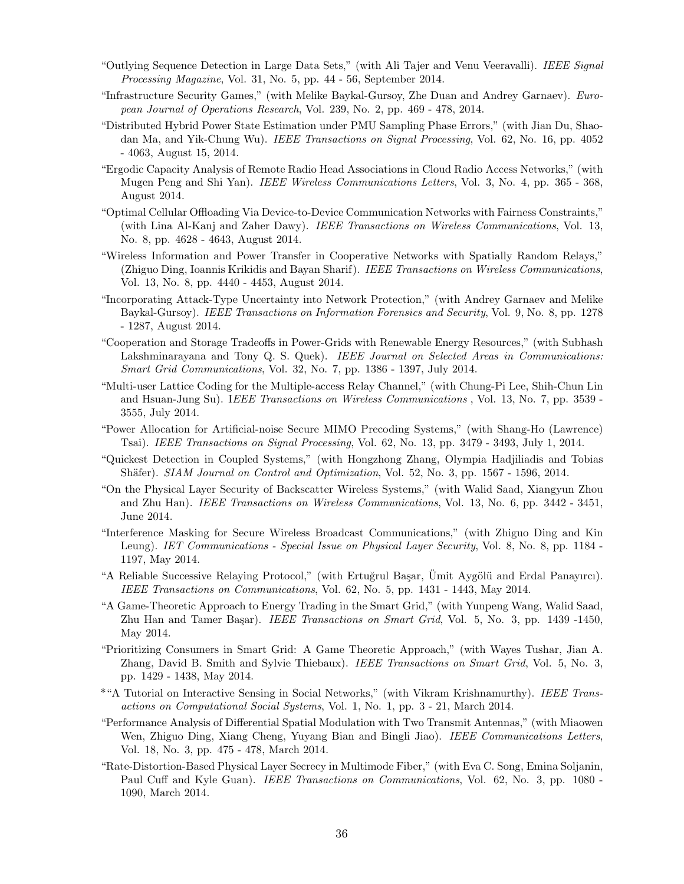- "Outlying Sequence Detection in Large Data Sets," (with Ali Tajer and Venu Veeravalli). IEEE Signal Processing Magazine, Vol. 31, No. 5, pp. 44 - 56, September 2014.
- "Infrastructure Security Games," (with Melike Baykal-Gursoy, Zhe Duan and Andrey Garnaev). European Journal of Operations Research, Vol. 239, No. 2, pp. 469 - 478, 2014.
- "Distributed Hybrid Power State Estimation under PMU Sampling Phase Errors," (with Jian Du, Shaodan Ma, and Yik-Chung Wu). IEEE Transactions on Signal Processing, Vol. 62, No. 16, pp. 4052 - 4063, August 15, 2014.
- "Ergodic Capacity Analysis of Remote Radio Head Associations in Cloud Radio Access Networks," (with Mugen Peng and Shi Yan). *IEEE Wireless Communications Letters*, Vol. 3, No. 4, pp. 365 - 368, August 2014.
- "Optimal Cellular Offloading Via Device-to-Device Communication Networks with Fairness Constraints," (with Lina Al-Kanj and Zaher Dawy). IEEE Transactions on Wireless Communications, Vol. 13, No. 8, pp. 4628 - 4643, August 2014.
- "Wireless Information and Power Transfer in Cooperative Networks with Spatially Random Relays," (Zhiguo Ding, Ioannis Krikidis and Bayan Sharif). IEEE Transactions on Wireless Communications, Vol. 13, No. 8, pp. 4440 - 4453, August 2014.
- "Incorporating Attack-Type Uncertainty into Network Protection," (with Andrey Garnaev and Melike Baykal-Gursoy). IEEE Transactions on Information Forensics and Security, Vol. 9, No. 8, pp. 1278 - 1287, August 2014.
- "Cooperation and Storage Tradeoffs in Power-Grids with Renewable Energy Resources," (with Subhash Lakshminarayana and Tony Q. S. Quek). IEEE Journal on Selected Areas in Communications: Smart Grid Communications, Vol. 32, No. 7, pp. 1386 - 1397, July 2014.
- "Multi-user Lattice Coding for the Multiple-access Relay Channel," (with Chung-Pi Lee, Shih-Chun Lin and Hsuan-Jung Su). IEEE Transactions on Wireless Communications, Vol. 13, No. 7, pp. 3539 -3555, July 2014.
- "Power Allocation for Artificial-noise Secure MIMO Precoding Systems," (with Shang-Ho (Lawrence) Tsai). IEEE Transactions on Signal Processing, Vol. 62, No. 13, pp. 3479 - 3493, July 1, 2014.
- "Quickest Detection in Coupled Systems," (with Hongzhong Zhang, Olympia Hadjiliadis and Tobias Shäfer). SIAM Journal on Control and Optimization, Vol. 52, No. 3, pp. 1567 - 1596, 2014.
- "On the Physical Layer Security of Backscatter Wireless Systems," (with Walid Saad, Xiangyun Zhou and Zhu Han). IEEE Transactions on Wireless Communications, Vol. 13, No. 6, pp. 3442 - 3451, June 2014.
- "Interference Masking for Secure Wireless Broadcast Communications," (with Zhiguo Ding and Kin Leung). IET Communications - Special Issue on Physical Layer Security, Vol. 8, No. 8, pp. 1184 - 1197, May 2014.
- "A Reliable Successive Relaying Protocol," (with Ertuğrul Başar, Ümit Aygölü and Erdal Panayırcı). IEEE Transactions on Communications, Vol. 62, No. 5, pp. 1431 - 1443, May 2014.
- "A Game-Theoretic Approach to Energy Trading in the Smart Grid," (with Yunpeng Wang, Walid Saad, Zhu Han and Tamer Başar). *IEEE Transactions on Smart Grid*, Vol. 5, No. 3, pp. 1439 -1450, May 2014.
- "Prioritizing Consumers in Smart Grid: A Game Theoretic Approach," (with Wayes Tushar, Jian A. Zhang, David B. Smith and Sylvie Thiebaux). IEEE Transactions on Smart Grid, Vol. 5, No. 3, pp. 1429 - 1438, May 2014.
- \*"A Tutorial on Interactive Sensing in Social Networks," (with Vikram Krishnamurthy). IEEE Transactions on Computational Social Systems, Vol. 1, No. 1, pp. 3 - 21, March 2014.
- "Performance Analysis of Differential Spatial Modulation with Two Transmit Antennas," (with Miaowen Wen, Zhiguo Ding, Xiang Cheng, Yuyang Bian and Bingli Jiao). IEEE Communications Letters, Vol. 18, No. 3, pp. 475 - 478, March 2014.
- "Rate-Distortion-Based Physical Layer Secrecy in Multimode Fiber," (with Eva C. Song, Emina Soljanin, Paul Cuff and Kyle Guan). *IEEE Transactions on Communications*, Vol. 62, No. 3, pp. 1080 -1090, March 2014.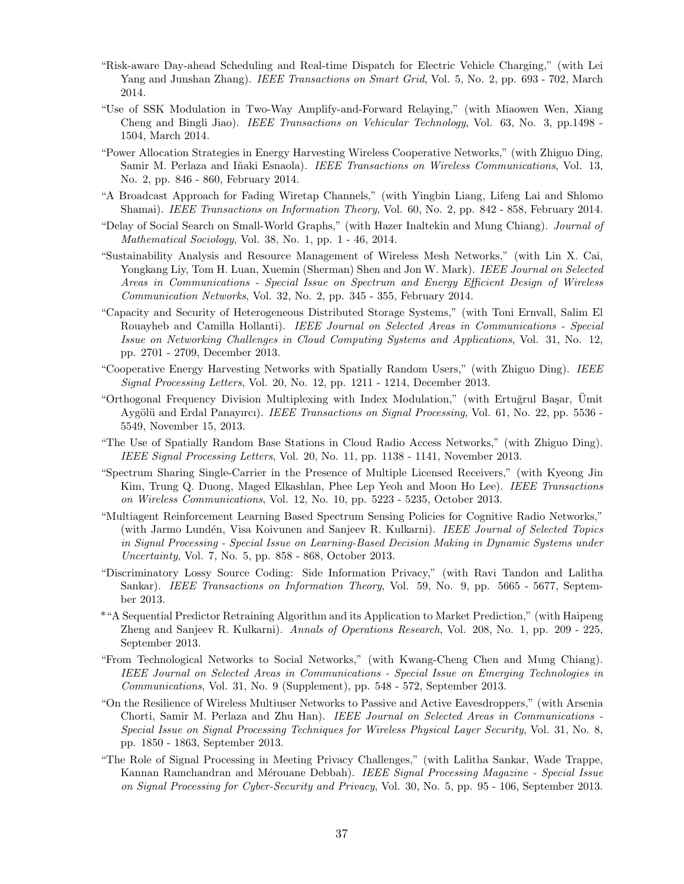- "Risk-aware Day-ahead Scheduling and Real-time Dispatch for Electric Vehicle Charging," (with Lei Yang and Junshan Zhang). *IEEE Transactions on Smart Grid*, Vol. 5, No. 2, pp. 693 - 702, March 2014.
- "Use of SSK Modulation in Two-Way Amplify-and-Forward Relaying," (with Miaowen Wen, Xiang Cheng and Bingli Jiao). IEEE Transactions on Vehicular Technology, Vol. 63, No. 3, pp.1498 - 1504, March 2014.
- "Power Allocation Strategies in Energy Harvesting Wireless Cooperative Networks," (with Zhiguo Ding, Samir M. Perlaza and Iñaki Esnaola). IEEE Transactions on Wireless Communications, Vol. 13, No. 2, pp. 846 - 860, February 2014.
- "A Broadcast Approach for Fading Wiretap Channels," (with Yingbin Liang, Lifeng Lai and Shlomo Shamai). IEEE Transactions on Information Theory, Vol. 60, No. 2, pp. 842 - 858, February 2014.
- "Delay of Social Search on Small-World Graphs," (with Hazer Inaltekin and Mung Chiang). Journal of Mathematical Sociology, Vol. 38, No. 1, pp. 1 - 46, 2014.
- "Sustainability Analysis and Resource Management of Wireless Mesh Networks," (with Lin X. Cai, Yongkang Liy, Tom H. Luan, Xuemin (Sherman) Shen and Jon W. Mark). IEEE Journal on Selected Areas in Communications - Special Issue on Spectrum and Energy Efficient Design of Wireless Communication Networks, Vol. 32, No. 2, pp. 345 - 355, February 2014.
- "Capacity and Security of Heterogeneous Distributed Storage Systems," (with Toni Ernvall, Salim El Rouayheb and Camilla Hollanti). IEEE Journal on Selected Areas in Communications - Special Issue on Networking Challenges in Cloud Computing Systems and Applications, Vol. 31, No. 12, pp. 2701 - 2709, December 2013.
- "Cooperative Energy Harvesting Networks with Spatially Random Users," (with Zhiguo Ding). IEEE Signal Processing Letters, Vol. 20, No. 12, pp. 1211 - 1214, December 2013.
- "Orthogonal Frequency Division Multiplexing with Index Modulation," (with Ertuğrul Başar, Ümit Aygölü and Erdal Panayırcı). *IEEE Transactions on Signal Processing*, Vol. 61, No. 22, pp. 5536 -5549, November 15, 2013.
- "The Use of Spatially Random Base Stations in Cloud Radio Access Networks," (with Zhiguo Ding). IEEE Signal Processing Letters, Vol. 20, No. 11, pp. 1138 - 1141, November 2013.
- "Spectrum Sharing Single-Carrier in the Presence of Multiple Licensed Receivers," (with Kyeong Jin Kim, Trung Q. Duong, Maged Elkashlan, Phee Lep Yeoh and Moon Ho Lee). IEEE Transactions on Wireless Communications, Vol. 12, No. 10, pp. 5223 - 5235, October 2013.
- "Multiagent Reinforcement Learning Based Spectrum Sensing Policies for Cognitive Radio Networks," (with Jarmo Lundén, Visa Koivunen and Sanjeev R. Kulkarni). IEEE Journal of Selected Topics in Signal Processing - Special Issue on Learning-Based Decision Making in Dynamic Systems under Uncertainty, Vol. 7, No. 5, pp. 858 - 868, October 2013.
- "Discriminatory Lossy Source Coding: Side Information Privacy," (with Ravi Tandon and Lalitha Sankar). *IEEE Transactions on Information Theory*, Vol. 59, No. 9, pp. 5665 - 5677, September 2013.
- \*"A Sequential Predictor Retraining Algorithm and its Application to Market Prediction," (with Haipeng Zheng and Sanjeev R. Kulkarni). Annals of Operations Research, Vol. 208, No. 1, pp. 209 - 225, September 2013.
- "From Technological Networks to Social Networks," (with Kwang-Cheng Chen and Mung Chiang). IEEE Journal on Selected Areas in Communications - Special Issue on Emerging Technologies in Communications, Vol. 31, No. 9 (Supplement), pp. 548 - 572, September 2013.
- "On the Resilience of Wireless Multiuser Networks to Passive and Active Eavesdroppers," (with Arsenia Chorti, Samir M. Perlaza and Zhu Han). IEEE Journal on Selected Areas in Communications - Special Issue on Signal Processing Techniques for Wireless Physical Layer Security, Vol. 31, No. 8, pp. 1850 - 1863, September 2013.
- "The Role of Signal Processing in Meeting Privacy Challenges," (with Lalitha Sankar, Wade Trappe, Kannan Ramchandran and Mérouane Debbah). IEEE Signal Processing Magazine - Special Issue on Signal Processing for Cyber-Security and Privacy, Vol. 30, No. 5, pp. 95 - 106, September 2013.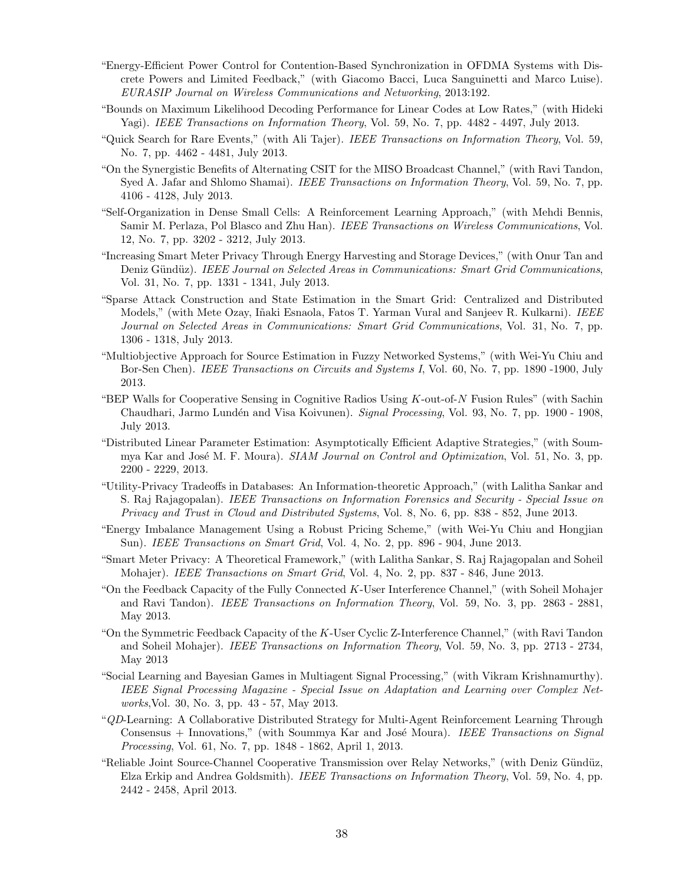- "Energy-Efficient Power Control for Contention-Based Synchronization in OFDMA Systems with Discrete Powers and Limited Feedback," (with Giacomo Bacci, Luca Sanguinetti and Marco Luise). EURASIP Journal on Wireless Communications and Networking, 2013:192.
- "Bounds on Maximum Likelihood Decoding Performance for Linear Codes at Low Rates," (with Hideki Yagi). IEEE Transactions on Information Theory, Vol. 59, No. 7, pp. 4482 - 4497, July 2013.
- "Quick Search for Rare Events," (with Ali Tajer). IEEE Transactions on Information Theory, Vol. 59, No. 7, pp. 4462 - 4481, July 2013.
- "On the Synergistic Benefits of Alternating CSIT for the MISO Broadcast Channel," (with Ravi Tandon, Syed A. Jafar and Shlomo Shamai). *IEEE Transactions on Information Theory*, Vol. 59, No. 7, pp. 4106 - 4128, July 2013.
- "Self-Organization in Dense Small Cells: A Reinforcement Learning Approach," (with Mehdi Bennis, Samir M. Perlaza, Pol Blasco and Zhu Han). IEEE Transactions on Wireless Communications, Vol. 12, No. 7, pp. 3202 - 3212, July 2013.
- "Increasing Smart Meter Privacy Through Energy Harvesting and Storage Devices," (with Onur Tan and Deniz Gündüz). IEEE Journal on Selected Areas in Communications: Smart Grid Communications, Vol. 31, No. 7, pp. 1331 - 1341, July 2013.
- "Sparse Attack Construction and State Estimation in the Smart Grid: Centralized and Distributed Models," (with Mete Ozay, Iñaki Esnaola, Fatos T. Yarman Vural and Sanjeev R. Kulkarni). IEEE Journal on Selected Areas in Communications: Smart Grid Communications, Vol. 31, No. 7, pp. 1306 - 1318, July 2013.
- "Multiobjective Approach for Source Estimation in Fuzzy Networked Systems," (with Wei-Yu Chiu and Bor-Sen Chen). *IEEE Transactions on Circuits and Systems I*, Vol. 60, No. 7, pp. 1890 -1900, July 2013.
- "BEP Walls for Cooperative Sensing in Cognitive Radios Using K-out-of-N Fusion Rules" (with Sachin Chaudhari, Jarmo Lundén and Visa Koivunen). Signal Processing, Vol. 93, No. 7, pp. 1900 - 1908, July 2013.
- "Distributed Linear Parameter Estimation: Asymptotically Efficient Adaptive Strategies," (with Soummya Kar and José M. F. Moura). *SIAM Journal on Control and Optimization*, Vol. 51, No. 3, pp. 2200 - 2229, 2013.
- "Utility-Privacy Tradeoffs in Databases: An Information-theoretic Approach," (with Lalitha Sankar and S. Raj Rajagopalan). IEEE Transactions on Information Forensics and Security - Special Issue on Privacy and Trust in Cloud and Distributed Systems, Vol. 8, No. 6, pp. 838 - 852, June 2013.
- "Energy Imbalance Management Using a Robust Pricing Scheme," (with Wei-Yu Chiu and Hongjian Sun). IEEE Transactions on Smart Grid, Vol. 4, No. 2, pp. 896 - 904, June 2013.
- "Smart Meter Privacy: A Theoretical Framework," (with Lalitha Sankar, S. Raj Rajagopalan and Soheil Mohajer). *IEEE Transactions on Smart Grid*, Vol. 4, No. 2, pp. 837 - 846, June 2013.
- "On the Feedback Capacity of the Fully Connected  $K$ -User Interference Channel," (with Soheil Mohajer and Ravi Tandon). IEEE Transactions on Information Theory, Vol. 59, No. 3, pp. 2863 - 2881, May 2013.
- "On the Symmetric Feedback Capacity of the K-User Cyclic Z-Interference Channel," (with Ravi Tandon and Soheil Mohajer). IEEE Transactions on Information Theory, Vol. 59, No. 3, pp. 2713 - 2734, May 2013
- "Social Learning and Bayesian Games in Multiagent Signal Processing," (with Vikram Krishnamurthy). IEEE Signal Processing Magazine - Special Issue on Adaptation and Learning over Complex Networks,Vol. 30, No. 3, pp. 43 - 57, May 2013.
- "QD-Learning: A Collaborative Distributed Strategy for Multi-Agent Reinforcement Learning Through Consensus  $+$  Innovations," (with Soummya Kar and José Moura). IEEE Transactions on Signal Processing, Vol. 61, No. 7, pp. 1848 - 1862, April 1, 2013.
- "Reliable Joint Source-Channel Cooperative Transmission over Relay Networks," (with Deniz Gündüz, Elza Erkip and Andrea Goldsmith). IEEE Transactions on Information Theory, Vol. 59, No. 4, pp. 2442 - 2458, April 2013.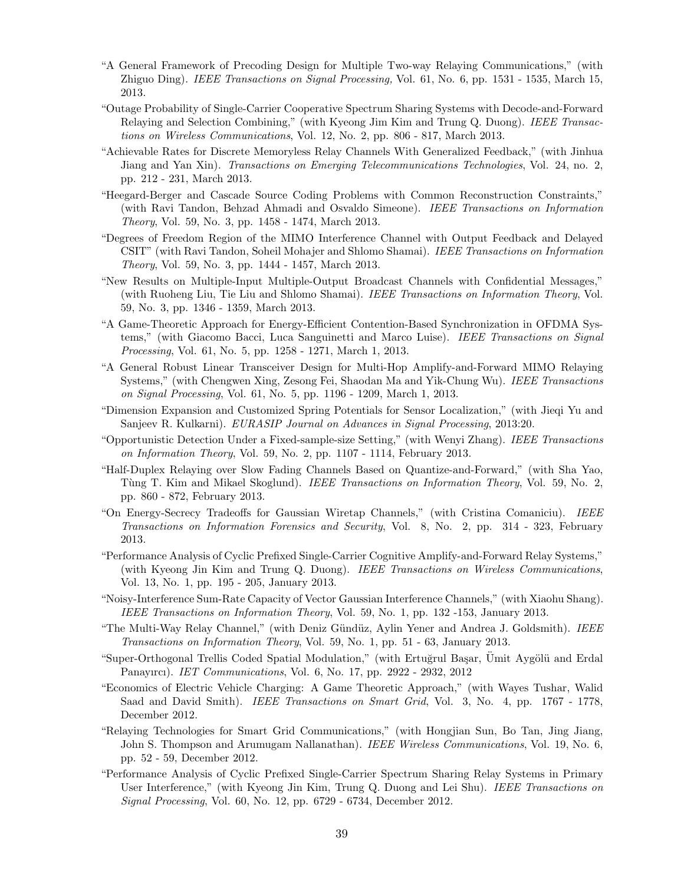- "A General Framework of Precoding Design for Multiple Two-way Relaying Communications," (with Zhiguo Ding). IEEE Transactions on Signal Processing, Vol. 61, No. 6, pp. 1531 - 1535, March 15, 2013.
- "Outage Probability of Single-Carrier Cooperative Spectrum Sharing Systems with Decode-and-Forward Relaying and Selection Combining," (with Kyeong Jim Kim and Trung Q. Duong). IEEE Transactions on Wireless Communications, Vol. 12, No. 2, pp. 806 - 817, March 2013.
- "Achievable Rates for Discrete Memoryless Relay Channels With Generalized Feedback," (with Jinhua Jiang and Yan Xin). Transactions on Emerging Telecommunications Technologies, Vol. 24, no. 2, pp. 212 - 231, March 2013.
- "Heegard-Berger and Cascade Source Coding Problems with Common Reconstruction Constraints," (with Ravi Tandon, Behzad Ahmadi and Osvaldo Simeone). IEEE Transactions on Information Theory, Vol. 59, No. 3, pp. 1458 - 1474, March 2013.
- "Degrees of Freedom Region of the MIMO Interference Channel with Output Feedback and Delayed CSIT" (with Ravi Tandon, Soheil Mohajer and Shlomo Shamai). IEEE Transactions on Information Theory, Vol. 59, No. 3, pp. 1444 - 1457, March 2013.
- "New Results on Multiple-Input Multiple-Output Broadcast Channels with Confidential Messages," (with Ruoheng Liu, Tie Liu and Shlomo Shamai). IEEE Transactions on Information Theory, Vol. 59, No. 3, pp. 1346 - 1359, March 2013.
- "A Game-Theoretic Approach for Energy-Efficient Contention-Based Synchronization in OFDMA Systems," (with Giacomo Bacci, Luca Sanguinetti and Marco Luise). IEEE Transactions on Signal Processing, Vol. 61, No. 5, pp. 1258 - 1271, March 1, 2013.
- "A General Robust Linear Transceiver Design for Multi-Hop Amplify-and-Forward MIMO Relaying Systems," (with Chengwen Xing, Zesong Fei, Shaodan Ma and Yik-Chung Wu). IEEE Transactions on Signal Processing, Vol. 61, No. 5, pp. 1196 - 1209, March 1, 2013.
- "Dimension Expansion and Customized Spring Potentials for Sensor Localization," (with Jieqi Yu and Sanjeev R. Kulkarni). EURASIP Journal on Advances in Signal Processing, 2013:20.
- "Opportunistic Detection Under a Fixed-sample-size Setting," (with Wenyi Zhang). IEEE Transactions on Information Theory, Vol. 59, No. 2, pp. 1107 - 1114, February 2013.
- "Half-Duplex Relaying over Slow Fading Channels Based on Quantize-and-Forward," (with Sha Yao, Tùng T. Kim and Mikael Skoglund). *IEEE Transactions on Information Theory*, Vol. 59, No. 2, pp. 860 - 872, February 2013.
- "On Energy-Secrecy Tradeoffs for Gaussian Wiretap Channels," (with Cristina Comaniciu). IEEE Transactions on Information Forensics and Security, Vol. 8, No. 2, pp. 314 - 323, February 2013.
- "Performance Analysis of Cyclic Prefixed Single-Carrier Cognitive Amplify-and-Forward Relay Systems," (with Kyeong Jin Kim and Trung Q. Duong). IEEE Transactions on Wireless Communications, Vol. 13, No. 1, pp. 195 - 205, January 2013.
- "Noisy-Interference Sum-Rate Capacity of Vector Gaussian Interference Channels," (with Xiaohu Shang). IEEE Transactions on Information Theory, Vol. 59, No. 1, pp. 132 -153, January 2013.
- "The Multi-Way Relay Channel," (with Deniz Gündüz, Aylin Yener and Andrea J. Goldsmith). IEEE Transactions on Information Theory, Vol. 59, No. 1, pp. 51 - 63, January 2013.
- "Super-Orthogonal Trellis Coded Spatial Modulation," (with Ertuğrul Başar, Ümit Aygölü and Erdal Panayırcı). IET Communications, Vol. 6, No. 17, pp. 2922 - 2932, 2012
- "Economics of Electric Vehicle Charging: A Game Theoretic Approach," (with Wayes Tushar, Walid Saad and David Smith). *IEEE Transactions on Smart Grid*, Vol. 3, No. 4, pp. 1767 - 1778, December 2012.
- "Relaying Technologies for Smart Grid Communications," (with Hongjian Sun, Bo Tan, Jing Jiang, John S. Thompson and Arumugam Nallanathan). IEEE Wireless Communications, Vol. 19, No. 6, pp. 52 - 59, December 2012.
- "Performance Analysis of Cyclic Prefixed Single-Carrier Spectrum Sharing Relay Systems in Primary User Interference," (with Kyeong Jin Kim, Trung Q. Duong and Lei Shu). IEEE Transactions on Signal Processing, Vol. 60, No. 12, pp. 6729 - 6734, December 2012.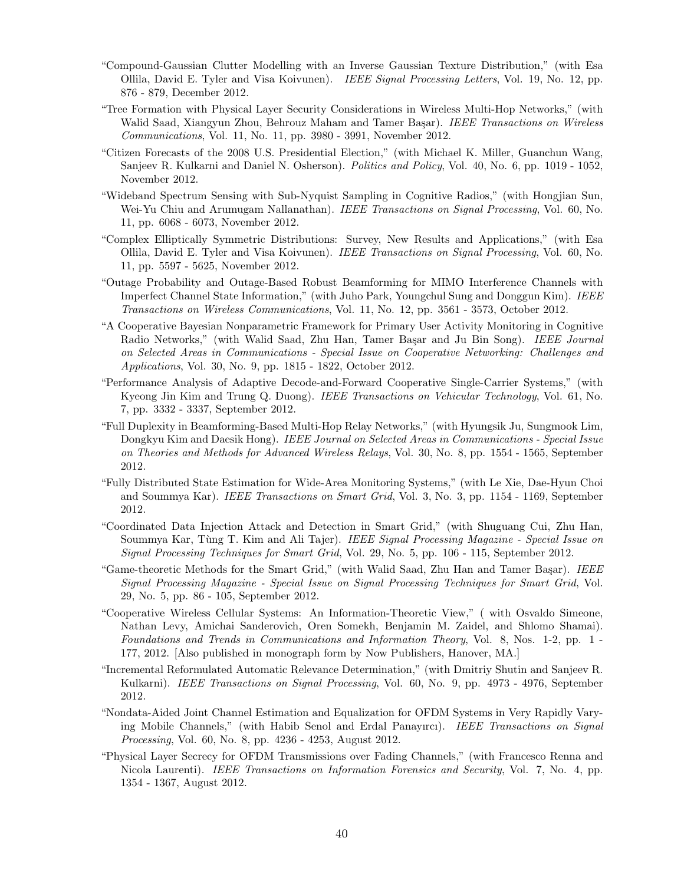- "Compound-Gaussian Clutter Modelling with an Inverse Gaussian Texture Distribution," (with Esa Ollila, David E. Tyler and Visa Koivunen). IEEE Signal Processing Letters, Vol. 19, No. 12, pp. 876 - 879, December 2012.
- "Tree Formation with Physical Layer Security Considerations in Wireless Multi-Hop Networks," (with Walid Saad, Xiangyun Zhou, Behrouz Maham and Tamer Başar). IEEE Transactions on Wireless Communications, Vol. 11, No. 11, pp. 3980 - 3991, November 2012.
- "Citizen Forecasts of the 2008 U.S. Presidential Election," (with Michael K. Miller, Guanchun Wang, Sanjeev R. Kulkarni and Daniel N. Osherson). Politics and Policy, Vol. 40, No. 6, pp. 1019 - 1052, November 2012.
- "Wideband Spectrum Sensing with Sub-Nyquist Sampling in Cognitive Radios," (with Hongjian Sun, Wei-Yu Chiu and Arumugam Nallanathan). IEEE Transactions on Signal Processing, Vol. 60, No. 11, pp. 6068 - 6073, November 2012.
- "Complex Elliptically Symmetric Distributions: Survey, New Results and Applications," (with Esa Ollila, David E. Tyler and Visa Koivunen). IEEE Transactions on Signal Processing, Vol. 60, No. 11, pp. 5597 - 5625, November 2012.
- "Outage Probability and Outage-Based Robust Beamforming for MIMO Interference Channels with Imperfect Channel State Information," (with Juho Park, Youngchul Sung and Donggun Kim). IEEE Transactions on Wireless Communications, Vol. 11, No. 12, pp. 3561 - 3573, October 2012.
- "A Cooperative Bayesian Nonparametric Framework for Primary User Activity Monitoring in Cognitive Radio Networks," (with Walid Saad, Zhu Han, Tamer Başar and Ju Bin Song). IEEE Journal on Selected Areas in Communications - Special Issue on Cooperative Networking: Challenges and Applications, Vol. 30, No. 9, pp. 1815 - 1822, October 2012.
- "Performance Analysis of Adaptive Decode-and-Forward Cooperative Single-Carrier Systems," (with Kyeong Jin Kim and Trung Q. Duong). IEEE Transactions on Vehicular Technology, Vol. 61, No. 7, pp. 3332 - 3337, September 2012.
- "Full Duplexity in Beamforming-Based Multi-Hop Relay Networks," (with Hyungsik Ju, Sungmook Lim, Dongkyu Kim and Daesik Hong). *IEEE Journal on Selected Areas in Communications - Special Issue* on Theories and Methods for Advanced Wireless Relays, Vol. 30, No. 8, pp. 1554 - 1565, September 2012.
- "Fully Distributed State Estimation for Wide-Area Monitoring Systems," (with Le Xie, Dae-Hyun Choi and Soummya Kar). IEEE Transactions on Smart Grid, Vol. 3, No. 3, pp. 1154 - 1169, September 2012.
- "Coordinated Data Injection Attack and Detection in Smart Grid," (with Shuguang Cui, Zhu Han, Soummya Kar, Tùng T. Kim and Ali Tajer). IEEE Signal Processing Magazine - Special Issue on Signal Processing Techniques for Smart Grid, Vol. 29, No. 5, pp. 106 - 115, September 2012.
- "Game-theoretic Methods for the Smart Grid," (with Walid Saad, Zhu Han and Tamer Başar). IEEE Signal Processing Magazine - Special Issue on Signal Processing Techniques for Smart Grid, Vol. 29, No. 5, pp. 86 - 105, September 2012.
- "Cooperative Wireless Cellular Systems: An Information-Theoretic View," ( with Osvaldo Simeone, Nathan Levy, Amichai Sanderovich, Oren Somekh, Benjamin M. Zaidel, and Shlomo Shamai). Foundations and Trends in Communications and Information Theory, Vol. 8, Nos. 1-2, pp. 1 - 177, 2012. [Also published in monograph form by Now Publishers, Hanover, MA.]
- "Incremental Reformulated Automatic Relevance Determination," (with Dmitriy Shutin and Sanjeev R. Kulkarni). *IEEE Transactions on Signal Processing*, Vol. 60, No. 9, pp. 4973 - 4976, September 2012.
- "Nondata-Aided Joint Channel Estimation and Equalization for OFDM Systems in Very Rapidly Varying Mobile Channels," (with Habib Senol and Erdal Panayırcı). IEEE Transactions on Signal Processing, Vol. 60, No. 8, pp. 4236 - 4253, August 2012.
- "Physical Layer Secrecy for OFDM Transmissions over Fading Channels," (with Francesco Renna and Nicola Laurenti). IEEE Transactions on Information Forensics and Security, Vol. 7, No. 4, pp. 1354 - 1367, August 2012.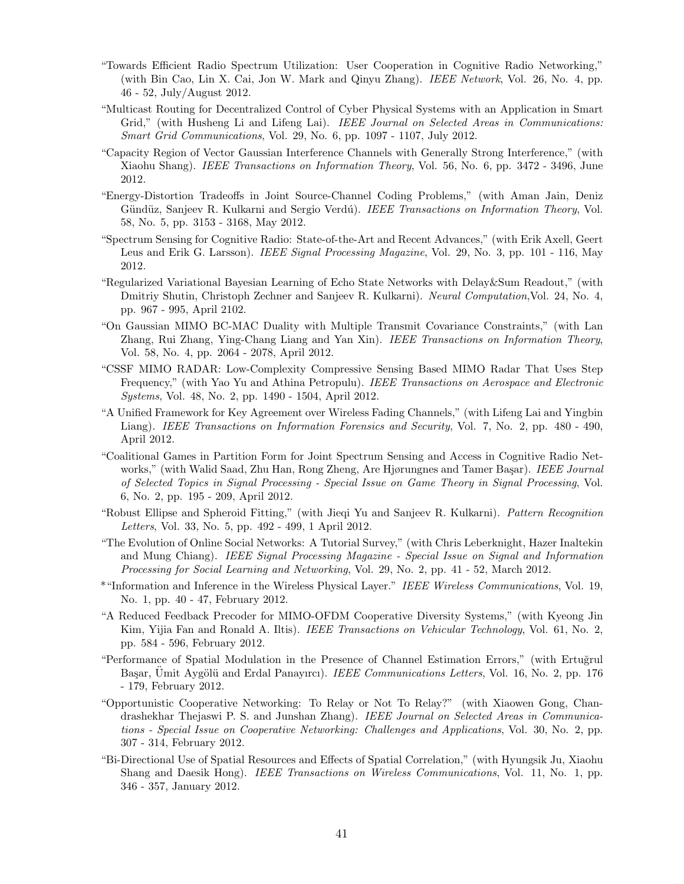- "Towards Efficient Radio Spectrum Utilization: User Cooperation in Cognitive Radio Networking," (with Bin Cao, Lin X. Cai, Jon W. Mark and Qinyu Zhang). IEEE Network, Vol. 26, No. 4, pp. 46 - 52, July/August 2012.
- "Multicast Routing for Decentralized Control of Cyber Physical Systems with an Application in Smart Grid," (with Husheng Li and Lifeng Lai). IEEE Journal on Selected Areas in Communications: Smart Grid Communications, Vol. 29, No. 6, pp. 1097 - 1107, July 2012.
- "Capacity Region of Vector Gaussian Interference Channels with Generally Strong Interference," (with Xiaohu Shang). IEEE Transactions on Information Theory, Vol. 56, No. 6, pp. 3472 - 3496, June 2012.
- "Energy-Distortion Tradeoffs in Joint Source-Channel Coding Problems," (with Aman Jain, Deniz Gündüz, Sanjeev R. Kulkarni and Sergio Verdú). IEEE Transactions on Information Theory, Vol. 58, No. 5, pp. 3153 - 3168, May 2012.
- "Spectrum Sensing for Cognitive Radio: State-of-the-Art and Recent Advances," (with Erik Axell, Geert Leus and Erik G. Larsson). *IEEE Signal Processing Magazine*, Vol. 29, No. 3, pp. 101 - 116, May 2012.
- "Regularized Variational Bayesian Learning of Echo State Networks with Delay&Sum Readout," (with Dmitriy Shutin, Christoph Zechner and Sanjeev R. Kulkarni). Neural Computation,Vol. 24, No. 4, pp. 967 - 995, April 2102.
- "On Gaussian MIMO BC-MAC Duality with Multiple Transmit Covariance Constraints," (with Lan Zhang, Rui Zhang, Ying-Chang Liang and Yan Xin). IEEE Transactions on Information Theory, Vol. 58, No. 4, pp. 2064 - 2078, April 2012.
- "CSSF MIMO RADAR: Low-Complexity Compressive Sensing Based MIMO Radar That Uses Step Frequency," (with Yao Yu and Athina Petropulu). IEEE Transactions on Aerospace and Electronic Systems, Vol. 48, No. 2, pp. 1490 - 1504, April 2012.
- "A Unified Framework for Key Agreement over Wireless Fading Channels," (with Lifeng Lai and Yingbin Liang). IEEE Transactions on Information Forensics and Security, Vol. 7, No. 2, pp. 480 - 490, April 2012.
- "Coalitional Games in Partition Form for Joint Spectrum Sensing and Access in Cognitive Radio Networks," (with Walid Saad, Zhu Han, Rong Zheng, Are Hjørungnes and Tamer Başar). IEEE Journal of Selected Topics in Signal Processing - Special Issue on Game Theory in Signal Processing, Vol. 6, No. 2, pp. 195 - 209, April 2012.
- "Robust Ellipse and Spheroid Fitting," (with Jieqi Yu and Sanjeev R. Kulkarni). Pattern Recognition Letters, Vol. 33, No. 5, pp. 492 - 499, 1 April 2012.
- "The Evolution of Online Social Networks: A Tutorial Survey," (with Chris Leberknight, Hazer Inaltekin and Mung Chiang). IEEE Signal Processing Magazine - Special Issue on Signal and Information Processing for Social Learning and Networking, Vol. 29, No. 2, pp. 41 - 52, March 2012.
- \*"Information and Inference in the Wireless Physical Layer." IEEE Wireless Communications, Vol. 19, No. 1, pp. 40 - 47, February 2012.
- "A Reduced Feedback Precoder for MIMO-OFDM Cooperative Diversity Systems," (with Kyeong Jin Kim, Yijia Fan and Ronald A. Iltis). IEEE Transactions on Vehicular Technology, Vol. 61, No. 2, pp. 584 - 596, February 2012.
- "Performance of Spatial Modulation in the Presence of Channel Estimation Errors," (with Ertuğrul Başar, Ümit Aygölü and Erdal Panayırcı). *IEEE Communications Letters*, Vol. 16, No. 2, pp. 176 - 179, February 2012.
- "Opportunistic Cooperative Networking: To Relay or Not To Relay?" (with Xiaowen Gong, Chandrashekhar Thejaswi P. S. and Junshan Zhang). IEEE Journal on Selected Areas in Communications - Special Issue on Cooperative Networking: Challenges and Applications, Vol. 30, No. 2, pp. 307 - 314, February 2012.
- "Bi-Directional Use of Spatial Resources and Effects of Spatial Correlation," (with Hyungsik Ju, Xiaohu Shang and Daesik Hong). *IEEE Transactions on Wireless Communications*, Vol. 11, No. 1, pp. 346 - 357, January 2012.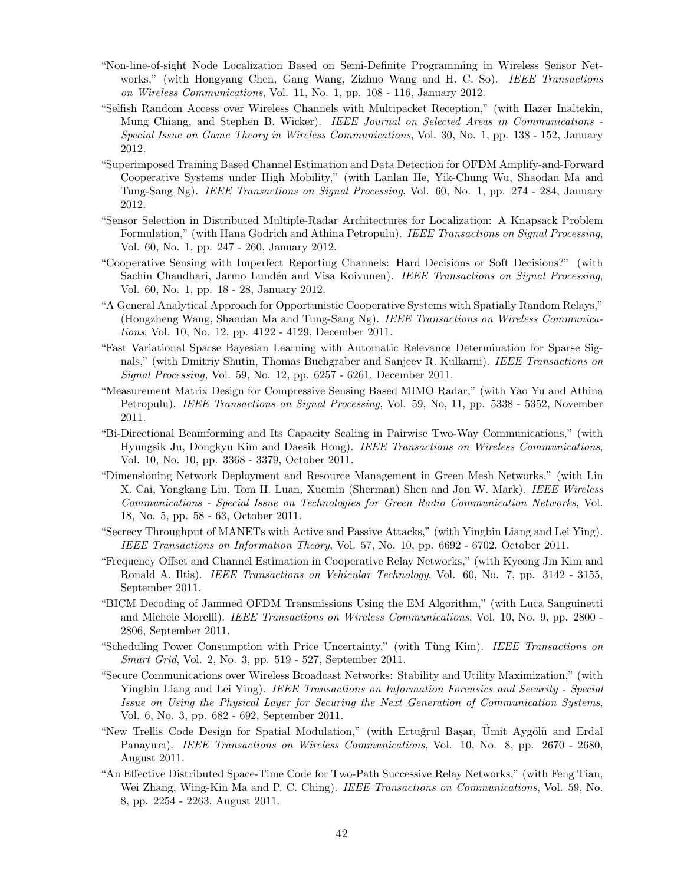- "Non-line-of-sight Node Localization Based on Semi-Definite Programming in Wireless Sensor Networks," (with Hongyang Chen, Gang Wang, Zizhuo Wang and H. C. So). IEEE Transactions on Wireless Communications, Vol. 11, No. 1, pp. 108 - 116, January 2012.
- "Selfish Random Access over Wireless Channels with Multipacket Reception," (with Hazer Inaltekin, Mung Chiang, and Stephen B. Wicker). IEEE Journal on Selected Areas in Communications -Special Issue on Game Theory in Wireless Communications, Vol. 30, No. 1, pp. 138 - 152, January 2012.
- "Superimposed Training Based Channel Estimation and Data Detection for OFDM Amplify-and-Forward Cooperative Systems under High Mobility," (with Lanlan He, Yik-Chung Wu, Shaodan Ma and Tung-Sang Ng). IEEE Transactions on Signal Processing, Vol. 60, No. 1, pp. 274 - 284, January 2012.
- "Sensor Selection in Distributed Multiple-Radar Architectures for Localization: A Knapsack Problem Formulation," (with Hana Godrich and Athina Petropulu). IEEE Transactions on Signal Processing, Vol. 60, No. 1, pp. 247 - 260, January 2012.
- "Cooperative Sensing with Imperfect Reporting Channels: Hard Decisions or Soft Decisions?" (with Sachin Chaudhari, Jarmo Lundén and Visa Koivunen). IEEE Transactions on Signal Processing, Vol. 60, No. 1, pp. 18 - 28, January 2012.
- "A General Analytical Approach for Opportunistic Cooperative Systems with Spatially Random Relays," (Hongzheng Wang, Shaodan Ma and Tung-Sang Ng). IEEE Transactions on Wireless Communications, Vol. 10, No. 12, pp. 4122 - 4129, December 2011.
- "Fast Variational Sparse Bayesian Learning with Automatic Relevance Determination for Sparse Signals," (with Dmitriy Shutin, Thomas Buchgraber and Sanjeev R. Kulkarni). IEEE Transactions on Signal Processing, Vol. 59, No. 12, pp. 6257 - 6261, December 2011.
- "Measurement Matrix Design for Compressive Sensing Based MIMO Radar," (with Yao Yu and Athina Petropulu). IEEE Transactions on Signal Processing, Vol. 59, No, 11, pp. 5338 - 5352, November 2011.
- "Bi-Directional Beamforming and Its Capacity Scaling in Pairwise Two-Way Communications," (with Hyungsik Ju, Dongkyu Kim and Daesik Hong). IEEE Transactions on Wireless Communications, Vol. 10, No. 10, pp. 3368 - 3379, October 2011.
- "Dimensioning Network Deployment and Resource Management in Green Mesh Networks," (with Lin X. Cai, Yongkang Liu, Tom H. Luan, Xuemin (Sherman) Shen and Jon W. Mark). IEEE Wireless Communications - Special Issue on Technologies for Green Radio Communication Networks, Vol. 18, No. 5, pp. 58 - 63, October 2011.
- "Secrecy Throughput of MANETs with Active and Passive Attacks," (with Yingbin Liang and Lei Ying). IEEE Transactions on Information Theory, Vol. 57, No. 10, pp. 6692 - 6702, October 2011.
- "Frequency Offset and Channel Estimation in Cooperative Relay Networks," (with Kyeong Jin Kim and Ronald A. Iltis). IEEE Transactions on Vehicular Technology, Vol. 60, No. 7, pp. 3142 - 3155, September 2011.
- "BICM Decoding of Jammed OFDM Transmissions Using the EM Algorithm," (with Luca Sanguinetti and Michele Morelli). *IEEE Transactions on Wireless Communications*, Vol. 10, No. 9, pp. 2800 -2806, September 2011.
- "Scheduling Power Consumption with Price Uncertainty," (with Tùng Kim). IEEE Transactions on Smart Grid, Vol. 2, No. 3, pp. 519 - 527, September 2011.
- "Secure Communications over Wireless Broadcast Networks: Stability and Utility Maximization," (with Yingbin Liang and Lei Ying). IEEE Transactions on Information Forensics and Security - Special Issue on Using the Physical Layer for Securing the Next Generation of Communication Systems, Vol. 6, No. 3, pp. 682 - 692, September 2011.
- "New Trellis Code Design for Spatial Modulation," (with Ertuğrul Başar, Ümit Aygölü and Erdal Panayırcı). IEEE Transactions on Wireless Communications, Vol. 10, No. 8, pp. 2670 - 2680, August 2011.
- "An Effective Distributed Space-Time Code for Two-Path Successive Relay Networks," (with Feng Tian, Wei Zhang, Wing-Kin Ma and P. C. Ching). IEEE Transactions on Communications, Vol. 59, No. 8, pp. 2254 - 2263, August 2011.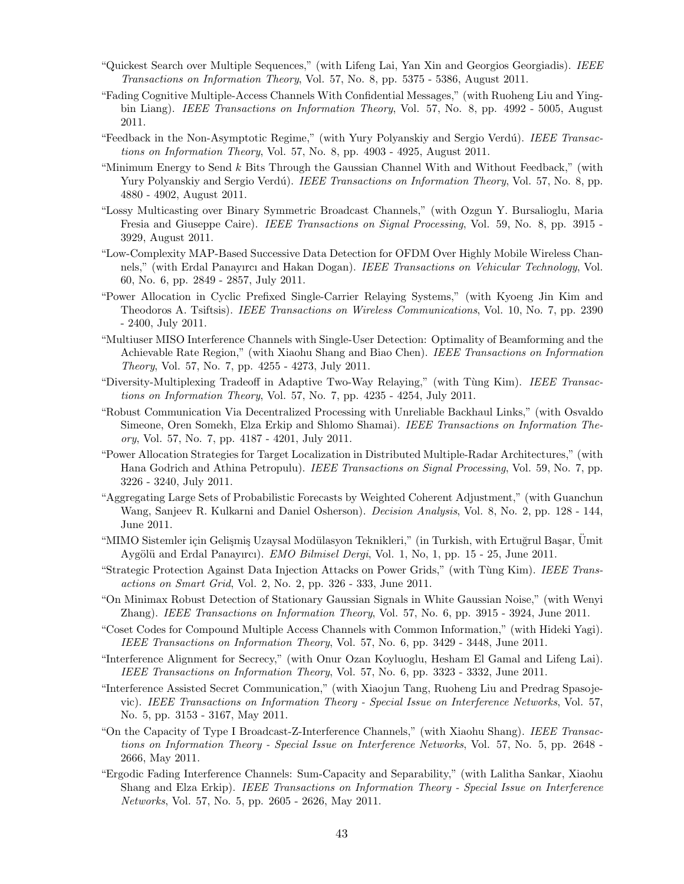- "Quickest Search over Multiple Sequences," (with Lifeng Lai, Yan Xin and Georgios Georgiadis). IEEE Transactions on Information Theory, Vol. 57, No. 8, pp. 5375 - 5386, August 2011.
- "Fading Cognitive Multiple-Access Channels With Confidential Messages," (with Ruoheng Liu and Yingbin Liang). *IEEE Transactions on Information Theory*, Vol. 57, No. 8, pp. 4992 - 5005, August 2011.
- "Feedback in the Non-Asymptotic Regime," (with Yury Polyanskiy and Sergio Verdú). IEEE Transactions on Information Theory, Vol. 57, No. 8, pp. 4903 - 4925, August 2011.
- "Minimum Energy to Send  $k$  Bits Through the Gaussian Channel With and Without Feedback," (with Yury Polyanskiy and Sergio Verdú). *IEEE Transactions on Information Theory*, Vol. 57, No. 8, pp. 4880 - 4902, August 2011.
- "Lossy Multicasting over Binary Symmetric Broadcast Channels," (with Ozgun Y. Bursalioglu, Maria Fresia and Giuseppe Caire). *IEEE Transactions on Signal Processing*, Vol. 59, No. 8, pp. 3915 -3929, August 2011.
- "Low-Complexity MAP-Based Successive Data Detection for OFDM Over Highly Mobile Wireless Channels," (with Erdal Panayırcı and Hakan Dogan). IEEE Transactions on Vehicular Technology, Vol. 60, No. 6, pp. 2849 - 2857, July 2011.
- "Power Allocation in Cyclic Prefixed Single-Carrier Relaying Systems," (with Kyoeng Jin Kim and Theodoros A. Tsiftsis). IEEE Transactions on Wireless Communications, Vol. 10, No. 7, pp. 2390 - 2400, July 2011.
- "Multiuser MISO Interference Channels with Single-User Detection: Optimality of Beamforming and the Achievable Rate Region," (with Xiaohu Shang and Biao Chen). IEEE Transactions on Information Theory, Vol. 57, No. 7, pp. 4255 - 4273, July 2011.
- "Diversity-Multiplexing Tradeoff in Adaptive Two-Way Relaying," (with Tùng Kim). IEEE Transactions on Information Theory, Vol. 57, No. 7, pp. 4235 - 4254, July 2011.
- "Robust Communication Via Decentralized Processing with Unreliable Backhaul Links," (with Osvaldo Simeone, Oren Somekh, Elza Erkip and Shlomo Shamai). IEEE Transactions on Information Theory, Vol. 57, No. 7, pp. 4187 - 4201, July 2011.
- "Power Allocation Strategies for Target Localization in Distributed Multiple-Radar Architectures," (with Hana Godrich and Athina Petropulu). IEEE Transactions on Signal Processing, Vol. 59, No. 7, pp. 3226 - 3240, July 2011.
- "Aggregating Large Sets of Probabilistic Forecasts by Weighted Coherent Adjustment," (with Guanchun Wang, Sanjeev R. Kulkarni and Daniel Osherson). *Decision Analysis*, Vol. 8, No. 2, pp. 128 - 144, June 2011.
- "MIMO Sistemler için Gelişmiş Uzaysal Modülasyon Teknikleri," (in Turkish, with Ertuğrul Başar, Ümit Aygölü and Erdal Panayırcı). EMO Bilmisel Dergi, Vol. 1, No, 1, pp. 15 - 25, June 2011.
- "Strategic Protection Against Data Injection Attacks on Power Grids," (with Tùng Kim). IEEE Transactions on Smart Grid, Vol. 2, No. 2, pp. 326 - 333, June 2011.
- "On Minimax Robust Detection of Stationary Gaussian Signals in White Gaussian Noise," (with Wenyi Zhang). IEEE Transactions on Information Theory, Vol. 57, No. 6, pp. 3915 - 3924, June 2011.
- "Coset Codes for Compound Multiple Access Channels with Common Information," (with Hideki Yagi). IEEE Transactions on Information Theory, Vol. 57, No. 6, pp. 3429 - 3448, June 2011.
- "Interference Alignment for Secrecy," (with Onur Ozan Koyluoglu, Hesham El Gamal and Lifeng Lai). IEEE Transactions on Information Theory, Vol. 57, No. 6, pp. 3323 - 3332, June 2011.
- "Interference Assisted Secret Communication," (with Xiaojun Tang, Ruoheng Liu and Predrag Spasojevic). IEEE Transactions on Information Theory - Special Issue on Interference Networks, Vol. 57, No. 5, pp. 3153 - 3167, May 2011.
- "On the Capacity of Type I Broadcast-Z-Interference Channels," (with Xiaohu Shang). IEEE Transactions on Information Theory - Special Issue on Interference Networks, Vol. 57, No. 5, pp. 2648 - 2666, May 2011.
- "Ergodic Fading Interference Channels: Sum-Capacity and Separability," (with Lalitha Sankar, Xiaohu Shang and Elza Erkip). IEEE Transactions on Information Theory - Special Issue on Interference Networks, Vol. 57, No. 5, pp. 2605 - 2626, May 2011.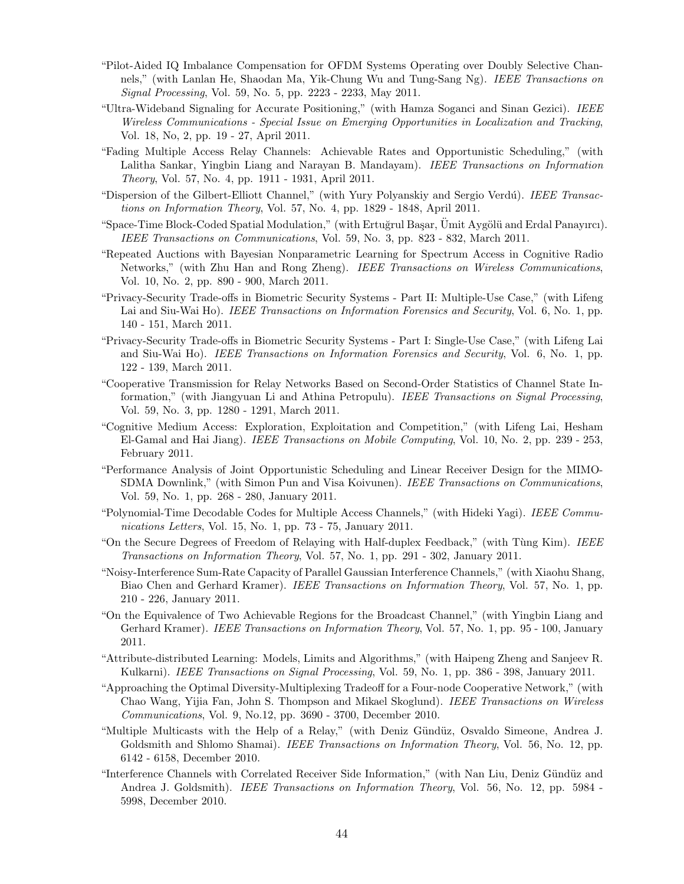- "Pilot-Aided IQ Imbalance Compensation for OFDM Systems Operating over Doubly Selective Channels," (with Lanlan He, Shaodan Ma, Yik-Chung Wu and Tung-Sang Ng). IEEE Transactions on Signal Processing, Vol. 59, No. 5, pp. 2223 - 2233, May 2011.
- "Ultra-Wideband Signaling for Accurate Positioning," (with Hamza Soganci and Sinan Gezici). IEEE Wireless Communications - Special Issue on Emerging Opportunities in Localization and Tracking, Vol. 18, No, 2, pp. 19 - 27, April 2011.
- "Fading Multiple Access Relay Channels: Achievable Rates and Opportunistic Scheduling," (with Lalitha Sankar, Yingbin Liang and Narayan B. Mandayam). IEEE Transactions on Information Theory, Vol. 57, No. 4, pp. 1911 - 1931, April 2011.
- "Dispersion of the Gilbert-Elliott Channel," (with Yury Polyanskiy and Sergio Verdú). IEEE Transactions on Information Theory, Vol. 57, No. 4, pp. 1829 - 1848, April 2011.
- "Space-Time Block-Coded Spatial Modulation," (with Ertuğrul Başar, Ümit Aygölü and Erdal Panayırcı). IEEE Transactions on Communications, Vol. 59, No. 3, pp. 823 - 832, March 2011.
- "Repeated Auctions with Bayesian Nonparametric Learning for Spectrum Access in Cognitive Radio Networks," (with Zhu Han and Rong Zheng). IEEE Transactions on Wireless Communications, Vol. 10, No. 2, pp. 890 - 900, March 2011.
- "Privacy-Security Trade-offs in Biometric Security Systems Part II: Multiple-Use Case," (with Lifeng Lai and Siu-Wai Ho). IEEE Transactions on Information Forensics and Security, Vol. 6, No. 1, pp. 140 - 151, March 2011.
- "Privacy-Security Trade-offs in Biometric Security Systems Part I: Single-Use Case," (with Lifeng Lai and Siu-Wai Ho). IEEE Transactions on Information Forensics and Security, Vol. 6, No. 1, pp. 122 - 139, March 2011.
- "Cooperative Transmission for Relay Networks Based on Second-Order Statistics of Channel State Information," (with Jiangyuan Li and Athina Petropulu). IEEE Transactions on Signal Processing, Vol. 59, No. 3, pp. 1280 - 1291, March 2011.
- "Cognitive Medium Access: Exploration, Exploitation and Competition," (with Lifeng Lai, Hesham El-Gamal and Hai Jiang). IEEE Transactions on Mobile Computing, Vol. 10, No. 2, pp. 239 - 253, February 2011.
- "Performance Analysis of Joint Opportunistic Scheduling and Linear Receiver Design for the MIMO-SDMA Downlink," (with Simon Pun and Visa Koivunen). IEEE Transactions on Communications, Vol. 59, No. 1, pp. 268 - 280, January 2011.
- "Polynomial-Time Decodable Codes for Multiple Access Channels," (with Hideki Yagi). IEEE Communications Letters, Vol. 15, No. 1, pp. 73 - 75, January 2011.
- "On the Secure Degrees of Freedom of Relaying with Half-duplex Feedback," (with Tùng Kim). IEEE Transactions on Information Theory, Vol. 57, No. 1, pp. 291 - 302, January 2011.
- "Noisy-Interference Sum-Rate Capacity of Parallel Gaussian Interference Channels," (with Xiaohu Shang, Biao Chen and Gerhard Kramer). IEEE Transactions on Information Theory, Vol. 57, No. 1, pp. 210 - 226, January 2011.
- "On the Equivalence of Two Achievable Regions for the Broadcast Channel," (with Yingbin Liang and Gerhard Kramer). IEEE Transactions on Information Theory, Vol. 57, No. 1, pp. 95 - 100, January 2011.
- "Attribute-distributed Learning: Models, Limits and Algorithms," (with Haipeng Zheng and Sanjeev R. Kulkarni). IEEE Transactions on Signal Processing, Vol. 59, No. 1, pp. 386 - 398, January 2011.
- "Approaching the Optimal Diversity-Multiplexing Tradeoff for a Four-node Cooperative Network," (with Chao Wang, Yijia Fan, John S. Thompson and Mikael Skoglund). IEEE Transactions on Wireless Communications, Vol. 9, No.12, pp. 3690 - 3700, December 2010.
- "Multiple Multicasts with the Help of a Relay," (with Deniz Gündüz, Osvaldo Simeone, Andrea J. Goldsmith and Shlomo Shamai). *IEEE Transactions on Information Theory*, Vol. 56, No. 12, pp. 6142 - 6158, December 2010.
- "Interference Channels with Correlated Receiver Side Information," (with Nan Liu, Deniz G¨und¨uz and Andrea J. Goldsmith). IEEE Transactions on Information Theory, Vol. 56, No. 12, pp. 5984 -5998, December 2010.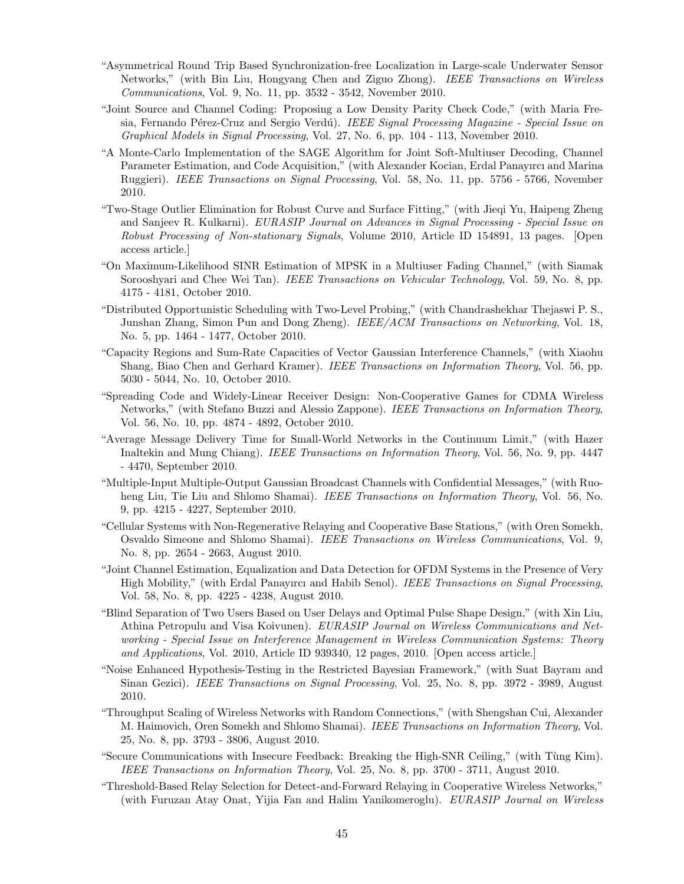- "Asymmetrical Round Trip Based Synchronization-free Localization in Large-scale Underwater Sensor Networks," (with Bin Liu, Hongyang Chen and Ziguo Zhong). IEEE Transactions on Wireless Communications, Vol. 9, No. 11, pp. 3532 - 3542, November 2010.
- "Joint Source and Channel Coding: Proposing a Low Density Parity Check Code," (with Maria Fresia, Fernando Pérez-Cruz and Sergio Verdú). IEEE Signal Processing Magazine - Special Issue on Graphical Models in Signal Processing, Vol. 27, No. 6, pp. 104 - 113, November 2010.
- "A Monte-Carlo Implementation of the SAGE Algorithm for Joint Soft-Multiuser Decoding, Channel Parameter Estimation, and Code Acquisition," (with Alexander Kocian, Erdal Panayırcı and Marina Ruggieri). IEEE Transactions on Signal Processing, Vol. 58, No. 11, pp. 5756 - 5766, November 2010.
- "Two-Stage Outlier Elimination for Robust Curve and Surface Fitting," (with Jieqi Yu, Haipeng Zheng and Sanjeev R. Kulkarni). EURASIP Journal on Advances in Signal Processing - Special Issue on Robust Processing of Non-stationary Signals, Volume 2010, Article ID 154891, 13 pages. [Open access article.]
- "On Maximum-Likelihood SINR Estimation of MPSK in a Multiuser Fading Channel," (with Siamak Sorooshyari and Chee Wei Tan). *IEEE Transactions on Vehicular Technology*, Vol. 59, No. 8, pp. 4175 - 4181, October 2010.
- "Distributed Opportunistic Scheduling with Two-Level Probing," (with Chandrashekhar Thejaswi P. S., Junshan Zhang, Simon Pun and Dong Zheng). IEEE/ACM Transactions on Networking, Vol. 18, No. 5, pp. 1464 - 1477, October 2010.
- "Capacity Regions and Sum-Rate Capacities of Vector Gaussian Interference Channels," (with Xiaohu Shang, Biao Chen and Gerhard Kramer). IEEE Transactions on Information Theory, Vol. 56, pp. 5030 - 5044, No. 10, October 2010.
- "Spreading Code and Widely-Linear Receiver Design: Non-Cooperative Games for CDMA Wireless Networks," (with Stefano Buzzi and Alessio Zappone). IEEE Transactions on Information Theory, Vol. 56, No. 10, pp. 4874 - 4892, October 2010.
- "Average Message Delivery Time for Small-World Networks in the Continuum Limit," (with Hazer Inaltekin and Mung Chiang). IEEE Transactions on Information Theory, Vol. 56, No. 9, pp. 4447 - 4470, September 2010.
- "Multiple-Input Multiple-Output Gaussian Broadcast Channels with Confidential Messages," (with Ruoheng Liu, Tie Liu and Shlomo Shamai). IEEE Transactions on Information Theory, Vol. 56, No. 9, pp. 4215 - 4227, September 2010.
- "Cellular Systems with Non-Regenerative Relaying and Cooperative Base Stations," (with Oren Somekh, Osvaldo Simeone and Shlomo Shamai). IEEE Transactions on Wireless Communications, Vol. 9, No. 8, pp. 2654 - 2663, August 2010.
- "Joint Channel Estimation, Equalization and Data Detection for OFDM Systems in the Presence of Very High Mobility," (with Erdal Panayırcı and Habib Senol). IEEE Transactions on Signal Processing, Vol. 58, No. 8, pp. 4225 - 4238, August 2010.
- "Blind Separation of Two Users Based on User Delays and Optimal Pulse Shape Design," (with Xin Liu, Athina Petropulu and Visa Koivunen). EURASIP Journal on Wireless Communications and Networking - Special Issue on Interference Management in Wireless Communication Systems: Theory and Applications, Vol. 2010, Article ID 939340, 12 pages, 2010. [Open access article.]
- "Noise Enhanced Hypothesis-Testing in the Restricted Bayesian Framework," (with Suat Bayram and Sinan Gezici). *IEEE Transactions on Signal Processing*, Vol. 25, No. 8, pp. 3972 - 3989, August 2010.
- "Throughput Scaling of Wireless Networks with Random Connections," (with Shengshan Cui, Alexander M. Haimovich, Oren Somekh and Shlomo Shamai). IEEE Transactions on Information Theory, Vol. 25, No. 8, pp. 3793 - 3806, August 2010.
- "Secure Communications with Insecure Feedback: Breaking the High-SNR Ceiling," (with T`ung Kim). IEEE Transactions on Information Theory, Vol. 25, No. 8, pp. 3700 - 3711, August 2010.
- "Threshold-Based Relay Selection for Detect-and-Forward Relaying in Cooperative Wireless Networks," (with Furuzan Atay Onat, Yijia Fan and Halim Yanikomeroglu). EURASIP Journal on Wireless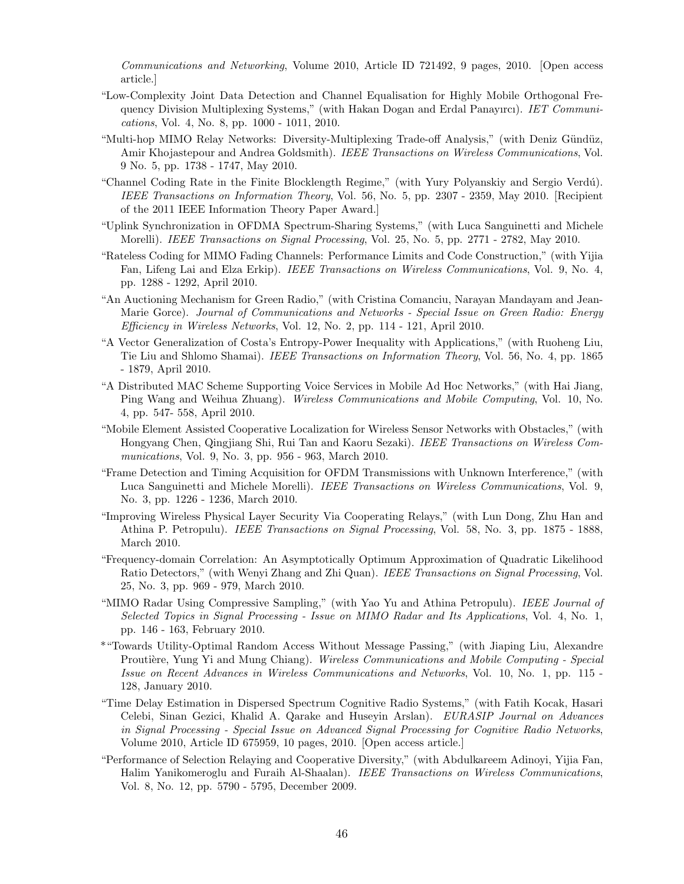Communications and Networking, Volume 2010, Article ID 721492, 9 pages, 2010. [Open access article.]

- "Low-Complexity Joint Data Detection and Channel Equalisation for Highly Mobile Orthogonal Frequency Division Multiplexing Systems," (with Hakan Dogan and Erdal Panayırcı). IET Communications, Vol. 4, No. 8, pp. 1000 - 1011, 2010.
- "Multi-hop MIMO Relay Networks: Diversity-Multiplexing Trade-off Analysis," (with Deniz Gündüz, Amir Khojastepour and Andrea Goldsmith). IEEE Transactions on Wireless Communications, Vol. 9 No. 5, pp. 1738 - 1747, May 2010.
- "Channel Coding Rate in the Finite Blocklength Regime," (with Yury Polyanskiy and Sergio Verdú). IEEE Transactions on Information Theory, Vol. 56, No. 5, pp. 2307 - 2359, May 2010. [Recipient of the 2011 IEEE Information Theory Paper Award.]
- "Uplink Synchronization in OFDMA Spectrum-Sharing Systems," (with Luca Sanguinetti and Michele Morelli). IEEE Transactions on Signal Processing, Vol. 25, No. 5, pp. 2771 - 2782, May 2010.
- "Rateless Coding for MIMO Fading Channels: Performance Limits and Code Construction," (with Yijia Fan, Lifeng Lai and Elza Erkip). IEEE Transactions on Wireless Communications, Vol. 9, No. 4, pp. 1288 - 1292, April 2010.
- "An Auctioning Mechanism for Green Radio," (with Cristina Comanciu, Narayan Mandayam and Jean-Marie Gorce). Journal of Communications and Networks - Special Issue on Green Radio: Energy Efficiency in Wireless Networks, Vol. 12, No. 2, pp. 114 - 121, April 2010.
- "A Vector Generalization of Costa's Entropy-Power Inequality with Applications," (with Ruoheng Liu, Tie Liu and Shlomo Shamai). IEEE Transactions on Information Theory, Vol. 56, No. 4, pp. 1865 - 1879, April 2010.
- "A Distributed MAC Scheme Supporting Voice Services in Mobile Ad Hoc Networks," (with Hai Jiang, Ping Wang and Weihua Zhuang). Wireless Communications and Mobile Computing, Vol. 10, No. 4, pp. 547- 558, April 2010.
- "Mobile Element Assisted Cooperative Localization for Wireless Sensor Networks with Obstacles," (with Hongyang Chen, Qingjiang Shi, Rui Tan and Kaoru Sezaki). IEEE Transactions on Wireless Communications, Vol. 9, No. 3, pp. 956 - 963, March 2010.
- "Frame Detection and Timing Acquisition for OFDM Transmissions with Unknown Interference," (with Luca Sanguinetti and Michele Morelli). IEEE Transactions on Wireless Communications, Vol. 9, No. 3, pp. 1226 - 1236, March 2010.
- "Improving Wireless Physical Layer Security Via Cooperating Relays," (with Lun Dong, Zhu Han and Athina P. Petropulu). IEEE Transactions on Signal Processing, Vol. 58, No. 3, pp. 1875 - 1888, March 2010.
- "Frequency-domain Correlation: An Asymptotically Optimum Approximation of Quadratic Likelihood Ratio Detectors," (with Wenyi Zhang and Zhi Quan). IEEE Transactions on Signal Processing, Vol. 25, No. 3, pp. 969 - 979, March 2010.
- "MIMO Radar Using Compressive Sampling," (with Yao Yu and Athina Petropulu). IEEE Journal of Selected Topics in Signal Processing - Issue on MIMO Radar and Its Applications, Vol. 4, No. 1, pp. 146 - 163, February 2010.
- \*"Towards Utility-Optimal Random Access Without Message Passing," (with Jiaping Liu, Alexandre Proutière, Yung Yi and Mung Chiang). Wireless Communications and Mobile Computing - Special Issue on Recent Advances in Wireless Communications and Networks, Vol. 10, No. 1, pp. 115 - 128, January 2010.
- "Time Delay Estimation in Dispersed Spectrum Cognitive Radio Systems," (with Fatih Kocak, Hasari Celebi, Sinan Gezici, Khalid A. Qarake and Huseyin Arslan). EURASIP Journal on Advances in Signal Processing - Special Issue on Advanced Signal Processing for Cognitive Radio Networks, Volume 2010, Article ID 675959, 10 pages, 2010. [Open access article.]
- "Performance of Selection Relaying and Cooperative Diversity," (with Abdulkareem Adinoyi, Yijia Fan, Halim Yanikomeroglu and Furaih Al-Shaalan). IEEE Transactions on Wireless Communications, Vol. 8, No. 12, pp. 5790 - 5795, December 2009.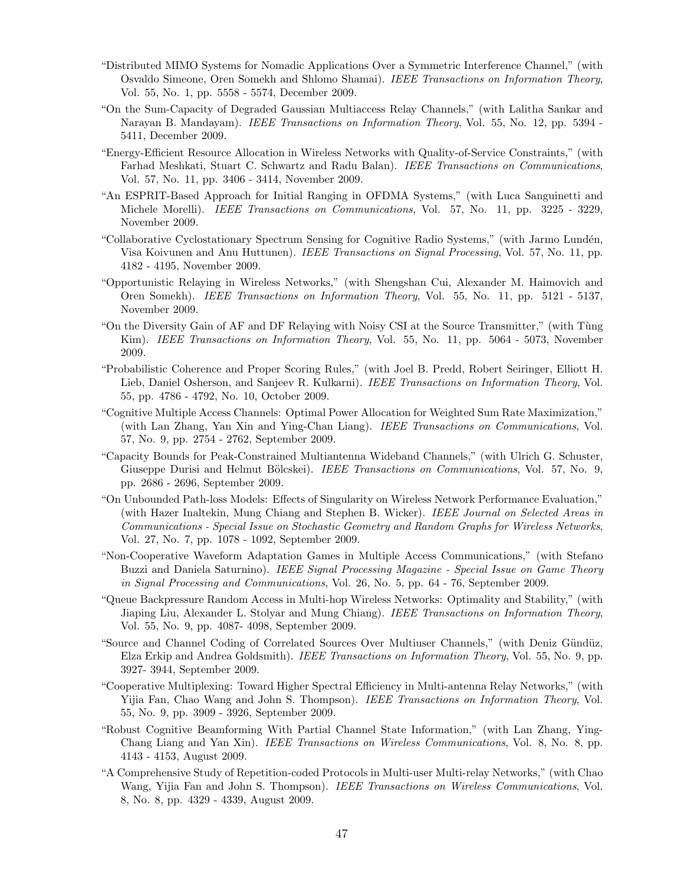- "Distributed MIMO Systems for Nomadic Applications Over a Symmetric Interference Channel," (with Osvaldo Simeone, Oren Somekh and Shlomo Shamai). IEEE Transactions on Information Theory, Vol. 55, No. 1, pp. 5558 - 5574, December 2009.
- "On the Sum-Capacity of Degraded Gaussian Multiaccess Relay Channels," (with Lalitha Sankar and Narayan B. Mandayam). *IEEE Transactions on Information Theory*, Vol. 55, No. 12, pp. 5394 -5411, December 2009.
- "Energy-Efficient Resource Allocation in Wireless Networks with Quality-of-Service Constraints," (with Farhad Meshkati, Stuart C. Schwartz and Radu Balan). IEEE Transactions on Communications, Vol. 57, No. 11, pp. 3406 - 3414, November 2009.
- "An ESPRIT-Based Approach for Initial Ranging in OFDMA Systems," (with Luca Sanguinetti and Michele Morelli). IEEE Transactions on Communications, Vol. 57, No. 11, pp. 3225 - 3229, November 2009.
- "Collaborative Cyclostationary Spectrum Sensing for Cognitive Radio Systems," (with Jarmo Lundén, Visa Koivunen and Anu Huttunen). IEEE Transactions on Signal Processing, Vol. 57, No. 11, pp. 4182 - 4195, November 2009.
- "Opportunistic Relaying in Wireless Networks," (with Shengshan Cui, Alexander M. Haimovich and Oren Somekh). IEEE Transactions on Information Theory, Vol. 55, No. 11, pp. 5121 - 5137, November 2009.
- "On the Diversity Gain of AF and DF Relaying with Noisy CSI at the Source Transmitter," (with T`ung Kim). IEEE Transactions on Information Theory, Vol. 55, No. 11, pp. 5064 - 5073, November 2009.
- "Probabilistic Coherence and Proper Scoring Rules," (with Joel B. Predd, Robert Seiringer, Elliott H. Lieb, Daniel Osherson, and Sanjeev R. Kulkarni). IEEE Transactions on Information Theory, Vol. 55, pp. 4786 - 4792, No. 10, October 2009.
- "Cognitive Multiple Access Channels: Optimal Power Allocation for Weighted Sum Rate Maximization," (with Lan Zhang, Yan Xin and Ying-Chan Liang). IEEE Transactions on Communications, Vol. 57, No. 9, pp. 2754 - 2762, September 2009.
- "Capacity Bounds for Peak-Constrained Multiantenna Wideband Channels," (with Ulrich G. Schuster, Giuseppe Durisi and Helmut Bölcskei). IEEE Transactions on Communications, Vol. 57, No. 9, pp. 2686 - 2696, September 2009.
- "On Unbounded Path-loss Models: Effects of Singularity on Wireless Network Performance Evaluation," (with Hazer Inaltekin, Mung Chiang and Stephen B. Wicker). IEEE Journal on Selected Areas in Communications - Special Issue on Stochastic Geometry and Random Graphs for Wireless Networks, Vol. 27, No. 7, pp. 1078 - 1092, September 2009.
- "Non-Cooperative Waveform Adaptation Games in Multiple Access Communications," (with Stefano Buzzi and Daniela Saturnino). IEEE Signal Processing Magazine - Special Issue on Game Theory in Signal Processing and Communications, Vol. 26, No. 5, pp. 64 - 76, September 2009.
- "Queue Backpressure Random Access in Multi-hop Wireless Networks: Optimality and Stability," (with Jiaping Liu, Alexander L. Stolyar and Mung Chiang). IEEE Transactions on Information Theory, Vol. 55, No. 9, pp. 4087- 4098, September 2009.
- "Source and Channel Coding of Correlated Sources Over Multiuser Channels," (with Deniz Gündüz, Elza Erkip and Andrea Goldsmith). IEEE Transactions on Information Theory, Vol. 55, No. 9, pp. 3927- 3944, September 2009.
- "Cooperative Multiplexing: Toward Higher Spectral Efficiency in Multi-antenna Relay Networks," (with Yijia Fan, Chao Wang and John S. Thompson). IEEE Transactions on Information Theory, Vol. 55, No. 9, pp. 3909 - 3926, September 2009.
- "Robust Cognitive Beamforming With Partial Channel State Information," (with Lan Zhang, Ying-Chang Liang and Yan Xin). IEEE Transactions on Wireless Communications, Vol. 8, No. 8, pp. 4143 - 4153, August 2009.
- "A Comprehensive Study of Repetition-coded Protocols in Multi-user Multi-relay Networks," (with Chao Wang, Yijia Fan and John S. Thompson). IEEE Transactions on Wireless Communications, Vol. 8, No. 8, pp. 4329 - 4339, August 2009.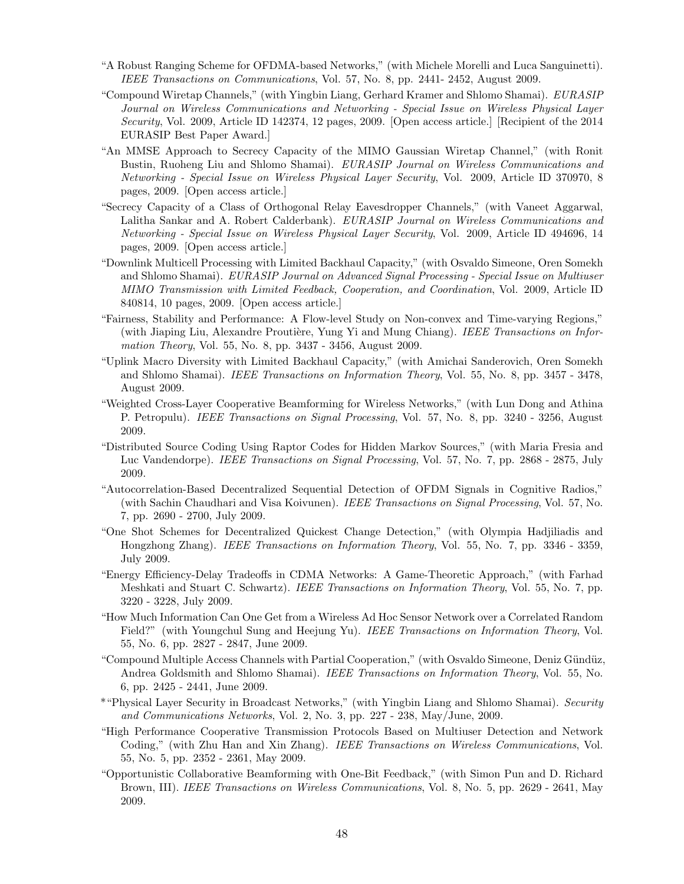- "A Robust Ranging Scheme for OFDMA-based Networks," (with Michele Morelli and Luca Sanguinetti). IEEE Transactions on Communications, Vol. 57, No. 8, pp. 2441- 2452, August 2009.
- "Compound Wiretap Channels," (with Yingbin Liang, Gerhard Kramer and Shlomo Shamai). EURASIP Journal on Wireless Communications and Networking - Special Issue on Wireless Physical Layer Security, Vol. 2009, Article ID 142374, 12 pages, 2009. [Open access article.] [Recipient of the 2014 EURASIP Best Paper Award.]
- "An MMSE Approach to Secrecy Capacity of the MIMO Gaussian Wiretap Channel," (with Ronit Bustin, Ruoheng Liu and Shlomo Shamai). EURASIP Journal on Wireless Communications and Networking - Special Issue on Wireless Physical Layer Security, Vol. 2009, Article ID 370970, 8 pages, 2009. [Open access article.]
- "Secrecy Capacity of a Class of Orthogonal Relay Eavesdropper Channels," (with Vaneet Aggarwal, Lalitha Sankar and A. Robert Calderbank). EURASIP Journal on Wireless Communications and Networking - Special Issue on Wireless Physical Layer Security, Vol. 2009, Article ID 494696, 14 pages, 2009. [Open access article.]
- "Downlink Multicell Processing with Limited Backhaul Capacity," (with Osvaldo Simeone, Oren Somekh and Shlomo Shamai). EURASIP Journal on Advanced Signal Processing - Special Issue on Multiuser MIMO Transmission with Limited Feedback, Cooperation, and Coordination, Vol. 2009, Article ID 840814, 10 pages, 2009. [Open access article.]
- "Fairness, Stability and Performance: A Flow-level Study on Non-convex and Time-varying Regions," (with Jiaping Liu, Alexandre Proutière, Yung Yi and Mung Chiang). IEEE Transactions on Information Theory, Vol. 55, No. 8, pp. 3437 - 3456, August 2009.
- "Uplink Macro Diversity with Limited Backhaul Capacity," (with Amichai Sanderovich, Oren Somekh and Shlomo Shamai). IEEE Transactions on Information Theory, Vol. 55, No. 8, pp. 3457 - 3478, August 2009.
- "Weighted Cross-Layer Cooperative Beamforming for Wireless Networks," (with Lun Dong and Athina P. Petropulu). IEEE Transactions on Signal Processing, Vol. 57, No. 8, pp. 3240 - 3256, August 2009.
- "Distributed Source Coding Using Raptor Codes for Hidden Markov Sources," (with Maria Fresia and Luc Vandendorpe). IEEE Transactions on Signal Processing, Vol. 57, No. 7, pp. 2868 - 2875, July 2009.
- "Autocorrelation-Based Decentralized Sequential Detection of OFDM Signals in Cognitive Radios," (with Sachin Chaudhari and Visa Koivunen). IEEE Transactions on Signal Processing, Vol. 57, No. 7, pp. 2690 - 2700, July 2009.
- "One Shot Schemes for Decentralized Quickest Change Detection," (with Olympia Hadjiliadis and Hongzhong Zhang). IEEE Transactions on Information Theory, Vol. 55, No. 7, pp. 3346 - 3359, July 2009.
- "Energy Efficiency-Delay Tradeoffs in CDMA Networks: A Game-Theoretic Approach," (with Farhad Meshkati and Stuart C. Schwartz). IEEE Transactions on Information Theory, Vol. 55, No. 7, pp. 3220 - 3228, July 2009.
- "How Much Information Can One Get from a Wireless Ad Hoc Sensor Network over a Correlated Random Field?" (with Youngchul Sung and Heejung Yu). IEEE Transactions on Information Theory, Vol. 55, No. 6, pp. 2827 - 2847, June 2009.
- "Compound Multiple Access Channels with Partial Cooperation," (with Osvaldo Simeone, Deniz G¨und¨uz, Andrea Goldsmith and Shlomo Shamai). IEEE Transactions on Information Theory, Vol. 55, No. 6, pp. 2425 - 2441, June 2009.
- \*"Physical Layer Security in Broadcast Networks," (with Yingbin Liang and Shlomo Shamai). Security and Communications Networks, Vol. 2, No. 3, pp. 227 - 238, May/June, 2009.
- "High Performance Cooperative Transmission Protocols Based on Multiuser Detection and Network Coding," (with Zhu Han and Xin Zhang). IEEE Transactions on Wireless Communications, Vol. 55, No. 5, pp. 2352 - 2361, May 2009.
- "Opportunistic Collaborative Beamforming with One-Bit Feedback," (with Simon Pun and D. Richard Brown, III). *IEEE Transactions on Wireless Communications*, Vol. 8, No. 5, pp. 2629 - 2641, May 2009.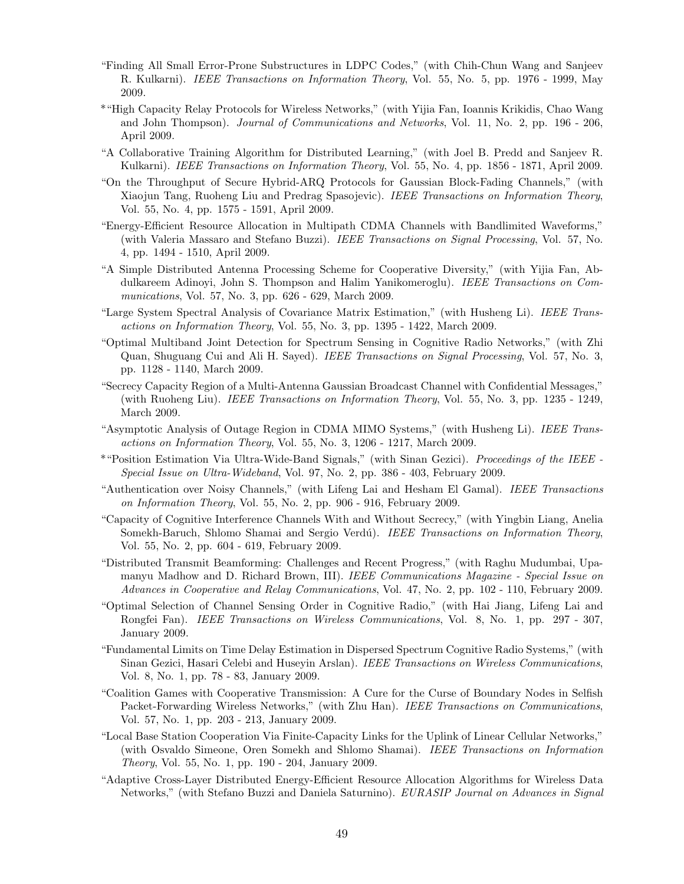- "Finding All Small Error-Prone Substructures in LDPC Codes," (with Chih-Chun Wang and Sanjeev R. Kulkarni). IEEE Transactions on Information Theory, Vol. 55, No. 5, pp. 1976 - 1999, May 2009.
- \*"High Capacity Relay Protocols for Wireless Networks," (with Yijia Fan, Ioannis Krikidis, Chao Wang and John Thompson). Journal of Communications and Networks, Vol. 11, No. 2, pp. 196 - 206, April 2009.
- "A Collaborative Training Algorithm for Distributed Learning," (with Joel B. Predd and Sanjeev R. Kulkarni). IEEE Transactions on Information Theory, Vol. 55, No. 4, pp. 1856 - 1871, April 2009.
- "On the Throughput of Secure Hybrid-ARQ Protocols for Gaussian Block-Fading Channels," (with Xiaojun Tang, Ruoheng Liu and Predrag Spasojevic). IEEE Transactions on Information Theory, Vol. 55, No. 4, pp. 1575 - 1591, April 2009.
- "Energy-Efficient Resource Allocation in Multipath CDMA Channels with Bandlimited Waveforms," (with Valeria Massaro and Stefano Buzzi). IEEE Transactions on Signal Processing, Vol. 57, No. 4, pp. 1494 - 1510, April 2009.
- "A Simple Distributed Antenna Processing Scheme for Cooperative Diversity," (with Yijia Fan, Abdulkareem Adinoyi, John S. Thompson and Halim Yanikomeroglu). IEEE Transactions on Communications, Vol. 57, No. 3, pp. 626 - 629, March 2009.
- "Large System Spectral Analysis of Covariance Matrix Estimation," (with Husheng Li). IEEE Transactions on Information Theory, Vol. 55, No. 3, pp. 1395 - 1422, March 2009.
- "Optimal Multiband Joint Detection for Spectrum Sensing in Cognitive Radio Networks," (with Zhi Quan, Shuguang Cui and Ali H. Sayed). IEEE Transactions on Signal Processing, Vol. 57, No. 3, pp. 1128 - 1140, March 2009.
- "Secrecy Capacity Region of a Multi-Antenna Gaussian Broadcast Channel with Confidential Messages," (with Ruoheng Liu). IEEE Transactions on Information Theory, Vol. 55, No. 3, pp. 1235 - 1249, March 2009.
- "Asymptotic Analysis of Outage Region in CDMA MIMO Systems," (with Husheng Li). IEEE Transactions on Information Theory, Vol. 55, No. 3, 1206 - 1217, March 2009.
- \*"Position Estimation Via Ultra-Wide-Band Signals," (with Sinan Gezici). Proceedings of the IEEE Special Issue on Ultra-Wideband, Vol. 97, No. 2, pp. 386 - 403, February 2009.
- "Authentication over Noisy Channels," (with Lifeng Lai and Hesham El Gamal). IEEE Transactions on Information Theory, Vol. 55, No. 2, pp. 906 - 916, February 2009.
- "Capacity of Cognitive Interference Channels With and Without Secrecy," (with Yingbin Liang, Anelia Somekh-Baruch, Shlomo Shamai and Sergio Verdú). IEEE Transactions on Information Theory, Vol. 55, No. 2, pp. 604 - 619, February 2009.
- "Distributed Transmit Beamforming: Challenges and Recent Progress," (with Raghu Mudumbai, Upamanyu Madhow and D. Richard Brown, III). IEEE Communications Magazine - Special Issue on Advances in Cooperative and Relay Communications, Vol. 47, No. 2, pp. 102 - 110, February 2009.
- "Optimal Selection of Channel Sensing Order in Cognitive Radio," (with Hai Jiang, Lifeng Lai and Rongfei Fan). IEEE Transactions on Wireless Communications, Vol. 8, No. 1, pp. 297 - 307, January 2009.
- "Fundamental Limits on Time Delay Estimation in Dispersed Spectrum Cognitive Radio Systems," (with Sinan Gezici, Hasari Celebi and Huseyin Arslan). IEEE Transactions on Wireless Communications, Vol. 8, No. 1, pp. 78 - 83, January 2009.
- "Coalition Games with Cooperative Transmission: A Cure for the Curse of Boundary Nodes in Selfish Packet-Forwarding Wireless Networks," (with Zhu Han). IEEE Transactions on Communications, Vol. 57, No. 1, pp. 203 - 213, January 2009.
- "Local Base Station Cooperation Via Finite-Capacity Links for the Uplink of Linear Cellular Networks," (with Osvaldo Simeone, Oren Somekh and Shlomo Shamai). IEEE Transactions on Information Theory, Vol. 55, No. 1, pp. 190 - 204, January 2009.
- "Adaptive Cross-Layer Distributed Energy-Efficient Resource Allocation Algorithms for Wireless Data Networks," (with Stefano Buzzi and Daniela Saturnino). EURASIP Journal on Advances in Signal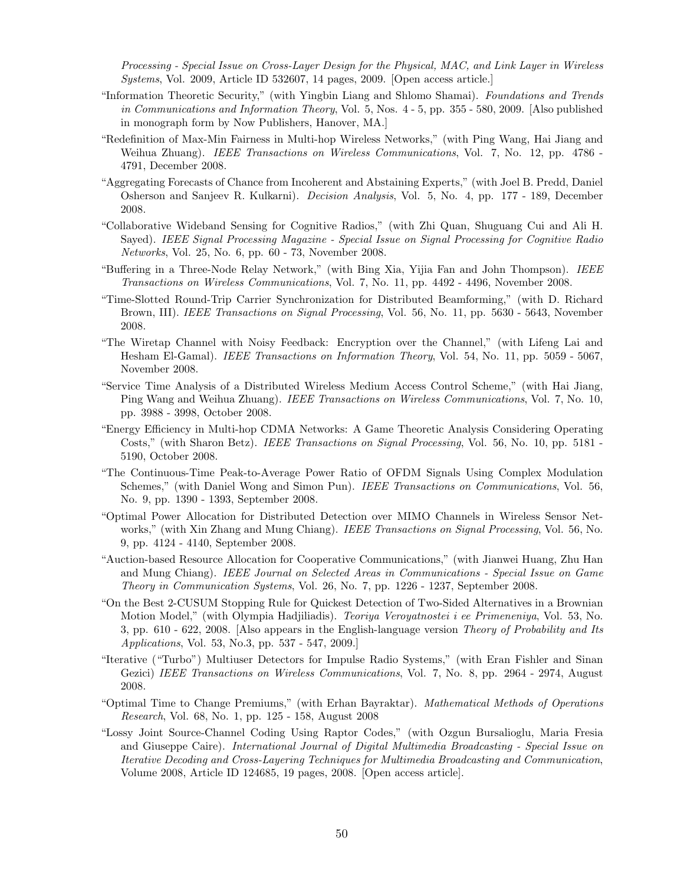Processing - Special Issue on Cross-Layer Design for the Physical, MAC, and Link Layer in Wireless Systems, Vol. 2009, Article ID 532607, 14 pages, 2009. [Open access article.]

- "Information Theoretic Security," (with Yingbin Liang and Shlomo Shamai). Foundations and Trends in Communications and Information Theory, Vol. 5, Nos. 4 - 5, pp. 355 - 580, 2009. [Also published in monograph form by Now Publishers, Hanover, MA.]
- "Redefinition of Max-Min Fairness in Multi-hop Wireless Networks," (with Ping Wang, Hai Jiang and Weihua Zhuang). *IEEE Transactions on Wireless Communications*, Vol. 7, No. 12, pp. 4786 -4791, December 2008.
- "Aggregating Forecasts of Chance from Incoherent and Abstaining Experts," (with Joel B. Predd, Daniel Osherson and Sanjeev R. Kulkarni). Decision Analysis, Vol. 5, No. 4, pp. 177 - 189, December 2008.
- "Collaborative Wideband Sensing for Cognitive Radios," (with Zhi Quan, Shuguang Cui and Ali H. Sayed). IEEE Signal Processing Magazine - Special Issue on Signal Processing for Cognitive Radio Networks, Vol. 25, No. 6, pp. 60 - 73, November 2008.
- "Buffering in a Three-Node Relay Network," (with Bing Xia, Yijia Fan and John Thompson). IEEE Transactions on Wireless Communications, Vol. 7, No. 11, pp. 4492 - 4496, November 2008.
- "Time-Slotted Round-Trip Carrier Synchronization for Distributed Beamforming," (with D. Richard Brown, III). IEEE Transactions on Signal Processing, Vol. 56, No. 11, pp. 5630 - 5643, November 2008.
- "The Wiretap Channel with Noisy Feedback: Encryption over the Channel," (with Lifeng Lai and Hesham El-Gamal). IEEE Transactions on Information Theory, Vol. 54, No. 11, pp. 5059 - 5067, November 2008.
- "Service Time Analysis of a Distributed Wireless Medium Access Control Scheme," (with Hai Jiang, Ping Wang and Weihua Zhuang). IEEE Transactions on Wireless Communications, Vol. 7, No. 10, pp. 3988 - 3998, October 2008.
- "Energy Efficiency in Multi-hop CDMA Networks: A Game Theoretic Analysis Considering Operating Costs," (with Sharon Betz). IEEE Transactions on Signal Processing, Vol. 56, No. 10, pp. 5181 - 5190, October 2008.
- "The Continuous-Time Peak-to-Average Power Ratio of OFDM Signals Using Complex Modulation Schemes," (with Daniel Wong and Simon Pun). IEEE Transactions on Communications, Vol. 56, No. 9, pp. 1390 - 1393, September 2008.
- "Optimal Power Allocation for Distributed Detection over MIMO Channels in Wireless Sensor Networks," (with Xin Zhang and Mung Chiang). IEEE Transactions on Signal Processing, Vol. 56, No. 9, pp. 4124 - 4140, September 2008.
- "Auction-based Resource Allocation for Cooperative Communications," (with Jianwei Huang, Zhu Han and Mung Chiang). IEEE Journal on Selected Areas in Communications - Special Issue on Game Theory in Communication Systems, Vol. 26, No. 7, pp. 1226 - 1237, September 2008.
- "On the Best 2-CUSUM Stopping Rule for Quickest Detection of Two-Sided Alternatives in a Brownian Motion Model," (with Olympia Hadjiliadis). *Teoriya Veroyatnostei i ee Primeneniya*, Vol. 53, No. 3, pp. 610 - 622, 2008. [Also appears in the English-language version Theory of Probability and Its Applications, Vol. 53, No.3, pp. 537 - 547, 2009.]
- "Iterative ("Turbo") Multiuser Detectors for Impulse Radio Systems," (with Eran Fishler and Sinan Gezici) IEEE Transactions on Wireless Communications, Vol. 7, No. 8, pp. 2964 - 2974, August 2008.
- "Optimal Time to Change Premiums," (with Erhan Bayraktar). Mathematical Methods of Operations Research, Vol. 68, No. 1, pp. 125 - 158, August 2008
- "Lossy Joint Source-Channel Coding Using Raptor Codes," (with Ozgun Bursalioglu, Maria Fresia and Giuseppe Caire). International Journal of Digital Multimedia Broadcasting - Special Issue on Iterative Decoding and Cross-Layering Techniques for Multimedia Broadcasting and Communication, Volume 2008, Article ID 124685, 19 pages, 2008. [Open access article].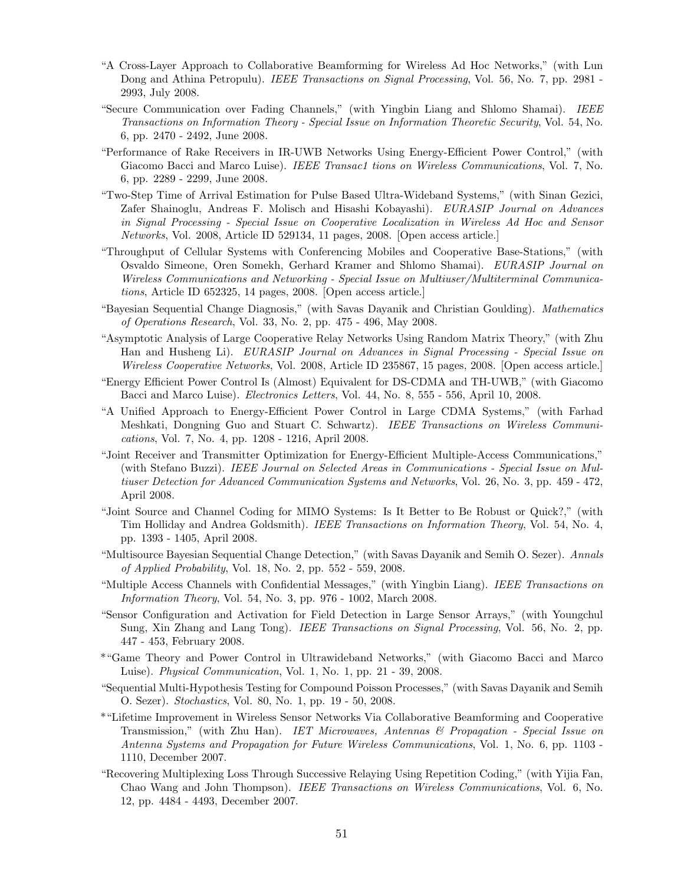- "A Cross-Layer Approach to Collaborative Beamforming for Wireless Ad Hoc Networks," (with Lun Dong and Athina Petropulu). *IEEE Transactions on Signal Processing*, Vol. 56, No. 7, pp. 2981 -2993, July 2008.
- "Secure Communication over Fading Channels," (with Yingbin Liang and Shlomo Shamai). IEEE Transactions on Information Theory - Special Issue on Information Theoretic Security, Vol. 54, No. 6, pp. 2470 - 2492, June 2008.
- "Performance of Rake Receivers in IR-UWB Networks Using Energy-Efficient Power Control," (with Giacomo Bacci and Marco Luise). IEEE Transac1 tions on Wireless Communications, Vol. 7, No. 6, pp. 2289 - 2299, June 2008.
- "Two-Step Time of Arrival Estimation for Pulse Based Ultra-Wideband Systems," (with Sinan Gezici, Zafer Shainoglu, Andreas F. Molisch and Hisashi Kobayashi). EURASIP Journal on Advances in Signal Processing - Special Issue on Cooperative Localization in Wireless Ad Hoc and Sensor Networks, Vol. 2008, Article ID 529134, 11 pages, 2008. [Open access article.]
- "Throughput of Cellular Systems with Conferencing Mobiles and Cooperative Base-Stations," (with Osvaldo Simeone, Oren Somekh, Gerhard Kramer and Shlomo Shamai). EURASIP Journal on Wireless Communications and Networking - Special Issue on Multiuser/Multiterminal Communications, Article ID 652325, 14 pages, 2008. [Open access article.]
- "Bayesian Sequential Change Diagnosis," (with Savas Dayanik and Christian Goulding). Mathematics of Operations Research, Vol. 33, No. 2, pp. 475 - 496, May 2008.
- "Asymptotic Analysis of Large Cooperative Relay Networks Using Random Matrix Theory," (with Zhu Han and Husheng Li). EURASIP Journal on Advances in Signal Processing - Special Issue on Wireless Cooperative Networks, Vol. 2008, Article ID 235867, 15 pages, 2008. [Open access article.]
- "Energy Efficient Power Control Is (Almost) Equivalent for DS-CDMA and TH-UWB," (with Giacomo Bacci and Marco Luise). Electronics Letters, Vol. 44, No. 8, 555 - 556, April 10, 2008.
- "A Unified Approach to Energy-Efficient Power Control in Large CDMA Systems," (with Farhad Meshkati, Dongning Guo and Stuart C. Schwartz). IEEE Transactions on Wireless Communications, Vol. 7, No. 4, pp. 1208 - 1216, April 2008.
- "Joint Receiver and Transmitter Optimization for Energy-Efficient Multiple-Access Communications," (with Stefano Buzzi). IEEE Journal on Selected Areas in Communications - Special Issue on Multiuser Detection for Advanced Communication Systems and Networks, Vol. 26, No. 3, pp. 459 - 472, April 2008.
- "Joint Source and Channel Coding for MIMO Systems: Is It Better to Be Robust or Quick?," (with Tim Holliday and Andrea Goldsmith). IEEE Transactions on Information Theory, Vol. 54, No. 4, pp. 1393 - 1405, April 2008.
- "Multisource Bayesian Sequential Change Detection," (with Savas Dayanik and Semih O. Sezer). Annals of Applied Probability, Vol. 18, No. 2, pp. 552 - 559, 2008.
- "Multiple Access Channels with Confidential Messages," (with Yingbin Liang). IEEE Transactions on Information Theory, Vol. 54, No. 3, pp. 976 - 1002, March 2008.
- "Sensor Configuration and Activation for Field Detection in Large Sensor Arrays," (with Youngchul Sung, Xin Zhang and Lang Tong). IEEE Transactions on Signal Processing, Vol. 56, No. 2, pp. 447 - 453, February 2008.
- \*"Game Theory and Power Control in Ultrawideband Networks," (with Giacomo Bacci and Marco Luise). Physical Communication, Vol. 1, No. 1, pp. 21 - 39, 2008.
- "Sequential Multi-Hypothesis Testing for Compound Poisson Processes," (with Savas Dayanik and Semih O. Sezer). Stochastics, Vol. 80, No. 1, pp. 19 - 50, 2008.
- \*"Lifetime Improvement in Wireless Sensor Networks Via Collaborative Beamforming and Cooperative Transmission," (with Zhu Han). IET Microwaves, Antennas & Propagation - Special Issue on Antenna Systems and Propagation for Future Wireless Communications, Vol. 1, No. 6, pp. 1103 - 1110, December 2007.
- "Recovering Multiplexing Loss Through Successive Relaying Using Repetition Coding," (with Yijia Fan, Chao Wang and John Thompson). IEEE Transactions on Wireless Communications, Vol. 6, No. 12, pp. 4484 - 4493, December 2007.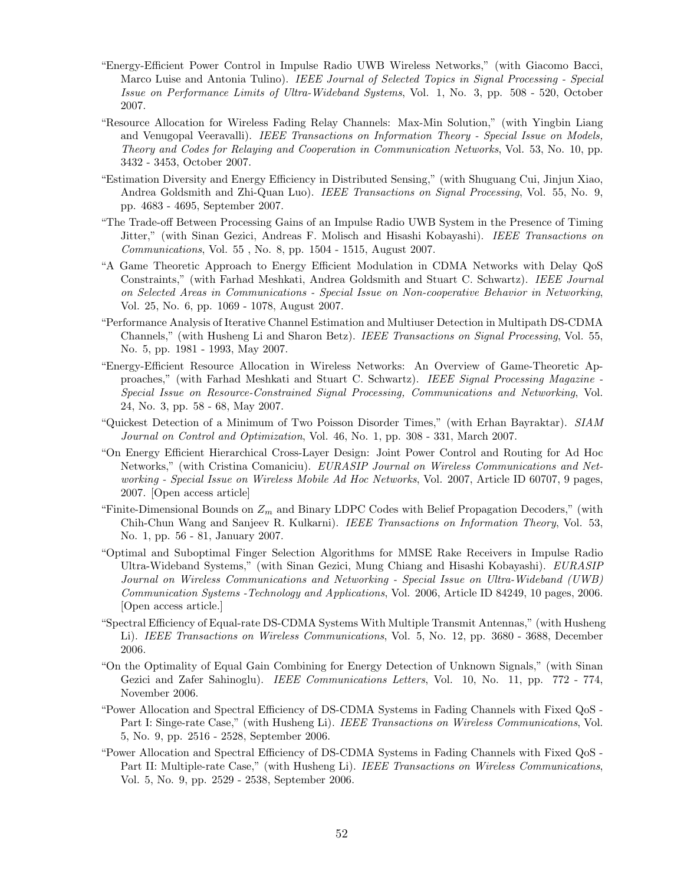- "Energy-Efficient Power Control in Impulse Radio UWB Wireless Networks," (with Giacomo Bacci, Marco Luise and Antonia Tulino). IEEE Journal of Selected Topics in Signal Processing - Special Issue on Performance Limits of Ultra-Wideband Systems, Vol. 1, No. 3, pp. 508 - 520, October 2007.
- "Resource Allocation for Wireless Fading Relay Channels: Max-Min Solution," (with Yingbin Liang and Venugopal Veeravalli). IEEE Transactions on Information Theory - Special Issue on Models, Theory and Codes for Relaying and Cooperation in Communication Networks, Vol. 53, No. 10, pp. 3432 - 3453, October 2007.
- "Estimation Diversity and Energy Efficiency in Distributed Sensing," (with Shuguang Cui, Jinjun Xiao, Andrea Goldsmith and Zhi-Quan Luo). IEEE Transactions on Signal Processing, Vol. 55, No. 9, pp. 4683 - 4695, September 2007.
- "The Trade-off Between Processing Gains of an Impulse Radio UWB System in the Presence of Timing Jitter," (with Sinan Gezici, Andreas F. Molisch and Hisashi Kobayashi). IEEE Transactions on Communications, Vol. 55 , No. 8, pp. 1504 - 1515, August 2007.
- "A Game Theoretic Approach to Energy Efficient Modulation in CDMA Networks with Delay QoS Constraints," (with Farhad Meshkati, Andrea Goldsmith and Stuart C. Schwartz). IEEE Journal on Selected Areas in Communications - Special Issue on Non-cooperative Behavior in Networking, Vol. 25, No. 6, pp. 1069 - 1078, August 2007.
- "Performance Analysis of Iterative Channel Estimation and Multiuser Detection in Multipath DS-CDMA Channels," (with Husheng Li and Sharon Betz). IEEE Transactions on Signal Processing, Vol. 55, No. 5, pp. 1981 - 1993, May 2007.
- "Energy-Efficient Resource Allocation in Wireless Networks: An Overview of Game-Theoretic Approaches," (with Farhad Meshkati and Stuart C. Schwartz). IEEE Signal Processing Magazine - Special Issue on Resource-Constrained Signal Processing, Communications and Networking, Vol. 24, No. 3, pp. 58 - 68, May 2007.
- "Quickest Detection of a Minimum of Two Poisson Disorder Times," (with Erhan Bayraktar). SIAM Journal on Control and Optimization, Vol. 46, No. 1, pp. 308 - 331, March 2007.
- "On Energy Efficient Hierarchical Cross-Layer Design: Joint Power Control and Routing for Ad Hoc Networks," (with Cristina Comaniciu). EURASIP Journal on Wireless Communications and Networking - Special Issue on Wireless Mobile Ad Hoc Networks, Vol. 2007, Article ID 60707, 9 pages, 2007. [Open access article]
- "Finite-Dimensional Bounds on  $Z_m$  and Binary LDPC Codes with Belief Propagation Decoders," (with Chih-Chun Wang and Sanjeev R. Kulkarni). IEEE Transactions on Information Theory, Vol. 53, No. 1, pp. 56 - 81, January 2007.
- "Optimal and Suboptimal Finger Selection Algorithms for MMSE Rake Receivers in Impulse Radio Ultra-Wideband Systems," (with Sinan Gezici, Mung Chiang and Hisashi Kobayashi). EURASIP Journal on Wireless Communications and Networking - Special Issue on Ultra-Wideband (UWB) Communication Systems -Technology and Applications, Vol. 2006, Article ID 84249, 10 pages, 2006. [Open access article.]
- "Spectral Efficiency of Equal-rate DS-CDMA Systems With Multiple Transmit Antennas," (with Husheng Li). IEEE Transactions on Wireless Communications, Vol. 5, No. 12, pp. 3680 - 3688, December 2006.
- "On the Optimality of Equal Gain Combining for Energy Detection of Unknown Signals," (with Sinan Gezici and Zafer Sahinoglu). IEEE Communications Letters, Vol. 10, No. 11, pp. 772 - 774, November 2006.
- "Power Allocation and Spectral Efficiency of DS-CDMA Systems in Fading Channels with Fixed QoS Part I: Singe-rate Case," (with Husheng Li). IEEE Transactions on Wireless Communications, Vol. 5, No. 9, pp. 2516 - 2528, September 2006.
- "Power Allocation and Spectral Efficiency of DS-CDMA Systems in Fading Channels with Fixed QoS Part II: Multiple-rate Case," (with Husheng Li). IEEE Transactions on Wireless Communications, Vol. 5, No. 9, pp. 2529 - 2538, September 2006.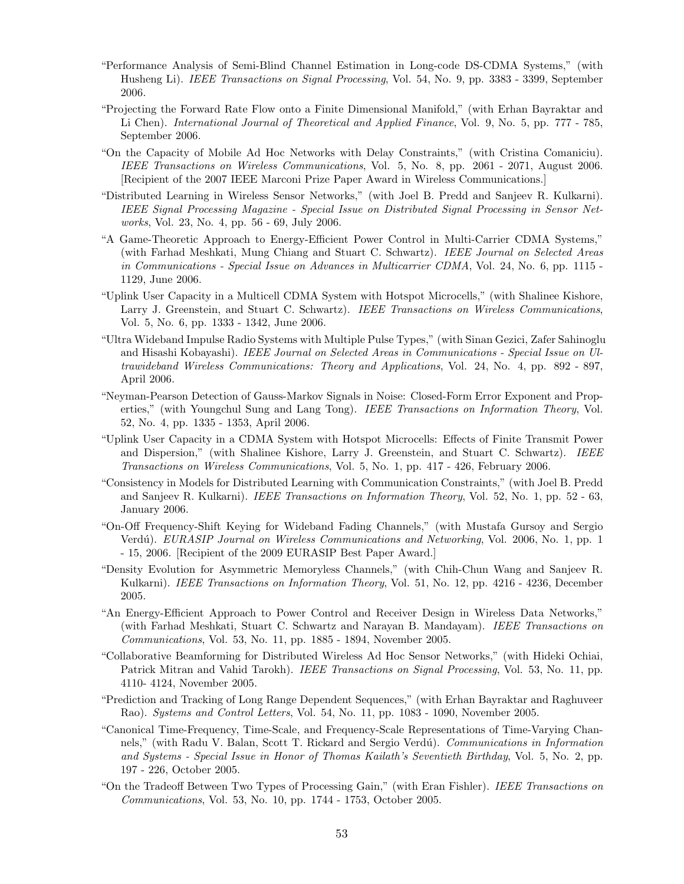- "Performance Analysis of Semi-Blind Channel Estimation in Long-code DS-CDMA Systems," (with Husheng Li). IEEE Transactions on Signal Processing, Vol. 54, No. 9, pp. 3383 - 3399, September 2006.
- "Projecting the Forward Rate Flow onto a Finite Dimensional Manifold," (with Erhan Bayraktar and Li Chen). International Journal of Theoretical and Applied Finance, Vol. 9, No. 5, pp. 777 - 785, September 2006.
- "On the Capacity of Mobile Ad Hoc Networks with Delay Constraints," (with Cristina Comaniciu). IEEE Transactions on Wireless Communications, Vol. 5, No. 8, pp. 2061 - 2071, August 2006. [Recipient of the 2007 IEEE Marconi Prize Paper Award in Wireless Communications.]
- "Distributed Learning in Wireless Sensor Networks," (with Joel B. Predd and Sanjeev R. Kulkarni). IEEE Signal Processing Magazine - Special Issue on Distributed Signal Processing in Sensor Networks, Vol. 23, No. 4, pp. 56 - 69, July 2006.
- "A Game-Theoretic Approach to Energy-Efficient Power Control in Multi-Carrier CDMA Systems," (with Farhad Meshkati, Mung Chiang and Stuart C. Schwartz). IEEE Journal on Selected Areas in Communications - Special Issue on Advances in Multicarrier CDMA, Vol. 24, No. 6, pp. 1115 - 1129, June 2006.
- "Uplink User Capacity in a Multicell CDMA System with Hotspot Microcells," (with Shalinee Kishore, Larry J. Greenstein, and Stuart C. Schwartz). IEEE Transactions on Wireless Communications, Vol. 5, No. 6, pp. 1333 - 1342, June 2006.
- "Ultra Wideband Impulse Radio Systems with Multiple Pulse Types," (with Sinan Gezici, Zafer Sahinoglu and Hisashi Kobayashi). IEEE Journal on Selected Areas in Communications - Special Issue on Ultrawideband Wireless Communications: Theory and Applications, Vol. 24, No. 4, pp. 892 - 897, April 2006.
- "Neyman-Pearson Detection of Gauss-Markov Signals in Noise: Closed-Form Error Exponent and Properties," (with Youngchul Sung and Lang Tong). IEEE Transactions on Information Theory, Vol. 52, No. 4, pp. 1335 - 1353, April 2006.
- "Uplink User Capacity in a CDMA System with Hotspot Microcells: Effects of Finite Transmit Power and Dispersion," (with Shalinee Kishore, Larry J. Greenstein, and Stuart C. Schwartz). IEEE Transactions on Wireless Communications, Vol. 5, No. 1, pp. 417 - 426, February 2006.
- "Consistency in Models for Distributed Learning with Communication Constraints," (with Joel B. Predd and Sanjeev R. Kulkarni). IEEE Transactions on Information Theory, Vol. 52, No. 1, pp. 52 - 63, January 2006.
- "On-Off Frequency-Shift Keying for Wideband Fading Channels," (with Mustafa Gursoy and Sergio Verdú). *EURASIP Journal on Wireless Communications and Networking*, Vol. 2006, No. 1, pp. 1 - 15, 2006. [Recipient of the 2009 EURASIP Best Paper Award.]
- "Density Evolution for Asymmetric Memoryless Channels," (with Chih-Chun Wang and Sanjeev R. Kulkarni). IEEE Transactions on Information Theory, Vol. 51, No. 12, pp. 4216 - 4236, December 2005.
- "An Energy-Efficient Approach to Power Control and Receiver Design in Wireless Data Networks," (with Farhad Meshkati, Stuart C. Schwartz and Narayan B. Mandayam). IEEE Transactions on Communications, Vol. 53, No. 11, pp. 1885 - 1894, November 2005.
- "Collaborative Beamforming for Distributed Wireless Ad Hoc Sensor Networks," (with Hideki Ochiai, Patrick Mitran and Vahid Tarokh). IEEE Transactions on Signal Processing, Vol. 53, No. 11, pp. 4110- 4124, November 2005.
- "Prediction and Tracking of Long Range Dependent Sequences," (with Erhan Bayraktar and Raghuveer Rao). Systems and Control Letters, Vol. 54, No. 11, pp. 1083 - 1090, November 2005.
- "Canonical Time-Frequency, Time-Scale, and Frequency-Scale Representations of Time-Varying Channels," (with Radu V. Balan, Scott T. Rickard and Sergio Verdú). Communications in Information and Systems - Special Issue in Honor of Thomas Kailath's Seventieth Birthday, Vol. 5, No. 2, pp. 197 - 226, October 2005.
- "On the Tradeoff Between Two Types of Processing Gain," (with Eran Fishler). IEEE Transactions on Communications, Vol. 53, No. 10, pp. 1744 - 1753, October 2005.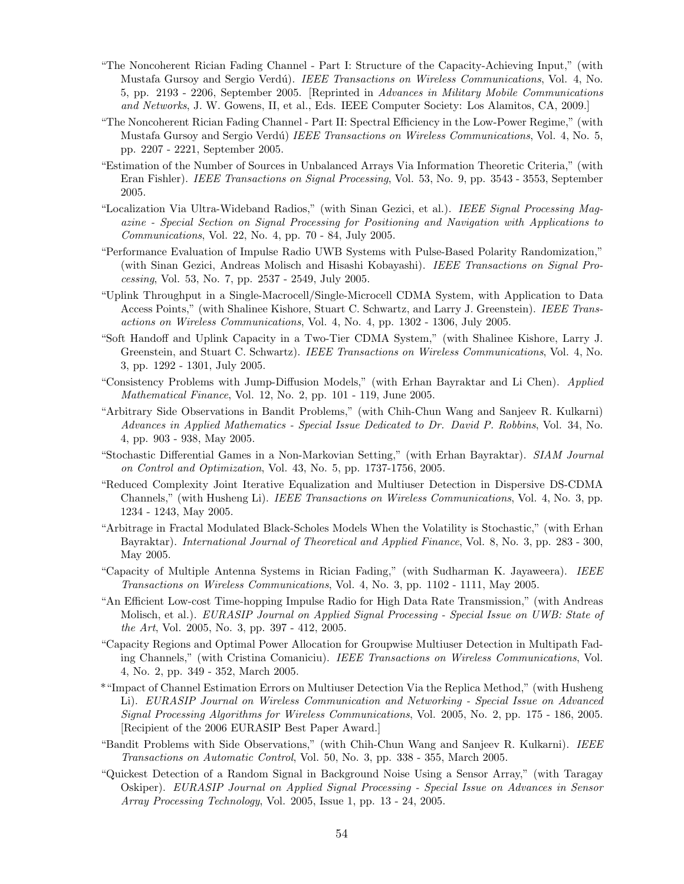- "The Noncoherent Rician Fading Channel Part I: Structure of the Capacity-Achieving Input," (with Mustafa Gursoy and Sergio Verdú). IEEE Transactions on Wireless Communications, Vol. 4, No. 5, pp. 2193 - 2206, September 2005. [Reprinted in Advances in Military Mobile Communications and Networks, J. W. Gowens, II, et al., Eds. IEEE Computer Society: Los Alamitos, CA, 2009.]
- "The Noncoherent Rician Fading Channel Part II: Spectral Efficiency in the Low-Power Regime," (with Mustafa Gursoy and Sergio Verdú) IEEE Transactions on Wireless Communications, Vol. 4, No. 5, pp. 2207 - 2221, September 2005.
- "Estimation of the Number of Sources in Unbalanced Arrays Via Information Theoretic Criteria," (with Eran Fishler). IEEE Transactions on Signal Processing, Vol. 53, No. 9, pp. 3543 - 3553, September 2005.
- "Localization Via Ultra-Wideband Radios," (with Sinan Gezici, et al.). IEEE Signal Processing Magazine - Special Section on Signal Processing for Positioning and Navigation with Applications to Communications, Vol. 22, No. 4, pp. 70 - 84, July 2005.
- "Performance Evaluation of Impulse Radio UWB Systems with Pulse-Based Polarity Randomization," (with Sinan Gezici, Andreas Molisch and Hisashi Kobayashi). IEEE Transactions on Signal Processing, Vol. 53, No. 7, pp. 2537 - 2549, July 2005.
- "Uplink Throughput in a Single-Macrocell/Single-Microcell CDMA System, with Application to Data Access Points," (with Shalinee Kishore, Stuart C. Schwartz, and Larry J. Greenstein). IEEE Transactions on Wireless Communications, Vol. 4, No. 4, pp. 1302 - 1306, July 2005.
- "Soft Handoff and Uplink Capacity in a Two-Tier CDMA System," (with Shalinee Kishore, Larry J. Greenstein, and Stuart C. Schwartz). IEEE Transactions on Wireless Communications, Vol. 4, No. 3, pp. 1292 - 1301, July 2005.
- "Consistency Problems with Jump-Diffusion Models," (with Erhan Bayraktar and Li Chen). Applied Mathematical Finance, Vol. 12, No. 2, pp. 101 - 119, June 2005.
- "Arbitrary Side Observations in Bandit Problems," (with Chih-Chun Wang and Sanjeev R. Kulkarni) Advances in Applied Mathematics - Special Issue Dedicated to Dr. David P. Robbins, Vol. 34, No. 4, pp. 903 - 938, May 2005.
- "Stochastic Differential Games in a Non-Markovian Setting," (with Erhan Bayraktar). SIAM Journal on Control and Optimization, Vol. 43, No. 5, pp. 1737-1756, 2005.
- "Reduced Complexity Joint Iterative Equalization and Multiuser Detection in Dispersive DS-CDMA Channels," (with Husheng Li). IEEE Transactions on Wireless Communications, Vol. 4, No. 3, pp. 1234 - 1243, May 2005.
- "Arbitrage in Fractal Modulated Black-Scholes Models When the Volatility is Stochastic," (with Erhan Bayraktar). International Journal of Theoretical and Applied Finance, Vol. 8, No. 3, pp. 283 - 300, May 2005.
- "Capacity of Multiple Antenna Systems in Rician Fading," (with Sudharman K. Jayaweera). IEEE Transactions on Wireless Communications, Vol. 4, No. 3, pp. 1102 - 1111, May 2005.
- "An Efficient Low-cost Time-hopping Impulse Radio for High Data Rate Transmission," (with Andreas Molisch, et al.). EURASIP Journal on Applied Signal Processing - Special Issue on UWB: State of the Art, Vol. 2005, No. 3, pp. 397 - 412, 2005.
- "Capacity Regions and Optimal Power Allocation for Groupwise Multiuser Detection in Multipath Fading Channels," (with Cristina Comaniciu). IEEE Transactions on Wireless Communications, Vol. 4, No. 2, pp. 349 - 352, March 2005.
- \*"Impact of Channel Estimation Errors on Multiuser Detection Via the Replica Method," (with Husheng Li). EURASIP Journal on Wireless Communication and Networking - Special Issue on Advanced Signal Processing Algorithms for Wireless Communications, Vol. 2005, No. 2, pp. 175 - 186, 2005. [Recipient of the 2006 EURASIP Best Paper Award.]
- "Bandit Problems with Side Observations," (with Chih-Chun Wang and Sanjeev R. Kulkarni). IEEE Transactions on Automatic Control, Vol. 50, No. 3, pp. 338 - 355, March 2005.
- "Quickest Detection of a Random Signal in Background Noise Using a Sensor Array," (with Taragay Oskiper). EURASIP Journal on Applied Signal Processing - Special Issue on Advances in Sensor Array Processing Technology, Vol. 2005, Issue 1, pp. 13 - 24, 2005.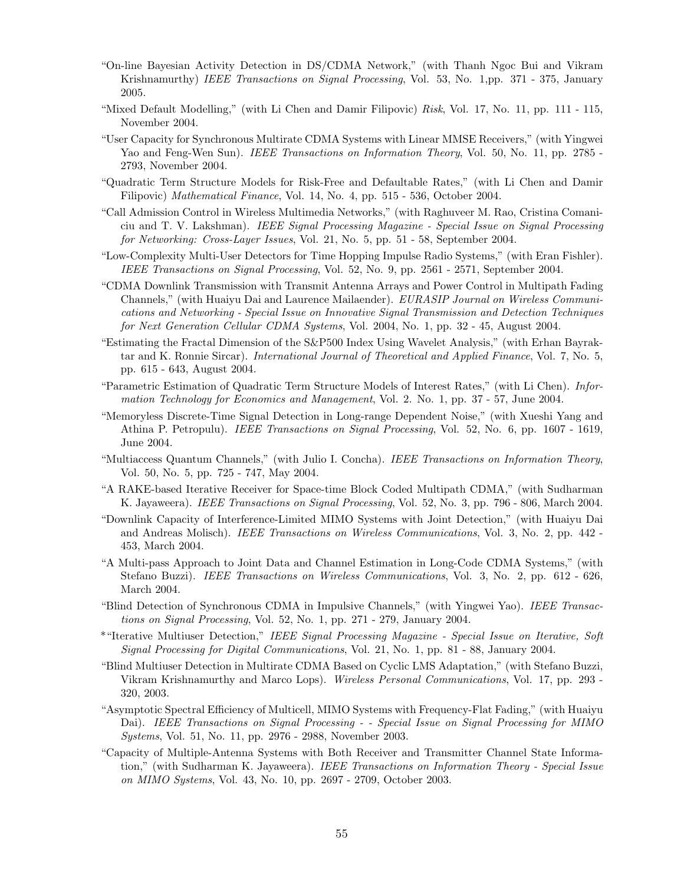- "On-line Bayesian Activity Detection in DS/CDMA Network," (with Thanh Ngoc Bui and Vikram Krishnamurthy) IEEE Transactions on Signal Processing, Vol. 53, No. 1,pp. 371 - 375, January 2005.
- "Mixed Default Modelling," (with Li Chen and Damir Filipovic) Risk, Vol. 17, No. 11, pp. 111 115, November 2004.
- "User Capacity for Synchronous Multirate CDMA Systems with Linear MMSE Receivers," (with Yingwei Yao and Feng-Wen Sun). IEEE Transactions on Information Theory, Vol. 50, No. 11, pp. 2785 -2793, November 2004.
- "Quadratic Term Structure Models for Risk-Free and Defaultable Rates," (with Li Chen and Damir Filipovic) Mathematical Finance, Vol. 14, No. 4, pp. 515 - 536, October 2004.
- "Call Admission Control in Wireless Multimedia Networks," (with Raghuveer M. Rao, Cristina Comaniciu and T. V. Lakshman). IEEE Signal Processing Magazine - Special Issue on Signal Processing for Networking: Cross-Layer Issues, Vol. 21, No. 5, pp. 51 - 58, September 2004.
- "Low-Complexity Multi-User Detectors for Time Hopping Impulse Radio Systems," (with Eran Fishler). IEEE Transactions on Signal Processing, Vol. 52, No. 9, pp. 2561 - 2571, September 2004.
- "CDMA Downlink Transmission with Transmit Antenna Arrays and Power Control in Multipath Fading Channels," (with Huaiyu Dai and Laurence Mailaender). EURASIP Journal on Wireless Communications and Networking - Special Issue on Innovative Signal Transmission and Detection Techniques for Next Generation Cellular CDMA Systems, Vol. 2004, No. 1, pp. 32 - 45, August 2004.
- "Estimating the Fractal Dimension of the S&P500 Index Using Wavelet Analysis," (with Erhan Bayraktar and K. Ronnie Sircar). International Journal of Theoretical and Applied Finance, Vol. 7, No. 5, pp. 615 - 643, August 2004.
- "Parametric Estimation of Quadratic Term Structure Models of Interest Rates," (with Li Chen). Information Technology for Economics and Management, Vol. 2. No. 1, pp. 37 - 57, June 2004.
- "Memoryless Discrete-Time Signal Detection in Long-range Dependent Noise," (with Xueshi Yang and Athina P. Petropulu). IEEE Transactions on Signal Processing, Vol. 52, No. 6, pp. 1607 - 1619, June 2004.
- "Multiaccess Quantum Channels," (with Julio I. Concha). IEEE Transactions on Information Theory, Vol. 50, No. 5, pp. 725 - 747, May 2004.
- "A RAKE-based Iterative Receiver for Space-time Block Coded Multipath CDMA," (with Sudharman K. Jayaweera). IEEE Transactions on Signal Processing, Vol. 52, No. 3, pp. 796 - 806, March 2004.
- "Downlink Capacity of Interference-Limited MIMO Systems with Joint Detection," (with Huaiyu Dai and Andreas Molisch). IEEE Transactions on Wireless Communications, Vol. 3, No. 2, pp. 442 - 453, March 2004.
- "A Multi-pass Approach to Joint Data and Channel Estimation in Long-Code CDMA Systems," (with Stefano Buzzi). IEEE Transactions on Wireless Communications, Vol. 3, No. 2, pp. 612 - 626, March 2004.
- "Blind Detection of Synchronous CDMA in Impulsive Channels," (with Yingwei Yao). IEEE Transactions on Signal Processing, Vol. 52, No. 1, pp. 271 - 279, January 2004.
- \*"Iterative Multiuser Detection," IEEE Signal Processing Magazine Special Issue on Iterative, Soft Signal Processing for Digital Communications, Vol. 21, No. 1, pp. 81 - 88, January 2004.
- "Blind Multiuser Detection in Multirate CDMA Based on Cyclic LMS Adaptation," (with Stefano Buzzi, Vikram Krishnamurthy and Marco Lops). Wireless Personal Communications, Vol. 17, pp. 293 - 320, 2003.
- "Asymptotic Spectral Efficiency of Multicell, MIMO Systems with Frequency-Flat Fading," (with Huaiyu Dai). IEEE Transactions on Signal Processing - - Special Issue on Signal Processing for MIMO Systems, Vol. 51, No. 11, pp. 2976 - 2988, November 2003.
- "Capacity of Multiple-Antenna Systems with Both Receiver and Transmitter Channel State Information," (with Sudharman K. Jayaweera). IEEE Transactions on Information Theory - Special Issue on MIMO Systems, Vol. 43, No. 10, pp. 2697 - 2709, October 2003.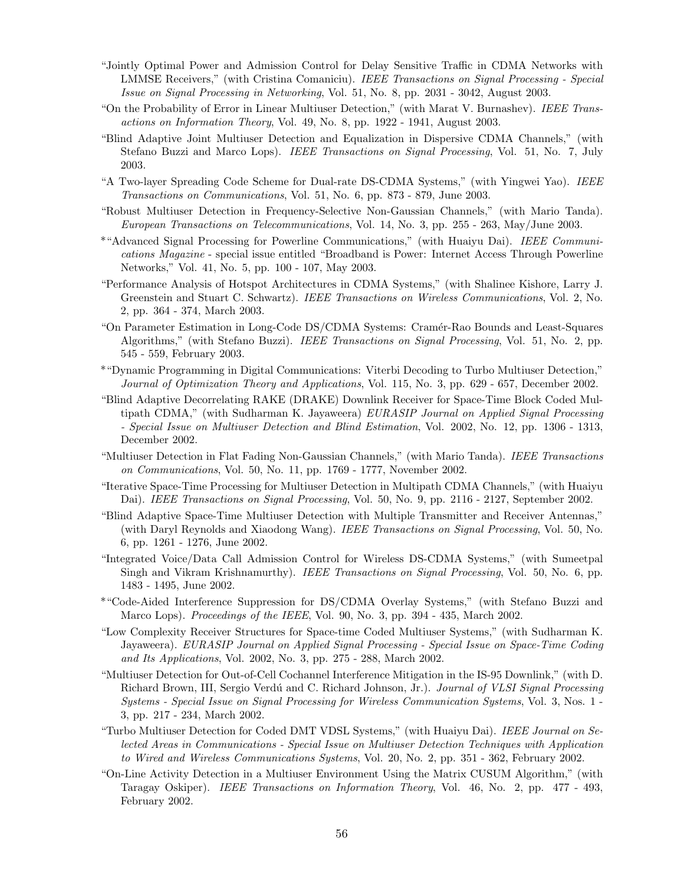- "Jointly Optimal Power and Admission Control for Delay Sensitive Traffic in CDMA Networks with LMMSE Receivers," (with Cristina Comaniciu). IEEE Transactions on Signal Processing - Special Issue on Signal Processing in Networking, Vol. 51, No. 8, pp. 2031 - 3042, August 2003.
- "On the Probability of Error in Linear Multiuser Detection," (with Marat V. Burnashev). IEEE Transactions on Information Theory, Vol. 49, No. 8, pp. 1922 - 1941, August 2003.
- "Blind Adaptive Joint Multiuser Detection and Equalization in Dispersive CDMA Channels," (with Stefano Buzzi and Marco Lops). IEEE Transactions on Signal Processing, Vol. 51, No. 7, July 2003.
- "A Two-layer Spreading Code Scheme for Dual-rate DS-CDMA Systems," (with Yingwei Yao). IEEE Transactions on Communications, Vol. 51, No. 6, pp. 873 - 879, June 2003.
- "Robust Multiuser Detection in Frequency-Selective Non-Gaussian Channels," (with Mario Tanda). European Transactions on Telecommunications, Vol. 14, No. 3, pp. 255 - 263, May/June 2003.
- \*"Advanced Signal Processing for Powerline Communications," (with Huaiyu Dai). IEEE Communications Magazine - special issue entitled "Broadband is Power: Internet Access Through Powerline Networks," Vol. 41, No. 5, pp. 100 - 107, May 2003.
- "Performance Analysis of Hotspot Architectures in CDMA Systems," (with Shalinee Kishore, Larry J. Greenstein and Stuart C. Schwartz). IEEE Transactions on Wireless Communications, Vol. 2, No. 2, pp. 364 - 374, March 2003.
- "On Parameter Estimation in Long-Code DS/CDMA Systems: Cram´er-Rao Bounds and Least-Squares Algorithms," (with Stefano Buzzi). IEEE Transactions on Signal Processing, Vol. 51, No. 2, pp. 545 - 559, February 2003.
- \*"Dynamic Programming in Digital Communications: Viterbi Decoding to Turbo Multiuser Detection," Journal of Optimization Theory and Applications, Vol. 115, No. 3, pp. 629 - 657, December 2002.
- "Blind Adaptive Decorrelating RAKE (DRAKE) Downlink Receiver for Space-Time Block Coded Multipath CDMA," (with Sudharman K. Jayaweera) EURASIP Journal on Applied Signal Processing - Special Issue on Multiuser Detection and Blind Estimation, Vol. 2002, No. 12, pp. 1306 - 1313, December 2002.
- "Multiuser Detection in Flat Fading Non-Gaussian Channels," (with Mario Tanda). IEEE Transactions on Communications, Vol. 50, No. 11, pp. 1769 - 1777, November 2002.
- "Iterative Space-Time Processing for Multiuser Detection in Multipath CDMA Channels," (with Huaiyu Dai). IEEE Transactions on Signal Processing, Vol. 50, No. 9, pp. 2116 - 2127, September 2002.
- "Blind Adaptive Space-Time Multiuser Detection with Multiple Transmitter and Receiver Antennas," (with Daryl Reynolds and Xiaodong Wang). IEEE Transactions on Signal Processing, Vol. 50, No. 6, pp. 1261 - 1276, June 2002.
- "Integrated Voice/Data Call Admission Control for Wireless DS-CDMA Systems," (with Sumeetpal Singh and Vikram Krishnamurthy). IEEE Transactions on Signal Processing, Vol. 50, No. 6, pp. 1483 - 1495, June 2002.
- \*"Code-Aided Interference Suppression for DS/CDMA Overlay Systems," (with Stefano Buzzi and Marco Lops). *Proceedings of the IEEE*, Vol. 90, No. 3, pp. 394 - 435, March 2002.
- "Low Complexity Receiver Structures for Space-time Coded Multiuser Systems," (with Sudharman K. Jayaweera). EURASIP Journal on Applied Signal Processing - Special Issue on Space-Time Coding and Its Applications, Vol. 2002, No. 3, pp. 275 - 288, March 2002.
- "Multiuser Detection for Out-of-Cell Cochannel Interference Mitigation in the IS-95 Downlink," (with D. Richard Brown, III, Sergio Verdú and C. Richard Johnson, Jr.). Journal of VLSI Signal Processing Systems - Special Issue on Signal Processing for Wireless Communication Systems, Vol. 3, Nos. 1 - 3, pp. 217 - 234, March 2002.
- "Turbo Multiuser Detection for Coded DMT VDSL Systems," (with Huaiyu Dai). IEEE Journal on Selected Areas in Communications - Special Issue on Multiuser Detection Techniques with Application to Wired and Wireless Communications Systems, Vol. 20, No. 2, pp. 351 - 362, February 2002.
- "On-Line Activity Detection in a Multiuser Environment Using the Matrix CUSUM Algorithm," (with Taragay Oskiper). IEEE Transactions on Information Theory, Vol. 46, No. 2, pp. 477 - 493, February 2002.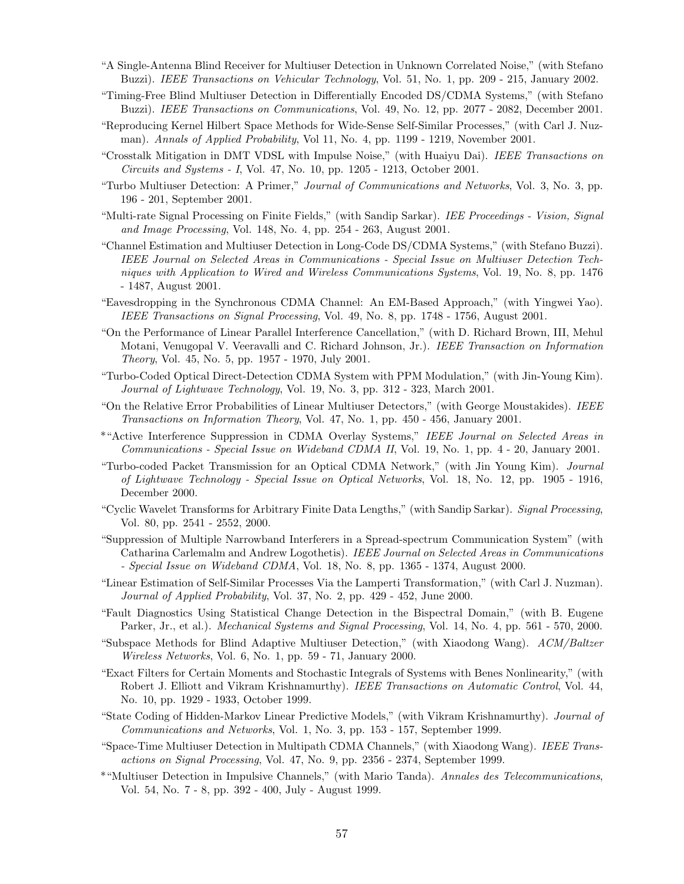- "A Single-Antenna Blind Receiver for Multiuser Detection in Unknown Correlated Noise," (with Stefano Buzzi). IEEE Transactions on Vehicular Technology, Vol. 51, No. 1, pp. 209 - 215, January 2002.
- "Timing-Free Blind Multiuser Detection in Differentially Encoded DS/CDMA Systems," (with Stefano Buzzi). IEEE Transactions on Communications, Vol. 49, No. 12, pp. 2077 - 2082, December 2001.
- "Reproducing Kernel Hilbert Space Methods for Wide-Sense Self-Similar Processes," (with Carl J. Nuzman). Annals of Applied Probability, Vol 11, No. 4, pp. 1199 - 1219, November 2001.
- "Crosstalk Mitigation in DMT VDSL with Impulse Noise," (with Huaiyu Dai). IEEE Transactions on Circuits and Systems - I, Vol. 47, No. 10, pp. 1205 - 1213, October 2001.
- "Turbo Multiuser Detection: A Primer," Journal of Communications and Networks, Vol. 3, No. 3, pp. 196 - 201, September 2001.
- "Multi-rate Signal Processing on Finite Fields," (with Sandip Sarkar). IEE Proceedings Vision, Signal and Image Processing, Vol. 148, No. 4, pp. 254 - 263, August 2001.
- "Channel Estimation and Multiuser Detection in Long-Code DS/CDMA Systems," (with Stefano Buzzi). IEEE Journal on Selected Areas in Communications - Special Issue on Multiuser Detection Techniques with Application to Wired and Wireless Communications Systems, Vol. 19, No. 8, pp. 1476 - 1487, August 2001.
- "Eavesdropping in the Synchronous CDMA Channel: An EM-Based Approach," (with Yingwei Yao). IEEE Transactions on Signal Processing, Vol. 49, No. 8, pp. 1748 - 1756, August 2001.
- "On the Performance of Linear Parallel Interference Cancellation," (with D. Richard Brown, III, Mehul Motani, Venugopal V. Veeravalli and C. Richard Johnson, Jr.). IEEE Transaction on Information Theory, Vol. 45, No. 5, pp. 1957 - 1970, July 2001.
- "Turbo-Coded Optical Direct-Detection CDMA System with PPM Modulation," (with Jin-Young Kim). Journal of Lightwave Technology, Vol. 19, No. 3, pp. 312 - 323, March 2001.
- "On the Relative Error Probabilities of Linear Multiuser Detectors," (with George Moustakides). IEEE Transactions on Information Theory, Vol. 47, No. 1, pp. 450 - 456, January 2001.
- \*"Active Interference Suppression in CDMA Overlay Systems," IEEE Journal on Selected Areas in Communications - Special Issue on Wideband CDMA II, Vol. 19, No. 1, pp. 4 - 20, January 2001.
- "Turbo-coded Packet Transmission for an Optical CDMA Network," (with Jin Young Kim). Journal of Lightwave Technology - Special Issue on Optical Networks, Vol. 18, No. 12, pp. 1905 - 1916, December 2000.
- "Cyclic Wavelet Transforms for Arbitrary Finite Data Lengths," (with Sandip Sarkar). Signal Processing, Vol. 80, pp. 2541 - 2552, 2000.
- "Suppression of Multiple Narrowband Interferers in a Spread-spectrum Communication System" (with Catharina Carlemalm and Andrew Logothetis). IEEE Journal on Selected Areas in Communications - Special Issue on Wideband CDMA, Vol. 18, No. 8, pp. 1365 - 1374, August 2000.
- "Linear Estimation of Self-Similar Processes Via the Lamperti Transformation," (with Carl J. Nuzman). Journal of Applied Probability, Vol. 37, No. 2, pp. 429 - 452, June 2000.
- "Fault Diagnostics Using Statistical Change Detection in the Bispectral Domain," (with B. Eugene Parker, Jr., et al.). Mechanical Systems and Signal Processing, Vol. 14, No. 4, pp. 561 - 570, 2000.
- "Subspace Methods for Blind Adaptive Multiuser Detection," (with Xiaodong Wang). ACM/Baltzer Wireless Networks, Vol. 6, No. 1, pp. 59 - 71, January 2000.
- "Exact Filters for Certain Moments and Stochastic Integrals of Systems with Benes Nonlinearity," (with Robert J. Elliott and Vikram Krishnamurthy). IEEE Transactions on Automatic Control, Vol. 44, No. 10, pp. 1929 - 1933, October 1999.
- "State Coding of Hidden-Markov Linear Predictive Models," (with Vikram Krishnamurthy). Journal of Communications and Networks, Vol. 1, No. 3, pp. 153 - 157, September 1999.
- "Space-Time Multiuser Detection in Multipath CDMA Channels," (with Xiaodong Wang). IEEE Transactions on Signal Processing, Vol. 47, No. 9, pp. 2356 - 2374, September 1999.
- \*"Multiuser Detection in Impulsive Channels," (with Mario Tanda). Annales des Telecommunications, Vol. 54, No. 7 - 8, pp. 392 - 400, July - August 1999.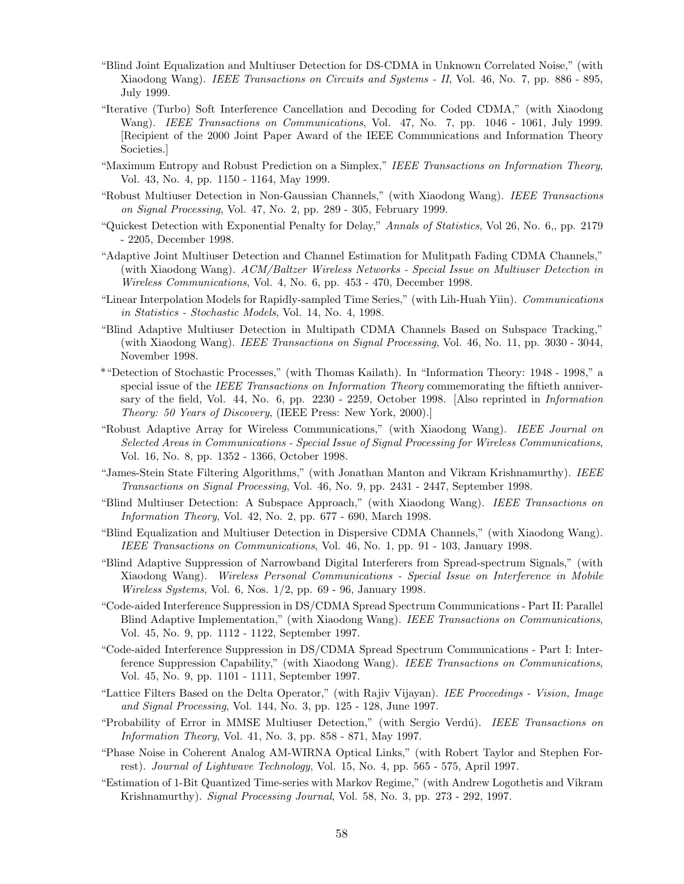- "Blind Joint Equalization and Multiuser Detection for DS-CDMA in Unknown Correlated Noise," (with Xiaodong Wang). *IEEE Transactions on Circuits and Systems - II*, Vol. 46, No. 7, pp. 886 - 895, July 1999.
- "Iterative (Turbo) Soft Interference Cancellation and Decoding for Coded CDMA," (with Xiaodong Wang). IEEE Transactions on Communications, Vol. 47, No. 7, pp. 1046 - 1061, July 1999. [Recipient of the 2000 Joint Paper Award of the IEEE Communications and Information Theory Societies.]
- "Maximum Entropy and Robust Prediction on a Simplex," IEEE Transactions on Information Theory, Vol. 43, No. 4, pp. 1150 - 1164, May 1999.
- "Robust Multiuser Detection in Non-Gaussian Channels," (with Xiaodong Wang). IEEE Transactions on Signal Processing, Vol. 47, No. 2, pp. 289 - 305, February 1999.
- "Quickest Detection with Exponential Penalty for Delay," Annals of Statistics, Vol 26, No. 6,, pp. 2179 - 2205, December 1998.
- "Adaptive Joint Multiuser Detection and Channel Estimation for Mulitpath Fading CDMA Channels," (with Xiaodong Wang). ACM/Baltzer Wireless Networks - Special Issue on Multiuser Detection in Wireless Communications, Vol. 4, No. 6, pp. 453 - 470, December 1998.
- "Linear Interpolation Models for Rapidly-sampled Time Series," (with Lih-Huah Yiin). Communications in Statistics - Stochastic Models, Vol. 14, No. 4, 1998.
- "Blind Adaptive Multiuser Detection in Multipath CDMA Channels Based on Subspace Tracking," (with Xiaodong Wang). IEEE Transactions on Signal Processing, Vol. 46, No. 11, pp. 3030 - 3044, November 1998.
- \*"Detection of Stochastic Processes," (with Thomas Kailath). In "Information Theory: 1948 1998," a special issue of the IEEE Transactions on Information Theory commemorating the fiftieth anniversary of the field, Vol. 44, No. 6, pp. 2230 - 2259, October 1998. [Also reprinted in Information Theory: 50 Years of Discovery, (IEEE Press: New York, 2000).]
- "Robust Adaptive Array for Wireless Communications," (with Xiaodong Wang). IEEE Journal on Selected Areas in Communications - Special Issue of Signal Processing for Wireless Communications, Vol. 16, No. 8, pp. 1352 - 1366, October 1998.
- "James-Stein State Filtering Algorithms," (with Jonathan Manton and Vikram Krishnamurthy). IEEE Transactions on Signal Processing, Vol. 46, No. 9, pp. 2431 - 2447, September 1998.
- "Blind Multiuser Detection: A Subspace Approach," (with Xiaodong Wang). IEEE Transactions on Information Theory, Vol. 42, No. 2, pp. 677 - 690, March 1998.
- "Blind Equalization and Multiuser Detection in Dispersive CDMA Channels," (with Xiaodong Wang). IEEE Transactions on Communications, Vol. 46, No. 1, pp. 91 - 103, January 1998.
- "Blind Adaptive Suppression of Narrowband Digital Interferers from Spread-spectrum Signals," (with Xiaodong Wang). Wireless Personal Communications - Special Issue on Interference in Mobile Wireless Systems, Vol. 6, Nos. 1/2, pp. 69 - 96, January 1998.
- "Code-aided Interference Suppression in DS/CDMA Spread Spectrum Communications Part II: Parallel Blind Adaptive Implementation," (with Xiaodong Wang). IEEE Transactions on Communications, Vol. 45, No. 9, pp. 1112 - 1122, September 1997.
- "Code-aided Interference Suppression in DS/CDMA Spread Spectrum Communications Part I: Interference Suppression Capability," (with Xiaodong Wang). IEEE Transactions on Communications, Vol. 45, No. 9, pp. 1101 - 1111, September 1997.
- "Lattice Filters Based on the Delta Operator," (with Rajiv Vijayan). IEE Proceedings Vision, Image and Signal Processing, Vol. 144, No. 3, pp. 125 - 128, June 1997.
- "Probability of Error in MMSE Multiuser Detection," (with Sergio Verdú). IEEE Transactions on Information Theory, Vol. 41, No. 3, pp. 858 - 871, May 1997.
- "Phase Noise in Coherent Analog AM-WIRNA Optical Links," (with Robert Taylor and Stephen Forrest). Journal of Lightwave Technology, Vol. 15, No. 4, pp. 565 - 575, April 1997.
- "Estimation of 1-Bit Quantized Time-series with Markov Regime," (with Andrew Logothetis and Vikram Krishnamurthy). Signal Processing Journal, Vol. 58, No. 3, pp. 273 - 292, 1997.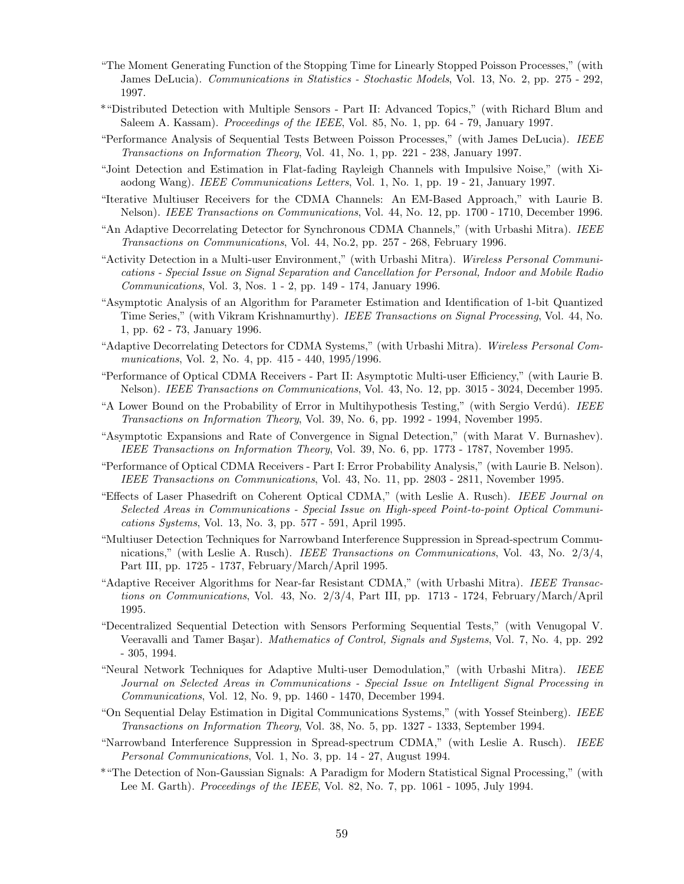- "The Moment Generating Function of the Stopping Time for Linearly Stopped Poisson Processes," (with James DeLucia). Communications in Statistics - Stochastic Models, Vol. 13, No. 2, pp. 275 - 292, 1997.
- \*"Distributed Detection with Multiple Sensors Part II: Advanced Topics," (with Richard Blum and Saleem A. Kassam). Proceedings of the IEEE, Vol. 85, No. 1, pp. 64 - 79, January 1997.
- "Performance Analysis of Sequential Tests Between Poisson Processes," (with James DeLucia). IEEE Transactions on Information Theory, Vol. 41, No. 1, pp. 221 - 238, January 1997.
- "Joint Detection and Estimation in Flat-fading Rayleigh Channels with Impulsive Noise," (with Xiaodong Wang). IEEE Communications Letters, Vol. 1, No. 1, pp. 19 - 21, January 1997.
- "Iterative Multiuser Receivers for the CDMA Channels: An EM-Based Approach," with Laurie B. Nelson). IEEE Transactions on Communications, Vol. 44, No. 12, pp. 1700 - 1710, December 1996.
- "An Adaptive Decorrelating Detector for Synchronous CDMA Channels," (with Urbashi Mitra). IEEE Transactions on Communications, Vol. 44, No.2, pp. 257 - 268, February 1996.
- "Activity Detection in a Multi-user Environment," (with Urbashi Mitra). Wireless Personal Communications - Special Issue on Signal Separation and Cancellation for Personal, Indoor and Mobile Radio Communications, Vol. 3, Nos. 1 - 2, pp. 149 - 174, January 1996.
- "Asymptotic Analysis of an Algorithm for Parameter Estimation and Identification of 1-bit Quantized Time Series," (with Vikram Krishnamurthy). IEEE Transactions on Signal Processing, Vol. 44, No. 1, pp. 62 - 73, January 1996.
- "Adaptive Decorrelating Detectors for CDMA Systems," (with Urbashi Mitra). Wireless Personal Communications, Vol. 2, No. 4, pp. 415 - 440, 1995/1996.
- "Performance of Optical CDMA Receivers Part II: Asymptotic Multi-user Efficiency," (with Laurie B. Nelson). IEEE Transactions on Communications, Vol. 43, No. 12, pp. 3015 - 3024, December 1995.
- "A Lower Bound on the Probability of Error in Multihypothesis Testing," (with Sergio Verdú). IEEE Transactions on Information Theory, Vol. 39, No. 6, pp. 1992 - 1994, November 1995.
- "Asymptotic Expansions and Rate of Convergence in Signal Detection," (with Marat V. Burnashev). IEEE Transactions on Information Theory, Vol. 39, No. 6, pp. 1773 - 1787, November 1995.
- "Performance of Optical CDMA Receivers Part I: Error Probability Analysis," (with Laurie B. Nelson). IEEE Transactions on Communications, Vol. 43, No. 11, pp. 2803 - 2811, November 1995.
- "Effects of Laser Phasedrift on Coherent Optical CDMA," (with Leslie A. Rusch). IEEE Journal on Selected Areas in Communications - Special Issue on High-speed Point-to-point Optical Communications Systems, Vol. 13, No. 3, pp. 577 - 591, April 1995.
- "Multiuser Detection Techniques for Narrowband Interference Suppression in Spread-spectrum Communications," (with Leslie A. Rusch). IEEE Transactions on Communications, Vol. 43, No. 2/3/4, Part III, pp. 1725 - 1737, February/March/April 1995.
- "Adaptive Receiver Algorithms for Near-far Resistant CDMA," (with Urbashi Mitra). IEEE Transactions on Communications, Vol. 43, No. 2/3/4, Part III, pp. 1713 - 1724, February/March/April 1995.
- "Decentralized Sequential Detection with Sensors Performing Sequential Tests," (with Venugopal V. Veeravalli and Tamer Başar). Mathematics of Control, Signals and Systems, Vol. 7, No. 4, pp. 292 - 305, 1994.
- "Neural Network Techniques for Adaptive Multi-user Demodulation," (with Urbashi Mitra). IEEE Journal on Selected Areas in Communications - Special Issue on Intelligent Signal Processing in Communications, Vol. 12, No. 9, pp. 1460 - 1470, December 1994.
- "On Sequential Delay Estimation in Digital Communications Systems," (with Yossef Steinberg). IEEE Transactions on Information Theory, Vol. 38, No. 5, pp. 1327 - 1333, September 1994.
- "Narrowband Interference Suppression in Spread-spectrum CDMA," (with Leslie A. Rusch). IEEE Personal Communications, Vol. 1, No. 3, pp. 14 - 27, August 1994.
- \*"The Detection of Non-Gaussian Signals: A Paradigm for Modern Statistical Signal Processing," (with Lee M. Garth). *Proceedings of the IEEE*, Vol. 82, No. 7, pp. 1061 - 1095, July 1994.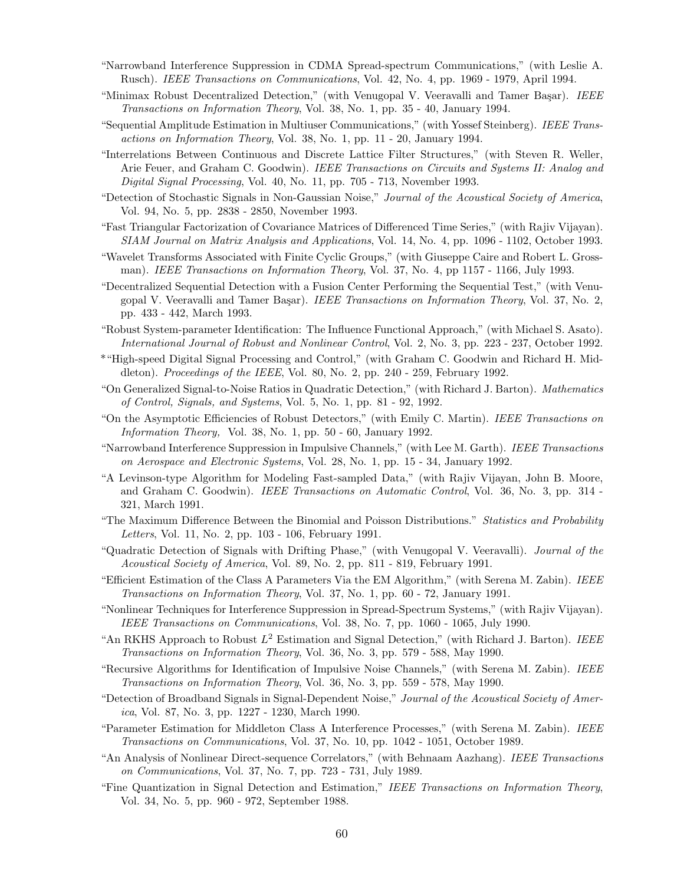- "Narrowband Interference Suppression in CDMA Spread-spectrum Communications," (with Leslie A. Rusch). IEEE Transactions on Communications, Vol. 42, No. 4, pp. 1969 - 1979, April 1994.
- "Minimax Robust Decentralized Detection," (with Venugopal V. Veeravalli and Tamer Başar). IEEE Transactions on Information Theory, Vol. 38, No. 1, pp. 35 - 40, January 1994.
- "Sequential Amplitude Estimation in Multiuser Communications," (with Yossef Steinberg). IEEE Transactions on Information Theory, Vol. 38, No. 1, pp. 11 - 20, January 1994.
- "Interrelations Between Continuous and Discrete Lattice Filter Structures," (with Steven R. Weller, Arie Feuer, and Graham C. Goodwin). IEEE Transactions on Circuits and Systems II: Analog and Digital Signal Processing, Vol. 40, No. 11, pp. 705 - 713, November 1993.
- "Detection of Stochastic Signals in Non-Gaussian Noise," Journal of the Acoustical Society of America, Vol. 94, No. 5, pp. 2838 - 2850, November 1993.
- "Fast Triangular Factorization of Covariance Matrices of Differenced Time Series," (with Rajiv Vijayan). SIAM Journal on Matrix Analysis and Applications, Vol. 14, No. 4, pp. 1096 - 1102, October 1993.
- "Wavelet Transforms Associated with Finite Cyclic Groups," (with Giuseppe Caire and Robert L. Grossman). IEEE Transactions on Information Theory, Vol. 37, No. 4, pp 1157 - 1166, July 1993.
- "Decentralized Sequential Detection with a Fusion Center Performing the Sequential Test," (with Venugopal V. Veeravalli and Tamer Başar). IEEE Transactions on Information Theory, Vol. 37, No. 2, pp. 433 - 442, March 1993.
- "Robust System-parameter Identification: The Influence Functional Approach," (with Michael S. Asato). International Journal of Robust and Nonlinear Control, Vol. 2, No. 3, pp. 223 - 237, October 1992.
- \*"High-speed Digital Signal Processing and Control," (with Graham C. Goodwin and Richard H. Middleton). Proceedings of the IEEE, Vol. 80, No. 2, pp. 240 - 259, February 1992.
- "On Generalized Signal-to-Noise Ratios in Quadratic Detection," (with Richard J. Barton). Mathematics of Control, Signals, and Systems, Vol. 5, No. 1, pp. 81 - 92, 1992.
- "On the Asymptotic Efficiencies of Robust Detectors," (with Emily C. Martin). IEEE Transactions on Information Theory, Vol. 38, No. 1, pp. 50 - 60, January 1992.
- "Narrowband Interference Suppression in Impulsive Channels," (with Lee M. Garth). IEEE Transactions on Aerospace and Electronic Systems, Vol. 28, No. 1, pp. 15 - 34, January 1992.
- "A Levinson-type Algorithm for Modeling Fast-sampled Data," (with Rajiv Vijayan, John B. Moore, and Graham C. Goodwin). *IEEE Transactions on Automatic Control*, Vol. 36, No. 3, pp. 314 -321, March 1991.
- "The Maximum Difference Between the Binomial and Poisson Distributions." Statistics and Probability Letters, Vol. 11, No. 2, pp. 103 - 106, February 1991.
- "Quadratic Detection of Signals with Drifting Phase," (with Venugopal V. Veeravalli). Journal of the Acoustical Society of America, Vol. 89, No. 2, pp. 811 - 819, February 1991.
- "Efficient Estimation of the Class A Parameters Via the EM Algorithm," (with Serena M. Zabin). IEEE Transactions on Information Theory, Vol. 37, No. 1, pp. 60 - 72, January 1991.
- "Nonlinear Techniques for Interference Suppression in Spread-Spectrum Systems," (with Rajiv Vijayan). IEEE Transactions on Communications, Vol. 38, No. 7, pp. 1060 - 1065, July 1990.
- "An RKHS Approach to Robust  $L^2$  Estimation and Signal Detection," (with Richard J. Barton). IEEE Transactions on Information Theory, Vol. 36, No. 3, pp. 579 - 588, May 1990.
- "Recursive Algorithms for Identification of Impulsive Noise Channels," (with Serena M. Zabin). IEEE Transactions on Information Theory, Vol. 36, No. 3, pp. 559 - 578, May 1990.
- "Detection of Broadband Signals in Signal-Dependent Noise," Journal of the Acoustical Society of America, Vol. 87, No. 3, pp. 1227 - 1230, March 1990.
- "Parameter Estimation for Middleton Class A Interference Processes," (with Serena M. Zabin). IEEE Transactions on Communications, Vol. 37, No. 10, pp. 1042 - 1051, October 1989.
- "An Analysis of Nonlinear Direct-sequence Correlators," (with Behnaam Aazhang). IEEE Transactions on Communications, Vol. 37, No. 7, pp. 723 - 731, July 1989.
- "Fine Quantization in Signal Detection and Estimation," IEEE Transactions on Information Theory, Vol. 34, No. 5, pp. 960 - 972, September 1988.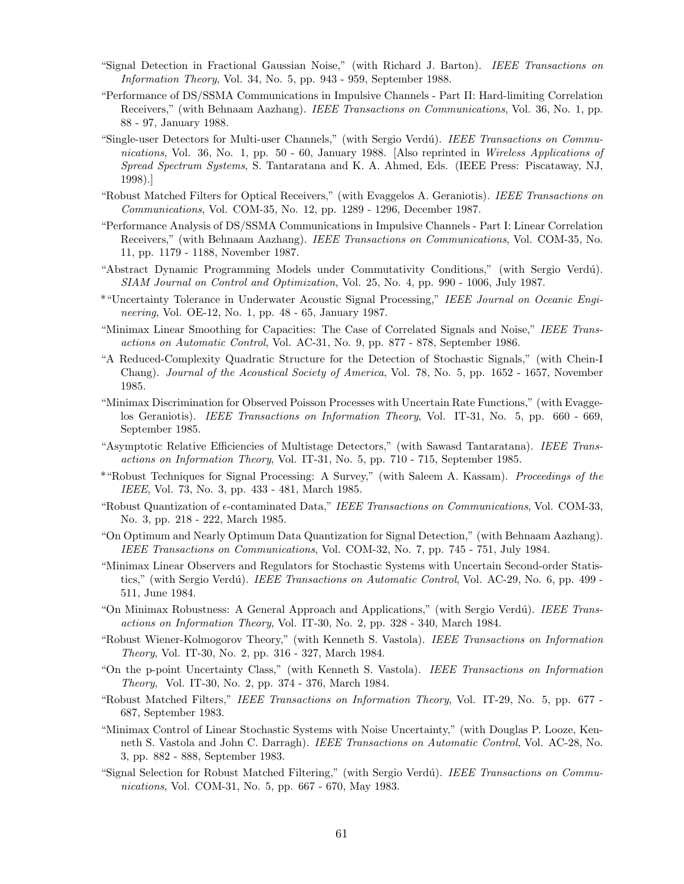- "Signal Detection in Fractional Gaussian Noise," (with Richard J. Barton). IEEE Transactions on Information Theory, Vol. 34, No. 5, pp. 943 - 959, September 1988.
- "Performance of DS/SSMA Communications in Impulsive Channels Part II: Hard-limiting Correlation Receivers," (with Behnaam Aazhang). IEEE Transactions on Communications, Vol. 36, No. 1, pp. 88 - 97, January 1988.
- "Single-user Detectors for Multi-user Channels," (with Sergio Verdú). IEEE Transactions on Communications, Vol. 36, No. 1, pp. 50 - 60, January 1988. [Also reprinted in Wireless Applications of Spread Spectrum Systems, S. Tantaratana and K. A. Ahmed, Eds. (IEEE Press: Piscataway, NJ, 1998).]
- "Robust Matched Filters for Optical Receivers," (with Evaggelos A. Geraniotis). IEEE Transactions on Communications, Vol. COM-35, No. 12, pp. 1289 - 1296, December 1987.
- "Performance Analysis of DS/SSMA Communications in Impulsive Channels Part I: Linear Correlation Receivers," (with Behnaam Aazhang). IEEE Transactions on Communications, Vol. COM-35, No. 11, pp. 1179 - 1188, November 1987.
- "Abstract Dynamic Programming Models under Commutativity Conditions," (with Sergio Verdú). SIAM Journal on Control and Optimization, Vol. 25, No. 4, pp. 990 - 1006, July 1987.
- \*"Uncertainty Tolerance in Underwater Acoustic Signal Processing," IEEE Journal on Oceanic Engineering, Vol. OE-12, No. 1, pp. 48 - 65, January 1987.
- "Minimax Linear Smoothing for Capacities: The Case of Correlated Signals and Noise," IEEE Transactions on Automatic Control, Vol. AC-31, No. 9, pp. 877 - 878, September 1986.
- "A Reduced-Complexity Quadratic Structure for the Detection of Stochastic Signals," (with Chein-I Chang). Journal of the Acoustical Society of America, Vol. 78, No. 5, pp. 1652 - 1657, November 1985.
- "Minimax Discrimination for Observed Poisson Processes with Uncertain Rate Functions," (with Evaggelos Geraniotis). IEEE Transactions on Information Theory, Vol. IT-31, No. 5, pp. 660 - 669, September 1985.
- "Asymptotic Relative Efficiencies of Multistage Detectors," (with Sawasd Tantaratana). IEEE Transactions on Information Theory, Vol. IT-31, No. 5, pp. 710 - 715, September 1985.
- \*"Robust Techniques for Signal Processing: A Survey," (with Saleem A. Kassam). Proceedings of the IEEE, Vol. 73, No. 3, pp. 433 - 481, March 1985.
- "Robust Quantization of  $\epsilon$ -contaminated Data," IEEE Transactions on Communications, Vol. COM-33, No. 3, pp. 218 - 222, March 1985.
- "On Optimum and Nearly Optimum Data Quantization for Signal Detection," (with Behnaam Aazhang). IEEE Transactions on Communications, Vol. COM-32, No. 7, pp. 745 - 751, July 1984.
- "Minimax Linear Observers and Regulators for Stochastic Systems with Uncertain Second-order Statistics," (with Sergio Verdú). *IEEE Transactions on Automatic Control*, Vol. AC-29, No. 6, pp. 499 -511, June 1984.
- "On Minimax Robustness: A General Approach and Applications," (with Sergio Verdú). IEEE Transactions on Information Theory, Vol. IT-30, No. 2, pp. 328 - 340, March 1984.
- "Robust Wiener-Kolmogorov Theory," (with Kenneth S. Vastola). IEEE Transactions on Information Theory, Vol. IT-30, No. 2, pp. 316 - 327, March 1984.
- "On the p-point Uncertainty Class," (with Kenneth S. Vastola). IEEE Transactions on Information Theory, Vol. IT-30, No. 2, pp. 374 - 376, March 1984.
- "Robust Matched Filters," IEEE Transactions on Information Theory, Vol. IT-29, No. 5, pp. 677 687, September 1983.
- "Minimax Control of Linear Stochastic Systems with Noise Uncertainty," (with Douglas P. Looze, Kenneth S. Vastola and John C. Darragh). IEEE Transactions on Automatic Control, Vol. AC-28, No. 3, pp. 882 - 888, September 1983.
- "Signal Selection for Robust Matched Filtering," (with Sergio Verdú). IEEE Transactions on Communications, Vol. COM-31, No. 5, pp. 667 - 670, May 1983.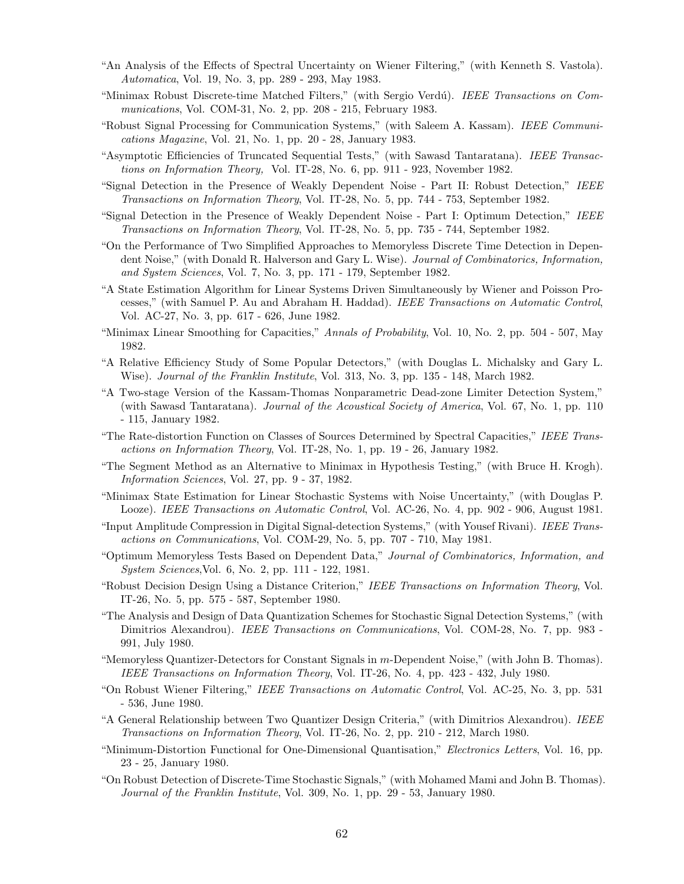- "An Analysis of the Effects of Spectral Uncertainty on Wiener Filtering," (with Kenneth S. Vastola). Automatica, Vol. 19, No. 3, pp. 289 - 293, May 1983.
- "Minimax Robust Discrete-time Matched Filters," (with Sergio Verdú). IEEE Transactions on Communications, Vol. COM-31, No. 2, pp. 208 - 215, February 1983.
- "Robust Signal Processing for Communication Systems," (with Saleem A. Kassam). IEEE Communications Magazine, Vol. 21, No. 1, pp. 20 - 28, January 1983.
- "Asymptotic Efficiencies of Truncated Sequential Tests," (with Sawasd Tantaratana). IEEE Transactions on Information Theory, Vol. IT-28, No. 6, pp. 911 - 923, November 1982.
- "Signal Detection in the Presence of Weakly Dependent Noise Part II: Robust Detection," IEEE Transactions on Information Theory, Vol. IT-28, No. 5, pp. 744 - 753, September 1982.
- "Signal Detection in the Presence of Weakly Dependent Noise Part I: Optimum Detection," IEEE Transactions on Information Theory, Vol. IT-28, No. 5, pp. 735 - 744, September 1982.
- "On the Performance of Two Simplified Approaches to Memoryless Discrete Time Detection in Dependent Noise," (with Donald R. Halverson and Gary L. Wise). Journal of Combinatorics, Information, and System Sciences, Vol. 7, No. 3, pp. 171 - 179, September 1982.
- "A State Estimation Algorithm for Linear Systems Driven Simultaneously by Wiener and Poisson Processes," (with Samuel P. Au and Abraham H. Haddad). IEEE Transactions on Automatic Control, Vol. AC-27, No. 3, pp. 617 - 626, June 1982.
- "Minimax Linear Smoothing for Capacities," Annals of Probability, Vol. 10, No. 2, pp. 504 507, May 1982.
- "A Relative Efficiency Study of Some Popular Detectors," (with Douglas L. Michalsky and Gary L. Wise). *Journal of the Franklin Institute*, Vol. 313, No. 3, pp. 135 - 148, March 1982.
- "A Two-stage Version of the Kassam-Thomas Nonparametric Dead-zone Limiter Detection System," (with Sawasd Tantaratana). Journal of the Acoustical Society of America, Vol. 67, No. 1, pp. 110 - 115, January 1982.
- "The Rate-distortion Function on Classes of Sources Determined by Spectral Capacities," IEEE Transactions on Information Theory, Vol. IT-28, No. 1, pp. 19 - 26, January 1982.
- "The Segment Method as an Alternative to Minimax in Hypothesis Testing," (with Bruce H. Krogh). Information Sciences, Vol. 27, pp. 9 - 37, 1982.
- "Minimax State Estimation for Linear Stochastic Systems with Noise Uncertainty," (with Douglas P. Looze). IEEE Transactions on Automatic Control, Vol. AC-26, No. 4, pp. 902 - 906, August 1981.
- "Input Amplitude Compression in Digital Signal-detection Systems," (with Yousef Rivani). IEEE Transactions on Communications, Vol. COM-29, No. 5, pp. 707 - 710, May 1981.
- "Optimum Memoryless Tests Based on Dependent Data," Journal of Combinatorics, Information, and System Sciences,Vol. 6, No. 2, pp. 111 - 122, 1981.
- "Robust Decision Design Using a Distance Criterion," IEEE Transactions on Information Theory, Vol. IT-26, No. 5, pp. 575 - 587, September 1980.
- "The Analysis and Design of Data Quantization Schemes for Stochastic Signal Detection Systems," (with Dimitrios Alexandrou). *IEEE Transactions on Communications*, Vol. COM-28, No. 7, pp. 983 -991, July 1980.
- "Memoryless Quantizer-Detectors for Constant Signals in m-Dependent Noise," (with John B. Thomas). IEEE Transactions on Information Theory, Vol. IT-26, No. 4, pp. 423 - 432, July 1980.
- "On Robust Wiener Filtering," IEEE Transactions on Automatic Control, Vol. AC-25, No. 3, pp. 531 - 536, June 1980.
- "A General Relationship between Two Quantizer Design Criteria," (with Dimitrios Alexandrou). IEEE Transactions on Information Theory, Vol. IT-26, No. 2, pp. 210 - 212, March 1980.
- "Minimum-Distortion Functional for One-Dimensional Quantisation," Electronics Letters, Vol. 16, pp. 23 - 25, January 1980.
- "On Robust Detection of Discrete-Time Stochastic Signals," (with Mohamed Mami and John B. Thomas). Journal of the Franklin Institute, Vol. 309, No. 1, pp. 29 - 53, January 1980.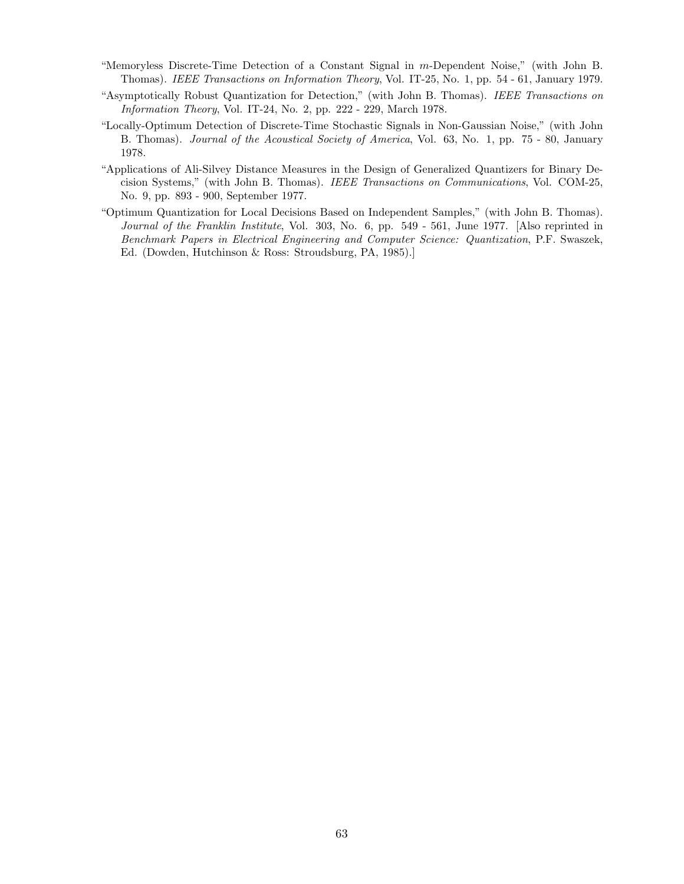- "Memoryless Discrete-Time Detection of a Constant Signal in m-Dependent Noise," (with John B. Thomas). IEEE Transactions on Information Theory, Vol. IT-25, No. 1, pp. 54 - 61, January 1979.
- "Asymptotically Robust Quantization for Detection," (with John B. Thomas). IEEE Transactions on Information Theory, Vol. IT-24, No. 2, pp. 222 - 229, March 1978.
- "Locally-Optimum Detection of Discrete-Time Stochastic Signals in Non-Gaussian Noise," (with John B. Thomas). Journal of the Acoustical Society of America, Vol. 63, No. 1, pp. 75 - 80, January 1978.
- "Applications of Ali-Silvey Distance Measures in the Design of Generalized Quantizers for Binary Decision Systems," (with John B. Thomas). IEEE Transactions on Communications, Vol. COM-25, No. 9, pp. 893 - 900, September 1977.
- "Optimum Quantization for Local Decisions Based on Independent Samples," (with John B. Thomas). Journal of the Franklin Institute, Vol. 303, No. 6, pp. 549 - 561, June 1977. [Also reprinted in Benchmark Papers in Electrical Engineering and Computer Science: Quantization, P.F. Swaszek, Ed. (Dowden, Hutchinson & Ross: Stroudsburg, PA, 1985).]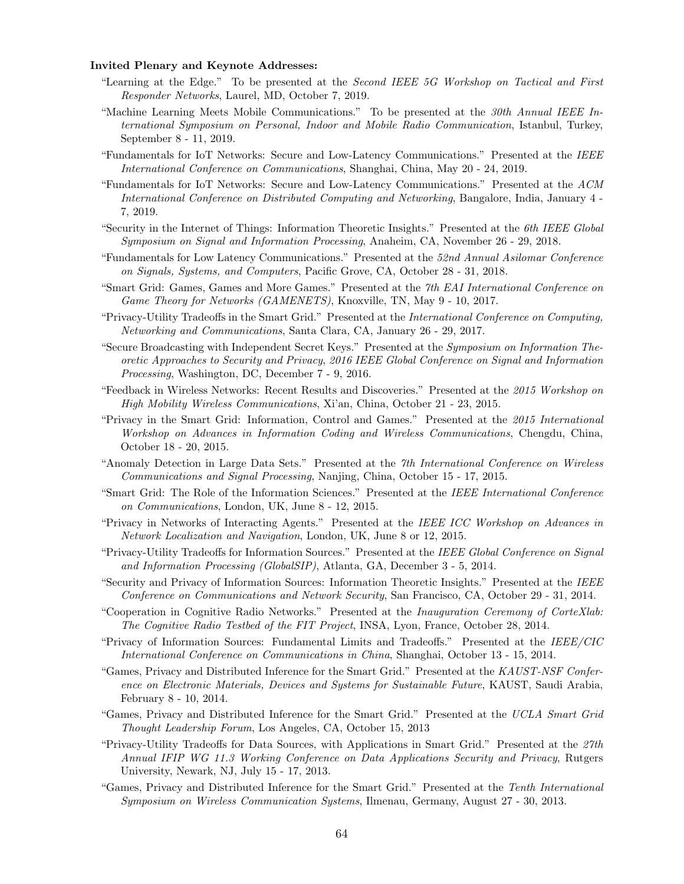## Invited Plenary and Keynote Addresses:

- "Learning at the Edge." To be presented at the Second IEEE 5G Workshop on Tactical and First Responder Networks, Laurel, MD, October 7, 2019.
- "Machine Learning Meets Mobile Communications." To be presented at the 30th Annual IEEE International Symposium on Personal, Indoor and Mobile Radio Communication, Istanbul, Turkey, September 8 - 11, 2019.
- "Fundamentals for IoT Networks: Secure and Low-Latency Communications." Presented at the IEEE International Conference on Communications, Shanghai, China, May 20 - 24, 2019.
- "Fundamentals for IoT Networks: Secure and Low-Latency Communications." Presented at the ACM International Conference on Distributed Computing and Networking, Bangalore, India, January 4 - 7, 2019.
- "Security in the Internet of Things: Information Theoretic Insights." Presented at the 6th IEEE Global Symposium on Signal and Information Processing, Anaheim, CA, November 26 - 29, 2018.
- "Fundamentals for Low Latency Communications." Presented at the 52nd Annual Asilomar Conference on Signals, Systems, and Computers, Pacific Grove, CA, October 28 - 31, 2018.
- "Smart Grid: Games, Games and More Games." Presented at the 7th EAI International Conference on Game Theory for Networks (GAMENETS), Knoxville, TN, May 9 - 10, 2017.
- "Privacy-Utility Tradeoffs in the Smart Grid." Presented at the International Conference on Computing, Networking and Communications, Santa Clara, CA, January 26 - 29, 2017.
- "Secure Broadcasting with Independent Secret Keys." Presented at the Symposium on Information Theoretic Approaches to Security and Privacy, 2016 IEEE Global Conference on Signal and Information Processing, Washington, DC, December 7 - 9, 2016.
- "Feedback in Wireless Networks: Recent Results and Discoveries." Presented at the 2015 Workshop on High Mobility Wireless Communications, Xi'an, China, October 21 - 23, 2015.
- "Privacy in the Smart Grid: Information, Control and Games." Presented at the 2015 International Workshop on Advances in Information Coding and Wireless Communications, Chengdu, China, October 18 - 20, 2015.
- "Anomaly Detection in Large Data Sets." Presented at the 7th International Conference on Wireless Communications and Signal Processing, Nanjing, China, October 15 - 17, 2015.
- "Smart Grid: The Role of the Information Sciences." Presented at the IEEE International Conference on Communications, London, UK, June 8 - 12, 2015.
- "Privacy in Networks of Interacting Agents." Presented at the IEEE ICC Workshop on Advances in Network Localization and Navigation, London, UK, June 8 or 12, 2015.
- "Privacy-Utility Tradeoffs for Information Sources." Presented at the IEEE Global Conference on Signal and Information Processing (GlobalSIP), Atlanta, GA, December 3 - 5, 2014.
- "Security and Privacy of Information Sources: Information Theoretic Insights." Presented at the IEEE Conference on Communications and Network Security, San Francisco, CA, October 29 - 31, 2014.
- "Cooperation in Cognitive Radio Networks." Presented at the Inauguration Ceremony of CorteXlab: The Cognitive Radio Testbed of the FIT Project, INSA, Lyon, France, October 28, 2014.
- "Privacy of Information Sources: Fundamental Limits and Tradeoffs." Presented at the IEEE/CIC International Conference on Communications in China, Shanghai, October 13 - 15, 2014.
- "Games, Privacy and Distributed Inference for the Smart Grid." Presented at the KAUST-NSF Conference on Electronic Materials, Devices and Systems for Sustainable Future, KAUST, Saudi Arabia, February 8 - 10, 2014.
- "Games, Privacy and Distributed Inference for the Smart Grid." Presented at the UCLA Smart Grid Thought Leadership Forum, Los Angeles, CA, October 15, 2013
- "Privacy-Utility Tradeoffs for Data Sources, with Applications in Smart Grid." Presented at the 27th Annual IFIP WG 11.3 Working Conference on Data Applications Security and Privacy, Rutgers University, Newark, NJ, July 15 - 17, 2013.
- "Games, Privacy and Distributed Inference for the Smart Grid." Presented at the Tenth International Symposium on Wireless Communication Systems, Ilmenau, Germany, August 27 - 30, 2013.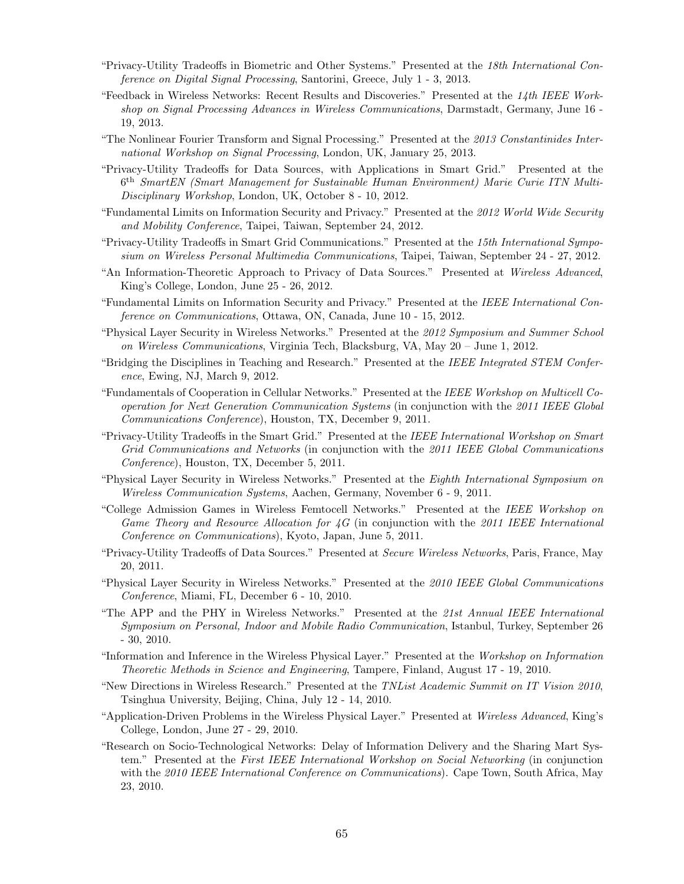- "Privacy-Utility Tradeoffs in Biometric and Other Systems." Presented at the 18th International Conference on Digital Signal Processing, Santorini, Greece, July 1 - 3, 2013.
- "Feedback in Wireless Networks: Recent Results and Discoveries." Presented at the 14th IEEE Workshop on Signal Processing Advances in Wireless Communications, Darmstadt, Germany, June 16 - 19, 2013.
- "The Nonlinear Fourier Transform and Signal Processing." Presented at the 2013 Constantinides International Workshop on Signal Processing, London, UK, January 25, 2013.
- "Privacy-Utility Tradeoffs for Data Sources, with Applications in Smart Grid." Presented at the 6 th SmartEN (Smart Management for Sustainable Human Environment) Marie Curie ITN Multi-Disciplinary Workshop, London, UK, October 8 - 10, 2012.
- "Fundamental Limits on Information Security and Privacy." Presented at the 2012 World Wide Security and Mobility Conference, Taipei, Taiwan, September 24, 2012.
- "Privacy-Utility Tradeoffs in Smart Grid Communications." Presented at the 15th International Symposium on Wireless Personal Multimedia Communications, Taipei, Taiwan, September 24 - 27, 2012.
- "An Information-Theoretic Approach to Privacy of Data Sources." Presented at Wireless Advanced, King's College, London, June 25 - 26, 2012.
- "Fundamental Limits on Information Security and Privacy." Presented at the IEEE International Conference on Communications, Ottawa, ON, Canada, June 10 - 15, 2012.
- "Physical Layer Security in Wireless Networks." Presented at the 2012 Symposium and Summer School on Wireless Communications, Virginia Tech, Blacksburg, VA, May 20 – June 1, 2012.
- "Bridging the Disciplines in Teaching and Research." Presented at the IEEE Integrated STEM Conference, Ewing, NJ, March 9, 2012.
- "Fundamentals of Cooperation in Cellular Networks." Presented at the IEEE Workshop on Multicell Cooperation for Next Generation Communication Systems (in conjunction with the 2011 IEEE Global Communications Conference), Houston, TX, December 9, 2011.
- "Privacy-Utility Tradeoffs in the Smart Grid." Presented at the IEEE International Workshop on Smart Grid Communications and Networks (in conjunction with the 2011 IEEE Global Communications Conference), Houston, TX, December 5, 2011.
- "Physical Layer Security in Wireless Networks." Presented at the Eighth International Symposium on Wireless Communication Systems, Aachen, Germany, November 6 - 9, 2011.
- "College Admission Games in Wireless Femtocell Networks." Presented at the IEEE Workshop on Game Theory and Resource Allocation for  $\angle G$  (in conjunction with the 2011 IEEE International Conference on Communications), Kyoto, Japan, June 5, 2011.
- "Privacy-Utility Tradeoffs of Data Sources." Presented at Secure Wireless Networks, Paris, France, May 20, 2011.
- "Physical Layer Security in Wireless Networks." Presented at the 2010 IEEE Global Communications Conference, Miami, FL, December 6 - 10, 2010.
- "The APP and the PHY in Wireless Networks." Presented at the 21st Annual IEEE International Symposium on Personal, Indoor and Mobile Radio Communication, Istanbul, Turkey, September 26 - 30, 2010.
- "Information and Inference in the Wireless Physical Layer." Presented at the Workshop on Information Theoretic Methods in Science and Engineering, Tampere, Finland, August 17 - 19, 2010.
- "New Directions in Wireless Research." Presented at the TNList Academic Summit on IT Vision 2010, Tsinghua University, Beijing, China, July 12 - 14, 2010.
- "Application-Driven Problems in the Wireless Physical Layer." Presented at Wireless Advanced, King's College, London, June 27 - 29, 2010.
- "Research on Socio-Technological Networks: Delay of Information Delivery and the Sharing Mart System." Presented at the First IEEE International Workshop on Social Networking (in conjunction with the 2010 IEEE International Conference on Communications). Cape Town, South Africa, May 23, 2010.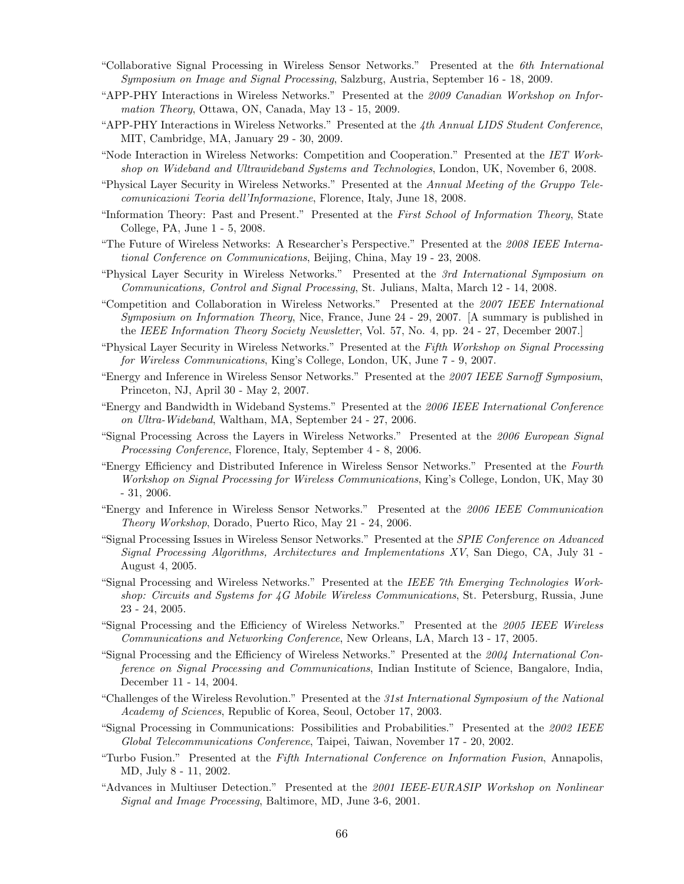- "Collaborative Signal Processing in Wireless Sensor Networks." Presented at the 6th International Symposium on Image and Signal Processing, Salzburg, Austria, September 16 - 18, 2009.
- "APP-PHY Interactions in Wireless Networks." Presented at the 2009 Canadian Workshop on Information Theory, Ottawa, ON, Canada, May 13 - 15, 2009.
- "APP-PHY Interactions in Wireless Networks." Presented at the 4th Annual LIDS Student Conference, MIT, Cambridge, MA, January 29 - 30, 2009.
- "Node Interaction in Wireless Networks: Competition and Cooperation." Presented at the IET Workshop on Wideband and Ultrawideband Systems and Technologies, London, UK, November 6, 2008.
- "Physical Layer Security in Wireless Networks." Presented at the Annual Meeting of the Gruppo Telecomunicazioni Teoria dell'Informazione, Florence, Italy, June 18, 2008.
- "Information Theory: Past and Present." Presented at the First School of Information Theory, State College, PA, June 1 - 5, 2008.
- "The Future of Wireless Networks: A Researcher's Perspective." Presented at the 2008 IEEE International Conference on Communications, Beijing, China, May 19 - 23, 2008.
- "Physical Layer Security in Wireless Networks." Presented at the 3rd International Symposium on Communications, Control and Signal Processing, St. Julians, Malta, March 12 - 14, 2008.
- "Competition and Collaboration in Wireless Networks." Presented at the 2007 IEEE International Symposium on Information Theory, Nice, France, June 24 - 29, 2007. [A summary is published in the IEEE Information Theory Society Newsletter, Vol. 57, No. 4, pp. 24 - 27, December 2007.
- "Physical Layer Security in Wireless Networks." Presented at the Fifth Workshop on Signal Processing for Wireless Communications, King's College, London, UK, June 7 - 9, 2007.
- "Energy and Inference in Wireless Sensor Networks." Presented at the 2007 IEEE Sarnoff Symposium, Princeton, NJ, April 30 - May 2, 2007.
- "Energy and Bandwidth in Wideband Systems." Presented at the 2006 IEEE International Conference on Ultra-Wideband, Waltham, MA, September 24 - 27, 2006.
- "Signal Processing Across the Layers in Wireless Networks." Presented at the 2006 European Signal Processing Conference, Florence, Italy, September 4 - 8, 2006.
- "Energy Efficiency and Distributed Inference in Wireless Sensor Networks." Presented at the Fourth Workshop on Signal Processing for Wireless Communications, King's College, London, UK, May 30 - 31, 2006.
- "Energy and Inference in Wireless Sensor Networks." Presented at the 2006 IEEE Communication Theory Workshop, Dorado, Puerto Rico, May 21 - 24, 2006.
- "Signal Processing Issues in Wireless Sensor Networks." Presented at the SPIE Conference on Advanced Signal Processing Algorithms, Architectures and Implementations XV, San Diego, CA, July 31 - August 4, 2005.
- "Signal Processing and Wireless Networks." Presented at the IEEE 7th Emerging Technologies Workshop: Circuits and Systems for 4G Mobile Wireless Communications, St. Petersburg, Russia, June 23 - 24, 2005.
- "Signal Processing and the Efficiency of Wireless Networks." Presented at the 2005 IEEE Wireless Communications and Networking Conference, New Orleans, LA, March 13 - 17, 2005.
- "Signal Processing and the Efficiency of Wireless Networks." Presented at the 2004 International Conference on Signal Processing and Communications, Indian Institute of Science, Bangalore, India, December 11 - 14, 2004.
- "Challenges of the Wireless Revolution." Presented at the 31st International Symposium of the National Academy of Sciences, Republic of Korea, Seoul, October 17, 2003.
- "Signal Processing in Communications: Possibilities and Probabilities." Presented at the 2002 IEEE Global Telecommunications Conference, Taipei, Taiwan, November 17 - 20, 2002.
- "Turbo Fusion." Presented at the Fifth International Conference on Information Fusion, Annapolis, MD, July 8 - 11, 2002.
- "Advances in Multiuser Detection." Presented at the 2001 IEEE-EURASIP Workshop on Nonlinear Signal and Image Processing, Baltimore, MD, June 3-6, 2001.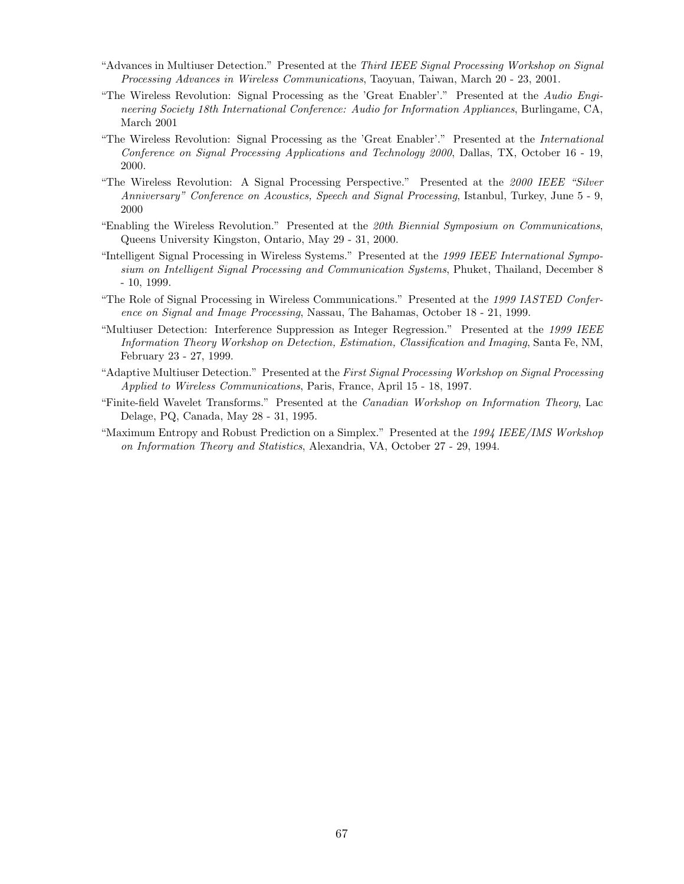- "Advances in Multiuser Detection." Presented at the Third IEEE Signal Processing Workshop on Signal Processing Advances in Wireless Communications, Taoyuan, Taiwan, March 20 - 23, 2001.
- "The Wireless Revolution: Signal Processing as the 'Great Enabler'." Presented at the Audio Engineering Society 18th International Conference: Audio for Information Appliances, Burlingame, CA, March 2001
- "The Wireless Revolution: Signal Processing as the 'Great Enabler'." Presented at the International Conference on Signal Processing Applications and Technology 2000, Dallas, TX, October 16 - 19, 2000.
- "The Wireless Revolution: A Signal Processing Perspective." Presented at the 2000 IEEE "Silver Anniversary" Conference on Acoustics, Speech and Signal Processing, Istanbul, Turkey, June 5 - 9, 2000
- "Enabling the Wireless Revolution." Presented at the 20th Biennial Symposium on Communications, Queens University Kingston, Ontario, May 29 - 31, 2000.
- "Intelligent Signal Processing in Wireless Systems." Presented at the 1999 IEEE International Symposium on Intelligent Signal Processing and Communication Systems, Phuket, Thailand, December 8 - 10, 1999.
- "The Role of Signal Processing in Wireless Communications." Presented at the 1999 IASTED Conference on Signal and Image Processing, Nassau, The Bahamas, October 18 - 21, 1999.
- "Multiuser Detection: Interference Suppression as Integer Regression." Presented at the 1999 IEEE Information Theory Workshop on Detection, Estimation, Classification and Imaging, Santa Fe, NM, February 23 - 27, 1999.
- "Adaptive Multiuser Detection." Presented at the First Signal Processing Workshop on Signal Processing Applied to Wireless Communications, Paris, France, April 15 - 18, 1997.
- "Finite-field Wavelet Transforms." Presented at the Canadian Workshop on Information Theory, Lac Delage, PQ, Canada, May 28 - 31, 1995.
- "Maximum Entropy and Robust Prediction on a Simplex." Presented at the 1994 IEEE/IMS Workshop on Information Theory and Statistics, Alexandria, VA, October 27 - 29, 1994.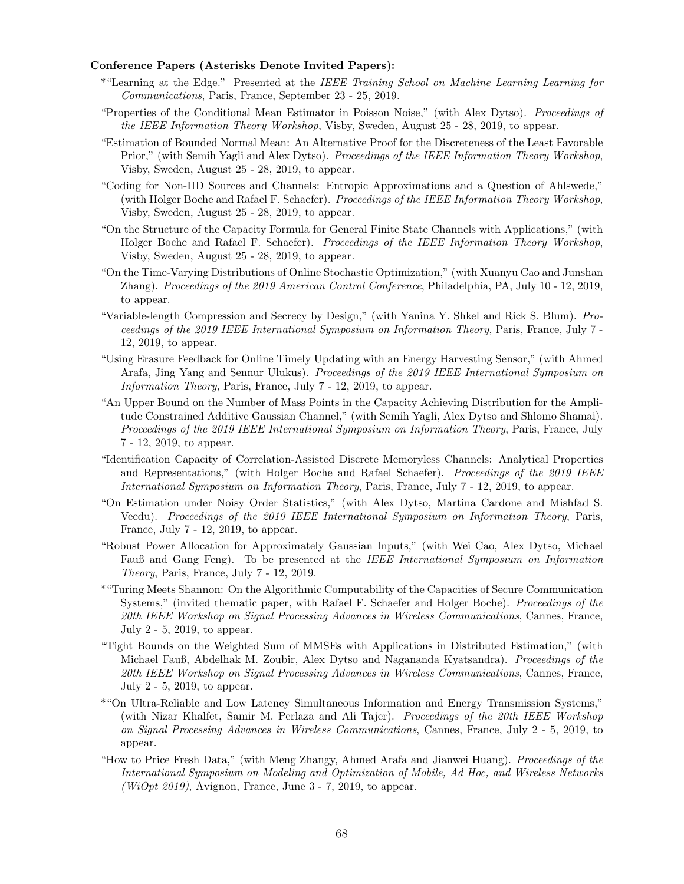## Conference Papers (Asterisks Denote Invited Papers):

- \*"Learning at the Edge." Presented at the IEEE Training School on Machine Learning Learning for Communications, Paris, France, September 23 - 25, 2019.
- "Properties of the Conditional Mean Estimator in Poisson Noise," (with Alex Dytso). Proceedings of the IEEE Information Theory Workshop, Visby, Sweden, August 25 - 28, 2019, to appear.
- "Estimation of Bounded Normal Mean: An Alternative Proof for the Discreteness of the Least Favorable Prior," (with Semih Yagli and Alex Dytso). Proceedings of the IEEE Information Theory Workshop, Visby, Sweden, August 25 - 28, 2019, to appear.
- "Coding for Non-IID Sources and Channels: Entropic Approximations and a Question of Ahlswede," (with Holger Boche and Rafael F. Schaefer). Proceedings of the IEEE Information Theory Workshop, Visby, Sweden, August 25 - 28, 2019, to appear.
- "On the Structure of the Capacity Formula for General Finite State Channels with Applications," (with Holger Boche and Rafael F. Schaefer). Proceedings of the IEEE Information Theory Workshop, Visby, Sweden, August 25 - 28, 2019, to appear.
- "On the Time-Varying Distributions of Online Stochastic Optimization," (with Xuanyu Cao and Junshan Zhang). Proceedings of the 2019 American Control Conference, Philadelphia, PA, July 10 - 12, 2019, to appear.
- "Variable-length Compression and Secrecy by Design," (with Yanina Y. Shkel and Rick S. Blum). Proceedings of the 2019 IEEE International Symposium on Information Theory, Paris, France, July 7 - 12, 2019, to appear.
- "Using Erasure Feedback for Online Timely Updating with an Energy Harvesting Sensor," (with Ahmed Arafa, Jing Yang and Sennur Ulukus). Proceedings of the 2019 IEEE International Symposium on Information Theory, Paris, France, July 7 - 12, 2019, to appear.
- "An Upper Bound on the Number of Mass Points in the Capacity Achieving Distribution for the Amplitude Constrained Additive Gaussian Channel," (with Semih Yagli, Alex Dytso and Shlomo Shamai). Proceedings of the 2019 IEEE International Symposium on Information Theory, Paris, France, July 7 - 12, 2019, to appear.
- "Identification Capacity of Correlation-Assisted Discrete Memoryless Channels: Analytical Properties and Representations," (with Holger Boche and Rafael Schaefer). Proceedings of the 2019 IEEE International Symposium on Information Theory, Paris, France, July 7 - 12, 2019, to appear.
- "On Estimation under Noisy Order Statistics," (with Alex Dytso, Martina Cardone and Mishfad S. Veedu). Proceedings of the 2019 IEEE International Symposium on Information Theory, Paris, France, July 7 - 12, 2019, to appear.
- "Robust Power Allocation for Approximately Gaussian Inputs," (with Wei Cao, Alex Dytso, Michael Fauß and Gang Feng). To be presented at the IEEE International Symposium on Information Theory, Paris, France, July 7 - 12, 2019.
- \*"Turing Meets Shannon: On the Algorithmic Computability of the Capacities of Secure Communication Systems," (invited thematic paper, with Rafael F. Schaefer and Holger Boche). Proceedings of the 20th IEEE Workshop on Signal Processing Advances in Wireless Communications, Cannes, France, July 2 - 5, 2019, to appear.
- "Tight Bounds on the Weighted Sum of MMSEs with Applications in Distributed Estimation," (with Michael Fauß, Abdelhak M. Zoubir, Alex Dytso and Nagananda Kyatsandra). Proceedings of the 20th IEEE Workshop on Signal Processing Advances in Wireless Communications, Cannes, France, July 2 - 5, 2019, to appear.
- \*"On Ultra-Reliable and Low Latency Simultaneous Information and Energy Transmission Systems," (with Nizar Khalfet, Samir M. Perlaza and Ali Tajer). Proceedings of the 20th IEEE Workshop on Signal Processing Advances in Wireless Communications, Cannes, France, July 2 - 5, 2019, to appear.
- "How to Price Fresh Data," (with Meng Zhangy, Ahmed Arafa and Jianwei Huang). Proceedings of the International Symposium on Modeling and Optimization of Mobile, Ad Hoc, and Wireless Networks (WiOpt 2019), Avignon, France, June  $3 - 7$ , 2019, to appear.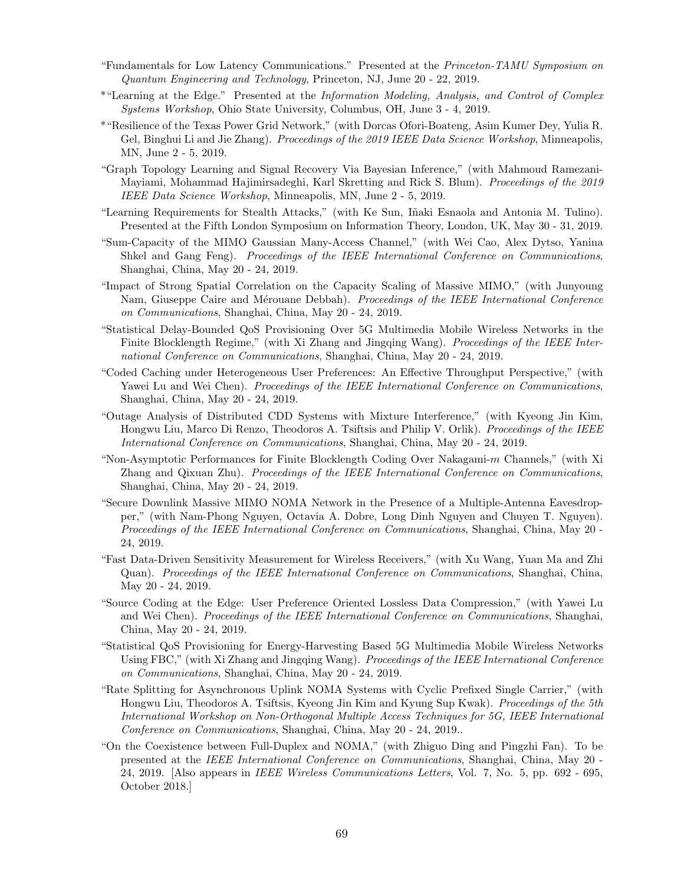- "Fundamentals for Low Latency Communications." Presented at the Princeton-TAMU Symposium on Quantum Engineering and Technology, Princeton, NJ, June 20 - 22, 2019.
- \*"Learning at the Edge." Presented at the Information Modeling, Analysis, and Control of Complex Systems Workshop, Ohio State University, Columbus, OH, June 3 - 4, 2019.
- \*"Resilience of the Texas Power Grid Network," (with Dorcas Ofori-Boateng, Asim Kumer Dey, Yulia R. Gel, Binghui Li and Jie Zhang). Proceedings of the 2019 IEEE Data Science Workshop, Minneapolis, MN, June 2 - 5, 2019.
- "Graph Topology Learning and Signal Recovery Via Bayesian Inference," (with Mahmoud Ramezani-Mayiami, Mohammad Hajimirsadeghi, Karl Skretting and Rick S. Blum). *Proceedings of the 2019* IEEE Data Science Workshop, Minneapolis, MN, June 2 - 5, 2019.
- "Learning Requirements for Stealth Attacks," (with Ke Sun, Iñaki Esnaola and Antonia M. Tulino). Presented at the Fifth London Symposium on Information Theory, London, UK, May 30 - 31, 2019.
- "Sum-Capacity of the MIMO Gaussian Many-Access Channel," (with Wei Cao, Alex Dytso, Yanina Shkel and Gang Feng). Proceedings of the IEEE International Conference on Communications, Shanghai, China, May 20 - 24, 2019.
- "Impact of Strong Spatial Correlation on the Capacity Scaling of Massive MIMO," (with Junyoung Nam, Giuseppe Caire and Mérouane Debbah). Proceedings of the IEEE International Conference on Communications, Shanghai, China, May 20 - 24, 2019.
- "Statistical Delay-Bounded QoS Provisioning Over 5G Multimedia Mobile Wireless Networks in the Finite Blocklength Regime," (with Xi Zhang and Jingqing Wang). Proceedings of the IEEE International Conference on Communications, Shanghai, China, May 20 - 24, 2019.
- "Coded Caching under Heterogeneous User Preferences: An Effective Throughput Perspective," (with Yawei Lu and Wei Chen). Proceedings of the IEEE International Conference on Communications, Shanghai, China, May 20 - 24, 2019.
- "Outage Analysis of Distributed CDD Systems with Mixture Interference," (with Kyeong Jin Kim, Hongwu Liu, Marco Di Renzo, Theodoros A. Tsiftsis and Philip V. Orlik). Proceedings of the IEEE International Conference on Communications, Shanghai, China, May 20 - 24, 2019.
- "Non-Asymptotic Performances for Finite Blocklength Coding Over Nakagami-m Channels," (with Xi Zhang and Qixuan Zhu). Proceedings of the IEEE International Conference on Communications, Shanghai, China, May 20 - 24, 2019.
- "Secure Downlink Massive MIMO NOMA Network in the Presence of a Multiple-Antenna Eavesdropper," (with Nam-Phong Nguyen, Octavia A. Dobre, Long Dinh Nguyen and Chuyen T. Nguyen). Proceedings of the IEEE International Conference on Communications, Shanghai, China, May 20 - 24, 2019.
- "Fast Data-Driven Sensitivity Measurement for Wireless Receivers," (with Xu Wang, Yuan Ma and Zhi Quan). Proceedings of the IEEE International Conference on Communications, Shanghai, China, May 20 - 24, 2019.
- "Source Coding at the Edge: User Preference Oriented Lossless Data Compression," (with Yawei Lu and Wei Chen). Proceedings of the IEEE International Conference on Communications, Shanghai, China, May 20 - 24, 2019.
- "Statistical QoS Provisioning for Energy-Harvesting Based 5G Multimedia Mobile Wireless Networks Using FBC," (with Xi Zhang and Jingqing Wang). Proceedings of the IEEE International Conference on Communications, Shanghai, China, May 20 - 24, 2019.
- "Rate Splitting for Asynchronous Uplink NOMA Systems with Cyclic Prefixed Single Carrier," (with Hongwu Liu, Theodoros A. Tsiftsis, Kyeong Jin Kim and Kyung Sup Kwak). Proceedings of the 5th International Workshop on Non-Orthogonal Multiple Access Techniques for 5G, IEEE International Conference on Communications, Shanghai, China, May 20 - 24, 2019..
- "On the Coexistence between Full-Duplex and NOMA," (with Zhiguo Ding and Pingzhi Fan). To be presented at the IEEE International Conference on Communications, Shanghai, China, May 20 - 24, 2019. [Also appears in IEEE Wireless Communications Letters, Vol. 7, No. 5, pp. 692 - 695, October 2018.]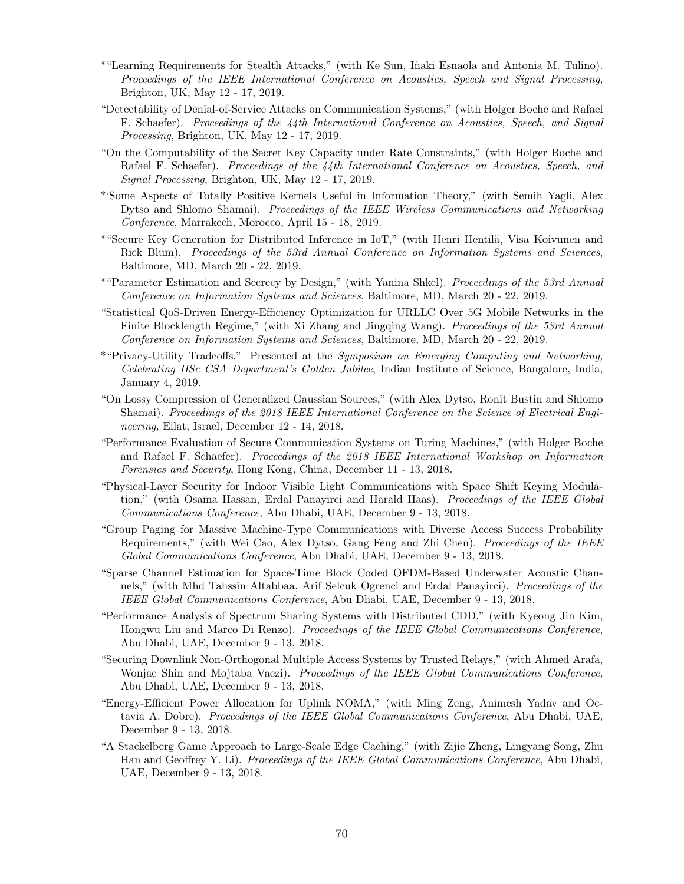- \*"Learning Requirements for Stealth Attacks," (with Ke Sun, I˜naki Esnaola and Antonia M. Tulino). Proceedings of the IEEE International Conference on Acoustics, Speech and Signal Processing, Brighton, UK, May 12 - 17, 2019.
- "Detectability of Denial-of-Service Attacks on Communication Systems," (with Holger Boche and Rafael F. Schaefer). Proceedings of the 44th International Conference on Acoustics, Speech, and Signal Processing, Brighton, UK, May 12 - 17, 2019.
- "On the Computability of the Secret Key Capacity under Rate Constraints," (with Holger Boche and Rafael F. Schaefer). Proceedings of the 44th International Conference on Acoustics, Speech, and Signal Processing, Brighton, UK, May 12 - 17, 2019.
- \*'Some Aspects of Totally Positive Kernels Useful in Information Theory," (with Semih Yagli, Alex Dytso and Shlomo Shamai). Proceedings of the IEEE Wireless Communications and Networking Conference, Marrakech, Morocco, April 15 - 18, 2019.
- \*"Secure Key Generation for Distributed Inference in IoT," (with Henri Hentil¨a, Visa Koivunen and Rick Blum). Proceedings of the 53rd Annual Conference on Information Systems and Sciences, Baltimore, MD, March 20 - 22, 2019.
- \*"Parameter Estimation and Secrecy by Design," (with Yanina Shkel). Proceedings of the 53rd Annual Conference on Information Systems and Sciences, Baltimore, MD, March 20 - 22, 2019.
- "Statistical QoS-Driven Energy-Efficiency Optimization for URLLC Over 5G Mobile Networks in the Finite Blocklength Regime," (with Xi Zhang and Jingqing Wang). Proceedings of the 53rd Annual Conference on Information Systems and Sciences, Baltimore, MD, March 20 - 22, 2019.
- \*"Privacy-Utility Tradeoffs." Presented at the Symposium on Emerging Computing and Networking, Celebrating IISc CSA Department's Golden Jubilee, Indian Institute of Science, Bangalore, India, January 4, 2019.
- "On Lossy Compression of Generalized Gaussian Sources," (with Alex Dytso, Ronit Bustin and Shlomo Shamai). Proceedings of the 2018 IEEE International Conference on the Science of Electrical Engineering, Eilat, Israel, December 12 - 14, 2018.
- "Performance Evaluation of Secure Communication Systems on Turing Machines," (with Holger Boche and Rafael F. Schaefer). Proceedings of the 2018 IEEE International Workshop on Information Forensics and Security, Hong Kong, China, December 11 - 13, 2018.
- "Physical-Layer Security for Indoor Visible Light Communications with Space Shift Keying Modulation," (with Osama Hassan, Erdal Panayirci and Harald Haas). Proceedings of the IEEE Global Communications Conference, Abu Dhabi, UAE, December 9 - 13, 2018.
- "Group Paging for Massive Machine-Type Communications with Diverse Access Success Probability Requirements," (with Wei Cao, Alex Dytso, Gang Feng and Zhi Chen). Proceedings of the IEEE Global Communications Conference, Abu Dhabi, UAE, December 9 - 13, 2018.
- "Sparse Channel Estimation for Space-Time Block Coded OFDM-Based Underwater Acoustic Channels," (with Mhd Tahssin Altabbaa, Arif Selcuk Ogrenci and Erdal Panayirci). Proceedings of the IEEE Global Communications Conference, Abu Dhabi, UAE, December 9 - 13, 2018.
- "Performance Analysis of Spectrum Sharing Systems with Distributed CDD," (with Kyeong Jin Kim, Hongwu Liu and Marco Di Renzo). Proceedings of the IEEE Global Communications Conference, Abu Dhabi, UAE, December 9 - 13, 2018.
- "Securing Downlink Non-Orthogonal Multiple Access Systems by Trusted Relays," (with Ahmed Arafa, Wonjae Shin and Mojtaba Vaezi). Proceedings of the IEEE Global Communications Conference, Abu Dhabi, UAE, December 9 - 13, 2018.
- "Energy-Efficient Power Allocation for Uplink NOMA," (with Ming Zeng, Animesh Yadav and Octavia A. Dobre). *Proceedings of the IEEE Global Communications Conference*, Abu Dhabi, UAE, December 9 - 13, 2018.
- "A Stackelberg Game Approach to Large-Scale Edge Caching," (with Zijie Zheng, Lingyang Song, Zhu Han and Geoffrey Y. Li). Proceedings of the IEEE Global Communications Conference, Abu Dhabi, UAE, December 9 - 13, 2018.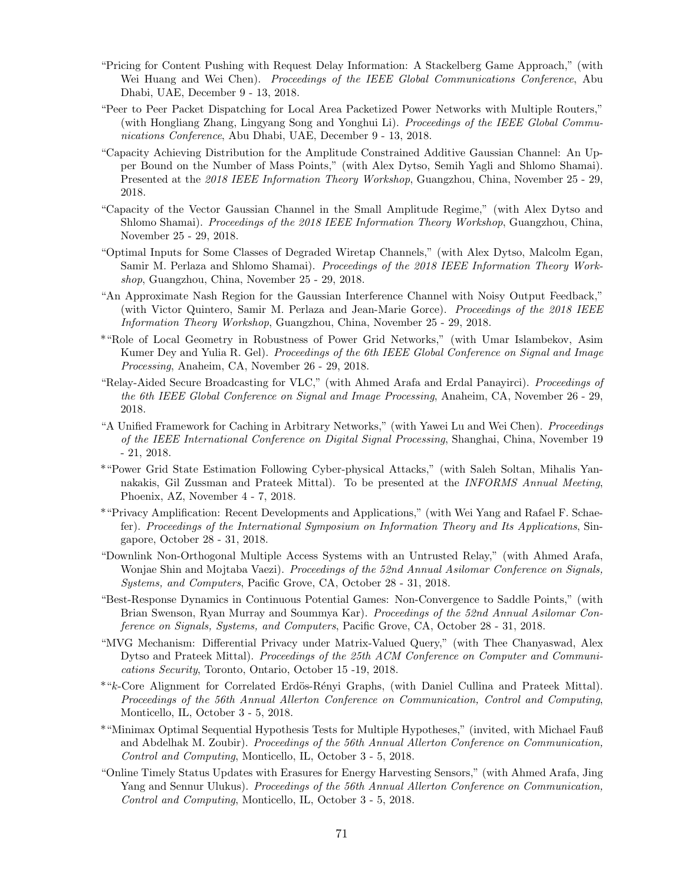- "Pricing for Content Pushing with Request Delay Information: A Stackelberg Game Approach," (with Wei Huang and Wei Chen). *Proceedings of the IEEE Global Communications Conference*, Abu Dhabi, UAE, December 9 - 13, 2018.
- "Peer to Peer Packet Dispatching for Local Area Packetized Power Networks with Multiple Routers," (with Hongliang Zhang, Lingyang Song and Yonghui Li). Proceedings of the IEEE Global Communications Conference, Abu Dhabi, UAE, December 9 - 13, 2018.
- "Capacity Achieving Distribution for the Amplitude Constrained Additive Gaussian Channel: An Upper Bound on the Number of Mass Points," (with Alex Dytso, Semih Yagli and Shlomo Shamai). Presented at the 2018 IEEE Information Theory Workshop, Guangzhou, China, November 25 - 29, 2018.
- "Capacity of the Vector Gaussian Channel in the Small Amplitude Regime," (with Alex Dytso and Shlomo Shamai). *Proceedings of the 2018 IEEE Information Theory Workshop*, Guangzhou, China, November 25 - 29, 2018.
- "Optimal Inputs for Some Classes of Degraded Wiretap Channels," (with Alex Dytso, Malcolm Egan, Samir M. Perlaza and Shlomo Shamai). Proceedings of the 2018 IEEE Information Theory Workshop, Guangzhou, China, November 25 - 29, 2018.
- "An Approximate Nash Region for the Gaussian Interference Channel with Noisy Output Feedback," (with Victor Quintero, Samir M. Perlaza and Jean-Marie Gorce). Proceedings of the 2018 IEEE Information Theory Workshop, Guangzhou, China, November 25 - 29, 2018.
- \*"Role of Local Geometry in Robustness of Power Grid Networks," (with Umar Islambekov, Asim Kumer Dey and Yulia R. Gel). Proceedings of the 6th IEEE Global Conference on Signal and Image Processing, Anaheim, CA, November 26 - 29, 2018.
- "Relay-Aided Secure Broadcasting for VLC," (with Ahmed Arafa and Erdal Panayirci). Proceedings of the 6th IEEE Global Conference on Signal and Image Processing, Anaheim, CA, November 26 - 29, 2018.
- "A Unified Framework for Caching in Arbitrary Networks," (with Yawei Lu and Wei Chen). Proceedings of the IEEE International Conference on Digital Signal Processing, Shanghai, China, November 19 - 21, 2018.
- \*"Power Grid State Estimation Following Cyber-physical Attacks," (with Saleh Soltan, Mihalis Yannakakis, Gil Zussman and Prateek Mittal). To be presented at the INFORMS Annual Meeting, Phoenix, AZ, November 4 - 7, 2018.
- \*"Privacy Amplification: Recent Developments and Applications," (with Wei Yang and Rafael F. Schaefer). Proceedings of the International Symposium on Information Theory and Its Applications, Singapore, October 28 - 31, 2018.
- "Downlink Non-Orthogonal Multiple Access Systems with an Untrusted Relay," (with Ahmed Arafa, Wonjae Shin and Mojtaba Vaezi). Proceedings of the 52nd Annual Asilomar Conference on Signals, Systems, and Computers, Pacific Grove, CA, October 28 - 31, 2018.
- "Best-Response Dynamics in Continuous Potential Games: Non-Convergence to Saddle Points," (with Brian Swenson, Ryan Murray and Soummya Kar). Proceedings of the 52nd Annual Asilomar Conference on Signals, Systems, and Computers, Pacific Grove, CA, October 28 - 31, 2018.
- "MVG Mechanism: Differential Privacy under Matrix-Valued Query," (with Thee Chanyaswad, Alex Dytso and Prateek Mittal). Proceedings of the 25th ACM Conference on Computer and Communications Security, Toronto, Ontario, October 15 -19, 2018.
- \*"k-Core Alignment for Correlated Erdös-Rényi Graphs, (with Daniel Cullina and Prateek Mittal). Proceedings of the 56th Annual Allerton Conference on Communication, Control and Computing, Monticello, IL, October 3 - 5, 2018.
- \*"Minimax Optimal Sequential Hypothesis Tests for Multiple Hypotheses," (invited, with Michael Fauß and Abdelhak M. Zoubir). Proceedings of the 56th Annual Allerton Conference on Communication, Control and Computing, Monticello, IL, October 3 - 5, 2018.
- "Online Timely Status Updates with Erasures for Energy Harvesting Sensors," (with Ahmed Arafa, Jing Yang and Sennur Ulukus). Proceedings of the 56th Annual Allerton Conference on Communication, Control and Computing, Monticello, IL, October 3 - 5, 2018.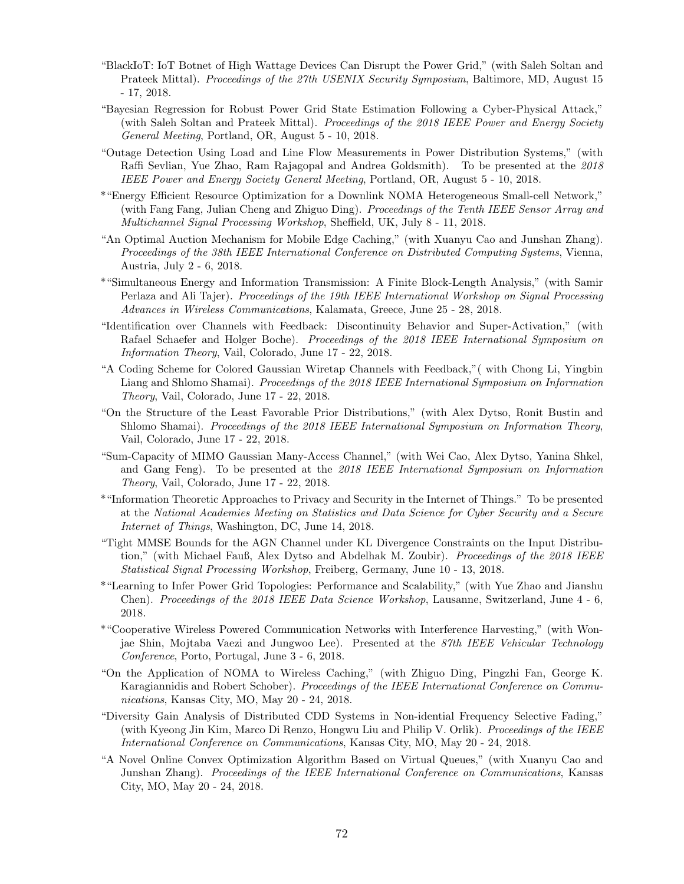- "BlackIoT: IoT Botnet of High Wattage Devices Can Disrupt the Power Grid," (with Saleh Soltan and Prateek Mittal). Proceedings of the 27th USENIX Security Symposium, Baltimore, MD, August 15 - 17, 2018.
- "Bayesian Regression for Robust Power Grid State Estimation Following a Cyber-Physical Attack," (with Saleh Soltan and Prateek Mittal). Proceedings of the 2018 IEEE Power and Energy Society General Meeting, Portland, OR, August 5 - 10, 2018.
- "Outage Detection Using Load and Line Flow Measurements in Power Distribution Systems," (with Raffi Sevlian, Yue Zhao, Ram Rajagopal and Andrea Goldsmith). To be presented at the 2018 IEEE Power and Energy Society General Meeting, Portland, OR, August 5 - 10, 2018.
- \*"Energy Efficient Resource Optimization for a Downlink NOMA Heterogeneous Small-cell Network," (with Fang Fang, Julian Cheng and Zhiguo Ding). Proceedings of the Tenth IEEE Sensor Array and Multichannel Signal Processing Workshop, Sheffield, UK, July 8 - 11, 2018.
- "An Optimal Auction Mechanism for Mobile Edge Caching," (with Xuanyu Cao and Junshan Zhang). Proceedings of the 38th IEEE International Conference on Distributed Computing Systems, Vienna, Austria, July 2 - 6, 2018.
- \*"Simultaneous Energy and Information Transmission: A Finite Block-Length Analysis," (with Samir Perlaza and Ali Tajer). Proceedings of the 19th IEEE International Workshop on Signal Processing Advances in Wireless Communications, Kalamata, Greece, June 25 - 28, 2018.
- "Identification over Channels with Feedback: Discontinuity Behavior and Super-Activation," (with Rafael Schaefer and Holger Boche). Proceedings of the 2018 IEEE International Symposium on Information Theory, Vail, Colorado, June 17 - 22, 2018.
- "A Coding Scheme for Colored Gaussian Wiretap Channels with Feedback,"( with Chong Li, Yingbin Liang and Shlomo Shamai). Proceedings of the 2018 IEEE International Symposium on Information Theory, Vail, Colorado, June 17 - 22, 2018.
- "On the Structure of the Least Favorable Prior Distributions," (with Alex Dytso, Ronit Bustin and Shlomo Shamai). Proceedings of the 2018 IEEE International Symposium on Information Theory, Vail, Colorado, June 17 - 22, 2018.
- "Sum-Capacity of MIMO Gaussian Many-Access Channel," (with Wei Cao, Alex Dytso, Yanina Shkel, and Gang Feng). To be presented at the 2018 IEEE International Symposium on Information Theory, Vail, Colorado, June 17 - 22, 2018.
- \*"Information Theoretic Approaches to Privacy and Security in the Internet of Things." To be presented at the National Academies Meeting on Statistics and Data Science for Cyber Security and a Secure Internet of Things, Washington, DC, June 14, 2018.
- "Tight MMSE Bounds for the AGN Channel under KL Divergence Constraints on the Input Distribution," (with Michael Fauß, Alex Dytso and Abdelhak M. Zoubir). *Proceedings of the 2018 IEEE* Statistical Signal Processing Workshop, Freiberg, Germany, June 10 - 13, 2018.
- \*"Learning to Infer Power Grid Topologies: Performance and Scalability," (with Yue Zhao and Jianshu Chen). Proceedings of the 2018 IEEE Data Science Workshop, Lausanne, Switzerland, June 4 - 6, 2018.
- \*"Cooperative Wireless Powered Communication Networks with Interference Harvesting," (with Wonjae Shin, Mojtaba Vaezi and Jungwoo Lee). Presented at the 87th IEEE Vehicular Technology Conference, Porto, Portugal, June 3 - 6, 2018.
- "On the Application of NOMA to Wireless Caching," (with Zhiguo Ding, Pingzhi Fan, George K. Karagiannidis and Robert Schober). *Proceedings of the IEEE International Conference on Commu*nications, Kansas City, MO, May 20 - 24, 2018.
- "Diversity Gain Analysis of Distributed CDD Systems in Non-idential Frequency Selective Fading," (with Kyeong Jin Kim, Marco Di Renzo, Hongwu Liu and Philip V. Orlik). Proceedings of the IEEE International Conference on Communications, Kansas City, MO, May 20 - 24, 2018.
- "A Novel Online Convex Optimization Algorithm Based on Virtual Queues," (with Xuanyu Cao and Junshan Zhang). Proceedings of the IEEE International Conference on Communications, Kansas City, MO, May 20 - 24, 2018.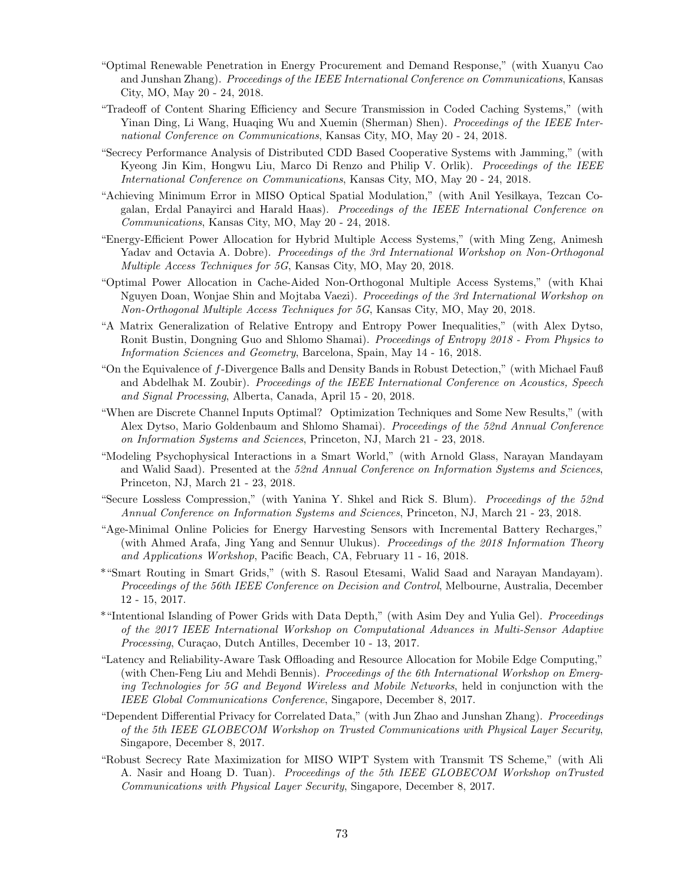- "Optimal Renewable Penetration in Energy Procurement and Demand Response," (with Xuanyu Cao and Junshan Zhang). Proceedings of the IEEE International Conference on Communications, Kansas City, MO, May 20 - 24, 2018.
- "Tradeoff of Content Sharing Efficiency and Secure Transmission in Coded Caching Systems," (with Yinan Ding, Li Wang, Huaqing Wu and Xuemin (Sherman) Shen). Proceedings of the IEEE International Conference on Communications, Kansas City, MO, May 20 - 24, 2018.
- "Secrecy Performance Analysis of Distributed CDD Based Cooperative Systems with Jamming," (with Kyeong Jin Kim, Hongwu Liu, Marco Di Renzo and Philip V. Orlik). Proceedings of the IEEE International Conference on Communications, Kansas City, MO, May 20 - 24, 2018.
- "Achieving Minimum Error in MISO Optical Spatial Modulation," (with Anil Yesilkaya, Tezcan Cogalan, Erdal Panayirci and Harald Haas). Proceedings of the IEEE International Conference on Communications, Kansas City, MO, May 20 - 24, 2018.
- "Energy-Efficient Power Allocation for Hybrid Multiple Access Systems," (with Ming Zeng, Animesh Yadav and Octavia A. Dobre). Proceedings of the 3rd International Workshop on Non-Orthogonal Multiple Access Techniques for 5G, Kansas City, MO, May 20, 2018.
- "Optimal Power Allocation in Cache-Aided Non-Orthogonal Multiple Access Systems," (with Khai Nguyen Doan, Wonjae Shin and Mojtaba Vaezi). Proceedings of the 3rd International Workshop on Non-Orthogonal Multiple Access Techniques for 5G, Kansas City, MO, May 20, 2018.
- "A Matrix Generalization of Relative Entropy and Entropy Power Inequalities," (with Alex Dytso, Ronit Bustin, Dongning Guo and Shlomo Shamai). Proceedings of Entropy 2018 - From Physics to Information Sciences and Geometry, Barcelona, Spain, May 14 - 16, 2018.
- "On the Equivalence of f-Divergence Balls and Density Bands in Robust Detection," (with Michael Fauß and Abdelhak M. Zoubir). Proceedings of the IEEE International Conference on Acoustics, Speech and Signal Processing, Alberta, Canada, April 15 - 20, 2018.
- "When are Discrete Channel Inputs Optimal? Optimization Techniques and Some New Results," (with Alex Dytso, Mario Goldenbaum and Shlomo Shamai). Proceedings of the 52nd Annual Conference on Information Systems and Sciences, Princeton, NJ, March 21 - 23, 2018.
- "Modeling Psychophysical Interactions in a Smart World," (with Arnold Glass, Narayan Mandayam and Walid Saad). Presented at the 52nd Annual Conference on Information Systems and Sciences, Princeton, NJ, March 21 - 23, 2018.
- "Secure Lossless Compression," (with Yanina Y. Shkel and Rick S. Blum). Proceedings of the 52nd Annual Conference on Information Systems and Sciences, Princeton, NJ, March 21 - 23, 2018.
- "Age-Minimal Online Policies for Energy Harvesting Sensors with Incremental Battery Recharges," (with Ahmed Arafa, Jing Yang and Sennur Ulukus). Proceedings of the 2018 Information Theory and Applications Workshop, Pacific Beach, CA, February 11 - 16, 2018.
- \*"Smart Routing in Smart Grids," (with S. Rasoul Etesami, Walid Saad and Narayan Mandayam). Proceedings of the 56th IEEE Conference on Decision and Control, Melbourne, Australia, December 12 - 15, 2017.
- \*"Intentional Islanding of Power Grids with Data Depth," (with Asim Dey and Yulia Gel). Proceedings of the 2017 IEEE International Workshop on Computational Advances in Multi-Sensor Adaptive Processing, Curaçao, Dutch Antilles, December 10 - 13, 2017.
- "Latency and Reliability-Aware Task Offloading and Resource Allocation for Mobile Edge Computing," (with Chen-Feng Liu and Mehdi Bennis). Proceedings of the 6th International Workshop on Emerging Technologies for 5G and Beyond Wireless and Mobile Networks, held in conjunction with the IEEE Global Communications Conference, Singapore, December 8, 2017.
- "Dependent Differential Privacy for Correlated Data," (with Jun Zhao and Junshan Zhang). Proceedings of the 5th IEEE GLOBECOM Workshop on Trusted Communications with Physical Layer Security, Singapore, December 8, 2017.
- "Robust Secrecy Rate Maximization for MISO WIPT System with Transmit TS Scheme," (with Ali A. Nasir and Hoang D. Tuan). Proceedings of the 5th IEEE GLOBECOM Workshop on Trusted Communications with Physical Layer Security, Singapore, December 8, 2017.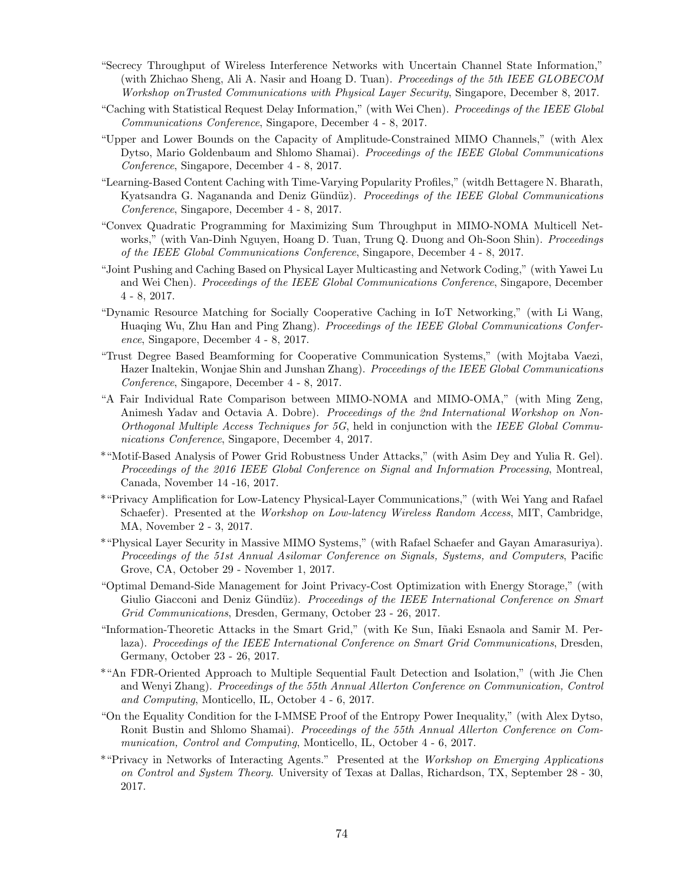- "Secrecy Throughput of Wireless Interference Networks with Uncertain Channel State Information," (with Zhichao Sheng, Ali A. Nasir and Hoang D. Tuan). Proceedings of the 5th IEEE GLOBECOM Workshop onTrusted Communications with Physical Layer Security, Singapore, December 8, 2017.
- "Caching with Statistical Request Delay Information," (with Wei Chen). Proceedings of the IEEE Global Communications Conference, Singapore, December 4 - 8, 2017.
- "Upper and Lower Bounds on the Capacity of Amplitude-Constrained MIMO Channels," (with Alex Dytso, Mario Goldenbaum and Shlomo Shamai). Proceedings of the IEEE Global Communications Conference, Singapore, December 4 - 8, 2017.
- "Learning-Based Content Caching with Time-Varying Popularity Profiles," (witdh Bettagere N. Bharath, Kyatsandra G. Nagananda and Deniz Gündüz). Proceedings of the IEEE Global Communications Conference, Singapore, December 4 - 8, 2017.
- "Convex Quadratic Programming for Maximizing Sum Throughput in MIMO-NOMA Multicell Networks," (with Van-Dinh Nguyen, Hoang D. Tuan, Trung Q. Duong and Oh-Soon Shin). Proceedings of the IEEE Global Communications Conference, Singapore, December 4 - 8, 2017.
- "Joint Pushing and Caching Based on Physical Layer Multicasting and Network Coding," (with Yawei Lu and Wei Chen). Proceedings of the IEEE Global Communications Conference, Singapore, December 4 - 8, 2017.
- "Dynamic Resource Matching for Socially Cooperative Caching in IoT Networking," (with Li Wang, Huaqing Wu, Zhu Han and Ping Zhang). Proceedings of the IEEE Global Communications Conference, Singapore, December 4 - 8, 2017.
- "Trust Degree Based Beamforming for Cooperative Communication Systems," (with Mojtaba Vaezi, Hazer Inaltekin, Wonjae Shin and Junshan Zhang). Proceedings of the IEEE Global Communications Conference, Singapore, December 4 - 8, 2017.
- "A Fair Individual Rate Comparison between MIMO-NOMA and MIMO-OMA," (with Ming Zeng, Animesh Yadav and Octavia A. Dobre). Proceedings of the 2nd International Workshop on Non-Orthogonal Multiple Access Techniques for 5G, held in conjunction with the IEEE Global Communications Conference, Singapore, December 4, 2017.
- \*"Motif-Based Analysis of Power Grid Robustness Under Attacks," (with Asim Dey and Yulia R. Gel). Proceedings of the 2016 IEEE Global Conference on Signal and Information Processing, Montreal, Canada, November 14 -16, 2017.
- \*"Privacy Amplification for Low-Latency Physical-Layer Communications," (with Wei Yang and Rafael Schaefer). Presented at the *Workshop on Low-latency Wireless Random Access*, MIT, Cambridge, MA, November 2 - 3, 2017.
- \*"Physical Layer Security in Massive MIMO Systems," (with Rafael Schaefer and Gayan Amarasuriya). Proceedings of the 51st Annual Asilomar Conference on Signals, Systems, and Computers, Pacific Grove, CA, October 29 - November 1, 2017.
- "Optimal Demand-Side Management for Joint Privacy-Cost Optimization with Energy Storage," (with Giulio Giacconi and Deniz Gündüz). Proceedings of the IEEE International Conference on Smart Grid Communications, Dresden, Germany, October 23 - 26, 2017.
- "Information-Theoretic Attacks in the Smart Grid," (with Ke Sun, I˜naki Esnaola and Samir M. Perlaza). Proceedings of the IEEE International Conference on Smart Grid Communications, Dresden, Germany, October 23 - 26, 2017.
- \*"An FDR-Oriented Approach to Multiple Sequential Fault Detection and Isolation," (with Jie Chen and Wenyi Zhang). Proceedings of the 55th Annual Allerton Conference on Communication, Control and Computing, Monticello, IL, October 4 - 6, 2017.
- "On the Equality Condition for the I-MMSE Proof of the Entropy Power Inequality," (with Alex Dytso, Ronit Bustin and Shlomo Shamai). Proceedings of the 55th Annual Allerton Conference on Communication, Control and Computing, Monticello, IL, October 4 - 6, 2017.
- \*"Privacy in Networks of Interacting Agents." Presented at the Workshop on Emerging Applications on Control and System Theory. University of Texas at Dallas, Richardson, TX, September 28 - 30, 2017.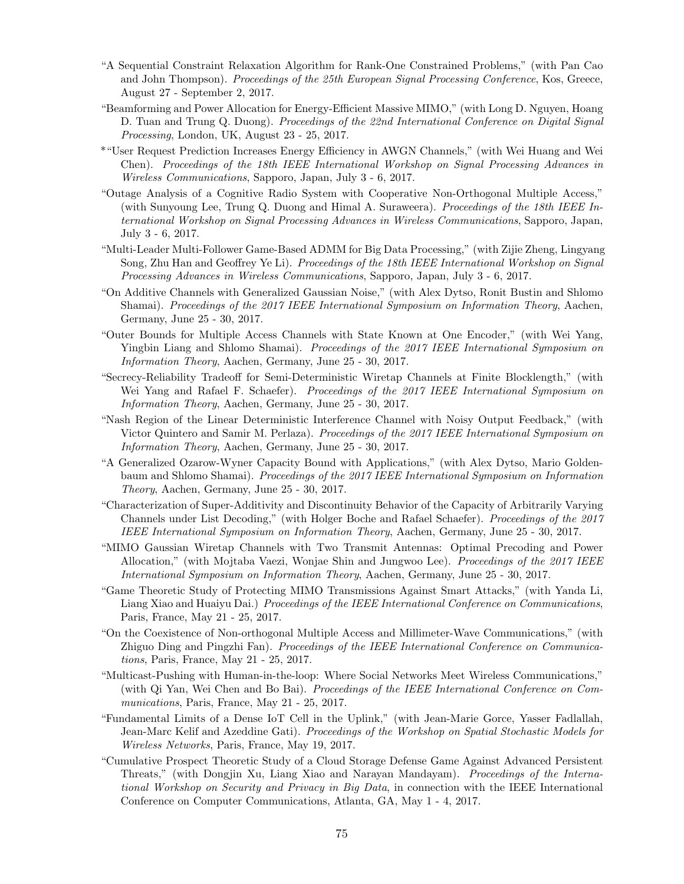- "A Sequential Constraint Relaxation Algorithm for Rank-One Constrained Problems," (with Pan Cao and John Thompson). Proceedings of the 25th European Signal Processing Conference, Kos, Greece, August 27 - September 2, 2017.
- "Beamforming and Power Allocation for Energy-Efficient Massive MIMO," (with Long D. Nguyen, Hoang D. Tuan and Trung Q. Duong). Proceedings of the 22nd International Conference on Digital Signal Processing, London, UK, August 23 - 25, 2017.
- \*"User Request Prediction Increases Energy Efficiency in AWGN Channels," (with Wei Huang and Wei Chen). Proceedings of the 18th IEEE International Workshop on Signal Processing Advances in Wireless Communications, Sapporo, Japan, July 3 - 6, 2017.
- "Outage Analysis of a Cognitive Radio System with Cooperative Non-Orthogonal Multiple Access," (with Sunyoung Lee, Trung Q. Duong and Himal A. Suraweera). Proceedings of the 18th IEEE International Workshop on Signal Processing Advances in Wireless Communications, Sapporo, Japan, July 3 - 6, 2017.
- "Multi-Leader Multi-Follower Game-Based ADMM for Big Data Processing," (with Zijie Zheng, Lingyang Song, Zhu Han and Geoffrey Ye Li). Proceedings of the 18th IEEE International Workshop on Signal Processing Advances in Wireless Communications, Sapporo, Japan, July 3 - 6, 2017.
- "On Additive Channels with Generalized Gaussian Noise," (with Alex Dytso, Ronit Bustin and Shlomo Shamai). Proceedings of the 2017 IEEE International Symposium on Information Theory, Aachen, Germany, June 25 - 30, 2017.
- "Outer Bounds for Multiple Access Channels with State Known at One Encoder," (with Wei Yang, Yingbin Liang and Shlomo Shamai). Proceedings of the 2017 IEEE International Symposium on Information Theory, Aachen, Germany, June 25 - 30, 2017.
- "Secrecy-Reliability Tradeoff for Semi-Deterministic Wiretap Channels at Finite Blocklength," (with Wei Yang and Rafael F. Schaefer). Proceedings of the 2017 IEEE International Symposium on Information Theory, Aachen, Germany, June 25 - 30, 2017.
- "Nash Region of the Linear Deterministic Interference Channel with Noisy Output Feedback," (with Victor Quintero and Samir M. Perlaza). Proceedings of the 2017 IEEE International Symposium on Information Theory, Aachen, Germany, June 25 - 30, 2017.
- "A Generalized Ozarow-Wyner Capacity Bound with Applications," (with Alex Dytso, Mario Goldenbaum and Shlomo Shamai). Proceedings of the 2017 IEEE International Symposium on Information Theory, Aachen, Germany, June 25 - 30, 2017.
- "Characterization of Super-Additivity and Discontinuity Behavior of the Capacity of Arbitrarily Varying Channels under List Decoding," (with Holger Boche and Rafael Schaefer). Proceedings of the 2017 IEEE International Symposium on Information Theory, Aachen, Germany, June 25 - 30, 2017.
- "MIMO Gaussian Wiretap Channels with Two Transmit Antennas: Optimal Precoding and Power Allocation," (with Mojtaba Vaezi, Wonjae Shin and Jungwoo Lee). *Proceedings of the 2017 IEEE* International Symposium on Information Theory, Aachen, Germany, June 25 - 30, 2017.
- "Game Theoretic Study of Protecting MIMO Transmissions Against Smart Attacks," (with Yanda Li, Liang Xiao and Huaiyu Dai.) Proceedings of the IEEE International Conference on Communications, Paris, France, May 21 - 25, 2017.
- "On the Coexistence of Non-orthogonal Multiple Access and Millimeter-Wave Communications," (with Zhiguo Ding and Pingzhi Fan). Proceedings of the IEEE International Conference on Communications, Paris, France, May 21 - 25, 2017.
- "Multicast-Pushing with Human-in-the-loop: Where Social Networks Meet Wireless Communications," (with Qi Yan, Wei Chen and Bo Bai). Proceedings of the IEEE International Conference on Communications, Paris, France, May 21 - 25, 2017.
- "Fundamental Limits of a Dense IoT Cell in the Uplink," (with Jean-Marie Gorce, Yasser Fadlallah, Jean-Marc Kelif and Azeddine Gati). Proceedings of the Workshop on Spatial Stochastic Models for Wireless Networks, Paris, France, May 19, 2017.
- "Cumulative Prospect Theoretic Study of a Cloud Storage Defense Game Against Advanced Persistent Threats," (with Dongjin Xu, Liang Xiao and Narayan Mandayam). Proceedings of the International Workshop on Security and Privacy in Big Data, in connection with the IEEE International Conference on Computer Communications, Atlanta, GA, May 1 - 4, 2017.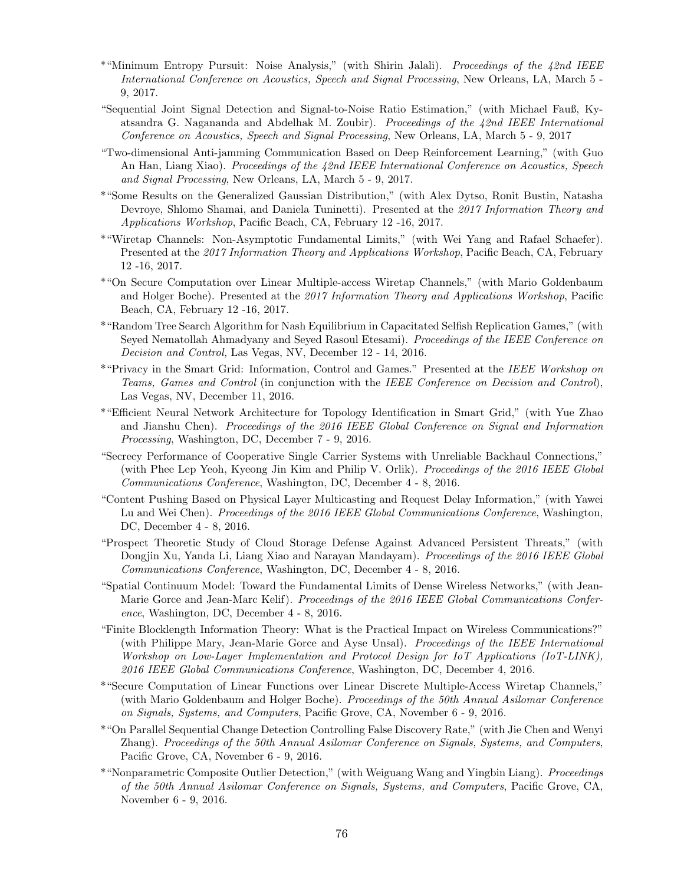- \*"Minimum Entropy Pursuit: Noise Analysis," (with Shirin Jalali). Proceedings of the 42nd IEEE International Conference on Acoustics, Speech and Signal Processing, New Orleans, LA, March 5 - 9, 2017.
- "Sequential Joint Signal Detection and Signal-to-Noise Ratio Estimation," (with Michael Fauß, Kyatsandra G. Nagananda and Abdelhak M. Zoubir). Proceedings of the 42nd IEEE International Conference on Acoustics, Speech and Signal Processing, New Orleans, LA, March 5 - 9, 2017
- "Two-dimensional Anti-jamming Communication Based on Deep Reinforcement Learning," (with Guo An Han, Liang Xiao). Proceedings of the 42nd IEEE International Conference on Acoustics, Speech and Signal Processing, New Orleans, LA, March 5 - 9, 2017.
- \*"Some Results on the Generalized Gaussian Distribution," (with Alex Dytso, Ronit Bustin, Natasha Devroye, Shlomo Shamai, and Daniela Tuninetti). Presented at the 2017 Information Theory and Applications Workshop, Pacific Beach, CA, February 12 -16, 2017.
- \*"Wiretap Channels: Non-Asymptotic Fundamental Limits," (with Wei Yang and Rafael Schaefer). Presented at the 2017 Information Theory and Applications Workshop, Pacific Beach, CA, February 12 -16, 2017.
- \*"On Secure Computation over Linear Multiple-access Wiretap Channels," (with Mario Goldenbaum and Holger Boche). Presented at the 2017 Information Theory and Applications Workshop, Pacific Beach, CA, February 12 -16, 2017.
- \*"Random Tree Search Algorithm for Nash Equilibrium in Capacitated Selfish Replication Games," (with Seyed Nematollah Ahmadyany and Seyed Rasoul Etesami). Proceedings of the IEEE Conference on Decision and Control, Las Vegas, NV, December 12 - 14, 2016.
- \*"Privacy in the Smart Grid: Information, Control and Games." Presented at the IEEE Workshop on Teams, Games and Control (in conjunction with the IEEE Conference on Decision and Control), Las Vegas, NV, December 11, 2016.
- \*"Efficient Neural Network Architecture for Topology Identification in Smart Grid," (with Yue Zhao and Jianshu Chen). Proceedings of the 2016 IEEE Global Conference on Signal and Information Processing, Washington, DC, December 7 - 9, 2016.
- "Secrecy Performance of Cooperative Single Carrier Systems with Unreliable Backhaul Connections," (with Phee Lep Yeoh, Kyeong Jin Kim and Philip V. Orlik). Proceedings of the 2016 IEEE Global Communications Conference, Washington, DC, December 4 - 8, 2016.
- "Content Pushing Based on Physical Layer Multicasting and Request Delay Information," (with Yawei Lu and Wei Chen). Proceedings of the 2016 IEEE Global Communications Conference, Washington, DC, December 4 - 8, 2016.
- "Prospect Theoretic Study of Cloud Storage Defense Against Advanced Persistent Threats," (with Dongjin Xu, Yanda Li, Liang Xiao and Narayan Mandayam). *Proceedings of the 2016 IEEE Global* Communications Conference, Washington, DC, December 4 - 8, 2016.
- "Spatial Continuum Model: Toward the Fundamental Limits of Dense Wireless Networks," (with Jean-Marie Gorce and Jean-Marc Kelif). Proceedings of the 2016 IEEE Global Communications Conference, Washington, DC, December 4 - 8, 2016.
- "Finite Blocklength Information Theory: What is the Practical Impact on Wireless Communications?" (with Philippe Mary, Jean-Marie Gorce and Ayse Unsal). Proceedings of the IEEE International Workshop on Low-Layer Implementation and Protocol Design for IoT Applications (IoT-LINK), 2016 IEEE Global Communications Conference, Washington, DC, December 4, 2016.
- \*"Secure Computation of Linear Functions over Linear Discrete Multiple-Access Wiretap Channels," (with Mario Goldenbaum and Holger Boche). Proceedings of the 50th Annual Asilomar Conference on Signals, Systems, and Computers, Pacific Grove, CA, November 6 - 9, 2016.
- \*"On Parallel Sequential Change Detection Controlling False Discovery Rate," (with Jie Chen and Wenyi Zhang). Proceedings of the 50th Annual Asilomar Conference on Signals, Systems, and Computers, Pacific Grove, CA, November 6 - 9, 2016.
- \*"Nonparametric Composite Outlier Detection," (with Weiguang Wang and Yingbin Liang). Proceedings of the 50th Annual Asilomar Conference on Signals, Systems, and Computers, Pacific Grove, CA, November 6 - 9, 2016.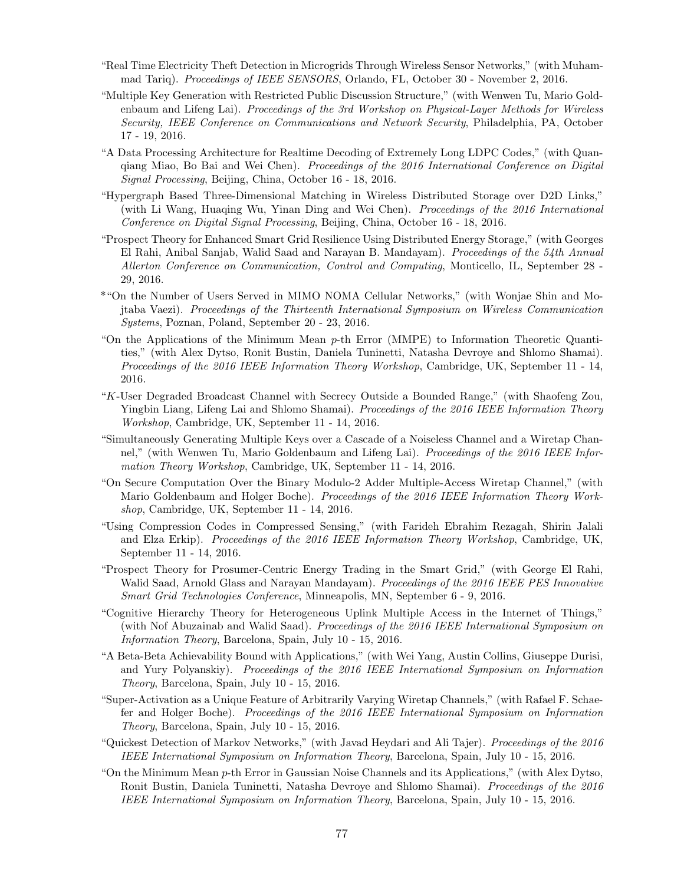- "Real Time Electricity Theft Detection in Microgrids Through Wireless Sensor Networks," (with Muhammad Tariq). Proceedings of IEEE SENSORS, Orlando, FL, October 30 - November 2, 2016.
- "Multiple Key Generation with Restricted Public Discussion Structure," (with Wenwen Tu, Mario Goldenbaum and Lifeng Lai). Proceedings of the 3rd Workshop on Physical-Layer Methods for Wireless Security, IEEE Conference on Communications and Network Security, Philadelphia, PA, October 17 - 19, 2016.
- "A Data Processing Architecture for Realtime Decoding of Extremely Long LDPC Codes," (with Quanqiang Miao, Bo Bai and Wei Chen). Proceedings of the 2016 International Conference on Digital Signal Processing, Beijing, China, October 16 - 18, 2016.
- "Hypergraph Based Three-Dimensional Matching in Wireless Distributed Storage over D2D Links," (with Li Wang, Huaqing Wu, Yinan Ding and Wei Chen). Proceedings of the 2016 International Conference on Digital Signal Processing, Beijing, China, October 16 - 18, 2016.
- "Prospect Theory for Enhanced Smart Grid Resilience Using Distributed Energy Storage," (with Georges El Rahi, Anibal Sanjab, Walid Saad and Narayan B. Mandayam). Proceedings of the 54th Annual Allerton Conference on Communication, Control and Computing, Monticello, IL, September 28 - 29, 2016.
- \*"On the Number of Users Served in MIMO NOMA Cellular Networks," (with Wonjae Shin and Mojtaba Vaezi). Proceedings of the Thirteenth International Symposium on Wireless Communication Systems, Poznan, Poland, September 20 - 23, 2016.
- "On the Applications of the Minimum Mean p-th Error (MMPE) to Information Theoretic Quantities," (with Alex Dytso, Ronit Bustin, Daniela Tuninetti, Natasha Devroye and Shlomo Shamai). Proceedings of the 2016 IEEE Information Theory Workshop, Cambridge, UK, September 11 - 14, 2016.
- "K-User Degraded Broadcast Channel with Secrecy Outside a Bounded Range," (with Shaofeng Zou, Yingbin Liang, Lifeng Lai and Shlomo Shamai). *Proceedings of the 2016 IEEE Information Theory* Workshop, Cambridge, UK, September 11 - 14, 2016.
- "Simultaneously Generating Multiple Keys over a Cascade of a Noiseless Channel and a Wiretap Channel," (with Wenwen Tu, Mario Goldenbaum and Lifeng Lai). Proceedings of the 2016 IEEE Information Theory Workshop, Cambridge, UK, September 11 - 14, 2016.
- "On Secure Computation Over the Binary Modulo-2 Adder Multiple-Access Wiretap Channel," (with Mario Goldenbaum and Holger Boche). Proceedings of the 2016 IEEE Information Theory Workshop, Cambridge, UK, September 11 - 14, 2016.
- "Using Compression Codes in Compressed Sensing," (with Farideh Ebrahim Rezagah, Shirin Jalali and Elza Erkip). Proceedings of the 2016 IEEE Information Theory Workshop, Cambridge, UK, September 11 - 14, 2016.
- "Prospect Theory for Prosumer-Centric Energy Trading in the Smart Grid," (with George El Rahi, Walid Saad, Arnold Glass and Narayan Mandayam). Proceedings of the 2016 IEEE PES Innovative Smart Grid Technologies Conference, Minneapolis, MN, September 6 - 9, 2016.
- "Cognitive Hierarchy Theory for Heterogeneous Uplink Multiple Access in the Internet of Things," (with Nof Abuzainab and Walid Saad). Proceedings of the 2016 IEEE International Symposium on Information Theory, Barcelona, Spain, July 10 - 15, 2016.
- "A Beta-Beta Achievability Bound with Applications," (with Wei Yang, Austin Collins, Giuseppe Durisi, and Yury Polyanskiy). Proceedings of the 2016 IEEE International Symposium on Information Theory, Barcelona, Spain, July 10 - 15, 2016.
- "Super-Activation as a Unique Feature of Arbitrarily Varying Wiretap Channels," (with Rafael F. Schaefer and Holger Boche). Proceedings of the 2016 IEEE International Symposium on Information Theory, Barcelona, Spain, July 10 - 15, 2016.
- "Quickest Detection of Markov Networks," (with Javad Heydari and Ali Tajer). Proceedings of the 2016 IEEE International Symposium on Information Theory, Barcelona, Spain, July 10 - 15, 2016.
- "On the Minimum Mean p-th Error in Gaussian Noise Channels and its Applications," (with Alex Dytso, Ronit Bustin, Daniela Tuninetti, Natasha Devroye and Shlomo Shamai). Proceedings of the 2016 IEEE International Symposium on Information Theory, Barcelona, Spain, July 10 - 15, 2016.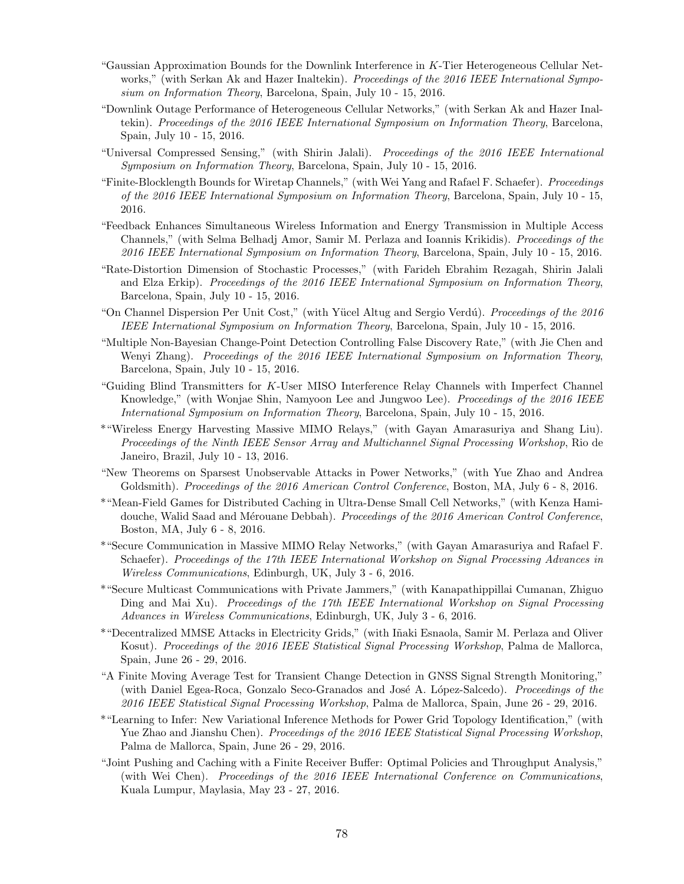- "Gaussian Approximation Bounds for the Downlink Interference in  $K$ -Tier Heterogeneous Cellular Networks," (with Serkan Ak and Hazer Inaltekin). Proceedings of the 2016 IEEE International Symposium on Information Theory, Barcelona, Spain, July 10 - 15, 2016.
- "Downlink Outage Performance of Heterogeneous Cellular Networks," (with Serkan Ak and Hazer Inaltekin). Proceedings of the 2016 IEEE International Symposium on Information Theory, Barcelona, Spain, July 10 - 15, 2016.
- "Universal Compressed Sensing," (with Shirin Jalali). Proceedings of the 2016 IEEE International Symposium on Information Theory, Barcelona, Spain, July 10 - 15, 2016.
- "Finite-Blocklength Bounds for Wiretap Channels," (with Wei Yang and Rafael F. Schaefer). Proceedings of the 2016 IEEE International Symposium on Information Theory, Barcelona, Spain, July 10 - 15, 2016.
- "Feedback Enhances Simultaneous Wireless Information and Energy Transmission in Multiple Access Channels," (with Selma Belhadj Amor, Samir M. Perlaza and Ioannis Krikidis). Proceedings of the 2016 IEEE International Symposium on Information Theory, Barcelona, Spain, July 10 - 15, 2016.
- "Rate-Distortion Dimension of Stochastic Processes," (with Farideh Ebrahim Rezagah, Shirin Jalali and Elza Erkip). Proceedings of the 2016 IEEE International Symposium on Information Theory, Barcelona, Spain, July 10 - 15, 2016.
- "On Channel Dispersion Per Unit Cost," (with Yücel Altug and Sergio Verdú). Proceedings of the 2016 IEEE International Symposium on Information Theory, Barcelona, Spain, July 10 - 15, 2016.
- "Multiple Non-Bayesian Change-Point Detection Controlling False Discovery Rate," (with Jie Chen and Wenyi Zhang). Proceedings of the 2016 IEEE International Symposium on Information Theory, Barcelona, Spain, July 10 - 15, 2016.
- "Guiding Blind Transmitters for K-User MISO Interference Relay Channels with Imperfect Channel Knowledge," (with Wonjae Shin, Namyoon Lee and Jungwoo Lee). Proceedings of the 2016 IEEE International Symposium on Information Theory, Barcelona, Spain, July 10 - 15, 2016.
- \*"Wireless Energy Harvesting Massive MIMO Relays," (with Gayan Amarasuriya and Shang Liu). Proceedings of the Ninth IEEE Sensor Array and Multichannel Signal Processing Workshop, Rio de Janeiro, Brazil, July 10 - 13, 2016.
- "New Theorems on Sparsest Unobservable Attacks in Power Networks," (with Yue Zhao and Andrea Goldsmith). Proceedings of the 2016 American Control Conference, Boston, MA, July 6 - 8, 2016.
- \*"Mean-Field Games for Distributed Caching in Ultra-Dense Small Cell Networks," (with Kenza Hamidouche, Walid Saad and Mérouane Debbah). Proceedings of the 2016 American Control Conference, Boston, MA, July 6 - 8, 2016.
- \*"Secure Communication in Massive MIMO Relay Networks," (with Gayan Amarasuriya and Rafael F. Schaefer). Proceedings of the 17th IEEE International Workshop on Signal Processing Advances in Wireless Communications, Edinburgh, UK, July 3 - 6, 2016.
- \*"Secure Multicast Communications with Private Jammers," (with Kanapathippillai Cumanan, Zhiguo Ding and Mai Xu). Proceedings of the 17th IEEE International Workshop on Signal Processing Advances in Wireless Communications, Edinburgh, UK, July 3 - 6, 2016.
- \*"Decentralized MMSE Attacks in Electricity Grids," (with I˜naki Esnaola, Samir M. Perlaza and Oliver Kosut). Proceedings of the 2016 IEEE Statistical Signal Processing Workshop, Palma de Mallorca, Spain, June 26 - 29, 2016.
- "A Finite Moving Average Test for Transient Change Detection in GNSS Signal Strength Monitoring," (with Daniel Egea-Roca, Gonzalo Seco-Granados and José A. López-Salcedo). Proceedings of the 2016 IEEE Statistical Signal Processing Workshop, Palma de Mallorca, Spain, June 26 - 29, 2016.
- \*"Learning to Infer: New Variational Inference Methods for Power Grid Topology Identification," (with Yue Zhao and Jianshu Chen). *Proceedings of the 2016 IEEE Statistical Signal Processing Workshop*, Palma de Mallorca, Spain, June 26 - 29, 2016.
- "Joint Pushing and Caching with a Finite Receiver Buffer: Optimal Policies and Throughput Analysis," (with Wei Chen). Proceedings of the 2016 IEEE International Conference on Communications, Kuala Lumpur, Maylasia, May 23 - 27, 2016.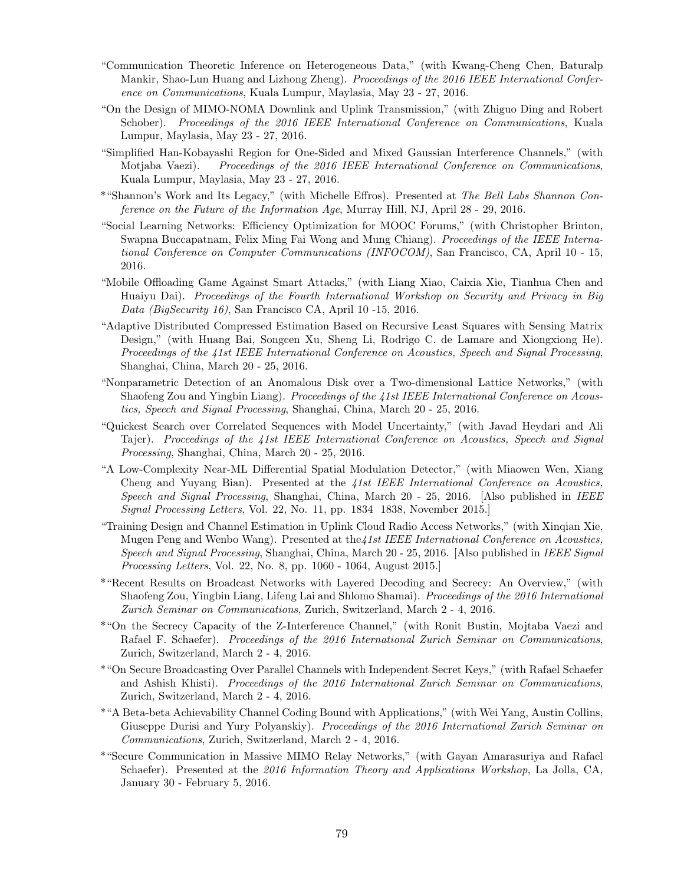- "Communication Theoretic Inference on Heterogeneous Data," (with Kwang-Cheng Chen, Baturalp Mankir, Shao-Lun Huang and Lizhong Zheng). Proceedings of the 2016 IEEE International Conference on Communications, Kuala Lumpur, Maylasia, May 23 - 27, 2016.
- "On the Design of MIMO-NOMA Downlink and Uplink Transmission," (with Zhiguo Ding and Robert Schober). Proceedings of the 2016 IEEE International Conference on Communications, Kuala Lumpur, Maylasia, May 23 - 27, 2016.
- "Simplified Han-Kobayashi Region for One-Sided and Mixed Gaussian Interference Channels," (with Motjaba Vaezi). Proceedings of the 2016 IEEE International Conference on Communications, Kuala Lumpur, Maylasia, May 23 - 27, 2016.
- \*"Shannon's Work and Its Legacy," (with Michelle Effros). Presented at The Bell Labs Shannon Conference on the Future of the Information Age, Murray Hill, NJ, April 28 - 29, 2016.
- "Social Learning Networks: Efficiency Optimization for MOOC Forums," (with Christopher Brinton, Swapna Buccapatnam, Felix Ming Fai Wong and Mung Chiang). Proceedings of the IEEE International Conference on Computer Communications (INFOCOM), San Francisco, CA, April 10 - 15, 2016.
- "Mobile Offloading Game Against Smart Attacks," (with Liang Xiao, Caixia Xie, Tianhua Chen and Huaiyu Dai). Proceedings of the Fourth International Workshop on Security and Privacy in Big Data (BigSecurity 16), San Francisco CA, April 10 -15, 2016.
- "Adaptive Distributed Compressed Estimation Based on Recursive Least Squares with Sensing Matrix Design," (with Huang Bai, Songcen Xu, Sheng Li, Rodrigo C. de Lamare and Xiongxiong He). Proceedings of the 41st IEEE International Conference on Acoustics, Speech and Signal Processing, Shanghai, China, March 20 - 25, 2016.
- "Nonparametric Detection of an Anomalous Disk over a Two-dimensional Lattice Networks," (with Shaofeng Zou and Yingbin Liang). Proceedings of the 41st IEEE International Conference on Acoustics, Speech and Signal Processing, Shanghai, China, March 20 - 25, 2016.
- "Quickest Search over Correlated Sequences with Model Uncertainty," (with Javad Heydari and Ali Tajer). Proceedings of the 41st IEEE International Conference on Acoustics, Speech and Signal Processing, Shanghai, China, March 20 - 25, 2016.
- "A Low-Complexity Near-ML Differential Spatial Modulation Detector," (with Miaowen Wen, Xiang Cheng and Yuyang Bian). Presented at the 41st IEEE International Conference on Acoustics, Speech and Signal Processing, Shanghai, China, March 20 - 25, 2016. [Also published in IEEE Signal Processing Letters, Vol. 22, No. 11, pp. 1834 1838, November 2015.]
- "Training Design and Channel Estimation in Uplink Cloud Radio Access Networks," (with Xinqian Xie, Mugen Peng and Wenbo Wang). Presented at the 41st IEEE International Conference on Acoustics, Speech and Signal Processing, Shanghai, China, March 20 - 25, 2016. [Also published in IEEE Signal Processing Letters, Vol. 22, No. 8, pp. 1060 - 1064, August 2015.]
- \*"Recent Results on Broadcast Networks with Layered Decoding and Secrecy: An Overview," (with Shaofeng Zou, Yingbin Liang, Lifeng Lai and Shlomo Shamai). Proceedings of the 2016 International Zurich Seminar on Communications, Zurich, Switzerland, March 2 - 4, 2016.
- \*"On the Secrecy Capacity of the Z-Interference Channel," (with Ronit Bustin, Mojtaba Vaezi and Rafael F. Schaefer). Proceedings of the 2016 International Zurich Seminar on Communications, Zurich, Switzerland, March 2 - 4, 2016.
- \*"On Secure Broadcasting Over Parallel Channels with Independent Secret Keys," (with Rafael Schaefer and Ashish Khisti). Proceedings of the 2016 International Zurich Seminar on Communications, Zurich, Switzerland, March 2 - 4, 2016.
- \*"A Beta-beta Achievability Channel Coding Bound with Applications," (with Wei Yang, Austin Collins, Giuseppe Durisi and Yury Polyanskiy). Proceedings of the 2016 International Zurich Seminar on Communications, Zurich, Switzerland, March 2 - 4, 2016.
- \*"Secure Communication in Massive MIMO Relay Networks," (with Gayan Amarasuriya and Rafael Schaefer). Presented at the 2016 Information Theory and Applications Workshop, La Jolla, CA, January 30 - February 5, 2016.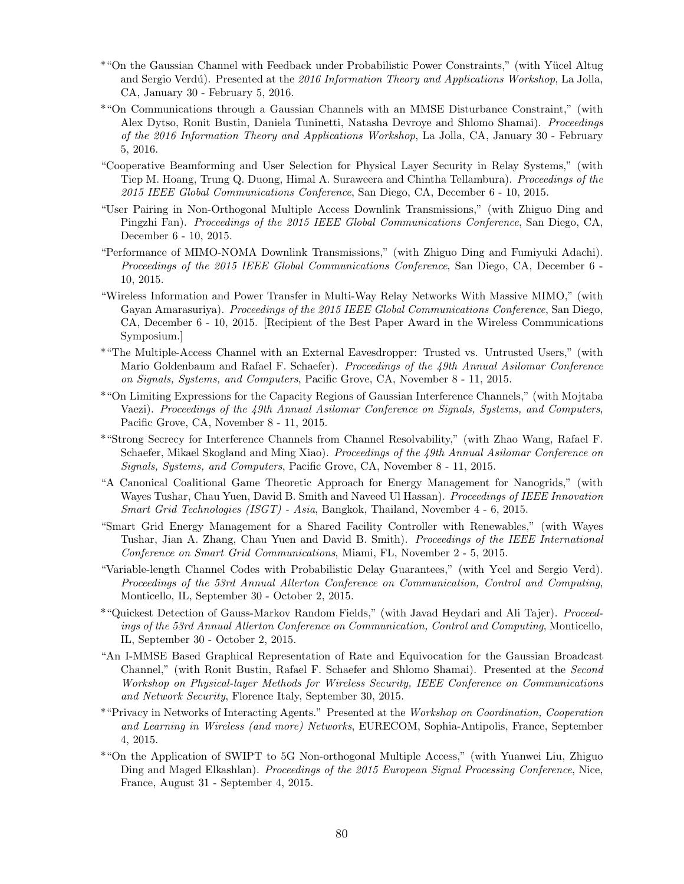- \*"On the Gaussian Channel with Feedback under Probabilistic Power Constraints," (with Y¨ucel Altug and Sergio Verdú). Presented at the 2016 Information Theory and Applications Workshop, La Jolla, CA, January 30 - February 5, 2016.
- \*"On Communications through a Gaussian Channels with an MMSE Disturbance Constraint," (with Alex Dytso, Ronit Bustin, Daniela Tuninetti, Natasha Devroye and Shlomo Shamai). Proceedings of the 2016 Information Theory and Applications Workshop, La Jolla, CA, January 30 - February 5, 2016.
- "Cooperative Beamforming and User Selection for Physical Layer Security in Relay Systems," (with Tiep M. Hoang, Trung Q. Duong, Himal A. Suraweera and Chintha Tellambura). Proceedings of the 2015 IEEE Global Communications Conference, San Diego, CA, December 6 - 10, 2015.
- "User Pairing in Non-Orthogonal Multiple Access Downlink Transmissions," (with Zhiguo Ding and Pingzhi Fan). Proceedings of the 2015 IEEE Global Communications Conference, San Diego, CA, December 6 - 10, 2015.
- "Performance of MIMO-NOMA Downlink Transmissions," (with Zhiguo Ding and Fumiyuki Adachi). Proceedings of the 2015 IEEE Global Communications Conference, San Diego, CA, December 6 - 10, 2015.
- "Wireless Information and Power Transfer in Multi-Way Relay Networks With Massive MIMO," (with Gayan Amarasuriya). Proceedings of the 2015 IEEE Global Communications Conference, San Diego, CA, December 6 - 10, 2015. [Recipient of the Best Paper Award in the Wireless Communications Symposium.]
- \*"The Multiple-Access Channel with an External Eavesdropper: Trusted vs. Untrusted Users," (with Mario Goldenbaum and Rafael F. Schaefer). Proceedings of the 49th Annual Asilomar Conference on Signals, Systems, and Computers, Pacific Grove, CA, November 8 - 11, 2015.
- \*"On Limiting Expressions for the Capacity Regions of Gaussian Interference Channels," (with Mojtaba Vaezi). Proceedings of the 49th Annual Asilomar Conference on Signals, Systems, and Computers, Pacific Grove, CA, November 8 - 11, 2015.
- \*"Strong Secrecy for Interference Channels from Channel Resolvability," (with Zhao Wang, Rafael F. Schaefer, Mikael Skogland and Ming Xiao). Proceedings of the 49th Annual Asilomar Conference on Signals, Systems, and Computers, Pacific Grove, CA, November 8 - 11, 2015.
- "A Canonical Coalitional Game Theoretic Approach for Energy Management for Nanogrids," (with Wayes Tushar, Chau Yuen, David B. Smith and Naveed Ul Hassan). Proceedings of IEEE Innovation Smart Grid Technologies (ISGT) - Asia, Bangkok, Thailand, November 4 - 6, 2015.
- "Smart Grid Energy Management for a Shared Facility Controller with Renewables," (with Wayes Tushar, Jian A. Zhang, Chau Yuen and David B. Smith). Proceedings of the IEEE International Conference on Smart Grid Communications, Miami, FL, November 2 - 5, 2015.
- "Variable-length Channel Codes with Probabilistic Delay Guarantees," (with Ycel and Sergio Verd). Proceedings of the 53rd Annual Allerton Conference on Communication, Control and Computing, Monticello, IL, September 30 - October 2, 2015.
- \*"Quickest Detection of Gauss-Markov Random Fields," (with Javad Heydari and Ali Tajer). Proceedings of the 53rd Annual Allerton Conference on Communication, Control and Computing, Monticello, IL, September 30 - October 2, 2015.
- "An I-MMSE Based Graphical Representation of Rate and Equivocation for the Gaussian Broadcast Channel," (with Ronit Bustin, Rafael F. Schaefer and Shlomo Shamai). Presented at the Second Workshop on Physical-layer Methods for Wireless Security, IEEE Conference on Communications and Network Security, Florence Italy, September 30, 2015.
- \*"Privacy in Networks of Interacting Agents." Presented at the Workshop on Coordination, Cooperation and Learning in Wireless (and more) Networks, EURECOM, Sophia-Antipolis, France, September 4, 2015.
- \*"On the Application of SWIPT to 5G Non-orthogonal Multiple Access," (with Yuanwei Liu, Zhiguo Ding and Maged Elkashlan). Proceedings of the 2015 European Signal Processing Conference, Nice, France, August 31 - September 4, 2015.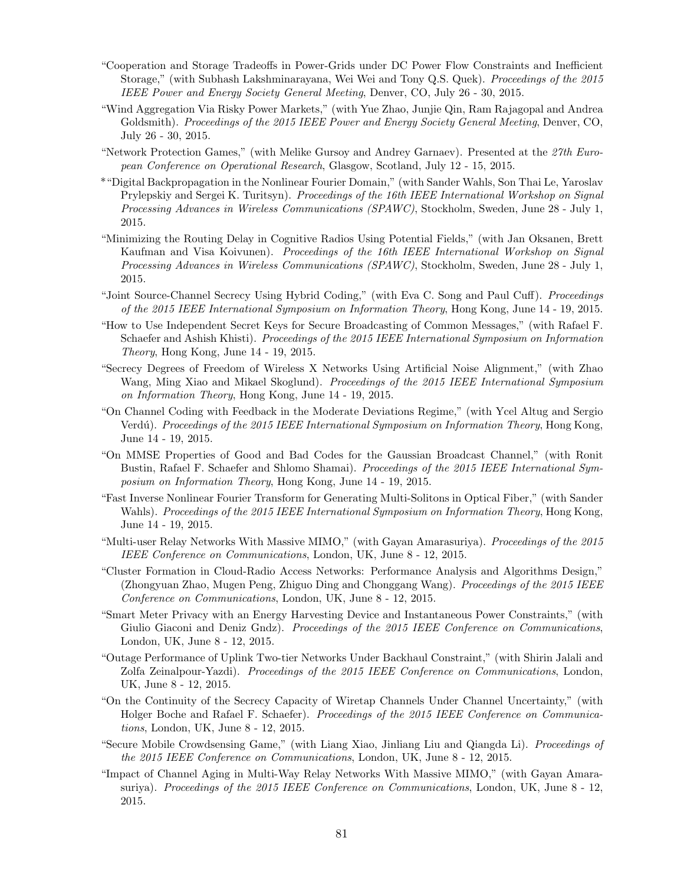- "Cooperation and Storage Tradeoffs in Power-Grids under DC Power Flow Constraints and Inefficient Storage," (with Subhash Lakshminarayana, Wei Wei and Tony Q.S. Quek). Proceedings of the 2015 IEEE Power and Energy Society General Meeting, Denver, CO, July 26 - 30, 2015.
- "Wind Aggregation Via Risky Power Markets," (with Yue Zhao, Junjie Qin, Ram Rajagopal and Andrea Goldsmith). Proceedings of the 2015 IEEE Power and Energy Society General Meeting, Denver, CO, July 26 - 30, 2015.
- "Network Protection Games," (with Melike Gursoy and Andrey Garnaev). Presented at the 27th European Conference on Operational Research, Glasgow, Scotland, July 12 - 15, 2015.
- \*"Digital Backpropagation in the Nonlinear Fourier Domain," (with Sander Wahls, Son Thai Le, Yaroslav Prylepskiy and Sergei K. Turitsyn). Proceedings of the 16th IEEE International Workshop on Signal Processing Advances in Wireless Communications (SPAWC), Stockholm, Sweden, June 28 - July 1, 2015.
- "Minimizing the Routing Delay in Cognitive Radios Using Potential Fields," (with Jan Oksanen, Brett Kaufman and Visa Koivunen). Proceedings of the 16th IEEE International Workshop on Signal Processing Advances in Wireless Communications (SPAWC), Stockholm, Sweden, June 28 - July 1, 2015.
- "Joint Source-Channel Secrecy Using Hybrid Coding," (with Eva C. Song and Paul Cuff). Proceedings of the 2015 IEEE International Symposium on Information Theory, Hong Kong, June 14 - 19, 2015.
- "How to Use Independent Secret Keys for Secure Broadcasting of Common Messages," (with Rafael F. Schaefer and Ashish Khisti). Proceedings of the 2015 IEEE International Symposium on Information Theory, Hong Kong, June 14 - 19, 2015.
- "Secrecy Degrees of Freedom of Wireless X Networks Using Artificial Noise Alignment," (with Zhao Wang, Ming Xiao and Mikael Skoglund). Proceedings of the 2015 IEEE International Symposium on Information Theory, Hong Kong, June 14 - 19, 2015.
- "On Channel Coding with Feedback in the Moderate Deviations Regime," (with Ycel Altug and Sergio Verdú). Proceedings of the 2015 IEEE International Symposium on Information Theory, Hong Kong, June 14 - 19, 2015.
- "On MMSE Properties of Good and Bad Codes for the Gaussian Broadcast Channel," (with Ronit Bustin, Rafael F. Schaefer and Shlomo Shamai). Proceedings of the 2015 IEEE International Symposium on Information Theory, Hong Kong, June 14 - 19, 2015.
- "Fast Inverse Nonlinear Fourier Transform for Generating Multi-Solitons in Optical Fiber," (with Sander Wahls). Proceedings of the 2015 IEEE International Symposium on Information Theory, Hong Kong, June 14 - 19, 2015.
- "Multi-user Relay Networks With Massive MIMO," (with Gayan Amarasuriya). Proceedings of the 2015 IEEE Conference on Communications, London, UK, June 8 - 12, 2015.
- "Cluster Formation in Cloud-Radio Access Networks: Performance Analysis and Algorithms Design," (Zhongyuan Zhao, Mugen Peng, Zhiguo Ding and Chonggang Wang). Proceedings of the 2015 IEEE Conference on Communications, London, UK, June 8 - 12, 2015.
- "Smart Meter Privacy with an Energy Harvesting Device and Instantaneous Power Constraints," (with Giulio Giaconi and Deniz Gndz). Proceedings of the 2015 IEEE Conference on Communications, London, UK, June 8 - 12, 2015.
- "Outage Performance of Uplink Two-tier Networks Under Backhaul Constraint," (with Shirin Jalali and Zolfa Zeinalpour-Yazdi). Proceedings of the 2015 IEEE Conference on Communications, London, UK, June 8 - 12, 2015.
- "On the Continuity of the Secrecy Capacity of Wiretap Channels Under Channel Uncertainty," (with Holger Boche and Rafael F. Schaefer). Proceedings of the 2015 IEEE Conference on Communications, London, UK, June 8 - 12, 2015.
- "Secure Mobile Crowdsensing Game," (with Liang Xiao, Jinliang Liu and Qiangda Li). Proceedings of the 2015 IEEE Conference on Communications, London, UK, June 8 - 12, 2015.
- "Impact of Channel Aging in Multi-Way Relay Networks With Massive MIMO," (with Gayan Amarasuriya). Proceedings of the 2015 IEEE Conference on Communications, London, UK, June 8 - 12, 2015.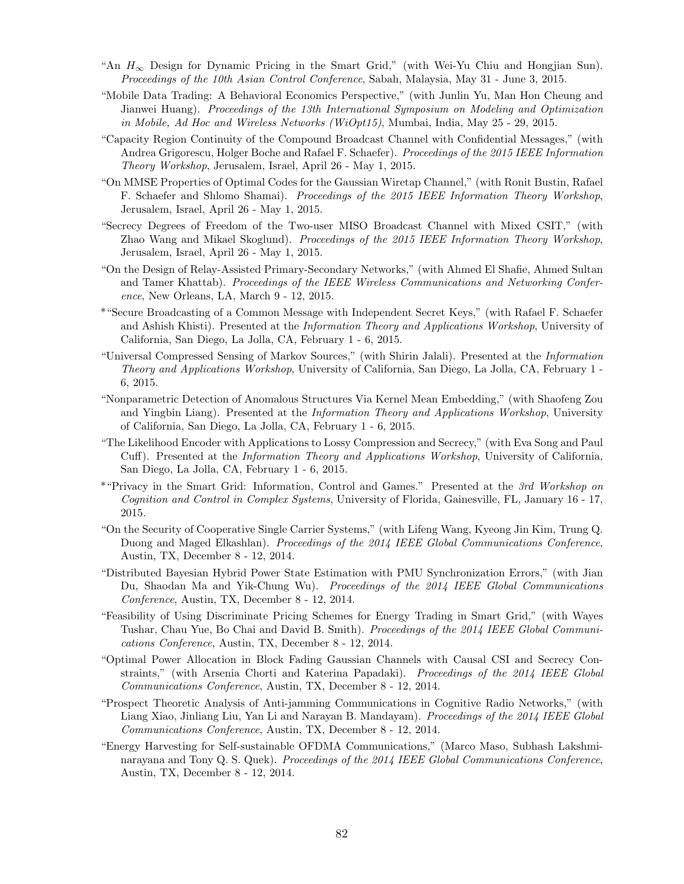- "An  $H_{\infty}$  Design for Dynamic Pricing in the Smart Grid," (with Wei-Yu Chiu and Hongjian Sun). Proceedings of the 10th Asian Control Conference, Sabah, Malaysia, May 31 - June 3, 2015.
- "Mobile Data Trading: A Behavioral Economics Perspective," (with Junlin Yu, Man Hon Cheung and Jianwei Huang). Proceedings of the 13th International Symposium on Modeling and Optimization in Mobile, Ad Hoc and Wireless Networks (WiOpt15), Mumbai, India, May 25 - 29, 2015.
- "Capacity Region Continuity of the Compound Broadcast Channel with Confidential Messages," (with Andrea Grigorescu, Holger Boche and Rafael F. Schaefer). Proceedings of the 2015 IEEE Information Theory Workshop, Jerusalem, Israel, April 26 - May 1, 2015.
- "On MMSE Properties of Optimal Codes for the Gaussian Wiretap Channel," (with Ronit Bustin, Rafael F. Schaefer and Shlomo Shamai). Proceedings of the 2015 IEEE Information Theory Workshop, Jerusalem, Israel, April 26 - May 1, 2015.
- "Secrecy Degrees of Freedom of the Two-user MISO Broadcast Channel with Mixed CSIT," (with Zhao Wang and Mikael Skoglund). Proceedings of the 2015 IEEE Information Theory Workshop, Jerusalem, Israel, April 26 - May 1, 2015.
- "On the Design of Relay-Assisted Primary-Secondary Networks," (with Ahmed El Shafie, Ahmed Sultan and Tamer Khattab). Proceedings of the IEEE Wireless Communications and Networking Conference, New Orleans, LA, March 9 - 12, 2015.
- \*"Secure Broadcasting of a Common Message with Independent Secret Keys," (with Rafael F. Schaefer and Ashish Khisti). Presented at the Information Theory and Applications Workshop, University of California, San Diego, La Jolla, CA, February 1 - 6, 2015.
- "Universal Compressed Sensing of Markov Sources," (with Shirin Jalali). Presented at the Information Theory and Applications Workshop, University of California, San Diego, La Jolla, CA, February 1 - 6, 2015.
- "Nonparametric Detection of Anomalous Structures Via Kernel Mean Embedding," (with Shaofeng Zou and Yingbin Liang). Presented at the *Information Theory and Applications Workshop*, University of California, San Diego, La Jolla, CA, February 1 - 6, 2015.
- "The Likelihood Encoder with Applications to Lossy Compression and Secrecy," (with Eva Song and Paul Cuff). Presented at the Information Theory and Applications Workshop, University of California, San Diego, La Jolla, CA, February 1 - 6, 2015.
- \*"Privacy in the Smart Grid: Information, Control and Games." Presented at the 3rd Workshop on Cognition and Control in Complex Systems, University of Florida, Gainesville, FL, January 16 - 17, 2015.
- "On the Security of Cooperative Single Carrier Systems," (with Lifeng Wang, Kyeong Jin Kim, Trung Q. Duong and Maged Elkashlan). Proceedings of the 2014 IEEE Global Communications Conference, Austin, TX, December 8 - 12, 2014.
- "Distributed Bayesian Hybrid Power State Estimation with PMU Synchronization Errors," (with Jian Du, Shaodan Ma and Yik-Chung Wu). Proceedings of the 2014 IEEE Global Communications Conference, Austin, TX, December 8 - 12, 2014.
- "Feasibility of Using Discriminate Pricing Schemes for Energy Trading in Smart Grid," (with Wayes Tushar, Chau Yue, Bo Chai and David B. Smith). *Proceedings of the 2014 IEEE Global Communi*cations Conference, Austin, TX, December 8 - 12, 2014.
- "Optimal Power Allocation in Block Fading Gaussian Channels with Causal CSI and Secrecy Constraints," (with Arsenia Chorti and Katerina Papadaki). Proceedings of the 2014 IEEE Global Communications Conference, Austin, TX, December 8 - 12, 2014.
- "Prospect Theoretic Analysis of Anti-jamming Communications in Cognitive Radio Networks," (with Liang Xiao, Jinliang Liu, Yan Li and Narayan B. Mandayam). Proceedings of the 2014 IEEE Global Communications Conference, Austin, TX, December 8 - 12, 2014.
- "Energy Harvesting for Self-sustainable OFDMA Communications," (Marco Maso, Subhash Lakshminarayana and Tony Q. S. Quek). Proceedings of the 2014 IEEE Global Communications Conference, Austin, TX, December 8 - 12, 2014.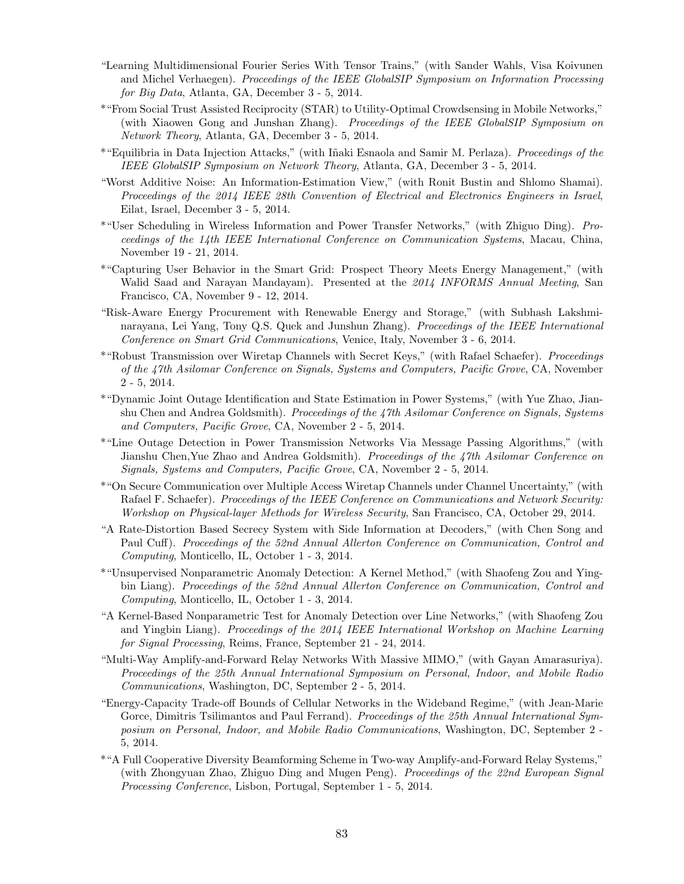- "Learning Multidimensional Fourier Series With Tensor Trains," (with Sander Wahls, Visa Koivunen and Michel Verhaegen). Proceedings of the IEEE GlobalSIP Symposium on Information Processing for Big Data, Atlanta, GA, December 3 - 5, 2014.
- \*"From Social Trust Assisted Reciprocity (STAR) to Utility-Optimal Crowdsensing in Mobile Networks," (with Xiaowen Gong and Junshan Zhang). Proceedings of the IEEE GlobalSIP Symposium on Network Theory, Atlanta, GA, December 3 - 5, 2014.
- \*"Equilibria in Data Injection Attacks," (with Iñaki Esnaola and Samir M. Perlaza). Proceedings of the IEEE GlobalSIP Symposium on Network Theory, Atlanta, GA, December 3 - 5, 2014.
- "Worst Additive Noise: An Information-Estimation View," (with Ronit Bustin and Shlomo Shamai). Proceedings of the 2014 IEEE 28th Convention of Electrical and Electronics Engineers in Israel, Eilat, Israel, December 3 - 5, 2014.
- \*"User Scheduling in Wireless Information and Power Transfer Networks," (with Zhiguo Ding). Proceedings of the 14th IEEE International Conference on Communication Systems, Macau, China, November 19 - 21, 2014.
- \*"Capturing User Behavior in the Smart Grid: Prospect Theory Meets Energy Management," (with Walid Saad and Narayan Mandayam). Presented at the 2014 INFORMS Annual Meeting, San Francisco, CA, November 9 - 12, 2014.
- "Risk-Aware Energy Procurement with Renewable Energy and Storage," (with Subhash Lakshminarayana, Lei Yang, Tony Q.S. Quek and Junshun Zhang). Proceedings of the IEEE International Conference on Smart Grid Communications, Venice, Italy, November 3 - 6, 2014.
- \*"Robust Transmission over Wiretap Channels with Secret Keys," (with Rafael Schaefer). Proceedings of the 47th Asilomar Conference on Signals, Systems and Computers, Pacific Grove, CA, November 2 - 5, 2014.
- \*"Dynamic Joint Outage Identification and State Estimation in Power Systems," (with Yue Zhao, Jianshu Chen and Andrea Goldsmith). *Proceedings of the 47th Asilomar Conference on Signals, Systems* and Computers, Pacific Grove, CA, November 2 - 5, 2014.
- \*"Line Outage Detection in Power Transmission Networks Via Message Passing Algorithms," (with Jianshu Chen, Yue Zhao and Andrea Goldsmith). Proceedings of the 47th Asilomar Conference on Signals, Systems and Computers, Pacific Grove, CA, November 2 - 5, 2014.
- \*"On Secure Communication over Multiple Access Wiretap Channels under Channel Uncertainty," (with Rafael F. Schaefer). Proceedings of the IEEE Conference on Communications and Network Security: Workshop on Physical-layer Methods for Wireless Security, San Francisco, CA, October 29, 2014.
- "A Rate-Distortion Based Secrecy System with Side Information at Decoders," (with Chen Song and Paul Cuff). Proceedings of the 52nd Annual Allerton Conference on Communication, Control and Computing, Monticello, IL, October 1 - 3, 2014.
- \*"Unsupervised Nonparametric Anomaly Detection: A Kernel Method," (with Shaofeng Zou and Yingbin Liang). Proceedings of the 52nd Annual Allerton Conference on Communication, Control and Computing, Monticello, IL, October 1 - 3, 2014.
- "A Kernel-Based Nonparametric Test for Anomaly Detection over Line Networks," (with Shaofeng Zou and Yingbin Liang). Proceedings of the 2014 IEEE International Workshop on Machine Learning for Signal Processing, Reims, France, September 21 - 24, 2014.
- "Multi-Way Amplify-and-Forward Relay Networks With Massive MIMO," (with Gayan Amarasuriya). Proceedings of the 25th Annual International Symposium on Personal, Indoor, and Mobile Radio Communications, Washington, DC, September 2 - 5, 2014.
- "Energy-Capacity Trade-off Bounds of Cellular Networks in the Wideband Regime," (with Jean-Marie Gorce, Dimitris Tsilimantos and Paul Ferrand). Proceedings of the 25th Annual International Symposium on Personal, Indoor, and Mobile Radio Communications, Washington, DC, September 2 - 5, 2014.
- \*"A Full Cooperative Diversity Beamforming Scheme in Two-way Amplify-and-Forward Relay Systems," (with Zhongyuan Zhao, Zhiguo Ding and Mugen Peng). Proceedings of the 22nd European Signal Processing Conference, Lisbon, Portugal, September 1 - 5, 2014.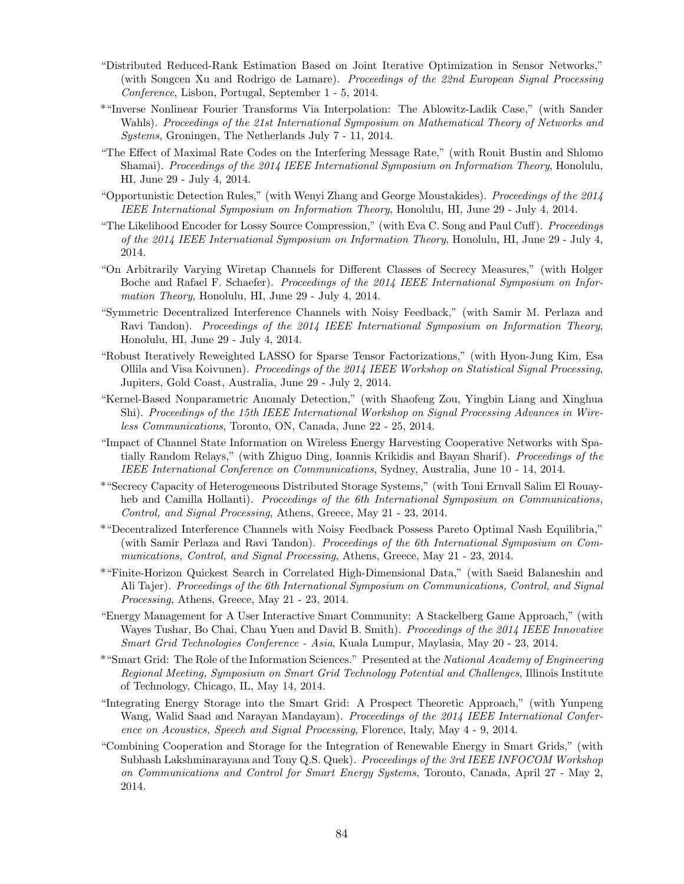- "Distributed Reduced-Rank Estimation Based on Joint Iterative Optimization in Sensor Networks," (with Songcen Xu and Rodrigo de Lamare). Proceedings of the 22nd European Signal Processing Conference, Lisbon, Portugal, September 1 - 5, 2014.
- \*"Inverse Nonlinear Fourier Transforms Via Interpolation: The Ablowitz-Ladik Case," (with Sander Wahls). Proceedings of the 21st International Symposium on Mathematical Theory of Networks and Systems, Groningen, The Netherlands July 7 - 11, 2014.
- "The Effect of Maximal Rate Codes on the Interfering Message Rate," (with Ronit Bustin and Shlomo Shamai). Proceedings of the 2014 IEEE International Symposium on Information Theory, Honolulu, HI, June 29 - July 4, 2014.
- "Opportunistic Detection Rules," (with Wenyi Zhang and George Moustakides). Proceedings of the 2014 IEEE International Symposium on Information Theory, Honolulu, HI, June 29 - July 4, 2014.
- "The Likelihood Encoder for Lossy Source Compression," (with Eva C. Song and Paul Cuff). Proceedings of the 2014 IEEE International Symposium on Information Theory, Honolulu, HI, June 29 - July 4, 2014.
- "On Arbitrarily Varying Wiretap Channels for Different Classes of Secrecy Measures," (with Holger Boche and Rafael F. Schaefer). Proceedings of the 2014 IEEE International Symposium on Information Theory, Honolulu, HI, June 29 - July 4, 2014.
- "Symmetric Decentralized Interference Channels with Noisy Feedback," (with Samir M. Perlaza and Ravi Tandon). Proceedings of the 2014 IEEE International Symposium on Information Theory, Honolulu, HI, June 29 - July 4, 2014.
- "Robust Iteratively Reweighted LASSO for Sparse Tensor Factorizations," (with Hyon-Jung Kim, Esa Ollila and Visa Koivunen). Proceedings of the 2014 IEEE Workshop on Statistical Signal Processing, Jupiters, Gold Coast, Australia, June 29 - July 2, 2014.
- "Kernel-Based Nonparametric Anomaly Detection," (with Shaofeng Zou, Yingbin Liang and Xinghua Shi). Proceedings of the 15th IEEE International Workshop on Signal Processing Advances in Wireless Communications, Toronto, ON, Canada, June 22 - 25, 2014.
- "Impact of Channel State Information on Wireless Energy Harvesting Cooperative Networks with Spatially Random Relays," (with Zhiguo Ding, Ioannis Krikidis and Bayan Sharif). Proceedings of the IEEE International Conference on Communications, Sydney, Australia, June 10 - 14, 2014.
- \*"Secrecy Capacity of Heterogeneous Distributed Storage Systems," (with Toni Ernvall Salim El Rouayheb and Camilla Hollanti). Proceedings of the 6th International Symposium on Communications, Control, and Signal Processing, Athens, Greece, May 21 - 23, 2014.
- \*"Decentralized Interference Channels with Noisy Feedback Possess Pareto Optimal Nash Equilibria," (with Samir Perlaza and Ravi Tandon). Proceedings of the 6th International Symposium on Communications, Control, and Signal Processing, Athens, Greece, May 21 - 23, 2014.
- \*"Finite-Horizon Quickest Search in Correlated High-Dimensional Data," (with Saeid Balaneshin and Ali Tajer). Proceedings of the 6th International Symposium on Communications, Control, and Signal Processing, Athens, Greece, May 21 - 23, 2014.
- "Energy Management for A User Interactive Smart Community: A Stackelberg Game Approach," (with Wayes Tushar, Bo Chai, Chau Yuen and David B. Smith). *Proceedings of the 2014 IEEE Innovative* Smart Grid Technologies Conference - Asia, Kuala Lumpur, Maylasia, May 20 - 23, 2014.
- \*"Smart Grid: The Role of the Information Sciences." Presented at the National Academy of Engineering Regional Meeting, Symposium on Smart Grid Technology Potential and Challenges, Illinois Institute of Technology, Chicago, IL, May 14, 2014.
- "Integrating Energy Storage into the Smart Grid: A Prospect Theoretic Approach," (with Yunpeng Wang, Walid Saad and Narayan Mandayam). Proceedings of the 2014 IEEE International Conference on Acoustics, Speech and Signal Processing, Florence, Italy, May 4 - 9, 2014.
- "Combining Cooperation and Storage for the Integration of Renewable Energy in Smart Grids," (with Subhash Lakshminarayana and Tony Q.S. Quek). Proceedings of the 3rd IEEE INFOCOM Workshop on Communications and Control for Smart Energy Systems, Toronto, Canada, April 27 - May 2, 2014.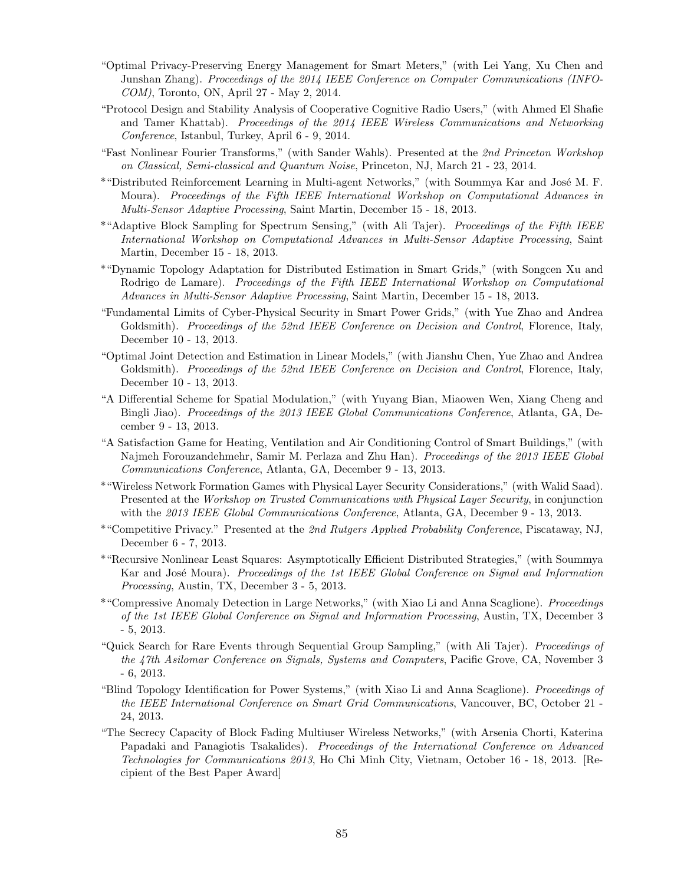- "Optimal Privacy-Preserving Energy Management for Smart Meters," (with Lei Yang, Xu Chen and Junshan Zhang). Proceedings of the 2014 IEEE Conference on Computer Communications (INFO-COM), Toronto, ON, April 27 - May 2, 2014.
- "Protocol Design and Stability Analysis of Cooperative Cognitive Radio Users," (with Ahmed El Shafie and Tamer Khattab). Proceedings of the 2014 IEEE Wireless Communications and Networking Conference, Istanbul, Turkey, April 6 - 9, 2014.
- "Fast Nonlinear Fourier Transforms," (with Sander Wahls). Presented at the 2nd Princeton Workshop on Classical, Semi-classical and Quantum Noise, Princeton, NJ, March 21 - 23, 2014.
- \*"Distributed Reinforcement Learning in Multi-agent Networks," (with Soummya Kar and José M. F. Moura). Proceedings of the Fifth IEEE International Workshop on Computational Advances in Multi-Sensor Adaptive Processing, Saint Martin, December 15 - 18, 2013.
- \*"Adaptive Block Sampling for Spectrum Sensing," (with Ali Tajer). Proceedings of the Fifth IEEE International Workshop on Computational Advances in Multi-Sensor Adaptive Processing, Saint Martin, December 15 - 18, 2013.
- \*"Dynamic Topology Adaptation for Distributed Estimation in Smart Grids," (with Songcen Xu and Rodrigo de Lamare). Proceedings of the Fifth IEEE International Workshop on Computational Advances in Multi-Sensor Adaptive Processing, Saint Martin, December 15 - 18, 2013.
- "Fundamental Limits of Cyber-Physical Security in Smart Power Grids," (with Yue Zhao and Andrea Goldsmith). Proceedings of the 52nd IEEE Conference on Decision and Control, Florence, Italy, December 10 - 13, 2013.
- "Optimal Joint Detection and Estimation in Linear Models," (with Jianshu Chen, Yue Zhao and Andrea Goldsmith). Proceedings of the 52nd IEEE Conference on Decision and Control, Florence, Italy, December 10 - 13, 2013.
- "A Differential Scheme for Spatial Modulation," (with Yuyang Bian, Miaowen Wen, Xiang Cheng and Bingli Jiao). Proceedings of the 2013 IEEE Global Communications Conference, Atlanta, GA, December 9 - 13, 2013.
- "A Satisfaction Game for Heating, Ventilation and Air Conditioning Control of Smart Buildings," (with Najmeh Forouzandehmehr, Samir M. Perlaza and Zhu Han). *Proceedings of the 2013 IEEE Global* Communications Conference, Atlanta, GA, December 9 - 13, 2013.
- \*"Wireless Network Formation Games with Physical Layer Security Considerations," (with Walid Saad). Presented at the Workshop on Trusted Communications with Physical Layer Security, in conjunction with the 2013 IEEE Global Communications Conference, Atlanta, GA, December 9 - 13, 2013.
- \*"Competitive Privacy." Presented at the 2nd Rutgers Applied Probability Conference, Piscataway, NJ, December 6 - 7, 2013.
- \*"Recursive Nonlinear Least Squares: Asymptotically Efficient Distributed Strategies," (with Soummya Kar and José Moura). Proceedings of the 1st IEEE Global Conference on Signal and Information Processing, Austin, TX, December 3 - 5, 2013.
- \*"Compressive Anomaly Detection in Large Networks," (with Xiao Li and Anna Scaglione). Proceedings of the 1st IEEE Global Conference on Signal and Information Processing, Austin, TX, December 3 - 5, 2013.
- "Quick Search for Rare Events through Sequential Group Sampling," (with Ali Tajer). Proceedings of the 47th Asilomar Conference on Signals, Systems and Computers, Pacific Grove, CA, November 3 - 6, 2013.
- "Blind Topology Identification for Power Systems," (with Xiao Li and Anna Scaglione). Proceedings of the IEEE International Conference on Smart Grid Communications, Vancouver, BC, October 21 - 24, 2013.
- "The Secrecy Capacity of Block Fading Multiuser Wireless Networks," (with Arsenia Chorti, Katerina Papadaki and Panagiotis Tsakalides). Proceedings of the International Conference on Advanced Technologies for Communications 2013, Ho Chi Minh City, Vietnam, October 16 - 18, 2013. [Recipient of the Best Paper Award]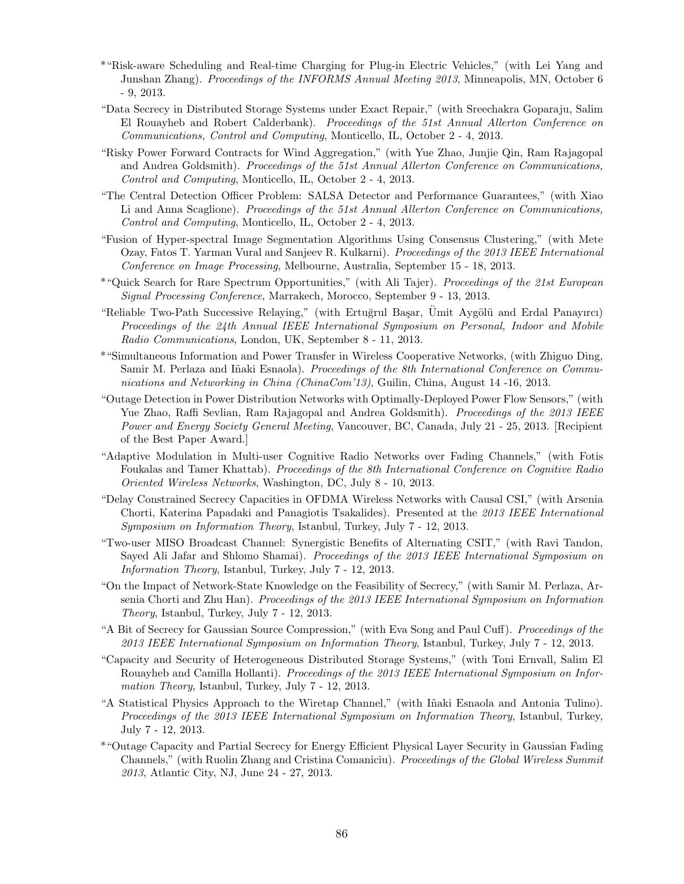- \*"Risk-aware Scheduling and Real-time Charging for Plug-in Electric Vehicles," (with Lei Yang and Junshan Zhang). Proceedings of the INFORMS Annual Meeting 2013, Minneapolis, MN, October 6 - 9, 2013.
- "Data Secrecy in Distributed Storage Systems under Exact Repair," (with Sreechakra Goparaju, Salim El Rouayheb and Robert Calderbank). Proceedings of the 51st Annual Allerton Conference on Communications, Control and Computing, Monticello, IL, October 2 - 4, 2013.
- "Risky Power Forward Contracts for Wind Aggregation," (with Yue Zhao, Junjie Qin, Ram Rajagopal and Andrea Goldsmith). Proceedings of the 51st Annual Allerton Conference on Communications, Control and Computing, Monticello, IL, October 2 - 4, 2013.
- "The Central Detection Officer Problem: SALSA Detector and Performance Guarantees," (with Xiao Li and Anna Scaglione). Proceedings of the 51st Annual Allerton Conference on Communications, Control and Computing, Monticello, IL, October 2 - 4, 2013.
- "Fusion of Hyper-spectral Image Segmentation Algorithms Using Consensus Clustering," (with Mete Ozay, Fatos T. Yarman Vural and Sanjeev R. Kulkarni). Proceedings of the 2013 IEEE International Conference on Image Processing, Melbourne, Australia, September 15 - 18, 2013.
- \*"Quick Search for Rare Spectrum Opportunities," (with Ali Tajer). Proceedings of the 21st European Signal Processing Conference, Marrakech, Morocco, September 9 - 13, 2013.
- "Reliable Two-Path Successive Relaying," (with Ertuğrul Başar, Ümit Aygölü and Erdal Panayırcı) Proceedings of the 24th Annual IEEE International Symposium on Personal, Indoor and Mobile Radio Communications, London, UK, September 8 - 11, 2013.
- \*"Simultaneous Information and Power Transfer in Wireless Cooperative Networks, (with Zhiguo Ding, Samir M. Perlaza and Iñaki Esnaola). Proceedings of the 8th International Conference on Communications and Networking in China (ChinaCom'13), Guilin, China, August 14 -16, 2013.
- "Outage Detection in Power Distribution Networks with Optimally-Deployed Power Flow Sensors," (with Yue Zhao, Raffi Sevlian, Ram Rajagopal and Andrea Goldsmith). Proceedings of the 2013 IEEE Power and Energy Society General Meeting, Vancouver, BC, Canada, July 21 - 25, 2013. [Recipient of the Best Paper Award.]
- "Adaptive Modulation in Multi-user Cognitive Radio Networks over Fading Channels," (with Fotis Foukalas and Tamer Khattab). Proceedings of the 8th International Conference on Cognitive Radio Oriented Wireless Networks, Washington, DC, July 8 - 10, 2013.
- "Delay Constrained Secrecy Capacities in OFDMA Wireless Networks with Causal CSI," (with Arsenia Chorti, Katerina Papadaki and Panagiotis Tsakalides). Presented at the 2013 IEEE International Symposium on Information Theory, Istanbul, Turkey, July 7 - 12, 2013.
- "Two-user MISO Broadcast Channel: Synergistic Benefits of Alternating CSIT," (with Ravi Tandon, Sayed Ali Jafar and Shlomo Shamai). Proceedings of the 2013 IEEE International Symposium on Information Theory, Istanbul, Turkey, July 7 - 12, 2013.
- "On the Impact of Network-State Knowledge on the Feasibility of Secrecy," (with Samir M. Perlaza, Arsenia Chorti and Zhu Han). Proceedings of the 2013 IEEE International Symposium on Information Theory, Istanbul, Turkey, July 7 - 12, 2013.
- "A Bit of Secrecy for Gaussian Source Compression," (with Eva Song and Paul Cuff). Proceedings of the 2013 IEEE International Symposium on Information Theory, Istanbul, Turkey, July 7 - 12, 2013.
- "Capacity and Security of Heterogeneous Distributed Storage Systems," (with Toni Ernvall, Salim El Rouayheb and Camilla Hollanti). Proceedings of the 2013 IEEE International Symposium on Information Theory, Istanbul, Turkey, July 7 - 12, 2013.
- "A Statistical Physics Approach to the Wiretap Channel," (with I˜naki Esnaola and Antonia Tulino). Proceedings of the 2013 IEEE International Symposium on Information Theory, Istanbul, Turkey, July 7 - 12, 2013.
- \*"Outage Capacity and Partial Secrecy for Energy Efficient Physical Layer Security in Gaussian Fading Channels," (with Ruolin Zhang and Cristina Comaniciu). Proceedings of the Global Wireless Summit 2013, Atlantic City, NJ, June 24 - 27, 2013.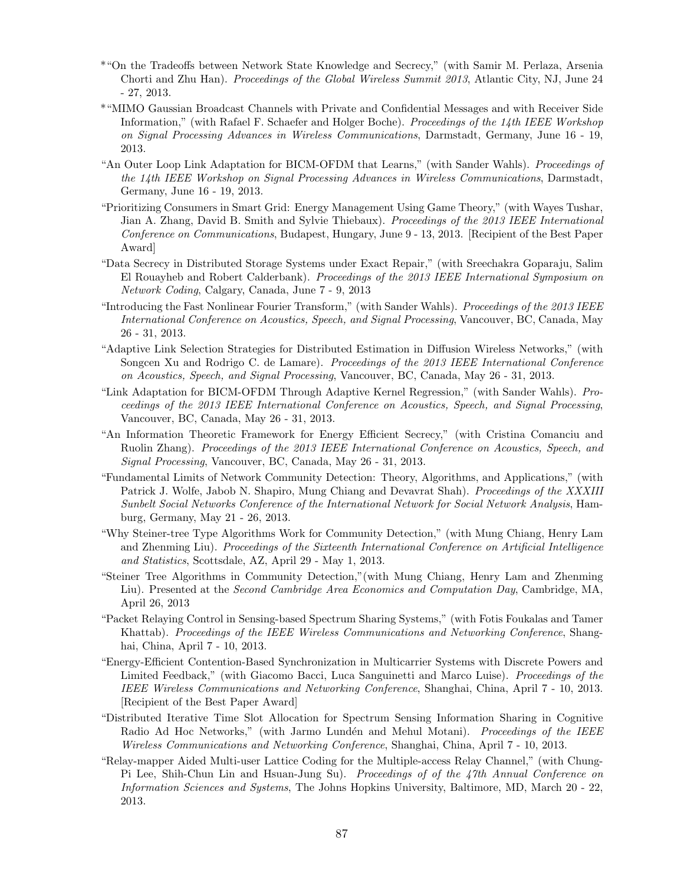- \*"On the Tradeoffs between Network State Knowledge and Secrecy," (with Samir M. Perlaza, Arsenia Chorti and Zhu Han). Proceedings of the Global Wireless Summit 2013, Atlantic City, NJ, June 24 - 27, 2013.
- \*"MIMO Gaussian Broadcast Channels with Private and Confidential Messages and with Receiver Side Information," (with Rafael F. Schaefer and Holger Boche). Proceedings of the 14th IEEE Workshop on Signal Processing Advances in Wireless Communications, Darmstadt, Germany, June 16 - 19, 2013.
- "An Outer Loop Link Adaptation for BICM-OFDM that Learns," (with Sander Wahls). Proceedings of the 14th IEEE Workshop on Signal Processing Advances in Wireless Communications, Darmstadt, Germany, June 16 - 19, 2013.
- "Prioritizing Consumers in Smart Grid: Energy Management Using Game Theory," (with Wayes Tushar, Jian A. Zhang, David B. Smith and Sylvie Thiebaux). Proceedings of the 2013 IEEE International Conference on Communications, Budapest, Hungary, June 9 - 13, 2013. [Recipient of the Best Paper Award]
- "Data Secrecy in Distributed Storage Systems under Exact Repair," (with Sreechakra Goparaju, Salim El Rouayheb and Robert Calderbank). Proceedings of the 2013 IEEE International Symposium on Network Coding, Calgary, Canada, June 7 - 9, 2013
- "Introducing the Fast Nonlinear Fourier Transform," (with Sander Wahls). Proceedings of the 2013 IEEE International Conference on Acoustics, Speech, and Signal Processing, Vancouver, BC, Canada, May 26 - 31, 2013.
- "Adaptive Link Selection Strategies for Distributed Estimation in Diffusion Wireless Networks," (with Songcen Xu and Rodrigo C. de Lamare). *Proceedings of the 2013 IEEE International Conference* on Acoustics, Speech, and Signal Processing, Vancouver, BC, Canada, May 26 - 31, 2013.
- "Link Adaptation for BICM-OFDM Through Adaptive Kernel Regression," (with Sander Wahls). Proceedings of the 2013 IEEE International Conference on Acoustics, Speech, and Signal Processing, Vancouver, BC, Canada, May 26 - 31, 2013.
- "An Information Theoretic Framework for Energy Efficient Secrecy," (with Cristina Comanciu and Ruolin Zhang). Proceedings of the 2013 IEEE International Conference on Acoustics, Speech, and Signal Processing, Vancouver, BC, Canada, May 26 - 31, 2013.
- "Fundamental Limits of Network Community Detection: Theory, Algorithms, and Applications," (with Patrick J. Wolfe, Jabob N. Shapiro, Mung Chiang and Devavrat Shah). Proceedings of the XXXIII Sunbelt Social Networks Conference of the International Network for Social Network Analysis, Hamburg, Germany, May 21 - 26, 2013.
- "Why Steiner-tree Type Algorithms Work for Community Detection," (with Mung Chiang, Henry Lam and Zhenming Liu). Proceedings of the Sixteenth International Conference on Artificial Intelligence and Statistics, Scottsdale, AZ, April 29 - May 1, 2013.
- "Steiner Tree Algorithms in Community Detection,"(with Mung Chiang, Henry Lam and Zhenming Liu). Presented at the Second Cambridge Area Economics and Computation Day, Cambridge, MA, April 26, 2013
- "Packet Relaying Control in Sensing-based Spectrum Sharing Systems," (with Fotis Foukalas and Tamer Khattab). Proceedings of the IEEE Wireless Communications and Networking Conference, Shanghai, China, April 7 - 10, 2013.
- "Energy-Efficient Contention-Based Synchronization in Multicarrier Systems with Discrete Powers and Limited Feedback," (with Giacomo Bacci, Luca Sanguinetti and Marco Luise). Proceedings of the IEEE Wireless Communications and Networking Conference, Shanghai, China, April 7 - 10, 2013. [Recipient of the Best Paper Award]
- "Distributed Iterative Time Slot Allocation for Spectrum Sensing Information Sharing in Cognitive Radio Ad Hoc Networks," (with Jarmo Lundén and Mehul Motani). Proceedings of the IEEE Wireless Communications and Networking Conference, Shanghai, China, April 7 - 10, 2013.
- "Relay-mapper Aided Multi-user Lattice Coding for the Multiple-access Relay Channel," (with Chung-Pi Lee, Shih-Chun Lin and Hsuan-Jung Su). Proceedings of of the 47th Annual Conference on Information Sciences and Systems, The Johns Hopkins University, Baltimore, MD, March 20 - 22, 2013.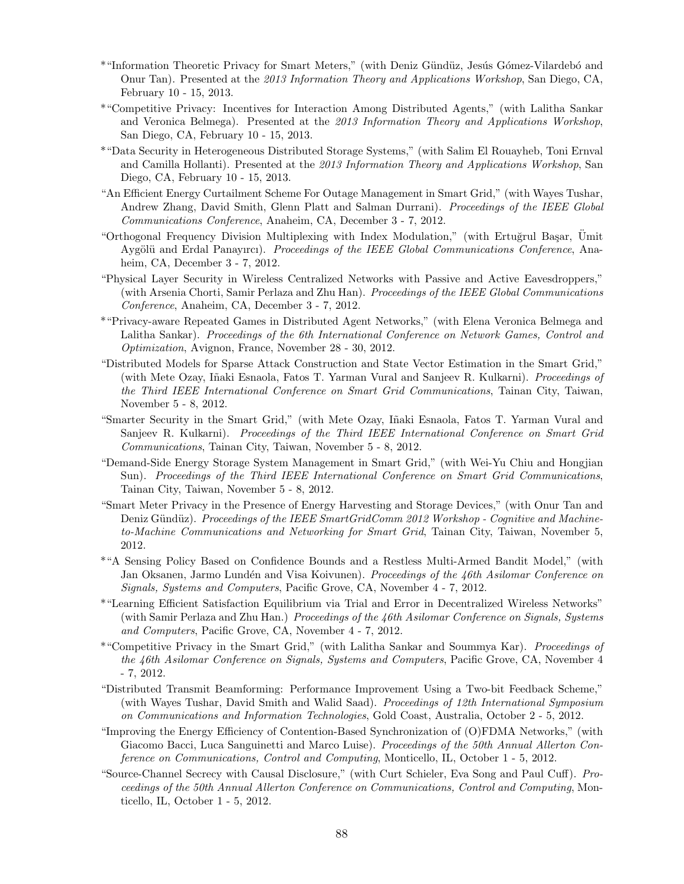- \*"Information Theoretic Privacy for Smart Meters," (with Deniz G¨und¨uz, Jes´us G´omez-Vilardeb´o and Onur Tan). Presented at the 2013 Information Theory and Applications Workshop, San Diego, CA, February 10 - 15, 2013.
- \*"Competitive Privacy: Incentives for Interaction Among Distributed Agents," (with Lalitha Sankar and Veronica Belmega). Presented at the 2013 Information Theory and Applications Workshop, San Diego, CA, February 10 - 15, 2013.
- \*"Data Security in Heterogeneous Distributed Storage Systems," (with Salim El Rouayheb, Toni Ernval and Camilla Hollanti). Presented at the 2013 Information Theory and Applications Workshop, San Diego, CA, February 10 - 15, 2013.
- "An Efficient Energy Curtailment Scheme For Outage Management in Smart Grid," (with Wayes Tushar, Andrew Zhang, David Smith, Glenn Platt and Salman Durrani). Proceedings of the IEEE Global Communications Conference, Anaheim, CA, December 3 - 7, 2012.
- "Orthogonal Frequency Division Multiplexing with Index Modulation," (with Ertuğrul Başar, Umit Aygölü and Erdal Panayırcı). Proceedings of the IEEE Global Communications Conference, Anaheim, CA, December 3 - 7, 2012.
- "Physical Layer Security in Wireless Centralized Networks with Passive and Active Eavesdroppers," (with Arsenia Chorti, Samir Perlaza and Zhu Han). Proceedings of the IEEE Global Communications Conference, Anaheim, CA, December 3 - 7, 2012.
- \*"Privacy-aware Repeated Games in Distributed Agent Networks," (with Elena Veronica Belmega and Lalitha Sankar). Proceedings of the 6th International Conference on Network Games, Control and Optimization, Avignon, France, November 28 - 30, 2012.
- "Distributed Models for Sparse Attack Construction and State Vector Estimation in the Smart Grid," (with Mete Ozay, Iñaki Esnaola, Fatos T. Yarman Vural and Sanjeev R. Kulkarni). *Proceedings of* the Third IEEE International Conference on Smart Grid Communications, Tainan City, Taiwan, November 5 - 8, 2012.
- "Smarter Security in the Smart Grid," (with Mete Ozay, Iñaki Esnaola, Fatos T. Yarman Vural and Sanjeev R. Kulkarni). Proceedings of the Third IEEE International Conference on Smart Grid Communications, Tainan City, Taiwan, November 5 - 8, 2012.
- "Demand-Side Energy Storage System Management in Smart Grid," (with Wei-Yu Chiu and Hongjian Sun). Proceedings of the Third IEEE International Conference on Smart Grid Communications, Tainan City, Taiwan, November 5 - 8, 2012.
- "Smart Meter Privacy in the Presence of Energy Harvesting and Storage Devices," (with Onur Tan and Deniz Gündüz). Proceedings of the IEEE SmartGridComm 2012 Workshop - Cognitive and Machineto-Machine Communications and Networking for Smart Grid, Tainan City, Taiwan, November 5, 2012.
- \*"A Sensing Policy Based on Confidence Bounds and a Restless Multi-Armed Bandit Model," (with Jan Oksanen, Jarmo Lundén and Visa Koivunen). Proceedings of the 46th Asilomar Conference on Signals, Systems and Computers, Pacific Grove, CA, November 4 - 7, 2012.
- \*"Learning Efficient Satisfaction Equilibrium via Trial and Error in Decentralized Wireless Networks" (with Samir Perlaza and Zhu Han.) Proceedings of the 46th Asilomar Conference on Signals, Systems and Computers, Pacific Grove, CA, November 4 - 7, 2012.
- \*"Competitive Privacy in the Smart Grid," (with Lalitha Sankar and Soummya Kar). Proceedings of the 46th Asilomar Conference on Signals, Systems and Computers, Pacific Grove, CA, November 4 - 7, 2012.
- "Distributed Transmit Beamforming: Performance Improvement Using a Two-bit Feedback Scheme," (with Wayes Tushar, David Smith and Walid Saad). Proceedings of 12th International Symposium on Communications and Information Technologies, Gold Coast, Australia, October 2 - 5, 2012.
- "Improving the Energy Efficiency of Contention-Based Synchronization of (O)FDMA Networks," (with Giacomo Bacci, Luca Sanguinetti and Marco Luise). Proceedings of the 50th Annual Allerton Conference on Communications, Control and Computing, Monticello, IL, October 1 - 5, 2012.
- "Source-Channel Secrecy with Causal Disclosure," (with Curt Schieler, Eva Song and Paul Cuff). Proceedings of the 50th Annual Allerton Conference on Communications, Control and Computing, Monticello, IL, October 1 - 5, 2012.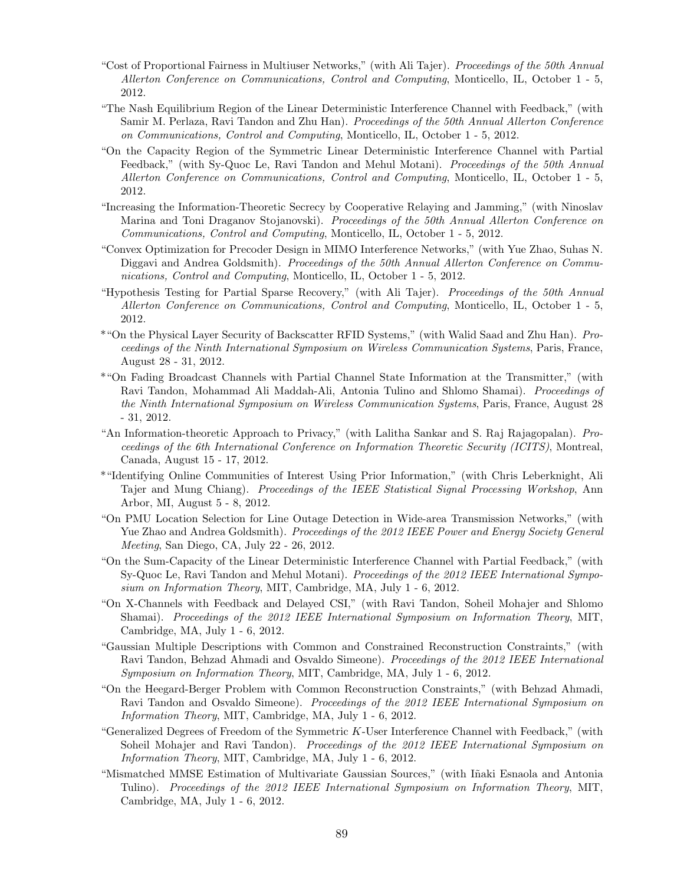- "Cost of Proportional Fairness in Multiuser Networks," (with Ali Tajer). Proceedings of the 50th Annual Allerton Conference on Communications, Control and Computing, Monticello, IL, October 1 - 5, 2012.
- "The Nash Equilibrium Region of the Linear Deterministic Interference Channel with Feedback," (with Samir M. Perlaza, Ravi Tandon and Zhu Han). Proceedings of the 50th Annual Allerton Conference on Communications, Control and Computing, Monticello, IL, October 1 - 5, 2012.
- "On the Capacity Region of the Symmetric Linear Deterministic Interference Channel with Partial Feedback," (with Sy-Quoc Le, Ravi Tandon and Mehul Motani). Proceedings of the 50th Annual Allerton Conference on Communications, Control and Computing, Monticello, IL, October 1 - 5, 2012.
- "Increasing the Information-Theoretic Secrecy by Cooperative Relaying and Jamming," (with Ninoslav Marina and Toni Draganov Stojanovski). Proceedings of the 50th Annual Allerton Conference on Communications, Control and Computing, Monticello, IL, October 1 - 5, 2012.
- "Convex Optimization for Precoder Design in MIMO Interference Networks," (with Yue Zhao, Suhas N. Diggavi and Andrea Goldsmith). Proceedings of the 50th Annual Allerton Conference on Communications, Control and Computing, Monticello, IL, October 1 - 5, 2012.
- "Hypothesis Testing for Partial Sparse Recovery," (with Ali Tajer). Proceedings of the 50th Annual Allerton Conference on Communications, Control and Computing, Monticello, IL, October 1 - 5, 2012.
- \*"On the Physical Layer Security of Backscatter RFID Systems," (with Walid Saad and Zhu Han). Proceedings of the Ninth International Symposium on Wireless Communication Systems, Paris, France, August 28 - 31, 2012.
- \*"On Fading Broadcast Channels with Partial Channel State Information at the Transmitter," (with Ravi Tandon, Mohammad Ali Maddah-Ali, Antonia Tulino and Shlomo Shamai). Proceedings of the Ninth International Symposium on Wireless Communication Systems, Paris, France, August 28 - 31, 2012.
- "An Information-theoretic Approach to Privacy," (with Lalitha Sankar and S. Raj Rajagopalan). Proceedings of the 6th International Conference on Information Theoretic Security (ICITS), Montreal, Canada, August 15 - 17, 2012.
- \*"Identifying Online Communities of Interest Using Prior Information," (with Chris Leberknight, Ali Tajer and Mung Chiang). Proceedings of the IEEE Statistical Signal Processing Workshop, Ann Arbor, MI, August 5 - 8, 2012.
- "On PMU Location Selection for Line Outage Detection in Wide-area Transmission Networks," (with Yue Zhao and Andrea Goldsmith). Proceedings of the 2012 IEEE Power and Energy Society General Meeting, San Diego, CA, July 22 - 26, 2012.
- "On the Sum-Capacity of the Linear Deterministic Interference Channel with Partial Feedback," (with Sy-Quoc Le, Ravi Tandon and Mehul Motani). Proceedings of the 2012 IEEE International Symposium on Information Theory, MIT, Cambridge, MA, July 1 - 6, 2012.
- "On X-Channels with Feedback and Delayed CSI," (with Ravi Tandon, Soheil Mohajer and Shlomo Shamai). Proceedings of the 2012 IEEE International Symposium on Information Theory, MIT, Cambridge, MA, July 1 - 6, 2012.
- "Gaussian Multiple Descriptions with Common and Constrained Reconstruction Constraints," (with Ravi Tandon, Behzad Ahmadi and Osvaldo Simeone). Proceedings of the 2012 IEEE International Symposium on Information Theory, MIT, Cambridge, MA, July 1 - 6, 2012.
- "On the Heegard-Berger Problem with Common Reconstruction Constraints," (with Behzad Ahmadi, Ravi Tandon and Osvaldo Simeone). Proceedings of the 2012 IEEE International Symposium on Information Theory, MIT, Cambridge, MA, July 1 - 6, 2012.
- "Generalized Degrees of Freedom of the Symmetric K-User Interference Channel with Feedback," (with Soheil Mohajer and Ravi Tandon). *Proceedings of the 2012 IEEE International Symposium on* Information Theory, MIT, Cambridge, MA, July 1 - 6, 2012.
- "Mismatched MMSE Estimation of Multivariate Gaussian Sources," (with I˜naki Esnaola and Antonia Tulino). Proceedings of the 2012 IEEE International Symposium on Information Theory, MIT, Cambridge, MA, July 1 - 6, 2012.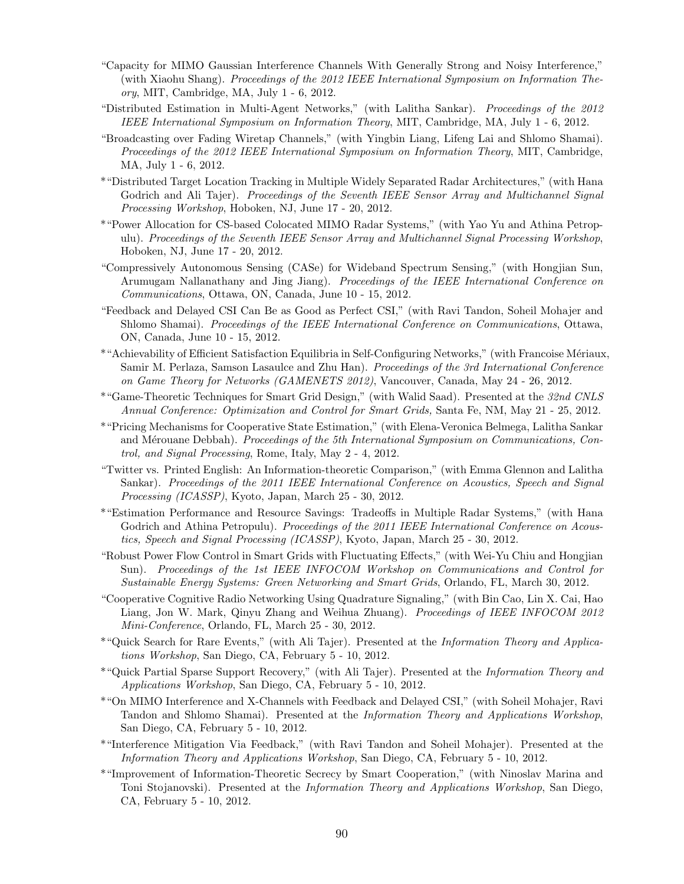- "Capacity for MIMO Gaussian Interference Channels With Generally Strong and Noisy Interference," (with Xiaohu Shang). Proceedings of the 2012 IEEE International Symposium on Information Theory, MIT, Cambridge, MA, July 1 - 6, 2012.
- "Distributed Estimation in Multi-Agent Networks," (with Lalitha Sankar). Proceedings of the 2012 IEEE International Symposium on Information Theory, MIT, Cambridge, MA, July 1 - 6, 2012.
- "Broadcasting over Fading Wiretap Channels," (with Yingbin Liang, Lifeng Lai and Shlomo Shamai). Proceedings of the 2012 IEEE International Symposium on Information Theory, MIT, Cambridge, MA, July 1 - 6, 2012.
- \*"Distributed Target Location Tracking in Multiple Widely Separated Radar Architectures," (with Hana Godrich and Ali Tajer). Proceedings of the Seventh IEEE Sensor Array and Multichannel Signal Processing Workshop, Hoboken, NJ, June 17 - 20, 2012.
- \*"Power Allocation for CS-based Colocated MIMO Radar Systems," (with Yao Yu and Athina Petropulu). Proceedings of the Seventh IEEE Sensor Array and Multichannel Signal Processing Workshop, Hoboken, NJ, June 17 - 20, 2012.
- "Compressively Autonomous Sensing (CASe) for Wideband Spectrum Sensing," (with Hongjian Sun, Arumugam Nallanathany and Jing Jiang). Proceedings of the IEEE International Conference on Communications, Ottawa, ON, Canada, June 10 - 15, 2012.
- "Feedback and Delayed CSI Can Be as Good as Perfect CSI," (with Ravi Tandon, Soheil Mohajer and Shlomo Shamai). Proceedings of the IEEE International Conference on Communications, Ottawa, ON, Canada, June 10 - 15, 2012.
- \*"Achievability of Efficient Satisfaction Equilibria in Self-Configuring Networks," (with Francoise M´eriaux, Samir M. Perlaza, Samson Lasaulce and Zhu Han). Proceedings of the 3rd International Conference on Game Theory for Networks (GAMENETS 2012), Vancouver, Canada, May 24 - 26, 2012.
- \*"Game-Theoretic Techniques for Smart Grid Design," (with Walid Saad). Presented at the 32nd CNLS Annual Conference: Optimization and Control for Smart Grids, Santa Fe, NM, May 21 - 25, 2012.
- \*"Pricing Mechanisms for Cooperative State Estimation," (with Elena-Veronica Belmega, Lalitha Sankar and Mérouane Debbah). Proceedings of the 5th International Symposium on Communications, Control, and Signal Processing, Rome, Italy, May 2 - 4, 2012.
- "Twitter vs. Printed English: An Information-theoretic Comparison," (with Emma Glennon and Lalitha Sankar). Proceedings of the 2011 IEEE International Conference on Acoustics, Speech and Signal Processing (ICASSP), Kyoto, Japan, March 25 - 30, 2012.
- \*"Estimation Performance and Resource Savings: Tradeoffs in Multiple Radar Systems," (with Hana Godrich and Athina Petropulu). Proceedings of the 2011 IEEE International Conference on Acoustics, Speech and Signal Processing (ICASSP), Kyoto, Japan, March 25 - 30, 2012.
- "Robust Power Flow Control in Smart Grids with Fluctuating Effects," (with Wei-Yu Chiu and Hongjian Sun). Proceedings of the 1st IEEE INFOCOM Workshop on Communications and Control for Sustainable Energy Systems: Green Networking and Smart Grids, Orlando, FL, March 30, 2012.
- "Cooperative Cognitive Radio Networking Using Quadrature Signaling," (with Bin Cao, Lin X. Cai, Hao Liang, Jon W. Mark, Qinyu Zhang and Weihua Zhuang). Proceedings of IEEE INFOCOM 2012 Mini-Conference, Orlando, FL, March 25 - 30, 2012.
- \*"Quick Search for Rare Events," (with Ali Tajer). Presented at the Information Theory and Applications Workshop, San Diego, CA, February 5 - 10, 2012.
- \*"Quick Partial Sparse Support Recovery," (with Ali Tajer). Presented at the Information Theory and Applications Workshop, San Diego, CA, February 5 - 10, 2012.
- \*"On MIMO Interference and X-Channels with Feedback and Delayed CSI," (with Soheil Mohajer, Ravi Tandon and Shlomo Shamai). Presented at the Information Theory and Applications Workshop, San Diego, CA, February 5 - 10, 2012.
- \*"Interference Mitigation Via Feedback," (with Ravi Tandon and Soheil Mohajer). Presented at the Information Theory and Applications Workshop, San Diego, CA, February 5 - 10, 2012.
- \*"Improvement of Information-Theoretic Secrecy by Smart Cooperation," (with Ninoslav Marina and Toni Stojanovski). Presented at the Information Theory and Applications Workshop, San Diego, CA, February 5 - 10, 2012.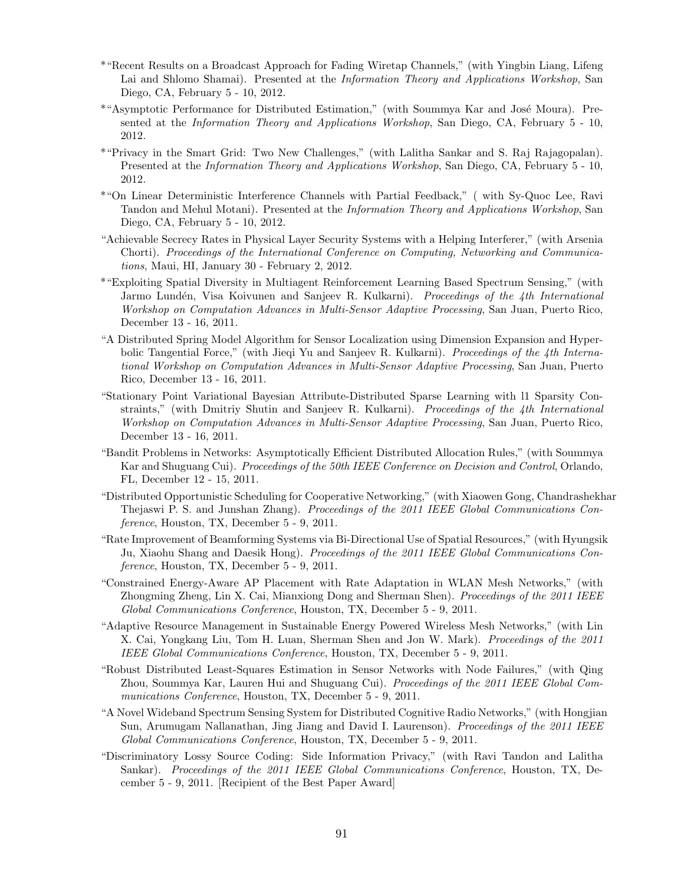- \*"Recent Results on a Broadcast Approach for Fading Wiretap Channels," (with Yingbin Liang, Lifeng Lai and Shlomo Shamai). Presented at the *Information Theory and Applications Workshop*, San Diego, CA, February 5 - 10, 2012.
- \*"Asymptotic Performance for Distributed Estimation," (with Soummya Kar and José Moura). Presented at the Information Theory and Applications Workshop, San Diego, CA, February 5 - 10, 2012.
- \*"Privacy in the Smart Grid: Two New Challenges," (with Lalitha Sankar and S. Raj Rajagopalan). Presented at the Information Theory and Applications Workshop, San Diego, CA, February 5 - 10, 2012.
- \*"On Linear Deterministic Interference Channels with Partial Feedback," ( with Sy-Quoc Lee, Ravi Tandon and Mehul Motani). Presented at the Information Theory and Applications Workshop, San Diego, CA, February 5 - 10, 2012.
- "Achievable Secrecy Rates in Physical Layer Security Systems with a Helping Interferer," (with Arsenia Chorti). Proceedings of the International Conference on Computing, Networking and Communications, Maui, HI, January 30 - February 2, 2012.
- \*"Exploiting Spatial Diversity in Multiagent Reinforcement Learning Based Spectrum Sensing," (with Jarmo Lundén, Visa Koivunen and Sanjeev R. Kulkarni). Proceedings of the 4th International Workshop on Computation Advances in Multi-Sensor Adaptive Processing, San Juan, Puerto Rico, December 13 - 16, 2011.
- "A Distributed Spring Model Algorithm for Sensor Localization using Dimension Expansion and Hyperbolic Tangential Force," (with Jieqi Yu and Sanjeev R. Kulkarni). Proceedings of the 4th International Workshop on Computation Advances in Multi-Sensor Adaptive Processing, San Juan, Puerto Rico, December 13 - 16, 2011.
- "Stationary Point Variational Bayesian Attribute-Distributed Sparse Learning with l1 Sparsity Constraints," (with Dmitriy Shutin and Sanjeev R. Kulkarni). Proceedings of the 4th International Workshop on Computation Advances in Multi-Sensor Adaptive Processing, San Juan, Puerto Rico, December 13 - 16, 2011.
- "Bandit Problems in Networks: Asymptotically Efficient Distributed Allocation Rules," (with Soummya Kar and Shuguang Cui). Proceedings of the 50th IEEE Conference on Decision and Control, Orlando, FL, December 12 - 15, 2011.
- "Distributed Opportunistic Scheduling for Cooperative Networking," (with Xiaowen Gong, Chandrashekhar Thejaswi P. S. and Junshan Zhang). Proceedings of the 2011 IEEE Global Communications Conference, Houston, TX, December 5 - 9, 2011.
- "Rate Improvement of Beamforming Systems via Bi-Directional Use of Spatial Resources," (with Hyungsik Ju, Xiaohu Shang and Daesik Hong). Proceedings of the 2011 IEEE Global Communications Conference, Houston, TX, December 5 - 9, 2011.
- "Constrained Energy-Aware AP Placement with Rate Adaptation in WLAN Mesh Networks," (with Zhongming Zheng, Lin X. Cai, Mianxiong Dong and Sherman Shen). Proceedings of the 2011 IEEE Global Communications Conference, Houston, TX, December 5 - 9, 2011.
- "Adaptive Resource Management in Sustainable Energy Powered Wireless Mesh Networks," (with Lin X. Cai, Yongkang Liu, Tom H. Luan, Sherman Shen and Jon W. Mark). Proceedings of the 2011 IEEE Global Communications Conference, Houston, TX, December 5 - 9, 2011.
- "Robust Distributed Least-Squares Estimation in Sensor Networks with Node Failures," (with Qing Zhou, Soummya Kar, Lauren Hui and Shuguang Cui). Proceedings of the 2011 IEEE Global Communications Conference, Houston, TX, December 5 - 9, 2011.
- "A Novel Wideband Spectrum Sensing System for Distributed Cognitive Radio Networks," (with Hongjian Sun, Arumugam Nallanathan, Jing Jiang and David I. Laurenson). Proceedings of the 2011 IEEE Global Communications Conference, Houston, TX, December 5 - 9, 2011.
- "Discriminatory Lossy Source Coding: Side Information Privacy," (with Ravi Tandon and Lalitha Sankar). Proceedings of the 2011 IEEE Global Communications Conference, Houston, TX, December 5 - 9, 2011. [Recipient of the Best Paper Award]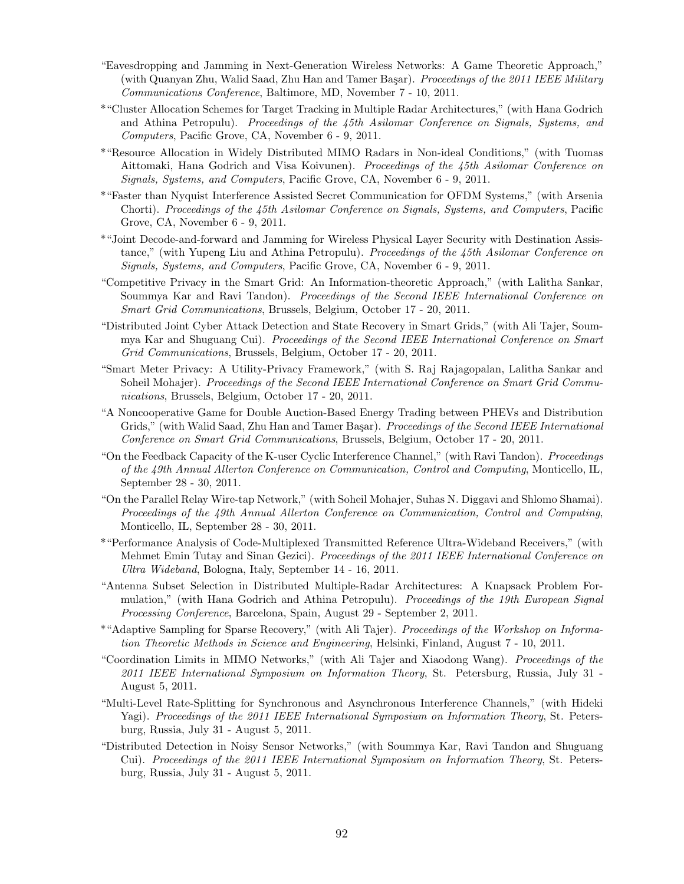- "Eavesdropping and Jamming in Next-Generation Wireless Networks: A Game Theoretic Approach," (with Quanyan Zhu, Walid Saad, Zhu Han and Tamer Başar). Proceedings of the 2011 IEEE Military Communications Conference, Baltimore, MD, November 7 - 10, 2011.
- \*"Cluster Allocation Schemes for Target Tracking in Multiple Radar Architectures," (with Hana Godrich and Athina Petropulu). Proceedings of the 45th Asilomar Conference on Signals, Systems, and Computers, Pacific Grove, CA, November 6 - 9, 2011.
- \*"Resource Allocation in Widely Distributed MIMO Radars in Non-ideal Conditions," (with Tuomas Aittomaki, Hana Godrich and Visa Koivunen). Proceedings of the 45th Asilomar Conference on Signals, Systems, and Computers, Pacific Grove, CA, November 6 - 9, 2011.
- \*"Faster than Nyquist Interference Assisted Secret Communication for OFDM Systems," (with Arsenia Chorti). Proceedings of the 45th Asilomar Conference on Signals, Systems, and Computers, Pacific Grove, CA, November 6 - 9, 2011.
- \*"Joint Decode-and-forward and Jamming for Wireless Physical Layer Security with Destination Assistance," (with Yupeng Liu and Athina Petropulu). Proceedings of the 45th Asilomar Conference on Signals, Systems, and Computers, Pacific Grove, CA, November 6 - 9, 2011.
- "Competitive Privacy in the Smart Grid: An Information-theoretic Approach," (with Lalitha Sankar, Soummya Kar and Ravi Tandon). *Proceedings of the Second IEEE International Conference on* Smart Grid Communications, Brussels, Belgium, October 17 - 20, 2011.
- "Distributed Joint Cyber Attack Detection and State Recovery in Smart Grids," (with Ali Tajer, Soummya Kar and Shuguang Cui). Proceedings of the Second IEEE International Conference on Smart Grid Communications, Brussels, Belgium, October 17 - 20, 2011.
- "Smart Meter Privacy: A Utility-Privacy Framework," (with S. Raj Rajagopalan, Lalitha Sankar and Soheil Mohajer). Proceedings of the Second IEEE International Conference on Smart Grid Communications, Brussels, Belgium, October 17 - 20, 2011.
- "A Noncooperative Game for Double Auction-Based Energy Trading between PHEVs and Distribution Grids," (with Walid Saad, Zhu Han and Tamer Basar). Proceedings of the Second IEEE International Conference on Smart Grid Communications, Brussels, Belgium, October 17 - 20, 2011.
- "On the Feedback Capacity of the K-user Cyclic Interference Channel," (with Ravi Tandon). Proceedings of the 49th Annual Allerton Conference on Communication, Control and Computing, Monticello, IL, September 28 - 30, 2011.
- "On the Parallel Relay Wire-tap Network," (with Soheil Mohajer, Suhas N. Diggavi and Shlomo Shamai). Proceedings of the 49th Annual Allerton Conference on Communication, Control and Computing, Monticello, IL, September 28 - 30, 2011.
- \*"Performance Analysis of Code-Multiplexed Transmitted Reference Ultra-Wideband Receivers," (with Mehmet Emin Tutay and Sinan Gezici). *Proceedings of the 2011 IEEE International Conference on* Ultra Wideband, Bologna, Italy, September 14 - 16, 2011.
- "Antenna Subset Selection in Distributed Multiple-Radar Architectures: A Knapsack Problem Formulation," (with Hana Godrich and Athina Petropulu). Proceedings of the 19th European Signal Processing Conference, Barcelona, Spain, August 29 - September 2, 2011.
- \*"Adaptive Sampling for Sparse Recovery," (with Ali Tajer). Proceedings of the Workshop on Information Theoretic Methods in Science and Engineering, Helsinki, Finland, August 7 - 10, 2011.
- "Coordination Limits in MIMO Networks," (with Ali Tajer and Xiaodong Wang). Proceedings of the 2011 IEEE International Symposium on Information Theory, St. Petersburg, Russia, July 31 - August 5, 2011.
- "Multi-Level Rate-Splitting for Synchronous and Asynchronous Interference Channels," (with Hideki Yagi). Proceedings of the 2011 IEEE International Symposium on Information Theory, St. Petersburg, Russia, July 31 - August 5, 2011.
- "Distributed Detection in Noisy Sensor Networks," (with Soummya Kar, Ravi Tandon and Shuguang Cui). Proceedings of the 2011 IEEE International Symposium on Information Theory, St. Petersburg, Russia, July 31 - August 5, 2011.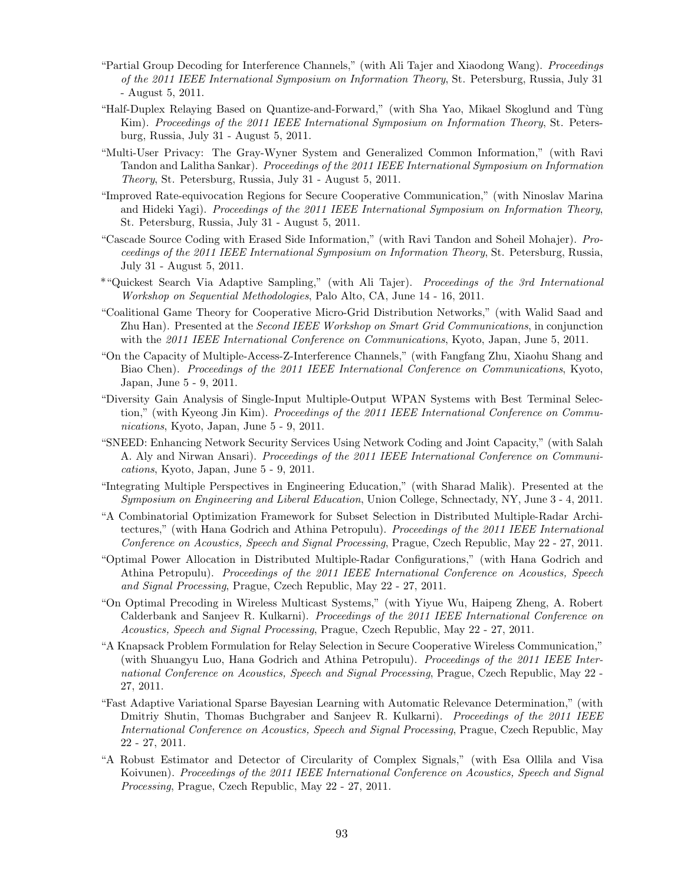- "Partial Group Decoding for Interference Channels," (with Ali Tajer and Xiaodong Wang). Proceedings of the 2011 IEEE International Symposium on Information Theory, St. Petersburg, Russia, July 31 - August 5, 2011.
- "Half-Duplex Relaying Based on Quantize-and-Forward," (with Sha Yao, Mikael Skoglund and Tùng Kim). Proceedings of the 2011 IEEE International Symposium on Information Theory, St. Petersburg, Russia, July 31 - August 5, 2011.
- "Multi-User Privacy: The Gray-Wyner System and Generalized Common Information," (with Ravi Tandon and Lalitha Sankar). Proceedings of the 2011 IEEE International Symposium on Information Theory, St. Petersburg, Russia, July 31 - August 5, 2011.
- "Improved Rate-equivocation Regions for Secure Cooperative Communication," (with Ninoslav Marina and Hideki Yagi). Proceedings of the 2011 IEEE International Symposium on Information Theory, St. Petersburg, Russia, July 31 - August 5, 2011.
- "Cascade Source Coding with Erased Side Information," (with Ravi Tandon and Soheil Mohajer). Proceedings of the 2011 IEEE International Symposium on Information Theory, St. Petersburg, Russia, July 31 - August 5, 2011.
- \*"Quickest Search Via Adaptive Sampling," (with Ali Tajer). Proceedings of the 3rd International Workshop on Sequential Methodologies, Palo Alto, CA, June 14 - 16, 2011.
- "Coalitional Game Theory for Cooperative Micro-Grid Distribution Networks," (with Walid Saad and Zhu Han). Presented at the Second IEEE Workshop on Smart Grid Communications, in conjunction with the 2011 IEEE International Conference on Communications, Kyoto, Japan, June 5, 2011.
- "On the Capacity of Multiple-Access-Z-Interference Channels," (with Fangfang Zhu, Xiaohu Shang and Biao Chen). Proceedings of the 2011 IEEE International Conference on Communications, Kyoto, Japan, June 5 - 9, 2011.
- "Diversity Gain Analysis of Single-Input Multiple-Output WPAN Systems with Best Terminal Selection," (with Kyeong Jin Kim). Proceedings of the 2011 IEEE International Conference on Communications, Kyoto, Japan, June 5 - 9, 2011.
- "SNEED: Enhancing Network Security Services Using Network Coding and Joint Capacity," (with Salah A. Aly and Nirwan Ansari). Proceedings of the 2011 IEEE International Conference on Communications, Kyoto, Japan, June 5 - 9, 2011.
- "Integrating Multiple Perspectives in Engineering Education," (with Sharad Malik). Presented at the Symposium on Engineering and Liberal Education, Union College, Schnectady, NY, June 3 - 4, 2011.
- "A Combinatorial Optimization Framework for Subset Selection in Distributed Multiple-Radar Architectures," (with Hana Godrich and Athina Petropulu). *Proceedings of the 2011 IEEE International* Conference on Acoustics, Speech and Signal Processing, Prague, Czech Republic, May 22 - 27, 2011.
- "Optimal Power Allocation in Distributed Multiple-Radar Configurations," (with Hana Godrich and Athina Petropulu). Proceedings of the 2011 IEEE International Conference on Acoustics, Speech and Signal Processing, Prague, Czech Republic, May 22 - 27, 2011.
- "On Optimal Precoding in Wireless Multicast Systems," (with Yiyue Wu, Haipeng Zheng, A. Robert Calderbank and Sanjeev R. Kulkarni). Proceedings of the 2011 IEEE International Conference on Acoustics, Speech and Signal Processing, Prague, Czech Republic, May 22 - 27, 2011.
- "A Knapsack Problem Formulation for Relay Selection in Secure Cooperative Wireless Communication," (with Shuangyu Luo, Hana Godrich and Athina Petropulu). *Proceedings of the 2011 IEEE Inter*national Conference on Acoustics, Speech and Signal Processing, Prague, Czech Republic, May 22 - 27, 2011.
- "Fast Adaptive Variational Sparse Bayesian Learning with Automatic Relevance Determination," (with Dmitriy Shutin, Thomas Buchgraber and Sanjeev R. Kulkarni). *Proceedings of the 2011 IEEE* International Conference on Acoustics, Speech and Signal Processing, Prague, Czech Republic, May 22 - 27, 2011.
- "A Robust Estimator and Detector of Circularity of Complex Signals," (with Esa Ollila and Visa Koivunen). Proceedings of the 2011 IEEE International Conference on Acoustics, Speech and Signal Processing, Prague, Czech Republic, May 22 - 27, 2011.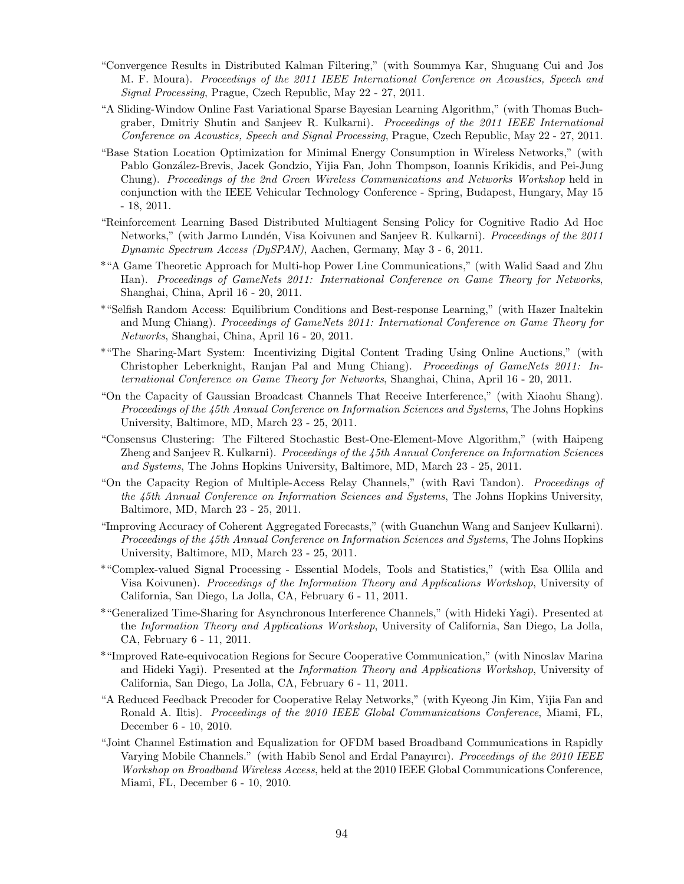- "Convergence Results in Distributed Kalman Filtering," (with Soummya Kar, Shuguang Cui and Jos M. F. Moura). Proceedings of the 2011 IEEE International Conference on Acoustics, Speech and Signal Processing, Prague, Czech Republic, May 22 - 27, 2011.
- "A Sliding-Window Online Fast Variational Sparse Bayesian Learning Algorithm," (with Thomas Buchgraber, Dmitriy Shutin and Sanjeev R. Kulkarni). Proceedings of the 2011 IEEE International Conference on Acoustics, Speech and Signal Processing, Prague, Czech Republic, May 22 - 27, 2011.
- "Base Station Location Optimization for Minimal Energy Consumption in Wireless Networks," (with Pablo González-Brevis, Jacek Gondzio, Yijia Fan, John Thompson, Ioannis Krikidis, and Pei-Jung Chung). Proceedings of the 2nd Green Wireless Communications and Networks Workshop held in conjunction with the IEEE Vehicular Technology Conference - Spring, Budapest, Hungary, May 15 - 18, 2011.
- "Reinforcement Learning Based Distributed Multiagent Sensing Policy for Cognitive Radio Ad Hoc Networks," (with Jarmo Lundén, Visa Koivunen and Sanjeev R. Kulkarni). *Proceedings of the 2011* Dynamic Spectrum Access (DySPAN), Aachen, Germany, May 3 - 6, 2011.
- \*"A Game Theoretic Approach for Multi-hop Power Line Communications," (with Walid Saad and Zhu Han). Proceedings of GameNets 2011: International Conference on Game Theory for Networks, Shanghai, China, April 16 - 20, 2011.
- \*"Selfish Random Access: Equilibrium Conditions and Best-response Learning," (with Hazer Inaltekin and Mung Chiang). Proceedings of GameNets 2011: International Conference on Game Theory for Networks, Shanghai, China, April 16 - 20, 2011.
- \*"The Sharing-Mart System: Incentivizing Digital Content Trading Using Online Auctions," (with Christopher Leberknight, Ranjan Pal and Mung Chiang). Proceedings of GameNets 2011: International Conference on Game Theory for Networks, Shanghai, China, April 16 - 20, 2011.
- "On the Capacity of Gaussian Broadcast Channels That Receive Interference," (with Xiaohu Shang). Proceedings of the 45th Annual Conference on Information Sciences and Systems, The Johns Hopkins University, Baltimore, MD, March 23 - 25, 2011.
- "Consensus Clustering: The Filtered Stochastic Best-One-Element-Move Algorithm," (with Haipeng Zheng and Sanjeev R. Kulkarni). Proceedings of the 45th Annual Conference on Information Sciences and Systems, The Johns Hopkins University, Baltimore, MD, March 23 - 25, 2011.
- "On the Capacity Region of Multiple-Access Relay Channels," (with Ravi Tandon). Proceedings of the 45th Annual Conference on Information Sciences and Systems, The Johns Hopkins University, Baltimore, MD, March 23 - 25, 2011.
- "Improving Accuracy of Coherent Aggregated Forecasts," (with Guanchun Wang and Sanjeev Kulkarni). Proceedings of the 45th Annual Conference on Information Sciences and Systems, The Johns Hopkins University, Baltimore, MD, March 23 - 25, 2011.
- \*"Complex-valued Signal Processing Essential Models, Tools and Statistics," (with Esa Ollila and Visa Koivunen). Proceedings of the Information Theory and Applications Workshop, University of California, San Diego, La Jolla, CA, February 6 - 11, 2011.
- \*"Generalized Time-Sharing for Asynchronous Interference Channels," (with Hideki Yagi). Presented at the Information Theory and Applications Workshop, University of California, San Diego, La Jolla, CA, February 6 - 11, 2011.
- \*"Improved Rate-equivocation Regions for Secure Cooperative Communication," (with Ninoslav Marina and Hideki Yagi). Presented at the Information Theory and Applications Workshop, University of California, San Diego, La Jolla, CA, February 6 - 11, 2011.
- "A Reduced Feedback Precoder for Cooperative Relay Networks," (with Kyeong Jin Kim, Yijia Fan and Ronald A. Iltis). Proceedings of the 2010 IEEE Global Communications Conference, Miami, FL, December 6 - 10, 2010.
- "Joint Channel Estimation and Equalization for OFDM based Broadband Communications in Rapidly Varying Mobile Channels." (with Habib Senol and Erdal Panayırcı). Proceedings of the 2010 IEEE Workshop on Broadband Wireless Access, held at the 2010 IEEE Global Communications Conference, Miami, FL, December 6 - 10, 2010.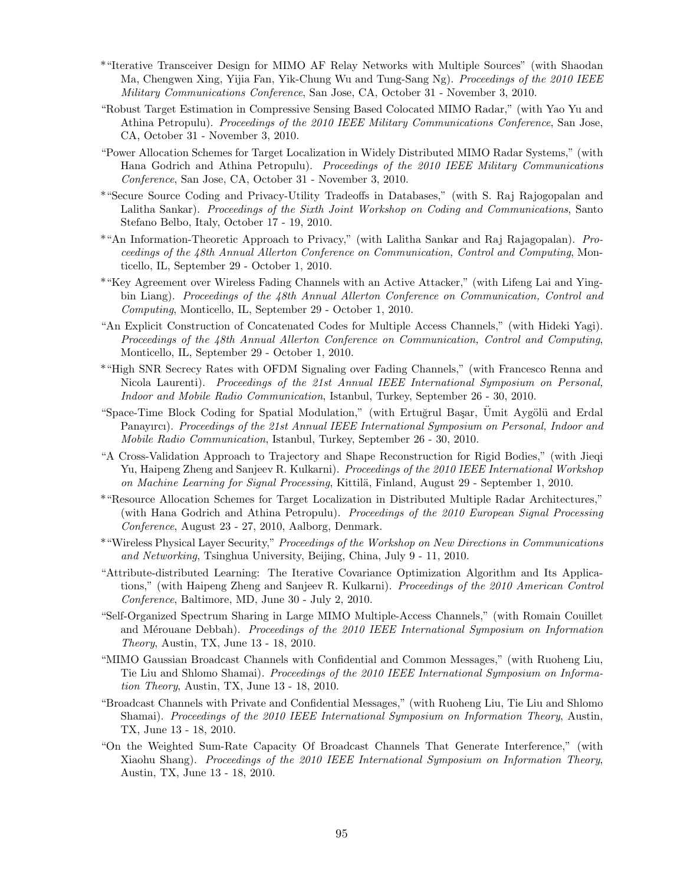- \*"Iterative Transceiver Design for MIMO AF Relay Networks with Multiple Sources" (with Shaodan Ma, Chengwen Xing, Yijia Fan, Yik-Chung Wu and Tung-Sang Ng). Proceedings of the 2010 IEEE Military Communications Conference, San Jose, CA, October 31 - November 3, 2010.
- "Robust Target Estimation in Compressive Sensing Based Colocated MIMO Radar," (with Yao Yu and Athina Petropulu). Proceedings of the 2010 IEEE Military Communications Conference, San Jose, CA, October 31 - November 3, 2010.
- "Power Allocation Schemes for Target Localization in Widely Distributed MIMO Radar Systems," (with Hana Godrich and Athina Petropulu). Proceedings of the 2010 IEEE Military Communications Conference, San Jose, CA, October 31 - November 3, 2010.
- \*"Secure Source Coding and Privacy-Utility Tradeoffs in Databases," (with S. Raj Rajogopalan and Lalitha Sankar). Proceedings of the Sixth Joint Workshop on Coding and Communications, Santo Stefano Belbo, Italy, October 17 - 19, 2010.
- \*"An Information-Theoretic Approach to Privacy," (with Lalitha Sankar and Raj Rajagopalan). Proceedings of the 48th Annual Allerton Conference on Communication, Control and Computing, Monticello, IL, September 29 - October 1, 2010.
- \*"Key Agreement over Wireless Fading Channels with an Active Attacker," (with Lifeng Lai and Yingbin Liang). Proceedings of the 48th Annual Allerton Conference on Communication, Control and Computing, Monticello, IL, September 29 - October 1, 2010.
- "An Explicit Construction of Concatenated Codes for Multiple Access Channels," (with Hideki Yagi). Proceedings of the 48th Annual Allerton Conference on Communication, Control and Computing, Monticello, IL, September 29 - October 1, 2010.
- \*"High SNR Secrecy Rates with OFDM Signaling over Fading Channels," (with Francesco Renna and Nicola Laurenti). Proceedings of the 21st Annual IEEE International Symposium on Personal, Indoor and Mobile Radio Communication, Istanbul, Turkey, September 26 - 30, 2010.
- "Space-Time Block Coding for Spatial Modulation," (with Ertuğrul Başar, Ümit Aygölü and Erdal Panayırcı). Proceedings of the 21st Annual IEEE International Symposium on Personal, Indoor and Mobile Radio Communication, Istanbul, Turkey, September 26 - 30, 2010.
- "A Cross-Validation Approach to Trajectory and Shape Reconstruction for Rigid Bodies," (with Jieqi Yu, Haipeng Zheng and Sanjeev R. Kulkarni). Proceedings of the 2010 IEEE International Workshop on Machine Learning for Signal Processing, Kittilä, Finland, August 29 - September 1, 2010.
- \*"Resource Allocation Schemes for Target Localization in Distributed Multiple Radar Architectures," (with Hana Godrich and Athina Petropulu). Proceedings of the 2010 European Signal Processing Conference, August 23 - 27, 2010, Aalborg, Denmark.
- \*"Wireless Physical Layer Security," Proceedings of the Workshop on New Directions in Communications and Networking, Tsinghua University, Beijing, China, July 9 - 11, 2010.
- "Attribute-distributed Learning: The Iterative Covariance Optimization Algorithm and Its Applications," (with Haipeng Zheng and Sanjeev R. Kulkarni). Proceedings of the 2010 American Control Conference, Baltimore, MD, June 30 - July 2, 2010.
- "Self-Organized Spectrum Sharing in Large MIMO Multiple-Access Channels," (with Romain Couillet and Mérouane Debbah). Proceedings of the 2010 IEEE International Symposium on Information Theory, Austin, TX, June 13 - 18, 2010.
- "MIMO Gaussian Broadcast Channels with Confidential and Common Messages," (with Ruoheng Liu, Tie Liu and Shlomo Shamai). Proceedings of the 2010 IEEE International Symposium on Information Theory, Austin, TX, June 13 - 18, 2010.
- "Broadcast Channels with Private and Confidential Messages," (with Ruoheng Liu, Tie Liu and Shlomo Shamai). Proceedings of the 2010 IEEE International Symposium on Information Theory, Austin, TX, June 13 - 18, 2010.
- "On the Weighted Sum-Rate Capacity Of Broadcast Channels That Generate Interference," (with Xiaohu Shang). Proceedings of the 2010 IEEE International Symposium on Information Theory, Austin, TX, June 13 - 18, 2010.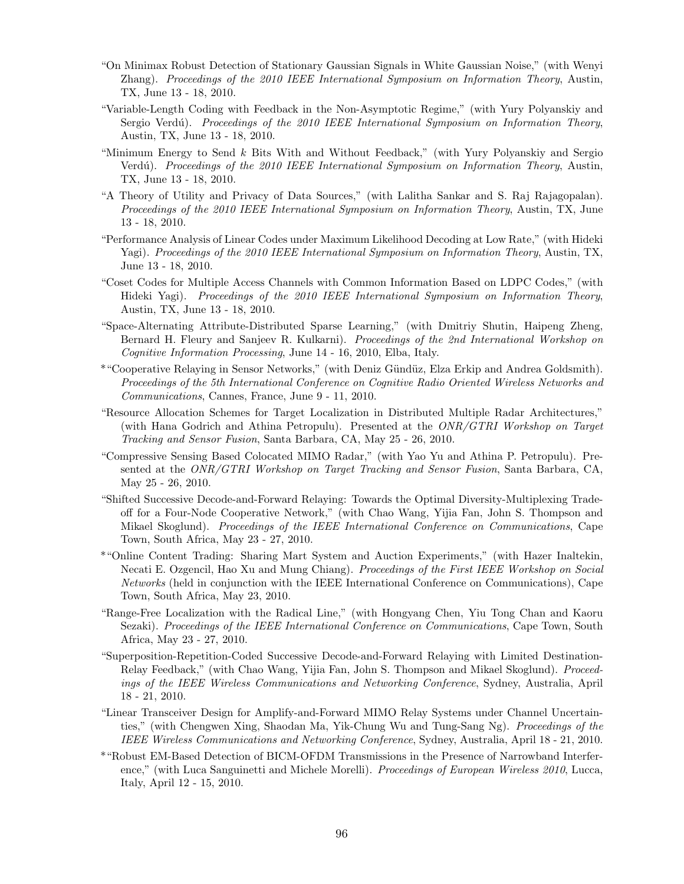- "On Minimax Robust Detection of Stationary Gaussian Signals in White Gaussian Noise," (with Wenyi Zhang). Proceedings of the 2010 IEEE International Symposium on Information Theory, Austin, TX, June 13 - 18, 2010.
- "Variable-Length Coding with Feedback in the Non-Asymptotic Regime," (with Yury Polyanskiy and Sergio Verdú). Proceedings of the 2010 IEEE International Symposium on Information Theory, Austin, TX, June 13 - 18, 2010.
- "Minimum Energy to Send k Bits With and Without Feedback," (with Yury Polyanskiy and Sergio Verdú). Proceedings of the 2010 IEEE International Symposium on Information Theory, Austin, TX, June 13 - 18, 2010.
- "A Theory of Utility and Privacy of Data Sources," (with Lalitha Sankar and S. Raj Rajagopalan). Proceedings of the 2010 IEEE International Symposium on Information Theory, Austin, TX, June 13 - 18, 2010.
- "Performance Analysis of Linear Codes under Maximum Likelihood Decoding at Low Rate," (with Hideki Yagi). Proceedings of the 2010 IEEE International Symposium on Information Theory, Austin, TX, June 13 - 18, 2010.
- "Coset Codes for Multiple Access Channels with Common Information Based on LDPC Codes," (with Hideki Yagi). Proceedings of the 2010 IEEE International Symposium on Information Theory, Austin, TX, June 13 - 18, 2010.
- "Space-Alternating Attribute-Distributed Sparse Learning," (with Dmitriy Shutin, Haipeng Zheng, Bernard H. Fleury and Sanjeev R. Kulkarni). *Proceedings of the 2nd International Workshop on* Cognitive Information Processing, June 14 - 16, 2010, Elba, Italy.
- \*"Cooperative Relaying in Sensor Networks," (with Deniz G¨und¨uz, Elza Erkip and Andrea Goldsmith). Proceedings of the 5th International Conference on Cognitive Radio Oriented Wireless Networks and Communications, Cannes, France, June 9 - 11, 2010.
- "Resource Allocation Schemes for Target Localization in Distributed Multiple Radar Architectures," (with Hana Godrich and Athina Petropulu). Presented at the *ONR/GTRI Workshop on Target* Tracking and Sensor Fusion, Santa Barbara, CA, May 25 - 26, 2010.
- "Compressive Sensing Based Colocated MIMO Radar," (with Yao Yu and Athina P. Petropulu). Presented at the ONR/GTRI Workshop on Target Tracking and Sensor Fusion, Santa Barbara, CA, May 25 - 26, 2010.
- "Shifted Successive Decode-and-Forward Relaying: Towards the Optimal Diversity-Multiplexing Tradeoff for a Four-Node Cooperative Network," (with Chao Wang, Yijia Fan, John S. Thompson and Mikael Skoglund). Proceedings of the IEEE International Conference on Communications, Cape Town, South Africa, May 23 - 27, 2010.
- \*"Online Content Trading: Sharing Mart System and Auction Experiments," (with Hazer Inaltekin, Necati E. Ozgencil, Hao Xu and Mung Chiang). Proceedings of the First IEEE Workshop on Social Networks (held in conjunction with the IEEE International Conference on Communications), Cape Town, South Africa, May 23, 2010.
- "Range-Free Localization with the Radical Line," (with Hongyang Chen, Yiu Tong Chan and Kaoru Sezaki). Proceedings of the IEEE International Conference on Communications, Cape Town, South Africa, May 23 - 27, 2010.
- "Superposition-Repetition-Coded Successive Decode-and-Forward Relaying with Limited Destination-Relay Feedback," (with Chao Wang, Yijia Fan, John S. Thompson and Mikael Skoglund). Proceedings of the IEEE Wireless Communications and Networking Conference, Sydney, Australia, April 18 - 21, 2010.
- "Linear Transceiver Design for Amplify-and-Forward MIMO Relay Systems under Channel Uncertainties," (with Chengwen Xing, Shaodan Ma, Yik-Chung Wu and Tung-Sang Ng). Proceedings of the IEEE Wireless Communications and Networking Conference, Sydney, Australia, April 18 - 21, 2010.
- \*"Robust EM-Based Detection of BICM-OFDM Transmissions in the Presence of Narrowband Interference," (with Luca Sanguinetti and Michele Morelli). Proceedings of European Wireless 2010, Lucca, Italy, April 12 - 15, 2010.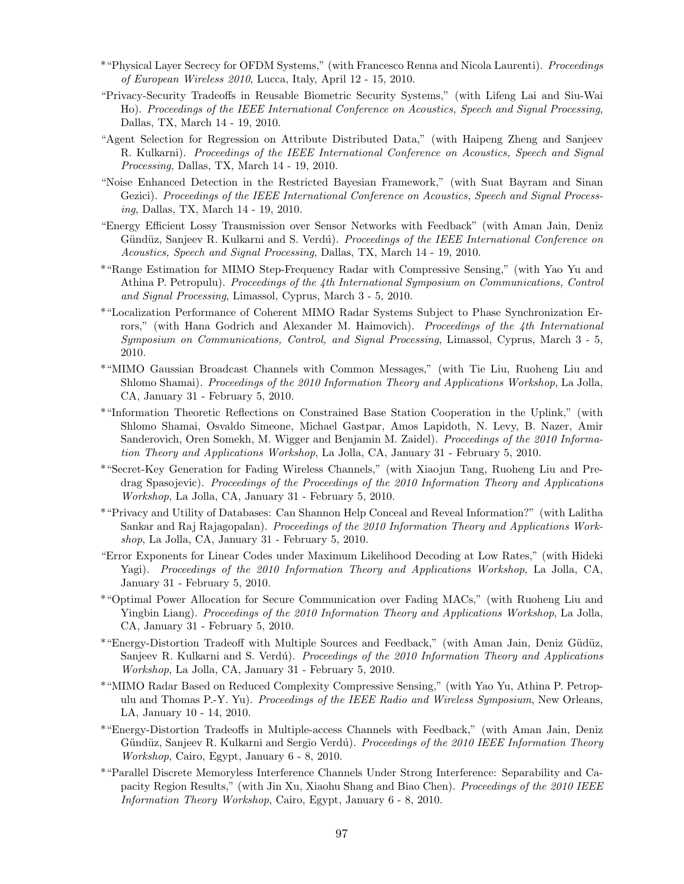- \*"Physical Layer Secrecy for OFDM Systems," (with Francesco Renna and Nicola Laurenti). Proceedings of European Wireless 2010, Lucca, Italy, April 12 - 15, 2010.
- "Privacy-Security Tradeoffs in Reusable Biometric Security Systems," (with Lifeng Lai and Siu-Wai Ho). Proceedings of the IEEE International Conference on Acoustics, Speech and Signal Processing, Dallas, TX, March 14 - 19, 2010.
- "Agent Selection for Regression on Attribute Distributed Data," (with Haipeng Zheng and Sanjeev R. Kulkarni). Proceedings of the IEEE International Conference on Acoustics, Speech and Signal Processing, Dallas, TX, March 14 - 19, 2010.
- "Noise Enhanced Detection in the Restricted Bayesian Framework," (with Suat Bayram and Sinan Gezici). Proceedings of the IEEE International Conference on Acoustics, Speech and Signal Processing, Dallas, TX, March 14 - 19, 2010.
- "Energy Efficient Lossy Transmission over Sensor Networks with Feedback" (with Aman Jain, Deniz Gündüz, Sanjeev R. Kulkarni and S. Verdú). Proceedings of the IEEE International Conference on Acoustics, Speech and Signal Processing, Dallas, TX, March 14 - 19, 2010.
- \*"Range Estimation for MIMO Step-Frequency Radar with Compressive Sensing," (with Yao Yu and Athina P. Petropulu). Proceedings of the 4th International Symposium on Communications, Control and Signal Processing, Limassol, Cyprus, March 3 - 5, 2010.
- \*"Localization Performance of Coherent MIMO Radar Systems Subject to Phase Synchronization Errors," (with Hana Godrich and Alexander M. Haimovich). Proceedings of the 4th International Symposium on Communications, Control, and Signal Processing, Limassol, Cyprus, March 3 - 5, 2010.
- \*"MIMO Gaussian Broadcast Channels with Common Messages," (with Tie Liu, Ruoheng Liu and Shlomo Shamai). Proceedings of the 2010 Information Theory and Applications Workshop, La Jolla, CA, January 31 - February 5, 2010.
- \*"Information Theoretic Reflections on Constrained Base Station Cooperation in the Uplink," (with Shlomo Shamai, Osvaldo Simeone, Michael Gastpar, Amos Lapidoth, N. Levy, B. Nazer, Amir Sanderovich, Oren Somekh, M. Wigger and Benjamin M. Zaidel). Proceedings of the 2010 Information Theory and Applications Workshop, La Jolla, CA, January 31 - February 5, 2010.
- \*"Secret-Key Generation for Fading Wireless Channels," (with Xiaojun Tang, Ruoheng Liu and Predrag Spasojevic). Proceedings of the Proceedings of the 2010 Information Theory and Applications Workshop, La Jolla, CA, January 31 - February 5, 2010.
- \*"Privacy and Utility of Databases: Can Shannon Help Conceal and Reveal Information?" (with Lalitha Sankar and Raj Rajagopalan). Proceedings of the 2010 Information Theory and Applications Workshop, La Jolla, CA, January 31 - February 5, 2010.
- "Error Exponents for Linear Codes under Maximum Likelihood Decoding at Low Rates," (with Hideki Yagi). Proceedings of the 2010 Information Theory and Applications Workshop, La Jolla, CA, January 31 - February 5, 2010.
- \*"Optimal Power Allocation for Secure Communication over Fading MACs," (with Ruoheng Liu and Yingbin Liang). Proceedings of the 2010 Information Theory and Applications Workshop, La Jolla, CA, January 31 - February 5, 2010.
- \*"Energy-Distortion Tradeoff with Multiple Sources and Feedback," (with Aman Jain, Deniz G¨ud¨uz, Sanjeev R. Kulkarni and S. Verdú). Proceedings of the 2010 Information Theory and Applications Workshop, La Jolla, CA, January 31 - February 5, 2010.
- \*"MIMO Radar Based on Reduced Complexity Compressive Sensing," (with Yao Yu, Athina P. Petropulu and Thomas P.-Y. Yu). Proceedings of the IEEE Radio and Wireless Symposium, New Orleans, LA, January 10 - 14, 2010.
- \*"Energy-Distortion Tradeoffs in Multiple-access Channels with Feedback," (with Aman Jain, Deniz Gündüz, Sanjeev R. Kulkarni and Sergio Verdú). Proceedings of the 2010 IEEE Information Theory Workshop, Cairo, Egypt, January 6 - 8, 2010.
- \*"Parallel Discrete Memoryless Interference Channels Under Strong Interference: Separability and Capacity Region Results," (with Jin Xu, Xiaohu Shang and Biao Chen). Proceedings of the 2010 IEEE Information Theory Workshop, Cairo, Egypt, January 6 - 8, 2010.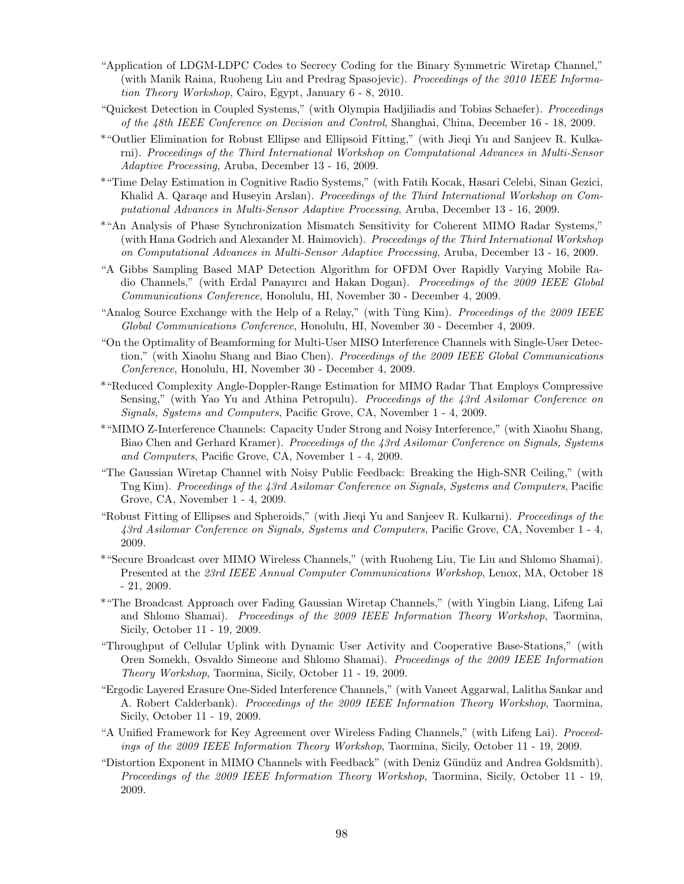- "Application of LDGM-LDPC Codes to Secrecy Coding for the Binary Symmetric Wiretap Channel," (with Manik Raina, Ruoheng Liu and Predrag Spasojevic). Proceedings of the 2010 IEEE Information Theory Workshop, Cairo, Egypt, January 6 - 8, 2010.
- "Quickest Detection in Coupled Systems," (with Olympia Hadjiliadis and Tobias Schaefer). Proceedings of the 48th IEEE Conference on Decision and Control, Shanghai, China, December 16 - 18, 2009.
- \*"Outlier Elimination for Robust Ellipse and Ellipsoid Fitting," (with Jieqi Yu and Sanjeev R. Kulkarni). Proceedings of the Third International Workshop on Computational Advances in Multi-Sensor Adaptive Processing, Aruba, December 13 - 16, 2009.
- \*"Time Delay Estimation in Cognitive Radio Systems," (with Fatih Kocak, Hasari Celebi, Sinan Gezici, Khalid A. Qaraqe and Huseyin Arslan). Proceedings of the Third International Workshop on Computational Advances in Multi-Sensor Adaptive Processing, Aruba, December 13 - 16, 2009.
- \*"An Analysis of Phase Synchronization Mismatch Sensitivity for Coherent MIMO Radar Systems," (with Hana Godrich and Alexander M. Haimovich). Proceedings of the Third International Workshop on Computational Advances in Multi-Sensor Adaptive Processing, Aruba, December 13 - 16, 2009.
- "A Gibbs Sampling Based MAP Detection Algorithm for OFDM Over Rapidly Varying Mobile Radio Channels," (with Erdal Panayırcı and Hakan Dogan). Proceedings of the 2009 IEEE Global Communications Conference, Honolulu, HI, November 30 - December 4, 2009.
- "Analog Source Exchange with the Help of a Relay," (with Tùng Kim). Proceedings of the 2009 IEEE Global Communications Conference, Honolulu, HI, November 30 - December 4, 2009.
- "On the Optimality of Beamforming for Multi-User MISO Interference Channels with Single-User Detection," (with Xiaohu Shang and Biao Chen). *Proceedings of the 2009 IEEE Global Communications* Conference, Honolulu, HI, November 30 - December 4, 2009.
- \*"Reduced Complexity Angle-Doppler-Range Estimation for MIMO Radar That Employs Compressive Sensing," (with Yao Yu and Athina Petropulu). Proceedings of the 43rd Asilomar Conference on Signals, Systems and Computers, Pacific Grove, CA, November 1 - 4, 2009.
- \*"MIMO Z-Interference Channels: Capacity Under Strong and Noisy Interference," (with Xiaohu Shang, Biao Chen and Gerhard Kramer). Proceedings of the 43rd Asilomar Conference on Signals, Systems and Computers, Pacific Grove, CA, November 1 - 4, 2009.
- "The Gaussian Wiretap Channel with Noisy Public Feedback: Breaking the High-SNR Ceiling," (with Tng Kim). Proceedings of the 43rd Asilomar Conference on Signals, Systems and Computers, Pacific Grove, CA, November 1 - 4, 2009.
- "Robust Fitting of Ellipses and Spheroids," (with Jieqi Yu and Sanjeev R. Kulkarni). Proceedings of the 43rd Asilomar Conference on Signals, Systems and Computers, Pacific Grove, CA, November 1 - 4, 2009.
- \*"Secure Broadcast over MIMO Wireless Channels," (with Ruoheng Liu, Tie Liu and Shlomo Shamai). Presented at the 23rd IEEE Annual Computer Communications Workshop, Lenox, MA, October 18 - 21, 2009.
- \*"The Broadcast Approach over Fading Gaussian Wiretap Channels," (with Yingbin Liang, Lifeng Lai and Shlomo Shamai). *Proceedings of the 2009 IEEE Information Theory Workshop*, Taormina, Sicily, October 11 - 19, 2009.
- "Throughput of Cellular Uplink with Dynamic User Activity and Cooperative Base-Stations," (with Oren Somekh, Osvaldo Simeone and Shlomo Shamai). Proceedings of the 2009 IEEE Information Theory Workshop, Taormina, Sicily, October 11 - 19, 2009.
- "Ergodic Layered Erasure One-Sided Interference Channels," (with Vaneet Aggarwal, Lalitha Sankar and A. Robert Calderbank). Proceedings of the 2009 IEEE Information Theory Workshop, Taormina, Sicily, October 11 - 19, 2009.
- "A Unified Framework for Key Agreement over Wireless Fading Channels," (with Lifeng Lai). Proceedings of the 2009 IEEE Information Theory Workshop, Taormina, Sicily, October 11 - 19, 2009.
- "Distortion Exponent in MIMO Channels with Feedback" (with Deniz Gündüz and Andrea Goldsmith). Proceedings of the 2009 IEEE Information Theory Workshop, Taormina, Sicily, October 11 - 19, 2009.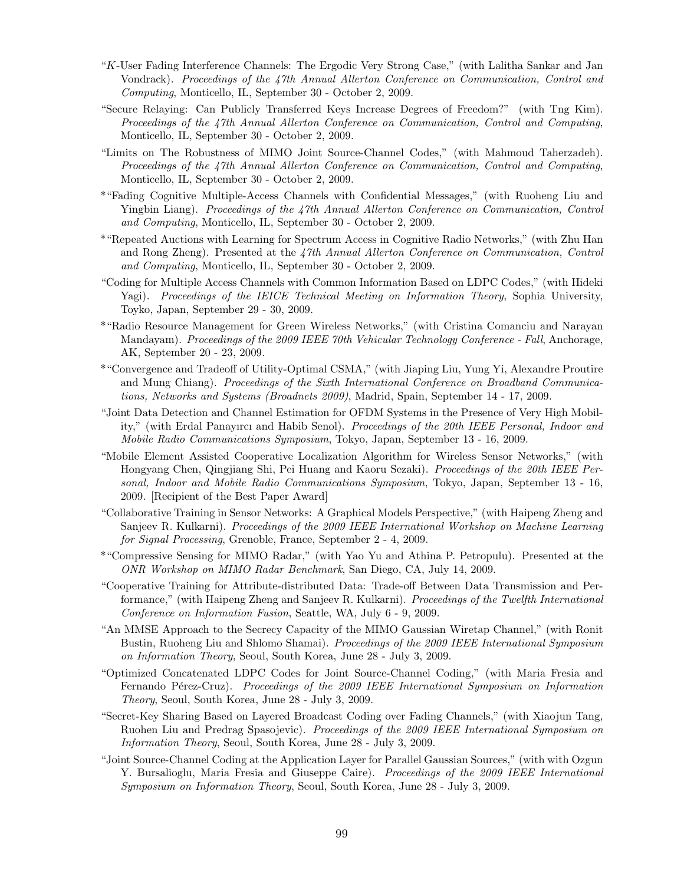- "K-User Fading Interference Channels: The Ergodic Very Strong Case," (with Lalitha Sankar and Jan Vondrack). Proceedings of the 47th Annual Allerton Conference on Communication, Control and Computing, Monticello, IL, September 30 - October 2, 2009.
- "Secure Relaying: Can Publicly Transferred Keys Increase Degrees of Freedom?" (with Tng Kim). Proceedings of the 47th Annual Allerton Conference on Communication, Control and Computing, Monticello, IL, September 30 - October 2, 2009.
- "Limits on The Robustness of MIMO Joint Source-Channel Codes," (with Mahmoud Taherzadeh). Proceedings of the 47th Annual Allerton Conference on Communication, Control and Computing, Monticello, IL, September 30 - October 2, 2009.
- \*"Fading Cognitive Multiple-Access Channels with Confidential Messages," (with Ruoheng Liu and Yingbin Liang). Proceedings of the 47th Annual Allerton Conference on Communication, Control and Computing, Monticello, IL, September 30 - October 2, 2009.
- \*"Repeated Auctions with Learning for Spectrum Access in Cognitive Radio Networks," (with Zhu Han and Rong Zheng). Presented at the 47th Annual Allerton Conference on Communication, Control and Computing, Monticello, IL, September 30 - October 2, 2009.
- "Coding for Multiple Access Channels with Common Information Based on LDPC Codes," (with Hideki Yagi). Proceedings of the IEICE Technical Meeting on Information Theory, Sophia University, Toyko, Japan, September 29 - 30, 2009.
- \*"Radio Resource Management for Green Wireless Networks," (with Cristina Comanciu and Narayan Mandayam). Proceedings of the 2009 IEEE 70th Vehicular Technology Conference - Fall, Anchorage, AK, September 20 - 23, 2009.
- \*"Convergence and Tradeoff of Utility-Optimal CSMA," (with Jiaping Liu, Yung Yi, Alexandre Proutire and Mung Chiang). Proceedings of the Sixth International Conference on Broadband Communications, Networks and Systems (Broadnets 2009), Madrid, Spain, September 14 - 17, 2009.
- "Joint Data Detection and Channel Estimation for OFDM Systems in the Presence of Very High Mobility," (with Erdal Panayırcı and Habib Senol). Proceedings of the 20th IEEE Personal, Indoor and Mobile Radio Communications Symposium, Tokyo, Japan, September 13 - 16, 2009.
- "Mobile Element Assisted Cooperative Localization Algorithm for Wireless Sensor Networks," (with Hongyang Chen, Qingjiang Shi, Pei Huang and Kaoru Sezaki). Proceedings of the 20th IEEE Personal, Indoor and Mobile Radio Communications Symposium, Tokyo, Japan, September 13 - 16, 2009. [Recipient of the Best Paper Award]
- "Collaborative Training in Sensor Networks: A Graphical Models Perspective," (with Haipeng Zheng and Sanjeev R. Kulkarni). Proceedings of the 2009 IEEE International Workshop on Machine Learning for Signal Processing, Grenoble, France, September 2 - 4, 2009.
- \*"Compressive Sensing for MIMO Radar," (with Yao Yu and Athina P. Petropulu). Presented at the ONR Workshop on MIMO Radar Benchmark, San Diego, CA, July 14, 2009.
- "Cooperative Training for Attribute-distributed Data: Trade-off Between Data Transmission and Performance," (with Haipeng Zheng and Sanjeev R. Kulkarni). Proceedings of the Twelfth International Conference on Information Fusion, Seattle, WA, July 6 - 9, 2009.
- "An MMSE Approach to the Secrecy Capacity of the MIMO Gaussian Wiretap Channel," (with Ronit Bustin, Ruoheng Liu and Shlomo Shamai). *Proceedings of the 2009 IEEE International Symposium* on Information Theory, Seoul, South Korea, June 28 - July 3, 2009.
- "Optimized Concatenated LDPC Codes for Joint Source-Channel Coding," (with Maria Fresia and Fernando Pérez-Cruz). Proceedings of the 2009 IEEE International Symposium on Information Theory, Seoul, South Korea, June 28 - July 3, 2009.
- "Secret-Key Sharing Based on Layered Broadcast Coding over Fading Channels," (with Xiaojun Tang, Ruohen Liu and Predrag Spasojevic). Proceedings of the 2009 IEEE International Symposium on Information Theory, Seoul, South Korea, June 28 - July 3, 2009.
- "Joint Source-Channel Coding at the Application Layer for Parallel Gaussian Sources," (with with Ozgun Y. Bursalioglu, Maria Fresia and Giuseppe Caire). Proceedings of the 2009 IEEE International Symposium on Information Theory, Seoul, South Korea, June 28 - July 3, 2009.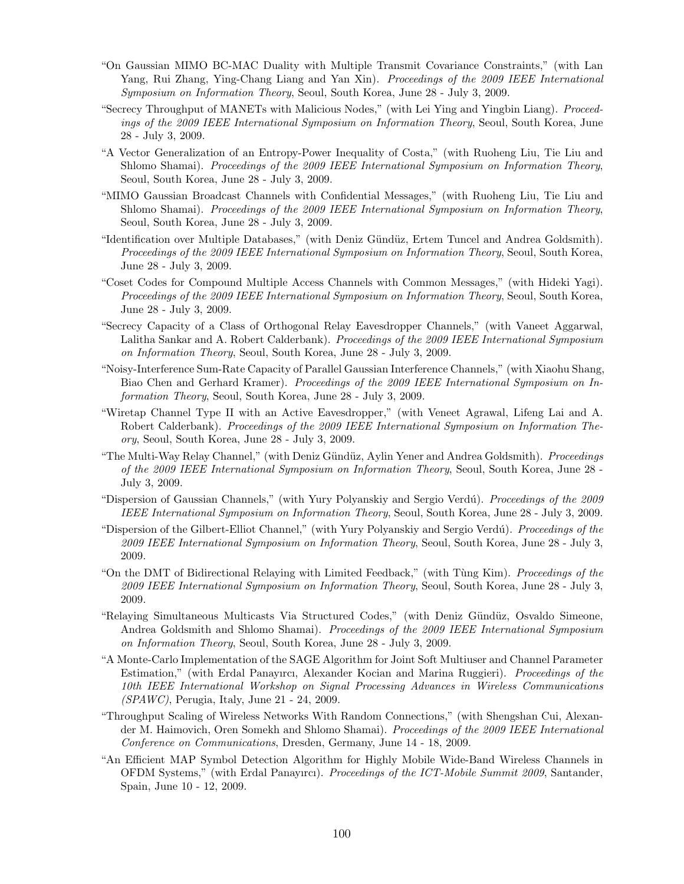- "On Gaussian MIMO BC-MAC Duality with Multiple Transmit Covariance Constraints," (with Lan Yang, Rui Zhang, Ying-Chang Liang and Yan Xin). Proceedings of the 2009 IEEE International Symposium on Information Theory, Seoul, South Korea, June 28 - July 3, 2009.
- "Secrecy Throughput of MANETs with Malicious Nodes," (with Lei Ying and Yingbin Liang). Proceedings of the 2009 IEEE International Symposium on Information Theory, Seoul, South Korea, June 28 - July 3, 2009.
- "A Vector Generalization of an Entropy-Power Inequality of Costa," (with Ruoheng Liu, Tie Liu and Shlomo Shamai). Proceedings of the 2009 IEEE International Symposium on Information Theory, Seoul, South Korea, June 28 - July 3, 2009.
- "MIMO Gaussian Broadcast Channels with Confidential Messages," (with Ruoheng Liu, Tie Liu and Shlomo Shamai). Proceedings of the 2009 IEEE International Symposium on Information Theory, Seoul, South Korea, June 28 - July 3, 2009.
- "Identification over Multiple Databases," (with Deniz G¨und¨uz, Ertem Tuncel and Andrea Goldsmith). Proceedings of the 2009 IEEE International Symposium on Information Theory, Seoul, South Korea, June 28 - July 3, 2009.
- "Coset Codes for Compound Multiple Access Channels with Common Messages," (with Hideki Yagi). Proceedings of the 2009 IEEE International Symposium on Information Theory, Seoul, South Korea, June 28 - July 3, 2009.
- "Secrecy Capacity of a Class of Orthogonal Relay Eavesdropper Channels," (with Vaneet Aggarwal, Lalitha Sankar and A. Robert Calderbank). *Proceedings of the 2009 IEEE International Symposium* on Information Theory, Seoul, South Korea, June 28 - July 3, 2009.
- "Noisy-Interference Sum-Rate Capacity of Parallel Gaussian Interference Channels," (with Xiaohu Shang, Biao Chen and Gerhard Kramer). Proceedings of the 2009 IEEE International Symposium on Information Theory, Seoul, South Korea, June 28 - July 3, 2009.
- "Wiretap Channel Type II with an Active Eavesdropper," (with Veneet Agrawal, Lifeng Lai and A. Robert Calderbank). Proceedings of the 2009 IEEE International Symposium on Information Theory, Seoul, South Korea, June 28 - July 3, 2009.
- "The Multi-Way Relay Channel," (with Deniz Gündüz, Aylin Yener and Andrea Goldsmith). Proceedings of the 2009 IEEE International Symposium on Information Theory, Seoul, South Korea, June 28 - July 3, 2009.
- "Dispersion of Gaussian Channels," (with Yury Polyanskiy and Sergio Verdú). Proceedings of the 2009 IEEE International Symposium on Information Theory, Seoul, South Korea, June 28 - July 3, 2009.
- "Dispersion of the Gilbert-Elliot Channel," (with Yury Polyanskiy and Sergio Verdú). Proceedings of the 2009 IEEE International Symposium on Information Theory, Seoul, South Korea, June 28 - July 3, 2009.
- "On the DMT of Bidirectional Relaying with Limited Feedback," (with Tùng Kim). Proceedings of the 2009 IEEE International Symposium on Information Theory, Seoul, South Korea, June 28 - July 3, 2009.
- "Relaying Simultaneous Multicasts Via Structured Codes," (with Deniz G¨und¨uz, Osvaldo Simeone, Andrea Goldsmith and Shlomo Shamai). Proceedings of the 2009 IEEE International Symposium on Information Theory, Seoul, South Korea, June 28 - July 3, 2009.
- "A Monte-Carlo Implementation of the SAGE Algorithm for Joint Soft Multiuser and Channel Parameter Estimation," (with Erdal Panayırcı, Alexander Kocian and Marina Ruggieri). Proceedings of the 10th IEEE International Workshop on Signal Processing Advances in Wireless Communications (SPAWC), Perugia, Italy, June 21 - 24, 2009.
- "Throughput Scaling of Wireless Networks With Random Connections," (with Shengshan Cui, Alexander M. Haimovich, Oren Somekh and Shlomo Shamai). Proceedings of the 2009 IEEE International Conference on Communications, Dresden, Germany, June 14 - 18, 2009.
- "An Efficient MAP Symbol Detection Algorithm for Highly Mobile Wide-Band Wireless Channels in OFDM Systems," (with Erdal Panayırcı). Proceedings of the ICT-Mobile Summit 2009, Santander, Spain, June 10 - 12, 2009.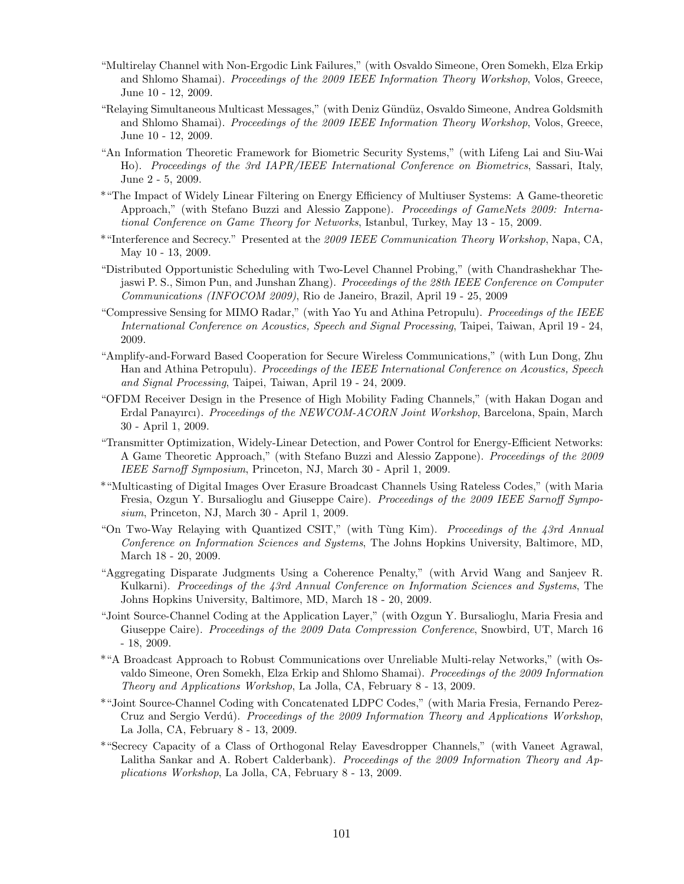- "Multirelay Channel with Non-Ergodic Link Failures," (with Osvaldo Simeone, Oren Somekh, Elza Erkip and Shlomo Shamai). Proceedings of the 2009 IEEE Information Theory Workshop, Volos, Greece, June 10 - 12, 2009.
- "Relaying Simultaneous Multicast Messages," (with Deniz Gündüz, Osvaldo Simeone, Andrea Goldsmith and Shlomo Shamai). Proceedings of the 2009 IEEE Information Theory Workshop, Volos, Greece, June 10 - 12, 2009.
- "An Information Theoretic Framework for Biometric Security Systems," (with Lifeng Lai and Siu-Wai Ho). Proceedings of the 3rd IAPR/IEEE International Conference on Biometrics, Sassari, Italy, June 2 - 5, 2009.
- \*"The Impact of Widely Linear Filtering on Energy Efficiency of Multiuser Systems: A Game-theoretic Approach," (with Stefano Buzzi and Alessio Zappone). Proceedings of GameNets 2009: International Conference on Game Theory for Networks, Istanbul, Turkey, May 13 - 15, 2009.
- \*"Interference and Secrecy." Presented at the 2009 IEEE Communication Theory Workshop, Napa, CA, May 10 - 13, 2009.
- "Distributed Opportunistic Scheduling with Two-Level Channel Probing," (with Chandrashekhar Thejaswi P. S., Simon Pun, and Junshan Zhang). Proceedings of the 28th IEEE Conference on Computer Communications (INFOCOM 2009), Rio de Janeiro, Brazil, April 19 - 25, 2009
- "Compressive Sensing for MIMO Radar," (with Yao Yu and Athina Petropulu). Proceedings of the IEEE International Conference on Acoustics, Speech and Signal Processing, Taipei, Taiwan, April 19 - 24, 2009.
- "Amplify-and-Forward Based Cooperation for Secure Wireless Communications," (with Lun Dong, Zhu Han and Athina Petropulu). Proceedings of the IEEE International Conference on Acoustics, Speech and Signal Processing, Taipei, Taiwan, April 19 - 24, 2009.
- "OFDM Receiver Design in the Presence of High Mobility Fading Channels," (with Hakan Dogan and Erdal Panayırcı). *Proceedings of the NEWCOM-ACORN Joint Workshop*, Barcelona, Spain, March 30 - April 1, 2009.
- "Transmitter Optimization, Widely-Linear Detection, and Power Control for Energy-Efficient Networks: A Game Theoretic Approach," (with Stefano Buzzi and Alessio Zappone). Proceedings of the 2009 IEEE Sarnoff Symposium, Princeton, NJ, March 30 - April 1, 2009.
- \*"Multicasting of Digital Images Over Erasure Broadcast Channels Using Rateless Codes," (with Maria Fresia, Ozgun Y. Bursalioglu and Giuseppe Caire). Proceedings of the 2009 IEEE Sarnoff Symposium, Princeton, NJ, March 30 - April 1, 2009.
- "On Two-Way Relaying with Quantized CSIT," (with Tùng Kim). Proceedings of the 43rd Annual Conference on Information Sciences and Systems, The Johns Hopkins University, Baltimore, MD, March 18 - 20, 2009.
- "Aggregating Disparate Judgments Using a Coherence Penalty," (with Arvid Wang and Sanjeev R. Kulkarni). Proceedings of the 43rd Annual Conference on Information Sciences and Systems, The Johns Hopkins University, Baltimore, MD, March 18 - 20, 2009.
- "Joint Source-Channel Coding at the Application Layer," (with Ozgun Y. Bursalioglu, Maria Fresia and Giuseppe Caire). *Proceedings of the 2009 Data Compression Conference*, Snowbird, UT, March 16 - 18, 2009.
- \*"A Broadcast Approach to Robust Communications over Unreliable Multi-relay Networks," (with Osvaldo Simeone, Oren Somekh, Elza Erkip and Shlomo Shamai). Proceedings of the 2009 Information Theory and Applications Workshop, La Jolla, CA, February 8 - 13, 2009.
- \*"Joint Source-Channel Coding with Concatenated LDPC Codes," (with Maria Fresia, Fernando Perez-Cruz and Sergio Verdú). Proceedings of the 2009 Information Theory and Applications Workshop, La Jolla, CA, February 8 - 13, 2009.
- \*"Secrecy Capacity of a Class of Orthogonal Relay Eavesdropper Channels," (with Vaneet Agrawal, Lalitha Sankar and A. Robert Calderbank). Proceedings of the 2009 Information Theory and Applications Workshop, La Jolla, CA, February 8 - 13, 2009.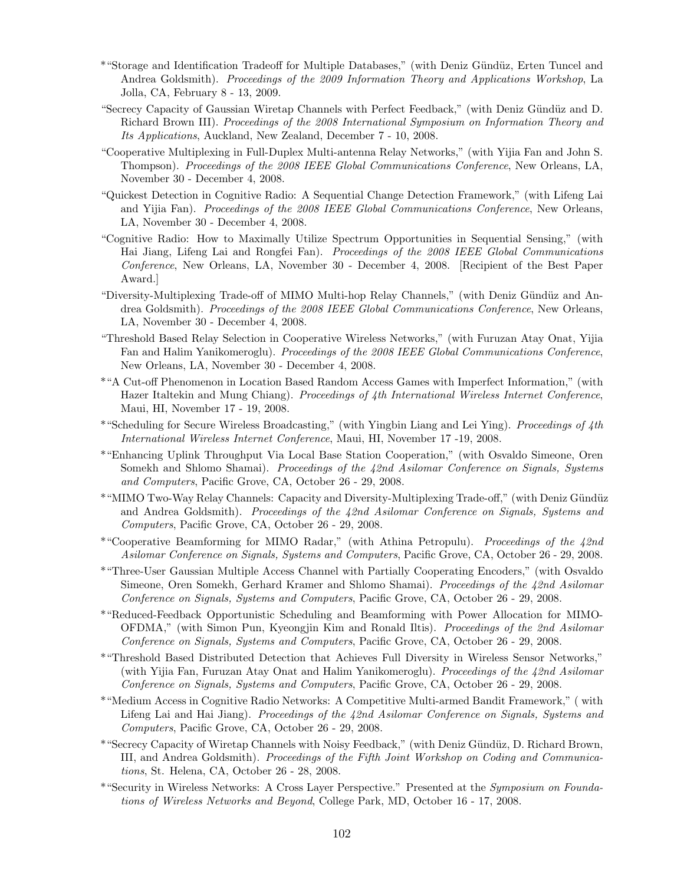- \*"Storage and Identification Tradeoff for Multiple Databases," (with Deniz G¨und¨uz, Erten Tuncel and Andrea Goldsmith). Proceedings of the 2009 Information Theory and Applications Workshop, La Jolla, CA, February 8 - 13, 2009.
- "Secrecy Capacity of Gaussian Wiretap Channels with Perfect Feedback," (with Deniz Gündüz and D. Richard Brown III). Proceedings of the 2008 International Symposium on Information Theory and Its Applications, Auckland, New Zealand, December 7 - 10, 2008.
- "Cooperative Multiplexing in Full-Duplex Multi-antenna Relay Networks," (with Yijia Fan and John S. Thompson). Proceedings of the 2008 IEEE Global Communications Conference, New Orleans, LA, November 30 - December 4, 2008.
- "Quickest Detection in Cognitive Radio: A Sequential Change Detection Framework," (with Lifeng Lai and Yijia Fan). Proceedings of the 2008 IEEE Global Communications Conference, New Orleans, LA, November 30 - December 4, 2008.
- "Cognitive Radio: How to Maximally Utilize Spectrum Opportunities in Sequential Sensing," (with Hai Jiang, Lifeng Lai and Rongfei Fan). Proceedings of the 2008 IEEE Global Communications Conference, New Orleans, LA, November 30 - December 4, 2008. [Recipient of the Best Paper Award.]
- "Diversity-Multiplexing Trade-off of MIMO Multi-hop Relay Channels," (with Deniz Gündüz and Andrea Goldsmith). Proceedings of the 2008 IEEE Global Communications Conference, New Orleans, LA, November 30 - December 4, 2008.
- "Threshold Based Relay Selection in Cooperative Wireless Networks," (with Furuzan Atay Onat, Yijia Fan and Halim Yanikomeroglu). Proceedings of the 2008 IEEE Global Communications Conference, New Orleans, LA, November 30 - December 4, 2008.
- \*"A Cut-off Phenomenon in Location Based Random Access Games with Imperfect Information," (with Hazer Italtekin and Mung Chiang). *Proceedings of 4th International Wireless Internet Conference*, Maui, HI, November 17 - 19, 2008.
- \*"Scheduling for Secure Wireless Broadcasting," (with Yingbin Liang and Lei Ying). Proceedings of 4th International Wireless Internet Conference, Maui, HI, November 17 -19, 2008.
- \*"Enhancing Uplink Throughput Via Local Base Station Cooperation," (with Osvaldo Simeone, Oren Somekh and Shlomo Shamai). Proceedings of the 42nd Asilomar Conference on Signals, Systems and Computers, Pacific Grove, CA, October 26 - 29, 2008.
- \*"MIMO Two-Way Relay Channels: Capacity and Diversity-Multiplexing Trade-off," (with Deniz G¨und¨uz and Andrea Goldsmith). Proceedings of the 42nd Asilomar Conference on Signals, Systems and Computers, Pacific Grove, CA, October 26 - 29, 2008.
- \*"Cooperative Beamforming for MIMO Radar," (with Athina Petropulu). Proceedings of the 42nd Asilomar Conference on Signals, Systems and Computers, Pacific Grove, CA, October 26 - 29, 2008.
- \*"Three-User Gaussian Multiple Access Channel with Partially Cooperating Encoders," (with Osvaldo Simeone, Oren Somekh, Gerhard Kramer and Shlomo Shamai). Proceedings of the 42nd Asilomar Conference on Signals, Systems and Computers, Pacific Grove, CA, October 26 - 29, 2008.
- \*"Reduced-Feedback Opportunistic Scheduling and Beamforming with Power Allocation for MIMO-OFDMA," (with Simon Pun, Kyeongjin Kim and Ronald Iltis). Proceedings of the 2nd Asilomar Conference on Signals, Systems and Computers, Pacific Grove, CA, October 26 - 29, 2008.
- \*"Threshold Based Distributed Detection that Achieves Full Diversity in Wireless Sensor Networks," (with Yijia Fan, Furuzan Atay Onat and Halim Yanikomeroglu). Proceedings of the 42nd Asilomar Conference on Signals, Systems and Computers, Pacific Grove, CA, October 26 - 29, 2008.
- \*"Medium Access in Cognitive Radio Networks: A Competitive Multi-armed Bandit Framework," ( with Lifeng Lai and Hai Jiang). Proceedings of the 42nd Asilomar Conference on Signals, Systems and Computers, Pacific Grove, CA, October 26 - 29, 2008.
- \*"Secrecy Capacity of Wiretap Channels with Noisy Feedback," (with Deniz G¨und¨uz, D. Richard Brown, III, and Andrea Goldsmith). Proceedings of the Fifth Joint Workshop on Coding and Communications, St. Helena, CA, October 26 - 28, 2008.
- \*"Security in Wireless Networks: A Cross Layer Perspective." Presented at the Symposium on Foundations of Wireless Networks and Beyond, College Park, MD, October 16 - 17, 2008.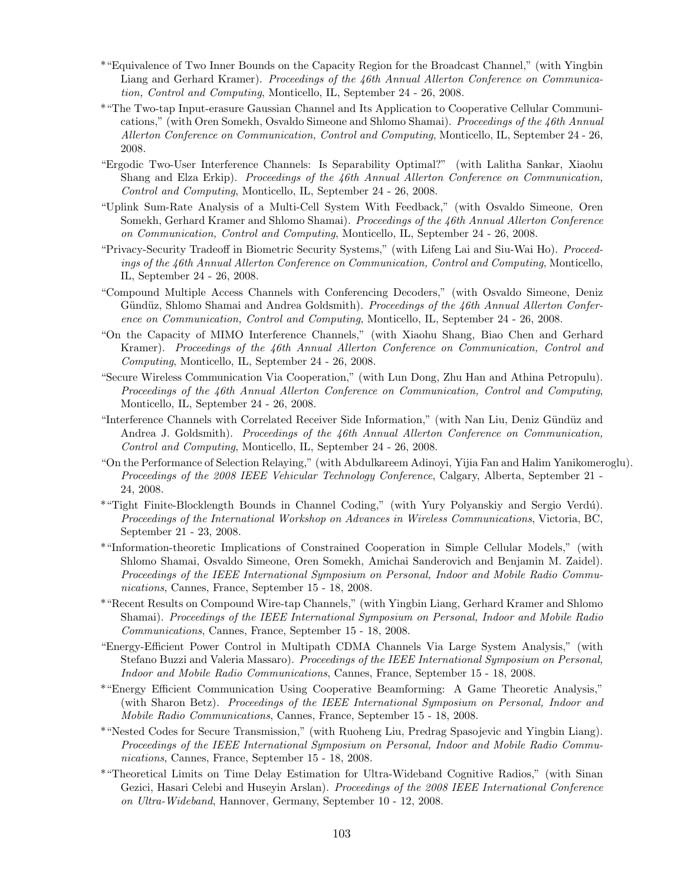- \*"Equivalence of Two Inner Bounds on the Capacity Region for the Broadcast Channel," (with Yingbin Liang and Gerhard Kramer). Proceedings of the 46th Annual Allerton Conference on Communication, Control and Computing, Monticello, IL, September 24 - 26, 2008.
- \*"The Two-tap Input-erasure Gaussian Channel and Its Application to Cooperative Cellular Communications," (with Oren Somekh, Osvaldo Simeone and Shlomo Shamai). Proceedings of the 46th Annual Allerton Conference on Communication, Control and Computing, Monticello, IL, September 24 - 26, 2008.
- "Ergodic Two-User Interference Channels: Is Separability Optimal?" (with Lalitha Sankar, Xiaohu Shang and Elza Erkip). Proceedings of the 46th Annual Allerton Conference on Communication, Control and Computing, Monticello, IL, September 24 - 26, 2008.
- "Uplink Sum-Rate Analysis of a Multi-Cell System With Feedback," (with Osvaldo Simeone, Oren Somekh, Gerhard Kramer and Shlomo Shamai). Proceedings of the 46th Annual Allerton Conference on Communication, Control and Computing, Monticello, IL, September 24 - 26, 2008.
- "Privacy-Security Tradeoff in Biometric Security Systems," (with Lifeng Lai and Siu-Wai Ho). Proceedings of the 46th Annual Allerton Conference on Communication, Control and Computing, Monticello, IL, September 24 - 26, 2008.
- "Compound Multiple Access Channels with Conferencing Decoders," (with Osvaldo Simeone, Deniz Gündüz, Shlomo Shamai and Andrea Goldsmith). Proceedings of the 46th Annual Allerton Conference on Communication, Control and Computing, Monticello, IL, September 24 - 26, 2008.
- "On the Capacity of MIMO Interference Channels," (with Xiaohu Shang, Biao Chen and Gerhard Kramer). Proceedings of the 46th Annual Allerton Conference on Communication, Control and Computing, Monticello, IL, September 24 - 26, 2008.
- "Secure Wireless Communication Via Cooperation," (with Lun Dong, Zhu Han and Athina Petropulu). Proceedings of the 46th Annual Allerton Conference on Communication, Control and Computing, Monticello, IL, September 24 - 26, 2008.
- "Interference Channels with Correlated Receiver Side Information," (with Nan Liu, Deniz G¨und¨uz and Andrea J. Goldsmith). Proceedings of the 46th Annual Allerton Conference on Communication, Control and Computing, Monticello, IL, September 24 - 26, 2008.
- "On the Performance of Selection Relaying," (with Abdulkareem Adinoyi, Yijia Fan and Halim Yanikomeroglu). Proceedings of the 2008 IEEE Vehicular Technology Conference, Calgary, Alberta, September 21 - 24, 2008.
- \*"Tight Finite-Blocklength Bounds in Channel Coding," (with Yury Polyanskiy and Sergio Verdú). Proceedings of the International Workshop on Advances in Wireless Communications, Victoria, BC, September 21 - 23, 2008.
- \*"Information-theoretic Implications of Constrained Cooperation in Simple Cellular Models," (with Shlomo Shamai, Osvaldo Simeone, Oren Somekh, Amichai Sanderovich and Benjamin M. Zaidel). Proceedings of the IEEE International Symposium on Personal, Indoor and Mobile Radio Communications, Cannes, France, September 15 - 18, 2008.
- \*"Recent Results on Compound Wire-tap Channels," (with Yingbin Liang, Gerhard Kramer and Shlomo Shamai). Proceedings of the IEEE International Symposium on Personal, Indoor and Mobile Radio Communications, Cannes, France, September 15 - 18, 2008.
- "Energy-Efficient Power Control in Multipath CDMA Channels Via Large System Analysis," (with Stefano Buzzi and Valeria Massaro). Proceedings of the IEEE International Symposium on Personal, Indoor and Mobile Radio Communications, Cannes, France, September 15 - 18, 2008.
- \*"Energy Efficient Communication Using Cooperative Beamforming: A Game Theoretic Analysis," (with Sharon Betz). Proceedings of the IEEE International Symposium on Personal, Indoor and Mobile Radio Communications, Cannes, France, September 15 - 18, 2008.
- \*"Nested Codes for Secure Transmission," (with Ruoheng Liu, Predrag Spasojevic and Yingbin Liang). Proceedings of the IEEE International Symposium on Personal, Indoor and Mobile Radio Communications, Cannes, France, September 15 - 18, 2008.
- \*"Theoretical Limits on Time Delay Estimation for Ultra-Wideband Cognitive Radios," (with Sinan Gezici, Hasari Celebi and Huseyin Arslan). *Proceedings of the 2008 IEEE International Conference* on Ultra-Wideband, Hannover, Germany, September 10 - 12, 2008.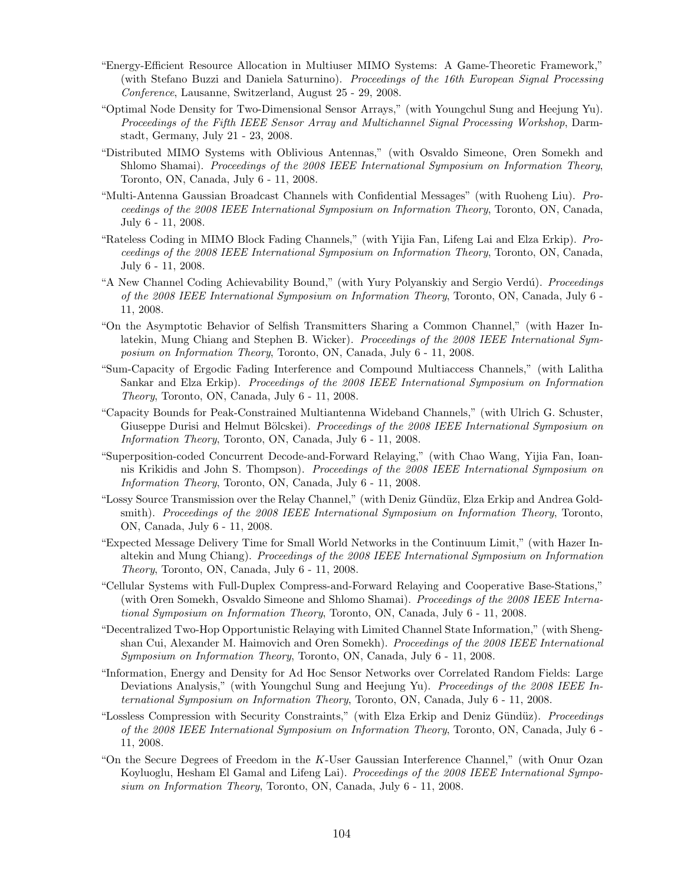- "Energy-Efficient Resource Allocation in Multiuser MIMO Systems: A Game-Theoretic Framework," (with Stefano Buzzi and Daniela Saturnino). Proceedings of the 16th European Signal Processing Conference, Lausanne, Switzerland, August 25 - 29, 2008.
- "Optimal Node Density for Two-Dimensional Sensor Arrays," (with Youngchul Sung and Heejung Yu). Proceedings of the Fifth IEEE Sensor Array and Multichannel Signal Processing Workshop, Darmstadt, Germany, July 21 - 23, 2008.
- "Distributed MIMO Systems with Oblivious Antennas," (with Osvaldo Simeone, Oren Somekh and Shlomo Shamai). Proceedings of the 2008 IEEE International Symposium on Information Theory, Toronto, ON, Canada, July 6 - 11, 2008.
- "Multi-Antenna Gaussian Broadcast Channels with Confidential Messages" (with Ruoheng Liu). Proceedings of the 2008 IEEE International Symposium on Information Theory, Toronto, ON, Canada, July 6 - 11, 2008.
- "Rateless Coding in MIMO Block Fading Channels," (with Yijia Fan, Lifeng Lai and Elza Erkip). Proceedings of the 2008 IEEE International Symposium on Information Theory, Toronto, ON, Canada, July 6 - 11, 2008.
- "A New Channel Coding Achievability Bound," (with Yury Polyanskiy and Sergio Verdú). Proceedings of the 2008 IEEE International Symposium on Information Theory, Toronto, ON, Canada, July 6 - 11, 2008.
- "On the Asymptotic Behavior of Selfish Transmitters Sharing a Common Channel," (with Hazer Inlatekin, Mung Chiang and Stephen B. Wicker). Proceedings of the 2008 IEEE International Symposium on Information Theory, Toronto, ON, Canada, July 6 - 11, 2008.
- "Sum-Capacity of Ergodic Fading Interference and Compound Multiaccess Channels," (with Lalitha Sankar and Elza Erkip). Proceedings of the 2008 IEEE International Symposium on Information Theory, Toronto, ON, Canada, July 6 - 11, 2008.
- "Capacity Bounds for Peak-Constrained Multiantenna Wideband Channels," (with Ulrich G. Schuster, Giuseppe Durisi and Helmut Bölcskei). *Proceedings of the 2008 IEEE International Symposium on* Information Theory, Toronto, ON, Canada, July 6 - 11, 2008.
- "Superposition-coded Concurrent Decode-and-Forward Relaying," (with Chao Wang, Yijia Fan, Ioannis Krikidis and John S. Thompson). Proceedings of the 2008 IEEE International Symposium on Information Theory, Toronto, ON, Canada, July 6 - 11, 2008.
- "Lossy Source Transmission over the Relay Channel," (with Deniz Gündüz, Elza Erkip and Andrea Goldsmith). Proceedings of the 2008 IEEE International Symposium on Information Theory, Toronto, ON, Canada, July 6 - 11, 2008.
- "Expected Message Delivery Time for Small World Networks in the Continuum Limit," (with Hazer Inaltekin and Mung Chiang). Proceedings of the 2008 IEEE International Symposium on Information Theory, Toronto, ON, Canada, July 6 - 11, 2008.
- "Cellular Systems with Full-Duplex Compress-and-Forward Relaying and Cooperative Base-Stations," (with Oren Somekh, Osvaldo Simeone and Shlomo Shamai). Proceedings of the 2008 IEEE International Symposium on Information Theory, Toronto, ON, Canada, July 6 - 11, 2008.
- "Decentralized Two-Hop Opportunistic Relaying with Limited Channel State Information," (with Shengshan Cui, Alexander M. Haimovich and Oren Somekh). *Proceedings of the 2008 IEEE International* Symposium on Information Theory, Toronto, ON, Canada, July 6 - 11, 2008.
- "Information, Energy and Density for Ad Hoc Sensor Networks over Correlated Random Fields: Large Deviations Analysis," (with Youngchul Sung and Heejung Yu). Proceedings of the 2008 IEEE International Symposium on Information Theory, Toronto, ON, Canada, July 6 - 11, 2008.
- "Lossless Compression with Security Constraints," (with Elza Erkip and Deniz Gündüz). *Proceedings* of the 2008 IEEE International Symposium on Information Theory, Toronto, ON, Canada, July 6 - 11, 2008.
- "On the Secure Degrees of Freedom in the K-User Gaussian Interference Channel," (with Onur Ozan Koyluoglu, Hesham El Gamal and Lifeng Lai). Proceedings of the 2008 IEEE International Symposium on Information Theory, Toronto, ON, Canada, July 6 - 11, 2008.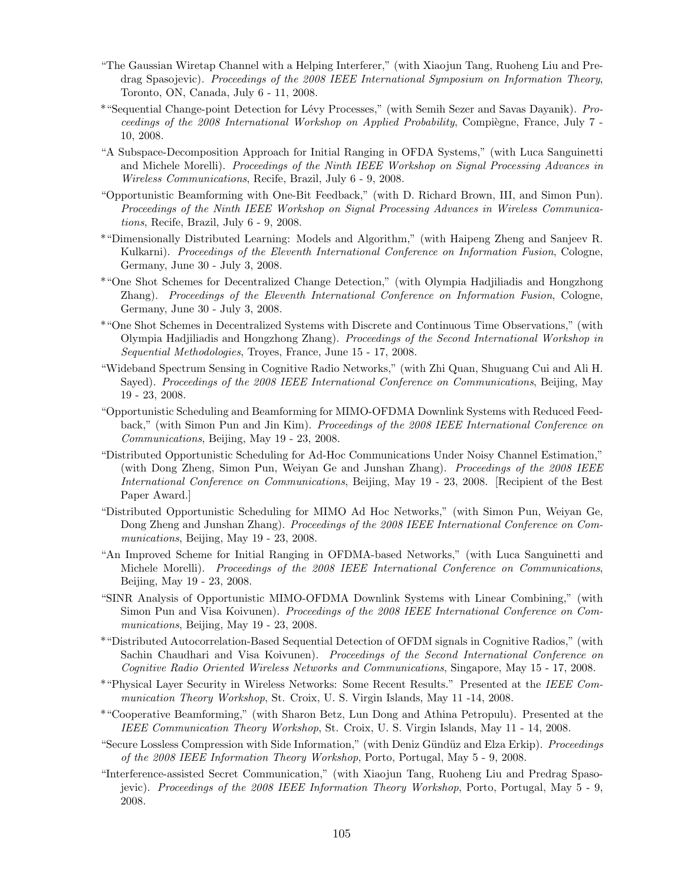- "The Gaussian Wiretap Channel with a Helping Interferer," (with Xiaojun Tang, Ruoheng Liu and Predrag Spasojevic). Proceedings of the 2008 IEEE International Symposium on Information Theory, Toronto, ON, Canada, July 6 - 11, 2008.
- \*"Sequential Change-point Detection for Lévy Processes," (with Semih Sezer and Savas Dayanik). Proceedings of the 2008 International Workshop on Applied Probability, Compiègne, France, July 7 -10, 2008.
- "A Subspace-Decomposition Approach for Initial Ranging in OFDA Systems," (with Luca Sanguinetti and Michele Morelli). Proceedings of the Ninth IEEE Workshop on Signal Processing Advances in Wireless Communications, Recife, Brazil, July 6 - 9, 2008.
- "Opportunistic Beamforming with One-Bit Feedback," (with D. Richard Brown, III, and Simon Pun). Proceedings of the Ninth IEEE Workshop on Signal Processing Advances in Wireless Communications, Recife, Brazil, July 6 - 9, 2008.
- \*"Dimensionally Distributed Learning: Models and Algorithm," (with Haipeng Zheng and Sanjeev R. Kulkarni). Proceedings of the Eleventh International Conference on Information Fusion, Cologne, Germany, June 30 - July 3, 2008.
- \*"One Shot Schemes for Decentralized Change Detection," (with Olympia Hadjiliadis and Hongzhong Zhang). Proceedings of the Eleventh International Conference on Information Fusion, Cologne, Germany, June 30 - July 3, 2008.
- \*"One Shot Schemes in Decentralized Systems with Discrete and Continuous Time Observations," (with Olympia Hadjiliadis and Hongzhong Zhang). Proceedings of the Second International Workshop in Sequential Methodologies, Troyes, France, June 15 - 17, 2008.
- "Wideband Spectrum Sensing in Cognitive Radio Networks," (with Zhi Quan, Shuguang Cui and Ali H. Sayed). Proceedings of the 2008 IEEE International Conference on Communications, Beijing, May 19 - 23, 2008.
- "Opportunistic Scheduling and Beamforming for MIMO-OFDMA Downlink Systems with Reduced Feedback," (with Simon Pun and Jin Kim). Proceedings of the 2008 IEEE International Conference on Communications, Beijing, May 19 - 23, 2008.
- "Distributed Opportunistic Scheduling for Ad-Hoc Communications Under Noisy Channel Estimation," (with Dong Zheng, Simon Pun, Weiyan Ge and Junshan Zhang). Proceedings of the 2008 IEEE International Conference on Communications, Beijing, May 19 - 23, 2008. [Recipient of the Best Paper Award.]
- "Distributed Opportunistic Scheduling for MIMO Ad Hoc Networks," (with Simon Pun, Weiyan Ge, Dong Zheng and Junshan Zhang). Proceedings of the 2008 IEEE International Conference on Communications, Beijing, May 19 - 23, 2008.
- "An Improved Scheme for Initial Ranging in OFDMA-based Networks," (with Luca Sanguinetti and Michele Morelli). Proceedings of the 2008 IEEE International Conference on Communications, Beijing, May 19 - 23, 2008.
- "SINR Analysis of Opportunistic MIMO-OFDMA Downlink Systems with Linear Combining," (with Simon Pun and Visa Koivunen). Proceedings of the 2008 IEEE International Conference on Communications, Beijing, May 19 - 23, 2008.
- \*"Distributed Autocorrelation-Based Sequential Detection of OFDM signals in Cognitive Radios," (with Sachin Chaudhari and Visa Koivunen). Proceedings of the Second International Conference on Cognitive Radio Oriented Wireless Networks and Communications, Singapore, May 15 - 17, 2008.
- \*"Physical Layer Security in Wireless Networks: Some Recent Results." Presented at the IEEE Communication Theory Workshop, St. Croix, U. S. Virgin Islands, May 11 -14, 2008.
- \*"Cooperative Beamforming," (with Sharon Betz, Lun Dong and Athina Petropulu). Presented at the IEEE Communication Theory Workshop, St. Croix, U. S. Virgin Islands, May 11 - 14, 2008.
- "Secure Lossless Compression with Side Information," (with Deniz Gündüz and Elza Erkip). Proceedings of the 2008 IEEE Information Theory Workshop, Porto, Portugal, May 5 - 9, 2008.
- "Interference-assisted Secret Communication," (with Xiaojun Tang, Ruoheng Liu and Predrag Spasojevic). Proceedings of the 2008 IEEE Information Theory Workshop, Porto, Portugal, May 5 - 9, 2008.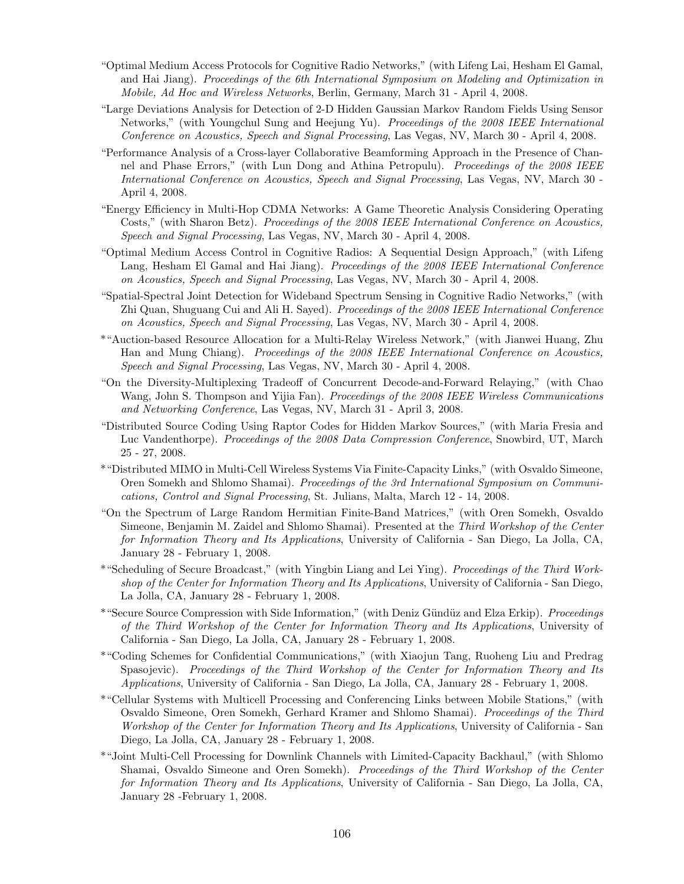- "Optimal Medium Access Protocols for Cognitive Radio Networks," (with Lifeng Lai, Hesham El Gamal, and Hai Jiang). Proceedings of the 6th International Symposium on Modeling and Optimization in Mobile, Ad Hoc and Wireless Networks, Berlin, Germany, March 31 - April 4, 2008.
- "Large Deviations Analysis for Detection of 2-D Hidden Gaussian Markov Random Fields Using Sensor Networks," (with Youngchul Sung and Heejung Yu). Proceedings of the 2008 IEEE International Conference on Acoustics, Speech and Signal Processing, Las Vegas, NV, March 30 - April 4, 2008.
- "Performance Analysis of a Cross-layer Collaborative Beamforming Approach in the Presence of Channel and Phase Errors," (with Lun Dong and Athina Petropulu). Proceedings of the 2008 IEEE International Conference on Acoustics, Speech and Signal Processing, Las Vegas, NV, March 30 - April 4, 2008.
- "Energy Efficiency in Multi-Hop CDMA Networks: A Game Theoretic Analysis Considering Operating Costs," (with Sharon Betz). *Proceedings of the 2008 IEEE International Conference on Acoustics*, Speech and Signal Processing, Las Vegas, NV, March 30 - April 4, 2008.
- "Optimal Medium Access Control in Cognitive Radios: A Sequential Design Approach," (with Lifeng Lang, Hesham El Gamal and Hai Jiang). Proceedings of the 2008 IEEE International Conference on Acoustics, Speech and Signal Processing, Las Vegas, NV, March 30 - April 4, 2008.
- "Spatial-Spectral Joint Detection for Wideband Spectrum Sensing in Cognitive Radio Networks," (with Zhi Quan, Shuguang Cui and Ali H. Sayed). *Proceedings of the 2008 IEEE International Conference* on Acoustics, Speech and Signal Processing, Las Vegas, NV, March 30 - April 4, 2008.
- \*"Auction-based Resource Allocation for a Multi-Relay Wireless Network," (with Jianwei Huang, Zhu Han and Mung Chiang). Proceedings of the 2008 IEEE International Conference on Acoustics, Speech and Signal Processing, Las Vegas, NV, March 30 - April 4, 2008.
- "On the Diversity-Multiplexing Tradeoff of Concurrent Decode-and-Forward Relaying," (with Chao Wang, John S. Thompson and Yijia Fan). Proceedings of the 2008 IEEE Wireless Communications and Networking Conference, Las Vegas, NV, March 31 - April 3, 2008.
- "Distributed Source Coding Using Raptor Codes for Hidden Markov Sources," (with Maria Fresia and Luc Vandenthorpe). Proceedings of the 2008 Data Compression Conference, Snowbird, UT, March 25 - 27, 2008.
- \*"Distributed MIMO in Multi-Cell Wireless Systems Via Finite-Capacity Links," (with Osvaldo Simeone, Oren Somekh and Shlomo Shamai). Proceedings of the 3rd International Symposium on Communications, Control and Signal Processing, St. Julians, Malta, March 12 - 14, 2008.
- "On the Spectrum of Large Random Hermitian Finite-Band Matrices," (with Oren Somekh, Osvaldo Simeone, Benjamin M. Zaidel and Shlomo Shamai). Presented at the Third Workshop of the Center for Information Theory and Its Applications, University of California - San Diego, La Jolla, CA, January 28 - February 1, 2008.
- \*"Scheduling of Secure Broadcast," (with Yingbin Liang and Lei Ying). Proceedings of the Third Workshop of the Center for Information Theory and Its Applications, University of California - San Diego, La Jolla, CA, January 28 - February 1, 2008.
- \*"Secure Source Compression with Side Information," (with Deniz Gündüz and Elza Erkip). Proceedings of the Third Workshop of the Center for Information Theory and Its Applications, University of California - San Diego, La Jolla, CA, January 28 - February 1, 2008.
- \*"Coding Schemes for Confidential Communications," (with Xiaojun Tang, Ruoheng Liu and Predrag Spasojevic). Proceedings of the Third Workshop of the Center for Information Theory and Its Applications, University of California - San Diego, La Jolla, CA, January 28 - February 1, 2008.
- \*"Cellular Systems with Multicell Processing and Conferencing Links between Mobile Stations," (with Osvaldo Simeone, Oren Somekh, Gerhard Kramer and Shlomo Shamai). Proceedings of the Third Workshop of the Center for Information Theory and Its Applications, University of California - San Diego, La Jolla, CA, January 28 - February 1, 2008.
- \*"Joint Multi-Cell Processing for Downlink Channels with Limited-Capacity Backhaul," (with Shlomo Shamai, Osvaldo Simeone and Oren Somekh). Proceedings of the Third Workshop of the Center for Information Theory and Its Applications, University of California - San Diego, La Jolla, CA, January 28 -February 1, 2008.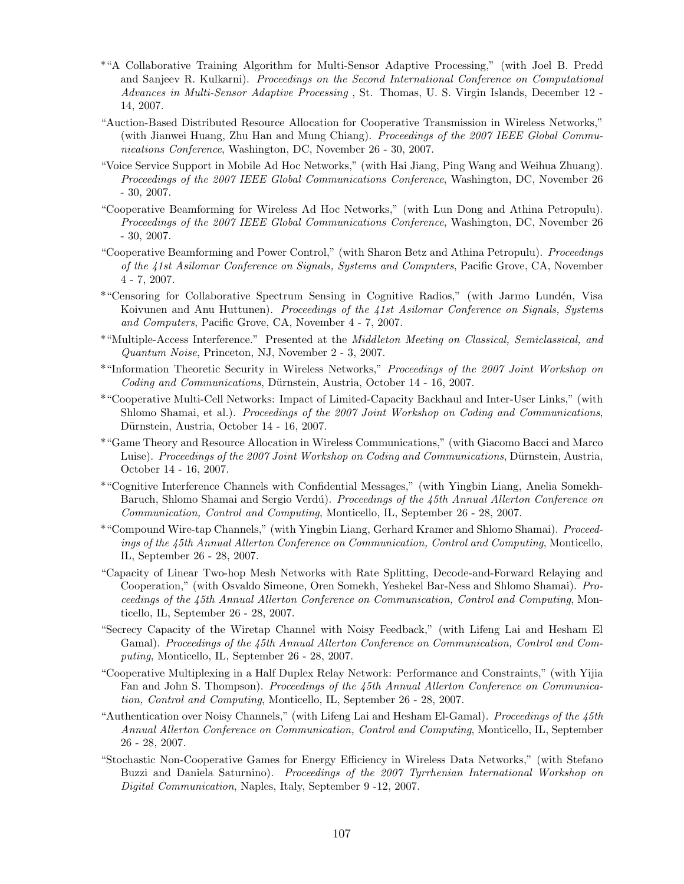- \*"A Collaborative Training Algorithm for Multi-Sensor Adaptive Processing," (with Joel B. Predd and Sanjeev R. Kulkarni). Proceedings on the Second International Conference on Computational Advances in Multi-Sensor Adaptive Processing , St. Thomas, U. S. Virgin Islands, December 12 - 14, 2007.
- "Auction-Based Distributed Resource Allocation for Cooperative Transmission in Wireless Networks," (with Jianwei Huang, Zhu Han and Mung Chiang). Proceedings of the 2007 IEEE Global Communications Conference, Washington, DC, November 26 - 30, 2007.
- "Voice Service Support in Mobile Ad Hoc Networks," (with Hai Jiang, Ping Wang and Weihua Zhuang). Proceedings of the 2007 IEEE Global Communications Conference, Washington, DC, November 26 - 30, 2007.
- "Cooperative Beamforming for Wireless Ad Hoc Networks," (with Lun Dong and Athina Petropulu). Proceedings of the 2007 IEEE Global Communications Conference, Washington, DC, November 26 - 30, 2007.
- "Cooperative Beamforming and Power Control," (with Sharon Betz and Athina Petropulu). Proceedings of the 41st Asilomar Conference on Signals, Systems and Computers, Pacific Grove, CA, November 4 - 7, 2007.
- \*"Censoring for Collaborative Spectrum Sensing in Cognitive Radios," (with Jarmo Lundén, Visa Koivunen and Anu Huttunen). *Proceedings of the 41st Asilomar Conference on Signals, Systems* and Computers, Pacific Grove, CA, November 4 - 7, 2007.
- \*"Multiple-Access Interference." Presented at the Middleton Meeting on Classical, Semiclassical, and Quantum Noise, Princeton, NJ, November 2 - 3, 2007.
- \*"Information Theoretic Security in Wireless Networks," Proceedings of the 2007 Joint Workshop on Coding and Communications, Dürnstein, Austria, October 14 - 16, 2007.
- \*"Cooperative Multi-Cell Networks: Impact of Limited-Capacity Backhaul and Inter-User Links," (with Shlomo Shamai, et al.). *Proceedings of the 2007 Joint Workshop on Coding and Communications*, Dürnstein, Austria, October 14 - 16, 2007.
- \*"Game Theory and Resource Allocation in Wireless Communications," (with Giacomo Bacci and Marco Luise). Proceedings of the 2007 Joint Workshop on Coding and Communications, Dürnstein, Austria, October 14 - 16, 2007.
- \*"Cognitive Interference Channels with Confidential Messages," (with Yingbin Liang, Anelia Somekh-Baruch, Shlomo Shamai and Sergio Verdú). Proceedings of the 45th Annual Allerton Conference on Communication, Control and Computing, Monticello, IL, September 26 - 28, 2007.
- \*"Compound Wire-tap Channels," (with Yingbin Liang, Gerhard Kramer and Shlomo Shamai). Proceedings of the 45th Annual Allerton Conference on Communication, Control and Computing, Monticello, IL, September 26 - 28, 2007.
- "Capacity of Linear Two-hop Mesh Networks with Rate Splitting, Decode-and-Forward Relaying and Cooperation," (with Osvaldo Simeone, Oren Somekh, Yeshekel Bar-Ness and Shlomo Shamai). Proceedings of the 45th Annual Allerton Conference on Communication, Control and Computing, Monticello, IL, September 26 - 28, 2007.
- "Secrecy Capacity of the Wiretap Channel with Noisy Feedback," (with Lifeng Lai and Hesham El Gamal). Proceedings of the 45th Annual Allerton Conference on Communication, Control and Computing, Monticello, IL, September 26 - 28, 2007.
- "Cooperative Multiplexing in a Half Duplex Relay Network: Performance and Constraints," (with Yijia Fan and John S. Thompson). Proceedings of the 45th Annual Allerton Conference on Communication, Control and Computing, Monticello, IL, September 26 - 28, 2007.
- "Authentication over Noisy Channels," (with Lifeng Lai and Hesham El-Gamal). Proceedings of the 45th Annual Allerton Conference on Communication, Control and Computing, Monticello, IL, September 26 - 28, 2007.
- "Stochastic Non-Cooperative Games for Energy Efficiency in Wireless Data Networks," (with Stefano Buzzi and Daniela Saturnino). Proceedings of the 2007 Tyrrhenian International Workshop on Digital Communication, Naples, Italy, September 9 -12, 2007.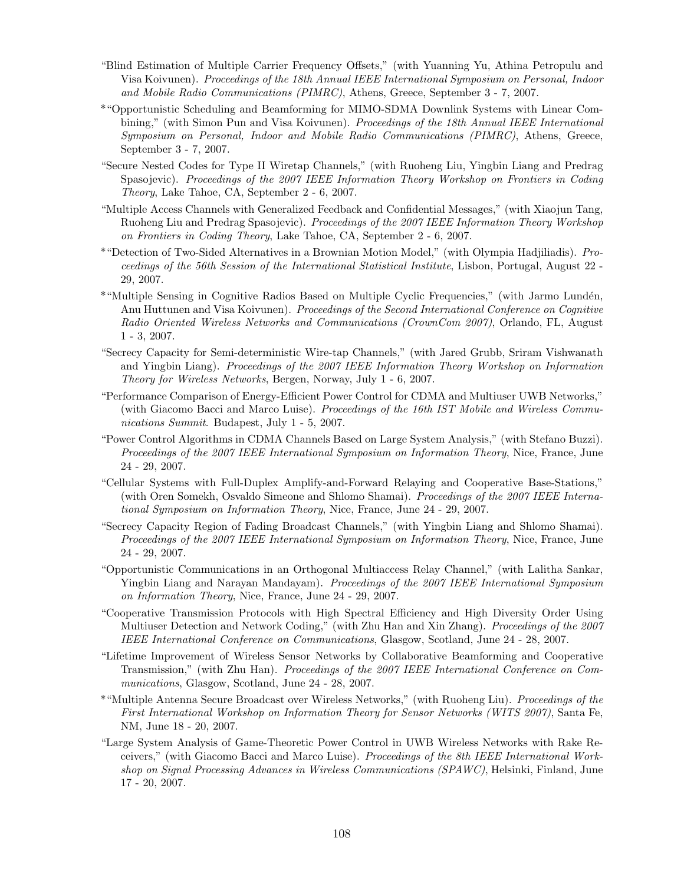- "Blind Estimation of Multiple Carrier Frequency Offsets," (with Yuanning Yu, Athina Petropulu and Visa Koivunen). Proceedings of the 18th Annual IEEE International Symposium on Personal, Indoor and Mobile Radio Communications (PIMRC), Athens, Greece, September 3 - 7, 2007.
- \*"Opportunistic Scheduling and Beamforming for MIMO-SDMA Downlink Systems with Linear Combining," (with Simon Pun and Visa Koivunen). Proceedings of the 18th Annual IEEE International Symposium on Personal, Indoor and Mobile Radio Communications (PIMRC), Athens, Greece, September 3 - 7, 2007.
- "Secure Nested Codes for Type II Wiretap Channels," (with Ruoheng Liu, Yingbin Liang and Predrag Spasojevic). Proceedings of the 2007 IEEE Information Theory Workshop on Frontiers in Coding Theory, Lake Tahoe, CA, September 2 - 6, 2007.
- "Multiple Access Channels with Generalized Feedback and Confidential Messages," (with Xiaojun Tang, Ruoheng Liu and Predrag Spasojevic). *Proceedings of the 2007 IEEE Information Theory Workshop* on Frontiers in Coding Theory, Lake Tahoe, CA, September 2 - 6, 2007.
- \*"Detection of Two-Sided Alternatives in a Brownian Motion Model," (with Olympia Hadjiliadis). Proceedings of the 56th Session of the International Statistical Institute, Lisbon, Portugal, August 22 - 29, 2007.
- \*"Multiple Sensing in Cognitive Radios Based on Multiple Cyclic Frequencies," (with Jarmo Lundén, Anu Huttunen and Visa Koivunen). Proceedings of the Second International Conference on Cognitive Radio Oriented Wireless Networks and Communications (CrownCom 2007), Orlando, FL, August 1 - 3, 2007.
- "Secrecy Capacity for Semi-deterministic Wire-tap Channels," (with Jared Grubb, Sriram Vishwanath and Yingbin Liang). Proceedings of the 2007 IEEE Information Theory Workshop on Information Theory for Wireless Networks, Bergen, Norway, July 1 - 6, 2007.
- "Performance Comparison of Energy-Efficient Power Control for CDMA and Multiuser UWB Networks," (with Giacomo Bacci and Marco Luise). Proceedings of the 16th IST Mobile and Wireless Communications Summit. Budapest, July 1 - 5, 2007.
- "Power Control Algorithms in CDMA Channels Based on Large System Analysis," (with Stefano Buzzi). Proceedings of the 2007 IEEE International Symposium on Information Theory, Nice, France, June 24 - 29, 2007.
- "Cellular Systems with Full-Duplex Amplify-and-Forward Relaying and Cooperative Base-Stations," (with Oren Somekh, Osvaldo Simeone and Shlomo Shamai). Proceedings of the 2007 IEEE International Symposium on Information Theory, Nice, France, June 24 - 29, 2007.
- "Secrecy Capacity Region of Fading Broadcast Channels," (with Yingbin Liang and Shlomo Shamai). Proceedings of the 2007 IEEE International Symposium on Information Theory, Nice, France, June 24 - 29, 2007.
- "Opportunistic Communications in an Orthogonal Multiaccess Relay Channel," (with Lalitha Sankar, Yingbin Liang and Narayan Mandayam). Proceedings of the 2007 IEEE International Symposium on Information Theory, Nice, France, June 24 - 29, 2007.
- "Cooperative Transmission Protocols with High Spectral Efficiency and High Diversity Order Using Multiuser Detection and Network Coding," (with Zhu Han and Xin Zhang). Proceedings of the 2007 IEEE International Conference on Communications, Glasgow, Scotland, June 24 - 28, 2007.
- "Lifetime Improvement of Wireless Sensor Networks by Collaborative Beamforming and Cooperative Transmission," (with Zhu Han). Proceedings of the 2007 IEEE International Conference on Communications, Glasgow, Scotland, June 24 - 28, 2007.
- \*"Multiple Antenna Secure Broadcast over Wireless Networks," (with Ruoheng Liu). Proceedings of the First International Workshop on Information Theory for Sensor Networks (WITS 2007), Santa Fe, NM, June 18 - 20, 2007.
- "Large System Analysis of Game-Theoretic Power Control in UWB Wireless Networks with Rake Receivers," (with Giacomo Bacci and Marco Luise). Proceedings of the 8th IEEE International Workshop on Signal Processing Advances in Wireless Communications (SPAWC), Helsinki, Finland, June 17 - 20, 2007.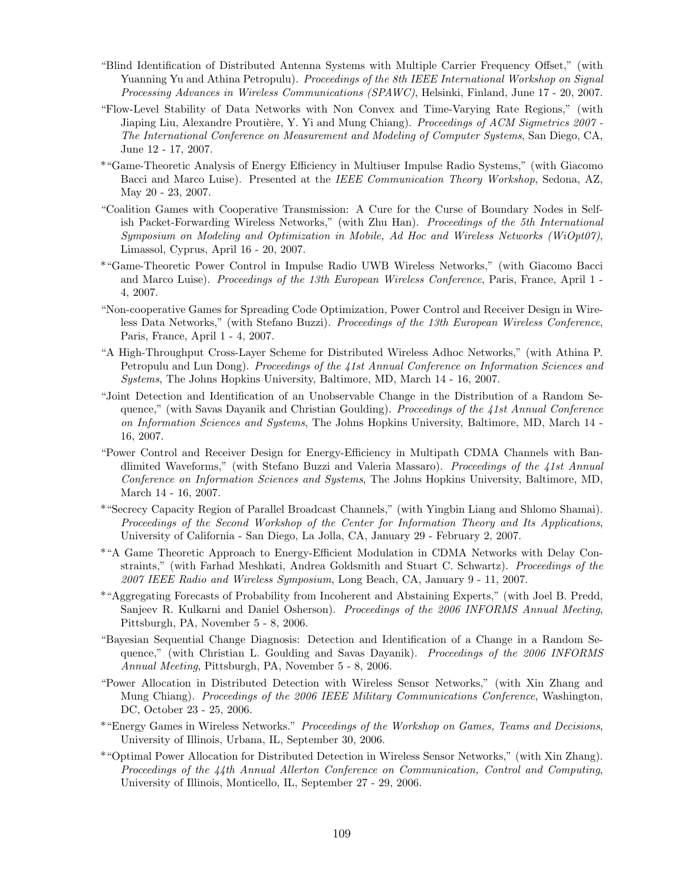- "Blind Identification of Distributed Antenna Systems with Multiple Carrier Frequency Offset," (with Yuanning Yu and Athina Petropulu). Proceedings of the 8th IEEE International Workshop on Signal Processing Advances in Wireless Communications (SPAWC), Helsinki, Finland, June 17 - 20, 2007.
- "Flow-Level Stability of Data Networks with Non Convex and Time-Varying Rate Regions," (with Jiaping Liu, Alexandre Proutière, Y. Yi and Mung Chiang). Proceedings of ACM Sigmetrics 2007 -The International Conference on Measurement and Modeling of Computer Systems, San Diego, CA, June 12 - 17, 2007.
- \*"Game-Theoretic Analysis of Energy Efficiency in Multiuser Impulse Radio Systems," (with Giacomo Bacci and Marco Luise). Presented at the IEEE Communication Theory Workshop, Sedona, AZ, May 20 - 23, 2007.
- "Coalition Games with Cooperative Transmission: A Cure for the Curse of Boundary Nodes in Selfish Packet-Forwarding Wireless Networks," (with Zhu Han). Proceedings of the 5th International Symposium on Modeling and Optimization in Mobile, Ad Hoc and Wireless Networks (WiOpt07), Limassol, Cyprus, April 16 - 20, 2007.
- \*"Game-Theoretic Power Control in Impulse Radio UWB Wireless Networks," (with Giacomo Bacci and Marco Luise). Proceedings of the 13th European Wireless Conference, Paris, France, April 1 -4, 2007.
- "Non-cooperative Games for Spreading Code Optimization, Power Control and Receiver Design in Wireless Data Networks," (with Stefano Buzzi). Proceedings of the 13th European Wireless Conference, Paris, France, April 1 - 4, 2007.
- "A High-Throughput Cross-Layer Scheme for Distributed Wireless Adhoc Networks," (with Athina P. Petropulu and Lun Dong). Proceedings of the 41st Annual Conference on Information Sciences and Systems, The Johns Hopkins University, Baltimore, MD, March 14 - 16, 2007.
- "Joint Detection and Identification of an Unobservable Change in the Distribution of a Random Sequence," (with Savas Dayanik and Christian Goulding). Proceedings of the  $\lambda 1$ st Annual Conference on Information Sciences and Systems, The Johns Hopkins University, Baltimore, MD, March 14 - 16, 2007.
- "Power Control and Receiver Design for Energy-Efficiency in Multipath CDMA Channels with Bandlimited Waveforms," (with Stefano Buzzi and Valeria Massaro). Proceedings of the 41st Annual Conference on Information Sciences and Systems, The Johns Hopkins University, Baltimore, MD, March 14 - 16, 2007.
- \*"Secrecy Capacity Region of Parallel Broadcast Channels," (with Yingbin Liang and Shlomo Shamai). Proceedings of the Second Workshop of the Center for Information Theory and Its Applications, University of California - San Diego, La Jolla, CA, January 29 - February 2, 2007.
- \*"A Game Theoretic Approach to Energy-Efficient Modulation in CDMA Networks with Delay Constraints," (with Farhad Meshkati, Andrea Goldsmith and Stuart C. Schwartz). Proceedings of the 2007 IEEE Radio and Wireless Symposium, Long Beach, CA, January 9 - 11, 2007.
- \*"Aggregating Forecasts of Probability from Incoherent and Abstaining Experts," (with Joel B. Predd, Sanjeev R. Kulkarni and Daniel Osherson). Proceedings of the 2006 INFORMS Annual Meeting, Pittsburgh, PA, November 5 - 8, 2006.
- "Bayesian Sequential Change Diagnosis: Detection and Identification of a Change in a Random Sequence," (with Christian L. Goulding and Savas Dayanik). *Proceedings of the 2006 INFORMS* Annual Meeting, Pittsburgh, PA, November 5 - 8, 2006.
- "Power Allocation in Distributed Detection with Wireless Sensor Networks," (with Xin Zhang and Mung Chiang). Proceedings of the 2006 IEEE Military Communications Conference, Washington, DC, October 23 - 25, 2006.
- \*"Energy Games in Wireless Networks." Proceedings of the Workshop on Games, Teams and Decisions, University of Illinois, Urbana, IL, September 30, 2006.
- \*"Optimal Power Allocation for Distributed Detection in Wireless Sensor Networks," (with Xin Zhang). Proceedings of the 44th Annual Allerton Conference on Communication, Control and Computing, University of Illinois, Monticello, IL, September 27 - 29, 2006.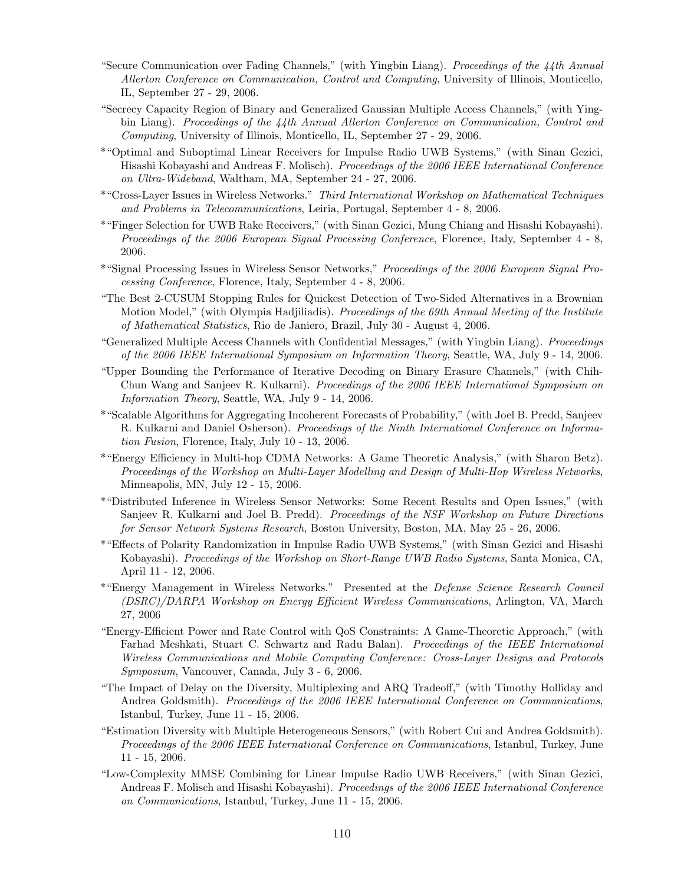- "Secure Communication over Fading Channels," (with Yingbin Liang). Proceedings of the 44th Annual Allerton Conference on Communication, Control and Computing, University of Illinois, Monticello, IL, September 27 - 29, 2006.
- "Secrecy Capacity Region of Binary and Generalized Gaussian Multiple Access Channels," (with Yingbin Liang). Proceedings of the 44th Annual Allerton Conference on Communication, Control and Computing, University of Illinois, Monticello, IL, September 27 - 29, 2006.
- \*"Optimal and Suboptimal Linear Receivers for Impulse Radio UWB Systems," (with Sinan Gezici, Hisashi Kobayashi and Andreas F. Molisch). Proceedings of the 2006 IEEE International Conference on Ultra-Wideband, Waltham, MA, September 24 - 27, 2006.
- \*"Cross-Layer Issues in Wireless Networks." Third International Workshop on Mathematical Techniques and Problems in Telecommunications, Leiria, Portugal, September 4 - 8, 2006.
- \*"Finger Selection for UWB Rake Receivers," (with Sinan Gezici, Mung Chiang and Hisashi Kobayashi). Proceedings of the 2006 European Signal Processing Conference, Florence, Italy, September 4 - 8, 2006.
- \*"Signal Processing Issues in Wireless Sensor Networks," Proceedings of the 2006 European Signal Processing Conference, Florence, Italy, September 4 - 8, 2006.
- "The Best 2-CUSUM Stopping Rules for Quickest Detection of Two-Sided Alternatives in a Brownian Motion Model," (with Olympia Hadjiliadis). Proceedings of the 69th Annual Meeting of the Institute of Mathematical Statistics, Rio de Janiero, Brazil, July 30 - August 4, 2006.
- "Generalized Multiple Access Channels with Confidential Messages," (with Yingbin Liang). Proceedings of the 2006 IEEE International Symposium on Information Theory, Seattle, WA, July 9 - 14, 2006.
- "Upper Bounding the Performance of Iterative Decoding on Binary Erasure Channels," (with Chih-Chun Wang and Sanjeev R. Kulkarni). Proceedings of the 2006 IEEE International Symposium on Information Theory, Seattle, WA, July 9 - 14, 2006.
- \*"Scalable Algorithms for Aggregating Incoherent Forecasts of Probability," (with Joel B. Predd, Sanjeev R. Kulkarni and Daniel Osherson). Proceedings of the Ninth International Conference on Information Fusion, Florence, Italy, July 10 - 13, 2006.
- \*"Energy Efficiency in Multi-hop CDMA Networks: A Game Theoretic Analysis," (with Sharon Betz). Proceedings of the Workshop on Multi-Layer Modelling and Design of Multi-Hop Wireless Networks, Minneapolis, MN, July 12 - 15, 2006.
- \*"Distributed Inference in Wireless Sensor Networks: Some Recent Results and Open Issues," (with Sanjeev R. Kulkarni and Joel B. Predd). Proceedings of the NSF Workshop on Future Directions for Sensor Network Systems Research, Boston University, Boston, MA, May 25 - 26, 2006.
- \*"Effects of Polarity Randomization in Impulse Radio UWB Systems," (with Sinan Gezici and Hisashi Kobayashi). Proceedings of the Workshop on Short-Range UWB Radio Systems, Santa Monica, CA, April 11 - 12, 2006.
- \*"Energy Management in Wireless Networks." Presented at the Defense Science Research Council (DSRC)/DARPA Workshop on Energy Efficient Wireless Communications, Arlington, VA, March 27, 2006
- "Energy-Efficient Power and Rate Control with QoS Constraints: A Game-Theoretic Approach," (with Farhad Meshkati, Stuart C. Schwartz and Radu Balan). Proceedings of the IEEE International Wireless Communications and Mobile Computing Conference: Cross-Layer Designs and Protocols Symposium, Vancouver, Canada, July 3 - 6, 2006.
- "The Impact of Delay on the Diversity, Multiplexing and ARQ Tradeoff," (with Timothy Holliday and Andrea Goldsmith). Proceedings of the 2006 IEEE International Conference on Communications, Istanbul, Turkey, June 11 - 15, 2006.
- "Estimation Diversity with Multiple Heterogeneous Sensors," (with Robert Cui and Andrea Goldsmith). Proceedings of the 2006 IEEE International Conference on Communications, Istanbul, Turkey, June 11 - 15, 2006.
- "Low-Complexity MMSE Combining for Linear Impulse Radio UWB Receivers," (with Sinan Gezici, Andreas F. Molisch and Hisashi Kobayashi). Proceedings of the 2006 IEEE International Conference on Communications, Istanbul, Turkey, June 11 - 15, 2006.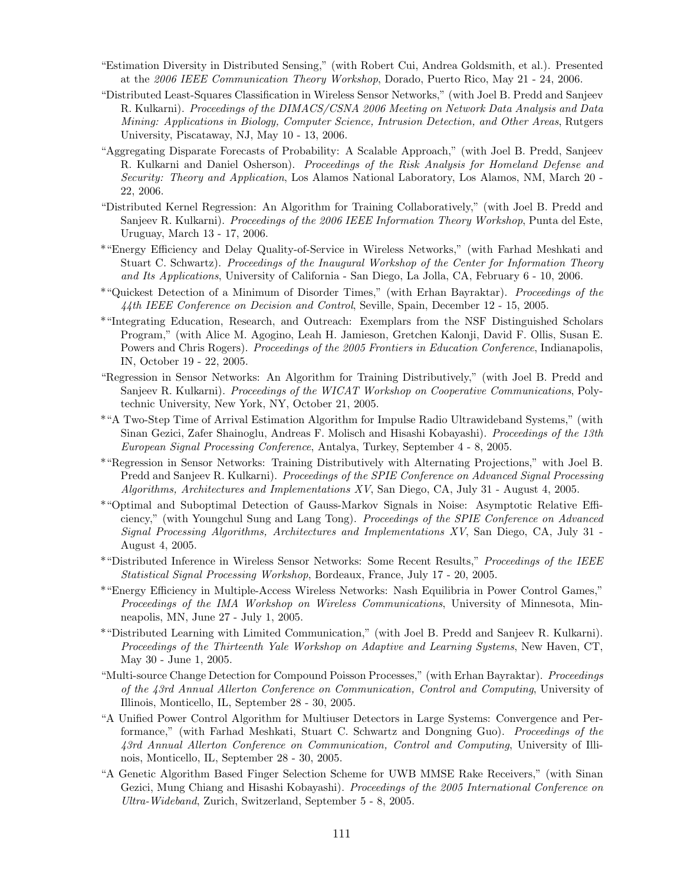- "Estimation Diversity in Distributed Sensing," (with Robert Cui, Andrea Goldsmith, et al.). Presented at the 2006 IEEE Communication Theory Workshop, Dorado, Puerto Rico, May 21 - 24, 2006.
- "Distributed Least-Squares Classification in Wireless Sensor Networks," (with Joel B. Predd and Sanjeev R. Kulkarni). Proceedings of the DIMACS/CSNA 2006 Meeting on Network Data Analysis and Data Mining: Applications in Biology, Computer Science, Intrusion Detection, and Other Areas, Rutgers University, Piscataway, NJ, May 10 - 13, 2006.
- "Aggregating Disparate Forecasts of Probability: A Scalable Approach," (with Joel B. Predd, Sanjeev R. Kulkarni and Daniel Osherson). Proceedings of the Risk Analysis for Homeland Defense and Security: Theory and Application, Los Alamos National Laboratory, Los Alamos, NM, March 20 - 22, 2006.
- "Distributed Kernel Regression: An Algorithm for Training Collaboratively," (with Joel B. Predd and Sanjeev R. Kulkarni). *Proceedings of the 2006 IEEE Information Theory Workshop*, Punta del Este, Uruguay, March 13 - 17, 2006.
- \*"Energy Efficiency and Delay Quality-of-Service in Wireless Networks," (with Farhad Meshkati and Stuart C. Schwartz). Proceedings of the Inaugural Workshop of the Center for Information Theory and Its Applications, University of California - San Diego, La Jolla, CA, February 6 - 10, 2006.
- \*"Quickest Detection of a Minimum of Disorder Times," (with Erhan Bayraktar). Proceedings of the 44th IEEE Conference on Decision and Control, Seville, Spain, December 12 - 15, 2005.
- \*"Integrating Education, Research, and Outreach: Exemplars from the NSF Distinguished Scholars Program," (with Alice M. Agogino, Leah H. Jamieson, Gretchen Kalonji, David F. Ollis, Susan E. Powers and Chris Rogers). *Proceedings of the 2005 Frontiers in Education Conference*, Indianapolis, IN, October 19 - 22, 2005.
- "Regression in Sensor Networks: An Algorithm for Training Distributively," (with Joel B. Predd and Sanjeev R. Kulkarni). Proceedings of the WICAT Workshop on Cooperative Communications, Polytechnic University, New York, NY, October 21, 2005.
- \*"A Two-Step Time of Arrival Estimation Algorithm for Impulse Radio Ultrawideband Systems," (with Sinan Gezici, Zafer Shainoglu, Andreas F. Molisch and Hisashi Kobayashi). Proceedings of the 13th European Signal Processing Conference, Antalya, Turkey, September 4 - 8, 2005.
- \*"Regression in Sensor Networks: Training Distributively with Alternating Projections," with Joel B. Predd and Sanjeev R. Kulkarni). Proceedings of the SPIE Conference on Advanced Signal Processing Algorithms, Architectures and Implementations XV, San Diego, CA, July 31 - August 4, 2005.
- \*"Optimal and Suboptimal Detection of Gauss-Markov Signals in Noise: Asymptotic Relative Efficiency," (with Youngchul Sung and Lang Tong). Proceedings of the SPIE Conference on Advanced Signal Processing Algorithms, Architectures and Implementations XV, San Diego, CA, July 31 - August 4, 2005.
- \*"Distributed Inference in Wireless Sensor Networks: Some Recent Results," Proceedings of the IEEE Statistical Signal Processing Workshop, Bordeaux, France, July 17 - 20, 2005.
- \*"Energy Efficiency in Multiple-Access Wireless Networks: Nash Equilibria in Power Control Games," Proceedings of the IMA Workshop on Wireless Communications, University of Minnesota, Minneapolis, MN, June 27 - July 1, 2005.
- \*"Distributed Learning with Limited Communication," (with Joel B. Predd and Sanjeev R. Kulkarni). Proceedings of the Thirteenth Yale Workshop on Adaptive and Learning Systems, New Haven, CT, May 30 - June 1, 2005.
- "Multi-source Change Detection for Compound Poisson Processes," (with Erhan Bayraktar). Proceedings of the 43rd Annual Allerton Conference on Communication, Control and Computing, University of Illinois, Monticello, IL, September 28 - 30, 2005.
- "A Unified Power Control Algorithm for Multiuser Detectors in Large Systems: Convergence and Performance," (with Farhad Meshkati, Stuart C. Schwartz and Dongning Guo). Proceedings of the 43rd Annual Allerton Conference on Communication, Control and Computing, University of Illinois, Monticello, IL, September 28 - 30, 2005.
- "A Genetic Algorithm Based Finger Selection Scheme for UWB MMSE Rake Receivers," (with Sinan Gezici, Mung Chiang and Hisashi Kobayashi). *Proceedings of the 2005 International Conference on* Ultra-Wideband, Zurich, Switzerland, September 5 - 8, 2005.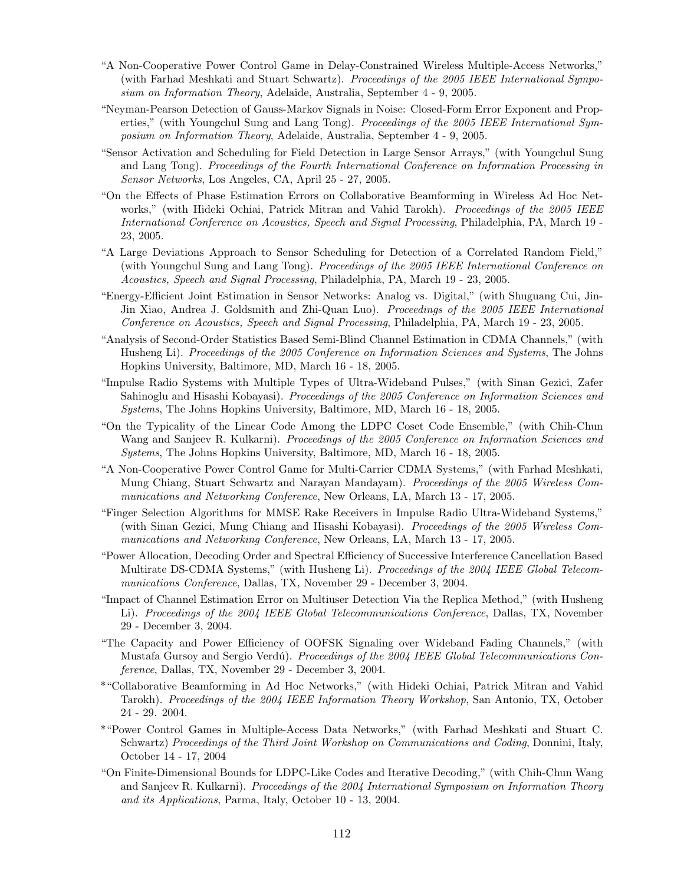- "A Non-Cooperative Power Control Game in Delay-Constrained Wireless Multiple-Access Networks," (with Farhad Meshkati and Stuart Schwartz). Proceedings of the 2005 IEEE International Symposium on Information Theory, Adelaide, Australia, September 4 - 9, 2005.
- "Neyman-Pearson Detection of Gauss-Markov Signals in Noise: Closed-Form Error Exponent and Properties," (with Youngchul Sung and Lang Tong). Proceedings of the 2005 IEEE International Symposium on Information Theory, Adelaide, Australia, September 4 - 9, 2005.
- "Sensor Activation and Scheduling for Field Detection in Large Sensor Arrays," (with Youngchul Sung and Lang Tong). Proceedings of the Fourth International Conference on Information Processing in Sensor Networks, Los Angeles, CA, April 25 - 27, 2005.
- "On the Effects of Phase Estimation Errors on Collaborative Beamforming in Wireless Ad Hoc Networks," (with Hideki Ochiai, Patrick Mitran and Vahid Tarokh). Proceedings of the 2005 IEEE International Conference on Acoustics, Speech and Signal Processing, Philadelphia, PA, March 19 - 23, 2005.
- "A Large Deviations Approach to Sensor Scheduling for Detection of a Correlated Random Field," (with Youngchul Sung and Lang Tong). Proceedings of the 2005 IEEE International Conference on Acoustics, Speech and Signal Processing, Philadelphia, PA, March 19 - 23, 2005.
- "Energy-Efficient Joint Estimation in Sensor Networks: Analog vs. Digital," (with Shuguang Cui, Jin-Jin Xiao, Andrea J. Goldsmith and Zhi-Quan Luo). Proceedings of the 2005 IEEE International Conference on Acoustics, Speech and Signal Processing, Philadelphia, PA, March 19 - 23, 2005.
- "Analysis of Second-Order Statistics Based Semi-Blind Channel Estimation in CDMA Channels," (with Husheng Li). Proceedings of the 2005 Conference on Information Sciences and Systems, The Johns Hopkins University, Baltimore, MD, March 16 - 18, 2005.
- "Impulse Radio Systems with Multiple Types of Ultra-Wideband Pulses," (with Sinan Gezici, Zafer Sahinoglu and Hisashi Kobayasi). Proceedings of the 2005 Conference on Information Sciences and Systems, The Johns Hopkins University, Baltimore, MD, March 16 - 18, 2005.
- "On the Typicality of the Linear Code Among the LDPC Coset Code Ensemble," (with Chih-Chun Wang and Sanjeev R. Kulkarni). *Proceedings of the 2005 Conference on Information Sciences and* Systems, The Johns Hopkins University, Baltimore, MD, March 16 - 18, 2005.
- "A Non-Cooperative Power Control Game for Multi-Carrier CDMA Systems," (with Farhad Meshkati, Mung Chiang, Stuart Schwartz and Narayan Mandayam). Proceedings of the 2005 Wireless Communications and Networking Conference, New Orleans, LA, March 13 - 17, 2005.
- "Finger Selection Algorithms for MMSE Rake Receivers in Impulse Radio Ultra-Wideband Systems," (with Sinan Gezici, Mung Chiang and Hisashi Kobayasi). Proceedings of the 2005 Wireless Communications and Networking Conference, New Orleans, LA, March 13 - 17, 2005.
- "Power Allocation, Decoding Order and Spectral Efficiency of Successive Interference Cancellation Based Multirate DS-CDMA Systems," (with Husheng Li). Proceedings of the 2004 IEEE Global Telecommunications Conference, Dallas, TX, November 29 - December 3, 2004.
- "Impact of Channel Estimation Error on Multiuser Detection Via the Replica Method," (with Husheng Li). Proceedings of the 2004 IEEE Global Telecommunications Conference, Dallas, TX, November 29 - December 3, 2004.
- "The Capacity and Power Efficiency of OOFSK Signaling over Wideband Fading Channels," (with Mustafa Gursoy and Sergio Verdú). Proceedings of the 2004 IEEE Global Telecommunications Conference, Dallas, TX, November 29 - December 3, 2004.
- \*"Collaborative Beamforming in Ad Hoc Networks," (with Hideki Ochiai, Patrick Mitran and Vahid Tarokh). Proceedings of the 2004 IEEE Information Theory Workshop, San Antonio, TX, October 24 - 29. 2004.
- \*"Power Control Games in Multiple-Access Data Networks," (with Farhad Meshkati and Stuart C. Schwartz) Proceedings of the Third Joint Workshop on Communications and Coding, Donnini, Italy, October 14 - 17, 2004
- "On Finite-Dimensional Bounds for LDPC-Like Codes and Iterative Decoding," (with Chih-Chun Wang and Sanjeev R. Kulkarni). Proceedings of the 2004 International Symposium on Information Theory and its Applications, Parma, Italy, October 10 - 13, 2004.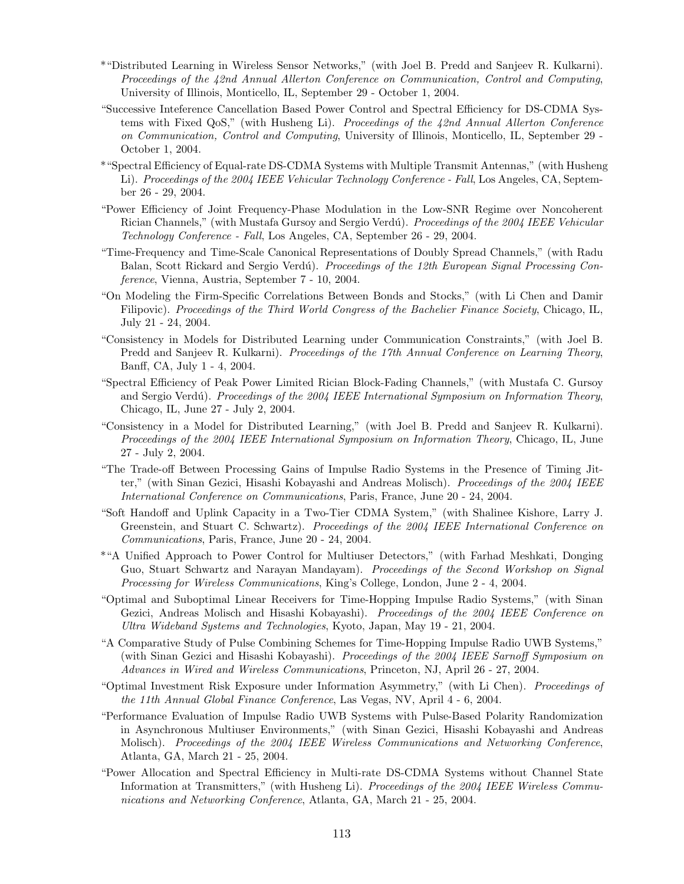- \*"Distributed Learning in Wireless Sensor Networks," (with Joel B. Predd and Sanjeev R. Kulkarni). Proceedings of the 42nd Annual Allerton Conference on Communication, Control and Computing, University of Illinois, Monticello, IL, September 29 - October 1, 2004.
- "Successive Inteference Cancellation Based Power Control and Spectral Efficiency for DS-CDMA Systems with Fixed QoS," (with Husheng Li). Proceedings of the 42nd Annual Allerton Conference on Communication, Control and Computing, University of Illinois, Monticello, IL, September 29 - October 1, 2004.
- \*"Spectral Efficiency of Equal-rate DS-CDMA Systems with Multiple Transmit Antennas," (with Husheng Li). Proceedings of the 2004 IEEE Vehicular Technology Conference - Fall, Los Angeles, CA, September 26 - 29, 2004.
- "Power Efficiency of Joint Frequency-Phase Modulation in the Low-SNR Regime over Noncoherent Rician Channels," (with Mustafa Gursoy and Sergio Verdú). Proceedings of the 2004 IEEE Vehicular Technology Conference - Fall, Los Angeles, CA, September 26 - 29, 2004.
- "Time-Frequency and Time-Scale Canonical Representations of Doubly Spread Channels," (with Radu Balan, Scott Rickard and Sergio Verdú). Proceedings of the 12th European Signal Processing Conference, Vienna, Austria, September 7 - 10, 2004.
- "On Modeling the Firm-Specific Correlations Between Bonds and Stocks," (with Li Chen and Damir Filipovic). Proceedings of the Third World Congress of the Bachelier Finance Society, Chicago, IL, July 21 - 24, 2004.
- "Consistency in Models for Distributed Learning under Communication Constraints," (with Joel B. Predd and Sanjeev R. Kulkarni). *Proceedings of the 17th Annual Conference on Learning Theory*, Banff, CA, July 1 - 4, 2004.
- "Spectral Efficiency of Peak Power Limited Rician Block-Fading Channels," (with Mustafa C. Gursoy and Sergio Verdú). Proceedings of the 2004 IEEE International Symposium on Information Theory, Chicago, IL, June 27 - July 2, 2004.
- "Consistency in a Model for Distributed Learning," (with Joel B. Predd and Sanjeev R. Kulkarni). Proceedings of the 2004 IEEE International Symposium on Information Theory, Chicago, IL, June 27 - July 2, 2004.
- "The Trade-off Between Processing Gains of Impulse Radio Systems in the Presence of Timing Jitter," (with Sinan Gezici, Hisashi Kobayashi and Andreas Molisch). *Proceedings of the 2004 IEEE* International Conference on Communications, Paris, France, June 20 - 24, 2004.
- "Soft Handoff and Uplink Capacity in a Two-Tier CDMA System," (with Shalinee Kishore, Larry J. Greenstein, and Stuart C. Schwartz). Proceedings of the 2004 IEEE International Conference on Communications, Paris, France, June 20 - 24, 2004.
- \*"A Unified Approach to Power Control for Multiuser Detectors," (with Farhad Meshkati, Donging Guo, Stuart Schwartz and Narayan Mandayam). Proceedings of the Second Workshop on Signal Processing for Wireless Communications, King's College, London, June 2 - 4, 2004.
- "Optimal and Suboptimal Linear Receivers for Time-Hopping Impulse Radio Systems," (with Sinan Gezici, Andreas Molisch and Hisashi Kobayashi). Proceedings of the 2004 IEEE Conference on Ultra Wideband Systems and Technologies, Kyoto, Japan, May 19 - 21, 2004.
- "A Comparative Study of Pulse Combining Schemes for Time-Hopping Impulse Radio UWB Systems," (with Sinan Gezici and Hisashi Kobayashi). Proceedings of the 2004 IEEE Sarnoff Symposium on Advances in Wired and Wireless Communications, Princeton, NJ, April 26 - 27, 2004.
- "Optimal Investment Risk Exposure under Information Asymmetry," (with Li Chen). Proceedings of the 11th Annual Global Finance Conference, Las Vegas, NV, April 4 - 6, 2004.
- "Performance Evaluation of Impulse Radio UWB Systems with Pulse-Based Polarity Randomization in Asynchronous Multiuser Environments," (with Sinan Gezici, Hisashi Kobayashi and Andreas Molisch). Proceedings of the 2004 IEEE Wireless Communications and Networking Conference, Atlanta, GA, March 21 - 25, 2004.
- "Power Allocation and Spectral Efficiency in Multi-rate DS-CDMA Systems without Channel State Information at Transmitters," (with Husheng Li). Proceedings of the 2004 IEEE Wireless Communications and Networking Conference, Atlanta, GA, March 21 - 25, 2004.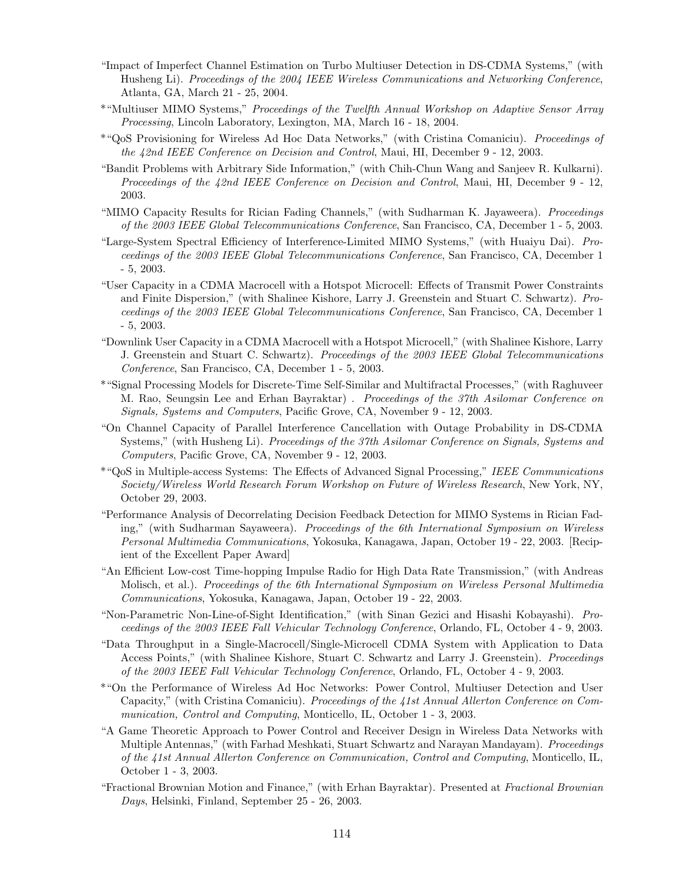- "Impact of Imperfect Channel Estimation on Turbo Multiuser Detection in DS-CDMA Systems," (with Husheng Li). Proceedings of the 2004 IEEE Wireless Communications and Networking Conference, Atlanta, GA, March 21 - 25, 2004.
- \*"Multiuser MIMO Systems," Proceedings of the Twelfth Annual Workshop on Adaptive Sensor Array Processing, Lincoln Laboratory, Lexington, MA, March 16 - 18, 2004.
- \*"QoS Provisioning for Wireless Ad Hoc Data Networks," (with Cristina Comaniciu). Proceedings of the 42nd IEEE Conference on Decision and Control, Maui, HI, December 9 - 12, 2003.
- "Bandit Problems with Arbitrary Side Information," (with Chih-Chun Wang and Sanjeev R. Kulkarni). Proceedings of the 42nd IEEE Conference on Decision and Control, Maui, HI, December 9 - 12, 2003.
- "MIMO Capacity Results for Rician Fading Channels," (with Sudharman K. Jayaweera). Proceedings of the 2003 IEEE Global Telecommunications Conference, San Francisco, CA, December 1 - 5, 2003.
- "Large-System Spectral Efficiency of Interference-Limited MIMO Systems," (with Huaiyu Dai). Proceedings of the 2003 IEEE Global Telecommunications Conference, San Francisco, CA, December 1 - 5, 2003.
- "User Capacity in a CDMA Macrocell with a Hotspot Microcell: Effects of Transmit Power Constraints and Finite Dispersion," (with Shalinee Kishore, Larry J. Greenstein and Stuart C. Schwartz). Proceedings of the 2003 IEEE Global Telecommunications Conference, San Francisco, CA, December 1 - 5, 2003.
- "Downlink User Capacity in a CDMA Macrocell with a Hotspot Microcell," (with Shalinee Kishore, Larry J. Greenstein and Stuart C. Schwartz). Proceedings of the 2003 IEEE Global Telecommunications Conference, San Francisco, CA, December 1 - 5, 2003.
- \*"Signal Processing Models for Discrete-Time Self-Similar and Multifractal Processes," (with Raghuveer M. Rao, Seungsin Lee and Erhan Bayraktar) . Proceedings of the 37th Asilomar Conference on Signals, Systems and Computers, Pacific Grove, CA, November 9 - 12, 2003.
- "On Channel Capacity of Parallel Interference Cancellation with Outage Probability in DS-CDMA Systems," (with Husheng Li). Proceedings of the 37th Asilomar Conference on Signals, Systems and Computers, Pacific Grove, CA, November 9 - 12, 2003.
- \*"QoS in Multiple-access Systems: The Effects of Advanced Signal Processing," IEEE Communications Society/Wireless World Research Forum Workshop on Future of Wireless Research, New York, NY, October 29, 2003.
- "Performance Analysis of Decorrelating Decision Feedback Detection for MIMO Systems in Rician Fading," (with Sudharman Sayaweera). Proceedings of the 6th International Symposium on Wireless Personal Multimedia Communications, Yokosuka, Kanagawa, Japan, October 19 - 22, 2003. [Recipient of the Excellent Paper Award]
- "An Efficient Low-cost Time-hopping Impulse Radio for High Data Rate Transmission," (with Andreas Molisch, et al.). Proceedings of the 6th International Symposium on Wireless Personal Multimedia Communications, Yokosuka, Kanagawa, Japan, October 19 - 22, 2003.
- "Non-Parametric Non-Line-of-Sight Identification," (with Sinan Gezici and Hisashi Kobayashi). Proceedings of the 2003 IEEE Fall Vehicular Technology Conference, Orlando, FL, October 4 - 9, 2003.
- "Data Throughput in a Single-Macrocell/Single-Microcell CDMA System with Application to Data Access Points," (with Shalinee Kishore, Stuart C. Schwartz and Larry J. Greenstein). Proceedings of the 2003 IEEE Fall Vehicular Technology Conference, Orlando, FL, October 4 - 9, 2003.
- \*"On the Performance of Wireless Ad Hoc Networks: Power Control, Multiuser Detection and User Capacity," (with Cristina Comaniciu). Proceedings of the 41st Annual Allerton Conference on Communication, Control and Computing, Monticello, IL, October 1 - 3, 2003.
- "A Game Theoretic Approach to Power Control and Receiver Design in Wireless Data Networks with Multiple Antennas," (with Farhad Meshkati, Stuart Schwartz and Narayan Mandayam). Proceedings of the 41st Annual Allerton Conference on Communication, Control and Computing, Monticello, IL, October 1 - 3, 2003.
- "Fractional Brownian Motion and Finance," (with Erhan Bayraktar). Presented at Fractional Brownian Days, Helsinki, Finland, September 25 - 26, 2003.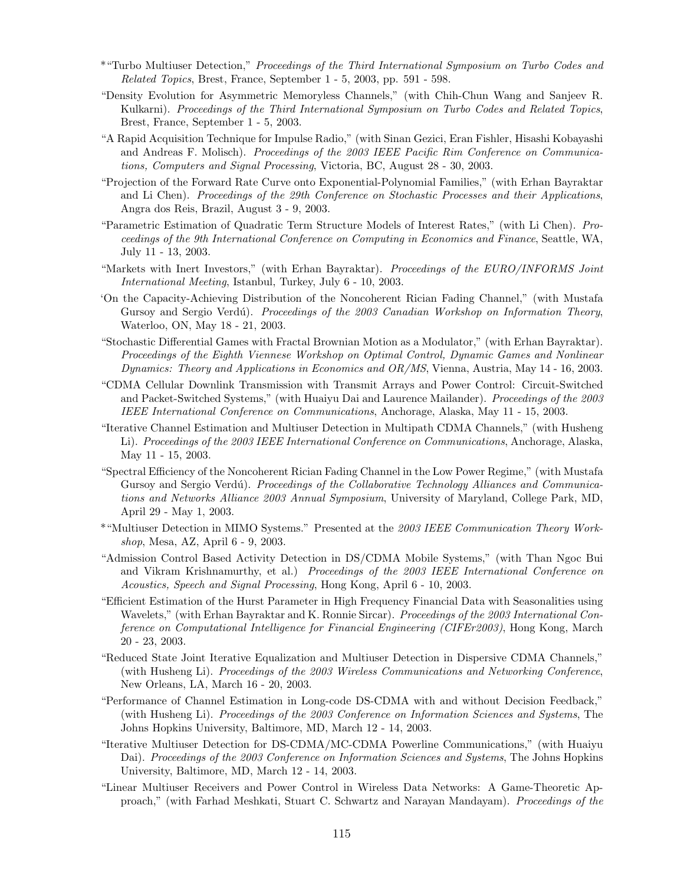- \*"Turbo Multiuser Detection," Proceedings of the Third International Symposium on Turbo Codes and Related Topics, Brest, France, September 1 - 5, 2003, pp. 591 - 598.
- "Density Evolution for Asymmetric Memoryless Channels," (with Chih-Chun Wang and Sanjeev R. Kulkarni). Proceedings of the Third International Symposium on Turbo Codes and Related Topics, Brest, France, September 1 - 5, 2003.
- "A Rapid Acquisition Technique for Impulse Radio," (with Sinan Gezici, Eran Fishler, Hisashi Kobayashi and Andreas F. Molisch). Proceedings of the 2003 IEEE Pacific Rim Conference on Communications, Computers and Signal Processing, Victoria, BC, August 28 - 30, 2003.
- "Projection of the Forward Rate Curve onto Exponential-Polynomial Families," (with Erhan Bayraktar and Li Chen). Proceedings of the 29th Conference on Stochastic Processes and their Applications, Angra dos Reis, Brazil, August 3 - 9, 2003.
- "Parametric Estimation of Quadratic Term Structure Models of Interest Rates," (with Li Chen). Proceedings of the 9th International Conference on Computing in Economics and Finance, Seattle, WA, July 11 - 13, 2003.
- "Markets with Inert Investors," (with Erhan Bayraktar). Proceedings of the EURO/INFORMS Joint International Meeting, Istanbul, Turkey, July 6 - 10, 2003.
- 'On the Capacity-Achieving Distribution of the Noncoherent Rician Fading Channel," (with Mustafa Gursoy and Sergio Verdú). Proceedings of the 2003 Canadian Workshop on Information Theory, Waterloo, ON, May 18 - 21, 2003.
- "Stochastic Differential Games with Fractal Brownian Motion as a Modulator," (with Erhan Bayraktar). Proceedings of the Eighth Viennese Workshop on Optimal Control, Dynamic Games and Nonlinear Dynamics: Theory and Applications in Economics and OR/MS, Vienna, Austria, May 14 - 16, 2003.
- "CDMA Cellular Downlink Transmission with Transmit Arrays and Power Control: Circuit-Switched and Packet-Switched Systems," (with Huaiyu Dai and Laurence Mailander). Proceedings of the 2003 IEEE International Conference on Communications, Anchorage, Alaska, May 11 - 15, 2003.
- "Iterative Channel Estimation and Multiuser Detection in Multipath CDMA Channels," (with Husheng Li). Proceedings of the 2003 IEEE International Conference on Communications, Anchorage, Alaska, May 11 - 15, 2003.
- "Spectral Efficiency of the Noncoherent Rician Fading Channel in the Low Power Regime," (with Mustafa Gursoy and Sergio Verdú). Proceedings of the Collaborative Technology Alliances and Communications and Networks Alliance 2003 Annual Symposium, University of Maryland, College Park, MD, April 29 - May 1, 2003.
- \*"Multiuser Detection in MIMO Systems." Presented at the 2003 IEEE Communication Theory Workshop, Mesa, AZ, April 6 - 9, 2003.
- "Admission Control Based Activity Detection in DS/CDMA Mobile Systems," (with Than Ngoc Bui and Vikram Krishnamurthy, et al.) Proceedings of the 2003 IEEE International Conference on Acoustics, Speech and Signal Processing, Hong Kong, April 6 - 10, 2003.
- "Efficient Estimation of the Hurst Parameter in High Frequency Financial Data with Seasonalities using Wavelets," (with Erhan Bayraktar and K. Ronnie Sircar). *Proceedings of the 2003 International Con*ference on Computational Intelligence for Financial Engineering (CIFEr2003), Hong Kong, March 20 - 23, 2003.
- "Reduced State Joint Iterative Equalization and Multiuser Detection in Dispersive CDMA Channels," (with Husheng Li). Proceedings of the 2003 Wireless Communications and Networking Conference, New Orleans, LA, March 16 - 20, 2003.
- "Performance of Channel Estimation in Long-code DS-CDMA with and without Decision Feedback," (with Husheng Li). Proceedings of the 2003 Conference on Information Sciences and Systems, The Johns Hopkins University, Baltimore, MD, March 12 - 14, 2003.
- "Iterative Multiuser Detection for DS-CDMA/MC-CDMA Powerline Communications," (with Huaiyu Dai). Proceedings of the 2003 Conference on Information Sciences and Systems, The Johns Hopkins University, Baltimore, MD, March 12 - 14, 2003.
- "Linear Multiuser Receivers and Power Control in Wireless Data Networks: A Game-Theoretic Approach," (with Farhad Meshkati, Stuart C. Schwartz and Narayan Mandayam). Proceedings of the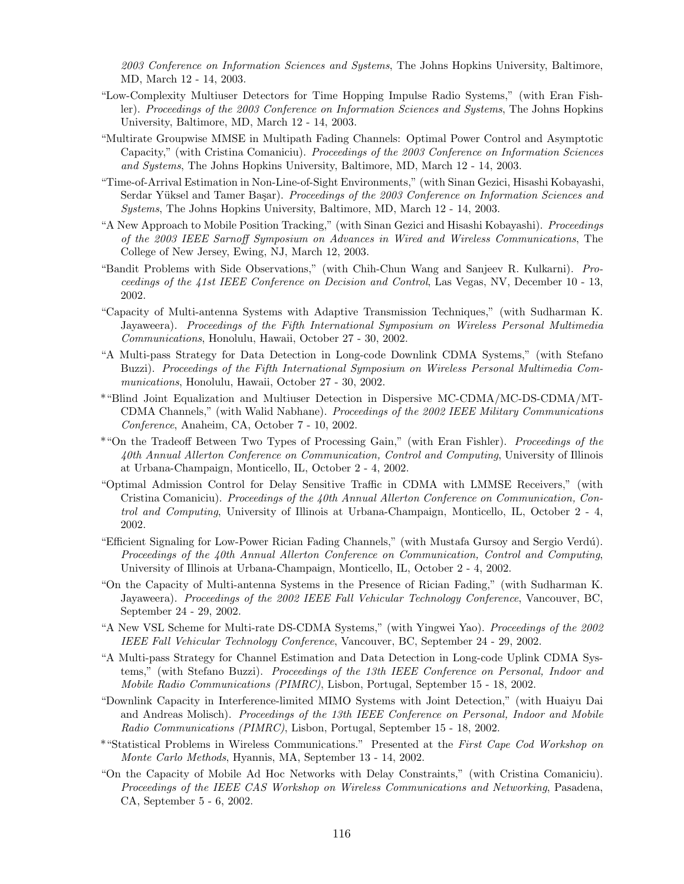2003 Conference on Information Sciences and Systems, The Johns Hopkins University, Baltimore, MD, March 12 - 14, 2003.

- "Low-Complexity Multiuser Detectors for Time Hopping Impulse Radio Systems," (with Eran Fishler). Proceedings of the 2003 Conference on Information Sciences and Systems, The Johns Hopkins University, Baltimore, MD, March 12 - 14, 2003.
- "Multirate Groupwise MMSE in Multipath Fading Channels: Optimal Power Control and Asymptotic Capacity," (with Cristina Comaniciu). Proceedings of the 2003 Conference on Information Sciences and Systems, The Johns Hopkins University, Baltimore, MD, March 12 - 14, 2003.
- "Time-of-Arrival Estimation in Non-Line-of-Sight Environments," (with Sinan Gezici, Hisashi Kobayashi, Serdar Yüksel and Tamer Başar). Proceedings of the 2003 Conference on Information Sciences and Systems, The Johns Hopkins University, Baltimore, MD, March 12 - 14, 2003.
- "A New Approach to Mobile Position Tracking," (with Sinan Gezici and Hisashi Kobayashi). Proceedings of the 2003 IEEE Sarnoff Symposium on Advances in Wired and Wireless Communications, The College of New Jersey, Ewing, NJ, March 12, 2003.
- "Bandit Problems with Side Observations," (with Chih-Chun Wang and Sanjeev R. Kulkarni). Proceedings of the 41st IEEE Conference on Decision and Control, Las Vegas, NV, December 10 - 13, 2002.
- "Capacity of Multi-antenna Systems with Adaptive Transmission Techniques," (with Sudharman K. Jayaweera). Proceedings of the Fifth International Symposium on Wireless Personal Multimedia Communications, Honolulu, Hawaii, October 27 - 30, 2002.
- "A Multi-pass Strategy for Data Detection in Long-code Downlink CDMA Systems," (with Stefano Buzzi). Proceedings of the Fifth International Symposium on Wireless Personal Multimedia Communications, Honolulu, Hawaii, October 27 - 30, 2002.
- \*"Blind Joint Equalization and Multiuser Detection in Dispersive MC-CDMA/MC-DS-CDMA/MT-CDMA Channels," (with Walid Nabhane). Proceedings of the 2002 IEEE Military Communications Conference, Anaheim, CA, October 7 - 10, 2002.
- \*"On the Tradeoff Between Two Types of Processing Gain," (with Eran Fishler). Proceedings of the 40th Annual Allerton Conference on Communication, Control and Computing, University of Illinois at Urbana-Champaign, Monticello, IL, October 2 - 4, 2002.
- "Optimal Admission Control for Delay Sensitive Traffic in CDMA with LMMSE Receivers," (with Cristina Comaniciu). Proceedings of the 40th Annual Allerton Conference on Communication, Control and Computing, University of Illinois at Urbana-Champaign, Monticello, IL, October 2 - 4, 2002.
- "Efficient Signaling for Low-Power Rician Fading Channels," (with Mustafa Gursoy and Sergio Verd´u). Proceedings of the 40th Annual Allerton Conference on Communication, Control and Computing, University of Illinois at Urbana-Champaign, Monticello, IL, October 2 - 4, 2002.
- "On the Capacity of Multi-antenna Systems in the Presence of Rician Fading," (with Sudharman K. Jayaweera). Proceedings of the 2002 IEEE Fall Vehicular Technology Conference, Vancouver, BC, September 24 - 29, 2002.
- "A New VSL Scheme for Multi-rate DS-CDMA Systems," (with Yingwei Yao). Proceedings of the 2002 IEEE Fall Vehicular Technology Conference, Vancouver, BC, September 24 - 29, 2002.
- "A Multi-pass Strategy for Channel Estimation and Data Detection in Long-code Uplink CDMA Systems," (with Stefano Buzzi). Proceedings of the 13th IEEE Conference on Personal, Indoor and Mobile Radio Communications (PIMRC), Lisbon, Portugal, September 15 - 18, 2002.
- "Downlink Capacity in Interference-limited MIMO Systems with Joint Detection," (with Huaiyu Dai and Andreas Molisch). Proceedings of the 13th IEEE Conference on Personal, Indoor and Mobile Radio Communications (PIMRC), Lisbon, Portugal, September 15 - 18, 2002.
- \*"Statistical Problems in Wireless Communications." Presented at the First Cape Cod Workshop on Monte Carlo Methods, Hyannis, MA, September 13 - 14, 2002.
- "On the Capacity of Mobile Ad Hoc Networks with Delay Constraints," (with Cristina Comaniciu). Proceedings of the IEEE CAS Workshop on Wireless Communications and Networking, Pasadena, CA, September 5 - 6, 2002.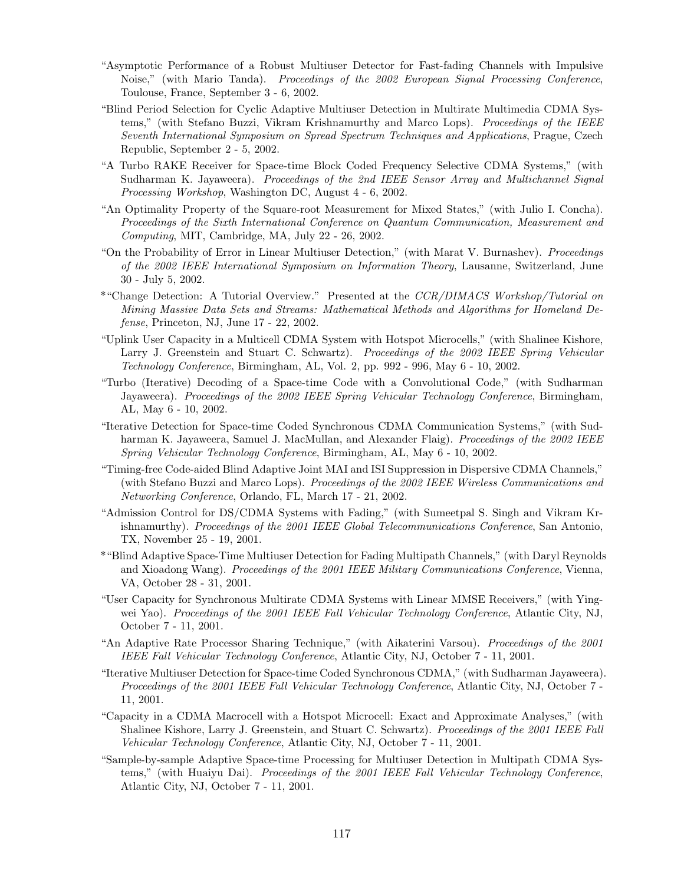- "Asymptotic Performance of a Robust Multiuser Detector for Fast-fading Channels with Impulsive Noise," (with Mario Tanda). Proceedings of the 2002 European Signal Processing Conference, Toulouse, France, September 3 - 6, 2002.
- "Blind Period Selection for Cyclic Adaptive Multiuser Detection in Multirate Multimedia CDMA Systems," (with Stefano Buzzi, Vikram Krishnamurthy and Marco Lops). Proceedings of the IEEE Seventh International Symposium on Spread Spectrum Techniques and Applications, Prague, Czech Republic, September 2 - 5, 2002.
- "A Turbo RAKE Receiver for Space-time Block Coded Frequency Selective CDMA Systems," (with Sudharman K. Jayaweera). Proceedings of the 2nd IEEE Sensor Array and Multichannel Signal Processing Workshop, Washington DC, August 4 - 6, 2002.
- "An Optimality Property of the Square-root Measurement for Mixed States," (with Julio I. Concha). Proceedings of the Sixth International Conference on Quantum Communication, Measurement and Computing, MIT, Cambridge, MA, July 22 - 26, 2002.
- "On the Probability of Error in Linear Multiuser Detection," (with Marat V. Burnashev). Proceedings of the 2002 IEEE International Symposium on Information Theory, Lausanne, Switzerland, June 30 - July 5, 2002.
- \*"Change Detection: A Tutorial Overview." Presented at the CCR/DIMACS Workshop/Tutorial on Mining Massive Data Sets and Streams: Mathematical Methods and Algorithms for Homeland Defense, Princeton, NJ, June 17 - 22, 2002.
- "Uplink User Capacity in a Multicell CDMA System with Hotspot Microcells," (with Shalinee Kishore, Larry J. Greenstein and Stuart C. Schwartz). Proceedings of the 2002 IEEE Spring Vehicular Technology Conference, Birmingham, AL, Vol. 2, pp. 992 - 996, May 6 - 10, 2002.
- "Turbo (Iterative) Decoding of a Space-time Code with a Convolutional Code," (with Sudharman Jayaweera). Proceedings of the 2002 IEEE Spring Vehicular Technology Conference, Birmingham, AL, May 6 - 10, 2002.
- "Iterative Detection for Space-time Coded Synchronous CDMA Communication Systems," (with Sudharman K. Jayaweera, Samuel J. MacMullan, and Alexander Flaig). Proceedings of the 2002 IEEE Spring Vehicular Technology Conference, Birmingham, AL, May 6 - 10, 2002.
- "Timing-free Code-aided Blind Adaptive Joint MAI and ISI Suppression in Dispersive CDMA Channels," (with Stefano Buzzi and Marco Lops). Proceedings of the 2002 IEEE Wireless Communications and Networking Conference, Orlando, FL, March 17 - 21, 2002.
- "Admission Control for DS/CDMA Systems with Fading," (with Sumeetpal S. Singh and Vikram Krishnamurthy). Proceedings of the 2001 IEEE Global Telecommunications Conference, San Antonio, TX, November 25 - 19, 2001.
- \*"Blind Adaptive Space-Time Multiuser Detection for Fading Multipath Channels," (with Daryl Reynolds and Xioadong Wang). Proceedings of the 2001 IEEE Military Communications Conference, Vienna, VA, October 28 - 31, 2001.
- "User Capacity for Synchronous Multirate CDMA Systems with Linear MMSE Receivers," (with Yingwei Yao). Proceedings of the 2001 IEEE Fall Vehicular Technology Conference, Atlantic City, NJ, October 7 - 11, 2001.
- "An Adaptive Rate Processor Sharing Technique," (with Aikaterini Varsou). Proceedings of the 2001 IEEE Fall Vehicular Technology Conference, Atlantic City, NJ, October 7 - 11, 2001.
- "Iterative Multiuser Detection for Space-time Coded Synchronous CDMA," (with Sudharman Jayaweera). Proceedings of the 2001 IEEE Fall Vehicular Technology Conference, Atlantic City, NJ, October 7 - 11, 2001.
- "Capacity in a CDMA Macrocell with a Hotspot Microcell: Exact and Approximate Analyses," (with Shalinee Kishore, Larry J. Greenstein, and Stuart C. Schwartz). Proceedings of the 2001 IEEE Fall Vehicular Technology Conference, Atlantic City, NJ, October 7 - 11, 2001.
- "Sample-by-sample Adaptive Space-time Processing for Multiuser Detection in Multipath CDMA Systems," (with Huaiyu Dai). Proceedings of the 2001 IEEE Fall Vehicular Technology Conference, Atlantic City, NJ, October 7 - 11, 2001.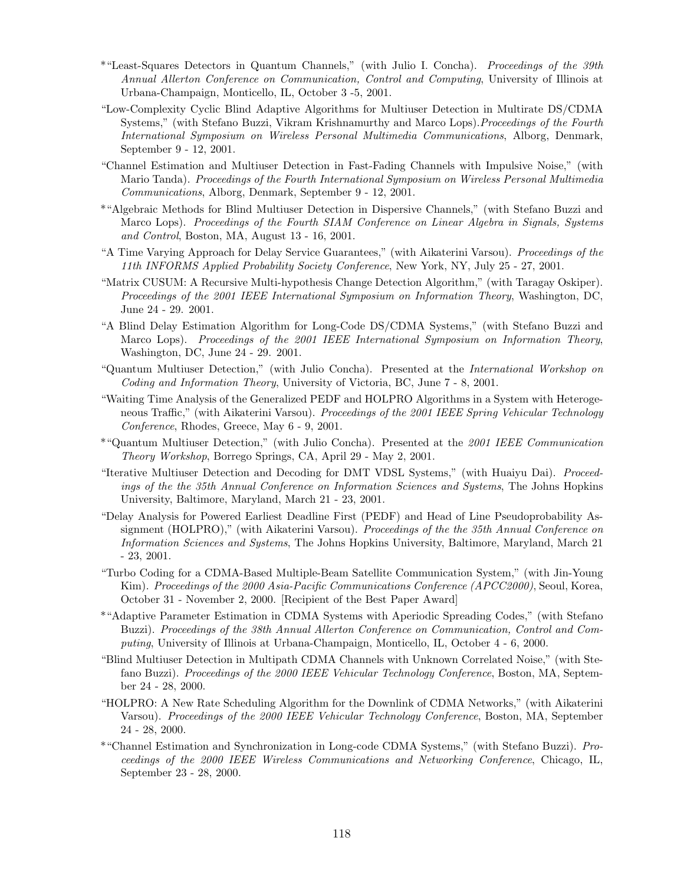- \*"Least-Squares Detectors in Quantum Channels," (with Julio I. Concha). Proceedings of the 39th Annual Allerton Conference on Communication, Control and Computing, University of Illinois at Urbana-Champaign, Monticello, IL, October 3 -5, 2001.
- "Low-Complexity Cyclic Blind Adaptive Algorithms for Multiuser Detection in Multirate DS/CDMA Systems," (with Stefano Buzzi, Vikram Krishnamurthy and Marco Lops). Proceedings of the Fourth International Symposium on Wireless Personal Multimedia Communications, Alborg, Denmark, September 9 - 12, 2001.
- "Channel Estimation and Multiuser Detection in Fast-Fading Channels with Impulsive Noise," (with Mario Tanda). Proceedings of the Fourth International Symposium on Wireless Personal Multimedia Communications, Alborg, Denmark, September 9 - 12, 2001.
- \*"Algebraic Methods for Blind Multiuser Detection in Dispersive Channels," (with Stefano Buzzi and Marco Lops). Proceedings of the Fourth SIAM Conference on Linear Algebra in Signals, Systems and Control, Boston, MA, August 13 - 16, 2001.
- "A Time Varying Approach for Delay Service Guarantees," (with Aikaterini Varsou). Proceedings of the 11th INFORMS Applied Probability Society Conference, New York, NY, July 25 - 27, 2001.
- "Matrix CUSUM: A Recursive Multi-hypothesis Change Detection Algorithm," (with Taragay Oskiper). Proceedings of the 2001 IEEE International Symposium on Information Theory, Washington, DC, June 24 - 29. 2001.
- "A Blind Delay Estimation Algorithm for Long-Code DS/CDMA Systems," (with Stefano Buzzi and Marco Lops). Proceedings of the 2001 IEEE International Symposium on Information Theory, Washington, DC, June 24 - 29. 2001.
- "Quantum Multiuser Detection," (with Julio Concha). Presented at the International Workshop on Coding and Information Theory, University of Victoria, BC, June 7 - 8, 2001.
- "Waiting Time Analysis of the Generalized PEDF and HOLPRO Algorithms in a System with Heterogeneous Traffic," (with Aikaterini Varsou). Proceedings of the 2001 IEEE Spring Vehicular Technology Conference, Rhodes, Greece, May 6 - 9, 2001.
- \*"Quantum Multiuser Detection," (with Julio Concha). Presented at the 2001 IEEE Communication Theory Workshop, Borrego Springs, CA, April 29 - May 2, 2001.
- "Iterative Multiuser Detection and Decoding for DMT VDSL Systems," (with Huaiyu Dai). Proceedings of the the 35th Annual Conference on Information Sciences and Systems, The Johns Hopkins University, Baltimore, Maryland, March 21 - 23, 2001.
- "Delay Analysis for Powered Earliest Deadline First (PEDF) and Head of Line Pseudoprobability Assignment (HOLPRO)," (with Aikaterini Varsou). Proceedings of the the 35th Annual Conference on Information Sciences and Systems, The Johns Hopkins University, Baltimore, Maryland, March 21 - 23, 2001.
- "Turbo Coding for a CDMA-Based Multiple-Beam Satellite Communication System," (with Jin-Young Kim). Proceedings of the 2000 Asia-Pacific Communications Conference (APCC2000), Seoul, Korea, October 31 - November 2, 2000. [Recipient of the Best Paper Award]
- \*"Adaptive Parameter Estimation in CDMA Systems with Aperiodic Spreading Codes," (with Stefano Buzzi). Proceedings of the 38th Annual Allerton Conference on Communication, Control and Computing, University of Illinois at Urbana-Champaign, Monticello, IL, October 4 - 6, 2000.
- "Blind Multiuser Detection in Multipath CDMA Channels with Unknown Correlated Noise," (with Stefano Buzzi). Proceedings of the 2000 IEEE Vehicular Technology Conference, Boston, MA, September 24 - 28, 2000.
- "HOLPRO: A New Rate Scheduling Algorithm for the Downlink of CDMA Networks," (with Aikaterini Varsou). Proceedings of the 2000 IEEE Vehicular Technology Conference, Boston, MA, September 24 - 28, 2000.
- \*"Channel Estimation and Synchronization in Long-code CDMA Systems," (with Stefano Buzzi). Proceedings of the 2000 IEEE Wireless Communications and Networking Conference, Chicago, IL, September 23 - 28, 2000.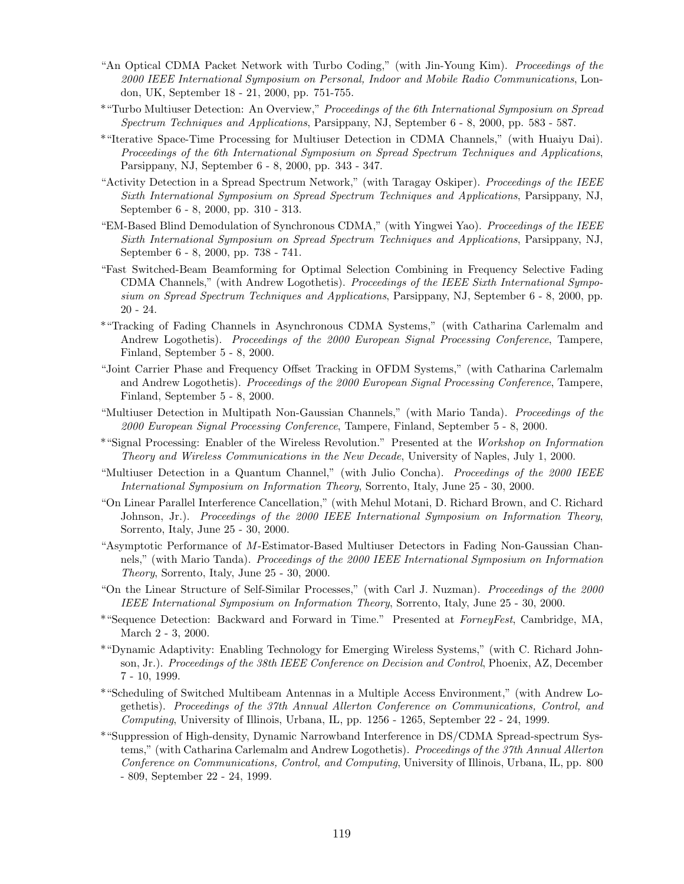- "An Optical CDMA Packet Network with Turbo Coding," (with Jin-Young Kim). Proceedings of the 2000 IEEE International Symposium on Personal, Indoor and Mobile Radio Communications, London, UK, September 18 - 21, 2000, pp. 751-755.
- \*"Turbo Multiuser Detection: An Overview," Proceedings of the 6th International Symposium on Spread Spectrum Techniques and Applications, Parsippany, NJ, September 6 - 8, 2000, pp. 583 - 587.
- \*"Iterative Space-Time Processing for Multiuser Detection in CDMA Channels," (with Huaiyu Dai). Proceedings of the 6th International Symposium on Spread Spectrum Techniques and Applications, Parsippany, NJ, September 6 - 8, 2000, pp. 343 - 347.
- "Activity Detection in a Spread Spectrum Network," (with Taragay Oskiper). Proceedings of the IEEE Sixth International Symposium on Spread Spectrum Techniques and Applications, Parsippany, NJ, September 6 - 8, 2000, pp. 310 - 313.
- "EM-Based Blind Demodulation of Synchronous CDMA," (with Yingwei Yao). Proceedings of the IEEE Sixth International Symposium on Spread Spectrum Techniques and Applications, Parsippany, NJ, September 6 - 8, 2000, pp. 738 - 741.
- "Fast Switched-Beam Beamforming for Optimal Selection Combining in Frequency Selective Fading CDMA Channels," (with Andrew Logothetis). Proceedings of the IEEE Sixth International Symposium on Spread Spectrum Techniques and Applications, Parsippany, NJ, September 6 - 8, 2000, pp. 20 - 24.
- \*"Tracking of Fading Channels in Asynchronous CDMA Systems," (with Catharina Carlemalm and Andrew Logothetis). Proceedings of the 2000 European Signal Processing Conference, Tampere, Finland, September 5 - 8, 2000.
- "Joint Carrier Phase and Frequency Offset Tracking in OFDM Systems," (with Catharina Carlemalm and Andrew Logothetis). Proceedings of the 2000 European Signal Processing Conference, Tampere, Finland, September 5 - 8, 2000.
- "Multiuser Detection in Multipath Non-Gaussian Channels," (with Mario Tanda). Proceedings of the 2000 European Signal Processing Conference, Tampere, Finland, September 5 - 8, 2000.
- \*"Signal Processing: Enabler of the Wireless Revolution." Presented at the Workshop on Information Theory and Wireless Communications in the New Decade, University of Naples, July 1, 2000.
- "Multiuser Detection in a Quantum Channel," (with Julio Concha). Proceedings of the 2000 IEEE International Symposium on Information Theory, Sorrento, Italy, June 25 - 30, 2000.
- "On Linear Parallel Interference Cancellation," (with Mehul Motani, D. Richard Brown, and C. Richard Johnson, Jr.). Proceedings of the 2000 IEEE International Symposium on Information Theory, Sorrento, Italy, June 25 - 30, 2000.
- "Asymptotic Performance of M-Estimator-Based Multiuser Detectors in Fading Non-Gaussian Channels," (with Mario Tanda). Proceedings of the 2000 IEEE International Symposium on Information Theory, Sorrento, Italy, June 25 - 30, 2000.
- "On the Linear Structure of Self-Similar Processes," (with Carl J. Nuzman). Proceedings of the 2000 IEEE International Symposium on Information Theory, Sorrento, Italy, June 25 - 30, 2000.
- \*"Sequence Detection: Backward and Forward in Time." Presented at ForneyFest, Cambridge, MA, March 2 - 3, 2000.
- \*"Dynamic Adaptivity: Enabling Technology for Emerging Wireless Systems," (with C. Richard Johnson, Jr.). Proceedings of the 38th IEEE Conference on Decision and Control, Phoenix, AZ, December 7 - 10, 1999.
- \*"Scheduling of Switched Multibeam Antennas in a Multiple Access Environment," (with Andrew Logethetis). Proceedings of the 37th Annual Allerton Conference on Communications, Control, and Computing, University of Illinois, Urbana, IL, pp. 1256 - 1265, September 22 - 24, 1999.
- \*"Suppression of High-density, Dynamic Narrowband Interference in DS/CDMA Spread-spectrum Systems," (with Catharina Carlemalm and Andrew Logothetis). Proceedings of the 37th Annual Allerton Conference on Communications, Control, and Computing, University of Illinois, Urbana, IL, pp. 800 - 809, September 22 - 24, 1999.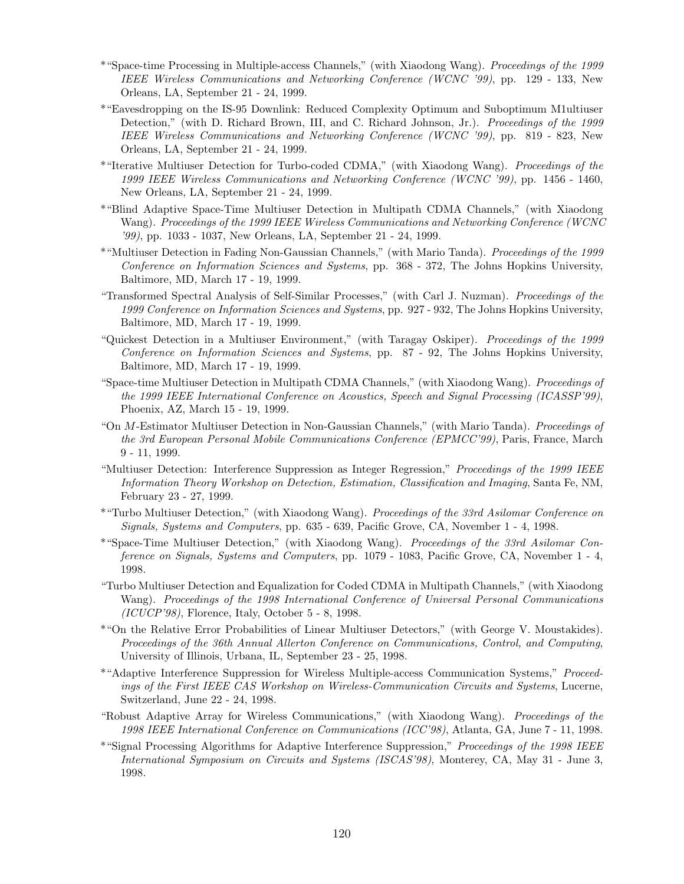- \*"Space-time Processing in Multiple-access Channels," (with Xiaodong Wang). Proceedings of the 1999 IEEE Wireless Communications and Networking Conference (WCNC '99), pp. 129 - 133, New Orleans, LA, September 21 - 24, 1999.
- \*"Eavesdropping on the IS-95 Downlink: Reduced Complexity Optimum and Suboptimum M1ultiuser Detection," (with D. Richard Brown, III, and C. Richard Johnson, Jr.). Proceedings of the 1999 IEEE Wireless Communications and Networking Conference (WCNC '99), pp. 819 - 823, New Orleans, LA, September 21 - 24, 1999.
- \*"Iterative Multiuser Detection for Turbo-coded CDMA," (with Xiaodong Wang). Proceedings of the 1999 IEEE Wireless Communications and Networking Conference (WCNC '99), pp. 1456 - 1460, New Orleans, LA, September 21 - 24, 1999.
- \*"Blind Adaptive Space-Time Multiuser Detection in Multipath CDMA Channels," (with Xiaodong Wang). Proceedings of the 1999 IEEE Wireless Communications and Networking Conference (WCNC '99), pp. 1033 - 1037, New Orleans, LA, September 21 - 24, 1999.
- \*"Multiuser Detection in Fading Non-Gaussian Channels," (with Mario Tanda). Proceedings of the 1999 Conference on Information Sciences and Systems, pp. 368 - 372, The Johns Hopkins University, Baltimore, MD, March 17 - 19, 1999.
- "Transformed Spectral Analysis of Self-Similar Processes," (with Carl J. Nuzman). Proceedings of the 1999 Conference on Information Sciences and Systems, pp. 927 - 932, The Johns Hopkins University, Baltimore, MD, March 17 - 19, 1999.
- "Quickest Detection in a Multiuser Environment," (with Taragay Oskiper). Proceedings of the 1999 Conference on Information Sciences and Systems, pp. 87 - 92, The Johns Hopkins University, Baltimore, MD, March 17 - 19, 1999.
- "Space-time Multiuser Detection in Multipath CDMA Channels," (with Xiaodong Wang). Proceedings of the 1999 IEEE International Conference on Acoustics, Speech and Signal Processing (ICASSP'99), Phoenix, AZ, March 15 - 19, 1999.
- "On M-Estimator Multiuser Detection in Non-Gaussian Channels," (with Mario Tanda). Proceedings of the 3rd European Personal Mobile Communications Conference (EPMCC'99), Paris, France, March 9 - 11, 1999.
- "Multiuser Detection: Interference Suppression as Integer Regression," Proceedings of the 1999 IEEE Information Theory Workshop on Detection, Estimation, Classification and Imaging, Santa Fe, NM, February 23 - 27, 1999.
- \*"Turbo Multiuser Detection," (with Xiaodong Wang). Proceedings of the 33rd Asilomar Conference on Signals, Systems and Computers, pp. 635 - 639, Pacific Grove, CA, November 1 - 4, 1998.
- \*"Space-Time Multiuser Detection," (with Xiaodong Wang). Proceedings of the 33rd Asilomar Conference on Signals, Systems and Computers, pp. 1079 - 1083, Pacific Grove, CA, November 1 - 4, 1998.
- "Turbo Multiuser Detection and Equalization for Coded CDMA in Multipath Channels," (with Xiaodong Wang). Proceedings of the 1998 International Conference of Universal Personal Communications (ICUCP'98), Florence, Italy, October 5 - 8, 1998.
- \*"On the Relative Error Probabilities of Linear Multiuser Detectors," (with George V. Moustakides). Proceedings of the 36th Annual Allerton Conference on Communications, Control, and Computing, University of Illinois, Urbana, IL, September 23 - 25, 1998.
- \*"Adaptive Interference Suppression for Wireless Multiple-access Communication Systems," Proceedings of the First IEEE CAS Workshop on Wireless-Communication Circuits and Systems, Lucerne, Switzerland, June 22 - 24, 1998.
- "Robust Adaptive Array for Wireless Communications," (with Xiaodong Wang). Proceedings of the 1998 IEEE International Conference on Communications (ICC'98), Atlanta, GA, June 7 - 11, 1998.
- \*"Signal Processing Algorithms for Adaptive Interference Suppression," Proceedings of the 1998 IEEE International Symposium on Circuits and Systems (ISCAS'98), Monterey, CA, May 31 - June 3, 1998.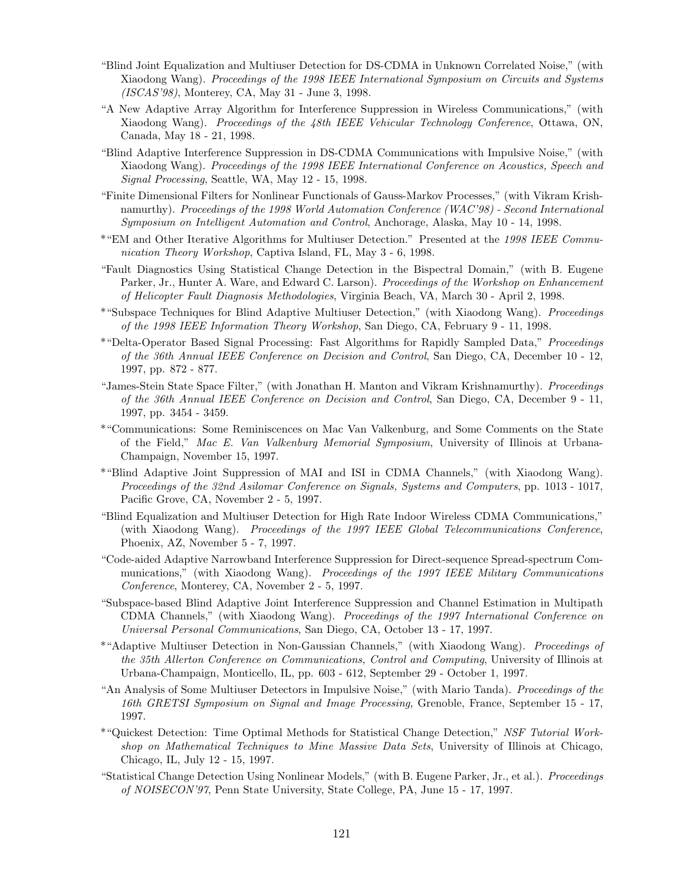- "Blind Joint Equalization and Multiuser Detection for DS-CDMA in Unknown Correlated Noise," (with Xiaodong Wang). Proceedings of the 1998 IEEE International Symposium on Circuits and Systems (ISCAS'98), Monterey, CA, May 31 - June 3, 1998.
- "A New Adaptive Array Algorithm for Interference Suppression in Wireless Communications," (with Xiaodong Wang). Proceedings of the 48th IEEE Vehicular Technology Conference, Ottawa, ON, Canada, May 18 - 21, 1998.
- "Blind Adaptive Interference Suppression in DS-CDMA Communications with Impulsive Noise," (with Xiaodong Wang). Proceedings of the 1998 IEEE International Conference on Acoustics, Speech and Signal Processing, Seattle, WA, May 12 - 15, 1998.
- "Finite Dimensional Filters for Nonlinear Functionals of Gauss-Markov Processes," (with Vikram Krishnamurthy). Proceedings of the 1998 World Automation Conference (WAC'98) - Second International Symposium on Intelligent Automation and Control, Anchorage, Alaska, May 10 - 14, 1998.
- \*"EM and Other Iterative Algorithms for Multiuser Detection." Presented at the 1998 IEEE Communication Theory Workshop, Captiva Island, FL, May 3 - 6, 1998.
- "Fault Diagnostics Using Statistical Change Detection in the Bispectral Domain," (with B. Eugene Parker, Jr., Hunter A. Ware, and Edward C. Larson). Proceedings of the Workshop on Enhancement of Helicopter Fault Diagnosis Methodologies, Virginia Beach, VA, March 30 - April 2, 1998.
- \*"Subspace Techniques for Blind Adaptive Multiuser Detection," (with Xiaodong Wang). Proceedings of the 1998 IEEE Information Theory Workshop, San Diego, CA, February 9 - 11, 1998.
- \*"Delta-Operator Based Signal Processing: Fast Algorithms for Rapidly Sampled Data," Proceedings of the 36th Annual IEEE Conference on Decision and Control, San Diego, CA, December 10 - 12, 1997, pp. 872 - 877.
- "James-Stein State Space Filter," (with Jonathan H. Manton and Vikram Krishnamurthy). Proceedings of the 36th Annual IEEE Conference on Decision and Control, San Diego, CA, December 9 - 11, 1997, pp. 3454 - 3459.
- \*"Communications: Some Reminiscences on Mac Van Valkenburg, and Some Comments on the State of the Field," Mac E. Van Valkenburg Memorial Symposium, University of Illinois at Urbana-Champaign, November 15, 1997.
- \*"Blind Adaptive Joint Suppression of MAI and ISI in CDMA Channels," (with Xiaodong Wang). Proceedings of the 32nd Asilomar Conference on Signals, Systems and Computers, pp. 1013 - 1017, Pacific Grove, CA, November 2 - 5, 1997.
- "Blind Equalization and Multiuser Detection for High Rate Indoor Wireless CDMA Communications," (with Xiaodong Wang). Proceedings of the 1997 IEEE Global Telecommunications Conference, Phoenix, AZ, November 5 - 7, 1997.
- "Code-aided Adaptive Narrowband Interference Suppression for Direct-sequence Spread-spectrum Communications," (with Xiaodong Wang). Proceedings of the 1997 IEEE Military Communications Conference, Monterey, CA, November 2 - 5, 1997.
- "Subspace-based Blind Adaptive Joint Interference Suppression and Channel Estimation in Multipath CDMA Channels," (with Xiaodong Wang). Proceedings of the 1997 International Conference on Universal Personal Communications, San Diego, CA, October 13 - 17, 1997.
- \*"Adaptive Multiuser Detection in Non-Gaussian Channels," (with Xiaodong Wang). Proceedings of the 35th Allerton Conference on Communications, Control and Computing, University of Illinois at Urbana-Champaign, Monticello, IL, pp. 603 - 612, September 29 - October 1, 1997.
- "An Analysis of Some Multiuser Detectors in Impulsive Noise," (with Mario Tanda). Proceedings of the 16th GRETSI Symposium on Signal and Image Processing, Grenoble, France, September 15 - 17, 1997.
- \*"Quickest Detection: Time Optimal Methods for Statistical Change Detection," NSF Tutorial Workshop on Mathematical Techniques to Mine Massive Data Sets, University of Illinois at Chicago, Chicago, IL, July 12 - 15, 1997.
- "Statistical Change Detection Using Nonlinear Models," (with B. Eugene Parker, Jr., et al.). Proceedings of NOISECON'97, Penn State University, State College, PA, June 15 - 17, 1997.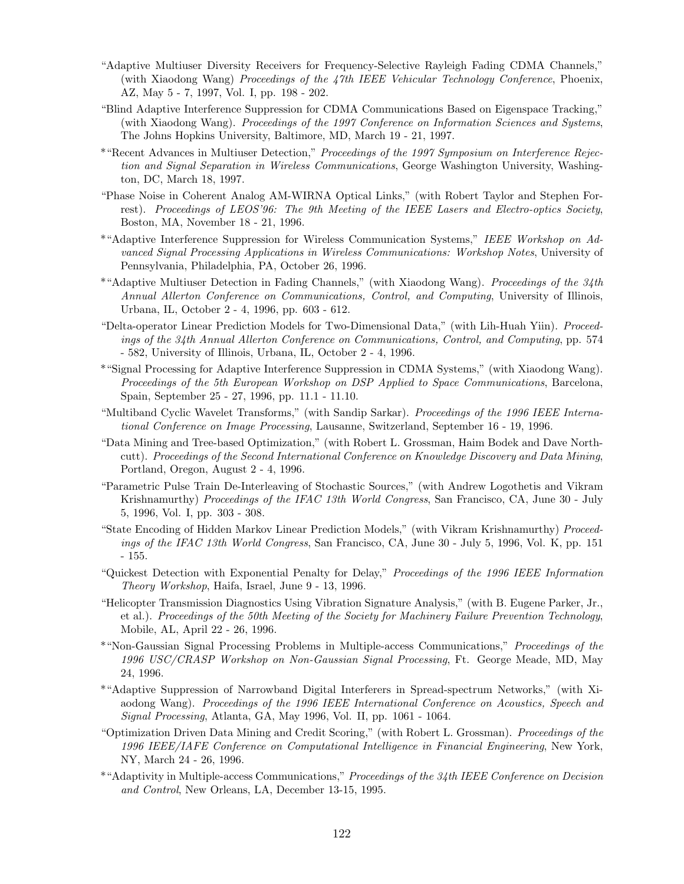- "Adaptive Multiuser Diversity Receivers for Frequency-Selective Rayleigh Fading CDMA Channels," (with Xiaodong Wang) Proceedings of the 47th IEEE Vehicular Technology Conference, Phoenix, AZ, May 5 - 7, 1997, Vol. I, pp. 198 - 202.
- "Blind Adaptive Interference Suppression for CDMA Communications Based on Eigenspace Tracking," (with Xiaodong Wang). Proceedings of the 1997 Conference on Information Sciences and Systems, The Johns Hopkins University, Baltimore, MD, March 19 - 21, 1997.
- \*"Recent Advances in Multiuser Detection," Proceedings of the 1997 Symposium on Interference Rejection and Signal Separation in Wireless Communications, George Washington University, Washington, DC, March 18, 1997.
- "Phase Noise in Coherent Analog AM-WIRNA Optical Links," (with Robert Taylor and Stephen Forrest). Proceedings of LEOS'96: The 9th Meeting of the IEEE Lasers and Electro-optics Society, Boston, MA, November 18 - 21, 1996.
- \*"Adaptive Interference Suppression for Wireless Communication Systems," IEEE Workshop on Advanced Signal Processing Applications in Wireless Communications: Workshop Notes, University of Pennsylvania, Philadelphia, PA, October 26, 1996.
- \*"Adaptive Multiuser Detection in Fading Channels," (with Xiaodong Wang). Proceedings of the 34th Annual Allerton Conference on Communications, Control, and Computing, University of Illinois, Urbana, IL, October 2 - 4, 1996, pp. 603 - 612.
- "Delta-operator Linear Prediction Models for Two-Dimensional Data," (with Lih-Huah Yiin). Proceedings of the 34th Annual Allerton Conference on Communications, Control, and Computing, pp. 574 - 582, University of Illinois, Urbana, IL, October 2 - 4, 1996.
- \*"Signal Processing for Adaptive Interference Suppression in CDMA Systems," (with Xiaodong Wang). Proceedings of the 5th European Workshop on DSP Applied to Space Communications, Barcelona, Spain, September 25 - 27, 1996, pp. 11.1 - 11.10.
- "Multiband Cyclic Wavelet Transforms," (with Sandip Sarkar). Proceedings of the 1996 IEEE International Conference on Image Processing, Lausanne, Switzerland, September 16 - 19, 1996.
- "Data Mining and Tree-based Optimization," (with Robert L. Grossman, Haim Bodek and Dave Northcutt). Proceedings of the Second International Conference on Knowledge Discovery and Data Mining, Portland, Oregon, August 2 - 4, 1996.
- "Parametric Pulse Train De-Interleaving of Stochastic Sources," (with Andrew Logothetis and Vikram Krishnamurthy) Proceedings of the IFAC 13th World Congress, San Francisco, CA, June 30 - July 5, 1996, Vol. I, pp. 303 - 308.
- "State Encoding of Hidden Markov Linear Prediction Models," (with Vikram Krishnamurthy) Proceedings of the IFAC 13th World Congress, San Francisco, CA, June 30 - July 5, 1996, Vol. K, pp. 151 - 155.
- "Quickest Detection with Exponential Penalty for Delay," Proceedings of the 1996 IEEE Information Theory Workshop, Haifa, Israel, June 9 - 13, 1996.
- "Helicopter Transmission Diagnostics Using Vibration Signature Analysis," (with B. Eugene Parker, Jr., et al.). Proceedings of the 50th Meeting of the Society for Machinery Failure Prevention Technology, Mobile, AL, April 22 - 26, 1996.
- \*"Non-Gaussian Signal Processing Problems in Multiple-access Communications," Proceedings of the 1996 USC/CRASP Workshop on Non-Gaussian Signal Processing, Ft. George Meade, MD, May 24, 1996.
- \*"Adaptive Suppression of Narrowband Digital Interferers in Spread-spectrum Networks," (with Xiaodong Wang). Proceedings of the 1996 IEEE International Conference on Acoustics, Speech and Signal Processing, Atlanta, GA, May 1996, Vol. II, pp. 1061 - 1064.
- "Optimization Driven Data Mining and Credit Scoring," (with Robert L. Grossman). Proceedings of the 1996 IEEE/IAFE Conference on Computational Intelligence in Financial Engineering, New York, NY, March 24 - 26, 1996.
- \*"Adaptivity in Multiple-access Communications," Proceedings of the 34th IEEE Conference on Decision and Control, New Orleans, LA, December 13-15, 1995.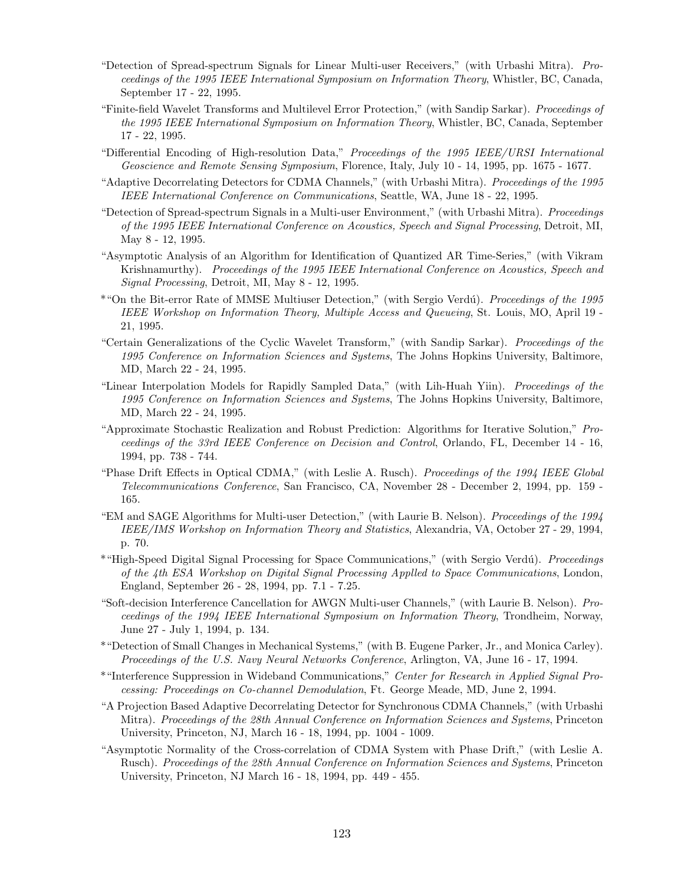- "Detection of Spread-spectrum Signals for Linear Multi-user Receivers," (with Urbashi Mitra). Proceedings of the 1995 IEEE International Symposium on Information Theory, Whistler, BC, Canada, September 17 - 22, 1995.
- "Finite-field Wavelet Transforms and Multilevel Error Protection," (with Sandip Sarkar). Proceedings of the 1995 IEEE International Symposium on Information Theory, Whistler, BC, Canada, September 17 - 22, 1995.
- "Differential Encoding of High-resolution Data," Proceedings of the 1995 IEEE/URSI International Geoscience and Remote Sensing Symposium, Florence, Italy, July 10 - 14, 1995, pp. 1675 - 1677.
- "Adaptive Decorrelating Detectors for CDMA Channels," (with Urbashi Mitra). Proceedings of the 1995 IEEE International Conference on Communications, Seattle, WA, June 18 - 22, 1995.
- "Detection of Spread-spectrum Signals in a Multi-user Environment," (with Urbashi Mitra). Proceedings of the 1995 IEEE International Conference on Acoustics, Speech and Signal Processing, Detroit, MI, May 8 - 12, 1995.
- "Asymptotic Analysis of an Algorithm for Identification of Quantized AR Time-Series," (with Vikram Krishnamurthy). Proceedings of the 1995 IEEE International Conference on Acoustics, Speech and Signal Processing, Detroit, MI, May 8 - 12, 1995.
- \*"On the Bit-error Rate of MMSE Multiuser Detection," (with Sergio Verdú). Proceedings of the 1995 IEEE Workshop on Information Theory, Multiple Access and Queueing, St. Louis, MO, April 19 - 21, 1995.
- "Certain Generalizations of the Cyclic Wavelet Transform," (with Sandip Sarkar). Proceedings of the 1995 Conference on Information Sciences and Systems, The Johns Hopkins University, Baltimore, MD, March 22 - 24, 1995.
- "Linear Interpolation Models for Rapidly Sampled Data," (with Lih-Huah Yiin). Proceedings of the 1995 Conference on Information Sciences and Systems, The Johns Hopkins University, Baltimore, MD, March 22 - 24, 1995.
- "Approximate Stochastic Realization and Robust Prediction: Algorithms for Iterative Solution," Proceedings of the 33rd IEEE Conference on Decision and Control, Orlando, FL, December 14 - 16, 1994, pp. 738 - 744.
- "Phase Drift Effects in Optical CDMA," (with Leslie A. Rusch). Proceedings of the 1994 IEEE Global Telecommunications Conference, San Francisco, CA, November 28 - December 2, 1994, pp. 159 - 165.
- "EM and SAGE Algorithms for Multi-user Detection," (with Laurie B. Nelson). Proceedings of the 1994 IEEE/IMS Workshop on Information Theory and Statistics, Alexandria, VA, October 27 - 29, 1994, p. 70.
- \*"High-Speed Digital Signal Processing for Space Communications," (with Sergio Verdú). Proceedings of the 4th ESA Workshop on Digital Signal Processing Applled to Space Communications, London, England, September 26 - 28, 1994, pp. 7.1 - 7.25.
- "Soft-decision Interference Cancellation for AWGN Multi-user Channels," (with Laurie B. Nelson). Proceedings of the 1994 IEEE International Symposium on Information Theory, Trondheim, Norway, June 27 - July 1, 1994, p. 134.
- \*"Detection of Small Changes in Mechanical Systems," (with B. Eugene Parker, Jr., and Monica Carley). Proceedings of the U.S. Navy Neural Networks Conference, Arlington, VA, June 16 - 17, 1994.
- \*"Interference Suppression in Wideband Communications," Center for Research in Applied Signal Processing: Proceedings on Co-channel Demodulation, Ft. George Meade, MD, June 2, 1994.
- "A Projection Based Adaptive Decorrelating Detector for Synchronous CDMA Channels," (with Urbashi Mitra). Proceedings of the 28th Annual Conference on Information Sciences and Systems, Princeton University, Princeton, NJ, March 16 - 18, 1994, pp. 1004 - 1009.
- "Asymptotic Normality of the Cross-correlation of CDMA System with Phase Drift," (with Leslie A. Rusch). Proceedings of the 28th Annual Conference on Information Sciences and Systems, Princeton University, Princeton, NJ March 16 - 18, 1994, pp. 449 - 455.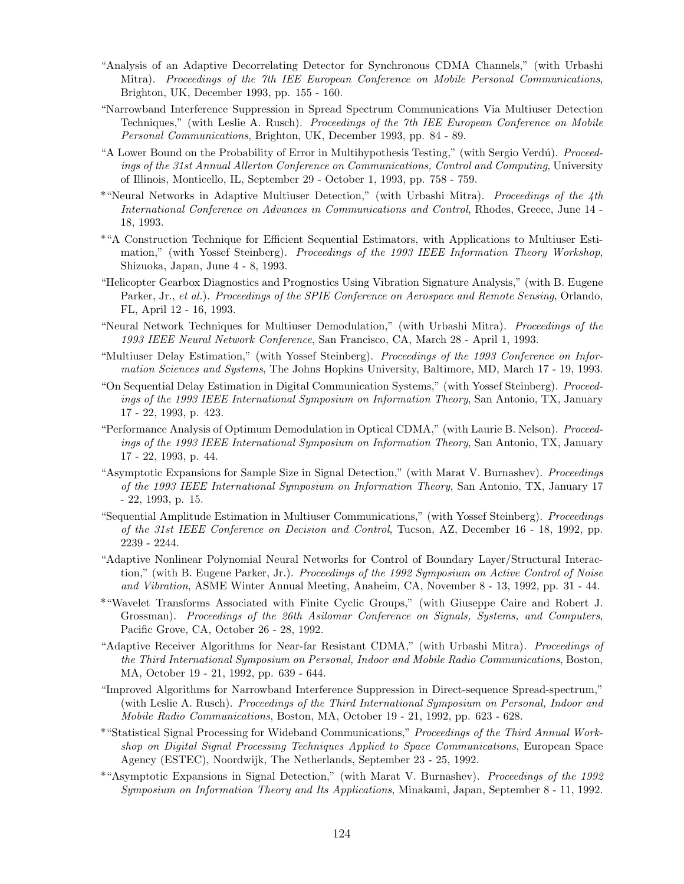- "Analysis of an Adaptive Decorrelating Detector for Synchronous CDMA Channels," (with Urbashi Mitra). Proceedings of the 7th IEE European Conference on Mobile Personal Communications, Brighton, UK, December 1993, pp. 155 - 160.
- "Narrowband Interference Suppression in Spread Spectrum Communications Via Multiuser Detection Techniques," (with Leslie A. Rusch). Proceedings of the 7th IEE European Conference on Mobile Personal Communications, Brighton, UK, December 1993, pp. 84 - 89.
- "A Lower Bound on the Probability of Error in Multihypothesis Testing," (with Sergio Verdú). Proceedings of the 31st Annual Allerton Conference on Communications, Control and Computing, University of Illinois, Monticello, IL, September 29 - October 1, 1993, pp. 758 - 759.
- \*"Neural Networks in Adaptive Multiuser Detection," (with Urbashi Mitra). Proceedings of the 4th International Conference on Advances in Communications and Control, Rhodes, Greece, June 14 - 18, 1993.
- \*"A Construction Technique for Efficient Sequential Estimators, with Applications to Multiuser Estimation," (with Yossef Steinberg). Proceedings of the 1993 IEEE Information Theory Workshop, Shizuoka, Japan, June 4 - 8, 1993.
- "Helicopter Gearbox Diagnostics and Prognostics Using Vibration Signature Analysis," (with B. Eugene Parker, Jr., et al.). Proceedings of the SPIE Conference on Aerospace and Remote Sensing, Orlando, FL, April 12 - 16, 1993.
- "Neural Network Techniques for Multiuser Demodulation," (with Urbashi Mitra). Proceedings of the 1993 IEEE Neural Network Conference, San Francisco, CA, March 28 - April 1, 1993.
- "Multiuser Delay Estimation," (with Yossef Steinberg). Proceedings of the 1993 Conference on Information Sciences and Systems, The Johns Hopkins University, Baltimore, MD, March 17 - 19, 1993.
- "On Sequential Delay Estimation in Digital Communication Systems," (with Yossef Steinberg). Proceedings of the 1993 IEEE International Symposium on Information Theory, San Antonio, TX, January 17 - 22, 1993, p. 423.
- "Performance Analysis of Optimum Demodulation in Optical CDMA," (with Laurie B. Nelson). Proceedings of the 1993 IEEE International Symposium on Information Theory, San Antonio, TX, January 17 - 22, 1993, p. 44.
- "Asymptotic Expansions for Sample Size in Signal Detection," (with Marat V. Burnashev). Proceedings of the 1993 IEEE International Symposium on Information Theory, San Antonio, TX, January 17 - 22, 1993, p. 15.
- "Sequential Amplitude Estimation in Multiuser Communications," (with Yossef Steinberg). Proceedings of the 31st IEEE Conference on Decision and Control, Tucson, AZ, December 16 - 18, 1992, pp. 2239 - 2244.
- "Adaptive Nonlinear Polynomial Neural Networks for Control of Boundary Layer/Structural Interaction," (with B. Eugene Parker, Jr.). Proceedings of the 1992 Symposium on Active Control of Noise and Vibration, ASME Winter Annual Meeting, Anaheim, CA, November 8 - 13, 1992, pp. 31 - 44.
- \*"Wavelet Transforms Associated with Finite Cyclic Groups," (with Giuseppe Caire and Robert J. Grossman). Proceedings of the 26th Asilomar Conference on Signals, Systems, and Computers, Pacific Grove, CA, October 26 - 28, 1992.
- "Adaptive Receiver Algorithms for Near-far Resistant CDMA," (with Urbashi Mitra). Proceedings of the Third International Symposium on Personal, Indoor and Mobile Radio Communications, Boston, MA, October 19 - 21, 1992, pp. 639 - 644.
- "Improved Algorithms for Narrowband Interference Suppression in Direct-sequence Spread-spectrum," (with Leslie A. Rusch). Proceedings of the Third International Symposium on Personal, Indoor and Mobile Radio Communications, Boston, MA, October 19 - 21, 1992, pp. 623 - 628.
- \*"Statistical Signal Processing for Wideband Communications," Proceedings of the Third Annual Workshop on Digital Signal Processing Techniques Applied to Space Communications, European Space Agency (ESTEC), Noordwijk, The Netherlands, September 23 - 25, 1992.
- \*"Asymptotic Expansions in Signal Detection," (with Marat V. Burnashev). Proceedings of the 1992 Symposium on Information Theory and Its Applications, Minakami, Japan, September 8 - 11, 1992.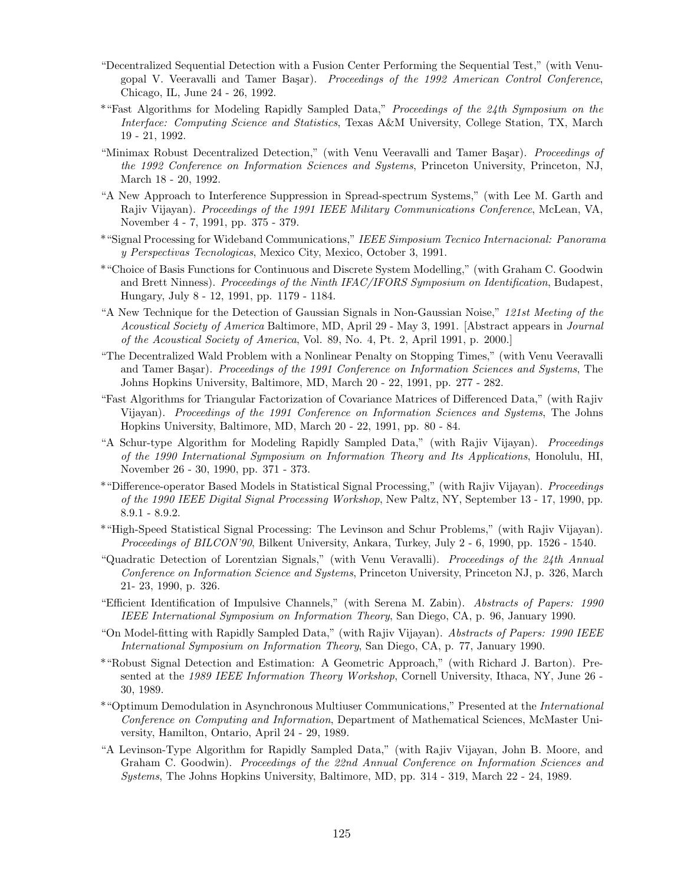- "Decentralized Sequential Detection with a Fusion Center Performing the Sequential Test," (with Venugopal V. Veeravalli and Tamer Başar). Proceedings of the 1992 American Control Conference, Chicago, IL, June 24 - 26, 1992.
- \*"Fast Algorithms for Modeling Rapidly Sampled Data," Proceedings of the 24th Symposium on the Interface: Computing Science and Statistics, Texas A&M University, College Station, TX, March 19 - 21, 1992.
- "Minimax Robust Decentralized Detection," (with Venu Veeravalli and Tamer Başar). Proceedings of the 1992 Conference on Information Sciences and Systems, Princeton University, Princeton, NJ, March 18 - 20, 1992.
- "A New Approach to Interference Suppression in Spread-spectrum Systems," (with Lee M. Garth and Rajiv Vijayan). Proceedings of the 1991 IEEE Military Communications Conference, McLean, VA, November 4 - 7, 1991, pp. 375 - 379.
- \*"Signal Processing for Wideband Communications," IEEE Simposium Tecnico Internacional: Panorama y Perspectivas Tecnologicas, Mexico City, Mexico, October 3, 1991.
- \*"Choice of Basis Functions for Continuous and Discrete System Modelling," (with Graham C. Goodwin and Brett Ninness). Proceedings of the Ninth IFAC/IFORS Symposium on Identification, Budapest, Hungary, July 8 - 12, 1991, pp. 1179 - 1184.
- "A New Technique for the Detection of Gaussian Signals in Non-Gaussian Noise," 121st Meeting of the Acoustical Society of America Baltimore, MD, April 29 - May 3, 1991. [Abstract appears in Journal of the Acoustical Society of America, Vol. 89, No. 4, Pt. 2, April 1991, p. 2000.]
- "The Decentralized Wald Problem with a Nonlinear Penalty on Stopping Times," (with Venu Veeravalli and Tamer Başar). Proceedings of the 1991 Conference on Information Sciences and Systems, The Johns Hopkins University, Baltimore, MD, March 20 - 22, 1991, pp. 277 - 282.
- "Fast Algorithms for Triangular Factorization of Covariance Matrices of Differenced Data," (with Rajiv Vijayan). Proceedings of the 1991 Conference on Information Sciences and Systems, The Johns Hopkins University, Baltimore, MD, March 20 - 22, 1991, pp. 80 - 84.
- "A Schur-type Algorithm for Modeling Rapidly Sampled Data," (with Rajiv Vijayan). Proceedings of the 1990 International Symposium on Information Theory and Its Applications, Honolulu, HI, November 26 - 30, 1990, pp. 371 - 373.
- \*"Difference-operator Based Models in Statistical Signal Processing," (with Rajiv Vijayan). Proceedings of the 1990 IEEE Digital Signal Processing Workshop, New Paltz, NY, September 13 - 17, 1990, pp. 8.9.1 - 8.9.2.
- \*"High-Speed Statistical Signal Processing: The Levinson and Schur Problems," (with Rajiv Vijayan). Proceedings of BILCON'90, Bilkent University, Ankara, Turkey, July 2 - 6, 1990, pp. 1526 - 1540.
- "Quadratic Detection of Lorentzian Signals," (with Venu Veravalli). Proceedings of the 24th Annual Conference on Information Science and Systems, Princeton University, Princeton NJ, p. 326, March 21- 23, 1990, p. 326.
- "Efficient Identification of Impulsive Channels," (with Serena M. Zabin). Abstracts of Papers: 1990 IEEE International Symposium on Information Theory, San Diego, CA, p. 96, January 1990.
- "On Model-fitting with Rapidly Sampled Data," (with Rajiv Vijayan). Abstracts of Papers: 1990 IEEE International Symposium on Information Theory, San Diego, CA, p. 77, January 1990.
- \*"Robust Signal Detection and Estimation: A Geometric Approach," (with Richard J. Barton). Presented at the 1989 IEEE Information Theory Workshop, Cornell University, Ithaca, NY, June 26 -30, 1989.
- \*"Optimum Demodulation in Asynchronous Multiuser Communications," Presented at the International Conference on Computing and Information, Department of Mathematical Sciences, McMaster University, Hamilton, Ontario, April 24 - 29, 1989.
- "A Levinson-Type Algorithm for Rapidly Sampled Data," (with Rajiv Vijayan, John B. Moore, and Graham C. Goodwin). *Proceedings of the 22nd Annual Conference on Information Sciences and* Systems, The Johns Hopkins University, Baltimore, MD, pp. 314 - 319, March 22 - 24, 1989.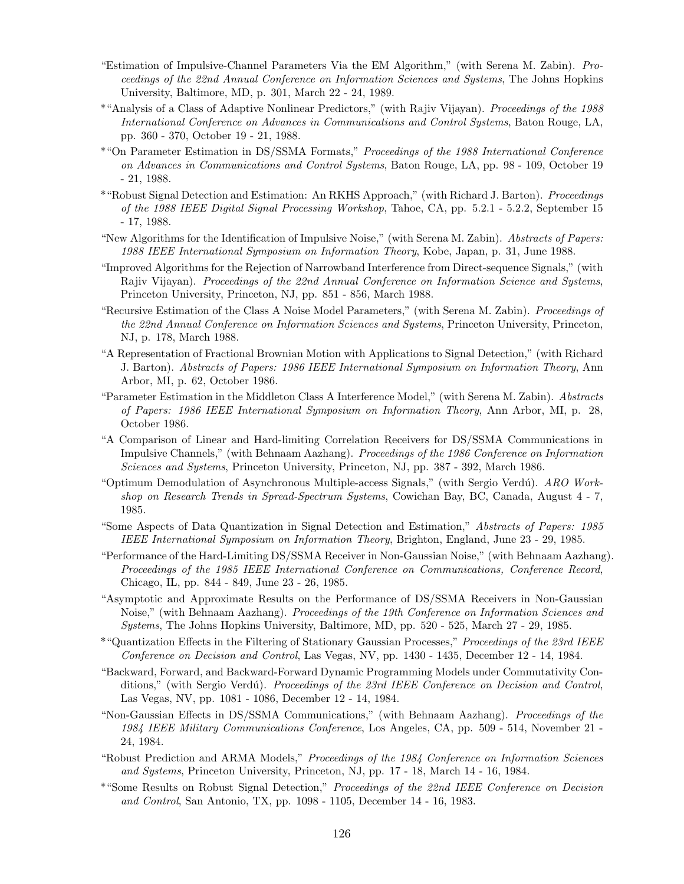- "Estimation of Impulsive-Channel Parameters Via the EM Algorithm," (with Serena M. Zabin). Proceedings of the 22nd Annual Conference on Information Sciences and Systems, The Johns Hopkins University, Baltimore, MD, p. 301, March 22 - 24, 1989.
- \*"Analysis of a Class of Adaptive Nonlinear Predictors," (with Rajiv Vijayan). Proceedings of the 1988 International Conference on Advances in Communications and Control Systems, Baton Rouge, LA, pp. 360 - 370, October 19 - 21, 1988.
- \*"On Parameter Estimation in DS/SSMA Formats," Proceedings of the 1988 International Conference on Advances in Communications and Control Systems, Baton Rouge, LA, pp. 98 - 109, October 19 - 21, 1988.
- \*"Robust Signal Detection and Estimation: An RKHS Approach," (with Richard J. Barton). Proceedings of the 1988 IEEE Digital Signal Processing Workshop, Tahoe, CA, pp. 5.2.1 - 5.2.2, September 15 - 17, 1988.
- "New Algorithms for the Identification of Impulsive Noise," (with Serena M. Zabin). Abstracts of Papers: 1988 IEEE International Symposium on Information Theory, Kobe, Japan, p. 31, June 1988.
- "Improved Algorithms for the Rejection of Narrowband Interference from Direct-sequence Signals," (with Rajiv Vijayan). Proceedings of the 22nd Annual Conference on Information Science and Systems, Princeton University, Princeton, NJ, pp. 851 - 856, March 1988.
- "Recursive Estimation of the Class A Noise Model Parameters," (with Serena M. Zabin). Proceedings of the 22nd Annual Conference on Information Sciences and Systems, Princeton University, Princeton, NJ, p. 178, March 1988.
- "A Representation of Fractional Brownian Motion with Applications to Signal Detection," (with Richard J. Barton). Abstracts of Papers: 1986 IEEE International Symposium on Information Theory, Ann Arbor, MI, p. 62, October 1986.
- "Parameter Estimation in the Middleton Class A Interference Model," (with Serena M. Zabin). Abstracts of Papers: 1986 IEEE International Symposium on Information Theory, Ann Arbor, MI, p. 28, October 1986.
- "A Comparison of Linear and Hard-limiting Correlation Receivers for DS/SSMA Communications in Impulsive Channels," (with Behnaam Aazhang). Proceedings of the 1986 Conference on Information Sciences and Systems, Princeton University, Princeton, NJ, pp. 387 - 392, March 1986.
- "Optimum Demodulation of Asynchronous Multiple-access Signals," (with Sergio Verdú). ARO Workshop on Research Trends in Spread-Spectrum Systems, Cowichan Bay, BC, Canada, August 4 - 7, 1985.
- "Some Aspects of Data Quantization in Signal Detection and Estimation," Abstracts of Papers: 1985 IEEE International Symposium on Information Theory, Brighton, England, June 23 - 29, 1985.
- "Performance of the Hard-Limiting DS/SSMA Receiver in Non-Gaussian Noise," (with Behnaam Aazhang). Proceedings of the 1985 IEEE International Conference on Communications, Conference Record, Chicago, IL, pp. 844 - 849, June 23 - 26, 1985.
- "Asymptotic and Approximate Results on the Performance of DS/SSMA Receivers in Non-Gaussian Noise," (with Behnaam Aazhang). Proceedings of the 19th Conference on Information Sciences and Systems, The Johns Hopkins University, Baltimore, MD, pp. 520 - 525, March 27 - 29, 1985.
- \*"Quantization Effects in the Filtering of Stationary Gaussian Processes," Proceedings of the 23rd IEEE Conference on Decision and Control, Las Vegas, NV, pp. 1430 - 1435, December 12 - 14, 1984.
- "Backward, Forward, and Backward-Forward Dynamic Programming Models under Commutativity Conditions," (with Sergio Verdú). Proceedings of the 23rd IEEE Conference on Decision and Control, Las Vegas, NV, pp. 1081 - 1086, December 12 - 14, 1984.
- "Non-Gaussian Effects in DS/SSMA Communications," (with Behnaam Aazhang). Proceedings of the 1984 IEEE Military Communications Conference, Los Angeles, CA, pp. 509 - 514, November 21 - 24, 1984.
- "Robust Prediction and ARMA Models," Proceedings of the 1984 Conference on Information Sciences and Systems, Princeton University, Princeton, NJ, pp. 17 - 18, March 14 - 16, 1984.
- \*"Some Results on Robust Signal Detection," Proceedings of the 22nd IEEE Conference on Decision and Control, San Antonio, TX, pp. 1098 - 1105, December 14 - 16, 1983.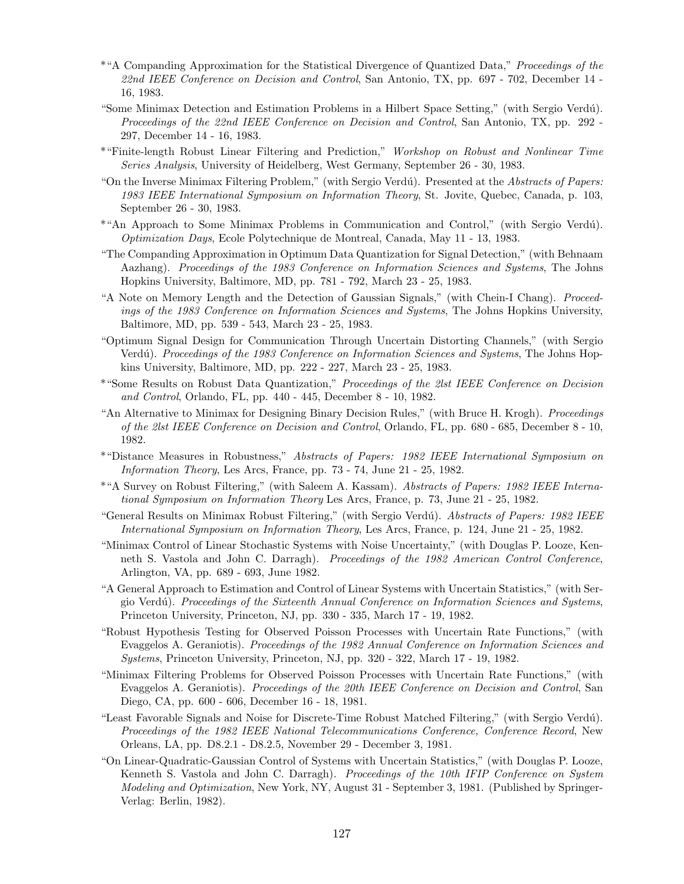- \*"A Companding Approximation for the Statistical Divergence of Quantized Data," Proceedings of the 22nd IEEE Conference on Decision and Control, San Antonio, TX, pp. 697 - 702, December 14 -16, 1983.
- "Some Minimax Detection and Estimation Problems in a Hilbert Space Setting," (with Sergio Verd´u). Proceedings of the 22nd IEEE Conference on Decision and Control, San Antonio, TX, pp. 292 - 297, December 14 - 16, 1983.
- \*"Finite-length Robust Linear Filtering and Prediction," Workshop on Robust and Nonlinear Time Series Analysis, University of Heidelberg, West Germany, September 26 - 30, 1983.
- "On the Inverse Minimax Filtering Problem," (with Sergio Verdú). Presented at the Abstracts of Papers: 1983 IEEE International Symposium on Information Theory, St. Jovite, Quebec, Canada, p. 103, September 26 - 30, 1983.
- \*"An Approach to Some Minimax Problems in Communication and Control," (with Sergio Verdú). Optimization Days, Ecole Polytechnique de Montreal, Canada, May 11 - 13, 1983.
- "The Companding Approximation in Optimum Data Quantization for Signal Detection," (with Behnaam Aazhang). Proceedings of the 1983 Conference on Information Sciences and Systems, The Johns Hopkins University, Baltimore, MD, pp. 781 - 792, March 23 - 25, 1983.
- "A Note on Memory Length and the Detection of Gaussian Signals," (with Chein-I Chang). Proceedings of the 1983 Conference on Information Sciences and Systems, The Johns Hopkins University, Baltimore, MD, pp. 539 - 543, March 23 - 25, 1983.
- "Optimum Signal Design for Communication Through Uncertain Distorting Channels," (with Sergio Verdú). Proceedings of the 1983 Conference on Information Sciences and Systems, The Johns Hopkins University, Baltimore, MD, pp. 222 - 227, March 23 - 25, 1983.
- \*"Some Results on Robust Data Quantization," Proceedings of the 2lst IEEE Conference on Decision and Control, Orlando, FL, pp. 440 - 445, December 8 - 10, 1982.
- "An Alternative to Minimax for Designing Binary Decision Rules," (with Bruce H. Krogh). Proceedings of the 2lst IEEE Conference on Decision and Control, Orlando, FL, pp. 680 - 685, December 8 - 10, 1982.
- \*"Distance Measures in Robustness," Abstracts of Papers: 1982 IEEE International Symposium on Information Theory, Les Arcs, France, pp. 73 - 74, June 21 - 25, 1982.
- \*"A Survey on Robust Filtering," (with Saleem A. Kassam). Abstracts of Papers: 1982 IEEE International Symposium on Information Theory Les Arcs, France, p. 73, June 21 - 25, 1982.
- "General Results on Minimax Robust Filtering," (with Sergio Verdú). Abstracts of Papers: 1982 IEEE International Symposium on Information Theory, Les Arcs, France, p. 124, June 21 - 25, 1982.
- "Minimax Control of Linear Stochastic Systems with Noise Uncertainty," (with Douglas P. Looze, Kenneth S. Vastola and John C. Darragh). Proceedings of the 1982 American Control Conference, Arlington, VA, pp. 689 - 693, June 1982.
- "A General Approach to Estimation and Control of Linear Systems with Uncertain Statistics," (with Sergio Verdú). Proceedings of the Sixteenth Annual Conference on Information Sciences and Systems, Princeton University, Princeton, NJ, pp. 330 - 335, March 17 - 19, 1982.
- "Robust Hypothesis Testing for Observed Poisson Processes with Uncertain Rate Functions," (with Evaggelos A. Geraniotis). Proceedings of the 1982 Annual Conference on Information Sciences and Systems, Princeton University, Princeton, NJ, pp. 320 - 322, March 17 - 19, 1982.
- "Minimax Filtering Problems for Observed Poisson Processes with Uncertain Rate Functions," (with Evaggelos A. Geraniotis). Proceedings of the 20th IEEE Conference on Decision and Control, San Diego, CA, pp. 600 - 606, December 16 - 18, 1981.
- "Least Favorable Signals and Noise for Discrete-Time Robust Matched Filtering," (with Sergio Verdú). Proceedings of the 1982 IEEE National Telecommunications Conference, Conference Record, New Orleans, LA, pp. D8.2.1 - D8.2.5, November 29 - December 3, 1981.
- "On Linear-Quadratic-Gaussian Control of Systems with Uncertain Statistics," (with Douglas P. Looze, Kenneth S. Vastola and John C. Darragh). Proceedings of the 10th IFIP Conference on System Modeling and Optimization, New York, NY, August 31 - September 3, 1981. (Published by Springer-Verlag: Berlin, 1982).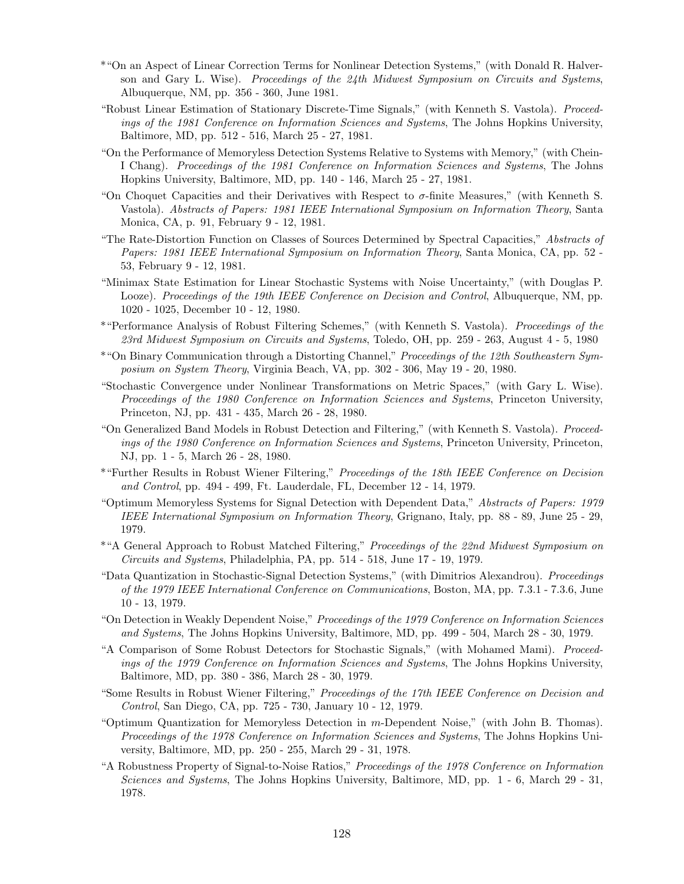- \*"On an Aspect of Linear Correction Terms for Nonlinear Detection Systems," (with Donald R. Halverson and Gary L. Wise). Proceedings of the  $24$ th Midwest Symposium on Circuits and Systems, Albuquerque, NM, pp. 356 - 360, June 1981.
- "Robust Linear Estimation of Stationary Discrete-Time Signals," (with Kenneth S. Vastola). Proceedings of the 1981 Conference on Information Sciences and Systems, The Johns Hopkins University, Baltimore, MD, pp. 512 - 516, March 25 - 27, 1981.
- "On the Performance of Memoryless Detection Systems Relative to Systems with Memory," (with Chein-I Chang). Proceedings of the 1981 Conference on Information Sciences and Systems, The Johns Hopkins University, Baltimore, MD, pp. 140 - 146, March 25 - 27, 1981.
- "On Choquet Capacities and their Derivatives with Respect to  $\sigma$ -finite Measures," (with Kenneth S. Vastola). Abstracts of Papers: 1981 IEEE International Symposium on Information Theory, Santa Monica, CA, p. 91, February 9 - 12, 1981.
- "The Rate-Distortion Function on Classes of Sources Determined by Spectral Capacities," Abstracts of Papers: 1981 IEEE International Symposium on Information Theory, Santa Monica, CA, pp. 52 - 53, February 9 - 12, 1981.
- "Minimax State Estimation for Linear Stochastic Systems with Noise Uncertainty," (with Douglas P. Looze). Proceedings of the 19th IEEE Conference on Decision and Control, Albuquerque, NM, pp. 1020 - 1025, December 10 - 12, 1980.
- \*"Performance Analysis of Robust Filtering Schemes," (with Kenneth S. Vastola). Proceedings of the 23rd Midwest Symposium on Circuits and Systems, Toledo, OH, pp. 259 - 263, August 4 - 5, 1980
- \*"On Binary Communication through a Distorting Channel," Proceedings of the 12th Southeastern Symposium on System Theory, Virginia Beach, VA, pp. 302 - 306, May 19 - 20, 1980.
- "Stochastic Convergence under Nonlinear Transformations on Metric Spaces," (with Gary L. Wise). Proceedings of the 1980 Conference on Information Sciences and Systems, Princeton University, Princeton, NJ, pp. 431 - 435, March 26 - 28, 1980.
- "On Generalized Band Models in Robust Detection and Filtering," (with Kenneth S. Vastola). Proceedings of the 1980 Conference on Information Sciences and Systems, Princeton University, Princeton, NJ, pp. 1 - 5, March 26 - 28, 1980.
- \*"Further Results in Robust Wiener Filtering," Proceedings of the 18th IEEE Conference on Decision and Control, pp. 494 - 499, Ft. Lauderdale, FL, December 12 - 14, 1979.
- "Optimum Memoryless Systems for Signal Detection with Dependent Data," Abstracts of Papers: 1979 IEEE International Symposium on Information Theory, Grignano, Italy, pp. 88 - 89, June 25 - 29, 1979.
- \*"A General Approach to Robust Matched Filtering," Proceedings of the 22nd Midwest Symposium on Circuits and Systems, Philadelphia, PA, pp. 514 - 518, June 17 - 19, 1979.
- "Data Quantization in Stochastic-Signal Detection Systems," (with Dimitrios Alexandrou). Proceedings of the 1979 IEEE International Conference on Communications, Boston, MA, pp. 7.3.1 - 7.3.6, June 10 - 13, 1979.
- "On Detection in Weakly Dependent Noise," Proceedings of the 1979 Conference on Information Sciences and Systems, The Johns Hopkins University, Baltimore, MD, pp. 499 - 504, March 28 - 30, 1979.
- "A Comparison of Some Robust Detectors for Stochastic Signals," (with Mohamed Mami). Proceedings of the 1979 Conference on Information Sciences and Systems, The Johns Hopkins University, Baltimore, MD, pp. 380 - 386, March 28 - 30, 1979.
- "Some Results in Robust Wiener Filtering," Proceedings of the 17th IEEE Conference on Decision and Control, San Diego, CA, pp. 725 - 730, January 10 - 12, 1979.
- "Optimum Quantization for Memoryless Detection in m-Dependent Noise," (with John B. Thomas). Proceedings of the 1978 Conference on Information Sciences and Systems, The Johns Hopkins University, Baltimore, MD, pp. 250 - 255, March 29 - 31, 1978.
- "A Robustness Property of Signal-to-Noise Ratios," Proceedings of the 1978 Conference on Information Sciences and Systems, The Johns Hopkins University, Baltimore, MD, pp. 1 - 6, March 29 - 31, 1978.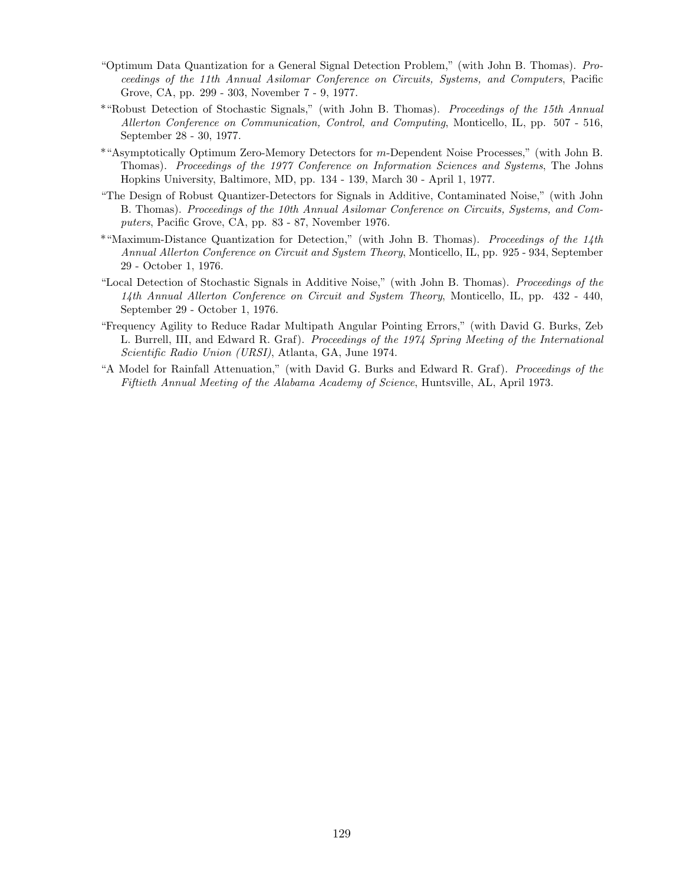- "Optimum Data Quantization for a General Signal Detection Problem," (with John B. Thomas). Proceedings of the 11th Annual Asilomar Conference on Circuits, Systems, and Computers, Pacific Grove, CA, pp. 299 - 303, November 7 - 9, 1977.
- \*"Robust Detection of Stochastic Signals," (with John B. Thomas). Proceedings of the 15th Annual Allerton Conference on Communication, Control, and Computing, Monticello, IL, pp. 507 - 516, September 28 - 30, 1977.
- \*"Asymptotically Optimum Zero-Memory Detectors for m-Dependent Noise Processes," (with John B. Thomas). Proceedings of the 1977 Conference on Information Sciences and Systems, The Johns Hopkins University, Baltimore, MD, pp. 134 - 139, March 30 - April 1, 1977.
- "The Design of Robust Quantizer-Detectors for Signals in Additive, Contaminated Noise," (with John B. Thomas). Proceedings of the 10th Annual Asilomar Conference on Circuits, Systems, and Computers, Pacific Grove, CA, pp. 83 - 87, November 1976.
- \*"Maximum-Distance Quantization for Detection," (with John B. Thomas). Proceedings of the 14th Annual Allerton Conference on Circuit and System Theory, Monticello, IL, pp. 925 - 934, September 29 - October 1, 1976.
- "Local Detection of Stochastic Signals in Additive Noise," (with John B. Thomas). Proceedings of the 14th Annual Allerton Conference on Circuit and System Theory, Monticello, IL, pp. 432 - 440, September 29 - October 1, 1976.
- "Frequency Agility to Reduce Radar Multipath Angular Pointing Errors," (with David G. Burks, Zeb L. Burrell, III, and Edward R. Graf). Proceedings of the 1974 Spring Meeting of the International Scientific Radio Union (URSI), Atlanta, GA, June 1974.
- "A Model for Rainfall Attenuation," (with David G. Burks and Edward R. Graf). Proceedings of the Fiftieth Annual Meeting of the Alabama Academy of Science, Huntsville, AL, April 1973.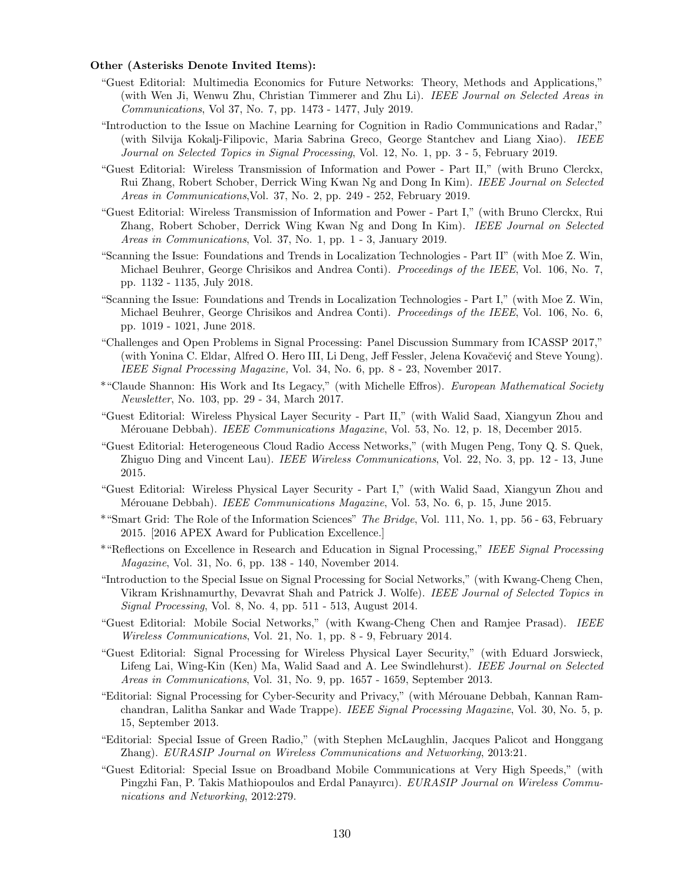#### Other (Asterisks Denote Invited Items):

- "Guest Editorial: Multimedia Economics for Future Networks: Theory, Methods and Applications," (with Wen Ji, Wenwu Zhu, Christian Timmerer and Zhu Li). IEEE Journal on Selected Areas in Communications, Vol 37, No. 7, pp. 1473 - 1477, July 2019.
- "Introduction to the Issue on Machine Learning for Cognition in Radio Communications and Radar," (with Silvija Kokalj-Filipovic, Maria Sabrina Greco, George Stantchev and Liang Xiao). IEEE Journal on Selected Topics in Signal Processing, Vol. 12, No. 1, pp. 3 - 5, February 2019.
- "Guest Editorial: Wireless Transmission of Information and Power Part II," (with Bruno Clerckx, Rui Zhang, Robert Schober, Derrick Wing Kwan Ng and Dong In Kim). IEEE Journal on Selected Areas in Communications,Vol. 37, No. 2, pp. 249 - 252, February 2019.
- "Guest Editorial: Wireless Transmission of Information and Power Part I," (with Bruno Clerckx, Rui Zhang, Robert Schober, Derrick Wing Kwan Ng and Dong In Kim). IEEE Journal on Selected Areas in Communications, Vol. 37, No. 1, pp. 1 - 3, January 2019.
- "Scanning the Issue: Foundations and Trends in Localization Technologies Part II" (with Moe Z. Win, Michael Beuhrer, George Chrisikos and Andrea Conti). Proceedings of the IEEE, Vol. 106, No. 7, pp. 1132 - 1135, July 2018.
- "Scanning the Issue: Foundations and Trends in Localization Technologies Part I," (with Moe Z. Win, Michael Beuhrer, George Chrisikos and Andrea Conti). Proceedings of the IEEE, Vol. 106, No. 6, pp. 1019 - 1021, June 2018.
- "Challenges and Open Problems in Signal Processing: Panel Discussion Summary from ICASSP 2017," (with Yonina C. Eldar, Alfred O. Hero III, Li Deng, Jeff Fessler, Jelena Kovačević and Steve Young). IEEE Signal Processing Magazine, Vol. 34, No. 6, pp. 8 - 23, November 2017.
- \*"Claude Shannon: His Work and Its Legacy," (with Michelle Effros). European Mathematical Society Newsletter, No. 103, pp. 29 - 34, March 2017.
- "Guest Editorial: Wireless Physical Layer Security Part II," (with Walid Saad, Xiangyun Zhou and Mérouane Debbah). IEEE Communications Magazine, Vol. 53, No. 12, p. 18, December 2015.
- "Guest Editorial: Heterogeneous Cloud Radio Access Networks," (with Mugen Peng, Tony Q. S. Quek, Zhiguo Ding and Vincent Lau). *IEEE Wireless Communications*, Vol. 22, No. 3, pp. 12 - 13, June 2015.
- "Guest Editorial: Wireless Physical Layer Security Part I," (with Walid Saad, Xiangyun Zhou and Mérouane Debbah). *IEEE Communications Magazine*, Vol. 53, No. 6, p. 15, June 2015.
- \*"Smart Grid: The Role of the Information Sciences" The Bridge, Vol. 111, No. 1, pp. 56 63, February 2015. [2016 APEX Award for Publication Excellence.]
- \*"Reflections on Excellence in Research and Education in Signal Processing," IEEE Signal Processing Magazine, Vol. 31, No. 6, pp. 138 - 140, November 2014.
- "Introduction to the Special Issue on Signal Processing for Social Networks," (with Kwang-Cheng Chen, Vikram Krishnamurthy, Devavrat Shah and Patrick J. Wolfe). IEEE Journal of Selected Topics in Signal Processing, Vol. 8, No. 4, pp. 511 - 513, August 2014.
- "Guest Editorial: Mobile Social Networks," (with Kwang-Cheng Chen and Ramjee Prasad). IEEE Wireless Communications, Vol. 21, No. 1, pp. 8 - 9, February 2014.
- "Guest Editorial: Signal Processing for Wireless Physical Layer Security," (with Eduard Jorswieck, Lifeng Lai, Wing-Kin (Ken) Ma, Walid Saad and A. Lee Swindlehurst). IEEE Journal on Selected Areas in Communications, Vol. 31, No. 9, pp. 1657 - 1659, September 2013.
- "Editorial: Signal Processing for Cyber-Security and Privacy," (with M´erouane Debbah, Kannan Ramchandran, Lalitha Sankar and Wade Trappe). IEEE Signal Processing Magazine, Vol. 30, No. 5, p. 15, September 2013.
- "Editorial: Special Issue of Green Radio," (with Stephen McLaughlin, Jacques Palicot and Honggang Zhang). EURASIP Journal on Wireless Communications and Networking, 2013:21.
- "Guest Editorial: Special Issue on Broadband Mobile Communications at Very High Speeds," (with Pingzhi Fan, P. Takis Mathiopoulos and Erdal Panayırcı). EURASIP Journal on Wireless Communications and Networking, 2012:279.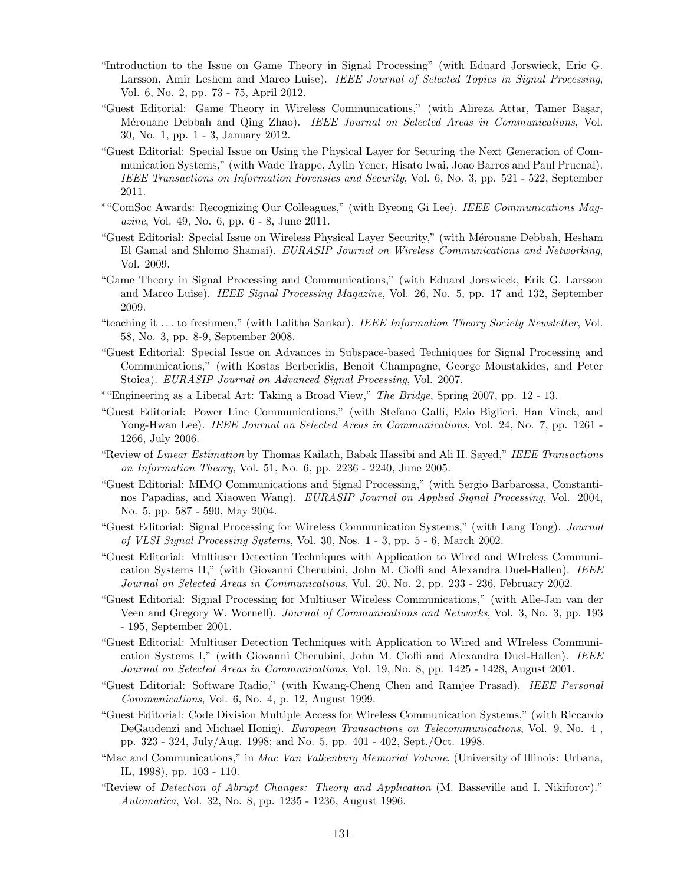- "Introduction to the Issue on Game Theory in Signal Processing" (with Eduard Jorswieck, Eric G. Larsson, Amir Leshem and Marco Luise). IEEE Journal of Selected Topics in Signal Processing, Vol. 6, No. 2, pp. 73 - 75, April 2012.
- "Guest Editorial: Game Theory in Wireless Communications," (with Alireza Attar, Tamer Başar, Mérouane Debbah and Qing Zhao). IEEE Journal on Selected Areas in Communications, Vol. 30, No. 1, pp. 1 - 3, January 2012.
- "Guest Editorial: Special Issue on Using the Physical Layer for Securing the Next Generation of Communication Systems," (with Wade Trappe, Aylin Yener, Hisato Iwai, Joao Barros and Paul Prucnal). IEEE Transactions on Information Forensics and Security, Vol. 6, No. 3, pp. 521 - 522, September 2011.
- \*"ComSoc Awards: Recognizing Our Colleagues," (with Byeong Gi Lee). IEEE Communications Magazine, Vol. 49, No. 6, pp. 6 - 8, June 2011.
- "Guest Editorial: Special Issue on Wireless Physical Layer Security," (with Mérouane Debbah, Hesham El Gamal and Shlomo Shamai). EURASIP Journal on Wireless Communications and Networking, Vol. 2009.
- "Game Theory in Signal Processing and Communications," (with Eduard Jorswieck, Erik G. Larsson and Marco Luise). IEEE Signal Processing Magazine, Vol. 26, No. 5, pp. 17 and 132, September 2009.
- "teaching it ... to freshmen," (with Lalitha Sankar). IEEE Information Theory Society Newsletter, Vol. 58, No. 3, pp. 8-9, September 2008.
- "Guest Editorial: Special Issue on Advances in Subspace-based Techniques for Signal Processing and Communications," (with Kostas Berberidis, Benoit Champagne, George Moustakides, and Peter Stoica). EURASIP Journal on Advanced Signal Processing, Vol. 2007.
- \*"Engineering as a Liberal Art: Taking a Broad View," The Bridge, Spring 2007, pp. 12 13.
- "Guest Editorial: Power Line Communications," (with Stefano Galli, Ezio Biglieri, Han Vinck, and Yong-Hwan Lee). *IEEE Journal on Selected Areas in Communications*, Vol. 24, No. 7, pp. 1261 -1266, July 2006.
- "Review of Linear Estimation by Thomas Kailath, Babak Hassibi and Ali H. Sayed," IEEE Transactions on Information Theory, Vol. 51, No. 6, pp. 2236 - 2240, June 2005.
- "Guest Editorial: MIMO Communications and Signal Processing," (with Sergio Barbarossa, Constantinos Papadias, and Xiaowen Wang). EURASIP Journal on Applied Signal Processing, Vol. 2004, No. 5, pp. 587 - 590, May 2004.
- "Guest Editorial: Signal Processing for Wireless Communication Systems," (with Lang Tong). Journal of VLSI Signal Processing Systems, Vol. 30, Nos. 1 - 3, pp. 5 - 6, March 2002.
- "Guest Editorial: Multiuser Detection Techniques with Application to Wired and WIreless Communication Systems II," (with Giovanni Cherubini, John M. Cioffi and Alexandra Duel-Hallen). IEEE Journal on Selected Areas in Communications, Vol. 20, No. 2, pp. 233 - 236, February 2002.
- "Guest Editorial: Signal Processing for Multiuser Wireless Communications," (with Alle-Jan van der Veen and Gregory W. Wornell). Journal of Communications and Networks, Vol. 3, No. 3, pp. 193 - 195, September 2001.
- "Guest Editorial: Multiuser Detection Techniques with Application to Wired and WIreless Communication Systems I," (with Giovanni Cherubini, John M. Cioffi and Alexandra Duel-Hallen). IEEE Journal on Selected Areas in Communications, Vol. 19, No. 8, pp. 1425 - 1428, August 2001.
- "Guest Editorial: Software Radio," (with Kwang-Cheng Chen and Ramjee Prasad). IEEE Personal Communications, Vol. 6, No. 4, p. 12, August 1999.
- "Guest Editorial: Code Division Multiple Access for Wireless Communication Systems," (with Riccardo DeGaudenzi and Michael Honig). European Transactions on Telecommunications, Vol. 9, No. 4 , pp. 323 - 324, July/Aug. 1998; and No. 5, pp. 401 - 402, Sept./Oct. 1998.
- "Mac and Communications," in Mac Van Valkenburg Memorial Volume, (University of Illinois: Urbana, IL, 1998), pp. 103 - 110.
- "Review of Detection of Abrupt Changes: Theory and Application (M. Basseville and I. Nikiforov)." Automatica, Vol. 32, No. 8, pp. 1235 - 1236, August 1996.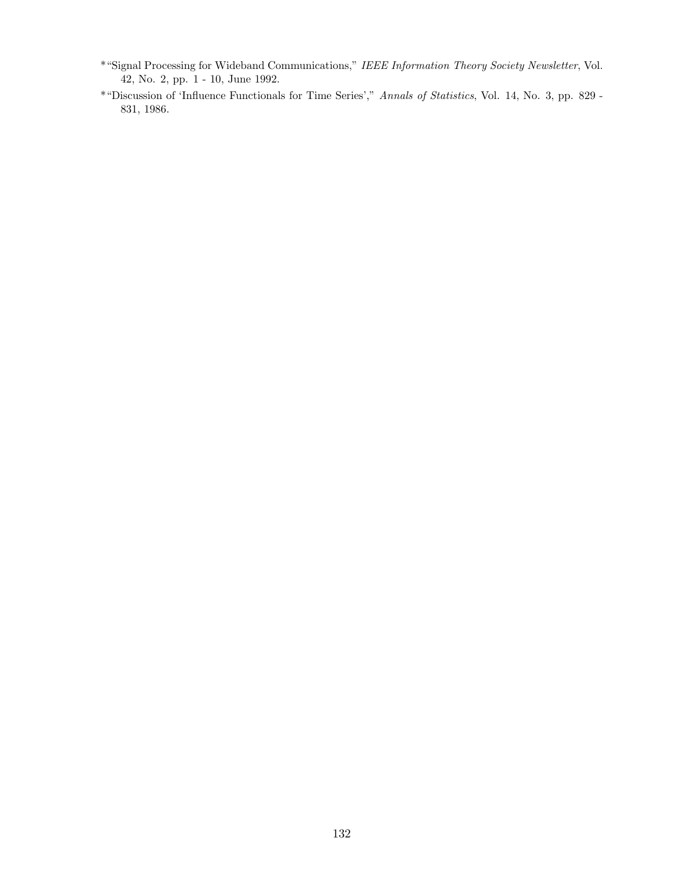- \*"Signal Processing for Wideband Communications," IEEE Information Theory Society Newsletter, Vol. 42, No. 2, pp. 1 - 10, June 1992.
- \*"Discussion of 'Influence Functionals for Time Series'," Annals of Statistics, Vol. 14, No. 3, pp. 829 831, 1986.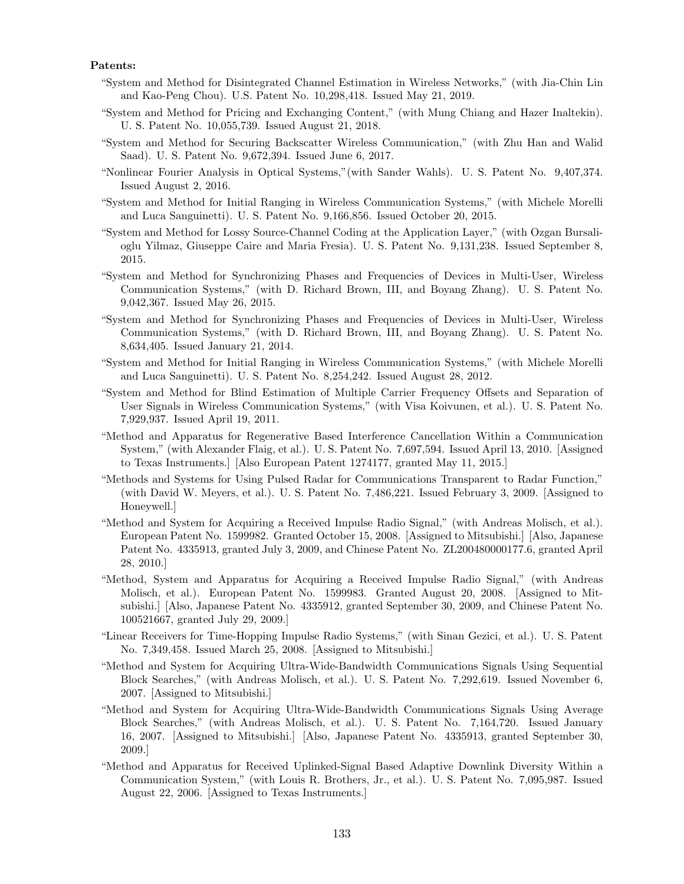## Patents:

- "System and Method for Disintegrated Channel Estimation in Wireless Networks," (with Jia-Chin Lin and Kao-Peng Chou). U.S. Patent No. 10,298,418. Issued May 21, 2019.
- "System and Method for Pricing and Exchanging Content," (with Mung Chiang and Hazer Inaltekin). U. S. Patent No. 10,055,739. Issued August 21, 2018.
- "System and Method for Securing Backscatter Wireless Communication," (with Zhu Han and Walid Saad). U. S. Patent No. 9,672,394. Issued June 6, 2017.
- "Nonlinear Fourier Analysis in Optical Systems,"(with Sander Wahls). U. S. Patent No. 9,407,374. Issued August 2, 2016.
- "System and Method for Initial Ranging in Wireless Communication Systems," (with Michele Morelli and Luca Sanguinetti). U. S. Patent No. 9,166,856. Issued October 20, 2015.
- "System and Method for Lossy Source-Channel Coding at the Application Layer," (with Ozgan Bursalioglu Yilmaz, Giuseppe Caire and Maria Fresia). U. S. Patent No. 9,131,238. Issued September 8, 2015.
- "System and Method for Synchronizing Phases and Frequencies of Devices in Multi-User, Wireless Communication Systems," (with D. Richard Brown, III, and Boyang Zhang). U. S. Patent No. 9,042,367. Issued May 26, 2015.
- "System and Method for Synchronizing Phases and Frequencies of Devices in Multi-User, Wireless Communication Systems," (with D. Richard Brown, III, and Boyang Zhang). U. S. Patent No. 8,634,405. Issued January 21, 2014.
- "System and Method for Initial Ranging in Wireless Communication Systems," (with Michele Morelli and Luca Sanguinetti). U. S. Patent No. 8,254,242. Issued August 28, 2012.
- "System and Method for Blind Estimation of Multiple Carrier Frequency Offsets and Separation of User Signals in Wireless Communication Systems," (with Visa Koivunen, et al.). U. S. Patent No. 7,929,937. Issued April 19, 2011.
- "Method and Apparatus for Regenerative Based Interference Cancellation Within a Communication System," (with Alexander Flaig, et al.). U. S. Patent No. 7,697,594. Issued April 13, 2010. [Assigned to Texas Instruments.] [Also European Patent 1274177, granted May 11, 2015.]
- "Methods and Systems for Using Pulsed Radar for Communications Transparent to Radar Function," (with David W. Meyers, et al.). U. S. Patent No. 7,486,221. Issued February 3, 2009. [Assigned to Honeywell.]
- "Method and System for Acquiring a Received Impulse Radio Signal," (with Andreas Molisch, et al.). European Patent No. 1599982. Granted October 15, 2008. [Assigned to Mitsubishi.] [Also, Japanese Patent No. 4335913, granted July 3, 2009, and Chinese Patent No. ZL200480000177.6, granted April 28, 2010.]
- "Method, System and Apparatus for Acquiring a Received Impulse Radio Signal," (with Andreas Molisch, et al.). European Patent No. 1599983. Granted August 20, 2008. [Assigned to Mitsubishi.] [Also, Japanese Patent No. 4335912, granted September 30, 2009, and Chinese Patent No. 100521667, granted July 29, 2009.]
- "Linear Receivers for Time-Hopping Impulse Radio Systems," (with Sinan Gezici, et al.). U. S. Patent No. 7,349,458. Issued March 25, 2008. [Assigned to Mitsubishi.]
- "Method and System for Acquiring Ultra-Wide-Bandwidth Communications Signals Using Sequential Block Searches," (with Andreas Molisch, et al.). U. S. Patent No. 7,292,619. Issued November 6, 2007. [Assigned to Mitsubishi.]
- "Method and System for Acquiring Ultra-Wide-Bandwidth Communications Signals Using Average Block Searches," (with Andreas Molisch, et al.). U. S. Patent No. 7,164,720. Issued January 16, 2007. [Assigned to Mitsubishi.] [Also, Japanese Patent No. 4335913, granted September 30, 2009.]
- "Method and Apparatus for Received Uplinked-Signal Based Adaptive Downlink Diversity Within a Communication System," (with Louis R. Brothers, Jr., et al.). U. S. Patent No. 7,095,987. Issued August 22, 2006. [Assigned to Texas Instruments.]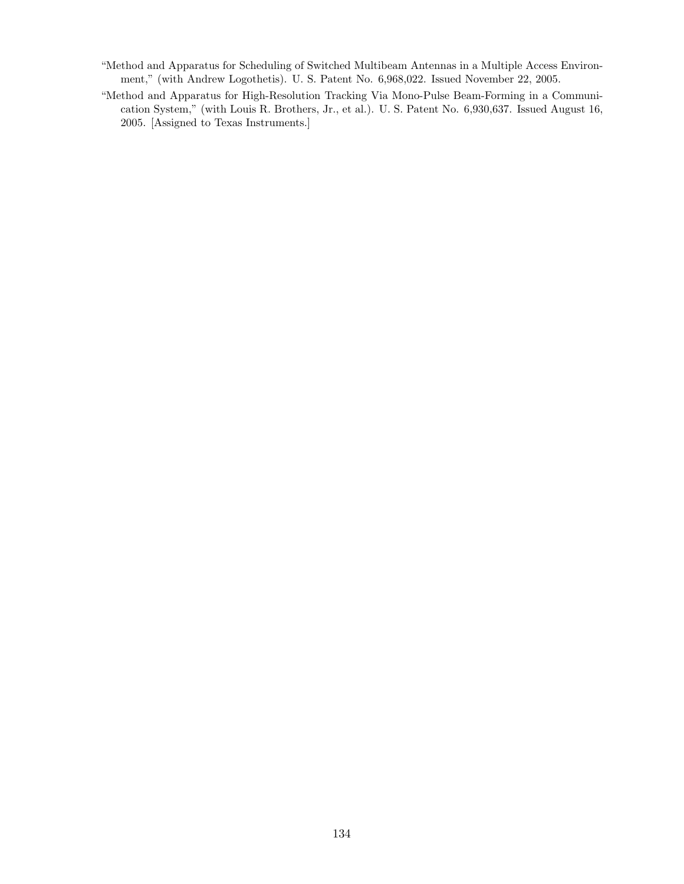- "Method and Apparatus for Scheduling of Switched Multibeam Antennas in a Multiple Access Environment," (with Andrew Logothetis). U. S. Patent No. 6,968,022. Issued November 22, 2005.
- "Method and Apparatus for High-Resolution Tracking Via Mono-Pulse Beam-Forming in a Communication System," (with Louis R. Brothers, Jr., et al.). U. S. Patent No. 6,930,637. Issued August 16, 2005. [Assigned to Texas Instruments.]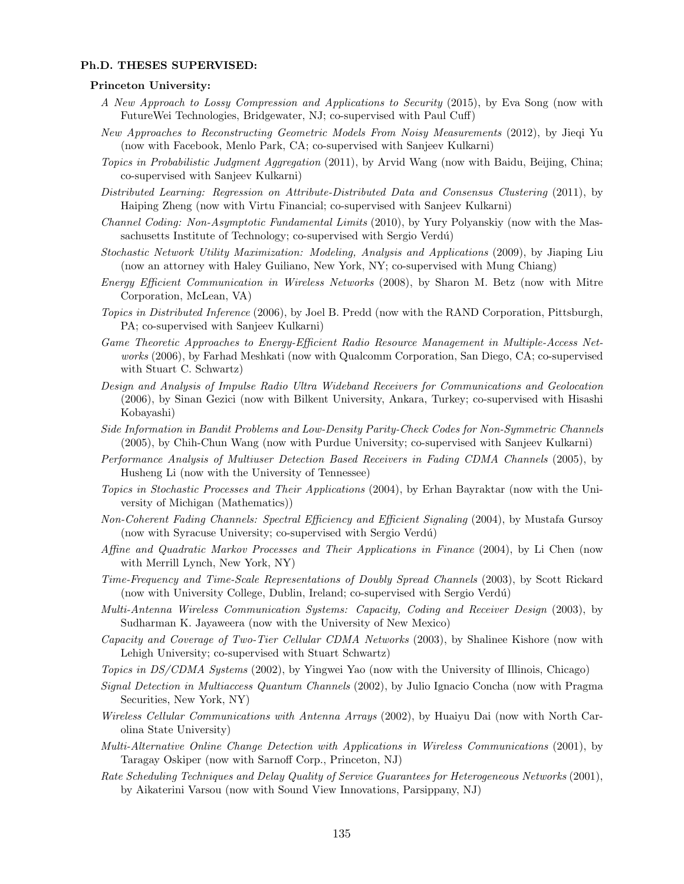### Ph.D. THESES SUPERVISED:

## Princeton University:

- A New Approach to Lossy Compression and Applications to Security (2015), by Eva Song (now with FutureWei Technologies, Bridgewater, NJ; co-supervised with Paul Cuff)
- New Approaches to Reconstructing Geometric Models From Noisy Measurements (2012), by Jieqi Yu (now with Facebook, Menlo Park, CA; co-supervised with Sanjeev Kulkarni)
- Topics in Probabilistic Judgment Aggregation (2011), by Arvid Wang (now with Baidu, Beijing, China; co-supervised with Sanjeev Kulkarni)
- Distributed Learning: Regression on Attribute-Distributed Data and Consensus Clustering (2011), by Haiping Zheng (now with Virtu Financial; co-supervised with Sanjeev Kulkarni)
- Channel Coding: Non-Asymptotic Fundamental Limits (2010), by Yury Polyanskiy (now with the Massachusetts Institute of Technology; co-supervised with Sergio Verdú)
- Stochastic Network Utility Maximization: Modeling, Analysis and Applications (2009), by Jiaping Liu (now an attorney with Haley Guiliano, New York, NY; co-supervised with Mung Chiang)
- Energy Efficient Communication in Wireless Networks (2008), by Sharon M. Betz (now with Mitre Corporation, McLean, VA)
- Topics in Distributed Inference (2006), by Joel B. Predd (now with the RAND Corporation, Pittsburgh, PA; co-supervised with Sanjeev Kulkarni)
- Game Theoretic Approaches to Energy-Efficient Radio Resource Management in Multiple-Access Networks (2006), by Farhad Meshkati (now with Qualcomm Corporation, San Diego, CA; co-supervised with Stuart C. Schwartz)
- Design and Analysis of Impulse Radio Ultra Wideband Receivers for Communications and Geolocation (2006), by Sinan Gezici (now with Bilkent University, Ankara, Turkey; co-supervised with Hisashi Kobayashi)
- Side Information in Bandit Problems and Low-Density Parity-Check Codes for Non-Symmetric Channels (2005), by Chih-Chun Wang (now with Purdue University; co-supervised with Sanjeev Kulkarni)
- Performance Analysis of Multiuser Detection Based Receivers in Fading CDMA Channels (2005), by Husheng Li (now with the University of Tennessee)
- Topics in Stochastic Processes and Their Applications (2004), by Erhan Bayraktar (now with the University of Michigan (Mathematics))
- Non-Coherent Fading Channels: Spectral Efficiency and Efficient Signaling (2004), by Mustafa Gursoy (now with Syracuse University; co-supervised with Sergio Verdú)
- Affine and Quadratic Markov Processes and Their Applications in Finance (2004), by Li Chen (now with Merrill Lynch, New York, NY)
- Time-Frequency and Time-Scale Representations of Doubly Spread Channels (2003), by Scott Rickard (now with University College, Dublin, Ireland; co-supervised with Sergio Verdú)
- Multi-Antenna Wireless Communication Systems: Capacity, Coding and Receiver Design (2003), by Sudharman K. Jayaweera (now with the University of New Mexico)
- Capacity and Coverage of Two-Tier Cellular CDMA Networks (2003), by Shalinee Kishore (now with Lehigh University; co-supervised with Stuart Schwartz)
- Topics in DS/CDMA Systems (2002), by Yingwei Yao (now with the University of Illinois, Chicago)
- Signal Detection in Multiaccess Quantum Channels (2002), by Julio Ignacio Concha (now with Pragma Securities, New York, NY)
- Wireless Cellular Communications with Antenna Arrays (2002), by Huaiyu Dai (now with North Carolina State University)
- Multi-Alternative Online Change Detection with Applications in Wireless Communications (2001), by Taragay Oskiper (now with Sarnoff Corp., Princeton, NJ)
- Rate Scheduling Techniques and Delay Quality of Service Guarantees for Heterogeneous Networks (2001), by Aikaterini Varsou (now with Sound View Innovations, Parsippany, NJ)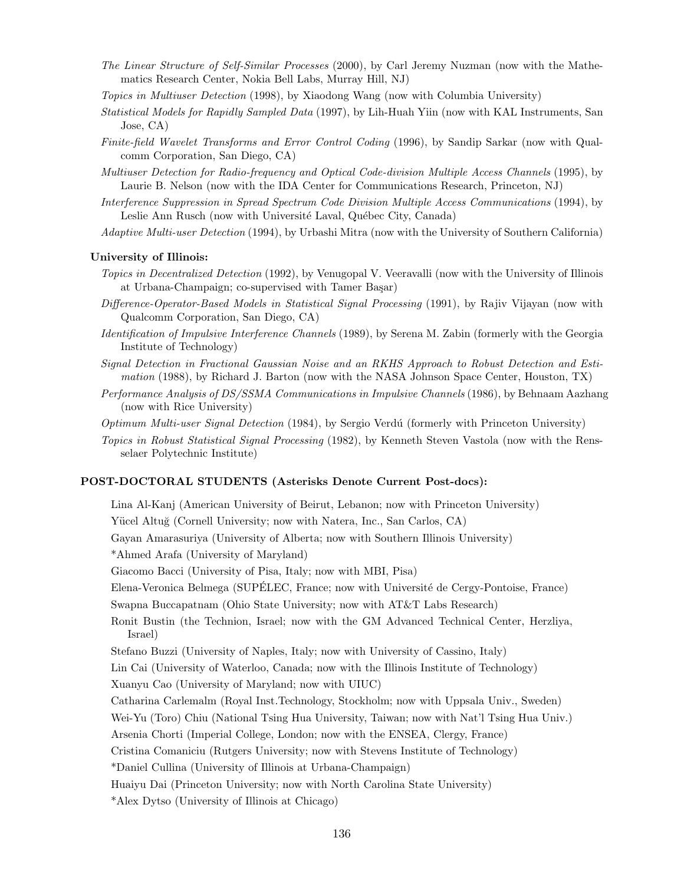- The Linear Structure of Self-Similar Processes (2000), by Carl Jeremy Nuzman (now with the Mathematics Research Center, Nokia Bell Labs, Murray Hill, NJ)
- Topics in Multiuser Detection (1998), by Xiaodong Wang (now with Columbia University)
- Statistical Models for Rapidly Sampled Data (1997), by Lih-Huah Yiin (now with KAL Instruments, San Jose, CA)
- Finite-field Wavelet Transforms and Error Control Coding (1996), by Sandip Sarkar (now with Qualcomm Corporation, San Diego, CA)
- Multiuser Detection for Radio-frequency and Optical Code-division Multiple Access Channels (1995), by Laurie B. Nelson (now with the IDA Center for Communications Research, Princeton, NJ)
- Interference Suppression in Spread Spectrum Code Division Multiple Access Communications (1994), by Leslie Ann Rusch (now with Université Laval, Québec City, Canada)
- Adaptive Multi-user Detection (1994), by Urbashi Mitra (now with the University of Southern California)

# University of Illinois:

- Topics in Decentralized Detection (1992), by Venugopal V. Veeravalli (now with the University of Illinois at Urbana-Champaign; co-supervised with Tamer Başar)
- Difference-Operator-Based Models in Statistical Signal Processing (1991), by Rajiv Vijayan (now with Qualcomm Corporation, San Diego, CA)
- Identification of Impulsive Interference Channels (1989), by Serena M. Zabin (formerly with the Georgia Institute of Technology)
- Signal Detection in Fractional Gaussian Noise and an RKHS Approach to Robust Detection and Estimation (1988), by Richard J. Barton (now with the NASA Johnson Space Center, Houston, TX)
- Performance Analysis of DS/SSMA Communications in Impulsive Channels (1986), by Behnaam Aazhang (now with Rice University)
- Optimum Multi-user Signal Detection (1984), by Sergio Verdú (formerly with Princeton University)
- Topics in Robust Statistical Signal Processing (1982), by Kenneth Steven Vastola (now with the Rensselaer Polytechnic Institute)

#### POST-DOCTORAL STUDENTS (Asterisks Denote Current Post-docs):

Lina Al-Kanj (American University of Beirut, Lebanon; now with Princeton University) Yücel Altuğ (Cornell University; now with Natera, Inc., San Carlos, CA) Gayan Amarasuriya (University of Alberta; now with Southern Illinois University) \*Ahmed Arafa (University of Maryland) Giacomo Bacci (University of Pisa, Italy; now with MBI, Pisa) Elena-Veronica Belmega (SUPÉLEC, France; now with Université de Cergy-Pontoise, France) Swapna Buccapatnam (Ohio State University; now with AT&T Labs Research) Ronit Bustin (the Technion, Israel; now with the GM Advanced Technical Center, Herzliya, Israel) Stefano Buzzi (University of Naples, Italy; now with University of Cassino, Italy) Lin Cai (University of Waterloo, Canada; now with the Illinois Institute of Technology) Xuanyu Cao (University of Maryland; now with UIUC) Catharina Carlemalm (Royal Inst.Technology, Stockholm; now with Uppsala Univ., Sweden) Wei-Yu (Toro) Chiu (National Tsing Hua University, Taiwan; now with Nat'l Tsing Hua Univ.) Arsenia Chorti (Imperial College, London; now with the ENSEA, Clergy, France) Cristina Comaniciu (Rutgers University; now with Stevens Institute of Technology) \*Daniel Cullina (University of Illinois at Urbana-Champaign) Huaiyu Dai (Princeton University; now with North Carolina State University) \*Alex Dytso (University of Illinois at Chicago)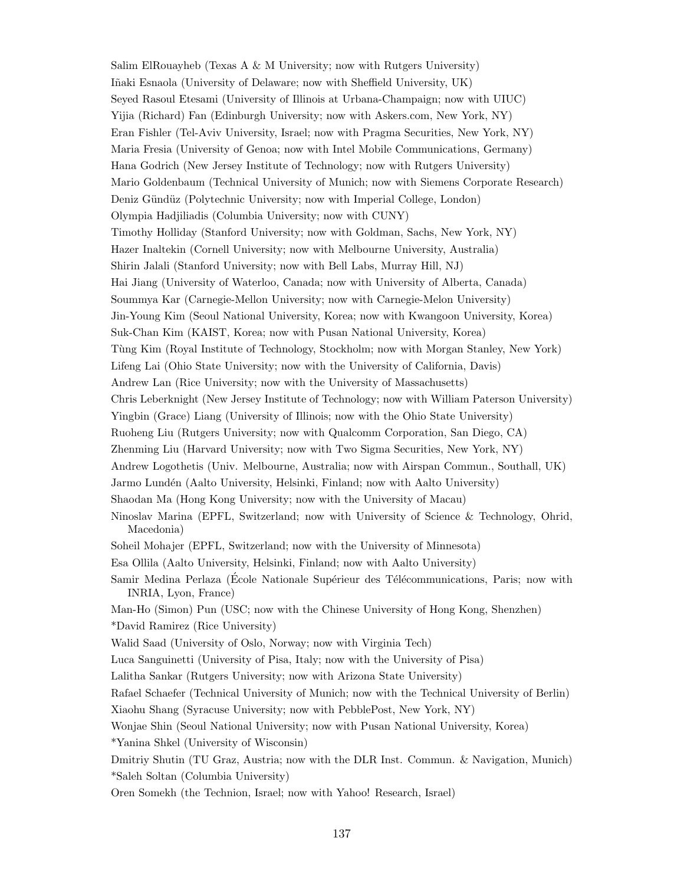Salim ElRouayheb (Texas A  $\&$  M University; now with Rutgers University) Iñaki Esnaola (University of Delaware; now with Sheffield University, UK) Seyed Rasoul Etesami (University of Illinois at Urbana-Champaign; now with UIUC) Yijia (Richard) Fan (Edinburgh University; now with Askers.com, New York, NY) Eran Fishler (Tel-Aviv University, Israel; now with Pragma Securities, New York, NY) Maria Fresia (University of Genoa; now with Intel Mobile Communications, Germany) Hana Godrich (New Jersey Institute of Technology; now with Rutgers University) Mario Goldenbaum (Technical University of Munich; now with Siemens Corporate Research) Deniz Gündüz (Polytechnic University; now with Imperial College, London) Olympia Hadjiliadis (Columbia University; now with CUNY) Timothy Holliday (Stanford University; now with Goldman, Sachs, New York, NY) Hazer Inaltekin (Cornell University; now with Melbourne University, Australia) Shirin Jalali (Stanford University; now with Bell Labs, Murray Hill, NJ) Hai Jiang (University of Waterloo, Canada; now with University of Alberta, Canada) Soummya Kar (Carnegie-Mellon University; now with Carnegie-Melon University) Jin-Young Kim (Seoul National University, Korea; now with Kwangoon University, Korea) Suk-Chan Kim (KAIST, Korea; now with Pusan National University, Korea) Tùng Kim (Royal Institute of Technology, Stockholm; now with Morgan Stanley, New York) Lifeng Lai (Ohio State University; now with the University of California, Davis) Andrew Lan (Rice University; now with the University of Massachusetts) Chris Leberknight (New Jersey Institute of Technology; now with William Paterson University) Yingbin (Grace) Liang (University of Illinois; now with the Ohio State University) Ruoheng Liu (Rutgers University; now with Qualcomm Corporation, San Diego, CA) Zhenming Liu (Harvard University; now with Two Sigma Securities, New York, NY) Andrew Logothetis (Univ. Melbourne, Australia; now with Airspan Commun., Southall, UK) Jarmo Lundén (Aalto University, Helsinki, Finland; now with Aalto University) Shaodan Ma (Hong Kong University; now with the University of Macau) Ninoslav Marina (EPFL, Switzerland; now with University of Science & Technology, Ohrid, Macedonia) Soheil Mohajer (EPFL, Switzerland; now with the University of Minnesota) Esa Ollila (Aalto University, Helsinki, Finland; now with Aalto University) Samir Medina Perlaza (École Nationale Supérieur des Télécommunications, Paris; now with INRIA, Lyon, France) Man-Ho (Simon) Pun (USC; now with the Chinese University of Hong Kong, Shenzhen) \*David Ramirez (Rice University) Walid Saad (University of Oslo, Norway; now with Virginia Tech) Luca Sanguinetti (University of Pisa, Italy; now with the University of Pisa) Lalitha Sankar (Rutgers University; now with Arizona State University) Rafael Schaefer (Technical University of Munich; now with the Technical University of Berlin) Xiaohu Shang (Syracuse University; now with PebblePost, New York, NY) Wonjae Shin (Seoul National University; now with Pusan National University, Korea) \*Yanina Shkel (University of Wisconsin) Dmitriy Shutin (TU Graz, Austria; now with the DLR Inst. Commun. & Navigation, Munich) \*Saleh Soltan (Columbia University) Oren Somekh (the Technion, Israel; now with Yahoo! Research, Israel)